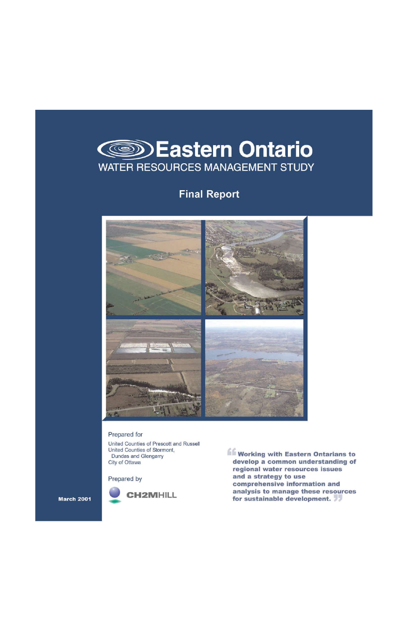

# **Final Report**



#### Prepared for

United Counties of Prescott and Russell United Counties of Stormont, Dundas and Glengarry City of Ottawa

Prepared by



**Working with Eastern Ontarians to** develop a common understanding of regional water resources issues and a strategy to use comprehensive information and analysis to manage these resources for sustainable development. 77

**March 2001**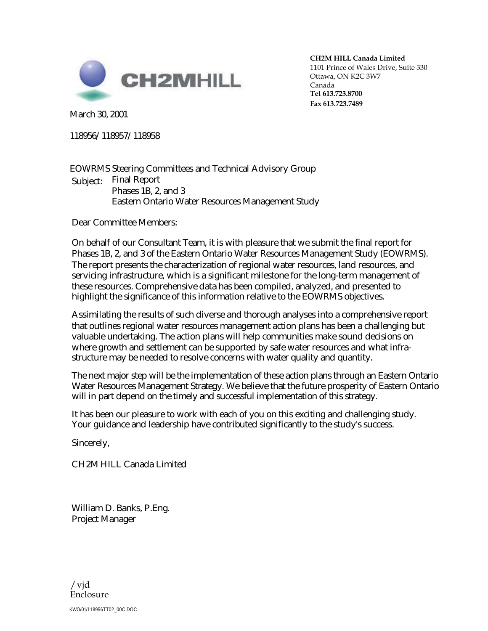

**CH2M HILL Canada Limited** 1101 Prince of Wales Drive, Suite 330 Ottawa, ON K2C 3W7 Canada **Tel 613.723.8700 Fax 613.723.7489**

March 30, 2001

118956/118957/118958

EOWRMS Steering Committees and Technical Advisory Group Subject: Final Report Phases 1B, 2, and 3 Eastern Ontario Water Resources Management Study

Dear Committee Members:

On behalf of our Consultant Team, it is with pleasure that we submit the final report for Phases 1B, 2, and 3 of the Eastern Ontario Water Resources Management Study (EOWRMS). The report presents the characterization of regional water resources, land resources, and servicing infrastructure, which is a significant milestone for the long-term management of these resources. Comprehensive data has been compiled, analyzed, and presented to highlight the significance of this information relative to the EOWRMS objectives.

Assimilating the results of such diverse and thorough analyses into a comprehensive report that outlines regional water resources management action plans has been a challenging but valuable undertaking. The action plans will help communities make sound decisions on where growth and settlement can be supported by safe water resources and what infrastructure may be needed to resolve concerns with water quality and quantity.

The next major step will be the implementation of these action plans through an Eastern Ontario Water Resources Management Strategy. We believe that the future prosperity of Eastern Ontario will in part depend on the timely and successful implementation of this strategy.

It has been our pleasure to work with each of you on this exciting and challenging study. Your guidance and leadership have contributed significantly to the study's success.

Sincerely,

CH2MHILL Canada Limited

William D. Banks, P.Eng. Project Manager

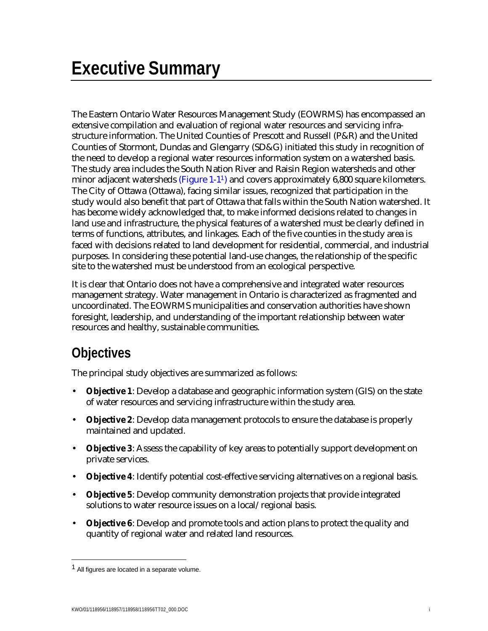The Eastern Ontario Water Resources Management Study (EOWRMS) has encompassed an extensive compilation and evaluation of regional water resources and servicing infrastructure information. The United Counties of Prescott and Russell (P&R) and the United Counties of Stormont, Dundas and Glengarry (SD&G) initiated this study in recognition of the need to develop a regional water resources information system on a watershed basis. The study area includes the South Nation River and Raisin Region watersheds and other minor adjacent watersheds ( $Figure 1-1<sup>1</sup>$ ) and covers approximately 6,800 square kilometers. The City of Ottawa (Ottawa), facing similar issues, recognized that participation in the study would also benefit that part of Ottawa that falls within the South Nation watershed. It has become widely acknowledged that, to make informed decisions related to changes in land use and infrastructure, the physical features of a watershed must be clearly defined in terms of functions, attributes, and linkages. Each of the five counties in the study area is faced with decisions related to land development for residential, commercial, and industrial purposes. In considering these potential land-use changes, the relationship of the specific site to the watershed must be understood from an ecological perspective.

It is clear that Ontario does not have a comprehensive and integrated water resources management strategy. Water management in Ontario is characterized as fragmented and uncoordinated. The EOWRMS municipalities and conservation authorities have shown foresight, leadership, and understanding of the important relationship between water resources and healthy, sustainable communities.

# **Objectives**

The principal study objectives are summarized as follows:

- **Objective 1**: Develop a database and geographic information system (GIS) on the state of water resources and servicing infrastructure within the study area.
- **Objective 2**: Develop data management protocols to ensure the database is properly maintained and updated.
- **Objective 3**: Assess the capability of key areas to potentially support development on private services.
- **Objective 4**: Identify potential cost-effective servicing alternatives on a regional basis.
- **Objective 5**: Develop community demonstration projects that provide integrated solutions to water resource issues on a local/regional basis.
- **Objective 6**: Develop and promote tools and action plans to protect the quality and quantity of regional water and related land resources.

 $\overline{a}$ 

<sup>1</sup> All figures are located in a separate volume.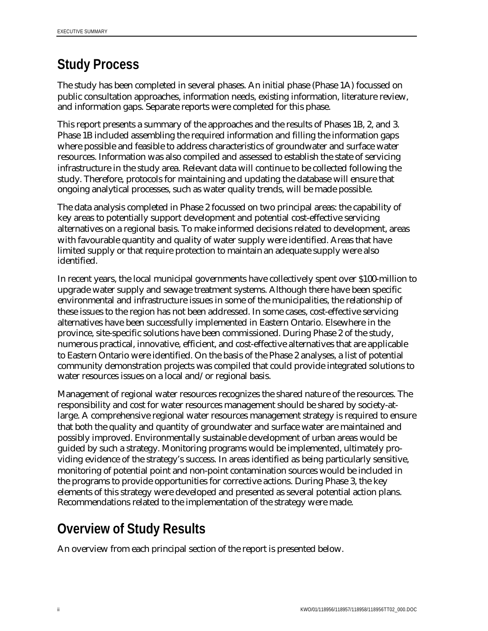# **Study Process**

The study has been completed in several phases. An initial phase (Phase 1A) focussed on public consultation approaches, information needs, existing information, literature review, and information gaps. Separate reports were completed for this phase.

This report presents a summary of the approaches and the results of Phases 1B, 2, and 3. Phase 1B included assembling the required information and filling the information gaps where possible and feasible to address characteristics of groundwater and surface water resources. Information was also compiled and assessed to establish the state of servicing infrastructure in the study area. Relevant data will continue to be collected following the study. Therefore, protocols for maintaining and updating the database will ensure that ongoing analytical processes, such as water quality trends, will be made possible.

The data analysis completed in Phase 2 focussed on two principal areas: the capability of key areas to potentially support development and potential cost-effective servicing alternatives on a regional basis. To make informed decisions related to development, areas with favourable quantity and quality of water supply were identified. Areas that have limited supply or that require protection to maintain an adequate supply were also identified.

In recent years, the local municipal governments have collectively spent over \$100-million to upgrade water supply and sewage treatment systems. Although there have been specific environmental and infrastructure issues in some of the municipalities, the relationship of these issues to the region has not been addressed. In some cases, cost-effective servicing alternatives have been successfully implemented in Eastern Ontario. Elsewhere in the province, site-specific solutions have been commissioned. During Phase 2 of the study, numerous practical, innovative, efficient, and cost-effective alternatives that are applicable to Eastern Ontario were identified. On the basis of the Phase 2 analyses, a list of potential community demonstration projects was compiled that could provide integrated solutions to water resources issues on a local and/or regional basis.

Management of regional water resources recognizes the shared nature of the resources. The responsibility and cost for water resources management should be shared by society-atlarge. A comprehensive regional water resources management strategy is required to ensure that both the quality and quantity of groundwater and surface water are maintained and possibly improved. Environmentally sustainable development of urban areas would be guided by such a strategy. Monitoring programs would be implemented, ultimately providing evidence of the strategy's success. In areas identified as being particularly sensitive, monitoring of potential point and non-point contamination sources would be included in the programs to provide opportunities for corrective actions. During Phase 3, the key elements of this strategy were developed and presented as several potential action plans. Recommendations related to the implementation of the strategy were made.

# **Overview of Study Results**

An overview from each principal section of the report is presented below.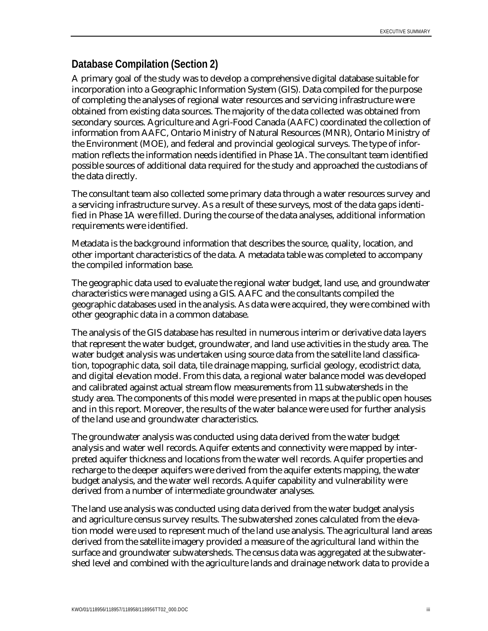## **Database Compilation (Section 2)**

A primary goal of the study was to develop a comprehensive digital database suitable for incorporation into a Geographic Information System (GIS). Data compiled for the purpose of completing the analyses of regional water resources and servicing infrastructure were obtained from existing data sources. The majority of the data collected was obtained from secondary sources. Agriculture and Agri-Food Canada (AAFC) coordinated the collection of information from AAFC, Ontario Ministry of Natural Resources (MNR), Ontario Ministry of the Environment (MOE), and federal and provincial geological surveys. The type of information reflects the information needs identified in Phase 1A. The consultant team identified possible sources of additional data required for the study and approached the custodians of the data directly.

The consultant team also collected some primary data through a water resources survey and a servicing infrastructure survey. As a result of these surveys, most of the data gaps identified in Phase 1A were filled. During the course of the data analyses, additional information requirements were identified.

Metadata is the background information that describes the source, quality, location, and other important characteristics of the data. A metadata table was completed to accompany the compiled information base.

The geographic data used to evaluate the regional water budget, land use, and groundwater characteristics were managed using a GIS. AAFC and the consultants compiled the geographic databases used in the analysis. As data were acquired, they were combined with other geographic data in a common database.

The analysis of the GIS database has resulted in numerous interim or derivative data layers that represent the water budget, groundwater, and land use activities in the study area. The water budget analysis was undertaken using source data from the satellite land classification, topographic data, soil data, tile drainage mapping, surficial geology, ecodistrict data, and digital elevation model. From this data, a regional water balance model was developed and calibrated against actual stream flow measurements from 11 subwatersheds in the study area. The components of this model were presented in maps at the public open houses and in this report. Moreover, the results of the water balance were used for further analysis of the land use and groundwater characteristics.

The groundwater analysis was conducted using data derived from the water budget analysis and water well records. Aquifer extents and connectivity were mapped by interpreted aquifer thickness and locations from the water well records. Aquifer properties and recharge to the deeper aquifers were derived from the aquifer extents mapping, the water budget analysis, and the water well records. Aquifer capability and vulnerability were derived from a number of intermediate groundwater analyses.

The land use analysis was conducted using data derived from the water budget analysis and agriculture census survey results. The subwatershed zones calculated from the elevation model were used to represent much of the land use analysis. The agricultural land areas derived from the satellite imagery provided a measure of the agricultural land within the surface and groundwater subwatersheds. The census data was aggregated at the subwatershed level and combined with the agriculture lands and drainage network data to provide a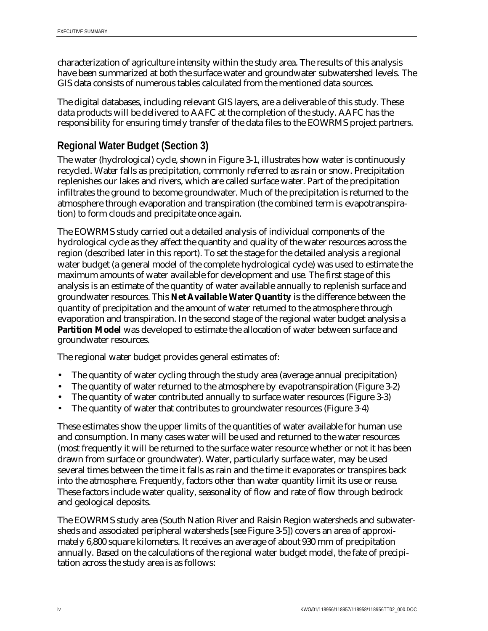characterization of agriculture intensity within the study area. The results of this analysis have been summarized at both the surface water and groundwater subwatershed levels. The GIS data consists of numerous tables calculated from the mentioned data sources.

The digital databases, including relevant GIS layers, are a deliverable of this study. These data products will be delivered to AAFC at the completion of the study. AAFC has the responsibility for ensuring timely transfer of the data files to the EOWRMS project partners.

### **Regional Water Budget (Section 3)**

The water (hydrological) cycle, shown in Figure 3-1, illustrates how water is continuously recycled. Water falls as precipitation, commonly referred to as rain or snow. Precipitation replenishes our lakes and rivers, which are called surface water. Part of the precipitation infiltrates the ground to become groundwater. Much of the precipitation is returned to the atmosphere through evaporation and transpiration (the combined term is evapotranspiration) to form clouds and precipitate once again.

The EOWRMS study carried out a detailed analysis of individual components of the hydrological cycle as they affect the quantity and quality of the water resources across the region (described later in this report). To set the stage for the detailed analysis a regional water budget (a general model of the complete hydrological cycle) was used to estimate the maximum amounts of water available for development and use. The first stage of this analysis is an estimate of the quantity of water available annually to replenish surface and groundwater resources. This **Net Available Water Quantity** is the difference between the quantity of precipitation and the amount of water returned to the atmosphere through evaporation and transpiration. In the second stage of the regional water budget analysis a Partition Model was developed to estimate the allocation of water between surface and groundwater resources.

The regional water budget provides general estimates of:

- The quantity of water cycling through the study area (average annual precipitation)
- The quantity of water returned to the atmosphere by evapotranspiration (Figure 3-2)
- The quantity of water contributed annually to surface water resources (Figure 3-3)
- The quantity of water that contributes to groundwater resources (Figure 3-4)

These estimates show the upper limits of the quantities of water available for human use and consumption. In many cases water will be used and returned to the water resources (most frequently it will be returned to the surface water resource whether or not it has been drawn from surface or groundwater). Water, particularly surface water, may be used several times between the time it falls as rain and the time it evaporates or transpires back into the atmosphere. Frequently, factors other than water quantity limit its use or reuse. These factors include water quality, seasonality of flow and rate of flow through bedrock and geological deposits.

The EOWRMS study area (South Nation River and Raisin Region watersheds and subwatersheds and associated peripheral watersheds [see Figure 3-5]) covers an area of approximately 6,800 square kilometers. It receives an average of about 930 mm of precipitation annually. Based on the calculations of the regional water budget model, the fate of precipitation across the study area is as follows: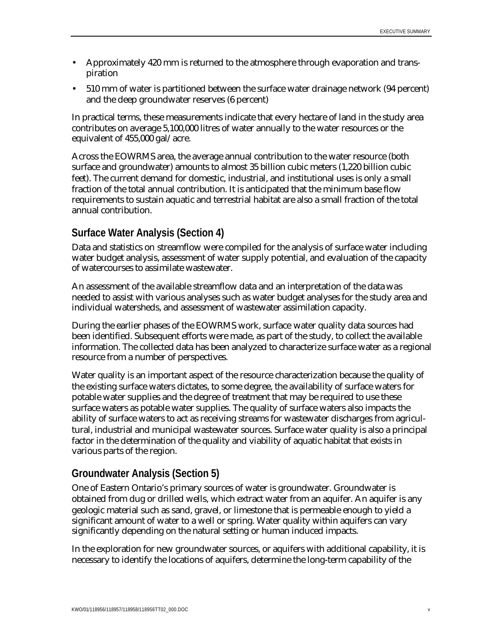- Approximately 420 mm is returned to the atmosphere through evaporation and transpiration
- 510 mm of water is partitioned between the surface water drainage network (94 percent) and the deep groundwater reserves (6 percent)

In practical terms, these measurements indicate that every hectare of land in the study area contributes on average 5,100,000 litres of water annually to the water resources or the equivalent of 455,000 gal/acre.

Across the EOWRMS area, the average annual contribution to the water resource (both surface and groundwater) amounts to almost 35 billion cubic meters (1,220 billion cubic feet). The current demand for domestic, industrial, and institutional uses is only a small fraction of the total annual contribution. It is anticipated that the minimum base flow requirements to sustain aquatic and terrestrial habitat are also a small fraction of the total annual contribution.

## **Surface Water Analysis (Section 4)**

Data and statistics on streamflow were compiled for the analysis of surface water including water budget analysis, assessment of water supply potential, and evaluation of the capacity of watercourses to assimilate wastewater.

An assessment of the available streamflow data and an interpretation of the data was needed to assist with various analyses such as water budget analyses for the study area and individual watersheds, and assessment of wastewater assimilation capacity.

During the earlier phases of the EOWRMS work, surface water quality data sources had been identified. Subsequent efforts were made, as part of the study, to collect the available information. The collected data has been analyzed to characterize surface water as a regional resource from a number of perspectives.

Water quality is an important aspect of the resource characterization because the quality of the existing surface waters dictates, to some degree, the availability of surface waters for potable water supplies and the degree of treatment that may be required to use these surface waters as potable water supplies. The quality of surface waters also impacts the ability of surface waters to act as receiving streams for wastewater discharges from agricultural, industrial and municipal wastewater sources. Surface water quality is also a principal factor in the determination of the quality and viability of aquatic habitat that exists in various parts of the region.

### **Groundwater Analysis (Section 5)**

One of Eastern Ontario's primary sources of water is groundwater. Groundwater is obtained from dug or drilled wells, which extract water from an aquifer. An aquifer is any geologic material such as sand, gravel, or limestone that is permeable enough to yield a significant amount of water to a well or spring. Water quality within aquifers can vary significantly depending on the natural setting or human induced impacts.

In the exploration for new groundwater sources, or aquifers with additional capability, it is necessary to identify the locations of aquifers, determine the long-term capability of the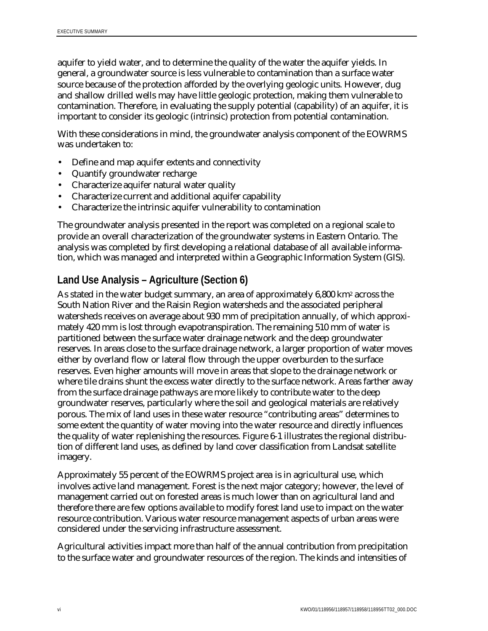aquifer to yield water, and to determine the quality of the water the aquifer yields. In general, a groundwater source is less vulnerable to contamination than a surface water source because of the protection afforded by the overlying geologic units. However, dug and shallow drilled wells may have little geologic protection, making them vulnerable to contamination. Therefore, in evaluating the supply potential (capability) of an aquifer, it is important to consider its geologic (intrinsic) protection from potential contamination.

With these considerations in mind, the groundwater analysis component of the EOWRMS was undertaken to:

- Define and map aquifer extents and connectivity
- Quantify groundwater recharge
- Characterize aquifer natural water quality
- Characterize current and additional aquifer capability
- Characterize the intrinsic aquifer vulnerability to contamination

The groundwater analysis presented in the report was completed on a regional scale to provide an overall characterization of the groundwater systems in Eastern Ontario. The analysis was completed by first developing a relational database of all available information, which was managed and interpreted within a Geographic Information System (GIS).

## **Land Use Analysis – Agriculture (Section 6)**

As stated in the water budget summary, an area of approximately 6,800 km2 across the South Nation River and the Raisin Region watersheds and the associated peripheral watersheds receives on average about 930 mm of precipitation annually, of which approximately 420 mm is lost through evapotranspiration. The remaining 510 mm of water is partitioned between the surface water drainage network and the deep groundwater reserves. In areas close to the surface drainage network, a larger proportion of water moves either by overland flow or lateral flow through the upper overburden to the surface reserves. Even higher amounts will move in areas that slope to the drainage network or where tile drains shunt the excess water directly to the surface network. Areas farther away from the surface drainage pathways are more likely to contribute water to the deep groundwater reserves, particularly where the soil and geological materials are relatively porous. The mix of land uses in these water resource "contributing areas" determines to some extent the quantity of water moving into the water resource and directly influences the quality of water replenishing the resources. Figure 6-1 illustrates the regional distribution of different land uses, as defined by land cover classification from Landsat satellite imagery.

Approximately 55 percent of the EOWRMS project area is in agricultural use, which involves active land management. Forest is the next major category; however, the level of management carried out on forested areas is much lower than on agricultural land and therefore there are few options available to modify forest land use to impact on the water resource contribution. Various water resource management aspects of urban areas were considered under the servicing infrastructure assessment.

Agricultural activities impact more than half of the annual contribution from precipitation to the surface water and groundwater resources of the region. The kinds and intensities of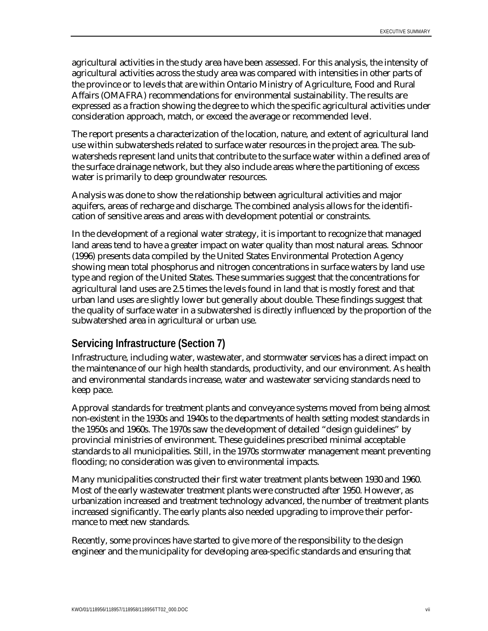agricultural activities in the study area have been assessed. For this analysis, the intensity of agricultural activities across the study area was compared with intensities in other parts of the province or to levels that are within Ontario Ministry of Agriculture, Food and Rural Affairs (OMAFRA) recommendations for environmental sustainability. The results are expressed as a fraction showing the degree to which the specific agricultural activities under consideration approach, match, or exceed the average or recommended level.

The report presents a characterization of the location, nature, and extent of agricultural land use within subwatersheds related to surface water resources in the project area. The subwatersheds represent land units that contribute to the surface water within a defined area of the surface drainage network, but they also include areas where the partitioning of excess water is primarily to deep groundwater resources.

Analysis was done to show the relationship between agricultural activities and major aquifers, areas of recharge and discharge. The combined analysis allows for the identification of sensitive areas and areas with development potential or constraints.

In the development of a regional water strategy, it is important to recognize that managed land areas tend to have a greater impact on water quality than most natural areas. Schnoor (1996) presents data compiled by the United States Environmental Protection Agency showing mean total phosphorus and nitrogen concentrations in surface waters by land use type and region of the United States. These summaries suggest that the concentrations for agricultural land uses are 2.5 times the levels found in land that is mostly forest and that urban land uses are slightly lower but generally about double. These findings suggest that the quality of surface water in a subwatershed is directly influenced by the proportion of the subwatershed area in agricultural or urban use.

### **Servicing Infrastructure (Section 7)**

Infrastructure, including water, wastewater, and stormwater services has a direct impact on the maintenance of our high health standards, productivity, and our environment. As health and environmental standards increase, water and wastewater servicing standards need to keep pace.

Approval standards for treatment plants and conveyance systems moved from being almost non-existent in the 1930s and 1940s to the departments of health setting modest standards in the 1950s and 1960s. The 1970s saw the development of detailed "design guidelines" by provincial ministries of environment. These guidelines prescribed minimal acceptable standards to all municipalities. Still, in the 1970s stormwater management meant preventing flooding; no consideration was given to environmental impacts.

Many municipalities constructed their first water treatment plants between 1930 and 1960. Most of the early wastewater treatment plants were constructed after 1950. However, as urbanization increased and treatment technology advanced, the number of treatment plants increased significantly. The early plants also needed upgrading to improve their performance to meet new standards.

Recently, some provinces have started to give more of the responsibility to the design engineer and the municipality for developing area-specific standards and ensuring that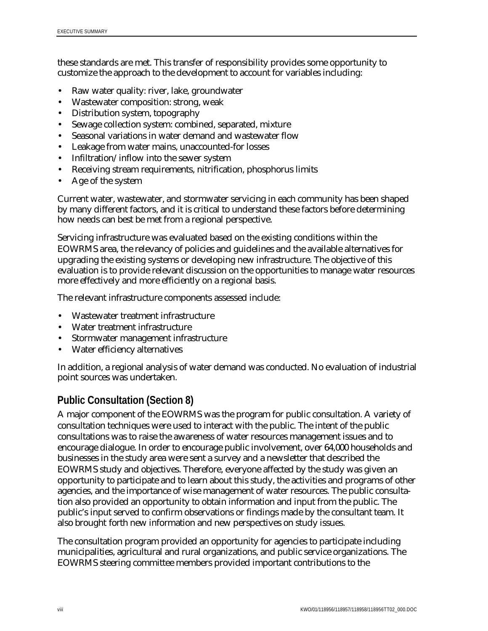these standards are met. This transfer of responsibility provides some opportunity to customize the approach to the development to account for variables including:

- Raw water quality: river, lake, groundwater
- Wastewater composition: strong, weak
- Distribution system, topography
- Sewage collection system: combined, separated, mixture
- Seasonal variations in water demand and wastewater flow
- Leakage from water mains, unaccounted-for losses
- Infiltration/inflow into the sewer system
- Receiving stream requirements, nitrification, phosphorus limits
- Age of the system

Current water, wastewater, and stormwater servicing in each community has been shaped by many different factors, and it is critical to understand these factors before determining how needs can best be met from a regional perspective.

Servicing infrastructure was evaluated based on the existing conditions within the EOWRMS area, the relevancy of policies and guidelines and the available alternatives for upgrading the existing systems or developing new infrastructure. The objective of this evaluation is to provide relevant discussion on the opportunities to manage water resources more effectively and more efficiently on a regional basis.

The relevant infrastructure components assessed include:

- Wastewater treatment infrastructure
- Water treatment infrastructure
- Stormwater management infrastructure
- Water efficiency alternatives

In addition, a regional analysis of water demand was conducted. No evaluation of industrial point sources was undertaken.

## **Public Consultation (Section 8)**

A major component of the EOWRMS was the program for public consultation. A variety of consultation techniques were used to interact with the public. The intent of the public consultations was to raise the awareness of water resources management issues and to encourage dialogue. In order to encourage public involvement, over 64,000 households and businesses in the study area were sent a survey and a newsletter that described the EOWRMS study and objectives. Therefore, everyone affected by the study was given an opportunity to participate and to learn about this study, the activities and programs of other agencies, and the importance of wise management of water resources. The public consultation also provided an opportunity to obtain information and input from the public. The public's input served to confirm observations or findings made by the consultant team. It also brought forth new information and new perspectives on study issues.

The consultation program provided an opportunity for agencies to participate including municipalities, agricultural and rural organizations, and public service organizations. The EOWRMS steering committee members provided important contributions to the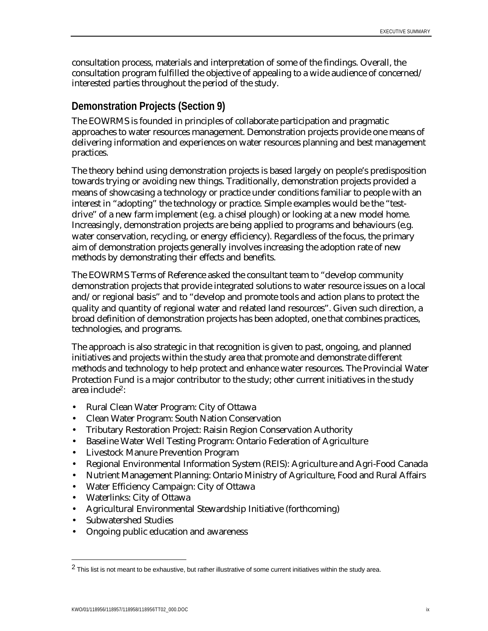consultation process, materials and interpretation of some of the findings. Overall, the consultation program fulfilled the objective of appealing to a wide audience of concerned/ interested parties throughout the period of the study.

#### **Demonstration Projects (Section 9)**

The EOWRMS is founded in principles of collaborate participation and pragmatic approaches to water resources management. Demonstration projects provide one means of delivering information and experiences on water resources planning and best management practices.

The theory behind using demonstration projects is based largely on people's predisposition towards trying or avoiding new things. Traditionally, demonstration projects provided a means of showcasing a technology or practice under conditions familiar to people with an interest in "adopting" the technology or practice. Simple examples would be the "testdrive" of a new farm implement (e.g. a chisel plough) or looking at a new model home. Increasingly, demonstration projects are being applied to programs and behaviours (e.g. water conservation, recycling, or energy efficiency). Regardless of the focus, the primary aim of demonstration projects generally involves increasing the adoption rate of new methods by demonstrating their effects and benefits.

The EOWRMS Terms of Reference asked the consultant team to "develop community demonstration projects that provide integrated solutions to water resource issues on a local and/or regional basis" and to "develop and promote tools and action plans to protect the quality and quantity of regional water and related land resources". Given such direction, a broad definition of demonstration projects has been adopted, one that combines practices, technologies, and programs.

The approach is also strategic in that recognition is given to past, ongoing, and planned initiatives and projects within the study area that promote and demonstrate different methods and technology to help protect and enhance water resources. The Provincial Water Protection Fund is a major contributor to the study; other current initiatives in the study area include2:

- Rural Clean Water Program: City of Ottawa
- Clean Water Program: South Nation Conservation
- Tributary Restoration Project: Raisin Region Conservation Authority
- Baseline Water Well Testing Program: Ontario Federation of Agriculture
- Livestock Manure Prevention Program
- Regional Environmental Information System (REIS): Agriculture and Agri-Food Canada
- Nutrient Management Planning: Ontario Ministry of Agriculture, Food and Rural Affairs
- Water Efficiency Campaign: City of Ottawa
- Waterlinks: City of Ottawa
- Agricultural Environmental Stewardship Initiative (forthcoming)
- Subwatershed Studies

 $\overline{a}$ 

• Ongoing public education and awareness

 $2$  This list is not meant to be exhaustive, but rather illustrative of some current initiatives within the study area.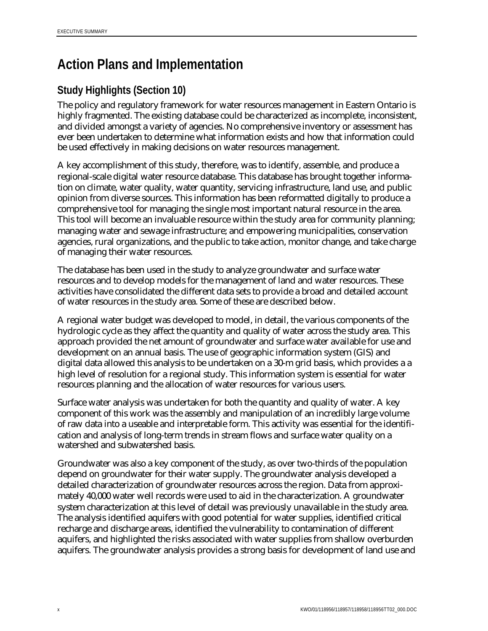# **Action Plans and Implementation**

## **Study Highlights (Section 10)**

The policy and regulatory framework for water resources management in Eastern Ontario is highly fragmented. The existing database could be characterized as incomplete, inconsistent, and divided amongst a variety of agencies. No comprehensive inventory or assessment has ever been undertaken to determine what information exists and how that information could be used effectively in making decisions on water resources management.

A key accomplishment of this study, therefore, was to identify, assemble, and produce a regional-scale digital water resource database. This database has brought together information on climate, water quality, water quantity, servicing infrastructure, land use, and public opinion from diverse sources. This information has been reformatted digitally to produce a comprehensive tool for managing the single most important natural resource in the area. This tool will become an invaluable resource within the study area for community planning; managing water and sewage infrastructure; and empowering municipalities, conservation agencies, rural organizations, and the public to take action, monitor change, and take charge of managing their water resources.

The database has been used in the study to analyze groundwater and surface water resources and to develop models for the management of land and water resources. These activities have consolidated the different data sets to provide a broad and detailed account of water resources in the study area. Some of these are described below.

A regional water budget was developed to model, in detail, the various components of the hydrologic cycle as they affect the quantity and quality of water across the study area. This approach provided the net amount of groundwater and surface water available for use and development on an annual basis. The use of geographic information system (GIS) and digital data allowed this analysis to be undertaken on a 30-m grid basis, which provides a a high level of resolution for a regional study. This information system is essential for water resources planning and the allocation of water resources for various users.

Surface water analysis was undertaken for both the quantity and quality of water. A key component of this work was the assembly and manipulation of an incredibly large volume of raw data into a useable and interpretable form. This activity was essential for the identification and analysis of long-term trends in stream flows and surface water quality on a watershed and subwatershed basis.

Groundwater was also a key component of the study, as over two-thirds of the population depend on groundwater for their water supply. The groundwater analysis developed a detailed characterization of groundwater resources across the region. Data from approximately 40,000 water well records were used to aid in the characterization. A groundwater system characterization at this level of detail was previously unavailable in the study area. The analysis identified aquifers with good potential for water supplies, identified critical recharge and discharge areas, identified the vulnerability to contamination of different aquifers, and highlighted the risks associated with water supplies from shallow overburden aquifers. The groundwater analysis provides a strong basis for development of land use and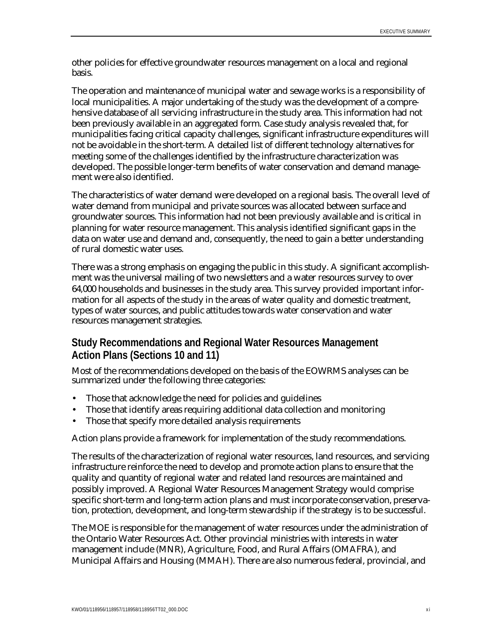other policies for effective groundwater resources management on a local and regional basis.

The operation and maintenance of municipal water and sewage works is a responsibility of local municipalities. A major undertaking of the study was the development of a comprehensive database of all servicing infrastructure in the study area. This information had not been previously available in an aggregated form. Case study analysis revealed that, for municipalities facing critical capacity challenges, significant infrastructure expenditures will not be avoidable in the short-term. A detailed list of different technology alternatives for meeting some of the challenges identified by the infrastructure characterization was developed. The possible longer-term benefits of water conservation and demand management were also identified.

The characteristics of water demand were developed on a regional basis. The overall level of water demand from municipal and private sources was allocated between surface and groundwater sources. This information had not been previously available and is critical in planning for water resource management. This analysis identified significant gaps in the data on water use and demand and, consequently, the need to gain a better understanding of rural domestic water uses.

There was a strong emphasis on engaging the public in this study. A significant accomplishment was the universal mailing of two newsletters and a water resources survey to over 64,000 households and businesses in the study area. This survey provided important information for all aspects of the study in the areas of water quality and domestic treatment, types of water sources, and public attitudes towards water conservation and water resources management strategies.

### **Study Recommendations and Regional Water Resources Management Action Plans (Sections 10 and 11)**

Most of the recommendations developed on the basis of the EOWRMS analyses can be summarized under the following three categories:

- Those that acknowledge the need for policies and guidelines
- Those that identify areas requiring additional data collection and monitoring
- Those that specify more detailed analysis requirements

Action plans provide a framework for implementation of the study recommendations.

The results of the characterization of regional water resources, land resources, and servicing infrastructure reinforce the need to develop and promote action plans to ensure that the quality and quantity of regional water and related land resources are maintained and possibly improved. A Regional Water Resources Management Strategy would comprise specific short-term and long-term action plans and must incorporate conservation, preservation, protection, development, and long-term stewardship if the strategy is to be successful.

The MOE is responsible for the management of water resources under the administration of the Ontario Water Resources Act. Other provincial ministries with interests in water management include (MNR), Agriculture, Food, and Rural Affairs (OMAFRA), and Municipal Affairs and Housing (MMAH). There are also numerous federal, provincial, and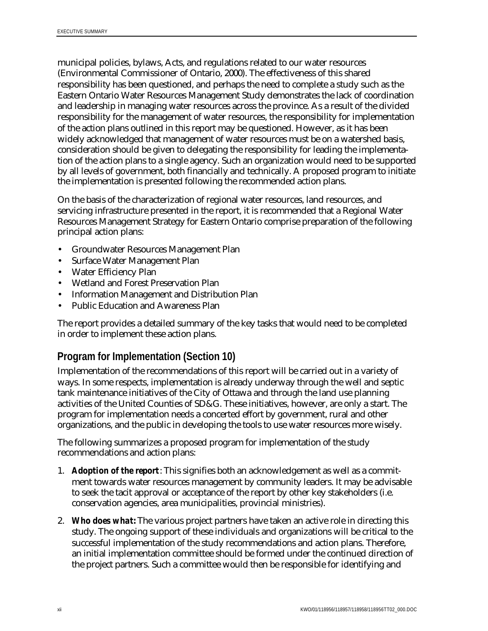municipal policies, bylaws, Acts, and regulations related to our water resources (Environmental Commissioner of Ontario, 2000). The effectiveness of this shared responsibility has been questioned, and perhaps the need to complete a study such as the Eastern Ontario Water Resources Management Study demonstrates the lack of coordination and leadership in managing water resources across the province. As a result of the divided responsibility for the management of water resources, the responsibility for implementation of the action plans outlined in this report may be questioned. However, as it has been widely acknowledged that management of water resources must be on a watershed basis, consideration should be given to delegating the responsibility for leading the implementation of the action plans to a single agency. Such an organization would need to be supported by all levels of government, both financially and technically. A proposed program to initiate the implementation is presented following the recommended action plans.

On the basis of the characterization of regional water resources, land resources, and servicing infrastructure presented in the report, it is recommended that a Regional Water Resources Management Strategy for Eastern Ontario comprise preparation of the following principal action plans:

- Groundwater Resources Management Plan
- Surface Water Management Plan
- Water Efficiency Plan
- Wetland and Forest Preservation Plan
- Information Management and Distribution Plan
- Public Education and Awareness Plan

The report provides a detailed summary of the key tasks that would need to be completed in order to implement these action plans.

### **Program for Implementation (Section 10)**

Implementation of the recommendations of this report will be carried out in a variety of ways. In some respects, implementation is already underway through the well and septic tank maintenance initiatives of the City of Ottawa and through the land use planning activities of the United Counties of SD&G. These initiatives, however, are only a start. The program for implementation needs a concerted effort by government, rural and other organizations, and the public in developing the tools to use water resources more wisely.

The following summarizes a proposed program for implementation of the study recommendations and action plans:

- 1. *Adoption of the report*: This signifies both an acknowledgement as well as a commitment towards water resources management by community leaders. It may be advisable to seek the tacit approval or acceptance of the report by other key stakeholders (i.e. conservation agencies, area municipalities, provincial ministries).
- 2. *Who does what:* The various project partners have taken an active role in directing this study. The ongoing support of these individuals and organizations will be critical to the successful implementation of the study recommendations and action plans. Therefore, an initial implementation committee should be formed under the continued direction of the project partners. Such a committee would then be responsible for identifying and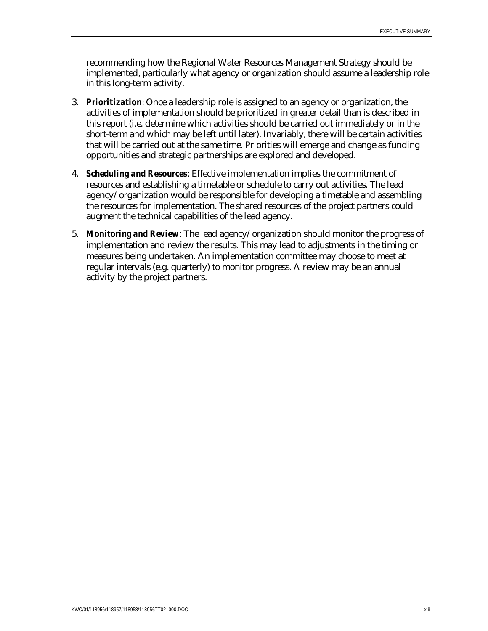recommending how the Regional Water Resources Management Strategy should be implemented, particularly what agency or organization should assume a leadership role in this long-term activity.

- 3. *Prioritization*: Once a leadership role is assigned to an agency or organization, the activities of implementation should be prioritized in greater detail than is described in this report (i.e. determine which activities should be carried out immediately or in the short-term and which may be left until later). Invariably, there will be certain activities that will be carried out at the same time. Priorities will emerge and change as funding opportunities and strategic partnerships are explored and developed.
- 4. *Scheduling and Resources*: Effective implementation implies the commitment of resources and establishing a timetable or schedule to carry out activities. The lead agency/organization would be responsible for developing a timetable and assembling the resources for implementation. The shared resources of the project partners could augment the technical capabilities of the lead agency.
- 5. *Monitoring and Review*: The lead agency/organization should monitor the progress of implementation and review the results. This may lead to adjustments in the timing or measures being undertaken. An implementation committee may choose to meet at regular intervals (e.g. quarterly) to monitor progress. A review may be an annual activity by the project partners.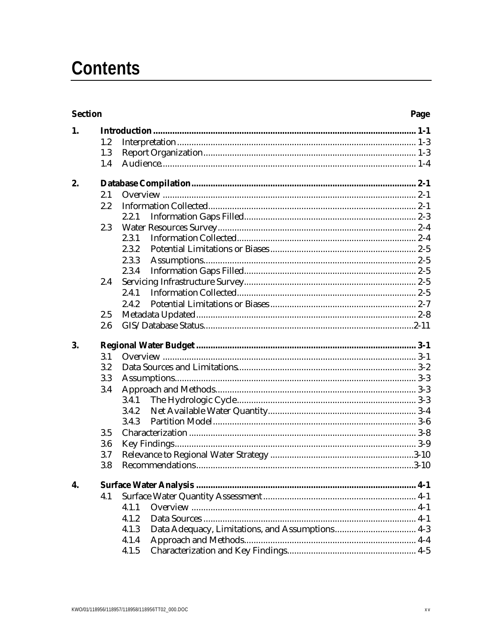# **Contents**

| <b>Section</b> |     | Page  |
|----------------|-----|-------|
| 1.             |     |       |
|                | 1.2 |       |
|                | 1.3 |       |
|                | 1.4 |       |
| 2.             |     |       |
|                | 2.1 |       |
|                | 2.2 |       |
|                |     | 2.2.1 |
|                | 2.3 |       |
|                |     | 2.3.1 |
|                |     | 2.3.2 |
|                |     | 2.3.3 |
|                |     | 2.3.4 |
|                | 2.4 |       |
|                |     | 2.4.1 |
|                |     | 2.4.2 |
|                | 2.5 |       |
|                | 2.6 |       |
| 3.             |     |       |
|                | 3.1 |       |
|                | 3.2 |       |
|                | 3.3 |       |
|                | 3.4 |       |
|                |     | 3.4.1 |
|                |     | 3.4.2 |
|                |     | 3.4.3 |
|                | 3.5 |       |
|                | 3.6 |       |
|                | 3.7 |       |
|                | 3.8 |       |
| 4.             |     |       |
|                | 4.1 |       |
|                |     | 4.1.1 |
|                |     | 4.1.2 |
|                |     | 4.1.3 |
|                |     | 4.1.4 |
|                |     | 4.1.5 |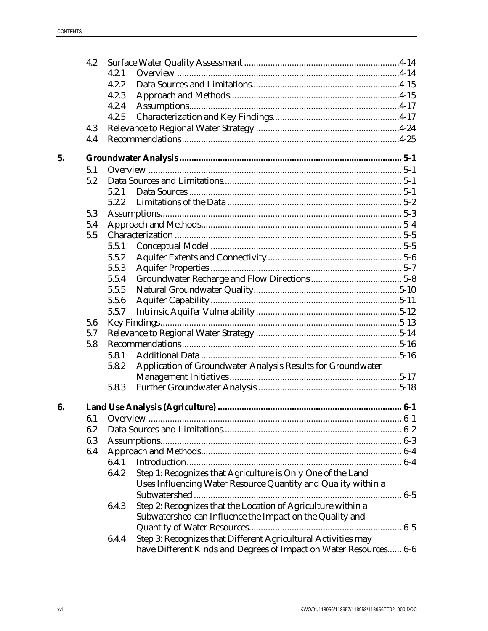|    | 4.2 |       |                                                                                                                                    |  |
|----|-----|-------|------------------------------------------------------------------------------------------------------------------------------------|--|
|    |     | 4.2.1 |                                                                                                                                    |  |
|    |     | 4.2.2 |                                                                                                                                    |  |
|    |     | 4.2.3 |                                                                                                                                    |  |
|    |     | 4.2.4 |                                                                                                                                    |  |
|    |     | 4.2.5 |                                                                                                                                    |  |
|    | 4.3 |       |                                                                                                                                    |  |
|    | 4.4 |       |                                                                                                                                    |  |
| 5. |     |       |                                                                                                                                    |  |
|    | 5.1 |       |                                                                                                                                    |  |
|    | 5.2 |       |                                                                                                                                    |  |
|    |     | 5.2.1 |                                                                                                                                    |  |
|    |     | 5.2.2 |                                                                                                                                    |  |
|    | 5.3 |       |                                                                                                                                    |  |
|    | 5.4 |       |                                                                                                                                    |  |
|    | 5.5 |       |                                                                                                                                    |  |
|    |     | 5.5.1 |                                                                                                                                    |  |
|    |     | 5.5.2 |                                                                                                                                    |  |
|    |     | 5.5.3 |                                                                                                                                    |  |
|    |     | 5.5.4 |                                                                                                                                    |  |
|    |     | 5.5.5 |                                                                                                                                    |  |
|    |     | 5.5.6 |                                                                                                                                    |  |
|    |     | 5.5.7 |                                                                                                                                    |  |
|    | 5.6 |       |                                                                                                                                    |  |
|    | 5.7 |       |                                                                                                                                    |  |
|    | 5.8 |       |                                                                                                                                    |  |
|    |     | 5.8.1 |                                                                                                                                    |  |
|    |     | 5.8.2 | Application of Groundwater Analysis Results for Groundwater                                                                        |  |
|    |     |       |                                                                                                                                    |  |
|    |     | 5.8.3 |                                                                                                                                    |  |
| 6. |     |       |                                                                                                                                    |  |
|    | 6.1 |       |                                                                                                                                    |  |
|    | 6.2 |       |                                                                                                                                    |  |
|    |     |       |                                                                                                                                    |  |
|    | 6.3 |       |                                                                                                                                    |  |
|    | 6.4 | 6.4.1 |                                                                                                                                    |  |
|    |     |       |                                                                                                                                    |  |
|    |     | 6.4.2 | Step 1: Recognizes that Agriculture is Only One of the Land<br>Uses Influencing Water Resource Quantity and Quality within a       |  |
|    |     |       |                                                                                                                                    |  |
|    |     | 6.4.3 | Step 2: Recognizes that the Location of Agriculture within a<br>Subwatershed can Influence the Impact on the Quality and           |  |
|    |     |       |                                                                                                                                    |  |
|    |     | 6.4.4 | Step 3: Recognizes that Different Agricultural Activities may<br>have Different Kinds and Degrees of Impact on Water Resources 6-6 |  |
|    |     |       |                                                                                                                                    |  |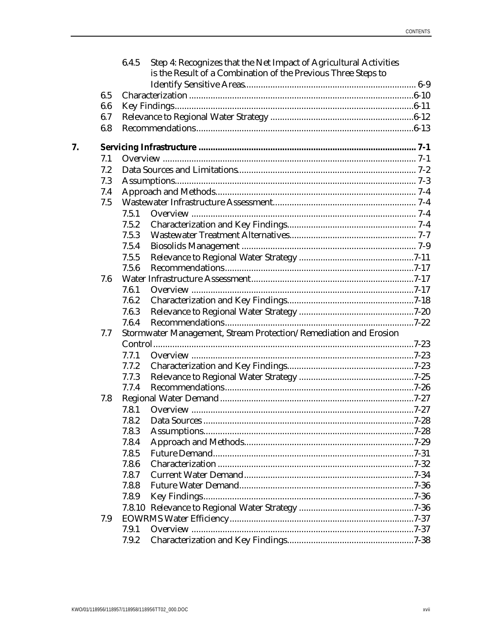|    |     | 6.4.5 | Step 4: Recognizes that the Net Impact of Agricultural Activities<br>is the Result of a Combination of the Previous Three Steps to |  |
|----|-----|-------|------------------------------------------------------------------------------------------------------------------------------------|--|
|    |     |       |                                                                                                                                    |  |
|    | 6.5 |       |                                                                                                                                    |  |
|    | 6.6 |       |                                                                                                                                    |  |
|    | 6.7 |       |                                                                                                                                    |  |
|    | 6.8 |       |                                                                                                                                    |  |
| 7. |     |       |                                                                                                                                    |  |
|    | 7.1 |       |                                                                                                                                    |  |
|    | 7.2 |       |                                                                                                                                    |  |
|    | 7.3 |       |                                                                                                                                    |  |
|    | 7.4 |       |                                                                                                                                    |  |
|    | 7.5 |       |                                                                                                                                    |  |
|    |     | 7.5.1 |                                                                                                                                    |  |
|    |     | 7.5.2 |                                                                                                                                    |  |
|    |     | 7.5.3 |                                                                                                                                    |  |
|    |     | 7.5.4 |                                                                                                                                    |  |
|    |     | 7.5.5 |                                                                                                                                    |  |
|    |     | 7.5.6 |                                                                                                                                    |  |
|    | 7.6 |       |                                                                                                                                    |  |
|    |     | 7.6.1 |                                                                                                                                    |  |
|    |     | 7.6.2 |                                                                                                                                    |  |
|    |     | 7.6.3 |                                                                                                                                    |  |
|    |     | 7.6.4 |                                                                                                                                    |  |
|    | 7.7 |       | Stormwater Management, Stream Protection/Remediation and Erosion                                                                   |  |
|    |     |       |                                                                                                                                    |  |
|    |     | 7.7.1 |                                                                                                                                    |  |
|    |     | 7.7.2 |                                                                                                                                    |  |
|    |     | 7.7.3 |                                                                                                                                    |  |
|    |     | 7.7.4 |                                                                                                                                    |  |
|    | 7.8 |       |                                                                                                                                    |  |
|    |     | 7.8.1 |                                                                                                                                    |  |
|    |     | 7.8.2 |                                                                                                                                    |  |
|    |     | 7.8.3 |                                                                                                                                    |  |
|    |     | 7.8.4 |                                                                                                                                    |  |
|    |     | 7.8.5 |                                                                                                                                    |  |
|    |     | 7.8.6 |                                                                                                                                    |  |
|    |     | 7.8.7 |                                                                                                                                    |  |
|    |     | 7.8.8 |                                                                                                                                    |  |
|    |     | 7.8.9 |                                                                                                                                    |  |
|    |     |       |                                                                                                                                    |  |
|    | 7.9 |       |                                                                                                                                    |  |
|    |     | 7.9.1 |                                                                                                                                    |  |
|    |     | 7.9.2 |                                                                                                                                    |  |
|    |     |       |                                                                                                                                    |  |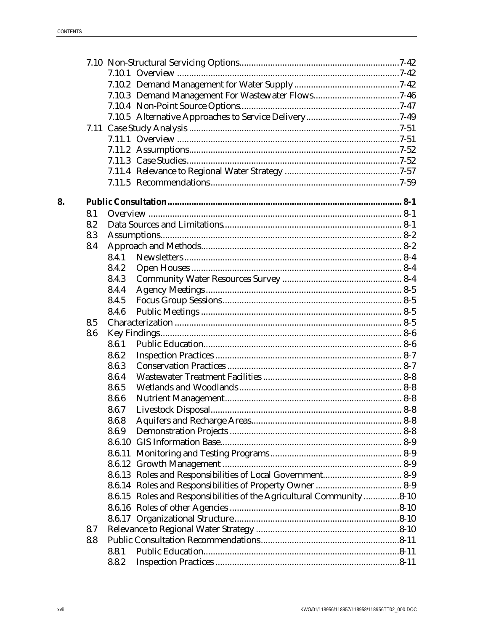| 8. |     |       |                                                                     |  |
|----|-----|-------|---------------------------------------------------------------------|--|
|    | 8.1 |       |                                                                     |  |
|    | 8.2 |       |                                                                     |  |
|    | 8.3 |       |                                                                     |  |
|    | 8.4 |       |                                                                     |  |
|    |     | 8.4.1 |                                                                     |  |
|    |     | 8.4.2 |                                                                     |  |
|    |     | 8.4.3 |                                                                     |  |
|    |     | 8.4.4 |                                                                     |  |
|    |     | 8.4.5 |                                                                     |  |
|    |     | 8.4.6 |                                                                     |  |
|    | 8.5 |       |                                                                     |  |
|    | 8.6 |       |                                                                     |  |
|    |     | 8.6.1 |                                                                     |  |
|    |     | 8.6.2 |                                                                     |  |
|    |     | 8.6.3 |                                                                     |  |
|    |     | 8.6.4 |                                                                     |  |
|    |     | 8.6.5 |                                                                     |  |
|    |     | 8.6.6 |                                                                     |  |
|    |     | 8.6.7 |                                                                     |  |
|    |     | 8.6.8 |                                                                     |  |
|    |     | 8.6.9 |                                                                     |  |
|    |     |       |                                                                     |  |
|    |     |       |                                                                     |  |
|    |     |       |                                                                     |  |
|    |     |       |                                                                     |  |
|    |     |       |                                                                     |  |
|    |     |       | 8.6.15 Roles and Responsibilities of the Agricultural Community8-10 |  |
|    |     |       |                                                                     |  |
|    |     |       |                                                                     |  |
|    | 8.7 |       |                                                                     |  |
|    | 8.8 |       |                                                                     |  |
|    |     | 8.8.1 |                                                                     |  |
|    |     | 8.8.2 |                                                                     |  |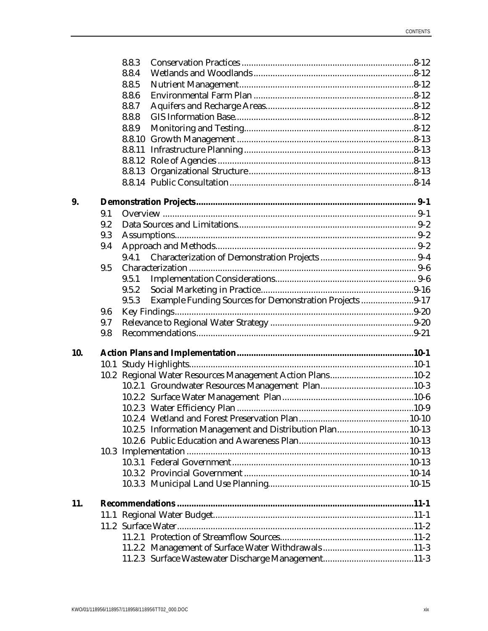|     |     | 8.8.3  |                                                           |  |
|-----|-----|--------|-----------------------------------------------------------|--|
|     |     | 8.8.4  |                                                           |  |
|     |     | 8.8.5  |                                                           |  |
|     |     | 8.8.6  |                                                           |  |
|     |     | 8.8.7  |                                                           |  |
|     |     | 8.8.8  |                                                           |  |
|     |     | 8.8.9  |                                                           |  |
|     |     | 8.8.10 |                                                           |  |
|     |     |        |                                                           |  |
|     |     |        |                                                           |  |
|     |     |        |                                                           |  |
|     |     |        |                                                           |  |
| 9.  |     |        |                                                           |  |
|     | 9.1 |        |                                                           |  |
|     | 9.2 |        |                                                           |  |
|     | 9.3 |        |                                                           |  |
|     | 9.4 |        |                                                           |  |
|     |     |        |                                                           |  |
|     | 9.5 |        |                                                           |  |
|     |     | 9.5.1  |                                                           |  |
|     |     | 9.5.2  |                                                           |  |
|     |     | 9.5.3  | Example Funding Sources for Demonstration Projects 9-17   |  |
|     | 9.6 |        |                                                           |  |
|     | 9.7 |        |                                                           |  |
|     | 9.8 |        |                                                           |  |
| 10. |     |        |                                                           |  |
|     |     |        |                                                           |  |
|     |     |        | 10.2 Regional Water Resources Management Action Plans10-2 |  |
|     |     |        |                                                           |  |
|     |     |        |                                                           |  |
|     |     |        |                                                           |  |
|     |     |        |                                                           |  |
|     |     |        | 10.2.5 Information Management and Distribution Plan 10-13 |  |
|     |     |        |                                                           |  |
|     |     |        |                                                           |  |
|     |     |        |                                                           |  |
|     |     |        |                                                           |  |
|     |     |        |                                                           |  |
| 11. |     |        |                                                           |  |
|     |     |        |                                                           |  |
|     |     |        |                                                           |  |
|     |     |        |                                                           |  |
|     |     |        |                                                           |  |
|     |     |        |                                                           |  |
|     |     |        |                                                           |  |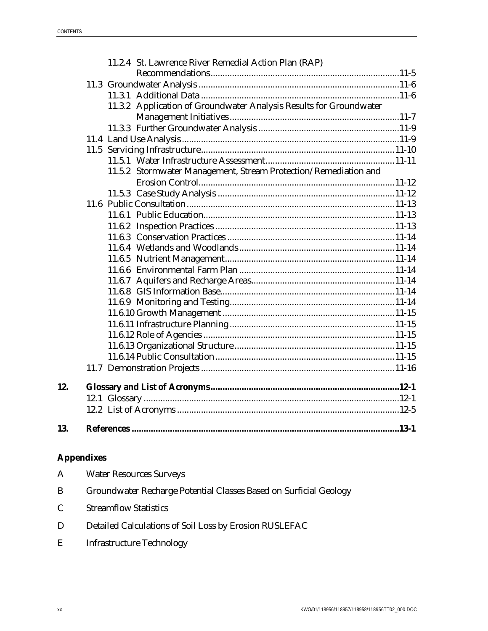|     |  | 11.2.4 St. Lawrence River Remedial Action Plan (RAP)               |  |
|-----|--|--------------------------------------------------------------------|--|
|     |  |                                                                    |  |
|     |  |                                                                    |  |
|     |  |                                                                    |  |
|     |  | 11.3.2 Application of Groundwater Analysis Results for Groundwater |  |
|     |  |                                                                    |  |
|     |  |                                                                    |  |
|     |  |                                                                    |  |
|     |  |                                                                    |  |
|     |  |                                                                    |  |
|     |  | 11.5.2 Stormwater Management, Stream Protection/Remediation and    |  |
|     |  |                                                                    |  |
|     |  |                                                                    |  |
|     |  |                                                                    |  |
|     |  |                                                                    |  |
|     |  |                                                                    |  |
|     |  |                                                                    |  |
|     |  |                                                                    |  |
|     |  |                                                                    |  |
|     |  |                                                                    |  |
|     |  |                                                                    |  |
|     |  |                                                                    |  |
|     |  |                                                                    |  |
|     |  |                                                                    |  |
|     |  |                                                                    |  |
|     |  |                                                                    |  |
|     |  |                                                                    |  |
|     |  |                                                                    |  |
|     |  |                                                                    |  |
| 12. |  |                                                                    |  |
|     |  |                                                                    |  |
|     |  |                                                                    |  |
| 13. |  |                                                                    |  |

## **Appendixes**

| $\mathbf A$ | <b>Water Resources Surveys</b>                                    |
|-------------|-------------------------------------------------------------------|
| B           | Groundwater Recharge Potential Classes Based on Surficial Geology |
| C.          | <b>Streamflow Statistics</b>                                      |
| D           | Detailed Calculations of Soil Loss by Erosion RUSLEFAC            |
| E           | Infrastructure Technology                                         |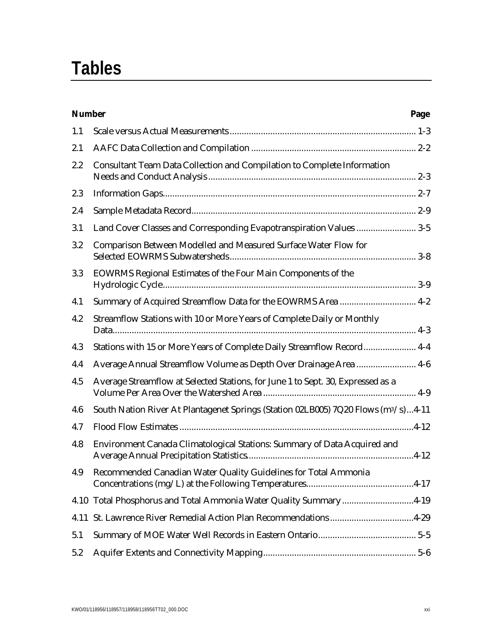# **Tables**

| <b>Number</b> |                                                                                                | Page |
|---------------|------------------------------------------------------------------------------------------------|------|
| 1.1           |                                                                                                |      |
| 2.1           |                                                                                                |      |
| 2.2           | Consultant Team Data Collection and Compilation to Complete Information                        |      |
| 2.3           |                                                                                                |      |
| 2.4           |                                                                                                |      |
| 3.1           | Land Cover Classes and Corresponding Evapotranspiration Values  3-5                            |      |
| 3.2           | Comparison Between Modelled and Measured Surface Water Flow for                                |      |
| 3.3           | EOWRMS Regional Estimates of the Four Main Components of the                                   |      |
| 4.1           | Summary of Acquired Streamflow Data for the EOWRMS Area  4-2                                   |      |
| 4.2           | Streamflow Stations with 10 or More Years of Complete Daily or Monthly                         |      |
| 4.3           | Stations with 15 or More Years of Complete Daily Streamflow Record 4-4                         |      |
| 4.4           | Average Annual Streamflow Volume as Depth Over Drainage Area  4-6                              |      |
| 4.5           | Average Streamflow at Selected Stations, for June 1 to Sept. 30, Expressed as a                |      |
| 4.6           | South Nation River At Plantagenet Springs (Station 02LB005) 7Q20 Flows (m <sup>3</sup> /s)4-11 |      |
| 4.7           |                                                                                                |      |
| 4.8           | Environment Canada Climatological Stations: Summary of Data Acquired and                       |      |
| 4.9           | Recommended Canadian Water Quality Guidelines for Total Ammonia                                |      |
| 4.10          | Total Phosphorus and Total Ammonia Water Quality Summary4-19                                   |      |
| 4.11          | St. Lawrence River Remedial Action Plan Recommendations4-29                                    |      |
| 5.1           |                                                                                                |      |
| 5.2           |                                                                                                |      |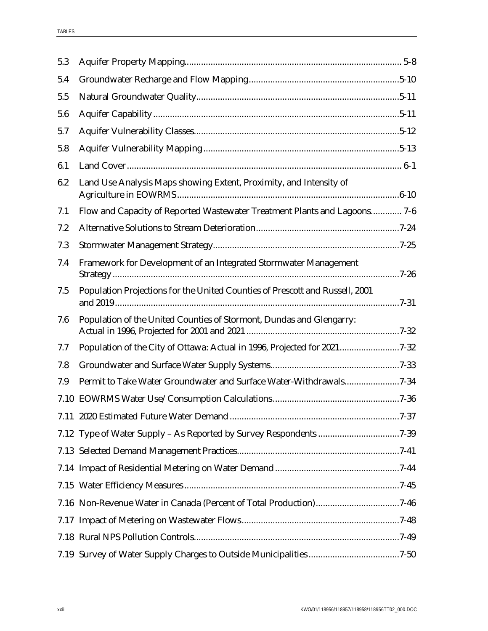| 5.3 |                                                                              |  |
|-----|------------------------------------------------------------------------------|--|
| 5.4 |                                                                              |  |
| 5.5 |                                                                              |  |
| 5.6 |                                                                              |  |
| 5.7 |                                                                              |  |
| 5.8 |                                                                              |  |
| 6.1 |                                                                              |  |
| 6.2 | Land Use Analysis Maps showing Extent, Proximity, and Intensity of           |  |
| 7.1 | Flow and Capacity of Reported Wastewater Treatment Plants and Lagoons 7-6    |  |
| 7.2 |                                                                              |  |
| 7.3 |                                                                              |  |
| 7.4 | Framework for Development of an Integrated Stormwater Management             |  |
| 7.5 | Population Projections for the United Counties of Prescott and Russell, 2001 |  |
| 7.6 | Population of the United Counties of Stormont, Dundas and Glengarry:         |  |
| 7.7 | Population of the City of Ottawa: Actual in 1996, Projected for 20217-32     |  |
| 7.8 |                                                                              |  |
| 7.9 | Permit to Take Water Groundwater and Surface Water-Withdrawals7-34           |  |
|     |                                                                              |  |
|     |                                                                              |  |
|     | 7.12 Type of Water Supply - As Reported by Survey Respondents 7-39           |  |
|     |                                                                              |  |
|     |                                                                              |  |
|     |                                                                              |  |
|     |                                                                              |  |
|     |                                                                              |  |
|     |                                                                              |  |
|     |                                                                              |  |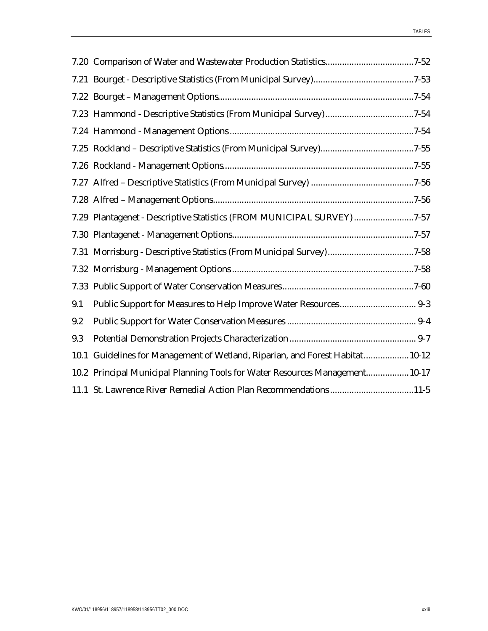|     | 7.29 Plantagenet - Descriptive Statistics (FROM MUNICIPAL SURVEY) 7-57        |
|-----|-------------------------------------------------------------------------------|
|     |                                                                               |
|     | 7.31 Morrisburg - Descriptive Statistics (From Municipal Survey)7-58          |
|     |                                                                               |
|     |                                                                               |
| 9.1 |                                                                               |
| 9.2 |                                                                               |
| 9.3 |                                                                               |
|     | 10.1 Guidelines for Management of Wetland, Riparian, and Forest Habitat 10-12 |
|     | 10.2 Principal Municipal Planning Tools for Water Resources Management 10-17  |
|     | 11.1 St. Lawrence River Remedial Action Plan Recommendations11-5              |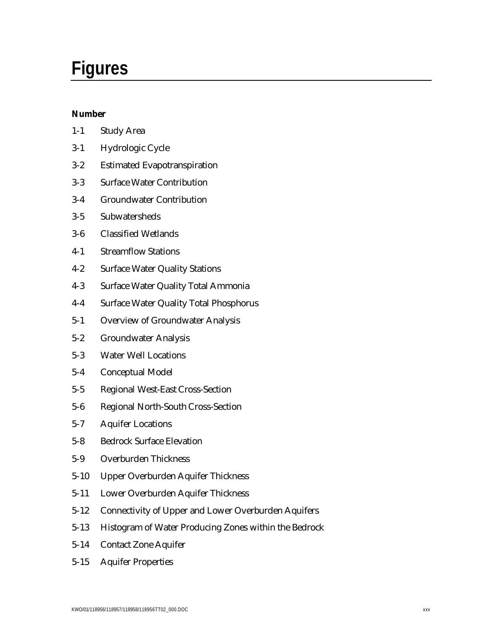# **Figures**

#### **Number**

| $1-1$    | <b>Study Area</b>                                          |
|----------|------------------------------------------------------------|
| $3-1$    | Hydrologic Cycle                                           |
| $3 - 2$  | <b>Estimated Evapotranspiration</b>                        |
| $3 - 3$  | <b>Surface Water Contribution</b>                          |
| $3-4$    | <b>Groundwater Contribution</b>                            |
| $3-5$    | Subwatersheds                                              |
| $3-6$    | <b>Classified Wetlands</b>                                 |
| $4-1$    | <b>Streamflow Stations</b>                                 |
| $4 - 2$  | <b>Surface Water Quality Stations</b>                      |
| $4 - 3$  | <b>Surface Water Quality Total Ammonia</b>                 |
| $4-4$    | <b>Surface Water Quality Total Phosphorus</b>              |
| $5 - 1$  | <b>Overview of Groundwater Analysis</b>                    |
| $5 - 2$  | <b>Groundwater Analysis</b>                                |
| $5 - 3$  | <b>Water Well Locations</b>                                |
| $5 - 4$  | <b>Conceptual Model</b>                                    |
| $5 - 5$  | <b>Regional West-East Cross-Section</b>                    |
| $5-6$    | <b>Regional North-South Cross-Section</b>                  |
| $5 - 7$  | <b>Aquifer Locations</b>                                   |
| $5 - 8$  | <b>Bedrock Surface Elevation</b>                           |
| $5-9$    | <b>Overburden Thickness</b>                                |
| $5 - 10$ | Upper Overburden Aquifer Thickness                         |
| $5 - 11$ | Lower Overburden Aquifer Thickness                         |
| $5 - 12$ | <b>Connectivity of Upper and Lower Overburden Aquifers</b> |
| $5 - 13$ | Histogram of Water Producing Zones within the Bedrock      |
| $5 - 14$ | <b>Contact Zone Aquifer</b>                                |

5-15 Aquifer Properties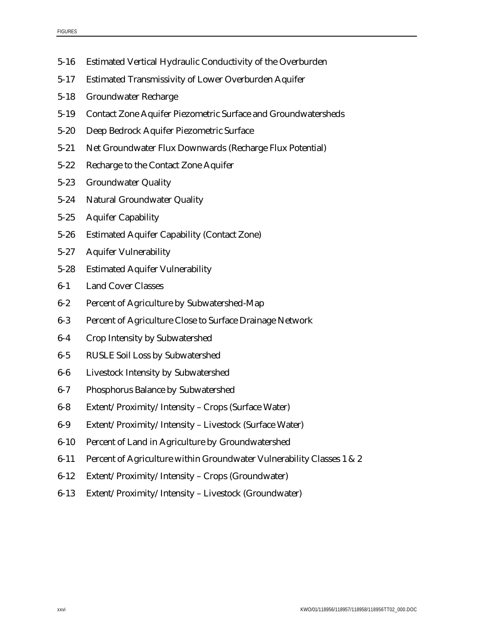- 5-16 Estimated Vertical Hydraulic Conductivity of the Overburden
- 5-17 Estimated Transmissivity of Lower Overburden Aquifer
- 5-18 Groundwater Recharge
- 5-19 Contact Zone Aquifer Piezometric Surface and Groundwatersheds
- 5-20 Deep Bedrock Aquifer Piezometric Surface
- 5-21 Net Groundwater Flux Downwards (Recharge Flux Potential)
- 5-22 Recharge to the Contact Zone Aquifer
- 5-23 Groundwater Quality
- 5-24 Natural Groundwater Quality
- 5-25 Aquifer Capability
- 5-26 Estimated Aquifer Capability (Contact Zone)
- 5-27 Aquifer Vulnerability
- 5-28 Estimated Aquifer Vulnerability
- 6-1 Land Cover Classes
- 6-2 Percent of Agriculture by Subwatershed-Map
- 6-3 Percent of Agriculture Close to Surface Drainage Network
- 6-4 Crop Intensity by Subwatershed
- 6-5 RUSLE Soil Loss by Subwatershed
- 6-6 Livestock Intensity by Subwatershed
- 6-7 Phosphorus Balance by Subwatershed
- 6-8 Extent/Proximity/Intensity Crops (Surface Water)
- 6-9 Extent/Proximity/Intensity Livestock (Surface Water)
- 6-10 Percent of Land in Agriculture by Groundwatershed
- 6-11 Percent of Agriculture within Groundwater Vulnerability Classes 1 & 2
- 6-12 Extent/Proximity/Intensity Crops (Groundwater)
- 6-13 Extent/Proximity/Intensity Livestock (Groundwater)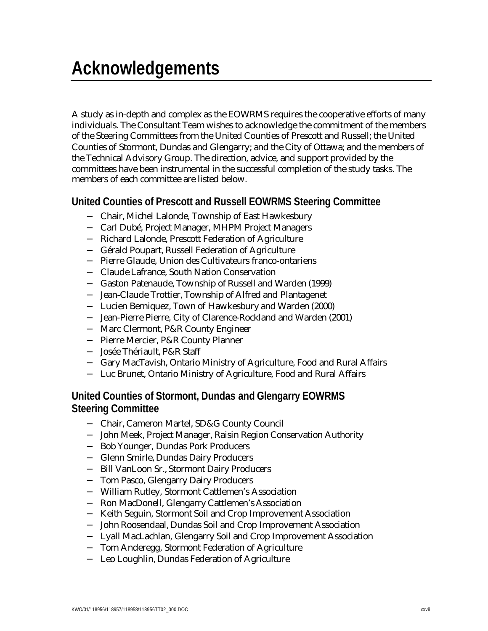A study as in-depth and complex as the EOWRMS requires the cooperative efforts of many individuals. The Consultant Team wishes to acknowledge the commitment of the members of the Steering Committees from the United Counties of Prescott and Russell; the United Counties of Stormont, Dundas and Glengarry; and the City of Ottawa; and the members of the Technical Advisory Group. The direction, advice, and support provided by the committees have been instrumental in the successful completion of the study tasks. The members of each committee are listed below.

## **United Counties of Prescott and Russell EOWRMS Steering Committee**

- − Chair, Michel Lalonde, Township of East Hawkesbury
- − Carl Dubé, Project Manager, MHPM Project Managers
- − Richard Lalonde, Prescott Federation of Agriculture
- − Gérald Poupart, Russell Federation of Agriculture
- − Pierre Glaude, Union des Cultivateurs franco-ontariens
- − Claude Lafrance, South Nation Conservation
- − Gaston Patenaude, Township of Russell and Warden (1999)
- − Jean-Claude Trottier, Township of Alfred and Plantagenet
- − Lucien Berniquez, Town of Hawkesbury and Warden (2000)
- − Jean-Pierre Pierre, City of Clarence-Rockland and Warden (2001)
- − Marc Clermont, P&R County Engineer
- − Pierre Mercier, P&R County Planner
- − Josée Thériault, P&R Staff
- − Gary MacTavish, Ontario Ministry of Agriculture, Food and Rural Affairs
- − Luc Brunet, Ontario Ministry of Agriculture, Food and Rural Affairs

### **United Counties of Stormont, Dundas and Glengarry EOWRMS Steering Committee**

- − Chair, Cameron Martel, SD&G County Council
- − John Meek, Project Manager, Raisin Region Conservation Authority
- − Bob Younger, Dundas Pork Producers
- − Glenn Smirle, Dundas Dairy Producers
- − Bill VanLoon Sr., Stormont Dairy Producers
- − Tom Pasco, Glengarry Dairy Producers
- − William Rutley, Stormont Cattlemen's Association
- − Ron MacDonell, Glengarry Cattlemen's Association
- − Keith Seguin, Stormont Soil and Crop Improvement Association
- − John Roosendaal, Dundas Soil and Crop Improvement Association
- − Lyall MacLachlan, Glengarry Soil and Crop Improvement Association
- − Tom Anderegg, Stormont Federation of Agriculture
- − Leo Loughlin, Dundas Federation of Agriculture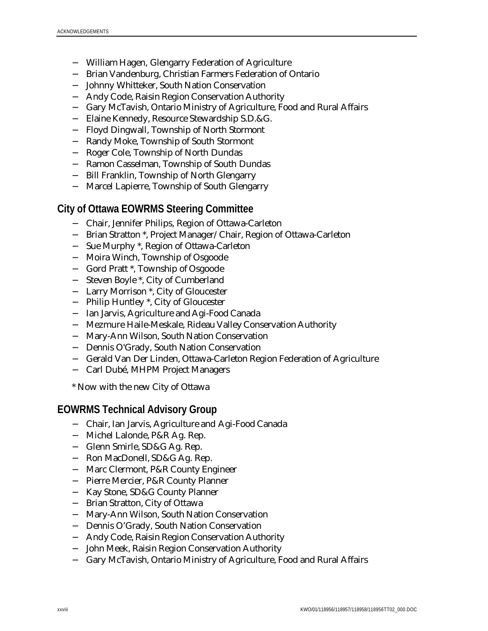- − William Hagen, Glengarry Federation of Agriculture
- − Brian Vandenburg, Christian Farmers Federation of Ontario
- − Johnny Whitteker, South Nation Conservation
- − Andy Code, Raisin Region Conservation Authority
- − Gary McTavish, Ontario Ministry of Agriculture, Food and Rural Affairs
- − Elaine Kennedy, Resource Stewardship S.D.&G.
- − Floyd Dingwall, Township of North Stormont
- − Randy Moke, Township of South Stormont
- − Roger Cole, Township of North Dundas
- − Ramon Casselman, Township of South Dundas
- − Bill Franklin, Township of North Glengarry
- − Marcel Lapierre, Township of South Glengarry

#### **City of Ottawa EOWRMS Steering Committee**

- − Chair, Jennifer Philips, Region of Ottawa-Carleton
- − Brian Stratton \*, Project Manager/Chair, Region of Ottawa-Carleton
- − Sue Murphy \*, Region of Ottawa-Carleton
- − Moira Winch, Township of Osgoode
- − Gord Pratt \*, Township of Osgoode
- − Steven Boyle \*, City of Cumberland
- − Larry Morrison \*, City of Gloucester
- − Philip Huntley \*, City of Gloucester
- − Ian Jarvis, Agriculture and Agi-Food Canada
- − Mezmure Haile-Meskale, Rideau Valley Conservation Authority
- − Mary-Ann Wilson, South Nation Conservation
- − Dennis O'Grady, South Nation Conservation
- − Gerald Van Der Linden, Ottawa-Carleton Region Federation of Agriculture
- − Carl Dubé, MHPM Project Managers
- \* Now with the new City of Ottawa

#### **EOWRMS Technical Advisory Group**

- − Chair, Ian Jarvis, Agriculture and Agi-Food Canada
- − Michel Lalonde, P&R Ag. Rep.
- − Glenn Smirle, SD&G Ag. Rep.
- − Ron MacDonell, SD&G Ag. Rep.
- − Marc Clermont, P&R County Engineer
- − Pierre Mercier, P&R County Planner
- − Kay Stone, SD&G County Planner
- − Brian Stratton, City of Ottawa
- − Mary-Ann Wilson, South Nation Conservation
- − Dennis O'Grady, South Nation Conservation
- − Andy Code, Raisin Region Conservation Authority
- − John Meek, Raisin Region Conservation Authority
- − Gary McTavish, Ontario Ministry of Agriculture, Food and Rural Affairs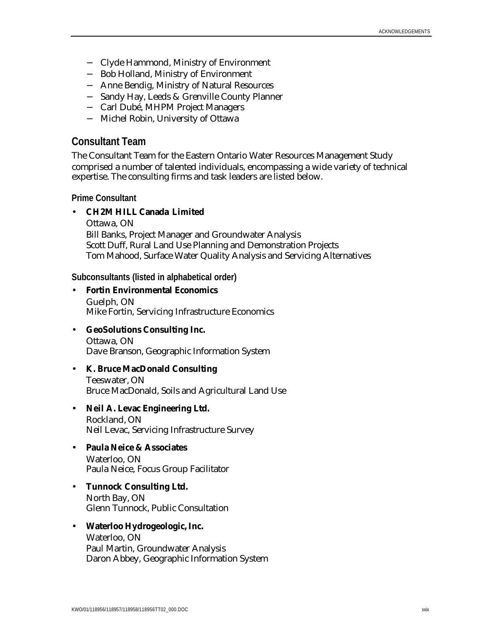- − Clyde Hammond, Ministry of Environment
- − Bob Holland, Ministry of Environment
- − Anne Bendig, Ministry of Natural Resources
- − Sandy Hay, Leeds & Grenville County Planner
- − Carl Dubé, MHPM Project Managers
- − Michel Robin, University of Ottawa

#### **Consultant Team**

The Consultant Team for the Eastern Ontario Water Resources Management Study comprised a number of talented individuals, encompassing a wide variety of technical expertise. The consulting firms and task leaders are listed below.

**Prime Consultant**

#### • **CH2M HILL Canada Limited**

Ottawa, ON Bill Banks, Project Manager and Groundwater Analysis Scott Duff, Rural Land Use Planning and Demonstration Projects Tom Mahood, Surface Water Quality Analysis and Servicing Alternatives

**Subconsultants (listed in alphabetical order)**

- **Fortin Environmental Economics** Guelph, ON Mike Fortin, Servicing Infrastructure Economics
- **GeoSolutions Consulting Inc.** Ottawa, ON

Dave Branson, Geographic Information System

#### • **K. Bruce MacDonald Consulting**

Teeswater, ON Bruce MacDonald, Soils and Agricultural Land Use

#### • **Neil A. Levac Engineering Ltd.** Rockland, ON

Neil Levac, Servicing Infrastructure Survey

#### • **Paula Neice & Associates**

Waterloo, ON Paula Neice, Focus Group Facilitator

## • **Tunnock Consulting Ltd.**

North Bay, ON Glenn Tunnock, Public Consultation

#### • **Waterloo Hydrogeologic, Inc.**

Waterloo, ON Paul Martin, Groundwater Analysis Daron Abbey, Geographic Information System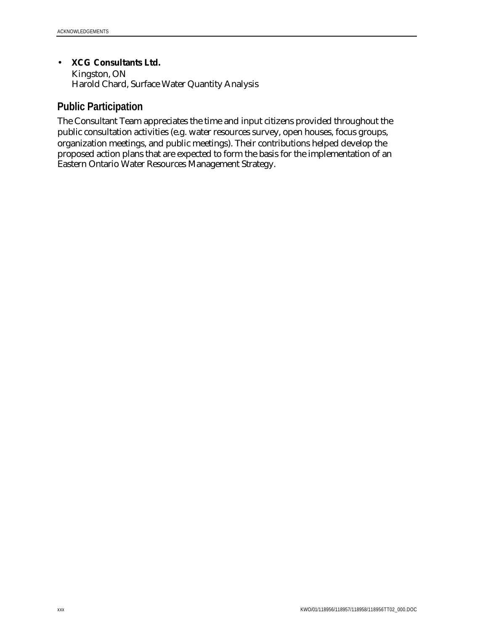• **XCG Consultants Ltd.**

Kingston, ON Harold Chard, Surface Water Quantity Analysis

### **Public Participation**

The Consultant Team appreciates the time and input citizens provided throughout the public consultation activities (e.g. water resources survey, open houses, focus groups, organization meetings, and public meetings). Their contributions helped develop the proposed action plans that are expected to form the basis for the implementation of an Eastern Ontario Water Resources Management Strategy.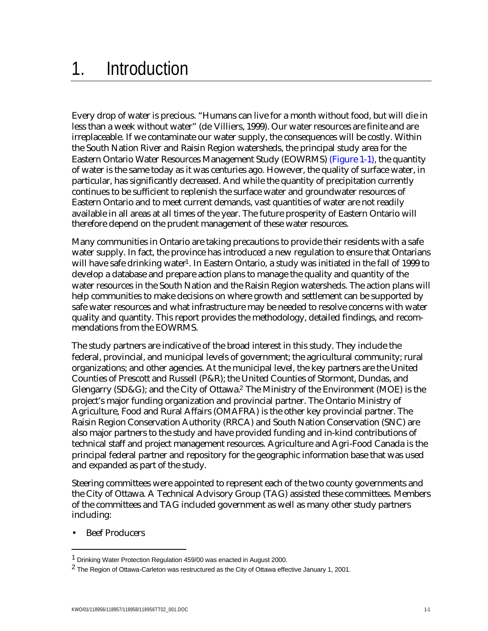# 1. Introduction

Every drop of water is precious. "Humans can live for a month without food, but will die in less than a week without water" (de Villiers, 1999). Our water resources are finite and are irreplaceable. If we contaminate our water supply, the consequences will be costly. Within the South Nation River and Raisin Region watersheds, the principal study area for the Eastern Ontario Water Resources Management Study (EOWRMS) (Figure 1-1), the quantity of water is the same today as it was centuries ago. However, the quality of surface water, in particular, has significantly decreased. And while the quantity of precipitation currently continues to be sufficient to replenish the surface water and groundwater resources of Eastern Ontario and to meet current demands, vast quantities of water are not readily available in all areas at all times of the year. The future prosperity of Eastern Ontario will therefore depend on the prudent management of these water resources.

Many communities in Ontario are taking precautions to provide their residents with a safe water supply. In fact, the province has introduced a new regulation to ensure that Ontarians will have safe drinking water<sup>1</sup>. In Eastern Ontario, a study was initiated in the fall of 1999 to develop a database and prepare action plans to manage the quality and quantity of the water resources in the South Nation and the Raisin Region watersheds. The action plans will help communities to make decisions on where growth and settlement can be supported by safe water resources and what infrastructure may be needed to resolve concerns with water quality and quantity. This report provides the methodology, detailed findings, and recommendations from the EOWRMS.

The study partners are indicative of the broad interest in this study. They include the federal, provincial, and municipal levels of government; the agricultural community; rural organizations; and other agencies. At the municipal level, the key partners are the United Counties of Prescott and Russell (P&R); the United Counties of Stormont, Dundas, and Glengarry (SD&G); and the City of Ottawa.2 The Ministry of the Environment (MOE) is the project's major funding organization and provincial partner. The Ontario Ministry of Agriculture, Food and Rural Affairs (OMAFRA) is the other key provincial partner. The Raisin Region Conservation Authority (RRCA) and South Nation Conservation (SNC) are also major partners to the study and have provided funding and in-kind contributions of technical staff and project management resources. Agriculture and Agri-Food Canada is the principal federal partner and repository for the geographic information base that was used and expanded as part of the study.

Steering committees were appointed to represent each of the two county governments and the City of Ottawa. A Technical Advisory Group (TAG) assisted these committees. Members of the committees and TAG included government as well as many other study partners including:

**Beef Producers** 

 $\overline{a}$ 

<sup>1</sup> Drinking Water Protection Regulation 459/00 was enacted in August 2000.

<sup>2</sup> The Region of Ottawa-Carleton was restructured as the City of Ottawa effective January 1, 2001.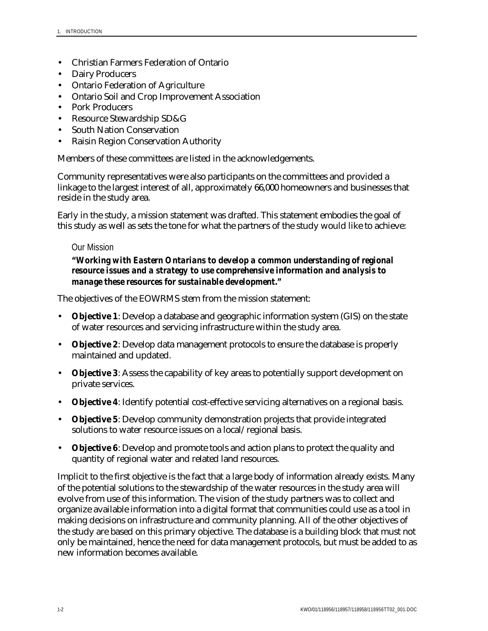- Christian Farmers Federation of Ontario
- Dairy Producers
- Ontario Federation of Agriculture
- Ontario Soil and Crop Improvement Association
- Pork Producers
- Resource Stewardship SD&G
- South Nation Conservation
- Raisin Region Conservation Authority

Members of these committees are listed in the acknowledgements.

Community representatives were also participants on the committees and provided a linkage to the largest interest of all, approximately 66,000 homeowners and businesses that reside in the study area.

Early in the study, a mission statement was drafted. This statement embodies the goal of this study as well as sets the tone for what the partners of the study would like to achieve:

#### Our Mission

#### *"Working with Eastern Ontarians to develop a common understanding of regional resource issues and a strategy to use comprehensive information and analysis to manage these resources for sustainable development."*

The objectives of the EOWRMS stem from the mission statement:

- **Objective 1**: Develop a database and geographic information system (GIS) on the state of water resources and servicing infrastructure within the study area.
- **Objective 2**: Develop data management protocols to ensure the database is properly maintained and updated.
- **Objective 3**: Assess the capability of key areas to potentially support development on private services.
- **Objective 4**: Identify potential cost-effective servicing alternatives on a regional basis.
- **Objective 5**: Develop community demonstration projects that provide integrated solutions to water resource issues on a local/regional basis.
- **Objective 6**: Develop and promote tools and action plans to protect the quality and quantity of regional water and related land resources.

Implicit to the first objective is the fact that a large body of information already exists. Many of the potential solutions to the stewardship of the water resources in the study area will evolve from use of this information. The vision of the study partners was to collect and organize available information into a digital format that communities could use as a tool in making decisions on infrastructure and community planning. All of the other objectives of the study are based on this primary objective. The database is a building block that must not only be maintained, hence the need for data management protocols, but must be added to as new information becomes available.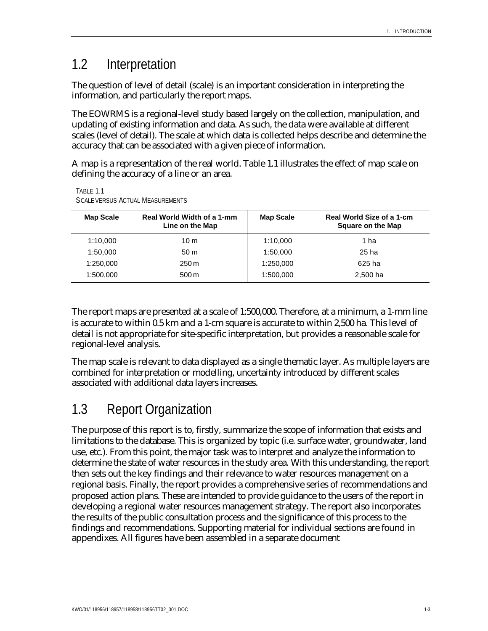## 1.2 Interpretation

The question of level of detail (scale) is an important consideration in interpreting the information, and particularly the report maps.

The EOWRMS is a regional-level study based largely on the collection, manipulation, and updating of existing information and data. As such, the data were available at different scales (level of detail). The scale at which data is collected helps describe and determine the accuracy that can be associated with a given piece of information.

A map is a representation of the real world. Table 1.1 illustrates the effect of map scale on defining the accuracy of a line or an area.

| <b>Map Scale</b> | Real World Width of a 1-mm<br>Line on the Map | <b>Map Scale</b> | Real World Size of a 1-cm<br>Square on the Map |
|------------------|-----------------------------------------------|------------------|------------------------------------------------|
| 1:10,000         | 10 <sub>m</sub>                               | 1:10,000         | 1 ha                                           |
| 1:50,000         | 50 <sub>m</sub>                               | 1:50.000         | 25 ha                                          |
| 1:250,000        | 250 m                                         | 1:250,000        | 625 ha                                         |
| 1:500,000        | $500 \,\mathrm{m}$                            | 1:500,000        | 2,500 ha                                       |

TABLE 1.1 SCALE VERSUS ACTUAL MEASUREMENTS

The report maps are presented at a scale of 1:500,000. Therefore, at a minimum, a 1-mm line is accurate to within 0.5 km and a 1-cm square is accurate to within 2,500 ha. This level of detail is not appropriate for site-specific interpretation, but provides a reasonable scale for regional-level analysis.

The map scale is relevant to data displayed as a single thematic layer. As multiple layers are combined for interpretation or modelling, uncertainty introduced by different scales associated with additional data layers increases.

# 1.3 Report Organization

The purpose of this report is to, firstly, summarize the scope of information that exists and limitations to the database. This is organized by topic (i.e. surface water, groundwater, land use, etc.). From this point, the major task was to interpret and analyze the information to determine the state of water resources in the study area. With this understanding, the report then sets out the key findings and their relevance to water resources management on a regional basis. Finally, the report provides a comprehensive series of recommendations and proposed action plans. These are intended to provide guidance to the users of the report in developing a regional water resources management strategy. The report also incorporates the results of the public consultation process and the significance of this process to the findings and recommendations. Supporting material for individual sections are found in appendixes. All figures have been assembled in a separate document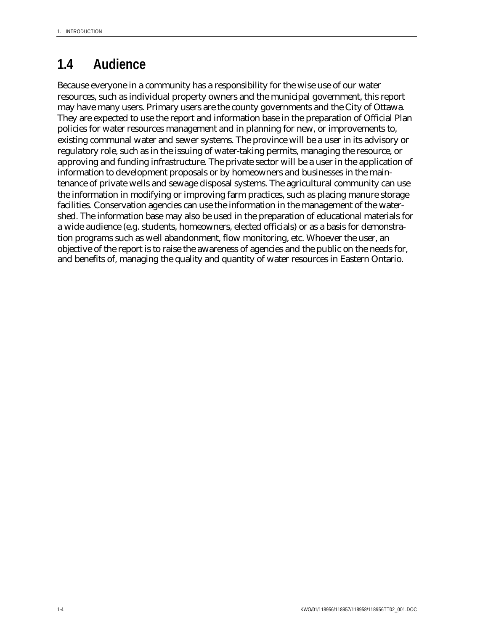# **1.4 Audience**

Because everyone in a community has a responsibility for the wise use of our water resources, such as individual property owners and the municipal government, this report may have many users. Primary users are the county governments and the City of Ottawa. They are expected to use the report and information base in the preparation of Official Plan policies for water resources management and in planning for new, or improvements to, existing communal water and sewer systems. The province will be a user in its advisory or regulatory role, such as in the issuing of water-taking permits, managing the resource, or approving and funding infrastructure. The private sector will be a user in the application of information to development proposals or by homeowners and businesses in the maintenance of private wells and sewage disposal systems. The agricultural community can use the information in modifying or improving farm practices, such as placing manure storage facilities. Conservation agencies can use the information in the management of the watershed. The information base may also be used in the preparation of educational materials for a wide audience (e.g. students, homeowners, elected officials) or as a basis for demonstration programs such as well abandonment, flow monitoring, etc. Whoever the user, an objective of the report is to raise the awareness of agencies and the public on the needs for, and benefits of, managing the quality and quantity of water resources in Eastern Ontario.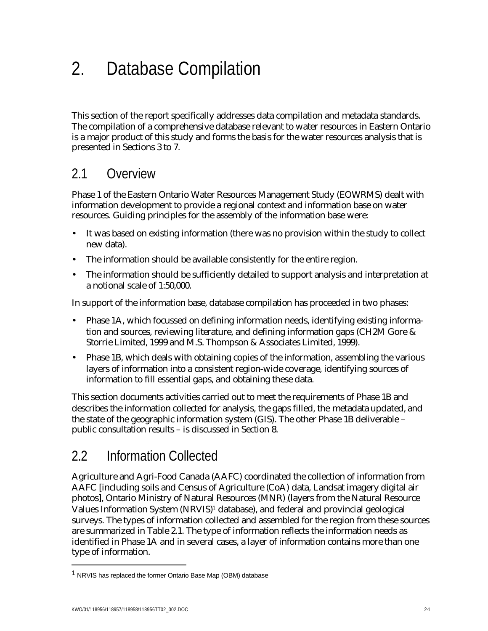This section of the report specifically addresses data compilation and metadata standards. The compilation of a comprehensive database relevant to water resources in Eastern Ontario is a major product of this study and forms the basis for the water resources analysis that is presented in Sections 3 to 7.

# 2.1 Overview

Phase 1 of the Eastern Ontario Water Resources Management Study (EOWRMS) dealt with information development to provide a regional context and information base on water resources. Guiding principles for the assembly of the information base were:

- It was based on existing information (there was no provision within the study to collect new data).
- The information should be available consistently for the entire region.
- The information should be sufficiently detailed to support analysis and interpretation at a notional scale of 1:50,000.

In support of the information base, database compilation has proceeded in two phases:

- Phase 1A, which focussed on defining information needs, identifying existing information and sources, reviewing literature, and defining information gaps (CH2M Gore & Storrie Limited, 1999 and M.S. Thompson & Associates Limited, 1999).
- Phase 1B, which deals with obtaining copies of the information, assembling the various layers of information into a consistent region-wide coverage, identifying sources of information to fill essential gaps, and obtaining these data.

This section documents activities carried out to meet the requirements of Phase 1B and describes the information collected for analysis, the gaps filled, the metadata updated, and the state of the geographic information system (GIS). The other Phase 1B deliverable – public consultation results – is discussed in Section 8.

# 2.2 Information Collected

Agriculture and Agri-Food Canada (AAFC) coordinated the collection of information from AAFC [including soils and Census of Agriculture (CoA) data, Landsat imagery digital air photos], Ontario Ministry of Natural Resources (MNR) (layers from the Natural Resource Values Information System (NRVIS)1 database), and federal and provincial geological surveys. The types of information collected and assembled for the region from these sources are summarized in Table 2.1. The type of information reflects the information needs as identified in Phase 1A and in several cases, a layer of information contains more than one type of information.

-

<sup>1</sup> NRVIS has replaced the former Ontario Base Map (OBM) database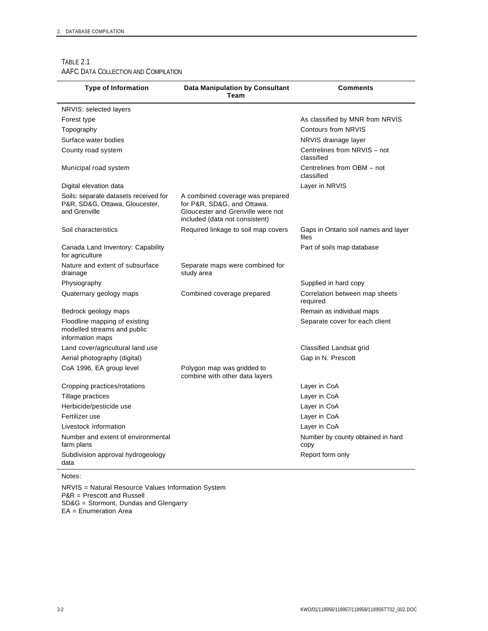$\overline{a}$ 

#### TABLE 2.1 AAFC DATA COLLECTION AND COMPILATION

| <b>Type of Information</b>                                                               | <b>Data Manipulation by Consultant</b><br>Team                                                                                        | Comments                                      |
|------------------------------------------------------------------------------------------|---------------------------------------------------------------------------------------------------------------------------------------|-----------------------------------------------|
| NRVIS: selected layers                                                                   |                                                                                                                                       |                                               |
| Forest type                                                                              |                                                                                                                                       | As classified by MNR from NRVIS               |
| Topography                                                                               |                                                                                                                                       | Contours from NRVIS                           |
| Surface water bodies                                                                     |                                                                                                                                       | NRVIS drainage layer                          |
| County road system                                                                       |                                                                                                                                       | Centrelines from NRVIS - not<br>classified    |
| Municipal road system                                                                    |                                                                                                                                       | Centrelines from OBM - not<br>classified      |
| Digital elevation data                                                                   |                                                                                                                                       | Layer in NRVIS                                |
| Soils: separate datasets received for<br>P&R, SD&G, Ottawa, Gloucester,<br>and Grenville | A combined coverage was prepared<br>for P&R, SD&G, and Ottawa.<br>Gloucester and Grenville were not<br>included (data not consistent) |                                               |
| Soil characteristics                                                                     | Required linkage to soil map covers                                                                                                   | Gaps in Ontario soil names and layer<br>files |
| Canada Land Inventory: Capability<br>for agriculture                                     |                                                                                                                                       | Part of soils map database                    |
| Nature and extent of subsurface<br>drainage                                              | Separate maps were combined for<br>study area                                                                                         |                                               |
| Physiography                                                                             |                                                                                                                                       | Supplied in hard copy                         |
| Quaternary geology maps                                                                  | Combined coverage prepared                                                                                                            | Correlation between map sheets<br>required    |
| Bedrock geology maps                                                                     |                                                                                                                                       | Remain as individual maps                     |
| Floodline mapping of existing<br>modelled streams and public<br>information maps         |                                                                                                                                       | Separate cover for each client                |
| Land cover/agricultural land use                                                         |                                                                                                                                       | Classified Landsat grid                       |
| Aerial photography (digital)                                                             |                                                                                                                                       | Gap in N. Prescott                            |
| CoA 1996, EA group level                                                                 | Polygon map was gridded to<br>combine with other data layers                                                                          |                                               |
| Cropping practices/rotations                                                             |                                                                                                                                       | Layer in CoA                                  |
| Tillage practices                                                                        |                                                                                                                                       | Layer in CoA                                  |
| Herbicide/pesticide use                                                                  |                                                                                                                                       | Layer in CoA                                  |
| Fertilizer use                                                                           |                                                                                                                                       | Layer in CoA                                  |
| Livestock information                                                                    |                                                                                                                                       | Layer in CoA                                  |
| Number and extent of environmental<br>farm plans                                         |                                                                                                                                       | Number by county obtained in hard<br>copy     |
| Subdivision approval hydrogeology<br>data                                                |                                                                                                                                       | Report form only                              |

Notes:

NRVIS = Natural Resource Values Information System P&R = Prescott and Russell SD&G = Stormont, Dundas and Glengarry EA = Enumeration Area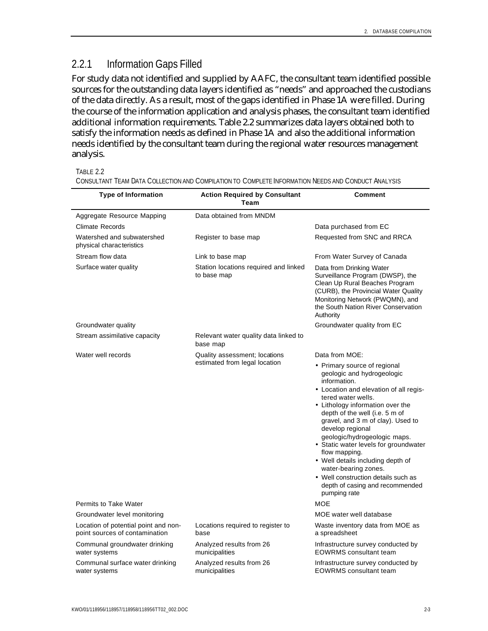### 2.2.1 Information Gaps Filled

For study data not identified and supplied by AAFC, the consultant team identified possible sources for the outstanding data layers identified as "needs" and approached the custodians of the data directly. As a result, most of the gaps identified in Phase 1A were filled. During the course of the information application and analysis phases, the consultant team identified additional information requirements. Table 2.2 summarizes data layers obtained both to satisfy the information needs as defined in Phase 1A and also the additional information needs identified by the consultant team during the regional water resources management analysis.

TABLE 2.2

| <b>Type of Information</b>                                             | <b>Action Required by Consultant</b><br>Team         | Comment                                                                                                                                                                                                                                                                                                                                                                                                                                                                                                                                  |
|------------------------------------------------------------------------|------------------------------------------------------|------------------------------------------------------------------------------------------------------------------------------------------------------------------------------------------------------------------------------------------------------------------------------------------------------------------------------------------------------------------------------------------------------------------------------------------------------------------------------------------------------------------------------------------|
|                                                                        |                                                      |                                                                                                                                                                                                                                                                                                                                                                                                                                                                                                                                          |
| Aggregate Resource Mapping                                             | Data obtained from MNDM                              |                                                                                                                                                                                                                                                                                                                                                                                                                                                                                                                                          |
| <b>Climate Records</b>                                                 |                                                      | Data purchased from EC                                                                                                                                                                                                                                                                                                                                                                                                                                                                                                                   |
| Watershed and subwatershed<br>physical characteristics                 | Register to base map                                 | Requested from SNC and RRCA                                                                                                                                                                                                                                                                                                                                                                                                                                                                                                              |
| Stream flow data                                                       | Link to base map                                     | From Water Survey of Canada                                                                                                                                                                                                                                                                                                                                                                                                                                                                                                              |
| Surface water quality                                                  | Station locations required and linked<br>to base map | Data from Drinking Water<br>Surveillance Program (DWSP), the<br>Clean Up Rural Beaches Program<br>(CURB), the Provincial Water Quality<br>Monitoring Network (PWQMN), and<br>the South Nation River Conservation<br>Authority                                                                                                                                                                                                                                                                                                            |
| Groundwater quality                                                    |                                                      | Groundwater quality from EC                                                                                                                                                                                                                                                                                                                                                                                                                                                                                                              |
| Stream assimilative capacity                                           | Relevant water quality data linked to<br>base map    |                                                                                                                                                                                                                                                                                                                                                                                                                                                                                                                                          |
| Water well records                                                     | Quality assessment; locations                        | Data from MOE:                                                                                                                                                                                                                                                                                                                                                                                                                                                                                                                           |
| <b>Permits to Take Water</b>                                           | estimated from legal location                        | • Primary source of regional<br>geologic and hydrogeologic<br>information.<br>• Location and elevation of all regis-<br>tered water wells.<br>• Lithology information over the<br>depth of the well (i.e. 5 m of<br>gravel, and 3 m of clay). Used to<br>develop regional<br>geologic/hydrogeologic maps.<br>• Static water levels for groundwater<br>flow mapping.<br>• Well details including depth of<br>water-bearing zones.<br>• Well construction details such as<br>depth of casing and recommended<br>pumping rate<br><b>MOE</b> |
| Groundwater level monitoring                                           |                                                      | MOE water well database                                                                                                                                                                                                                                                                                                                                                                                                                                                                                                                  |
| Location of potential point and non-<br>point sources of contamination | Locations required to register to<br>base            | Waste inventory data from MOE as<br>a spreadsheet                                                                                                                                                                                                                                                                                                                                                                                                                                                                                        |
| Communal groundwater drinking<br>water systems                         | Analyzed results from 26<br>municipalities           | Infrastructure survey conducted by<br><b>EOWRMS</b> consultant team                                                                                                                                                                                                                                                                                                                                                                                                                                                                      |
| Communal surface water drinking<br>water systems                       | Analyzed results from 26<br>municipalities           | Infrastructure survey conducted by<br><b>EOWRMS</b> consultant team                                                                                                                                                                                                                                                                                                                                                                                                                                                                      |

CONSULTANT TEAM DATA COLLECTION AND COMPILATION TO COMPLETE INFORMATION NEEDS AND CONDUCT ANALYSIS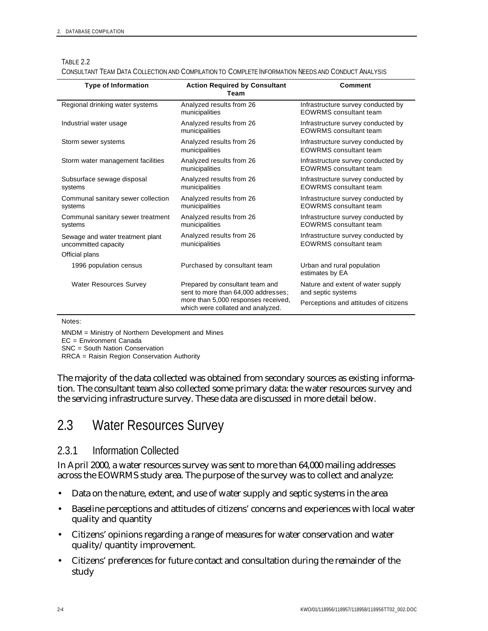| <b>Type of Information</b>                               | <b>Action Required by Consultant</b><br>Team                             | <b>Comment</b>                                                      |
|----------------------------------------------------------|--------------------------------------------------------------------------|---------------------------------------------------------------------|
| Regional drinking water systems                          | Analyzed results from 26<br>municipalities                               | Infrastructure survey conducted by<br><b>EOWRMS</b> consultant team |
| Industrial water usage                                   | Analyzed results from 26<br>municipalities                               | Infrastructure survey conducted by<br><b>EOWRMS</b> consultant team |
| Storm sewer systems                                      | Analyzed results from 26<br>municipalities                               | Infrastructure survey conducted by<br><b>EOWRMS</b> consultant team |
| Storm water management facilities                        | Analyzed results from 26<br>municipalities                               | Infrastructure survey conducted by<br><b>EOWRMS</b> consultant team |
| Subsurface sewage disposal<br>systems                    | Analyzed results from 26<br>municipalities                               | Infrastructure survey conducted by<br><b>EOWRMS</b> consultant team |
| Communal sanitary sewer collection<br>systems            | Analyzed results from 26<br>municipalities                               | Infrastructure survey conducted by<br><b>EOWRMS</b> consultant team |
| Communal sanitary sewer treatment<br>systems             | Analyzed results from 26<br>municipalities                               | Infrastructure survey conducted by<br><b>EOWRMS</b> consultant team |
| Sewage and water treatment plant<br>uncommitted capacity | Analyzed results from 26<br>municipalities                               | Infrastructure survey conducted by<br><b>EOWRMS</b> consultant team |
| Official plans                                           |                                                                          |                                                                     |
| 1996 population census                                   | Purchased by consultant team                                             | Urban and rural population<br>estimates by EA                       |
| Water Resources Survey                                   | Prepared by consultant team and<br>sent to more than 64,000 addresses;   | Nature and extent of water supply<br>and septic systems             |
|                                                          | more than 5,000 responses received,<br>which were collated and analyzed. | Perceptions and attitudes of citizens                               |

#### TABLE 2.2

CONSULTANT TEAM DATA COLLECTION AND COMPILATION TO COMPLETE INFORMATION NEEDS AND CONDUCT ANALYSIS

Notes:

MNDM = Ministry of Northern Development and Mines

EC = Environment Canada

SNC = South Nation Conservation

RRCA = Raisin Region Conservation Authority

The majority of the data collected was obtained from secondary sources as existing information. The consultant team also collected some primary data: the water resources survey and the servicing infrastructure survey. These data are discussed in more detail below.

## 2.3 Water Resources Survey

### 2.3.1 Information Collected

In April 2000, a water resources survey was sent to more than 64,000 mailing addresses across the EOWRMS study area. The purpose of the survey was to collect and analyze:

- Data on the nature, extent, and use of water supply and septic systems in the area
- Baseline perceptions and attitudes of citizens' concerns and experiences with local water quality and quantity
- Citizens' opinions regarding a range of measures for water conservation and water quality/quantity improvement.
- Citizens' preferences for future contact and consultation during the remainder of the study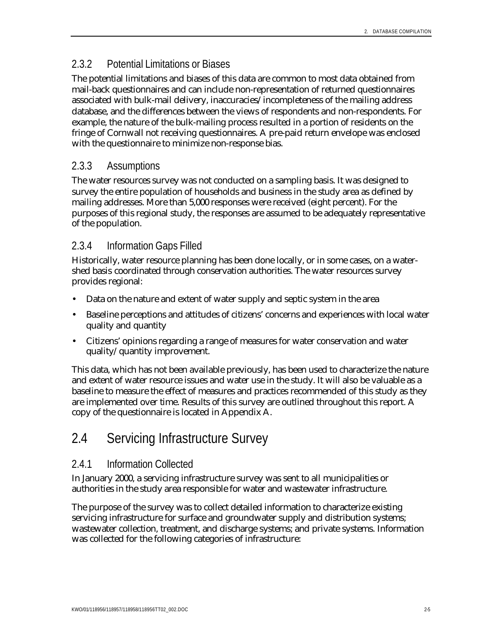### 2.3.2 Potential Limitations or Biases

The potential limitations and biases of this data are common to most data obtained from mail-back questionnaires and can include non-representation of returned questionnaires associated with bulk-mail delivery, inaccuracies/incompleteness of the mailing address database, and the differences between the views of respondents and non-respondents. For example, the nature of the bulk-mailing process resulted in a portion of residents on the fringe of Cornwall not receiving questionnaires. A pre-paid return envelope was enclosed with the questionnaire to minimize non-response bias.

## 2.3.3 Assumptions

The water resources survey was not conducted on a sampling basis. It was designed to survey the entire population of households and business in the study area as defined by mailing addresses. More than 5,000 responses were received (eight percent). For the purposes of this regional study, the responses are assumed to be adequately representative of the population.

## 2.3.4 Information Gaps Filled

Historically, water resource planning has been done locally, or in some cases, on a watershed basis coordinated through conservation authorities. The water resources survey provides regional:

- Data on the nature and extent of water supply and septic system in the area
- Baseline perceptions and attitudes of citizens' concerns and experiences with local water quality and quantity
- Citizens' opinions regarding a range of measures for water conservation and water quality/quantity improvement.

This data, which has not been available previously, has been used to characterize the nature and extent of water resource issues and water use in the study. It will also be valuable as a baseline to measure the effect of measures and practices recommended of this study as they are implemented over time. Results of this survey are outlined throughout this report. A copy of the questionnaire is located in Appendix A.

## 2.4 Servicing Infrastructure Survey

## 2.4.1 Information Collected

In January 2000, a servicing infrastructure survey was sent to all municipalities or authorities in the study area responsible for water and wastewater infrastructure.

The purpose of the survey was to collect detailed information to characterize existing servicing infrastructure for surface and groundwater supply and distribution systems; wastewater collection, treatment, and discharge systems; and private systems. Information was collected for the following categories of infrastructure: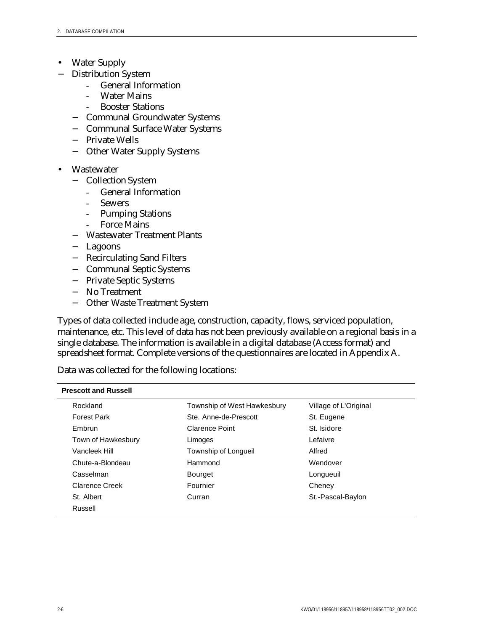- Water Supply
- − Distribution System
	- General Information
	- **Water Mains**
	- **Booster Stations**
	- − Communal Groundwater Systems
	- − Communal Surface Water Systems
	- − Private Wells
	- − Other Water Supply Systems
- **Wastewater** 
	- − Collection System
		- General Information
		- Sewers
		- Pumping Stations
		- Force Mains
	- − Wastewater Treatment Plants
	- − Lagoons
	- − Recirculating Sand Filters
	- − Communal Septic Systems
	- − Private Septic Systems
	- − No Treatment
	- − Other Waste Treatment System

Types of data collected include age, construction, capacity, flows, serviced population, maintenance, etc. This level of data has not been previously available on a regional basis in a single database. The information is available in a digital database (Access format) and spreadsheet format. Complete versions of the questionnaires are located in Appendix A.

Data was collected for the following locations:

| <b>Prescott and Russell</b> |                             |                       |  |  |  |
|-----------------------------|-----------------------------|-----------------------|--|--|--|
| Rockland                    | Township of West Hawkesbury | Village of L'Original |  |  |  |
| <b>Forest Park</b>          | Ste. Anne-de-Prescott       | St. Eugene            |  |  |  |
| Embrun                      | <b>Clarence Point</b>       | St. Isidore           |  |  |  |
| Town of Hawkesbury          | Limoges                     | Lefaivre              |  |  |  |
| Vancleek Hill               | Township of Longueil        | Alfred                |  |  |  |
| Chute-a-Blondeau            | Hammond                     | Wendover              |  |  |  |
| Casselman                   | <b>Bourget</b>              | Longueuil             |  |  |  |
| <b>Clarence Creek</b>       | Fournier                    | Cheney                |  |  |  |
| St. Albert                  | Curran                      | St.-Pascal-Baylon     |  |  |  |
| Russell                     |                             |                       |  |  |  |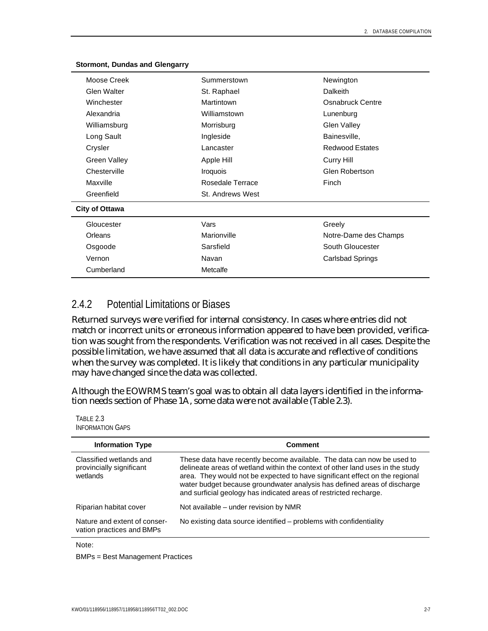| Moose Creek           | Summerstown      | Newington               |
|-----------------------|------------------|-------------------------|
| Glen Walter           | St. Raphael      | Dalkeith                |
| Winchester            | Martintown       | Osnabruck Centre        |
| Alexandria            | Williamstown     | Lunenburg               |
| Williamsburg          | Morrisburg       | <b>Glen Valley</b>      |
| Long Sault            | Ingleside        | Bainesville,            |
| Crysler               | Lancaster        | <b>Redwood Estates</b>  |
| <b>Green Valley</b>   | Apple Hill       | Curry Hill              |
| Chesterville          | <b>Iroquois</b>  | Glen Robertson          |
| Maxville              | Rosedale Terrace | Finch                   |
| Greenfield            | St. Andrews West |                         |
| <b>City of Ottawa</b> |                  |                         |
| Gloucester            | Vars             | Greely                  |
| Orleans               | Marionville      | Notre-Dame des Champs   |
| Osgoode               | Sarsfield        | South Gloucester        |
| Vernon                | Navan            | <b>Carlsbad Springs</b> |
| Cumberland            | Metcalfe         |                         |
|                       |                  |                         |

#### **Stormont, Dundas and Glengarry**

### 2.4.2 Potential Limitations or Biases

Returned surveys were verified for internal consistency. In cases where entries did not match or incorrect units or erroneous information appeared to have been provided, verification was sought from the respondents. Verification was not received in all cases. Despite the possible limitation, we have assumed that all data is accurate and reflective of conditions when the survey was completed. It is likely that conditions in any particular municipality may have changed since the data was collected.

Although the EOWRMS team's goal was to obtain all data layers identified in the information needs section of Phase 1A, some data were not available (Table 2.3).

| Comment                                                                                                                                                                                                                                                                                                                                                                                 |
|-----------------------------------------------------------------------------------------------------------------------------------------------------------------------------------------------------------------------------------------------------------------------------------------------------------------------------------------------------------------------------------------|
| These data have recently become available. The data can now be used to<br>delineate areas of wetland within the context of other land uses in the study<br>area. They would not be expected to have significant effect on the regional<br>water budget because groundwater analysis has defined areas of discharge<br>and surficial geology has indicated areas of restricted recharge. |
| Not available – under revision by NMR                                                                                                                                                                                                                                                                                                                                                   |
| No existing data source identified – problems with confidentiality                                                                                                                                                                                                                                                                                                                      |
|                                                                                                                                                                                                                                                                                                                                                                                         |

Note:

TABLE 2.3

BMPs = Best Management Practices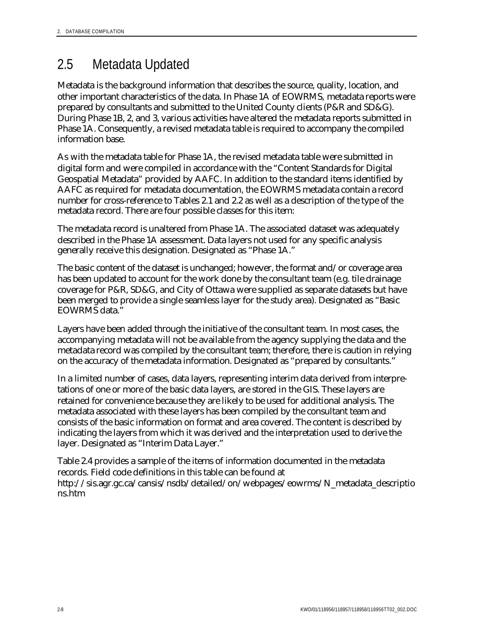## 2.5 Metadata Updated

Metadata is the background information that describes the source, quality, location, and other important characteristics of the data. In Phase 1A of EOWRMS, metadata reports were prepared by consultants and submitted to the United County clients (P&R and SD&G). During Phase 1B, 2, and 3, various activities have altered the metadata reports submitted in Phase 1A. Consequently, a revised metadata table is required to accompany the compiled information base.

As with the metadata table for Phase 1A, the revised metadata table were submitted in digital form and were compiled in accordance with the "Content Standards for Digital Geospatial Metadata" provided by AAFC. In addition to the standard items identified by AAFC as required for metadata documentation, the EOWRMS metadata contain a record number for cross-reference to Tables 2.1 and 2.2 as well as a description of the type of the metadata record. There are four possible classes for this item:

The metadata record is unaltered from Phase 1A. The associated dataset was adequately described in the Phase 1A assessment. Data layers not used for any specific analysis generally receive this designation. Designated as "Phase 1A."

The basic content of the dataset is unchanged; however, the format and/or coverage area has been updated to account for the work done by the consultant team (e.g. tile drainage coverage for P&R, SD&G, and City of Ottawa were supplied as separate datasets but have been merged to provide a single seamless layer for the study area). Designated as "Basic EOWRMS data."

Layers have been added through the initiative of the consultant team. In most cases, the accompanying metadata will not be available from the agency supplying the data and the metadata record was compiled by the consultant team; therefore, there is caution in relying on the accuracy of the metadata information. Designated as "prepared by consultants."

In a limited number of cases, data layers, representing interim data derived from interpretations of one or more of the basic data layers, are stored in the GIS. These layers are retained for convenience because they are likely to be used for additional analysis. The metadata associated with these layers has been compiled by the consultant team and consists of the basic information on format and area covered. The content is described by indicating the layers from which it was derived and the interpretation used to derive the layer. Designated as "Interim Data Layer."

Table 2.4 provides a sample of the items of information documented in the metadata records. Field code definitions in this table can be found at http://sis.agr.gc.ca/cansis/nsdb/detailed/on/webpages/eowrms/N\_metadata\_descriptio ns.htm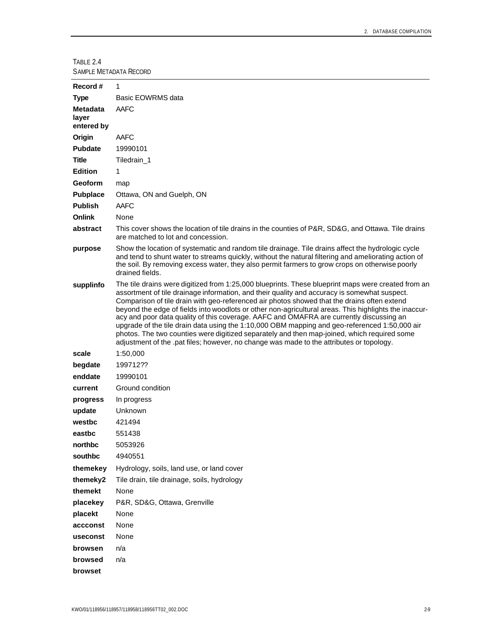TABLE 2.4 SAMPLE METADATA RECORD

| Record#                                | 1                                                                                                                                                                                                                                                                                                                                                                                                                                                                                                                                                                                                                                                                                                                                                                                                 |
|----------------------------------------|---------------------------------------------------------------------------------------------------------------------------------------------------------------------------------------------------------------------------------------------------------------------------------------------------------------------------------------------------------------------------------------------------------------------------------------------------------------------------------------------------------------------------------------------------------------------------------------------------------------------------------------------------------------------------------------------------------------------------------------------------------------------------------------------------|
| <b>Type</b>                            | Basic EOWRMS data                                                                                                                                                                                                                                                                                                                                                                                                                                                                                                                                                                                                                                                                                                                                                                                 |
| <b>Metadata</b><br>layer<br>entered by | AAFC                                                                                                                                                                                                                                                                                                                                                                                                                                                                                                                                                                                                                                                                                                                                                                                              |
| Origin                                 | AAFC                                                                                                                                                                                                                                                                                                                                                                                                                                                                                                                                                                                                                                                                                                                                                                                              |
| <b>Pubdate</b>                         | 19990101                                                                                                                                                                                                                                                                                                                                                                                                                                                                                                                                                                                                                                                                                                                                                                                          |
| Title                                  | Tiledrain_1                                                                                                                                                                                                                                                                                                                                                                                                                                                                                                                                                                                                                                                                                                                                                                                       |
| <b>Edition</b>                         | 1                                                                                                                                                                                                                                                                                                                                                                                                                                                                                                                                                                                                                                                                                                                                                                                                 |
| Geoform                                | map                                                                                                                                                                                                                                                                                                                                                                                                                                                                                                                                                                                                                                                                                                                                                                                               |
| <b>Pubplace</b>                        | Ottawa, ON and Guelph, ON                                                                                                                                                                                                                                                                                                                                                                                                                                                                                                                                                                                                                                                                                                                                                                         |
| <b>Publish</b>                         | AAFC                                                                                                                                                                                                                                                                                                                                                                                                                                                                                                                                                                                                                                                                                                                                                                                              |
| <b>Onlink</b>                          | None                                                                                                                                                                                                                                                                                                                                                                                                                                                                                                                                                                                                                                                                                                                                                                                              |
| abstract                               | This cover shows the location of tile drains in the counties of P&R, SD&G, and Ottawa. Tile drains<br>are matched to lot and concession.                                                                                                                                                                                                                                                                                                                                                                                                                                                                                                                                                                                                                                                          |
| purpose                                | Show the location of systematic and random tile drainage. Tile drains affect the hydrologic cycle<br>and tend to shunt water to streams quickly, without the natural filtering and ameliorating action of<br>the soil. By removing excess water, they also permit farmers to grow crops on otherwise poorly<br>drained fields.                                                                                                                                                                                                                                                                                                                                                                                                                                                                    |
| supplinfo                              | The tile drains were digitized from 1:25,000 blueprints. These blueprint maps were created from an<br>assortment of tile drainage information, and their quality and accuracy is somewhat suspect.<br>Comparison of tile drain with geo-referenced air photos showed that the drains often extend<br>beyond the edge of fields into woodlots or other non-agricultural areas. This highlights the inaccur-<br>acy and poor data quality of this coverage. AAFC and OMAFRA are currently discussing an<br>upgrade of the tile drain data using the 1:10,000 OBM mapping and geo-referenced 1:50,000 air<br>photos. The two counties were digitized separately and then map-joined, which required some<br>adjustment of the .pat files; however, no change was made to the attributes or topology. |
| scale                                  | 1:50,000                                                                                                                                                                                                                                                                                                                                                                                                                                                                                                                                                                                                                                                                                                                                                                                          |
| begdate                                | 199712??                                                                                                                                                                                                                                                                                                                                                                                                                                                                                                                                                                                                                                                                                                                                                                                          |
| enddate                                | 19990101                                                                                                                                                                                                                                                                                                                                                                                                                                                                                                                                                                                                                                                                                                                                                                                          |
| current                                | Ground condition                                                                                                                                                                                                                                                                                                                                                                                                                                                                                                                                                                                                                                                                                                                                                                                  |
| progress                               | In progress                                                                                                                                                                                                                                                                                                                                                                                                                                                                                                                                                                                                                                                                                                                                                                                       |
| update                                 | Unknown                                                                                                                                                                                                                                                                                                                                                                                                                                                                                                                                                                                                                                                                                                                                                                                           |
| westbc                                 | 421494                                                                                                                                                                                                                                                                                                                                                                                                                                                                                                                                                                                                                                                                                                                                                                                            |
| eastbc                                 | 551438                                                                                                                                                                                                                                                                                                                                                                                                                                                                                                                                                                                                                                                                                                                                                                                            |
| northbc                                | 5053926                                                                                                                                                                                                                                                                                                                                                                                                                                                                                                                                                                                                                                                                                                                                                                                           |
| southbc                                | 4940551                                                                                                                                                                                                                                                                                                                                                                                                                                                                                                                                                                                                                                                                                                                                                                                           |
| themekey                               | Hydrology, soils, land use, or land cover                                                                                                                                                                                                                                                                                                                                                                                                                                                                                                                                                                                                                                                                                                                                                         |
| themeky2                               | Tile drain, tile drainage, soils, hydrology                                                                                                                                                                                                                                                                                                                                                                                                                                                                                                                                                                                                                                                                                                                                                       |
| themekt                                | None                                                                                                                                                                                                                                                                                                                                                                                                                                                                                                                                                                                                                                                                                                                                                                                              |
| placekey                               | P&R, SD&G, Ottawa, Grenville                                                                                                                                                                                                                                                                                                                                                                                                                                                                                                                                                                                                                                                                                                                                                                      |
| placekt                                | None                                                                                                                                                                                                                                                                                                                                                                                                                                                                                                                                                                                                                                                                                                                                                                                              |
| accconst                               | None                                                                                                                                                                                                                                                                                                                                                                                                                                                                                                                                                                                                                                                                                                                                                                                              |
| useconst                               | None                                                                                                                                                                                                                                                                                                                                                                                                                                                                                                                                                                                                                                                                                                                                                                                              |
| browsen                                | n/a                                                                                                                                                                                                                                                                                                                                                                                                                                                                                                                                                                                                                                                                                                                                                                                               |
| browsed                                | n/a                                                                                                                                                                                                                                                                                                                                                                                                                                                                                                                                                                                                                                                                                                                                                                                               |
| browset                                |                                                                                                                                                                                                                                                                                                                                                                                                                                                                                                                                                                                                                                                                                                                                                                                                   |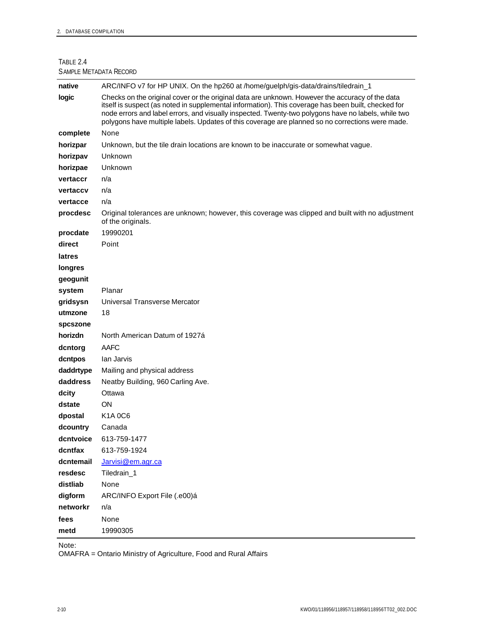TABLE 2.4 SAMPLE METADATA RECORD

| native    | ARC/INFO v7 for HP UNIX. On the hp260 at /home/guelph/gis-data/drains/tiledrain_1                                                                                                                                                                                                                                                                                                                                 |
|-----------|-------------------------------------------------------------------------------------------------------------------------------------------------------------------------------------------------------------------------------------------------------------------------------------------------------------------------------------------------------------------------------------------------------------------|
| logic     | Checks on the original cover or the original data are unknown. However the accuracy of the data<br>itself is suspect (as noted in supplemental information). This coverage has been built, checked for<br>node errors and label errors, and visually inspected. Twenty-two polygons have no labels, while two<br>polygons have multiple labels. Updates of this coverage are planned so no corrections were made. |
| complete  | None                                                                                                                                                                                                                                                                                                                                                                                                              |
| horizpar  | Unknown, but the tile drain locations are known to be inaccurate or somewhat vague.                                                                                                                                                                                                                                                                                                                               |
| horizpav  | Unknown                                                                                                                                                                                                                                                                                                                                                                                                           |
| horizpae  | Unknown                                                                                                                                                                                                                                                                                                                                                                                                           |
| vertaccr  | n/a                                                                                                                                                                                                                                                                                                                                                                                                               |
| vertaccv  | n/a                                                                                                                                                                                                                                                                                                                                                                                                               |
| vertacce  | n/a                                                                                                                                                                                                                                                                                                                                                                                                               |
| procdesc  | Original tolerances are unknown; however, this coverage was clipped and built with no adjustment<br>of the originals.                                                                                                                                                                                                                                                                                             |
| procdate  | 19990201                                                                                                                                                                                                                                                                                                                                                                                                          |
| direct    | Point                                                                                                                                                                                                                                                                                                                                                                                                             |
| latres    |                                                                                                                                                                                                                                                                                                                                                                                                                   |
| longres   |                                                                                                                                                                                                                                                                                                                                                                                                                   |
| geogunit  |                                                                                                                                                                                                                                                                                                                                                                                                                   |
| system    | Planar                                                                                                                                                                                                                                                                                                                                                                                                            |
| gridsysn  | Universal Transverse Mercator                                                                                                                                                                                                                                                                                                                                                                                     |
| utmzone   | 18                                                                                                                                                                                                                                                                                                                                                                                                                |
| spcszone  |                                                                                                                                                                                                                                                                                                                                                                                                                   |
| horizdn   | North American Datum of 1927á                                                                                                                                                                                                                                                                                                                                                                                     |
| dcntorg   | <b>AAFC</b>                                                                                                                                                                                                                                                                                                                                                                                                       |
| dcntpos   | lan Jarvis                                                                                                                                                                                                                                                                                                                                                                                                        |
| daddrtype | Mailing and physical address                                                                                                                                                                                                                                                                                                                                                                                      |
| daddress  | Neatby Building, 960 Carling Ave.                                                                                                                                                                                                                                                                                                                                                                                 |
| dcity     | Ottawa                                                                                                                                                                                                                                                                                                                                                                                                            |
| dstate    | ON                                                                                                                                                                                                                                                                                                                                                                                                                |
| dpostal   | K <sub>1</sub> A 0C <sub>6</sub>                                                                                                                                                                                                                                                                                                                                                                                  |
| dcountry  | Canada                                                                                                                                                                                                                                                                                                                                                                                                            |
| dcntvoice | 613-759-1477                                                                                                                                                                                                                                                                                                                                                                                                      |
| dcntfax   | 613-759-1924                                                                                                                                                                                                                                                                                                                                                                                                      |
| dcntemail | Jarvisi@em.agr.ca                                                                                                                                                                                                                                                                                                                                                                                                 |
| resdesc   | Tiledrain_1                                                                                                                                                                                                                                                                                                                                                                                                       |
| distliab  | None                                                                                                                                                                                                                                                                                                                                                                                                              |
| digform   | ARC/INFO Export File (.e00)á                                                                                                                                                                                                                                                                                                                                                                                      |
| networkr  | n/a                                                                                                                                                                                                                                                                                                                                                                                                               |
| fees      | None                                                                                                                                                                                                                                                                                                                                                                                                              |
| metd      | 19990305                                                                                                                                                                                                                                                                                                                                                                                                          |

Note:

OMAFRA = Ontario Ministry of Agriculture, Food and Rural Affairs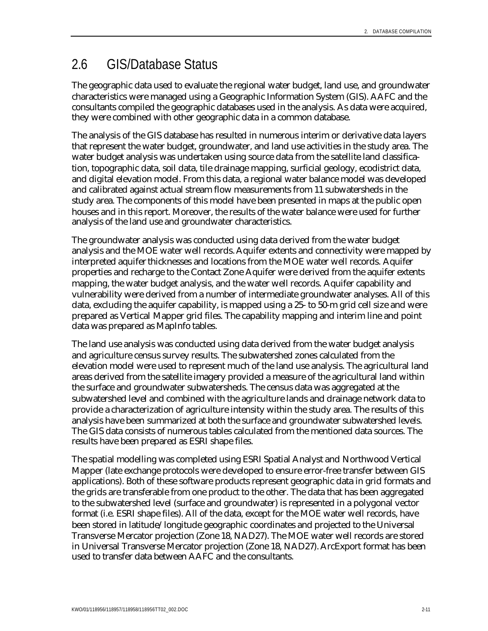## 2.6 GIS/Database Status

The geographic data used to evaluate the regional water budget, land use, and groundwater characteristics were managed using a Geographic Information System (GIS). AAFC and the consultants compiled the geographic databases used in the analysis. As data were acquired, they were combined with other geographic data in a common database.

The analysis of the GIS database has resulted in numerous interim or derivative data layers that represent the water budget, groundwater, and land use activities in the study area. The water budget analysis was undertaken using source data from the satellite land classification, topographic data, soil data, tile drainage mapping, surficial geology, ecodistrict data, and digital elevation model. From this data, a regional water balance model was developed and calibrated against actual stream flow measurements from 11 subwatersheds in the study area. The components of this model have been presented in maps at the public open houses and in this report. Moreover, the results of the water balance were used for further analysis of the land use and groundwater characteristics.

The groundwater analysis was conducted using data derived from the water budget analysis and the MOE water well records. Aquifer extents and connectivity were mapped by interpreted aquifer thicknesses and locations from the MOE water well records. Aquifer properties and recharge to the Contact Zone Aquifer were derived from the aquifer extents mapping, the water budget analysis, and the water well records. Aquifer capability and vulnerability were derived from a number of intermediate groundwater analyses. All of this data, excluding the aquifer capability, is mapped using a 25- to 50-m grid cell size and were prepared as Vertical Mapper grid files. The capability mapping and interim line and point data was prepared as MapInfo tables.

The land use analysis was conducted using data derived from the water budget analysis and agriculture census survey results. The subwatershed zones calculated from the elevation model were used to represent much of the land use analysis. The agricultural land areas derived from the satellite imagery provided a measure of the agricultural land within the surface and groundwater subwatersheds. The census data was aggregated at the subwatershed level and combined with the agriculture lands and drainage network data to provide a characterization of agriculture intensity within the study area. The results of this analysis have been summarized at both the surface and groundwater subwatershed levels. The GIS data consists of numerous tables calculated from the mentioned data sources. The results have been prepared as ESRI shape files.

The spatial modelling was completed using ESRI Spatial Analyst and Northwood Vertical Mapper (late exchange protocols were developed to ensure error-free transfer between GIS applications). Both of these software products represent geographic data in grid formats and the grids are transferable from one product to the other. The data that has been aggregated to the subwatershed level (surface and groundwater) is represented in a polygonal vector format (i.e. ESRI shape files). All of the data, except for the MOE water well records, have been stored in latitude/longitude geographic coordinates and projected to the Universal Transverse Mercator projection (Zone 18, NAD27). The MOE water well records are stored in Universal Transverse Mercator projection (Zone 18, NAD27). ArcExport format has been used to transfer data between AAFC and the consultants.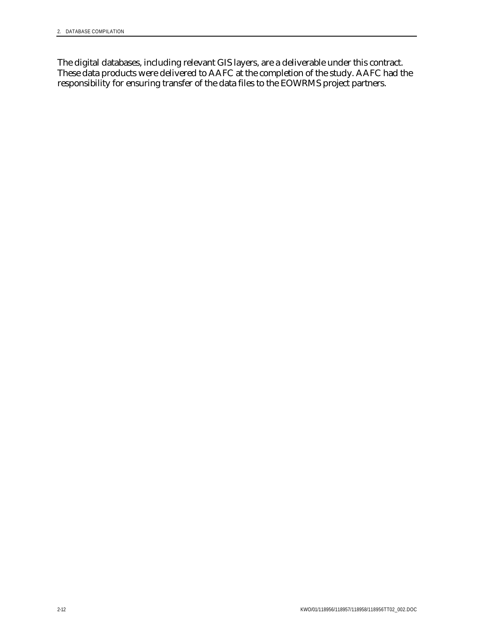The digital databases, including relevant GIS layers, are a deliverable under this contract. These data products were delivered to AAFC at the completion of the study. AAFC had the responsibility for ensuring transfer of the data files to the EOWRMS project partners.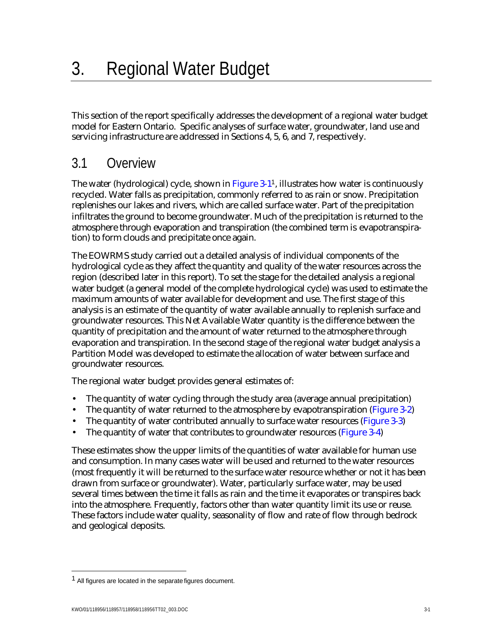This section of the report specifically addresses the development of a regional water budget model for Eastern Ontario. Specific analyses of surface water, groundwater, land use and servicing infrastructure are addressed in Sections 4, 5, 6, and 7, respectively.

# 3.1 Overview

The water (hydrological) cycle, shown in Figure 3-1<sup>1</sup>, illustrates how water is continuously recycled. Water falls as precipitation, commonly referred to as rain or snow. Precipitation replenishes our lakes and rivers, which are called surface water. Part of the precipitation infiltrates the ground to become groundwater. Much of the precipitation is returned to the atmosphere through evaporation and transpiration (the combined term is evapotranspiration) to form clouds and precipitate once again.

The EOWRMS study carried out a detailed analysis of individual components of the hydrological cycle as they affect the quantity and quality of the water resources across the region (described later in this report). To set the stage for the detailed analysis a regional water budget (a general model of the complete hydrological cycle) was used to estimate the maximum amounts of water available for development and use. The first stage of this analysis is an estimate of the quantity of water available annually to replenish surface and groundwater resources. This Net Available Water quantity is the difference between the quantity of precipitation and the amount of water returned to the atmosphere through evaporation and transpiration. In the second stage of the regional water budget analysis a Partition Model was developed to estimate the allocation of water between surface and groundwater resources.

The regional water budget provides general estimates of:

- The quantity of water cycling through the study area (average annual precipitation)
- The quantity of water returned to the atmosphere by evapotranspiration (Figure 3-2)
- The quantity of water contributed annually to surface water resources (Figure 3-3)
- The quantity of water that contributes to groundwater resources (Figure 3-4)

These estimates show the upper limits of the quantities of water available for human use and consumption. In many cases water will be used and returned to the water resources (most frequently it will be returned to the surface water resource whether or not it has been drawn from surface or groundwater). Water, particularly surface water, may be used several times between the time it falls as rain and the time it evaporates or transpires back into the atmosphere. Frequently, factors other than water quantity limit its use or reuse. These factors include water quality, seasonality of flow and rate of flow through bedrock and geological deposits.

-

<sup>1</sup> All figures are located in the separate figures document.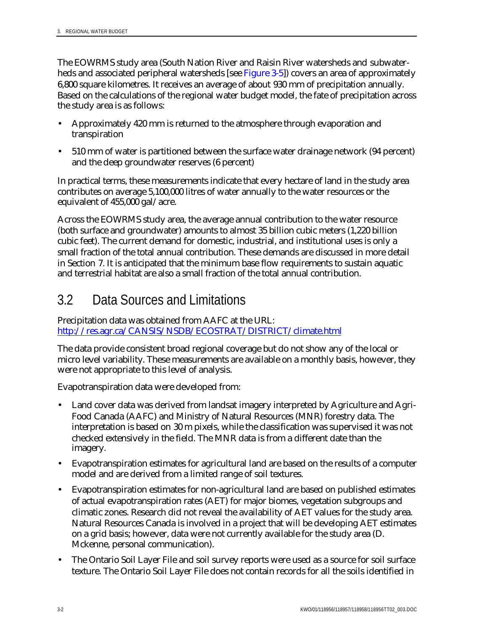The EOWRMS study area (South Nation River and Raisin River watersheds and subwaterheds and associated peripheral watersheds [see Figure 3-5]) covers an area of approximately 6,800 square kilometres. It receives an average of about 930 mm of precipitation annually. Based on the calculations of the regional water budget model, the fate of precipitation across the study area is as follows:

- Approximately 420 mm is returned to the atmosphere through evaporation and transpiration
- 510 mm of water is partitioned between the surface water drainage network (94 percent) and the deep groundwater reserves (6 percent)

In practical terms, these measurements indicate that every hectare of land in the study area contributes on average 5,100,000 litres of water annually to the water resources or the equivalent of 455,000 gal/acre.

Across the EOWRMS study area, the average annual contribution to the water resource (both surface and groundwater) amounts to almost 35 billion cubic meters (1,220 billion cubic feet). The current demand for domestic, industrial, and institutional uses is only a small fraction of the total annual contribution. These demands are discussed in more detail in Section 7. It is anticipated that the minimum base flow requirements to sustain aquatic and terrestrial habitat are also a small fraction of the total annual contribution.

# 3.2 Data Sources and Limitations

Precipitation data was obtained from AAFC at the URL: <http://res.agr.ca/CANSIS/NSDB/ECOSTRAT/DISTRICT/climate.html>

The data provide consistent broad regional coverage but do not show any of the local or micro level variability. These measurements are available on a monthly basis, however, they were not appropriate to this level of analysis.

Evapotranspiration data were developed from:

- Land cover data was derived from landsat imagery interpreted by Agriculture and Agri-Food Canada (AAFC) and Ministry of Natural Resources (MNR) forestry data. The interpretation is based on 30 m pixels, while the classification was supervised it was not checked extensively in the field. The MNR data is from a different date than the imagery.
- Evapotranspiration estimates for agricultural land are based on the results of a computer model and are derived from a limited range of soil textures.
- Evapotranspiration estimates for non-agricultural land are based on published estimates of actual evapotranspiration rates (AET) for major biomes, vegetation subgroups and climatic zones. Research did not reveal the availability of AET values for the study area. Natural Resources Canada is involved in a project that will be developing AET estimates on a grid basis; however, data were not currently available for the study area (D. Mckenne, personal communication).
- The Ontario Soil Layer File and soil survey reports were used as a source for soil surface texture. The Ontario Soil Layer File does not contain records for all the soils identified in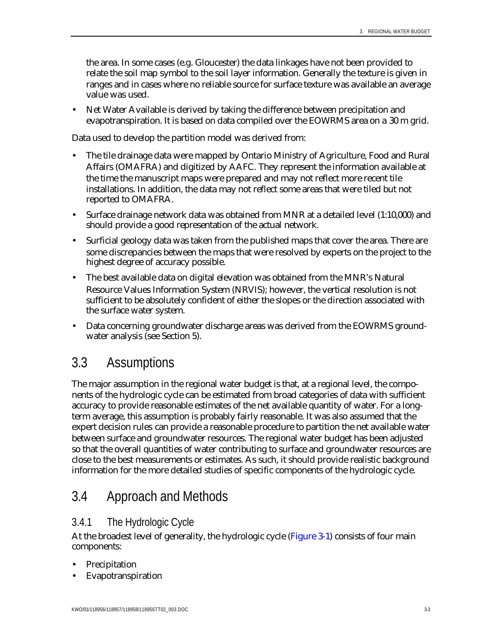the area. In some cases (e.g. Gloucester) the data linkages have not been provided to relate the soil map symbol to the soil layer information. Generally the texture is given in ranges and in cases where no reliable source for surface texture was available an average value was used.

• Net Water Available is derived by taking the difference between precipitation and evapotranspiration. It is based on data compiled over the EOWRMS area on a 30 m grid.

Data used to develop the partition model was derived from:

- The tile drainage data were mapped by Ontario Ministry of Agriculture, Food and Rural Affairs (OMAFRA) and digitized by AAFC. They represent the information available at the time the manuscript maps were prepared and may not reflect more recent tile installations. In addition, the data may not reflect some areas that were tiled but not reported to OMAFRA.
- Surface drainage network data was obtained from MNR at a detailed level (1:10,000) and should provide a good representation of the actual network.
- Surficial geology data was taken from the published maps that cover the area. There are some discrepancies between the maps that were resolved by experts on the project to the highest degree of accuracy possible.
- The best available data on digital elevation was obtained from the MNR's Natural Resource Values Information System (NRVIS); however, the vertical resolution is not sufficient to be absolutely confident of either the slopes or the direction associated with the surface water system.
- Data concerning groundwater discharge areas was derived from the EOWRMS groundwater analysis (see Section 5).

## 3.3 Assumptions

The major assumption in the regional water budget is that, at a regional level, the components of the hydrologic cycle can be estimated from broad categories of data with sufficient accuracy to provide reasonable estimates of the net available quantity of water. For a longterm average, this assumption is probably fairly reasonable. It was also assumed that the expert decision rules can provide a reasonable procedure to partition the net available water between surface and groundwater resources. The regional water budget has been adjusted so that the overall quantities of water contributing to surface and groundwater resources are close to the best measurements or estimates. As such, it should provide realistic background information for the more detailed studies of specific components of the hydrologic cycle.

# 3.4 Approach and Methods

## 3.4.1 The Hydrologic Cycle

At the broadest level of generality, the hydrologic cycle (Figure 3-1) consists of four main components:

- **Precipitation**
- **Evapotranspiration**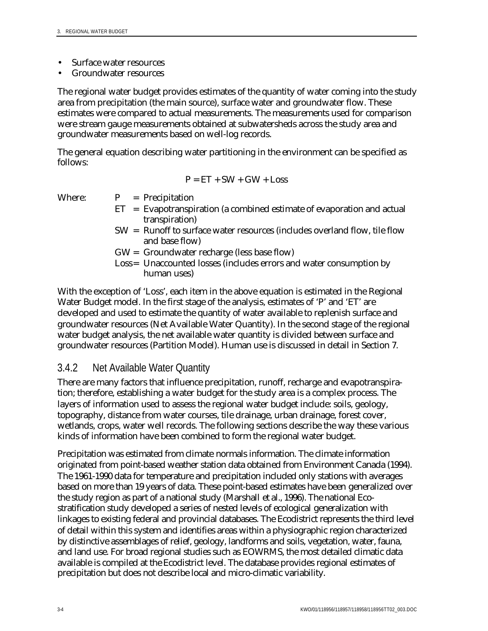- Surface water resources
- Groundwater resources

The regional water budget provides estimates of the quantity of water coming into the study area from precipitation (the main source), surface water and groundwater flow. These estimates were compared to actual measurements. The measurements used for comparison were stream gauge measurements obtained at subwatersheds across the study area and groundwater measurements based on well-log records.

The general equation describing water partitioning in the environment can be specified as follows:

$$
P = ET + SW + GW + Loss
$$

- Where:  $P = Precipitation$ 
	- $ET$  = Evapotranspiration (a combined estimate of evaporation and actual transpiration)
	- SW = Runoff to surface water resources (includes overland flow, tile flow and base flow)
	- GW = Groundwater recharge (less base flow)
	- Loss= Unaccounted losses (includes errors and water consumption by human uses)

With the exception of 'Loss', each item in the above equation is estimated in the Regional Water Budget model. In the first stage of the analysis, estimates of 'P' and 'ET' are developed and used to estimate the quantity of water available to replenish surface and groundwater resources (Net Available Water Quantity). In the second stage of the regional water budget analysis, the net available water quantity is divided between surface and groundwater resources (Partition Model). Human use is discussed in detail in Section 7.

#### 3.4.2 Net Available Water Quantity

There are many factors that influence precipitation, runoff, recharge and evapotranspiration; therefore, establishing a water budget for the study area is a complex process. The layers of information used to assess the regional water budget include: soils, geology, topography, distance from water courses, tile drainage, urban drainage, forest cover, wetlands, crops, water well records. The following sections describe the way these various kinds of information have been combined to form the regional water budget.

Precipitation was estimated from climate normals information. The climate information originated from point-based weather station data obtained from Environment Canada (1994). The 1961-1990 data for temperature and precipitation included only stations with averages based on more than 19 years of data. These point-based estimates have been generalized over the study region as part of a national study (Marshall et al., 1996). The national Ecostratification study developed a series of nested levels of ecological generalization with linkages to existing federal and provincial databases. The Ecodistrict represents the third level of detail within this system and identifies areas within a physiographic region characterized by distinctive assemblages of relief, geology, landforms and soils, vegetation, water, fauna, and land use. For broad regional studies such as EOWRMS, the most detailed climatic data available is compiled at the Ecodistrict level. The database provides regional estimates of precipitation but does not describe local and micro-climatic variability.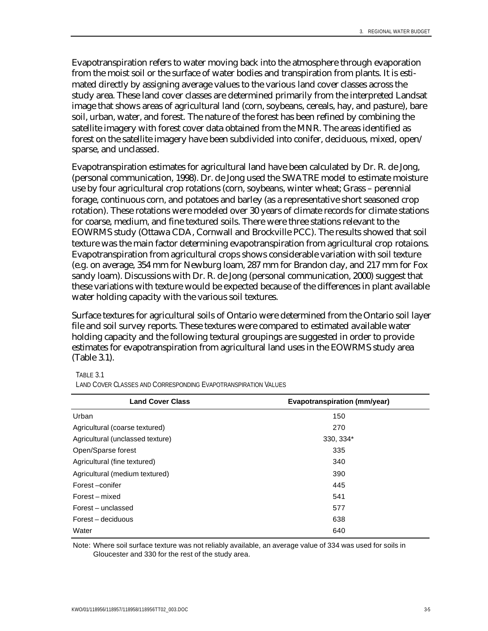Evapotranspiration refers to water moving back into the atmosphere through evaporation from the moist soil or the surface of water bodies and transpiration from plants. It is estimated directly by assigning average values to the various land cover classes across the study area. These land cover classes are determined primarily from the interpreted Landsat image that shows areas of agricultural land (corn, soybeans, cereals, hay, and pasture), bare soil, urban, water, and forest. The nature of the forest has been refined by combining the satellite imagery with forest cover data obtained from the MNR. The areas identified as forest on the satellite imagery have been subdivided into conifer, deciduous, mixed, open/ sparse, and unclassed.

Evapotranspiration estimates for agricultural land have been calculated by Dr. R. de Jong, (personal communication, 1998). Dr. de Jong used the SWATRE model to estimate moisture use by four agricultural crop rotations (corn, soybeans, winter wheat; Grass – perennial forage, continuous corn, and potatoes and barley (as a representative short seasoned crop rotation). These rotations were modeled over 30 years of climate records for climate stations for coarse, medium, and fine textured soils. There were three stations relevant to the EOWRMS study (Ottawa CDA, Cornwall and Brockville PCC). The results showed that soil texture was the main factor determining evapotranspiration from agricultural crop rotaions. Evapotranspiration from agricultural crops shows considerable variation with soil texture (e.g. on average, 354 mm for Newburg loam, 287 mm for Brandon clay, and 217 mm for Fox sandy loam). Discussions with Dr. R. de Jong (personal communication, 2000) suggest that these variations with texture would be expected because of the differences in plant available water holding capacity with the various soil textures.

Surface textures for agricultural soils of Ontario were determined from the Ontario soil layer file and soil survey reports. These textures were compared to estimated available water holding capacity and the following textural groupings are suggested in order to provide estimates for evapotranspiration from agricultural land uses in the EOWRMS study area (Table 3.1).

#### TABLE 3.1

LAND COVER CLASSES AND CORRESPONDING EVAPOTRANSPIRATION VALUES

| <b>Land Cover Class</b>          | <b>Evapotranspiration (mm/year)</b> |
|----------------------------------|-------------------------------------|
| Urban                            | 150                                 |
| Agricultural (coarse textured)   | 270                                 |
| Agricultural (unclassed texture) | 330, 334*                           |
| Open/Sparse forest               | 335                                 |
| Agricultural (fine textured)     | 340                                 |
| Agricultural (medium textured)   | 390                                 |
| Forest-conifer                   | 445                                 |
| Forest – mixed                   | 541                                 |
| Forest – unclassed               | 577                                 |
| Forest – deciduous               | 638                                 |
| Water                            | 640                                 |

Note: Where soil surface texture was not reliably available, an average value of 334 was used for soils in Gloucester and 330 for the rest of the study area.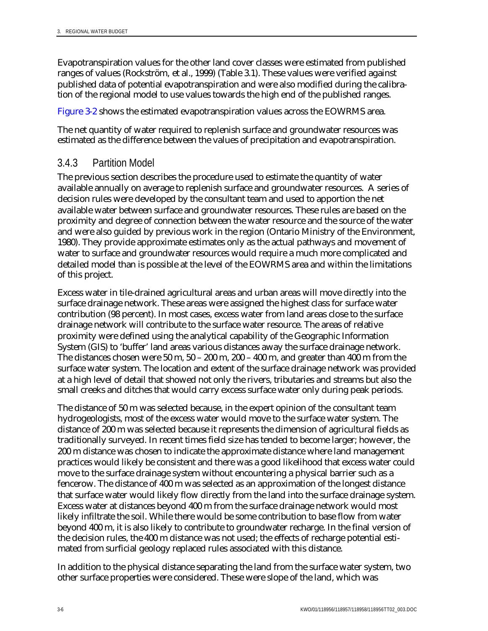Evapotranspiration values for the other land cover classes were estimated from published ranges of values (Rockström, et al., 1999) (Table 3.1). These values were verified against published data of potential evapotranspiration and were also modified during the calibration of the regional model to use values towards the high end of the published ranges.

Figure 3-2 shows the estimated evapotranspiration values across the EOWRMS area.

The net quantity of water required to replenish surface and groundwater resources was estimated as the difference between the values of precipitation and evapotranspiration.

## 3.4.3 Partition Model

The previous section describes the procedure used to estimate the quantity of water available annually on average to replenish surface and groundwater resources. A series of decision rules were developed by the consultant team and used to apportion the net available water between surface and groundwater resources. These rules are based on the proximity and degree of connection between the water resource and the source of the water and were also guided by previous work in the region (Ontario Ministry of the Environment, 1980). They provide approximate estimates only as the actual pathways and movement of water to surface and groundwater resources would require a much more complicated and detailed model than is possible at the level of the EOWRMS area and within the limitations of this project.

Excess water in tile-drained agricultural areas and urban areas will move directly into the surface drainage network. These areas were assigned the highest class for surface water contribution (98 percent). In most cases, excess water from land areas close to the surface drainage network will contribute to the surface water resource. The areas of relative proximity were defined using the analytical capability of the Geographic Information System (GIS) to 'buffer' land areas various distances away the surface drainage network. The distances chosen were  $50$  m,  $50 - 200$  m,  $200 - 400$  m, and greater than  $400$  m from the surface water system. The location and extent of the surface drainage network was provided at a high level of detail that showed not only the rivers, tributaries and streams but also the small creeks and ditches that would carry excess surface water only during peak periods.

The distance of 50 m was selected because, in the expert opinion of the consultant team hydrogeologists, most of the excess water would move to the surface water system. The distance of 200 m was selected because it represents the dimension of agricultural fields as traditionally surveyed. In recent times field size has tended to become larger; however, the 200 m distance was chosen to indicate the approximate distance where land management practices would likely be consistent and there was a good likelihood that excess water could move to the surface drainage system without encountering a physical barrier such as a fencerow. The distance of 400 m was selected as an approximation of the longest distance that surface water would likely flow directly from the land into the surface drainage system. Excess water at distances beyond 400 m from the surface drainage network would most likely infiltrate the soil. While there would be some contribution to base flow from water beyond 400 m, it is also likely to contribute to groundwater recharge. In the final version of the decision rules, the 400 m distance was not used; the effects of recharge potential estimated from surficial geology replaced rules associated with this distance.

In addition to the physical distance separating the land from the surface water system, two other surface properties were considered. These were slope of the land, which was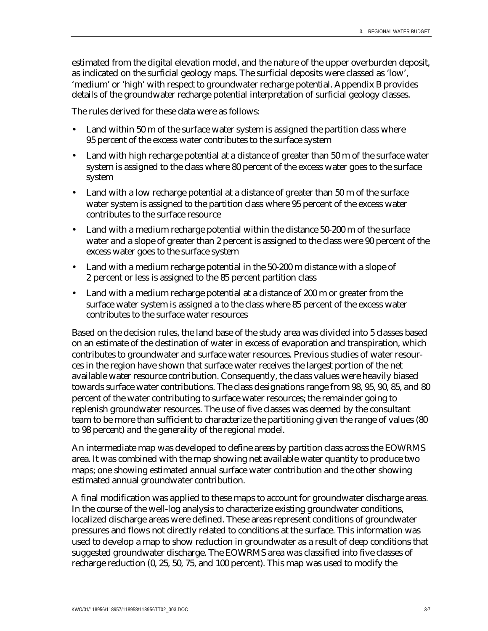estimated from the digital elevation model, and the nature of the upper overburden deposit, as indicated on the surficial geology maps. The surficial deposits were classed as 'low', 'medium' or 'high' with respect to groundwater recharge potential. Appendix B provides details of the groundwater recharge potential interpretation of surficial geology classes.

The rules derived for these data were as follows:

- Land within 50 m of the surface water system is assigned the partition class where 95 percent of the excess water contributes to the surface system
- Land with high recharge potential at a distance of greater than 50 m of the surface water system is assigned to the class where 80 percent of the excess water goes to the surface system
- Land with a low recharge potential at a distance of greater than 50 m of the surface water system is assigned to the partition class where 95 percent of the excess water contributes to the surface resource
- Land with a medium recharge potential within the distance 50-200 m of the surface water and a slope of greater than 2 percent is assigned to the class were 90 percent of the excess water goes to the surface system
- Land with a medium recharge potential in the 50-200 m distance with a slope of 2 percent or less is assigned to the 85 percent partition class
- Land with a medium recharge potential at a distance of 200 m or greater from the surface water system is assigned a to the class where 85 percent of the excess water contributes to the surface water resources

Based on the decision rules, the land base of the study area was divided into 5 classes based on an estimate of the destination of water in excess of evaporation and transpiration, which contributes to groundwater and surface water resources. Previous studies of water resources in the region have shown that surface water receives the largest portion of the net available water resource contribution. Consequently, the class values were heavily biased towards surface water contributions. The class designations range from 98, 95, 90, 85, and 80 percent of the water contributing to surface water resources; the remainder going to replenish groundwater resources. The use of five classes was deemed by the consultant team to be more than sufficient to characterize the partitioning given the range of values (80 to 98 percent) and the generality of the regional model.

An intermediate map was developed to define areas by partition class across the EOWRMS area. It was combined with the map showing net available water quantity to produce two maps; one showing estimated annual surface water contribution and the other showing estimated annual groundwater contribution.

A final modification was applied to these maps to account for groundwater discharge areas. In the course of the well-log analysis to characterize existing groundwater conditions, localized discharge areas were defined. These areas represent conditions of groundwater pressures and flows not directly related to conditions at the surface. This information was used to develop a map to show reduction in groundwater as a result of deep conditions that suggested groundwater discharge. The EOWRMS area was classified into five classes of recharge reduction (0, 25, 50, 75, and 100 percent). This map was used to modify the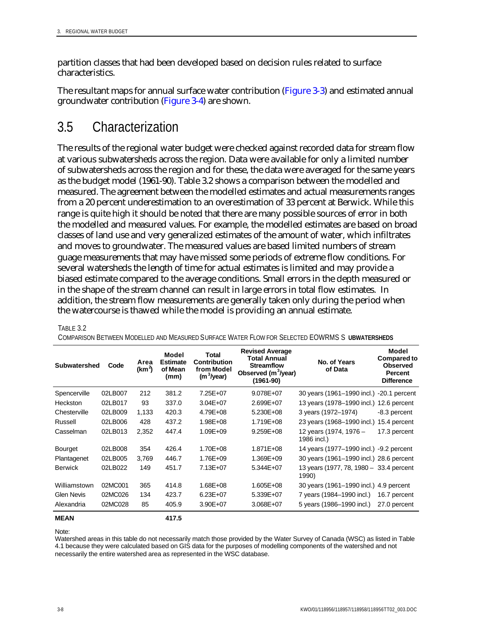partition classes that had been developed based on decision rules related to surface characteristics.

The resultant maps for annual surface water contribution (Figure 3-3) and estimated annual groundwater contribution (Figure 3-4) are shown.

## 3.5 Characterization

The results of the regional water budget were checked against recorded data for stream flow at various subwatersheds across the region. Data were available for only a limited number of subwatersheds across the region and for these, the data were averaged for the same years as the budget model (1961-90). Table 3.2 shows a comparison between the modelled and measured. The agreement between the modelled estimates and actual measurements ranges from a 20 percent underestimation to an overestimation of 33 percent at Berwick. While this range is quite high it should be noted that there are many possible sources of error in both the modelled and measured values. For example, the modelled estimates are based on broad classes of land use and very generalized estimates of the amount of water, which infiltrates and moves to groundwater. The measured values are based limited numbers of stream guage measurements that may have missed some periods of extreme flow conditions. For several watersheds the length of time for actual estimates is limited and may provide a biased estimate compared to the average conditions. Small errors in the depth measured or in the shape of the stream channel can result in large errors in total flow estimates. In addition, the stream flow measurements are generally taken only during the period when the watercourse is thawed while the model is providing an annual estimate.

| <b>Subwatershed</b> | Code    | Area<br>(km <sup>2</sup> ) | Model<br><b>Estimate</b><br>of Mean<br>(mm) | Total<br><b>Contribution</b><br>from Model<br>(m <sup>3</sup> /year) | <b>Revised Average</b><br><b>Total Annual</b><br><b>Streamflow</b><br>Observed (m <sup>3</sup> /year)<br>$(1961 - 90)$ | No. of Years<br>of Data                          | Model<br><b>Compared to</b><br><b>Observed</b><br>Percent<br><b>Difference</b> |
|---------------------|---------|----------------------------|---------------------------------------------|----------------------------------------------------------------------|------------------------------------------------------------------------------------------------------------------------|--------------------------------------------------|--------------------------------------------------------------------------------|
| Spencerville        | 02LB007 | 212                        | 381.2                                       | 7.25E+07                                                             | 9.078E+07                                                                                                              | 30 years (1961-1990 incl.)                       | -20.1 percent                                                                  |
| Heckston            | 02LB017 | 93                         | 337.0                                       | $3.04E + 07$                                                         | 2.699E+07                                                                                                              | 13 years (1978–1990 incl.)                       | 12.6 percent                                                                   |
| Chesterville        | 02LB009 | 1,133                      | 420.3                                       | 4.79E+08                                                             | 5.230E+08                                                                                                              | 3 years (1972-1974)                              | -8.3 percent                                                                   |
| Russell             | 02LB006 | 428                        | 437.2                                       | 1.98E+08                                                             | 1.719E+08                                                                                                              | 23 years (1968–1990 incl.)                       | 15.4 percent                                                                   |
| Casselman           | 02LB013 | 2,352                      | 447.4                                       | 1.09E+09                                                             | 9.259E+08                                                                                                              | 12 years (1974, 1976 -<br>1986 incl.)            | 17.3 percent                                                                   |
| <b>Bourget</b>      | 02LB008 | 354                        | 426.4                                       | 1.70E+08                                                             | 1.871E+08                                                                                                              | 14 years (1977–1990 incl.) -9.2 percent          |                                                                                |
| Plantagenet         | 02LB005 | 3,769                      | 446.7                                       | 1.76E+09                                                             | 1.369E+09                                                                                                              | 30 years (1961–1990 incl.) 28.6 percent          |                                                                                |
| <b>Berwick</b>      | 02LB022 | 149                        | 451.7                                       | 7.13E+07                                                             | 5.344E+07                                                                                                              | 13 years (1977, 78, 1980 - 33.4 percent<br>1990) |                                                                                |
| Williamstown        | 02MC001 | 365                        | 414.8                                       | 1.68E+08                                                             | 1.605E+08                                                                                                              | 30 years (1961–1990 incl.)                       | 4.9 percent                                                                    |
| <b>Glen Nevis</b>   | 02MC026 | 134                        | 423.7                                       | $6.23E + 07$                                                         | 5.339E+07                                                                                                              | 7 years (1984–1990 incl.)                        | 16.7 percent                                                                   |
| Alexandria          | 02MC028 | 85                         | 405.9                                       | 3.90E+07                                                             | 3.068E+07                                                                                                              | 5 years (1986–1990 incl.)                        | 27.0 percent                                                                   |
| <b>MEAN</b>         |         |                            | 417.5                                       |                                                                      |                                                                                                                        |                                                  |                                                                                |

COMPARISON BETWEEN MODELLED AND MEASURED SURFACE WATER FLOW FOR SELECTED EOWRMS S **UBWATERSHEDS**

Note:

TABLE 3.2

Watershed areas in this table do not necessarily match those provided by the Water Survey of Canada (WSC) as listed in Table 4.1 because they were calculated based on GIS data for the purposes of modelling components of the watershed and not necessarily the entire watershed area as represented in the WSC database.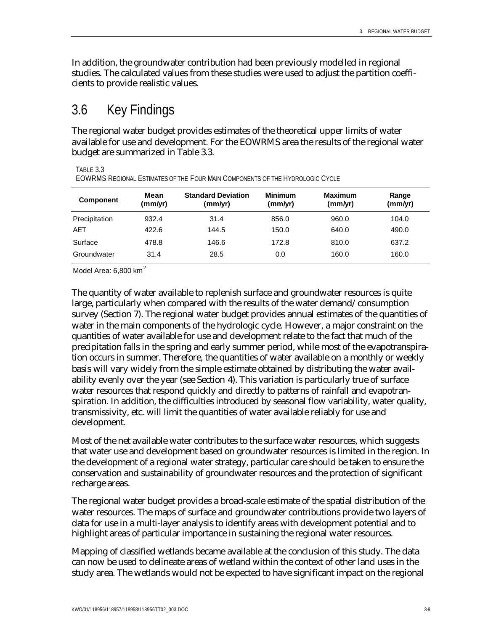In addition, the groundwater contribution had been previously modelled in regional studies. The calculated values from these studies were used to adjust the partition coefficients to provide realistic values.

## 3.6 Key Findings

The regional water budget provides estimates of the theoretical upper limits of water available for use and development. For the EOWRMS area the results of the regional water budget are summarized in Table 3.3.

TABLE 3.3

EOWRMS REGIONAL ESTIMATES OF THE FOUR MAIN COMPONENTS OF THE HYDROLOGIC CYCLE

| <b>Component</b> | Mean<br>(mm/yr) | <b>Standard Deviation</b><br>(mm/yr) | <b>Minimum</b><br>(mm/yr) | <b>Maximum</b><br>(mm/yr) | Range<br>(mm/yr) |
|------------------|-----------------|--------------------------------------|---------------------------|---------------------------|------------------|
| Precipitation    | 932.4           | 31.4                                 | 856.0                     | 960.0                     | 104.0            |
| <b>AET</b>       | 422.6           | 144.5                                | 150.0                     | 640.0                     | 490.0            |
| Surface          | 478.8           | 146.6                                | 172.8                     | 810.0                     | 637.2            |
| Groundwater      | 31.4            | 28.5                                 | 0.0                       | 160.0                     | 160.0            |

Model Area:  $6.800$  km<sup>2</sup>

The quantity of water available to replenish surface and groundwater resources is quite large, particularly when compared with the results of the water demand/consumption survey (Section 7). The regional water budget provides annual estimates of the quantities of water in the main components of the hydrologic cycle. However, a major constraint on the quantities of water available for use and development relate to the fact that much of the precipitation falls in the spring and early summer period, while most of the evapotranspiration occurs in summer. Therefore, the quantities of water available on a monthly or weekly basis will vary widely from the simple estimate obtained by distributing the water availability evenly over the year (see Section 4). This variation is particularly true of surface water resources that respond quickly and directly to patterns of rainfall and evapotranspiration. In addition, the difficulties introduced by seasonal flow variability, water quality, transmissivity, etc. will limit the quantities of water available reliably for use and development.

Most of the net available water contributes to the surface water resources, which suggests that water use and development based on groundwater resources is limited in the region. In the development of a regional water strategy, particular care should be taken to ensure the conservation and sustainability of groundwater resources and the protection of significant recharge areas.

The regional water budget provides a broad-scale estimate of the spatial distribution of the water resources. The maps of surface and groundwater contributions provide two layers of data for use in a multi-layer analysis to identify areas with development potential and to highlight areas of particular importance in sustaining the regional water resources.

Mapping of classified wetlands became available at the conclusion of this study. The data can now be used to delineate areas of wetland within the context of other land uses in the study area. The wetlands would not be expected to have significant impact on the regional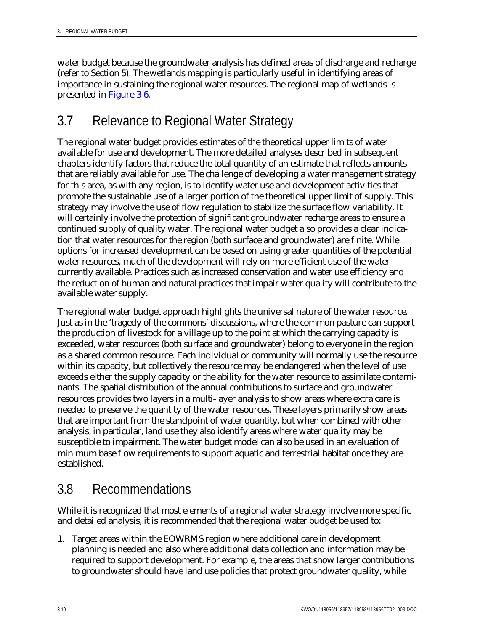water budget because the groundwater analysis has defined areas of discharge and recharge (refer to Section 5). The wetlands mapping is particularly useful in identifying areas of importance in sustaining the regional water resources. The regional map of wetlands is presented in Figure 3-6.

## 3.7 Relevance to Regional Water Strategy

The regional water budget provides estimates of the theoretical upper limits of water available for use and development. The more detailed analyses described in subsequent chapters identify factors that reduce the total quantity of an estimate that reflects amounts that are reliably available for use. The challenge of developing a water management strategy for this area, as with any region, is to identify water use and development activities that promote the sustainable use of a larger portion of the theoretical upper limit of supply. This strategy may involve the use of flow regulation to stabilize the surface flow variability. It will certainly involve the protection of significant groundwater recharge areas to ensure a continued supply of quality water. The regional water budget also provides a clear indication that water resources for the region (both surface and groundwater) are finite. While options for increased development can be based on using greater quantities of the potential water resources, much of the development will rely on more efficient use of the water currently available. Practices such as increased conservation and water use efficiency and the reduction of human and natural practices that impair water quality will contribute to the available water supply.

The regional water budget approach highlights the universal nature of the water resource. Just as in the 'tragedy of the commons' discussions, where the common pasture can support the production of livestock for a village up to the point at which the carrying capacity is exceeded, water resources (both surface and groundwater) belong to everyone in the region as a shared common resource. Each individual or community will normally use the resource within its capacity, but collectively the resource may be endangered when the level of use exceeds either the supply capacity or the ability for the water resource to assimilate contaminants. The spatial distribution of the annual contributions to surface and groundwater resources provides two layers in a multi-layer analysis to show areas where extra care is needed to preserve the quantity of the water resources. These layers primarily show areas that are important from the standpoint of water quantity, but when combined with other analysis, in particular, land use they also identify areas where water quality may be susceptible to impairment. The water budget model can also be used in an evaluation of minimum base flow requirements to support aquatic and terrestrial habitat once they are established.

## 3.8 Recommendations

While it is recognized that most elements of a regional water strategy involve more specific and detailed analysis, it is recommended that the regional water budget be used to:

1. Target areas within the EOWRMS region where additional care in development planning is needed and also where additional data collection and information may be required to support development. For example, the areas that show larger contributions to groundwater should have land use policies that protect groundwater quality, while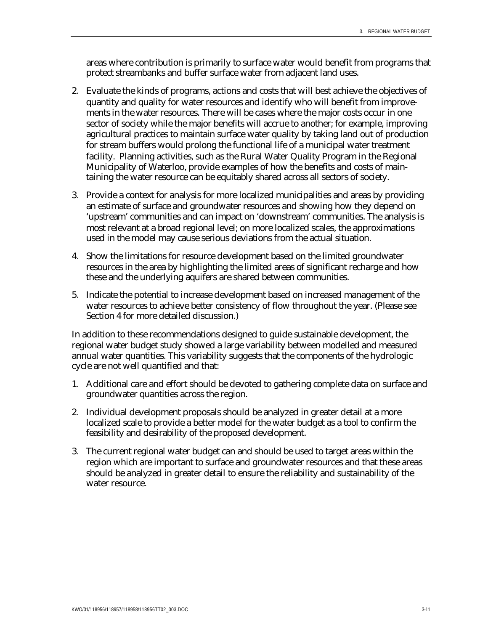areas where contribution is primarily to surface water would benefit from programs that protect streambanks and buffer surface water from adjacent land uses.

- 2. Evaluate the kinds of programs, actions and costs that will best achieve the objectives of quantity and quality for water resources and identify who will benefit from improvements in the water resources. There will be cases where the major costs occur in one sector of society while the major benefits will accrue to another; for example, improving agricultural practices to maintain surface water quality by taking land out of production for stream buffers would prolong the functional life of a municipal water treatment facility. Planning activities, such as the Rural Water Quality Program in the Regional Municipality of Waterloo, provide examples of how the benefits and costs of maintaining the water resource can be equitably shared across all sectors of society.
- 3. Provide a context for analysis for more localized municipalities and areas by providing an estimate of surface and groundwater resources and showing how they depend on 'upstream' communities and can impact on 'downstream' communities. The analysis is most relevant at a broad regional level; on more localized scales, the approximations used in the model may cause serious deviations from the actual situation.
- 4. Show the limitations for resource development based on the limited groundwater resources in the area by highlighting the limited areas of significant recharge and how these and the underlying aquifers are shared between communities.
- 5. Indicate the potential to increase development based on increased management of the water resources to achieve better consistency of flow throughout the year. (Please see Section 4 for more detailed discussion.)

In addition to these recommendations designed to guide sustainable development, the regional water budget study showed a large variability between modelled and measured annual water quantities. This variability suggests that the components of the hydrologic cycle are not well quantified and that:

- 1. Additional care and effort should be devoted to gathering complete data on surface and groundwater quantities across the region.
- 2. Individual development proposals should be analyzed in greater detail at a more localized scale to provide a better model for the water budget as a tool to confirm the feasibility and desirability of the proposed development.
- 3. The current regional water budget can and should be used to target areas within the region which are important to surface and groundwater resources and that these areas should be analyzed in greater detail to ensure the reliability and sustainability of the water resource.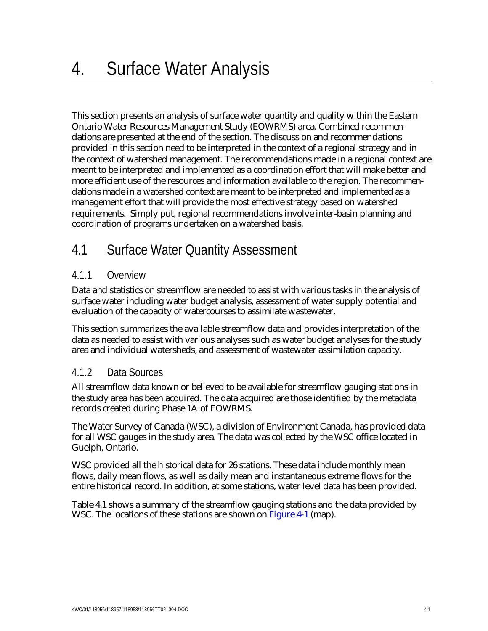This section presents an analysis of surface water quantity and quality within the Eastern Ontario Water Resources Management Study (EOWRMS) area. Combined recommendations are presented at the end of the section. The discussion and recommendations provided in this section need to be interpreted in the context of a regional strategy and in the context of watershed management. The recommendations made in a regional context are meant to be interpreted and implemented as a coordination effort that will make better and more efficient use of the resources and information available to the region. The recommendations made in a watershed context are meant to be interpreted and implemented as a management effort that will provide the most effective strategy based on watershed requirements. Simply put, regional recommendations involve inter-basin planning and coordination of programs undertaken on a watershed basis.

# 4.1 Surface Water Quantity Assessment

## 4.1.1 Overview

Data and statistics on streamflow are needed to assist with various tasks in the analysis of surface water including water budget analysis, assessment of water supply potential and evaluation of the capacity of watercourses to assimilate wastewater.

This section summarizes the available streamflow data and provides interpretation of the data as needed to assist with various analyses such as water budget analyses for the study area and individual watersheds, and assessment of wastewater assimilation capacity.

## 4.1.2 Data Sources

All streamflow data known or believed to be available for streamflow gauging stations in the study area has been acquired. The data acquired are those identified by the metadata records created during Phase 1A of EOWRMS.

The Water Survey of Canada (WSC), a division of Environment Canada, has provided data for all WSC gauges in the study area. The data was collected by the WSC office located in Guelph, Ontario.

WSC provided all the historical data for 26 stations. These data include monthly mean flows, daily mean flows, as well as daily mean and instantaneous extreme flows for the entire historical record. In addition, at some stations, water level data has been provided.

Table 4.1 shows a summary of the streamflow gauging stations and the data provided by WSC. The locations of these stations are shown on Figure 4-1 (map).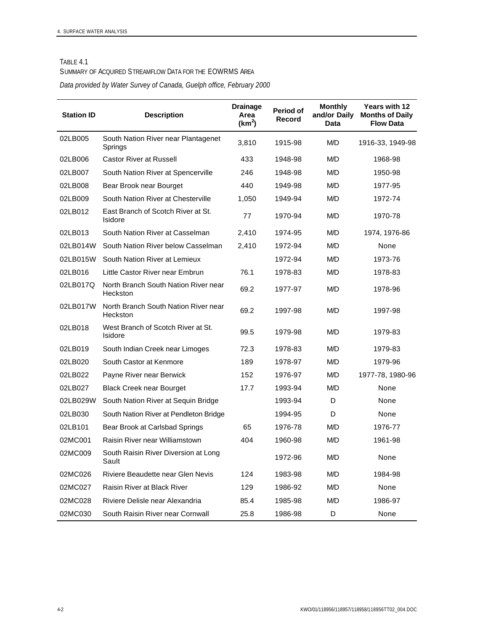#### TABLE 4.1

#### SUMMARY OF ACQUIRED STREAMFLOW DATA FOR THE EOWRMS AREA

*Data provided by Water Survey of Canada, Guelph office, February 2000*

| <b>Station ID</b> | <b>Description</b>                                   | <b>Drainage</b><br>Area<br>(km <sup>2</sup> ) | Period of<br>Record | <b>Monthly</b><br>and/or Daily<br>Data | <b>Years with 12</b><br><b>Months of Daily</b><br><b>Flow Data</b> |
|-------------------|------------------------------------------------------|-----------------------------------------------|---------------------|----------------------------------------|--------------------------------------------------------------------|
| 02LB005           | South Nation River near Plantagenet<br>Springs       | 3,810                                         | 1915-98             | M/D                                    | 1916-33, 1949-98                                                   |
| 02LB006           | <b>Castor River at Russell</b>                       | 433                                           | 1948-98             | <b>M/D</b>                             | 1968-98                                                            |
| 02LB007           | South Nation River at Spencerville                   | 246                                           | 1948-98             | M/D                                    | 1950-98                                                            |
| 02LB008           | Bear Brook near Bourget                              | 440                                           | 1949-98             | M/D                                    | 1977-95                                                            |
| 02LB009           | South Nation River at Chesterville                   | 1,050                                         | 1949-94             | M/D                                    | 1972-74                                                            |
| 02LB012           | East Branch of Scotch River at St.<br><b>Isidore</b> | 77                                            | 1970-94             | M/D                                    | 1970-78                                                            |
| 02LB013           | South Nation River at Casselman                      | 2,410                                         | 1974-95             | M/D                                    | 1974, 1976-86                                                      |
| 02LB014W          | South Nation River below Casselman                   | 2,410                                         | 1972-94             | M/D                                    | None                                                               |
| 02LB015W          | South Nation River at Lemieux                        |                                               | 1972-94             | M/D                                    | 1973-76                                                            |
| 02LB016           | Little Castor River near Embrun                      | 76.1                                          | 1978-83             | M/D                                    | 1978-83                                                            |
| 02LB017Q          | North Branch South Nation River near<br>Heckston     | 69.2                                          | 1977-97             | M/D                                    | 1978-96                                                            |
| 02LB017W          | North Branch South Nation River near<br>Heckston     | 69.2                                          | 1997-98             | M/D                                    | 1997-98                                                            |
| 02LB018           | West Branch of Scotch River at St.<br>Isidore        | 99.5                                          | 1979-98             | M/D                                    | 1979-83                                                            |
| 02LB019           | South Indian Creek near Limoges                      | 72.3                                          | 1978-83             | M/D                                    | 1979-83                                                            |
| 02LB020           | South Castor at Kenmore                              | 189                                           | 1978-97             | M/D                                    | 1979-96                                                            |
| 02LB022           | Payne River near Berwick                             | 152                                           | 1976-97             | M/D                                    | 1977-78, 1980-96                                                   |
| 02LB027           | <b>Black Creek near Bourget</b>                      | 17.7                                          | 1993-94             | M/D                                    | None                                                               |
| 02LB029W          | South Nation River at Sequin Bridge                  |                                               | 1993-94             | D                                      | None                                                               |
| 02LB030           | South Nation River at Pendleton Bridge               |                                               | 1994-95             | D                                      | None                                                               |
| 02LB101           | Bear Brook at Carlsbad Springs                       | 65                                            | 1976-78             | M/D                                    | 1976-77                                                            |
| 02MC001           | Raisin River near Williamstown                       | 404                                           | 1960-98             | M/D                                    | 1961-98                                                            |
| 02MC009           | South Raisin River Diversion at Long<br>Sault        |                                               | 1972-96             | M/D                                    | None                                                               |
| 02MC026           | Riviere Beaudette near Glen Nevis                    | 124                                           | 1983-98             | M/D                                    | 1984-98                                                            |
| 02MC027           | Raisin River at Black River                          | 129                                           | 1986-92             | M/D                                    | None                                                               |
| 02MC028           | Riviere Delisle near Alexandria                      | 85.4                                          | 1985-98             | M/D                                    | 1986-97                                                            |
| 02MC030           | South Raisin River near Cornwall                     | 25.8                                          | 1986-98             | D                                      | None                                                               |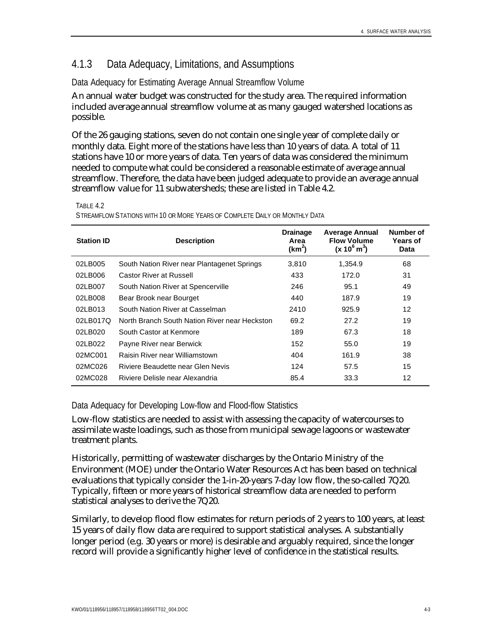## 4.1.3 Data Adequacy, Limitations, and Assumptions

### Data Adequacy for Estimating Average Annual Streamflow Volume

An annual water budget was constructed for the study area. The required information included average annual streamflow volume at as many gauged watershed locations as possible.

Of the 26 gauging stations, seven do not contain one single year of complete daily or monthly data. Eight more of the stations have less than 10 years of data. A total of 11 stations have 10 or more years of data. Ten years of data was considered the minimum needed to compute what could be considered a reasonable estimate of average annual streamflow. Therefore, the data have been judged adequate to provide an average annual streamflow value for 11 subwatersheds; these are listed in Table 4.2.

TABLE 4.2

STREAMFLOW STATIONS WITH 10 OR MORE YEARS OF COMPLETE DAILY OR MONTHLY DATA

| <b>Station ID</b> | <b>Description</b>                            | <b>Drainage</b><br>Area<br>(km <sup>2</sup> ) | <b>Average Annual</b><br><b>Flow Volume</b><br>$(x 10^6 \text{ m}^3)$ | Number of<br><b>Years of</b><br>Data |
|-------------------|-----------------------------------------------|-----------------------------------------------|-----------------------------------------------------------------------|--------------------------------------|
| 02LB005           | South Nation River near Plantagenet Springs   | 3,810                                         | 1,354.9                                                               | 68                                   |
| 02LB006           | Castor River at Russell                       | 433                                           | 172.0                                                                 | 31                                   |
| 02LB007           | South Nation River at Spencerville            | 246                                           | 95.1                                                                  | 49                                   |
| 02LB008           | Bear Brook near Bourget                       | 440                                           | 187.9                                                                 | 19                                   |
| 02LB013           | South Nation River at Casselman               | 2410                                          | 925.9                                                                 | 12                                   |
| 02LB017Q          | North Branch South Nation River near Heckston | 69.2                                          | 27.2                                                                  | 19                                   |
| 02LB020           | South Castor at Kenmore                       | 189                                           | 67.3                                                                  | 18                                   |
| 02LB022           | Payne River near Berwick                      | 152                                           | 55.0                                                                  | 19                                   |
| 02MC001           | Raisin River near Williamstown                | 404                                           | 161.9                                                                 | 38                                   |
| 02MC026           | Riviere Beaudette near Glen Nevis             | 124                                           | 57.5                                                                  | 15                                   |
| 02MC028           | Riviere Delisle near Alexandria               | 85.4                                          | 33.3                                                                  | 12                                   |

Data Adequacy for Developing Low-flow and Flood-flow Statistics

Low-flow statistics are needed to assist with assessing the capacity of watercourses to assimilate waste loadings, such as those from municipal sewage lagoons or wastewater treatment plants.

Historically, permitting of wastewater discharges by the Ontario Ministry of the Environment (MOE) under the Ontario Water Resources Act has been based on technical evaluations that typically consider the 1-in-20-years 7-day low flow, the so-called 7Q20. Typically, fifteen or more years of historical streamflow data are needed to perform statistical analyses to derive the 7Q20.

Similarly, to develop flood flow estimates for return periods of 2 years to 100 years, at least 15 years of daily flow data are required to support statistical analyses. A substantially longer period (e.g. 30 years or more) is desirable and arguably required, since the longer record will provide a significantly higher level of confidence in the statistical results.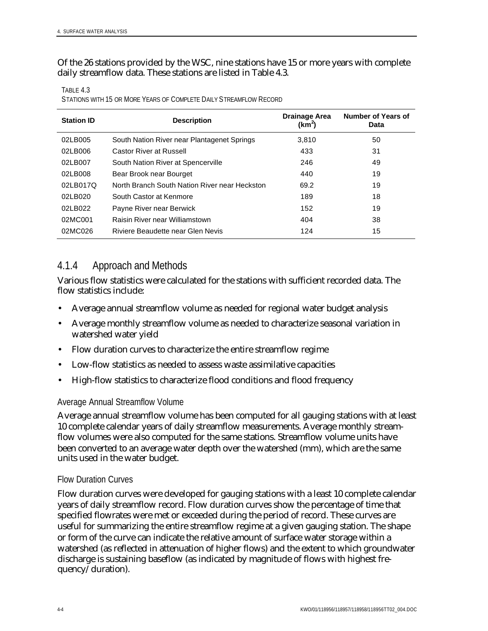Of the 26 stations provided by the WSC, nine stations have 15 or more years with complete daily streamflow data. These stations are listed in Table 4.3.

| <b>Station ID</b> | <b>Description</b>                            | Drainage Area<br>$(km^2)$ | Number of Years of<br><b>Data</b> |
|-------------------|-----------------------------------------------|---------------------------|-----------------------------------|
| 02LB005           | South Nation River near Plantagenet Springs   | 3,810                     | 50                                |
| 02LB006           | <b>Castor River at Russell</b>                | 433                       | 31                                |
| 02LB007           | South Nation River at Spencerville            | 246                       | 49                                |
| 02LB008           | Bear Brook near Bourget                       | 440                       | 19                                |
| 02LB017Q          | North Branch South Nation River near Heckston | 69.2                      | 19                                |
| 02LB020           | South Castor at Kenmore                       | 189                       | 18                                |
| 02LB022           | Payne River near Berwick                      | 152                       | 19                                |
| 02MC001           | Raisin River near Williamstown                | 404                       | 38                                |
| 02MC026           | Riviere Beaudette near Glen Nevis             | 124                       | 15                                |

TABLE 4.3 STATIONS WITH 15 OR MORE YEARS OF COMPLETE DAILY STREAMFLOW RECORD

### 4.1.4 Approach and Methods

Various flow statistics were calculated for the stations with sufficient recorded data. The flow statistics include:

- Average annual streamflow volume as needed for regional water budget analysis
- Average monthly streamflow volume as needed to characterize seasonal variation in watershed water yield
- Flow duration curves to characterize the entire streamflow regime
- Low-flow statistics as needed to assess waste assimilative capacities
- High-flow statistics to characterize flood conditions and flood frequency

#### Average Annual Streamflow Volume

Average annual streamflow volume has been computed for all gauging stations with at least 10 complete calendar years of daily streamflow measurements. Average monthly streamflow volumes were also computed for the same stations. Streamflow volume units have been converted to an average water depth over the watershed (mm), which are the same units used in the water budget.

#### Flow Duration Curves

Flow duration curves were developed for gauging stations with a least 10 complete calendar years of daily streamflow record. Flow duration curves show the percentage of time that specified flowrates were met or exceeded during the period of record. These curves are useful for summarizing the entire streamflow regime at a given gauging station. The shape or form of the curve can indicate the relative amount of surface water storage within a watershed (as reflected in attenuation of higher flows) and the extent to which groundwater discharge is sustaining baseflow (as indicated by magnitude of flows with highest frequency/duration).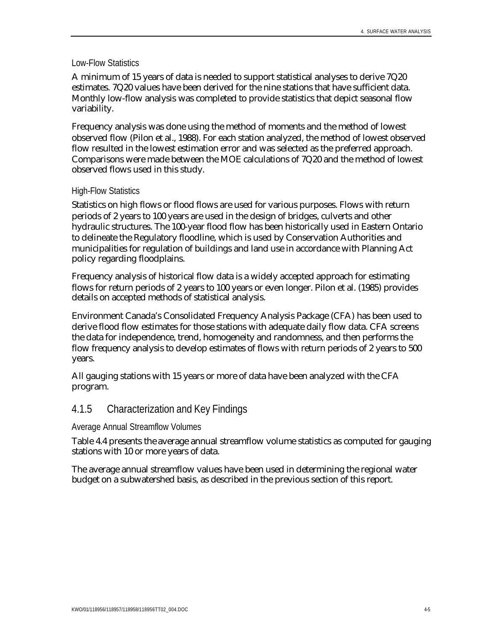#### Low-Flow Statistics

A minimum of 15 years of data is needed to support statistical analyses to derive 7Q20 estimates. 7Q20 values have been derived for the nine stations that have sufficient data. Monthly low-flow analysis was completed to provide statistics that depict seasonal flow variability.

Frequency analysis was done using the method of moments and the method of lowest observed flow (Pilon et al., 1988). For each station analyzed, the method of lowest observed flow resulted in the lowest estimation error and was selected as the preferred approach. Comparisons were made between the MOE calculations of 7Q20 and the method of lowest observed flows used in this study.

#### High-Flow Statistics

Statistics on high flows or flood flows are used for various purposes. Flows with return periods of 2 years to 100 years are used in the design of bridges, culverts and other hydraulic structures. The 100-year flood flow has been historically used in Eastern Ontario to delineate the Regulatory floodline, which is used by Conservation Authorities and municipalities for regulation of buildings and land use in accordance with Planning Act policy regarding floodplains.

Frequency analysis of historical flow data is a widely accepted approach for estimating flows for return periods of 2 years to 100 years or even longer. Pilon et al. (1985) provides details on accepted methods of statistical analysis.

Environment Canada's Consolidated Frequency Analysis Package (CFA) has been used to derive flood flow estimates for those stations with adequate daily flow data. CFA screens the data for independence, trend, homogeneity and randomness, and then performs the flow frequency analysis to develop estimates of flows with return periods of 2 years to 500 years.

All gauging stations with 15 years or more of data have been analyzed with the CFA program.

### 4.1.5 Characterization and Key Findings

#### Average Annual Streamflow Volumes

Table 4.4 presents the average annual streamflow volume statistics as computed for gauging stations with 10 or more years of data.

The average annual streamflow values have been used in determining the regional water budget on a subwatershed basis, as described in the previous section of this report.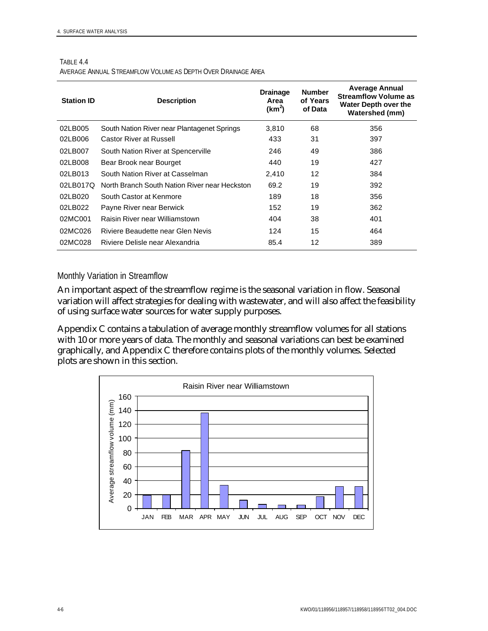TABLE 4.4

AVERAGE ANNUAL STREAMFLOW VOLUME AS DEPTH OVER DRAINAGE AREA

| <b>Station ID</b> | <b>Description</b>                            | <b>Drainage</b><br>Area<br>(km <sup>2</sup> ) | <b>Number</b><br>of Years<br>of Data | <b>Average Annual</b><br><b>Streamflow Volume as</b><br>Water Depth over the<br><b>Watershed (mm)</b> |
|-------------------|-----------------------------------------------|-----------------------------------------------|--------------------------------------|-------------------------------------------------------------------------------------------------------|
| 02LB005           | South Nation River near Plantagenet Springs   | 3.810                                         | 68                                   | 356                                                                                                   |
| 02LB006           | <b>Castor River at Russell</b>                | 433                                           | 31                                   | 397                                                                                                   |
| 02LB007           | South Nation River at Spencerville            | 246                                           | 49                                   | 386                                                                                                   |
| 02LB008           | Bear Brook near Bourget                       | 440                                           | 19                                   | 427                                                                                                   |
| 02LB013           | South Nation River at Casselman               | 2.410                                         | 12                                   | 384                                                                                                   |
| 02LB017Q          | North Branch South Nation River near Heckston | 69.2                                          | 19                                   | 392                                                                                                   |
| 02LB020           | South Castor at Kenmore                       | 189                                           | 18                                   | 356                                                                                                   |
| 02LB022           | Payne River near Berwick                      | 152                                           | 19                                   | 362                                                                                                   |
| 02MC001           | Raisin River near Williamstown                | 404                                           | 38                                   | 401                                                                                                   |
| 02MC026           | Riviere Beaudette near Glen Nevis             | 124                                           | 15                                   | 464                                                                                                   |
| 02MC028           | Riviere Delisle near Alexandria               | 85.4                                          | 12                                   | 389                                                                                                   |

#### Monthly Variation in Streamflow

An important aspect of the streamflow regime is the seasonal variation in flow. Seasonal variation will affect strategies for dealing with wastewater, and will also affect the feasibility of using surface water sources for water supply purposes.

Appendix C contains a tabulation of average monthly streamflow volumes for all stations with 10 or more years of data. The monthly and seasonal variations can best be examined graphically, and Appendix C therefore contains plots of the monthly volumes. Selected plots are shown in this section.

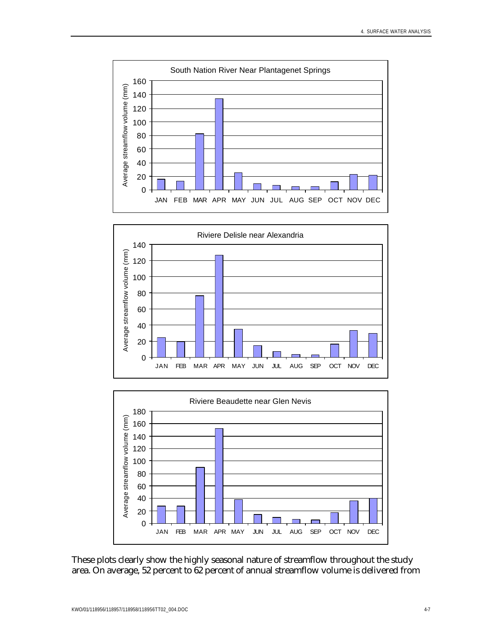





These plots clearly show the highly seasonal nature of streamflow throughout the study area. On average, 52 percent to 62 percent of annual streamflow volume is delivered from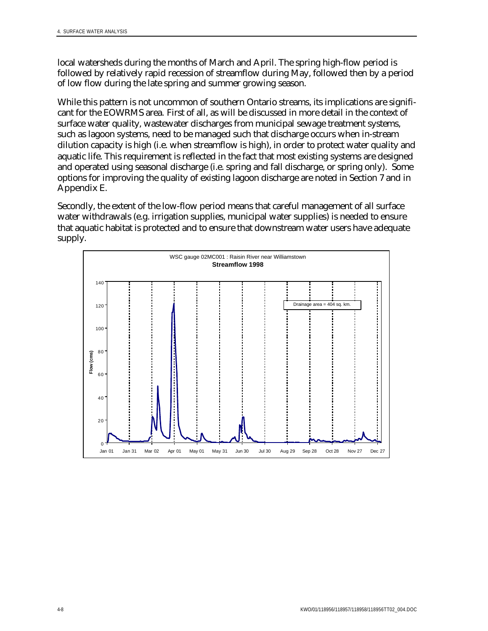local watersheds during the months of March and April. The spring high-flow period is followed by relatively rapid recession of streamflow during May, followed then by a period of low flow during the late spring and summer growing season.

While this pattern is not uncommon of southern Ontario streams, its implications are significant for the EOWRMS area. First of all, as will be discussed in more detail in the context of surface water quality, wastewater discharges from municipal sewage treatment systems, such as lagoon systems, need to be managed such that discharge occurs when in-stream dilution capacity is high (i.e. when streamflow is high), in order to protect water quality and aquatic life. This requirement is reflected in the fact that most existing systems are designed and operated using seasonal discharge (i.e. spring and fall discharge, or spring only). Some options for improving the quality of existing lagoon discharge are noted in Section 7 and in Appendix E.

Secondly, the extent of the low-flow period means that careful management of all surface water withdrawals (e.g. irrigation supplies, municipal water supplies) is needed to ensure that aquatic habitat is protected and to ensure that downstream water users have adequate supply.

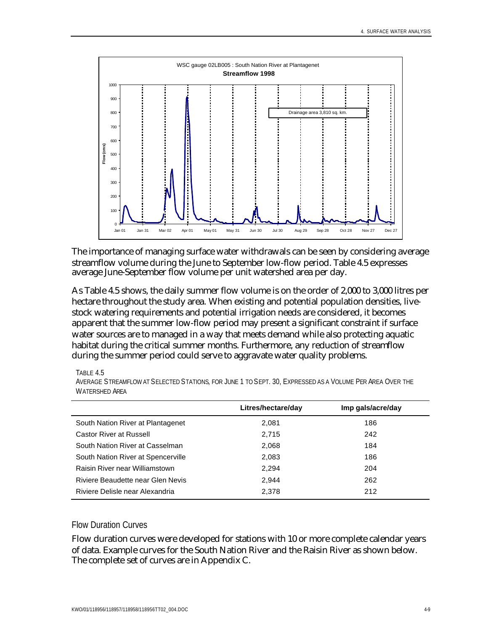

The importance of managing surface water withdrawals can be seen by considering average streamflow volume during the June to September low-flow period. Table 4.5 expresses average June-September flow volume per unit watershed area per day.

As Table 4.5 shows, the daily summer flow volume is on the order of 2,000 to 3,000 litres per hectare throughout the study area. When existing and potential population densities, livestock watering requirements and potential irrigation needs are considered, it becomes apparent that the summer low-flow period may present a significant constraint if surface water sources are to managed in a way that meets demand while also protecting aquatic habitat during the critical summer months. Furthermore, any reduction of streamflow during the summer period could serve to aggravate water quality problems.

TABLE 4.5

|                                    | Litres/hectare/day | Imp gals/acre/day |
|------------------------------------|--------------------|-------------------|
| South Nation River at Plantagenet  | 2,081              | 186               |
| <b>Castor River at Russell</b>     | 2.715              | 242               |
| South Nation River at Casselman    | 2,068              | 184               |
| South Nation River at Spencerville | 2,083              | 186               |
| Raisin River near Williamstown     | 2.294              | 204               |
| Riviere Beaudette near Glen Nevis  | 2.944              | 262               |
| Riviere Delisle near Alexandria    | 2.378              | 212               |

AVERAGE STREAMFLOW AT SELECTED STATIONS, FOR JUNE 1 TO SEPT. 30, EXPRESSED AS A VOLUME PER AREA OVER THE WATERSHED AREA

#### Flow Duration Curves

Flow duration curves were developed for stations with 10 or more complete calendar years of data. Example curves for the South Nation River and the Raisin River as shown below. The complete set of curves are in Appendix C.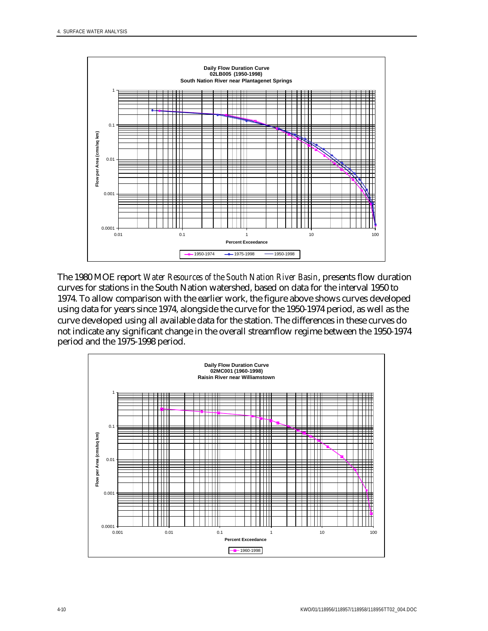

The 1980 MOE report *Water Resources of the South Nation River Basin*, presents flow duration curves for stations in the South Nation watershed, based on data for the interval 1950 to 1974. To allow comparison with the earlier work, the figure above shows curves developed using data for years since 1974, alongside the curve for the 1950-1974 period, as well as the curve developed using all available data for the station. The differences in these curves do not indicate any significant change in the overall streamflow regime between the 1950-1974 period and the 1975-1998 period.

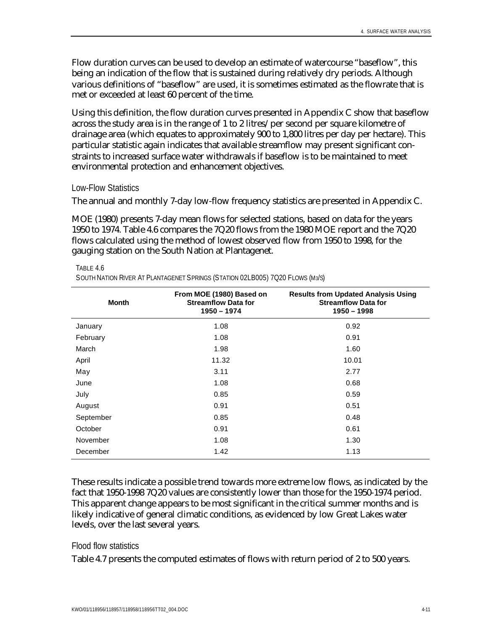Flow duration curves can be used to develop an estimate of watercourse "baseflow", this being an indication of the flow that is sustained during relatively dry periods. Although various definitions of "baseflow" are used, it is sometimes estimated as the flowrate that is met or exceeded at least 60 percent of the time.

Using this definition, the flow duration curves presented in Appendix C show that baseflow across the study area is in the range of 1 to 2 litres/per second per square kilometre of drainage area (which equates to approximately 900 to 1,800 litres per day per hectare). This particular statistic again indicates that available streamflow may present significant constraints to increased surface water withdrawals if baseflow is to be maintained to meet environmental protection and enhancement objectives.

#### Low-Flow Statistics

The annual and monthly 7-day low-flow frequency statistics are presented in Appendix C.

MOE (1980) presents 7-day mean flows for selected stations, based on data for the years 1950 to 1974. Table 4.6 compares the 7Q20 flows from the 1980 MOE report and the 7Q20 flows calculated using the method of lowest observed flow from 1950 to 1998, for the gauging station on the South Nation at Plantagenet.

#### TABLE 4.6

SOUTH NATION RIVER AT PLANTAGENET SPRINGS (STATION 02LB005) 7Q20 FLOWS (M3/S)

| Month     | From MOE (1980) Based on<br><b>Streamflow Data for</b><br>1950 - 1974 | <b>Results from Updated Analysis Using</b><br><b>Streamflow Data for</b><br>1950 - 1998 |
|-----------|-----------------------------------------------------------------------|-----------------------------------------------------------------------------------------|
| January   | 1.08                                                                  | 0.92                                                                                    |
| February  | 1.08                                                                  | 0.91                                                                                    |
| March     | 1.98                                                                  | 1.60                                                                                    |
| April     | 11.32                                                                 | 10.01                                                                                   |
| May       | 3.11                                                                  | 2.77                                                                                    |
| June      | 1.08                                                                  | 0.68                                                                                    |
| July      | 0.85                                                                  | 0.59                                                                                    |
| August    | 0.91                                                                  | 0.51                                                                                    |
| September | 0.85                                                                  | 0.48                                                                                    |
| October   | 0.91                                                                  | 0.61                                                                                    |
| November  | 1.08                                                                  | 1.30                                                                                    |
| December  | 1.42                                                                  | 1.13                                                                                    |

These results indicate a possible trend towards more extreme low flows, as indicated by the fact that 1950-1998 7Q20 values are consistently lower than those for the 1950-1974 period. This apparent change appears to be most significant in the critical summer months and is likely indicative of general climatic conditions, as evidenced by low Great Lakes water levels, over the last several years.

#### Flood flow statistics

Table 4.7 presents the computed estimates of flows with return period of 2 to 500 years.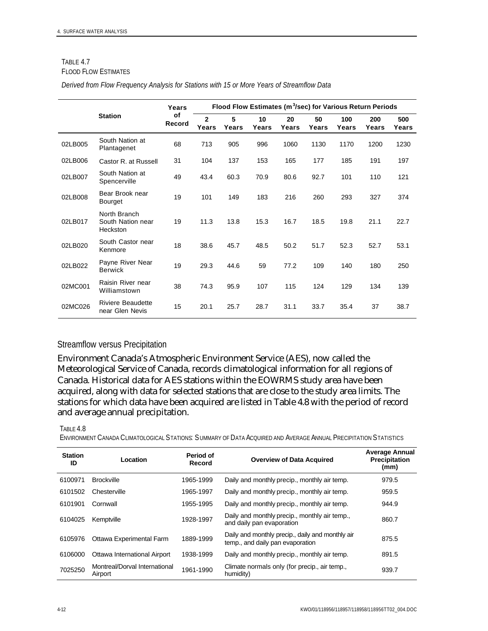#### TABLE 4.7 FLOOD FLOW ESTIMATES

| Derived from Flow Frequency Analysis for Stations with 15 or More Years of Streamflow Data |  |  |  |  |
|--------------------------------------------------------------------------------------------|--|--|--|--|
|--------------------------------------------------------------------------------------------|--|--|--|--|

|                |                                               | Years        | Flood Flow Estimates (m <sup>3</sup> /sec) for Various Return Periods |            |             |             |             |              |              |              |
|----------------|-----------------------------------------------|--------------|-----------------------------------------------------------------------|------------|-------------|-------------|-------------|--------------|--------------|--------------|
| <b>Station</b> |                                               | of<br>Record | $\mathbf{2}$<br>Years                                                 | 5<br>Years | 10<br>Years | 20<br>Years | 50<br>Years | 100<br>Years | 200<br>Years | 500<br>Years |
| 02LB005        | South Nation at<br>Plantagenet                | 68           | 713                                                                   | 905        | 996         | 1060        | 1130        | 1170         | 1200         | 1230         |
| 02LB006        | Castor R. at Russell                          | 31           | 104                                                                   | 137        | 153         | 165         | 177         | 185          | 191          | 197          |
| 02LB007        | South Nation at<br>Spencerville               | 49           | 43.4                                                                  | 60.3       | 70.9        | 80.6        | 92.7        | 101          | 110          | 121          |
| 02LB008        | Bear Brook near<br>Bourget                    | 19           | 101                                                                   | 149        | 183         | 216         | 260         | 293          | 327          | 374          |
| 02LB017        | North Branch<br>South Nation near<br>Heckston | 19           | 11.3                                                                  | 13.8       | 15.3        | 16.7        | 18.5        | 19.8         | 21.1         | 22.7         |
| 02LB020        | South Castor near<br>Kenmore                  | 18           | 38.6                                                                  | 45.7       | 48.5        | 50.2        | 51.7        | 52.3         | 52.7         | 53.1         |
| 02LB022        | Payne River Near<br><b>Berwick</b>            | 19           | 29.3                                                                  | 44.6       | 59          | 77.2        | 109         | 140          | 180          | 250          |
| 02MC001        | Raisin River near<br>Williamstown             | 38           | 74.3                                                                  | 95.9       | 107         | 115         | 124         | 129          | 134          | 139          |
| 02MC026        | <b>Riviere Beaudette</b><br>near Glen Nevis   | 15           | 20.1                                                                  | 25.7       | 28.7        | 31.1        | 33.7        | 35.4         | 37           | 38.7         |

#### Streamflow versus Precipitation

Environment Canada's Atmospheric Environment Service (AES), now called the Meteorological Service of Canada, records climatological information for all regions of Canada. Historical data for AES stations within the EOWRMS study area have been acquired, along with data for selected stations that are close to the study area limits. The stations for which data have been acquired are listed in Table 4.8 with the period of record and average annual precipitation.

#### TABLE 4.8

ENVIRONMENT CANADA CLIMATOLOGICAL STATIONS: SUMMARY OF DATA ACQUIRED AND AVERAGE ANNUAL PRECIPITATION STATISTICS

| <b>Station</b><br>ID | Location                                 | Period of<br>Record | <b>Overview of Data Acquired</b>                                                     | <b>Average Annual</b><br><b>Precipitation</b><br>(mm) |
|----------------------|------------------------------------------|---------------------|--------------------------------------------------------------------------------------|-------------------------------------------------------|
| 6100971              | <b>Brockville</b>                        | 1965-1999           | Daily and monthly precip., monthly air temp.                                         | 979.5                                                 |
| 6101502              | Chesterville                             | 1965-1997           | Daily and monthly precip., monthly air temp.                                         | 959.5                                                 |
| 6101901              | Cornwall                                 | 1955-1995           | Daily and monthly precip., monthly air temp.                                         | 944.9                                                 |
| 6104025              | Kemptville                               | 1928-1997           | Daily and monthly precip., monthly air temp.,<br>and daily pan evaporation           | 860.7                                                 |
| 6105976              | Ottawa Experimental Farm                 | 1889-1999           | Daily and monthly precip., daily and monthly air<br>temp., and daily pan evaporation | 875.5                                                 |
| 6106000              | Ottawa International Airport             | 1938-1999           | Daily and monthly precip., monthly air temp.                                         | 891.5                                                 |
| 7025250              | Montreal/Dorval International<br>Airport | 1961-1990           | Climate normals only (for precip., air temp.,<br>humidity)                           | 939.7                                                 |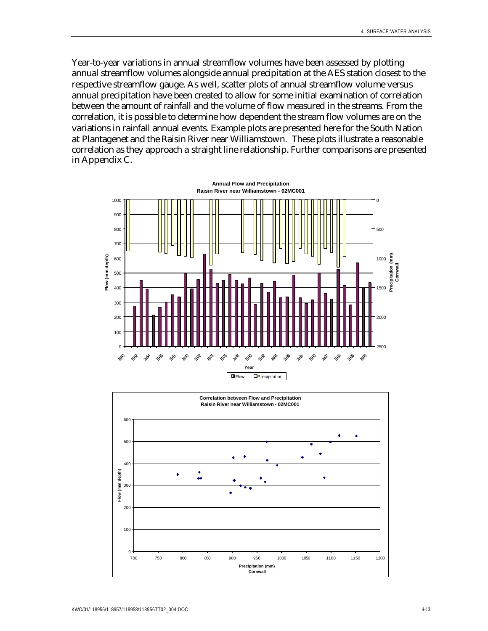Year-to-year variations in annual streamflow volumes have been assessed by plotting annual streamflow volumes alongside annual precipitation at the AES station closest to the respective streamflow gauge. As well, scatter plots of annual streamflow volume versus annual precipitation have been created to allow for some initial examination of correlation between the amount of rainfall and the volume of flow measured in the streams. From the correlation, it is possible to determine how dependent the stream flow volumes are on the variations in rainfall annual events. Example plots are presented here for the South Nation at Plantagenet and the Raisin River near Williamstown. These plots illustrate a reasonable correlation as they approach a straight line relationship. Further comparisons are presented in Appendix C.



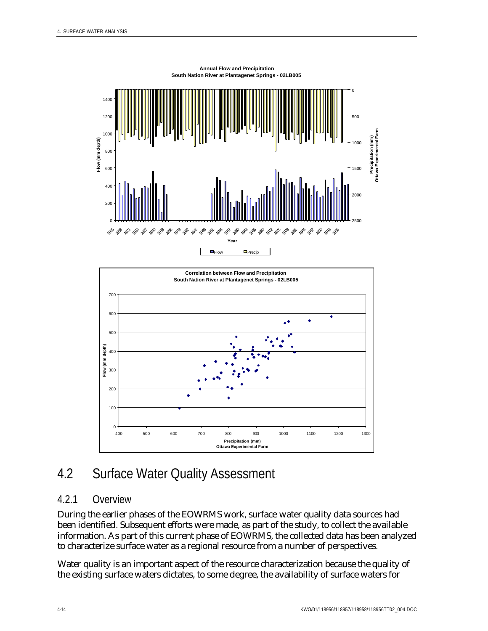



# 4.2 Surface Water Quality Assessment

## 4.2.1 Overview

During the earlier phases of the EOWRMS work, surface water quality data sources had been identified. Subsequent efforts were made, as part of the study, to collect the available information. As part of this current phase of EOWRMS, the collected data has been analyzed to characterize surface water as a regional resource from a number of perspectives.

Water quality is an important aspect of the resource characterization because the quality of the existing surface waters dictates, to some degree, the availability of surface waters for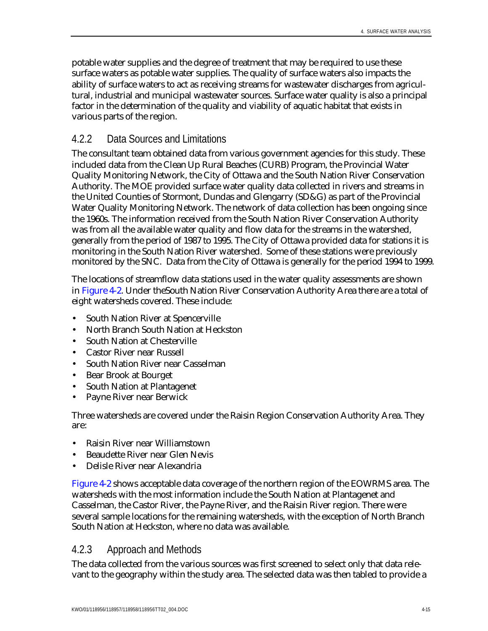potable water supplies and the degree of treatment that may be required to use these surface waters as potable water supplies. The quality of surface waters also impacts the ability of surface waters to act as receiving streams for wastewater discharges from agricultural, industrial and municipal wastewater sources. Surface water quality is also a principal factor in the determination of the quality and viability of aquatic habitat that exists in various parts of the region.

## 4.2.2 Data Sources and Limitations

The consultant team obtained data from various government agencies for this study. These included data from the Clean Up Rural Beaches (CURB) Program, the Provincial Water Quality Monitoring Network, the City of Ottawa and the South Nation River Conservation Authority. The MOE provided surface water quality data collected in rivers and streams in the United Counties of Stormont, Dundas and Glengarry (SD&G) as part of the Provincial Water Quality Monitoring Network. The network of data collection has been ongoing since the 1960s. The information received from the South Nation River Conservation Authority was from all the available water quality and flow data for the streams in the watershed, generally from the period of 1987 to 1995. The City of Ottawa provided data for stations it is monitoring in the South Nation River watershed. Some of these stations were previously monitored by the SNC. Data from the City of Ottawa is generally for the period 1994 to 1999.

The locations of streamflow data stations used in the water quality assessments are shown in Figure 4-2. Under theSouth Nation River Conservation Authority Area there are a total of eight watersheds covered. These include:

- South Nation River at Spencerville
- North Branch South Nation at Heckston
- South Nation at Chesterville
- Castor River near Russell
- South Nation River near Casselman
- Bear Brook at Bourget
- South Nation at Plantagenet
- Payne River near Berwick

Three watersheds are covered under the Raisin Region Conservation Authority Area. They are:

- Raisin River near Williamstown
- Beaudette River near Glen Nevis
- Delisle River near Alexandria

Figure 4-2 shows acceptable data coverage of the northern region of the EOWRMS area. The watersheds with the most information include the South Nation at Plantagenet and Casselman, the Castor River, the Payne River, and the Raisin River region. There were several sample locations for the remaining watersheds, with the exception of North Branch South Nation at Heckston, where no data was available.

### 4.2.3 Approach and Methods

The data collected from the various sources was first screened to select only that data relevant to the geography within the study area. The selected data was then tabled to provide a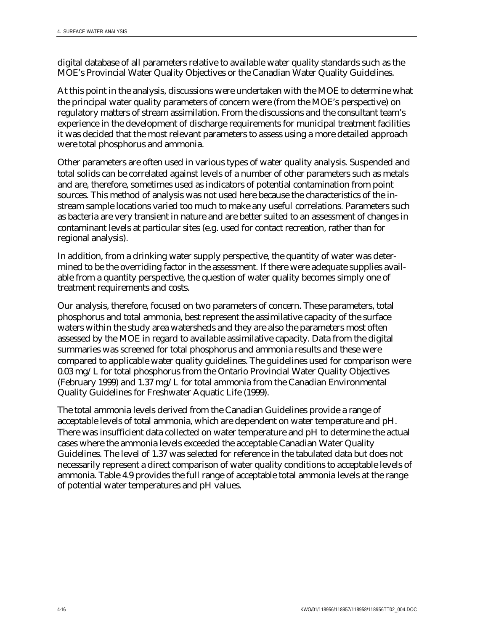digital database of all parameters relative to available water quality standards such as the MOE's Provincial Water Quality Objectives or the Canadian Water Quality Guidelines.

At this point in the analysis, discussions were undertaken with the MOE to determine what the principal water quality parameters of concern were (from the MOE's perspective) on regulatory matters of stream assimilation. From the discussions and the consultant team's experience in the development of discharge requirements for municipal treatment facilities it was decided that the most relevant parameters to assess using a more detailed approach were total phosphorus and ammonia.

Other parameters are often used in various types of water quality analysis. Suspended and total solids can be correlated against levels of a number of other parameters such as metals and are, therefore, sometimes used as indicators of potential contamination from point sources. This method of analysis was not used here because the characteristics of the instream sample locations varied too much to make any useful correlations. Parameters such as bacteria are very transient in nature and are better suited to an assessment of changes in contaminant levels at particular sites (e.g. used for contact recreation, rather than for regional analysis).

In addition, from a drinking water supply perspective, the quantity of water was determined to be the overriding factor in the assessment. If there were adequate supplies available from a quantity perspective, the question of water quality becomes simply one of treatment requirements and costs.

Our analysis, therefore, focused on two parameters of concern. These parameters, total phosphorus and total ammonia, best represent the assimilative capacity of the surface waters within the study area watersheds and they are also the parameters most often assessed by the MOE in regard to available assimilative capacity. Data from the digital summaries was screened for total phosphorus and ammonia results and these were compared to applicable water quality guidelines. The guidelines used for comparison were 0.03 mg/L for total phosphorus from the Ontario Provincial Water Quality Objectives (February 1999) and 1.37 mg/L for total ammonia from the Canadian Environmental Quality Guidelines for Freshwater Aquatic Life (1999).

The total ammonia levels derived from the Canadian Guidelines provide a range of acceptable levels of total ammonia, which are dependent on water temperature and pH. There was insufficient data collected on water temperature and pH to determine the actual cases where the ammonia levels exceeded the acceptable Canadian Water Quality Guidelines. The level of 1.37 was selected for reference in the tabulated data but does not necessarily represent a direct comparison of water quality conditions to acceptable levels of ammonia. Table 4.9 provides the full range of acceptable total ammonia levels at the range of potential water temperatures and pH values.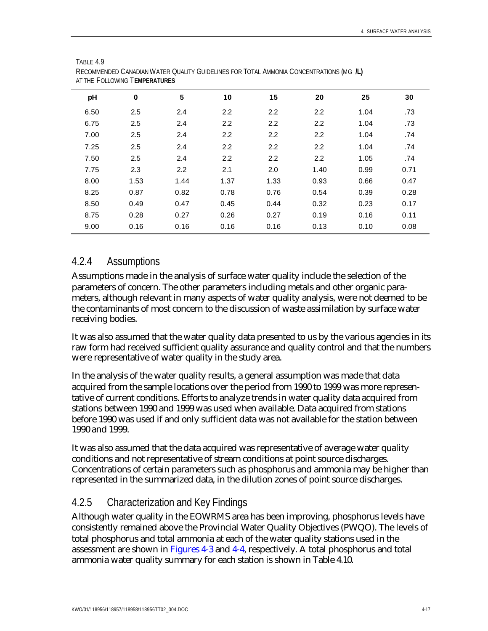| AT THE TULLUWING <b>I EMPERATURES</b> |          |      |                  |      |      |      |      |  |  |  |  |  |
|---------------------------------------|----------|------|------------------|------|------|------|------|--|--|--|--|--|
| pH                                    | $\bf{0}$ | 5    | 10               | 15   | 20   | 25   | 30   |  |  |  |  |  |
| 6.50                                  | 2.5      | 2.4  | 2.2              | 2.2  | 2.2  | 1.04 | .73  |  |  |  |  |  |
| 6.75                                  | 2.5      | 2.4  | $2.2\phantom{0}$ | 2.2  | 2.2  | 1.04 | .73  |  |  |  |  |  |
| 7.00                                  | 2.5      | 2.4  | 2.2              | 2.2  | 2.2  | 1.04 | .74  |  |  |  |  |  |
| 7.25                                  | 2.5      | 2.4  | $2.2\phantom{0}$ | 2.2  | 2.2  | 1.04 | .74  |  |  |  |  |  |
| 7.50                                  | 2.5      | 2.4  | 2.2              | 2.2  | 2.2  | 1.05 | .74  |  |  |  |  |  |
| 7.75                                  | 2.3      | 2.2  | 2.1              | 2.0  | 1.40 | 0.99 | 0.71 |  |  |  |  |  |
| 8.00                                  | 1.53     | 1.44 | 1.37             | 1.33 | 0.93 | 0.66 | 0.47 |  |  |  |  |  |
| 8.25                                  | 0.87     | 0.82 | 0.78             | 0.76 | 0.54 | 0.39 | 0.28 |  |  |  |  |  |
| 8.50                                  | 0.49     | 0.47 | 0.45             | 0.44 | 0.32 | 0.23 | 0.17 |  |  |  |  |  |
| 8.75                                  | 0.28     | 0.27 | 0.26             | 0.27 | 0.19 | 0.16 | 0.11 |  |  |  |  |  |
| 9.00                                  | 0.16     | 0.16 | 0.16             | 0.16 | 0.13 | 0.10 | 0.08 |  |  |  |  |  |

| TABLE 4.9                                                                              |
|----------------------------------------------------------------------------------------|
| RECOMMENDED CANADIAN WATER QUALITY GUIDELINES FOR TOTAL AMMONIA CONCENTRATIONS (MG IL) |
| AT THE FOLLOWING TEMPERATURES                                                          |

### 4.2.4 Assumptions

Assumptions made in the analysis of surface water quality include the selection of the parameters of concern. The other parameters including metals and other organic parameters, although relevant in many aspects of water quality analysis, were not deemed to be the contaminants of most concern to the discussion of waste assimilation by surface water receiving bodies.

It was also assumed that the water quality data presented to us by the various agencies in its raw form had received sufficient quality assurance and quality control and that the numbers were representative of water quality in the study area.

In the analysis of the water quality results, a general assumption was made that data acquired from the sample locations over the period from 1990 to 1999 was more representative of current conditions. Efforts to analyze trends in water quality data acquired from stations between 1990 and 1999 was used when available. Data acquired from stations before 1990 was used if and only sufficient data was not available for the station between 1990 and 1999.

It was also assumed that the data acquired was representative of average water quality conditions and not representative of stream conditions at point source discharges. Concentrations of certain parameters such as phosphorus and ammonia may be higher than represented in the summarized data, in the dilution zones of point source discharges.

### 4.2.5 Characterization and Key Findings

Although water quality in the EOWRMS area has been improving, phosphorus levels have consistently remained above the Provincial Water Quality Objectives (PWQO). The levels of total phosphorus and total ammonia at each of the water quality stations used in the assessment are shown in Figures 4-3 and 4-4, respectively. A total phosphorus and total ammonia water quality summary for each station is shown in Table 4.10.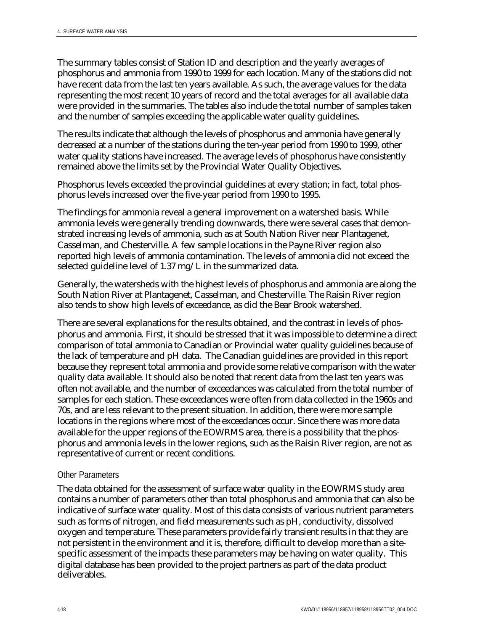The summary tables consist of Station ID and description and the yearly averages of phosphorus and ammonia from 1990 to 1999 for each location. Many of the stations did not have recent data from the last ten years available. As such, the average values for the data representing the most recent 10 years of record and the total averages for all available data were provided in the summaries. The tables also include the total number of samples taken and the number of samples exceeding the applicable water quality guidelines.

The results indicate that although the levels of phosphorus and ammonia have generally decreased at a number of the stations during the ten-year period from 1990 to 1999, other water quality stations have increased. The average levels of phosphorus have consistently remained above the limits set by the Provincial Water Quality Objectives.

Phosphorus levels exceeded the provincial guidelines at every station; in fact, total phosphorus levels increased over the five-year period from 1990 to 1995.

The findings for ammonia reveal a general improvement on a watershed basis. While ammonia levels were generally trending downwards, there were several cases that demonstrated increasing levels of ammonia, such as at South Nation River near Plantagenet, Casselman, and Chesterville. A few sample locations in the Payne River region also reported high levels of ammonia contamination. The levels of ammonia did not exceed the selected guideline level of 1.37 mg/L in the summarized data.

Generally, the watersheds with the highest levels of phosphorus and ammonia are along the South Nation River at Plantagenet, Casselman, and Chesterville. The Raisin River region also tends to show high levels of exceedance, as did the Bear Brook watershed.

There are several explanations for the results obtained, and the contrast in levels of phosphorus and ammonia. First, it should be stressed that it was impossible to determine a direct comparison of total ammonia to Canadian or Provincial water quality guidelines because of the lack of temperature and pH data. The Canadian guidelines are provided in this report because they represent total ammonia and provide some relative comparison with the water quality data available. It should also be noted that recent data from the last ten years was often not available, and the number of exceedances was calculated from the total number of samples for each station. These exceedances were often from data collected in the 1960s and 70s, and are less relevant to the present situation. In addition, there were more sample locations in the regions where most of the exceedances occur. Since there was more data available for the upper regions of the EOWRMS area, there is a possibility that the phosphorus and ammonia levels in the lower regions, such as the Raisin River region, are not as representative of current or recent conditions.

### Other Parameters

The data obtained for the assessment of surface water quality in the EOWRMS study area contains a number of parameters other than total phosphorus and ammonia that can also be indicative of surface water quality. Most of this data consists of various nutrient parameters such as forms of nitrogen, and field measurements such as pH, conductivity, dissolved oxygen and temperature. These parameters provide fairly transient results in that they are not persistent in the environment and it is, therefore, difficult to develop more than a sitespecific assessment of the impacts these parameters may be having on water quality. This digital database has been provided to the project partners as part of the data product deliverables.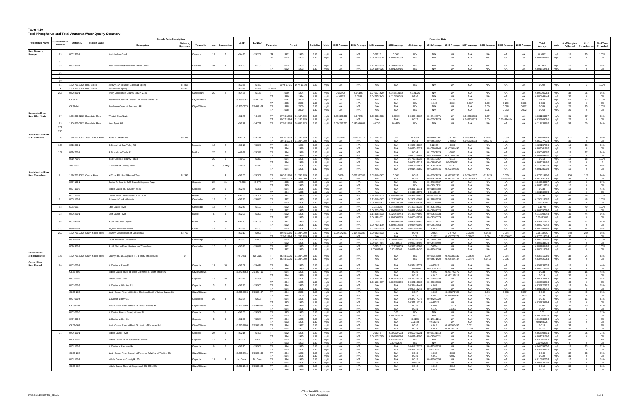#### **Table 4.10 Total Phosphorus and Total Ammonia Water Quality Summary**

|                                        |                              |                          |                                | <b>Sample Point Description</b>                                              |                |                                   |                  |                        |                        |                                                     |              |                                    |                    |                            |                            |                            | <b>Parameter Data</b>      |                           |                            |                   |                    |              |                            |              |              |                   |                 |
|----------------------------------------|------------------------------|--------------------------|--------------------------------|------------------------------------------------------------------------------|----------------|-----------------------------------|------------------|------------------------|------------------------|-----------------------------------------------------|--------------|------------------------------------|--------------------|----------------------------|----------------------------|----------------------------|----------------------------|---------------------------|----------------------------|-------------------|--------------------|--------------|----------------------------|--------------|--------------|-------------------|-----------------|
| <b>Watershed Name</b>                  | ıbwatershed<br><b>Number</b> | <b>Station ID</b>        | <b>Station Name</b>            | <b>Distance</b>                                                              |                | Lot                               | LATD             | <b>LONGD</b>           |                        | Period                                              |              |                                    |                    |                            |                            |                            |                            |                           |                            |                   |                    | 2000 Average | Total                      | Units        | # of Samples | # of              | % of Time       |
|                                        |                              |                          |                                | <b>Description</b><br>Upstrean                                               | Township       | Concessio                         |                  |                        | Paramete               |                                                     | Guideline    | Units<br>1990 Average              | 1991 Average       | 1992 Average               | 1993 Average               | 1994 Average               | 1995 Average               | 1996 Average              | 1997 Average               | 1998 Average      | 1999 Average       |              | Average                    |              | Collected    | <b>cceedances</b> | <b>Exceeded</b> |
| <b>Bear Brook at</b><br><b>Bourget</b> | 23                           | 06023001                 |                                | North Indian Creel                                                           | Clarence       | 19                                | 45.436           | $-75.209$              | $*TP$                  | 1992<br>1993                                        | 0.03         | N/A                                | N/A                | 0.08225                    | 0.062                      | N/A                        | N/A                        | N/A                       | N/A                        | N/A               | N/A                | N/A          | 0.0782                     |              | 15           | 15                | 100%            |
|                                        |                              |                          |                                |                                                                              |                |                                   |                  |                        | *TA                    | 1992<br>1993                                        | 1.37         | mg/L<br>N/A                        | N/A                | 0.001828878                | 0.001537033                | N/A                        | N/A                        | N/A                       | N/A                        | N/A               | N/A                | N/A          | .001787185                 | mg/L<br>ma/l |              |                   | 0%              |
|                                        | 32                           |                          |                                |                                                                              |                |                                   |                  |                        |                        |                                                     |              |                                    |                    |                            |                            |                            |                            |                           |                            |                   |                    |              |                            |              |              |                   |                 |
|                                        | 33                           | 06033001                 |                                | Bear Brook upstream of N. Indian Creek                                       | Clarence       | 21<br>$\overline{7}$              | 45.420           | $-75.192$              | TP                     | 1992<br>1993                                        | 0.03         | N/A<br>mg/L                        | N/A                | 0.117833333                | 0.104666667                | N/A                        | N/A                        | N/A                       | N/A                        | N/A               | N/A                | N/A          | 0.1152                     | mg/L         | 15           | 14                | 93%             |
|                                        | 36                           |                          |                                |                                                                              |                |                                   |                  |                        | TA                     | 1993<br>1992                                        | 1.37         | N/A<br>mg/L                        | N/A                | 0.001959226                | 0.001260416                | N/A                        | N/A                        | N/A                       | N/A                        | N/A               | N/A                | N/A          | 0.001819464                | mg/l         |              |                   | $0\%$           |
|                                        | 37                           |                          |                                |                                                                              |                |                                   |                  |                        |                        |                                                     |              |                                    |                    |                            |                            |                            |                            |                           |                            |                   |                    |              |                            |              |              |                   |                 |
|                                        | 50                           |                          |                                |                                                                              |                |                                   |                  |                        |                        |                                                     |              |                                    |                    |                            |                            |                            |                            |                           |                            |                   |                    |              |                            |              |              |                   |                 |
|                                        | 54                           | 18207012002 Bear Brook   |                                | 87.868<br>At Hwy 417 South of Carlsbad Spring                                |                |                                   | 45.366           | $-75.489$              | <b>TP</b>              | 1974-07-30 1974-11-20                               | 0.03         | N/A<br>mg/L                        | N/A                | N/A                        | N/A                        | N/A                        | N/A                        | N/A                       | N/A                        | N/A               | N/A                | N/A          | 0.092                      | mg/L         |              |                   | 100%            |
|                                        |                              | 18207013002 Bear Brook   |                                | 83.362<br>At Carlsbad Spring                                                 |                |                                   | 45.375           | $-75.475$              | No data                |                                                     |              |                                    |                    |                            |                            |                            |                            |                           |                            |                   |                    |              |                            |              |              |                   |                 |
|                                        | 208                          | 06208001                 |                                | 3 way Junction of County Rd 37, 2, 26                                        | Cumberland     | 20<br>$\overline{2}$              | 45.426           | $-75.153$              | TP                     | 1990<br>1994                                        | 0.03         | mg/L<br>0.083925                   | 0.05166            | 0.070571429                | 143518182                  | 0.101925                   | N/A                        | N/A                       | N/A                        | N/A               | N/A                | N/A          | 0.093905263                | mg/L         | 38           | 36                | 95%             |
|                                        |                              | CK31-01                  |                                | Bearbrook Creek at Russell Rd, near Samure Rd                                | City of Ottawa |                                   | 45.3993965       | -75.282480             | TA<br><b>TP</b>        | 1990<br>1994<br>1995<br>2000                        | 1.37<br>0.03 | 0.10975<br>mg/L<br>mg/L<br>N/A     | 0.0388<br>N/A      | 0.047857143<br>N/A         | 116454545<br>N/A           | 0.156<br>N/A               | N/A<br>0.800               | N/A<br>0.148              | N/A<br>0.107               | N/A<br>0.092      | N/A<br>0.191       | N/A<br>0.097 | 080444444<br>0.177         | mg/L         | 52           | 52                | 0%<br>100%      |
|                                        |                              |                          |                                |                                                                              |                |                                   |                  |                        | TA                     | 1995<br>2000                                        | 1.37         | mg/L<br>N/A                        | N/A                | N/A                        | N/A                        | N/A                        | 0.106                      | 0.044                     | 0.067                      | 0.069             | 0.139              | 0.070        | 0.083                      | mg/L         | 52           |                   | 0%              |
|                                        |                              | CK31-04                  |                                | Bearbrook Creek at Boundary Rd                                               | City of Ottawa |                                   | 45.3750374       | $-75.459164$           | <b>TP</b><br>TA        | 1998<br>2000<br>1998<br>2000                        | 0.03<br>1.37 | N/A<br>mg/L<br>N/A                 | N/A<br>N/A         | N/A<br>N/A                 | N/A<br>N/A                 | N/A<br>N/A                 | N/A<br>N/A                 | N/A<br>N/A                | N/A<br>N/A                 | 0.066<br>0.014    | 0.098<br>0.083     | 0.087        | 0.085<br>0.060             | mg/L         | 25           | 25                | 100%            |
| <b>Beaudette River</b>                 |                              |                          |                                |                                                                              |                |                                   |                  |                        |                        |                                                     |              | mg/L                               |                    |                            |                            |                            |                            |                           |                            |                   |                    | 0.072        |                            | mg/L         |              |                   | $0\%$           |
| <b>Near Glen Nevis</b>                 | 77                           |                          | 12008000102 Beaudette River    | West of Glen Nevis                                                           |                |                                   | 45.273           | $-74.482$              | <b>TP</b>              | 11/16/1999<br>07/05/1988                            | 0.03         | mg/L<br>0.051333333                | 0.07375            | 0.050083333                | 0.07924                    | 0.069666667                | 0.057428571                | N/A                       | 0.045333333                | 0.057             | 0.05               | N/A          | 0.061103297                | mg/L         |              | 77                | 85%             |
|                                        |                              |                          |                                |                                                                              |                |                                   |                  |                        | TA<br>TP               | 09/27/1994<br>11/16/199                             | 1.37         | N/A                                | N/A                | N/A                        | N/A                        | 0.072                      | 0.056571429                | N/A                       | J U3033333.                | 0.006             | 016444444          | N/A<br>N/A   | .03390909                  |              |              |                   | 0%              |
|                                        | 93<br>201                    |                          | 12008000202 Beaudette River    | Near Apple Hill                                                              |                |                                   | 45.214           | $-74.731$              |                        | 07/05/1988 05/03/1993                               | 0.03         | mg/L<br>0.086272727                | 0.143916667        | 0.0745                     | 0.0485                     | N/A                        | N/A                        | N/A                       | N/A                        | N/A               | N/A                |              | 0.112433962                | mg/L         | 53           | 50                | 94%             |
|                                        | 210                          |                          |                                |                                                                              |                |                                   |                  |                        |                        |                                                     |              |                                    |                    |                            |                            |                            |                            |                           |                            |                   |                    |              |                            |              |              |                   |                 |
| <b>South Nation Rive</b>               |                              |                          |                                |                                                                              |                |                                   |                  |                        |                        |                                                     |              |                                    |                    |                            |                            |                            |                            |                           |                            |                   |                    |              |                            |              |              |                   |                 |
| at Chesterville                        | 125                          |                          | 18207011002 South Nation River | 93.339<br>At Dam Chesterville                                                |                |                                   | 45.101           | $-75.227$              | TP<br><b>TA</b>        | 09/30/1965<br>11/24/1999<br>10/11/1994<br>1/24/1999 | 0.03<br>1.37 | mg/L<br>0.055375<br>mg/L<br>N/A    | 0.066285714<br>N/A | 0.072142857<br>N/A         | 0.07<br>N/A                | 0.0585<br>0.053            | 0.044666667<br>0.084666667 | 0.07575<br>0.08825        | 0.048666667<br>0.029333333 | 0.0635<br>0.03975 | 0.055<br>0.027     | N/A<br>N/A   | 0.107485849<br>0.050277778 | mg/L<br>mg/l | 212          | 198               | 93%<br>$0\%$    |
|                                        | 138                          | 03138001                 |                                | S. Branch at Oak Valley Rd                                                   | Mountain       | 13<br>$\overline{2}$              | 45.010           | $-75.347$              | TP                     | 1994<br>1996                                        | 0.03         | mg/L<br>N/A                        | N/A                | N/A                        | N/A                        | 0.153666667                | 0.12925                    | 0.092                     | N/A                        | N/A               | N/A                | N/A          | 0.127157895                | mg/L         | 19           | 18                | 95%             |
|                                        |                              |                          |                                |                                                                              |                |                                   |                  |                        | TA                     | 1994<br>1996                                        | 1.37         | N/A<br>mg/L                        | N/A                | N/A                        | N/A                        | 0.002542127                | 0.003007246                | 1.003934493               | N/A                        | N/A               | N/A                | N/A          | 0.003061262                | mg/l         | 17           |                   | 0%              |
|                                        | 167                          | 03167001                 |                                | S. Branch on Taylor Rd                                                       | Matilda        | 25<br>6                           | 44.937           | $-75.393$              | TP                     | 1994<br>1996                                        | 0.03         | mg/L<br>N/A                        | N/A                | N/A                        | N/A                        | 0.094                      | 0.106571429                | 0.086                     | N/A                        | N/A               | N/A                | N/A          | 0.096666667                | mg/L         | 18           | 17                | 94%             |
|                                        |                              | 03167002                 |                                | Black Creek at County Rd 18                                                  |                | 22<br>- 5                         | 44.909           | $-75.370$              | <b>TA</b><br><b>TP</b> | 1994<br>1996<br>1994<br>1996                        | 1.37<br>0.03 | mg/L<br>N/A<br>N/A<br>mg/L         | N/A<br>N/A         | N/A<br>N/A                 | N/A<br>N/A                 | 0.000578487<br>0.176333333 | 0.001581103<br>0.325142857 | 0.007032258<br>0.118      | N/A<br>N/A                 | N/A<br>N/A        | N/A<br>N/A         | N/A<br>N/A   | 0.002189207<br>0.218       | mg/L<br>mg/L | 17<br>18     | 18                | 0%<br>100%      |
|                                        |                              |                          |                                |                                                                              |                |                                   |                  |                        | TA                     | 1994<br>1996                                        | 1.37         | N/A<br>mg/L                        | N/A                | N/L                        | N/A                        | 0.00099221                 | 0.00189204                 | 0.0025631                 | N/A                        | N/A               | N/L                | N/A          | .001638492                 | mg/L         |              |                   |                 |
|                                        |                              | 3167003                  |                                | S. Branch at County Rd 18                                                    |                | 29<br>06-May                      | 44.896           | $-75.412$              | TP<br><b>TA</b>        | 1994<br>1996<br>1994<br>1996                        | 0.03<br>1.37 | N/A<br>mg/L<br>N/A                 | N/A<br>N/A         | N/A<br>N/A                 | N/A<br>N/A                 | 0.099666667                | 0.140857143                | 0.102                     | N/A<br>N/A                 | N/A<br>N/A        | N/A<br>N/A         | N/A<br>N/A   | 0.116333333                | mg/L         | 18<br>16     | 16                | 89%             |
| <b>South Nation Rive</b>               |                              |                          |                                |                                                                              |                |                                   |                  |                        |                        |                                                     |              | mg/L                               |                    |                            |                            | 0.001442089                | 0.000884845                | 0.002424821               |                            |                   |                    |              | 0.001286308                | ma/L         |              |                   | 0%              |
| Near Casselman                         | 71                           | 18207014002 Castor River |                                | 82.396<br>At Conc Rd. No. 5 Russell Twp.                                     |                | $\overline{4}$                    | 45.266           | $-75.309$              | TP                     | 06/26/1980<br>11/24/1999                            | 0.03         | mg/L<br>0.069                      | 0.062833333        | 0.058166667                | 0.062                      | 0.082                      | 0.086571429                | 0.095333333               | 0.075142857                | 0.11425           | 0.055              | N/A          | 0.079514706                | mg/L         | 136          | 123               | 90%             |
|                                        |                              | 05071001                 |                                | Castor R. County Rd 3 Russell/Osgoode Twp.                                   | Osgoode        | 24<br>11                          | $-75.280$        | 45.272                 | <b>TA</b><br>TP        | 12/06/1994<br>11/24/1999<br>1995<br>1995            | 1.37<br>0.03 | N/A<br>mg/L<br>N/A<br>mg/L         | N/A<br>N/A         | N/A<br>N/A                 | N/A<br>N/A                 | 0.056<br>N/A               | 0.072571429<br>0.047666667 | 0.043777778<br>N/A        | 0.059142857<br>N/A         | 0.086<br>N/A      | 0.039333333<br>N/A | N/A<br>N/A   | 0.060421053<br>0.047666667 | mg/L<br>mg/L | 38<br>12     | - 8               | 0%<br>67%       |
|                                        |                              |                          |                                |                                                                              |                |                                   |                  |                        | TA                     | 1995<br>1995                                        | 1.37         | N/A<br>mg/L                        | N/A                | N/A                        | N/A                        | N/A                        | 0.001510131                | N/A                       | N/A                        | N/A               | N/A                | N/A          | .001510131                 | mg/L         |              |                   | $0\%$           |
|                                        |                              | 05071002                 |                                | Middle Castor R., County Rd 29                                               | Osgoode        | 24<br>- 9                         | 45.276           | $-75.331$              | TP<br>TA               | 1994<br>1995<br>1994<br>1995                        | 0.03<br>1.37 | mg/L<br>N/A<br>N/A                 | N/A<br>N/A         | N/A<br>N/A                 | N/A<br>N/A                 | 0.036111111<br>0.001638575 | 0.031888889<br>0.00173307  | N/A<br>N/A                | N/A<br>N/A                 | N/A<br>N/A        | N/A<br>N/A         | N/A<br>N/A   | 0.034<br>0.001682673       | mg/L         | 18<br>15     | 8                 | 44%             |
|                                        |                              | 05071003                 |                                | Castor River Downstream of Embrun                                            | Russell        | 10 <sup>1</sup>                   | 45.266           | $-75.307$              | <b>TP</b>              | 1995<br>1992                                        | 0.03         | mg/L<br>N/A<br>mg/L                | N/A                | 0.103583333                | 0.097363636                | 0.092153846                | 0.099333333                | N/A                       | N/A                        | N/A               | N/A                | N/A          | 0.098                      | mg/L<br>mg/L | 48           | 48                | 0%<br>100%      |
|                                        | 81                           | 05081001                 |                                | Butternut Creek at Mouth                                                     | Cambridge      | 13 <sup>1</sup><br>$\overline{7}$ | 45.295           | $-75.085$              | TP                     | 1992<br>1995                                        | 0.03         | N/A<br>mg/L                        | N/A                | 0.126166667                | 0.122090909                | 0.150230769                | 0.224833333                | N/A                       | N/A                        | N/A               | N/A                | N/A          | 0.156416667                | mg/L         | - 48         | 48                | 100%            |
|                                        |                              |                          |                                |                                                                              |                |                                   |                  |                        | TA                     | 1992<br>1995                                        | 1.37         | N/A<br>ma/                         | N/A                | 0.004849257                | 0.006938289                | 0.007489534                | 0.009106608                | N/A                       | N/A                        | N/A               | N/A                | N/A          | 0.00706487                 |              | A7           |                   | 0%              |
|                                        | 83                           | 5083001                  |                                | <b>Little Castor River</b>                                                   | Cambridge      | 16<br>$\overline{7}$              | 45.242           | $-75.190$              | TP<br>TA               | 1992<br>1995<br>1992<br>1995                        | 0.03<br>1.37 | mg/L<br>N/A<br>N/A<br>mg/L         | N/A<br>N/A         | 0.211625<br>0.002035059    | 0.147888889<br>0.001308345 | 0.143333333<br>0.002790492 | 0.140545455<br>0.001932028 | N/A<br>N/A                | N/A<br>N/A                 | N/A<br>N/A        | N/A<br>N/A         | N/A<br>N/A   | 0.15725<br>0.002057386     | mg/L<br>mg/l | 40           | 40                | 100%<br>0%      |
|                                        | 92                           | 05092001                 |                                | East Castor River                                                            | Russell        | 6<br>$\overline{\mathbf{3}}$      | 45.202           | $-75.323$              | TP                     | 1992<br>1995                                        | 0.03         | mg/L<br>N/A                        | N/A                | 0.113583333                | 0.122444444                | 0.146307692                | 0.089583333                | N/A                       | N/A                        | N/A               | N/A                | N/A          | 0.118304348                | mg/L         | 46           | 44                | 96%             |
|                                        |                              |                          |                                |                                                                              |                |                                   |                  |                        | TA.                    | 1992<br>1995                                        | 1.37         | N/A<br>mg/L                        | N/A                | 0.001489531                | 0.001668385                | 0.005065831                | 0.004365074                | N/A                       | N/A                        | N/A               | N/A                | N/A          | 0.00321003                 | mg/L         | -43          |                   | 0%              |
|                                        | 94                           | 05094001                 |                                | South Nation at Crysler                                                      | Finch          | 12<br>10                          | 45.220           | $-75.153$              | TP                     | 1992<br>1995                                        | 0.03         | mg/L<br>N/A                        | N/A                | 0.053                      | 0.068363636                | 0.046153846                | 0.050222222                | N/A                       | N/A                        | N/A               | N/A                | N/A          | 0.054222222                | mg/L         | 45           | 41                | 91%             |
|                                        |                              |                          |                                |                                                                              |                | 16                                |                  |                        | TA<br><b>TP</b>        | 1992<br>1995                                        | 1.37         | N/A<br>mg/L                        | N/A                | 0.007336119                | 0.004619888                | 006400992                  | 006664663                  | N/A                       | N/A                        | N/A               | N/A                | N/A<br>N/A   | 0.006276342                | mg/L         | 48           | 44                | 0%              |
|                                        | 109<br>209                   | 05109001                 | 18207010002 South Nation River | ayne River near Mouth<br>At Dam Downstream of Casselman<br>62.763            |                |                                   | 45.238<br>45.319 | $-75.130$<br>$-75.093$ | TP                     | 1992<br>1995<br>09/30/1965<br>11/23/1999            | 0.03<br>0.03 | N/A<br>mg/L<br>mg/L<br>0.089142857 | N/A<br>0.104833333 | 0.075833333<br>0.066333333 | .127090909<br>0.12         | 0.059692308<br>0.094       | 0.057<br>0.0536            | N/A<br>0.07225            | N/A<br>0.06325             | N/A<br>0.0555     | N/A<br>0.054       | N/A          | 0.082780488<br>0.56128629  | mg/L<br>mg/L | 248          | 244               | 92%<br>98%      |
|                                        |                              |                          |                                |                                                                              |                |                                   |                  |                        | TA                     | 12/06/1994<br>1/23/1999                             | 1.37         | N/A<br>mg/L                        | N/A                | N/A                        | N/A                        | 0.09                       | 0.1072                     | 0.06977777                | 0.09925                    | 0.074             | .02566666          | N/A          | 0.075513514                | mg/L         |              |                   | $0\%$           |
|                                        |                              | 05209001                 |                                | South Nation at Casselman                                                    | Cambridge      | 10 <sup>1</sup><br>- 6            | 45.320           | $-75.093$              | TP<br><b>TA</b>        | 1992<br>1995                                        | 0.03         | mg/L<br>N/A                        | N/A                | 0.087333333                | 0.107454545                | 0.078769231                | 0.124090909<br>0.004485492 | N/A                       | N/A                        | N/A<br>N/A        | N/A                | N/A          | 0.098276596                | mg/L         | 47<br>47     | 47                | 100%            |
|                                        |                              | 05209002                 |                                | South Nation River Upstream of Casselman                                     | Cambridge      | 16<br>$\overline{7}$              | 45.325           | $-75.099$              | TP                     | 1995<br>1992<br>1992<br>1995                        | 1.37<br>0.03 | N/A<br>mg/L<br>N/A<br>mg/L         | N/A<br>N/A         | 0.006047704<br>0.08525     | 0.00545618<br>0.122090909  | 0.006734408<br>0.059692308 | 0.0504                     | N/A<br>N/A                | N/A<br>N/A                 | N/A               | N/A<br>N/A         | N/A<br>N/A   | 0.005733578<br>0.082780488 | mg/L<br>mg/L | 41           | 41                | 0%<br>100%      |
|                                        |                              |                          |                                |                                                                              |                |                                   |                  |                        | TA                     | 1995<br>1992                                        | 1.37         | N/A<br>mg/L                        | N/A                | 0.00609149                 | 0.00528559                 | 0.002169436                | 0.012544099                | N/A                       | N/A                        | N/A               | N/A                | N/A          | 0.005418598                | mg/L         | 41           |                   | 0%              |
| <b>South Nation</b>                    | 173                          |                          |                                | $\overline{0}$                                                               |                |                                   | No Data          | No Data                | TP                     | 05/23/1995<br>11/24/1999                            | 0.03         | N/A                                | N/A                | N/A                        | N/A                        | N/A                        | 0.038315789                | 0.033333333               | 0.03525                    | 0.049             | 0.034              |              | 0.038315789                |              | - 38         | 24                | 63%             |
| at Spencerville                        |                              |                          |                                | 18207015002 South Nation River County Rd. 18, Augusta TP. 3 km S. of Roebuck |                |                                   |                  |                        | TA                     | 11/24/1999<br>05/23/1995                            | 1.37         | mg/L<br>N/A<br>mq/                 | N/A                | N/A                        | N/A                        | N/A                        | 0.064571429                | 0.020444444               | 0.02475                    | 0.0405            | 0.025              | N/A          | 0.034421053                | mg/L<br>mg/L |              |                   | $0\%$           |
| <b>Castor River</b>                    |                              |                          |                                |                                                                              |                |                                   |                  |                        | <b>TP</b>              |                                                     |              |                                    |                    |                            |                            |                            |                            |                           |                            |                   |                    |              |                            |              |              |                   |                 |
| <b>Near Russell</b>                    | 70                           | 04070001                 |                                | V. Castor at Pana Rd.                                                        | Osgoode        | 17<br>10                          | 45.261           | $-75.414$              |                        | 1994<br>1995<br>1995<br>1994                        | 0.03<br>1.37 | mg/L<br>N/A<br>N/A<br>mg/L         | N/A<br>N/A         | N/A<br>N/A                 | N/A<br>N/A                 | 0.051428571<br>0.00381058  | 0.063625<br>0.00333022     | N/A<br>N/A                | N/A<br>N/A                 | N/A<br>N/A        | N/A<br>N/A         | N/A<br>N/A   | 0.057933333<br>0.003570401 | mg/L<br>mg/L | 15<br>14     | -6                | 40%<br>$0\%$    |
|                                        |                              | CK63-002                 |                                | Middle Castor River at Yorks Corners Rd, south of RR #6                      | City of Ottawa |                                   | 45.2434558       | -75.423715             | TP                     | 1994<br>1996                                        | 0.03         | mg/L<br>N/A                        | N/A                | N/A                        | N/A                        | 0.036                      | 0.032                      | 0.031727273               | N/A                        | N/A               | N/A                | N/A          | 0.033                      | mg/L         | 33           | 16                | 48%             |
|                                        |                              | 04070002                 |                                | North Castor River                                                           | Osgoode        | $15-1$<br>10                      | 45.273           | $-75.431$              | <b>TA</b><br>TP        | 1994<br>1996<br>1992<br>1995                        | 1.37<br>0.03 | N/A<br>mg/L<br>N/A                 | N/A<br>N/A         | N/A<br>0.064666667         | N/A<br>0.065636364         | 0.018<br>0.075923077       | 0.016<br>0.122833333       | 0.023181818<br>N/A        | N/A<br>N/A                 | N/A<br>N/A        | N/A<br>N/A         | N/A<br>N/A   | 0.019<br>0.082479167       | mg/L<br>mg/L | 32<br>48     | 45                | 0%<br>94%       |
|                                        |                              |                          |                                |                                                                              |                |                                   |                  |                        | TA                     | 1995<br>1994                                        | 1.37         | mg/L<br>N/A<br>mg/L                | N/A                | 0.001519097                | 0.002456239                | 0.003186866                | 0.003083085                | N/A                       | N/A                        | N/A               | N/A                | N/A          | 0.002554519                | mg/L         |              |                   | $0\%$           |
|                                        |                              | 04070003                 |                                | N. Castor at 8th Line Rd.                                                    | Osgoode        | $\overline{7}$                    | 45.295           | $-75.506$              | TP<br>TA.              | 1994<br>1995                                        | 0.03         | mg/L<br>N/A                        | N/A                | N/A                        | N/A                        | 0.037444444                | 0.039                      | N/A                       | N/A                        | N/A               | N/A                | N/A<br>N/A   | 0.038222222                | mg/L         | 18           | 14                | 78%             |
|                                        |                              | CK63-206                 |                                | North Castor River at 8th Line Rd, 1km South of Mitch Owens Rd               | City of Ottawa |                                   | 45.2955694       | -75.505467             | TP                     | 1994<br>1995<br>1994<br>2000                        | 1.37<br>0.03 | N/A<br>mg/L<br>mg/L<br>N/A         | N/A<br>N/A         | N/A<br>N/A                 | N/A<br>N/A                 | 0.000813245<br>0.037       | 0.002991882<br>0.039       | N/A<br>0.045272727        | N/A<br>N/A                 | N/A<br>0.042      | N/A<br>0.053       | 0.037        | 0.001829942<br>0.042       | mg/L<br>mg/L | 63           | 49                | 0%<br>78%       |
|                                        |                              |                          |                                |                                                                              |                |                                   |                  |                        | TA.                    | 1994<br>2000                                        | 1.37         | N/A<br>mg/L                        | N/A                | N/A                        | N/A                        | 0.011                      | 0.030                      | 0.028909091               | N/A                        | 0.035             | 0.052              | 0.053        | 0.036                      | mg/L         |              |                   | 0%              |
|                                        |                              | 04070004                 |                                | N. Castor at Hwy 31                                                          | Gloucester     | 23<br>$\overline{4}$              | 45.327           | $-75.598$              | TP<br>TA               | 1994<br>1995<br>1995<br>1993                        | 0.03<br>1.37 | N/A<br>mg/L<br>N/A                 | N/A<br>N/A         | N/A<br>N/A                 | N/A<br>N/A                 | 0.034777778<br>0.031111111 | 0.047222222<br>0.048375    | N/A<br>N/A                | N/A<br>N/A                 | N/A<br>N/A        | N/A<br>N/A         | N/A<br>N/A   | 0.041                      | mg/L<br>mg/L | 18           | 11                | 61%<br>0%       |
|                                        |                              | CK63-254                 |                                | North Castor River at Bank St. North of Blais Rd                             | City of Ottawa |                                   | 45.3173365       | -75.592682             | TP                     | 1994<br>1996                                        | 0.03         | mg/L<br>mg/L<br>N/A                | N/A                | N/A                        | N/A                        | 0.035                      | 0.059                      | 0.0272                    | N/A                        | N/A               | N/A                | N/A          | 0.039235294<br>0.042       | mg/L         | 32           | 15                | 47%             |
|                                        |                              |                          |                                |                                                                              |                |                                   |                  |                        | <b>TA</b>              | 1994<br>1996                                        | 1.37         | N/A<br>mg/L                        | N/A                | N/A                        | N/A                        | 0.031                      | 0.109                      | 0.0169                    | N/A                        | N/A               | N/A                | N/A          | 0.057                      | mg/L         |              |                   | 0%              |
|                                        |                              | 04070005                 |                                | N. Castor River at Greely at Hwy 31                                          | Osgoode        | $5^{\circ}$                       | 45.265           | $-75.559$              | TP<br>TA               | 1993<br>1993<br>1993<br>1993                        | 0.03<br>1.37 | N/A<br>mg/L<br>N/A<br>mg/L         | N/A<br>N/A         | N/A<br>N/A                 | 0.03<br>0.000764628        | N/A<br>N/A                 | N/A<br>N/A                 | N/A<br>N/A                | N/A<br>N/A                 | N/A<br>N/A        | N/A<br>N/A         | N/A<br>N/A   | 0.03<br>0.000764628        | mg/L<br>mg/L | 6            |                   | 17%<br>0%       |
|                                        |                              | 04070006                 |                                | N. Castor at Hwy 31                                                          | Osgoode        | 5<br>5                            | 45.259           | $-75.544$              | TP                     | 1994<br>1995                                        | 0.03         | N/A<br>mg/L                        | N/A                | N/A                        | N/A                        | 0.0195                     | 0.017111111                | N/A                       | N/A                        | N/A               | N/A                | N/A          | 0.018235294                | mg/L         | 12           | $\overline{1}$    | 8%              |
|                                        |                              |                          |                                |                                                                              |                |                                   |                  |                        | TA                     | 1993<br>1995                                        | 1.37         | N/A<br>mg/L                        | N/A                | N/A                        | N/A                        | 0.01325                    | 0.016375                   | N/A                       | N/A                        | N/A               | N/A                | N/A          | 0.0148125                  | mg/L         | 16           | $\Omega$          | 0%              |
|                                        |                              | CK63-262                 |                                | North Castor River at Bank St. North of Parkway Rd                           | City of Ottawa |                                   | 45.2639705       | -75.558923             | TP<br><b>TA</b>        | 1997<br>1994<br>1994<br>1997                        | 0.03<br>1.37 | mg/L<br>N/A<br>N/A<br>mg/L         | N/A<br>N/A         | N/A<br>N/A                 | N/A<br>N/A                 | 0.020<br>0.013             | 0.018<br>0.014             | 0.015545455<br>0.01727272 | 0.021<br>0.022             | N/A<br>N/A        | N/A<br>N/A         | N/A<br>N/A   | 0.018<br>0.015             | mg/L<br>mg/L | 33           |                   | 3%<br>$0\%$     |
|                                        | 91                           | 04091001                 |                                | Middle Castor River                                                          | Osgoode        | 24<br>9                           | 45.214           | $-75.493$              | <b>TP</b>              | 1992<br>1995                                        | 0.03         | N/A<br>mg/L                        | N/A                | 0.03375                    | 0.109727273                | 0.050769231                | 0.036181818                | N/A                       | N/A                        | N/A               | N/A                | N/A          | 0.056808511                | mg/L         | 47           | 35                | 74%             |
|                                        |                              |                          |                                |                                                                              |                |                                   |                  |                        | ТA                     | 1995<br>1994                                        | 1.37         | N/A<br>mg/L                        | N/A                | 0.001037605                | 0.001368396                | 0.002144796                | 0.001508021                | N/A                       | N/A                        | N/A               | N/A                | N/A          | 0.001531366                | mg/L         |              |                   | 0%              |
|                                        |                              | 04091002                 |                                | Middle Castor River at Herbert Corners                                       | Osgoode        | 17<br>$\overline{\mathbf{3}}$     | 45.206           | $-75.569$              | TP<br><b>TA</b>        | 1993<br>1993<br>1993<br>1993                        | 0.03<br>1.37 | mg/L<br>N/A<br>N/A<br>mg/L         | N/A<br>N/A         | N/A<br>N/A                 | 0.032666667<br>0.00052505  | N/A<br>N/A                 | N/A<br>N/A                 | N/A<br>N/A                | N/A<br>N/A                 | N/A<br>N/A        | N/A<br>N/A         | N/A<br>N/A   | 0.032666667<br>0.00052505  | mg/L<br>mg/L | 82           | $\overline{1}$    | 1%<br>0%        |
|                                        |                              | 04091003                 |                                | N. Castor at Parkway Rd.                                                     | Osgoode        | 6                                 | 45.240           | $-75.568$              | TP                     | 1994<br>1995                                        | 0.03         | mg/L<br>N/A                        | N/A                | N/A                        | N/A                        | 0.044777778                | 0.043333333                | N/A                       | N/A                        | N/A               | N/A                | N/A          | 0.044055556                | mg/L         | 18           | 13                | 72%             |
|                                        |                              |                          |                                |                                                                              |                |                                   |                  |                        | TA.                    | 1993<br>1995                                        | 1.37         | N/A<br>mg/L                        | N/A                | N/A                        | N/A                        | 0.036111111                | 0.017875                   | N/A                       | N/A                        | N/A               | N/A                | N/A          | 0.027529412                | mg/L         | 17           |                   | 0%              |
|                                        |                              | CK63-208                 |                                | North Castor River Branch at Parkway Rd West of 7th Line Rd                  | City of Ottawa |                                   | 45.2759711       | -75.529436             | TP<br>TA               | 1994<br>1996<br>1994<br>1996                        | 0.03<br>1.37 | N/A<br>mg/L<br>N/A<br>mg/L         | N/A<br>N/A         | N/A<br>N/A                 | N/A<br>N/A                 | 0.045<br>0.036             | 0.039<br>0.019             | 0.037<br>0.032            | N/A<br>N/A                 | N/A<br>N/A        | N/A<br>N/A         | N/A<br>N/A   | 0.040<br>0.029             | mg/L<br>mg/L | 32           | 23                | 72%<br>$0\%$    |
|                                        |                              | 04091004                 |                                | Middle Castor at County Rd 25                                                | Osgoode        | $17-1$<br>$\overline{\mathbf{3}}$ | No Data          | No Data                | TP                     | 1994<br>1995                                        | 0.03         | mg/L<br>N/A                        | N/A                | N/A                        | N/A                        | 0.015                      | 0.018555556                | N/A                       | N/A                        | N/A               | N/A                | N/A          | 0.016882353                | mg/L         | 17           | 3                 | 18%             |
|                                        |                              | CK63-007                 |                                |                                                                              |                |                                   | 45.2061346       |                        | TA.<br>TP              | 1994<br>1995<br>1994                                | 1.37         | N/A<br>mg/L                        | N/A                | N/A                        | N/A                        | 0.00058722                 | 0.01175                    | N/A                       | N/A                        | N/A               | N/A                | N/A<br>N/A   | 0.006540703                | mg/L         |              |                   | 0%              |
|                                        |                              |                          |                                | Middle Castor River at Stagecoach Rd (RR #25)                                | City of Ottawa |                                   |                  | -75.569883             | TA                     | 1996<br>1996<br>1994                                | 0.03<br>1.37 | N/A<br>mg/L<br>N/A<br>mg/L         | N/A<br>N/A         | N/A<br>N/A                 | N/A<br>N/A                 | 0.016<br>0.017             | 0.019<br>0.012             | 0.019<br>0.037            | N/A<br>N/A                 | N/A<br>N/A        | N/A<br>N/A         | N/A          | 0.018<br>0.022             | mg/L<br>mg/L | 33<br>31     | 6                 | 18%<br>$0\%$    |
|                                        |                              |                          |                                |                                                                              |                |                                   |                  |                        |                        |                                                     |              |                                    |                    |                            |                            |                            |                            |                           |                            |                   |                    |              |                            |              |              |                   |                 |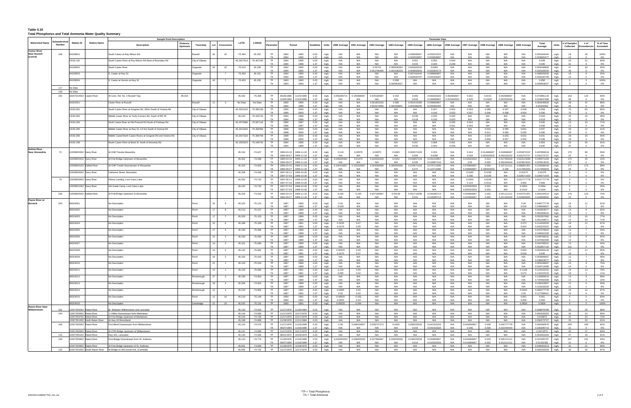#### **Table 4.10 Total Phosphorus and Total Ammonia Water Quality Summary**

|                                                        |                        |                           |                               | <b>Sample Point Description</b>                                                                                 |                |                               |                  |                        |                        |                                                                                |                      |                      |                     |                     |                            |                       |                             | <b>Parameter Data</b>             |                         |                                         |                            |                                   |                                      |                                         |                      |                           |                     |                              |
|--------------------------------------------------------|------------------------|---------------------------|-------------------------------|-----------------------------------------------------------------------------------------------------------------|----------------|-------------------------------|------------------|------------------------|------------------------|--------------------------------------------------------------------------------|----------------------|----------------------|---------------------|---------------------|----------------------------|-----------------------|-----------------------------|-----------------------------------|-------------------------|-----------------------------------------|----------------------------|-----------------------------------|--------------------------------------|-----------------------------------------|----------------------|---------------------------|---------------------|------------------------------|
| <b>Watershed Name</b>                                  | iubwatershec<br>Number | <b>Station ID</b>         | <b>Station Name</b>           | <b>Distance</b><br><b>Description</b><br>Upstrean                                                               | Township       | Lot<br>Concession             | LATD             | <b>LONGD</b>           | Paramete               | Period                                                                         | Guideline            | Units                | 1990 Average        | 1991 Average        | 1992 Average               | 1993 Average          | 1994 Average                | 1995 Average                      | 1996 Average            | 1997 Average                            | 1998 Average               | 1999 Average                      | 2000 Average                         | Total<br>Average                        | Units                | # of Samples<br>Collected | # of<br>Exceedances | % of Time<br><b>Exceeded</b> |
| <b>Castor River</b><br><b>Near Russell</b><br>(cont'd) | 108                    | 04108001                  |                               | South Castor at Ray Wilson Rd                                                                                   | रेussell       | 10<br>26                      | $-75.394$        | 45.252                 | TP<br>TA               | 1994<br>1995<br>1994<br>1995                                                   | 0.03<br>1.37         | mg/L<br>mg/L         | N/A<br>N/A          | N/A<br>N/A          | N/A                        | N/A<br>N/A            | 0.050666667<br>0.004553957  | 0.053222222<br>0.002656997        | N/A<br>N/A              | N/A<br>N/A                              | N/A<br>N/A                 | N/A<br>N/A                        | N/A<br>N/A                           | 0.051944444<br>0.003605477              | mg/L<br>mg/l         | 18                        | 18                  | 100%<br>$0\%$                |
|                                                        |                        | CK63-102                  |                               | South Castor River at Roy Wilson Rd West of Boundary Rd                                                         | City of Ottawa |                               | 45.2427414       | $-75.407245$           | TP<br>TA               | 1994<br>1996<br>1994<br>1996                                                   | 0.03<br>1.37         | mg/L<br>mg/L         | N/A<br>N/A          | N/A<br>N/A          | N/A<br>N/A                 | N/A<br>N/A            | 0.051<br>0.043              | 0.052<br>0.026                    | 0.044<br>0.039          | N/A<br>N/A                              | N/A<br>N/A                 | N/A<br>N/A                        | N/A<br>N/A                           | 0.049<br>0.035                          | mg/L<br>mg/L         | - 33<br>31                | -31                 | 94%<br>0%                    |
|                                                        |                        | 04108002                  |                               | South Castor River                                                                                              | Osgoode        | 10<br>26                      | $-75.410$        | 45.238                 | TP                     | 1992<br>1995                                                                   | 0.03                 | mg/L                 | N/A                 | N/A                 | 0.05725                    | 0.065636364           | 0.064583333                 | 0.0665                            | N/A                     | N/A                                     | N/A                        | N/A                               | N/A                                  | 0.063446809                             | mg/L                 | 47                        | 44                  | 94%                          |
|                                                        |                        | 04108003                  |                               | S. Castor at Hwy 31                                                                                             | Osgoode        | $\overline{7}$                | $-75.450$        | 45.151                 | TA<br><b>TP</b>        | 1994<br>1995<br>1994<br>1995                                                   | 1.37<br>0.03         | mg/L<br>mg/L         | N/A<br>N/A          | N/A<br>N/A          | 001766494<br>N/A           | 1.0014302<br>N/A      | 00365065<br>0.067444444     | .002364174<br>0.069666667         | N/A<br>N/A              | N/A<br>N/A                              | N/A<br>N/A                 | N/A<br>N/A                        | N/A<br>N/A                           | 002320525<br>0.068555556                | mg/L<br>mg/L         | 18                        | 9                   | 0%<br>50%                    |
|                                                        |                        | 04108004                  |                               | S. Castor at Vernon at Hwy 31                                                                                   | Osgoode        | 43<br>$\overline{7}$          | $-75.453$        | 45.155                 | TA<br><b>TP</b>        | 1994<br>1995<br>1993<br>1993                                                   | 1.37<br>0.03         | mg/L<br>mg/L         | N/A<br>N/A          | N/A<br>N/A          | N/A<br>N/A                 | N/A<br>0.058          | 0.002600787<br>N/A          | 0.004169297<br>N/A                | N/A<br>N/A              | N/A<br>N/A                              | N/A<br>N/A                 | N/A<br>N/A                        | N/A<br>N/A                           | 0.003332758<br>0.058                    | mg/L<br>mg/L         | 15<br>-5                  | - 5                 | 0%<br>100%                   |
|                                                        |                        |                           |                               |                                                                                                                 |                |                               |                  |                        | TA.                    | 1993<br>1993                                                                   | 1.37                 | mg/L                 | N/A                 | N/A                 | N/A                        | 1.000953027           | N/A                         | N/A                               | N/A                     | N/A                                     | N/A                        | N/A                               | N/A                                  | 0.000953027                             | mg/L                 |                           |                     | 0%                           |
|                                                        | 117<br>130             | No Data<br>Data           |                               |                                                                                                                 |                |                               |                  |                        |                        |                                                                                |                      |                      |                     |                     |                            |                       |                             |                                   |                         |                                         |                            |                                   |                                      |                                         |                      |                           |                     |                              |
|                                                        | 202                    |                           | 8207014502 Castor River       | At Conc. Rd. No. 3 Russell Twp.<br>85.615                                                                       |                |                               | 45.262           | $-75.356$              | TP.<br><b>TA</b>       | 06/26/1980<br>1/24/1999<br>12/06/1994<br>1/24/1999                             | 0.03<br>1.37         | mg/L<br>mg/L         | 0.055285714<br>N/A  | 0.155666667<br>N/A  | 0.045166667<br>N/A         | 0.042<br>N/A          | 0.083<br>0.044              | 0.062333333<br>0.034666667        | 0.062666667<br>02333333 | 0.052<br>0.025                          | 0.0415<br>0.01825          | 0.042666667<br>02333333           | N/A<br>N/A                           | 0.072881119<br>0.024947368              | mg/L<br>mg/L         | 143                       | 119                 | 83%<br>0%                    |
|                                                        |                        | 04202001                  |                               | Castor River at Russell                                                                                         | Russell        | $\overline{\mathbf{3}}$       | No Data          | No Data                | TP<br>TA               | 1992<br>1995<br>1994<br>1995                                                   | 0.03<br>1.37         | mg/L<br>mg/L         | N/A<br>N/A          | N/A<br>N/A          | 0.061833333<br>0.002674805 | 0.068<br>002258601    | 0.061615385<br>0.004486345  | 0.059666667<br>0.003395405        | N/A<br>N/A              | N/A<br>N/A                              | N/A<br>N/A                 | N/A<br>N/A                        | N/A<br>N/A                           | 0.062645833<br>0.00324052               | mg/L<br>mg/L         | 48                        | 42                  | 88%<br>0%                    |
|                                                        |                        | CK63-001                  |                               | South Castor River at Gregoire Rd, 250m South of Victoria Rd                                                    | City of Ottawa |                               | 45.2524132       | -75.395159             | TP                     | 1995<br>2000                                                                   | 0.03                 | mg/L                 | N/A                 | N/A                 | N/A                        | N/A                   | N/A                         | 0.047                             | 0.052                   | 0.053                                   | 0.085                      | 0.067                             | 0.048                                | 0.058                                   | mg/L                 | 76                        | 65                  | 86%                          |
|                                                        |                        | CK63-002                  |                               | Middle Castor River at Yorks Corners Rd, South of RR #6                                                         | City of Ottawa |                               | 45.243           | $-75.423715$           | TA<br>TP.              | 1995<br>2000<br>1994<br>1996                                                   | 1.37<br>0.03         | mg/L<br>mg/L         | N/A<br>N/A          | N/A<br>N/A          | N/A<br>N/A                 | N/A<br>N/A            | N/A<br>0.036                | 0.016<br>0.032                    | 0.023<br>0.032          | 0.037<br>N/A                            | 0.040<br>N/A               | 0.058<br>N/A                      | 0.054<br>N/A                         | 0.036<br>0.033                          | mg/L<br>mg/L         | - 33                      | 16                  | 0%<br>48%                    |
|                                                        |                        | CK63-264                  |                               | North Castor River at Old Prescott Rd South of Parkway Rd                                                       | City of Ottawa |                               | 45.2570096       | $-75.567116$           | <b>TA</b><br><b>TP</b> | 1994<br>1996<br>1996<br>1997                                                   | 1.37<br>0.03         | mg/L<br>mg/L         | N/A<br>N/A          | N/A<br>N/A          | N/A<br>N/A                 | N/A<br>N/A            | 0.018<br>N/A                | 0.016<br>N/A                      | 0.023<br>0.045          | N/A<br>0.043                            | N/A<br>N/A                 | N/A<br>N/A                        | N/A<br>N/A                           | 0.019<br>0.045                          | mg/L<br>mg/L         | 32<br>13                  | 10                  | 0%<br>77%                    |
|                                                        |                        | CK63-265                  |                               | Middle Castor River at Hwy 31, 0.5 km South of Victoria Rd                                                      |                |                               | 45.2221634       | -75.493060             | TA<br>TP.              | 1997<br>1996<br>1998<br>2000                                                   | 1.37<br>0.03         | mg/L                 | N/A<br>N/A          | N/A<br>N/A          | N/A                        | N/A<br>N/A            | $N/\rho$<br>N/A             | N/A<br>N/A                        | 0.041<br>N/A            | 0.003<br>N/A                            | N/A<br>0.023               | 0.055                             | N/A<br>0.031                         | 0.038<br>0.037                          | mg/L                 | - 29                      | 12                  | 0%<br>41%                    |
|                                                        |                        |                           |                               |                                                                                                                 | City of Ottawa |                               |                  |                        | TA                     | 1998<br>2000                                                                   | 1.37                 | mg/L<br>mg/L         | N/A                 | N/A                 | N/A                        | N/A                   | N/A                         | N/A                               | N/A                     | N/A                                     | 0.011                      | 0.056                             | 0.035                                | 0.036                                   | mg/L<br>mg/L         |                           |                     | 0%                           |
|                                                        |                        | CK63-266                  |                               | Middle Castor/North Castor Rivers at Gregorie Rd and Victoria Rd                                                | City of Ottawa |                               | 45.2547333       | -75.396759             | TP.<br>TA.             | 1998<br>2000<br>2000<br>1998                                                   | 0.03<br>1.37         | mg/L<br>mg/L         | N/A<br>N/A          | N/A<br><b>N/A</b>   | N/A<br>N/A                 | N/A<br>N/A            | N/A<br>N/A                  | N/A<br>N/A                        | N/A<br>N/A              | N/A<br>N/A                              | 0.024<br>0.009             | 0.053<br>0.057                    | 0.041<br>0.040                       | 0.041<br>0.038                          | mg/L<br>mg/L         | 29<br>29                  | 16                  | 55%<br>0%                    |
|                                                        |                        | CK63-108                  |                               | South Castor River at Bank St. North of Kennedy Rd                                                              |                |                               | 45.1505323       | -75.449743             | TP<br>TA               | 1994<br>1996<br>1994<br>1996                                                   | 0.03<br>1.37         | mg/L<br>mg/L         | N/A<br>N/A          | N/A<br>N/A          | N/A<br>N/A                 | N/A<br>N/A            | 0.067<br>0.035              | 0.069<br>0.044                    | 0.051<br>0.039          | N/A<br>N/A                              | N/A<br>N/A                 | N/A<br>N/A                        | N/A<br>N/A                           | 0.063<br>0.040                          | mg/L<br>mg/L         | 33                        | 30                  | 91%<br>$0\%$                 |
| <b>Delisle River</b><br>Near Alexandria                | 72                     | 12008600302 Garry River   |                               | At CNR Tressle Alexandris                                                                                       |                |                               | 45.316           | $-74.627$              | <b>TP</b>              | 1980-03-10<br>1999-11-16<br>1994-09-21<br>999-11-16                            | 0.03<br>1.37         | mg/L<br>mg/L         | 0.118<br>N/A        | 0.06575<br>N/A      | 0.03975<br>N/A             | 0.0483<br>N/A         | 0.063571429<br>0.055        | 0.024<br>0.0268                   | N/A<br>N/A              | 0.024<br>0.018                          | 0.014666667<br>0.003333333 | 0.018666667<br>0.042222222        | 0.053972222<br>0.031272727           | 0.097869318<br>0.031272727              | mg/L<br>mg/L         | 176                       | 99                  | 56%<br>0%                    |
|                                                        |                        | 2008600402 Garry River    |                               | At First Bridge Upstream of Alexandria                                                                          |                |                               | 45.302           | $-74.638$              | TP<br><b>TA</b>        | 1999-11-16<br>1980-03-10                                                       | 0.03                 | mg/L                 | 0.035636364         | 0.01475             | 0.026333333<br>N/A         | 0.0152<br>N/A         | 0.016857143                 | 0.031142857                       | N/A<br>N/A              | 0.019333333                             | 0.014                      | 0.017333333                       | 0.022123288                          | 0.035571429                             | mg/L                 | 175                       | 40                  | 23%                          |
|                                                        |                        | 12008600102 Delisle River |                               | At CNR Trestle Downstream of Alexandria                                                                         |                |                               | 45.323           | $-74.603$              | TP.                    | 1994-09-27<br>1999-11-16<br>1980-03-10<br>1999-11-16                           | 1.37<br>0.03         | mg/L<br>mg/L         | N/A<br>0.106416667  | N/A<br>0.102916667  | 0.064090909                | 0.080555556           | 0.035<br>0.076571429        | 0.016857143<br>0.075714286        | N/A                     | 0.02<br>0.076666667                     | 0.005<br>0.064             | 0.032444444<br>0.107111111        | 0.023913043<br>0.086851351           | 0.023913043<br>0.215638418              | mg/L<br>mg/L         | 23<br>177                 | 173                 | 0%<br>98%                    |
|                                                        |                        | 12008600602 Garry River   |                               | Catherine Street, Alexandria                                                                                    |                |                               | 45.308           | $-74.638$              | <b>TA</b><br>TP        | 999-11-16<br>1994-09-21<br>1997-06-11<br>1998-10-26                            | 1.37<br>0.03         | mg/L<br>mg/L         | N/A<br>N/A          | N/A<br>N/A          | N/A                        | N/A<br>N/A            | 0.272<br>N/A                | 0.113714286<br>N/A                | N/A<br>N/A              | 0.34666666<br>0.0185                    | 19933333<br>0.0195         | 0.248<br>N/A                      | 0.217083333<br>0.01575               | .217083333<br>0.01575                   | mg/l<br>mg/L         |                           | $\Omega$            | 0%<br>0%                     |
|                                                        | 79                     | 2008600902 Garry Rive     |                               | Fillions Landing, Loch Garry Lake                                                                               |                |                               | 45.262           | $-74.710$              | TA<br>TP               | 1997-07-03<br>1998-10-26<br>1997-06-1<br>998-10-26                             | 1.37<br>0.03         | mg/L<br>mg/L         | N/A<br>N/A          | N/A<br>N/A          | N/A<br>N/A                 | N/A<br>N/A            | N/A<br>N/A                  | N/A<br>N/A                        | N/A<br>N/A              | 0.036<br>0.0205                         | 0.0195<br>0.0228           | N/A<br>N/A                        | 0.026571429<br>0.021777778           | 0.026571429<br>0.021777778              | mg/L<br>mg/L         |                           | $\overline{0}$      | 0%<br>0%                     |
|                                                        |                        | 2008601002 Garry River    |                               | Girl Guide Camp, Loch Garry Lake                                                                                |                |                               | 45.243           | $-74.733$              | <b>TA</b><br>TP.       | 1997-07-03<br>1998-10-26<br>1997-07-03<br>1998-10-26                           | 1.37<br>0.03         | mg/L<br>mg/L         | N/A<br>N/A          | N/A<br>N/A          | N/A<br>N/A                 | N/A<br>N/A            | N/A<br>N/A                  | N/A<br>N/A                        | N/A<br>N/A              | 0.124<br>0.023333333                    | 0.0312<br>0.031            | N/A<br>N/A                        | 0.066<br>0.0264                      | 0.066<br>0.0264                         | mg/L<br>mg/L         |                           |                     | 0%<br>20%                    |
|                                                        | 200                    |                           | 2008600202 Delisle River      | At First Bridge Upstream of Alexandria                                                                          |                |                               | 45.329           | $-74.618$              | TA<br>TP<br>TA         | 1997-07-03<br>1998-10-26<br>1980-03-10<br>999-11-16<br>1994-09-2<br>1999-11-16 | 1.37<br>0.03<br>1.37 | mg/L<br>mg/L         | N/A<br>0.035<br>N/A | N/A<br>0.045<br>N/A | N/A<br>0.037166667         | N/A<br>0.05139<br>N/A | N/A<br>0.051714286<br>0.041 | N/A<br>0.044285714<br>0.018285714 | N/A<br>N/A<br>N/A       | 0.65533333<br>0.044666667<br>.022666667 | 0.053<br>0.032<br>0.005    | N/A<br>0.041111111<br>0.021333333 | 0.4144<br>0.042701351<br>0.020869565 | 0.4144<br>0.055192614<br>020869565      | mg/L<br>mg/L<br>mg/L | 176                       | 123                 | $0\%$<br>70%<br>$0\%$        |
| Payne River at<br><b>Berwick</b>                       | 204                    | 08204001                  |                               | No Description                                                                                                  | Finch          | 16<br>-9                      | 45.224           | $-75.124$              | <b>TP</b>              | 1987<br>1990                                                                   | 0.03                 | mg/L<br>mg/L         | 0.04                | N/A                 | N/A                        | N/A                   | N/A                         | N/A                               | N/A                     | N/A                                     | N/A                        | N/A                               | 0.04                                 | 0.048777778                             | mg/L                 | 18                        | 11                  | 61%                          |
|                                                        |                        | 08204002                  |                               | No Description                                                                                                  | Finch          | 17<br>8                       | 45.213           | $-75.107$              | TA<br>TP<br><b>TA</b>  | 1987<br>1990<br>1987<br>1989<br>1987<br>1989                                   | 1.37<br>0.03<br>1.37 | mg/L<br>mg/L         | 0.028<br>N/A<br>N/A | N/A<br>N/A<br>N/A   | N/A<br>N/A<br>N/A          | N/A<br>N/A<br>N/A     | N/A<br>N/A<br>N/A           | N/A<br>N/A<br>N/A                 | N/A<br>N/A<br>N/A       | N/A<br>N/A<br>N/A                       | N/A<br>N/A<br>N/A          | N/A<br>N/A<br>N/A                 | 0.028<br>N/A<br>N/A                  | 036666667<br>0.054923077<br>0.055384615 | mg/L<br>mg/L         | 13<br>13                  | 8                   | 6%<br>62%<br>8%              |
|                                                        |                        | 08204003                  |                               | No Description                                                                                                  | Finch          | $\overline{7}$                | 45.203           | $-75.103$              | TP.<br><b>TA</b>       | 1987<br>1989<br>1987<br>1989                                                   | 0.03<br>1.37         | mg/L<br>mg/L<br>mg/L | N/A<br>N/A          | N/A<br>N/A          | N/A<br>N/A                 | N/A<br>N/A            | N/A<br>N/A                  | N/A<br>N/A                        | N/A<br>N/A              | N/A<br>N/A                              | N/A<br>N/A                 | N/A<br>N/A                        | N/A<br>N/A                           | 0.052307692<br>0.051428571              | mg/L<br>mg/L<br>mg/L | 13<br>14                  | 10<br>10            | 77%<br>71%                   |
|                                                        |                        | 08204004                  |                               | No Description                                                                                                  | Finch          | 15<br>6                       | 45.186           | $-75.108$              | TP.                    | 1987<br>1991                                                                   | 0.03                 | mg/L                 | 0.3225              | 0.07                | N/A                        | N/A                   | N/A                         | N/A                               | N/A                     | N/A                                     | N/A                        | N/A                               | 0.272                                | 0.114333333                             | mg/L                 | 18                        | 12                  | 67%                          |
|                                                        |                        | 08204005                  |                               | No Description                                                                                                  | Finch          | 17<br>5                       | 45.180           | $-75.086$              | ТA<br>TP.              | 1987<br>1991<br>1987<br>1989                                                   | 1.37<br>0.03         | mg/L<br>mg/L         | 0.0175<br>N/A       | 0.05<br>N/A         | N/A                        | N/A<br>N/A            | $N/\rho$<br>N/A             | N/A<br>N/A                        | N/A<br>N/A              | N/A<br>N/A                              | N/A<br>N/A                 | N/A                               | 0.024<br>N/A                         | 0.42222222<br>0.047076923               | mg/L<br>mg/L         | 13                        |                     | 6%<br>54%                    |
|                                                        |                        | 08204006                  |                               | No Description                                                                                                  | Finch          | 14<br>$\overline{4}$          | 45.160           | $-75.093$              | TA.<br>TP.             | 1987<br>1989<br>1987<br>1989                                                   | 1.37<br>0.03         | mg/L<br>mg/L         | N/A<br>N/A          | N/A<br>N/A          | N/A<br>N/A                 | N/A<br>N/A            | N/A<br>N/A                  | N/A<br>N/A                        | N/A<br>N/A              | N/A<br>N/A                              | N/A<br>N/A                 | N/A<br>N/A                        | N/A<br>N/A                           | 0.048461538<br>0.049769231              | mg/L<br>mg/L         | 13<br>13                  | 8                   | 8%<br>62%                    |
|                                                        |                        |                           |                               |                                                                                                                 |                | 14                            |                  |                        | <b>TA</b>              | 1987<br>1989                                                                   | 1.37                 | mg/L                 | N/A                 | N/A                 | N/A                        | N/A                   | N/A                         | N/A                               | N/A                     | N/A                                     | N/A                        | N/A                               | N/A                                  | 0.047692308                             | mg/L                 |                           | $\overline{7}$      | 8%                           |
|                                                        |                        | 08204007                  |                               | No Description                                                                                                  | Finch          | $\overline{\mathbf{3}}$       | 45.151           | $-75.090$              | TP<br>TA               | 1987<br>1989<br>1987<br>1989                                                   | 0.03<br>1.37         | mg/L<br>mg/L         | N/A<br>N/A          | N/A<br>N/A          | N/A<br>N/A                 | N/A<br>N/A            | N/A<br>N/A                  | N/A<br>N/A                        | N/A<br>N/A              | N/A<br>N/A                              | N/A<br>N/A                 | N/A<br>N/A                        | N/A<br>N/A                           | 0.044769231<br>0.052857143              | mg/L<br>mg/L         | 13<br>131                 |                     | 54%<br>0%                    |
|                                                        |                        | 08204008                  |                               | No Description                                                                                                  | Finch          | 14<br>$\overline{2}$          | 45.142           | $-75.082$              | TP<br><b>TA</b>        | 1987<br>1991<br>1987<br>1991                                                   | 0.03<br>1.37         | mg/L<br>mg/L         | 0.05625<br>0.0275   | 0.09<br>0.07        | N/A                        | N/A<br>N/A            | N/A<br>N/A                  | N/A<br>N/A                        | N/A<br>N/A              | N/A<br>N/A                              | N/A<br>N/A                 | N/A<br>N/A                        | 0.063<br>0.036                       | 0.053294118<br>0.045                    | mg/L<br>mg/L         | 17                        | 11                  | 65%<br>6%                    |
|                                                        |                        | 08204009                  |                               | No Description                                                                                                  | Finch          | 19<br>$\overline{\mathbf{2}}$ | 45.155           | $-75.043$              | TP<br>TA.              | 1987<br>1989<br>1987<br>1989                                                   | 0.03<br>1.37         | mg/L<br>mg/L         | N/A<br>N/A          | N/A<br>N/A          | N/A<br>N/A                 | N/A<br>N/A            | N/A<br>N/A                  | N/A<br>N/A                        | N/A<br>N/A              | N/A<br>N/A                              | N/A<br>N/A                 | N/A<br>N/A                        | N/A<br>N/A                           | 0.053666667<br>0.036923077              | mg/L<br>mg/l         | 12<br>13                  |                     | 58%<br>8%                    |
|                                                        |                        | 08204010                  |                               | No Description                                                                                                  | Finch          | 21<br>$\overline{1}$          | 45.143           | $-75.018$              | TP.                    | 1987<br>1989                                                                   | 0.03                 | mg/L                 | N/A<br>N/A          | N/A                 | N/A                        | N/A                   | N/A                         | N/A                               | N/A                     | N/A<br>N/A                              | N/A                        | N/A                               | N/A                                  | 0.055166667                             | mg/L                 | 12                        | 9                   | 75%                          |
|                                                        |                        | 08204011                  |                               | No Description                                                                                                  | Finch          | 14<br>$\overline{1}$          | 45.126           | $-75.060$              | TA<br>TP               | 1987<br>1989<br>1987<br>1991                                                   | 1.37<br>0.03         | mg/L<br>mg/L         | 0.126               | <b>N/A</b><br>0.05  | N/A                        | N/A<br>N/A            | N/A<br>N/A                  | N/A<br>N/A                        | N/A<br>N/A              | N/A                                     | N/A<br>N/A                 | N/A<br>N/A                        | N/A<br>0.1108                        | 0.040714286<br>0.124222222              | mg/L<br>mg/L         | 14<br>18                  | $\Omega$<br>-14     | $0\%$<br>78%                 |
|                                                        |                        | 08204012                  |                               | No Description                                                                                                  | Roxborough     | 27<br>$\overline{\mathbf{3}}$ | 45.180           | $-74.953$              | TA<br><b>TP</b>        | 1987<br>1991<br>1987<br>1989                                                   | 1.37<br>0.03         | mg/L<br>mg/L         | 0.085<br>N/A        | 0.02<br>N/A         | N/A<br>N/A                 | N/A<br>N/A            | N/A<br>N/A                  | N/A<br>N/A                        | N/A<br>N/A              | N/A<br>N/A                              | N/A<br>N/A                 | N/A<br>N/A                        | 0.072<br>N/A                         | 0.142222222<br>0.133384615              | mg/L<br>mg/L         | 18<br>13                  | - 9                 | 11%<br>69%                   |
|                                                        |                        | 08204013                  |                               | No Description                                                                                                  | Roxborough     | 18<br>$\overline{4}$          | 45.206           | -74.924                | TA<br>TP               | 1987<br>1989<br>1987<br>1989                                                   | 1.37<br>0.03         | mg/L                 | N/A<br>N/A          | N/A<br>N/A          | N/A<br>N/A                 | N/A<br>N/A            | N/A<br>N/A                  | N/A<br>N/A                        | N/A<br>N/A              | N/A<br>N/A                              | N/A<br>N/A                 | N/A<br>N/A                        | N/A<br>N/A                           | 0.797692308<br>0.439416667              | mg/L<br>mg/L         | 13<br>12                  | 6                   | 15%<br>50%                   |
|                                                        |                        |                           |                               |                                                                                                                 |                |                               |                  |                        | <b>TA</b>              | 1987<br>1989                                                                   | 1.37                 | mg/L<br>mg/L         | N/A                 | N/A                 | N/A                        | N/A                   | N/A                         | N/A                               | N/A                     | N/A                                     | N/A                        | N/A                               | N/A                                  | 0.153333333                             | mg/L                 |                           |                     | 8%                           |
|                                                        |                        | 08204014                  |                               | No Description                                                                                                  | Roxborough     | 12<br>4                       | 45.220           | -74.900                | TP<br>TA               | 1987<br>1991<br>1987<br>1991                                                   | 0.03<br>1.37         | mg/L<br>mg/L         | 0.0505<br>0.02      | 0.02<br>0.02        | N/A<br>N/A                 | N/A<br>N/A            | N/A<br>N/A                  | N/A<br>N/A                        | N/A<br>N/A              | N/A<br>N/A                              | N/A<br>N/A                 | N/A<br>N/A                        | 0.0444<br>0.02                       | 0.093277778<br>0.117368421              | mg/L<br>mg/L         | 18<br>19                  | 12                  | 67%<br>0%                    |
|                                                        |                        | 08204015                  |                               | No Description                                                                                                  | Finch          | 12<br>10                      | 45.219           | $-75.149$              | TP.<br>TA              | 1990<br>1991<br>1990<br>1991                                                   | 0.03<br>1.37         | mg/L<br>mg/L         | 0.06825<br>0.0625   | 0.032<br>0.03       | N/A<br>N/A                 | N/A<br>N/A            | N/A<br>N/A                  | N/A<br>N/A                        | N/A<br>N/A              | N/A<br>N/A                              | N/A<br>N/A                 | N/A<br>N/A                        | 0.061<br>0.056                       | 0.061<br>0.056                          | mg/L<br>mg/L         | 6                         | - 5                 | 83%<br>$0\%$                 |
| <b>Raisin River Near</b>                               |                        | 08204016                  |                               | No Description                                                                                                  | Cambridge      | 10                            | 45.242           | $-75.131$              | <b>TP</b>              | 1990<br>1991                                                                   | 0.03                 | mg/L                 | 0.09325             | 0.044               | N/A                        | N/A                   | N/A                         | N/A                               | N/A                     | N/A                                     | N/A                        | N/A                               | 0.0834                               | 0.0834                                  | mg/L                 | -5                        | -5                  | 100%                         |
| Williamstown                                           |                        |                           | 2007300202 Raisin River       | Br. Between Williamstown and Lancaster                                                                          |                |                               | 45.133           | $-74.543$              | <b>TP</b>              | 11/17/1976<br>1/26/1984                                                        | 0.03                 | mg/L                 | N/A                 | N/A                 | N/A                        | N/A                   | N/A                         | N/A                               | N/A                     | N/A                                     | N/A                        | N/A                               | N/A                                  | 0.058878788                             | ma/l                 |                           |                     | 88%                          |
|                                                        | 104                    | 12007300602 Raisin River  | 2007300702 Raisin River       | .4 Miles Downstream from Martintown<br>At First Bridge Upstream of Martintown                                   |                |                               | 45.144<br>45.143 | $-74.696$<br>$-74.730$ | <b>TP</b>              | 11/17/1976<br>12/17/1979<br>TP 11/17/1976<br>12/17/1979                        | 0.03<br>0.03         | mg/L<br>mg/L         | N/A<br>N/A          | N/A<br>N/A          | N/A<br>N/A                 | N/A<br>N/A            | N/A<br>N/A                  | N/A<br>N/A                        | N/A<br>N/A              | N/A<br>N/A                              | N/A<br>N/A                 | N/A<br>N/A                        | N/A<br>N/A                           | 0.060333333<br>0.043875                 | mg/L<br>mg/L         | 30<br>32                  | 24<br>23            | 80%<br>72%                   |
|                                                        |                        |                           | 2007301302 North Raisin River | At Hwy 43 Monckland                                                                                             |                |                               | 45.199           | $-74.868$              | <b>TP</b>              | 11/18/1976<br>11/11/1984                                                       | 0.03                 | mg/L                 | N/A                 | N/A                 | N/A                        | N/A                   | N/A                         | N/A                               | N/A                     | N/A                                     | N/A                        | N/A                               | N/A                                  | 0.050272727                             | mg/L                 | 33                        | 20                  | 61%                          |
|                                                        | 105                    | 12007300302 Raisin River  |                               | First Bend Downstream from Williamstown                                                                         |                |                               | 45.143           | $-74.576$              | TP.<br><b>TA</b>       | 11/17/1976<br>11/16/1999<br>09/27/1994<br>1/16/1999                            | 0.03<br>1.37         | mg/L<br>mg/L         | 0.06<br>N/A         | 0.048416667<br>N/A  | 0.039727273<br>N/A         | 0.0455<br>N/A         | 0.058333333<br>0.044        | 0.041333333<br>0.044333333        | N/A<br>N/A              | 0.044666667<br>0.036                    | 0.036<br>0.008             | 0.045777778<br>0.022444444        | N/A<br>N/A                           | 0.060360976<br>0.030285714              | mg/L<br>mg/L         | 205<br>21                 | 169                 | 82%<br>0%                    |
|                                                        |                        |                           | 2007300402 Raisin River       | At CPR Bridge Upstream of Williamstown                                                                          |                |                               | 45.147           | $-74.589$              |                        | TP 11/17/1976<br>12/17/1979                                                    | $0.03$ mg/L          |                      | N/A                 | N/A                 | N/A                        | N/A                   | N/A                         | N/A                               | N/A                     | N/A                                     | N/A                        | N/A                               | N/A                                  | 0.0474375 mg/L                          |                      | 32                        | 27                  | 84%                          |
|                                                        | 115                    | 12007300102 Raisin River  |                               | Hwy 401, Lancaster                                                                                              |                |                               | 45.132           | $-74.506$              | <b>TP</b>              | 08/21/1972<br>10/23/1979                                                       | 0.03                 | mg/L                 | N/A                 | N/A                 | N/A                        | N/A                   | N/A                         | N/A                               | N/A                     | N/A                                     | N/A                        | N/A                               | N/A                                  | 0.061851064                             | mg/L                 | 47                        | 43                  | 91%                          |
|                                                        | 129                    | 12007300802 Raisin River  |                               | First Bridge Downstream from St. Andrews                                                                        |                |                               | 45.110           | $-74.773$              | <b>TP</b><br><b>TA</b> | 11/18/1976<br>11/16/1999<br>09/27/1994<br>11/16/1999                           | 0.03<br>1.37         | mg/L<br>mg/L         | 0.043333333<br>N/A  | 0.039833333<br>N/A  | 0.027666667<br>N/A         | 0.039333333<br>N/A    | 0.049333333<br>0.014        | 0.032666667<br>0.010333333        | N/A<br>N/A              | 0.042666667<br>0.014666667              | 0.023<br>0.002             | 0.035111111<br>0.013111111        | N/A<br>N/A                           | 0.047405797<br>0.01152381               | mg/L<br>mg/L         | 207                       | 131                 | 63%<br>0%                    |
|                                                        | 132                    |                           | 2007300902 Raisin River       | At First Bridge Upstream of St. Andrews<br>12007301602 South Raisin River At Bridge on McConnel Ave. (Cornwall) |                |                               | 45.091<br>45.056 | $-74.836$<br>$-74.742$ |                        | TP 11/18/1976<br>12/18/1979<br>TP 11/17/1976<br>12/17/1979                     | $0.03$ mg/L<br>0.03  |                      | N/A<br>N/A          | N/A<br>N/A          | N/A<br>N/A                 | N/A<br>N/A            | N/A<br>N/A                  | N/A<br>N/A                        | N/A<br>N/A              | N/A<br>N/A                              | N/A<br>N/A                 | N/A<br>N/A                        | N/A<br>N/A                           | 0.049451613 mg/L<br>0.092333333         | mg/L                 | 31<br>30                  | 21<br>26            | 68%<br>87%                   |
|                                                        |                        |                           |                               |                                                                                                                 |                |                               |                  |                        |                        |                                                                                |                      | mg/L                 |                     |                     |                            |                       |                             |                                   |                         |                                         |                            |                                   |                                      |                                         |                      |                           |                     |                              |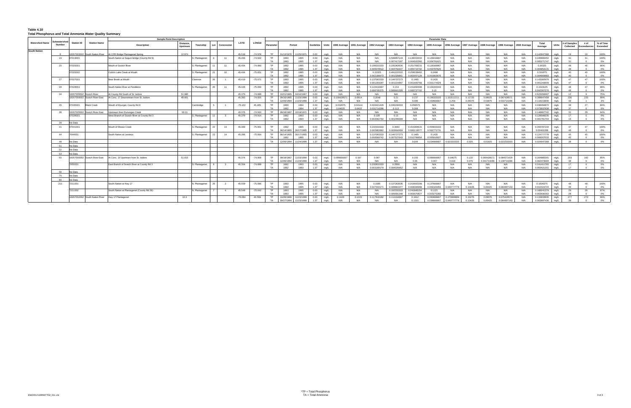#### **Table 4.10 Total Phosphorus and Total Ammonia Water Quality Summary**

|                       |              |                         |                                | <b>Sample Point Description</b>                  |           |                |    |                         |           |              |                 |                          |            |                         |                  |                |               |               |                        |                            |                            | <b>Parameter Data</b>      |                            |                    |                    |                            |            |                            |              |                       |                  |                 |
|-----------------------|--------------|-------------------------|--------------------------------|--------------------------------------------------|-----------|----------------|----|-------------------------|-----------|--------------|-----------------|--------------------------|------------|-------------------------|------------------|----------------|---------------|---------------|------------------------|----------------------------|----------------------------|----------------------------|----------------------------|--------------------|--------------------|----------------------------|------------|----------------------------|--------------|-----------------------|------------------|-----------------|
| <b>Watershed Name</b> | ubwatershed  | <b>Station ID</b>       | <b>Station Name</b>            |                                                  | Distance, |                |    |                         | LATD      | <b>LONGD</b> |                 |                          |            |                         |                  |                |               |               |                        |                            |                            |                            |                            |                    |                    |                            |            | Total                      |              | t of Samples          | # of             | % of Time       |
|                       | Number       |                         |                                | <b>Description</b>                               | Upstream  | Township       |    | Lot Concession          |           |              | Paramete        |                          | Period     |                         | <b>Guideline</b> | Units          | 1990 Average  | 1991 Average  | 1992 Average           | 1993 Average               | 1994 Average               | 1995 Average               | 1996 Average               | 1997 Average       | 1998 Average       | 1999 Average 2000 Average  |            | Average                    | Units        | Collected             | Exceedances      | <b>Exceeded</b> |
| <b>South Nation</b>   |              |                         |                                |                                                  |           |                |    |                         |           |              |                 |                          |            |                         |                  |                |               |               |                        |                            |                            |                            |                            |                    |                    |                            |            |                            |              |                       |                  |                 |
|                       | $\mathbf{R}$ |                         | 18207003002 South Nation River | At CPR Bridge Plantagenet Spring                 | 12.874    |                |    |                         | 45,519    | $-74.978$    | <b>TP</b>       | 01/13/1970               |            | 1/25/1971               | 0.03             | m <sub>0</sub> | N/A           | N/A           | N/A                    | N/A                        | N/A                        | N/A                        | N/A                        | N/A                | N/A                | N/A                        | N/A        | 0.142947368                | mg/L         | 19                    | 19               | 100%            |
|                       | 19           | 07019001                |                                | South Nation at Seguin bridge (County Rd 9)      |           | 3. Plantagenet |    | 11                      | 45.456    | $-74.942$    | <b>TP</b>       | 1993                     |            | 1995                    | 0.03             | mg/L           | N/A           | N/A           | N/A                    | 0.506857143                | 0.148333333                | 0.126416667                | N/A                        | N/A                | N/A                | N/A                        | N/A        | 0.220806452                | mg/L         | 31                    | 31               | 100%            |
|                       |              |                         |                                |                                                  |           |                |    |                         |           |              | <b>TA</b>       | 1993                     |            | 1995                    | 1.37             | ma/L           | N/A           | <b>N/A</b>    | N/A                    | 0.007417187                | 0.004500366                | 0.004791621                | N/A                        | N/A                | N/A                | N/A                        | N/A        | 0.005271747                | mg/L         |                       |                  | $0\%$           |
|                       | 25           | 7025001                 |                                | Mouth of Scotch River                            |           | S. Plantagenet |    | 11                      | 45.454    | $-74.990$    | <b>TP</b>       | 1992                     |            | 1995                    | 0.03             | mg/L           | N/A           | N/A           | 0.198333333            | 0.235363636                | 0.251769231                | 0.126166667                | N/A                        | N/A                | N/A                | N/A                        | N/A        | 0.20325                    | mg/L         | 48                    | 46               | 96%             |
|                       |              |                         |                                |                                                  |           |                |    |                         |           |              | TA              | 1992                     |            | 1995                    | 1.37             | ma/l           | N/A           | N/A           | 0.005078512            | 0.004750227                | 0.005715702                | 0.003787626                | N/A                        | N/A                | N/A                | N/A                        | N/A        | 0.004853131                | mg/L         | $\Delta$ <sub>R</sub> |                  | $0\%$           |
|                       |              | 07025002                |                                | Cobb's Lake Creek at Mouth                       |           | S. Plantagenet |    | 10                      | 45.444    | $-75.051$    | <b>TP</b><br>TA | 1992<br>1992             |            | 1995<br>1995            | 0.03<br>1.37     | mg/L<br>ma/L   | N/A<br>N/A    | N/A<br>N/A    | 0.22325<br>0.002188673 | 0.491222222<br>0.001328801 | 0.259538462<br>0.002057128 | 0.2498<br>0.001863676      | N/A<br>N/A                 | N/A<br>N/A         | N/A<br>N/A         | N/A<br>N/A                 | N/A<br>N/A | 0.301975<br>0.004669883    | mg/L<br>ma/L | 40<br>40              | 40<br>$\sqrt{2}$ | 100%<br>$0\%$   |
|                       | 27           | 07027001                |                                | Bear Brook at Mouth                              |           | Clarence       | 26 |                         | 45.419    | $-75.071$    | <b>TP</b>       | 1992                     |            | 1995                    | 0.03             |                | N/A           | $N/\rho$      | 0.137083333            | 0.146727273                | 0.1465                     | 0.1435                     | N/A                        | N/A                | N/A                | N/A                        | N/A        | 0.143382979                |              | 47                    | 47               | 100%            |
|                       |              |                         |                                |                                                  |           |                |    |                         |           |              | <b>TA</b>       | 1992                     |            | 1995                    | 1.37             | mg/L<br>ma/l   | N/A           | N/A           | 0.001264287            | 0.001224897                | 0.001660768                | 0.001174029                | N/A                        | N/A                | N/A                | N/A                        | N/A        | 0.001343609                | mg/L<br>mg/L | 47                    | $\sqrt{2}$       | $0\%$           |
|                       | - 28         | 07028001                |                                | South Nation River at Pendleton                  |           | 3. Plantagenet | 20 | 11                      | 45.426    | $-75.050$    | <b>TP</b>       | 1992                     |            | 1995                    | 0.03             | mg/L           | N/A           | N/A           | 0.122416667            | 0.214                      | 0.151692308                | 0.126333333                | N/A                        | N/A                | N/A                | N/A                        | N/A        | 0.1523125                  | mg/L         | 48                    | 47               | 98%             |
|                       |              |                         |                                |                                                  |           |                |    |                         |           |              | TA              | 1992                     |            | 1995                    | 1.37             | mg/L           | N/A           | N/A           | 0.006795375            | 0.005601328                | 0.006737702                | 0.15                       | N/A                        | N/A                | N/A                | N/A                        | N/A        | 0.042307276                | mg/L         | 48                    | $\sqrt{2}$       | $0\%$           |
|                       | 34           | 8207009502 Scotch River |                                | At County Rd South of St. Isidore                | 51,980    |                |    |                         | 45.370    | $-74.899$    | <b>TP</b>       | 10/21/1965               |            | 04/10/1967              | 0.03             | mg/L           | N/A           | N/A           | N/A                    | N/A                        | N/A                        | <b>N/A</b>                 | N/A                        | N/A                | N/A                | N/A                        | N/A        | 0.623266667                | mg/L         | 12                    |                  | 75%             |
|                       |              |                         | 18207004002 Scotch River East  | At Conc. 17 Downstream from St. Isidore          | 48.601    |                |    |                         | 45.383    | $-74.925$    | <b>TP</b>       | 09/16/1965               |            | 1/23/1999               | 0.03             | mg/L           | 0.15842857    | 0.0914        | 0.2048                 | 0.21                       | 0.237                      | 0.136333333                | .15311111                  | 0.11725            | 0.08025            | 0.097428571                | N/A        | 0.388847458                | mg/L         | 236                   | 233              | 99%             |
|                       |              |                         |                                |                                                  |           |                |    |                         |           |              | <b>TA</b>       | 2/06/1994                |            | 23/1999                 | 1.37             | ma/l           | N/A           | N/A           | N/A                    | N/A                        | 0.086                      | 150666661                  | 0.258                      | 0.09375            | 0.03875            | .033714286                 | N/A        | 0.118153846                | ma/l         |                       |                  | 3%              |
|                       | 35           | 07035001                | <b>Black Creek</b>             | Wouth of Bourget, County Rd 8                    |           | Cambridge      |    |                         | $-75.102$ | 45.405       | <b>TP</b>       | 1990                     |            | 1994                    | 0.03             | mg/L           | 0.032875      | 0.04114       | 0.033421429            | 0.039158333                | 0.056575                   | N/A                        | N/A                        | N/A                | N/A                | N/A                        | N/A        | 0.038494872                | mg/L         | 39                    | 27               | 69%             |
|                       |              |                         |                                |                                                  |           |                |    |                         |           |              | <b>TA</b>       | 1992                     |            | 1994                    | 1.37             | ma/L           | 0.04625       | 0.0422        | 0.031714286            | 0.113                      | 0.268                      | <b>N/A</b>                 | N/A                        | N/A                | N/A                | N/A                        | N/A        | 0.073837838                | ma/L         |                       |                  | $0\%$           |
|                       | 38           | 8207005002              | Scotch River East              | Jpstream from Dunvegan Creek                     | 50.21     |                |    |                         | 45.376    | $-74.910$    | <b>TP</b>       | 9/18/1967                |            | 0/19/1971               | 0.03             | mg/l           | N/A           | N/A           | N/A                    | N/A                        | N/A                        | N/A                        | N/A                        | N/A                | N/A                | N/A                        | N/A        | 146967742                  | mg/L         | 31                    | 29               | 94%             |
|                       |              | 7038001                 |                                | West Branch of Scotch River at County Rd 3       |           | S. Plantagenet | 11 | $\overline{\mathbf{3}}$ | 45.379    | $-74.914$    | <b>TP</b>       | 1992                     |            | 1993                    | 0.03             | mg/L           | N/A           | N/A           | 0.128                  | 0.13                       | N/A                        | N/A                        | N/A                        | N/A                | N/A                | N/A                        | N/A        | 0.128588235                | mg/L         | 17                    |                  | 0%              |
|                       |              |                         |                                |                                                  |           |                |    |                         |           |              | TA              | 1992                     |            | 1993                    | 1.37             | mg/L           | N/A           | N/A           | 0.002062764            | 0.001099369                | N/A                        | N/A                        | N/A                        | N/A                | N/A                | N/A                        | N/A        | 0.001761703                | mg/L         | 16                    |                  | 0%              |
|                       | 39           | No Data                 |                                |                                                  |           |                |    |                         |           |              |                 |                          |            |                         |                  |                |               |               |                        |                            |                            |                            |                            |                    |                    |                            |            |                            |              |                       |                  |                 |
|                       | 41           | 07041001                |                                | Mouth of Moose Creek                             |           | . Plantagenet  |    | 14                      | 45.389    | $-75.061$    | <b>TP</b>       | 1992                     |            | 1995                    | 0.03             | mg/L           | N/A           | N/A           | 0.232333333            | 0.3064                     | 0.415384615                | 0.455833333                | N/A                        | N/A                | N/A                | N/A                        | N/A        | 0.355787234                | mg/L         | 47                    | 47               | 100%            |
|                       |              |                         |                                |                                                  |           |                |    |                         |           |              | <b>TA</b>       | 06/14/1905               |            | 06/17/1905              | 1.37             | ma/L           | N/A           | N/A           | 0.002983962            | 0.003916459                | 0.006119577                | 0.002771731                | N/A                        | N/A                | N/A                | N/A                        | N/A        | 0.00402208                 | ma/L         | 46                    | $\sqrt{2}$       | $0\%$           |
|                       | 44           | 7044001                 |                                | South Nation at Lemieux                          |           | S. Plantagenet | 23 | 14                      | 45.396    | $-75.064$    | <b>TP</b>       | 06/14/1905               |            | 06/17/1905              | 0.03             | mg/L           | N/A           | N/A           | 0.137083333            | 0.146727273                | 0.1465                     | 0.1435                     | N/A                        | N/A                | N/A                | N/A                        | N/A        | 0.124777778                | mg/L         | 45                    | 45               | 100%            |
|                       |              |                         |                                |                                                  |           |                |    |                         |           |              | <b>TA</b>       | 1992                     |            | 1995                    | 1.37             | ma/l           | N/A           | N/A           | 0.008369742            | 0.007527643                | 0.010796654                | 0.005916827                | N/A                        | N/A                | N/A                | N/A                        | N/A        | 0.008267033                | mg/L         | 45                    |                  | $0\%$           |
|                       | 48           | No Data                 |                                |                                                  |           |                |    |                         |           |              | TA              |                          | 12/06/1994 | 11/24/1999              | 1.37             | ma/L           | N/A           | N/A           | N/A                    | N/A                        | 0.044                      | C034666667                 | 023333333                  | 0.025              | 0.01825            | 0.023333333                | N/A        | 0.024947368                | ma/L         | 38                    | $\sqrt{2}$       | $0\%$           |
|                       | 51           | No Data                 |                                |                                                  |           |                |    |                         |           |              |                 |                          |            |                         |                  |                |               |               |                        |                            |                            |                            |                            |                    |                    |                            |            |                            |              |                       |                  |                 |
|                       | 52           | No Data                 |                                |                                                  |           |                |    |                         |           |              |                 |                          |            |                         |                  |                |               |               |                        |                            |                            |                            |                            |                    |                    |                            |            |                            |              |                       |                  |                 |
|                       | 53           | No Data                 |                                |                                                  |           |                |    |                         |           |              |                 |                          |            |                         |                  |                |               |               |                        |                            |                            |                            |                            |                    |                    |                            |            |                            |              |                       |                  |                 |
|                       | 55           |                         | 18207006002 Scotch River East  | At Conc. 19 Upstream from St. Isidore            | 51.015    |                |    |                         | 45.374    | $-74.908$    | <b>TP</b>       | 09/18/1967               |            | 1/23/1999               | 0.03             | mg/L           | 0.09566666    | 0.167         | 0.087                  | N/A                        | 0.183                      | 0.086666667                | 0.04675                    | 0.132              | 0.069428571        | 0.084571429                | N/A        | 0.164960591                | mg/L         | 203                   | 192              | 95%             |
|                       |              |                         |                                |                                                  |           |                |    |                         |           |              | <b>TA</b>       | 12/06/1994               |            | 1/23/1999               | 1.37             | ma/l           | N/A           | N/A           | N/A                    | N/A                        | 0.06                       | 0.047                      | 0.018                      | 0.075              | 0.041714286        | 0.139714286                | N/A        | 0.062473684                | mg/L         | 38                    | $\sqrt{2}$       | $0\%$           |
|                       |              | 7055001                 |                                | East Branch of Scotch River at County Rd 3       |           | S. Plantagenet |    | $\mathbf{3}$            | 45.354    | $-74.889$    | <b>TP</b>       | 1992                     |            | 1993                    | 0.03             | mg/L           | N/A           | N/A           | 0.230833333            | 0.2668                     | N/A                        | N/A                        | N/A                        | N/A                | N/A                | N/A                        | N/A        | 0.241411765                | mg/L         | 17                    |                  | 0%              |
|                       |              |                         |                                |                                                  |           |                |    |                         |           |              | TA              | 1992                     |            | 1993                    | 1.37             | mg/L           | N/A           | N/A           | 0.003168179            | 0.004028452                | N/A                        | N/A                        | N/A                        | N/A                | N/A                | N/A                        | N/A        | 0.003421201                | mg/L         | 17                    |                  | 0%              |
|                       | 56           | No Data                 |                                |                                                  |           |                |    |                         |           |              |                 |                          |            |                         |                  |                |               |               |                        |                            |                            |                            |                            |                    |                    |                            |            |                            |              |                       |                  |                 |
|                       | 75           | No Data                 |                                |                                                  |           |                |    |                         |           |              |                 |                          |            |                         |                  |                |               |               |                        |                            |                            |                            |                            |                    |                    |                            |            |                            |              |                       |                  |                 |
|                       | $90^{\circ}$ | No Data                 |                                |                                                  |           |                |    |                         |           |              |                 |                          |            |                         |                  |                |               |               |                        |                            |                            |                            |                            |                    |                    |                            |            |                            |              |                       |                  |                 |
|                       | 211          | 7211001                 |                                | South Nation at Hwy 17                           |           | N. Plantagenet | 20 |                         | 45.559    | $-75.066$    | TP              | 1992                     |            | 1995                    | 0.03             | mg/L           | N/A           | N/A           | 0.1585                 | 0.137363636                | 0.215692308                | 0.137666667                | N/A                        | N/A                | N/A                | N/A                        | N/A        | 0.1639375                  | mg/L         | 48                    | 48               | 100%            |
|                       |              |                         |                                |                                                  |           |                |    |                         |           |              | TA              | 1992                     |            | 1995                    | 1.37             | mg/L           | N/A           | N/A           | 0.027333171            | 0.008964477                | 0.008086988                | 0.004320355                | 0.049777778                | 0.13425            | 0.06425            | 0.084857143                | N/A        | 0.012324724                | mg/L         | 36                    |                  | $0\%$           |
|                       |              | 7211002                 |                                | South Nation at Plantagenet (County Rd 26)       |           | N. Plantagenet |    | $\overline{4}$          | 45.549    | $-75.042$    | <b>TP</b>       | 1993                     |            | 1995                    | 0.03             | mg/L           | N/A           | N/A           | N/A                    | 0.102333333                | 0.241846154                | 0.1121                     | N/A                        | N/A                | N/A                | N/A                        | N/A        | 0.168241379                | mg/L         | 29                    | 28               | 97%             |
|                       |              |                         |                                |                                                  |           |                |    |                         |           |              | <b>TA</b>       | 1993                     |            | 1995                    | 1.37             |                | N/A           | N/A           | N/A                    | 0.005691348                | 0.003570827                | .003275392                 | N/A                        | N/A                | N/A                | N/A                        | N/A        | 0.003930263                | ma/l         |                       |                  | $0\%$           |
|                       |              |                         |                                | 18207002002 South Nation River Hwy 17 Plantagene | 10.3      |                |    |                         | $-75.064$ | 45.559       | <b>TP</b><br>TA | 10/26/1966<br>09/27/1994 |            | 1/23/1999<br>11/23/1999 | 0.03<br>1.37     | mg/L<br>ma/l   | 0.1449<br>N/A | 0.1015<br>N/A | 0.117818182<br>N/A     | 0.112416667<br>N/A         | 0.1612<br>0.1315           | 0.093666667<br>0.038666667 | 0.170888889<br>0.049777778 | 0.10275<br>0.13425 | 0.09075<br>0.06425 | 0.075428571<br>0.084857143 | N/A<br>N/A | 0.133833935<br>0.083897436 | mg/L         | 277<br>39             | 273<br>$\Omega$  | 99%<br>$0\%$    |
|                       |              |                         |                                |                                                  |           |                |    |                         |           |              |                 |                          |            |                         |                  |                |               |               |                        |                            |                            |                            |                            |                    |                    |                            |            |                            | mg/L         |                       |                  |                 |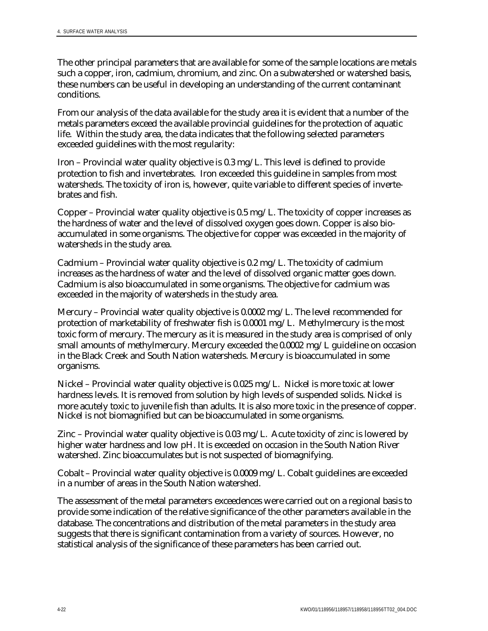The other principal parameters that are available for some of the sample locations are metals such a copper, iron, cadmium, chromium, and zinc. On a subwatershed or watershed basis, these numbers can be useful in developing an understanding of the current contaminant conditions.

From our analysis of the data available for the study area it is evident that a number of the metals parameters exceed the available provincial guidelines for the protection of aquatic life. Within the study area, the data indicates that the following selected parameters exceeded guidelines with the most regularity:

Iron – Provincial water quality objective is 0.3 mg/L. This level is defined to provide protection to fish and invertebrates. Iron exceeded this guideline in samples from most watersheds. The toxicity of iron is, however, quite variable to different species of invertebrates and fish.

Copper – Provincial water quality objective is 0.5 mg/L. The toxicity of copper increases as the hardness of water and the level of dissolved oxygen goes down. Copper is also bioaccumulated in some organisms. The objective for copper was exceeded in the majority of watersheds in the study area.

Cadmium – Provincial water quality objective is 0.2 mg/L. The toxicity of cadmium increases as the hardness of water and the level of dissolved organic matter goes down. Cadmium is also bioaccumulated in some organisms. The objective for cadmium was exceeded in the majority of watersheds in the study area.

Mercury – Provincial water quality objective is 0.0002 mg/L. The level recommended for protection of marketability of freshwater fish is 0.0001 mg/L. Methylmercury is the most toxic form of mercury. The mercury as it is measured in the study area is comprised of only small amounts of methylmercury. Mercury exceeded the 0.0002 mg/L guideline on occasion in the Black Creek and South Nation watersheds. Mercury is bioaccumulated in some organisms.

Nickel – Provincial water quality objective is 0.025 mg/L. Nickel is more toxic at lower hardness levels. It is removed from solution by high levels of suspended solids. Nickel is more acutely toxic to juvenile fish than adults. It is also more toxic in the presence of copper. Nickel is not biomagnified but can be bioaccumulated in some organisms.

Zinc – Provincial water quality objective is 0.03 mg/L. Acute toxicity of zinc is lowered by higher water hardness and low pH. It is exceeded on occasion in the South Nation River watershed. Zinc bioaccumulates but is not suspected of biomagnifying.

Cobalt – Provincial water quality objective is 0.0009 mg/L. Cobalt guidelines are exceeded in a number of areas in the South Nation watershed.

The assessment of the metal parameters exceedences were carried out on a regional basis to provide some indication of the relative significance of the other parameters available in the database. The concentrations and distribution of the metal parameters in the study area suggests that there is significant contamination from a variety of sources. However, no statistical analysis of the significance of these parameters has been carried out.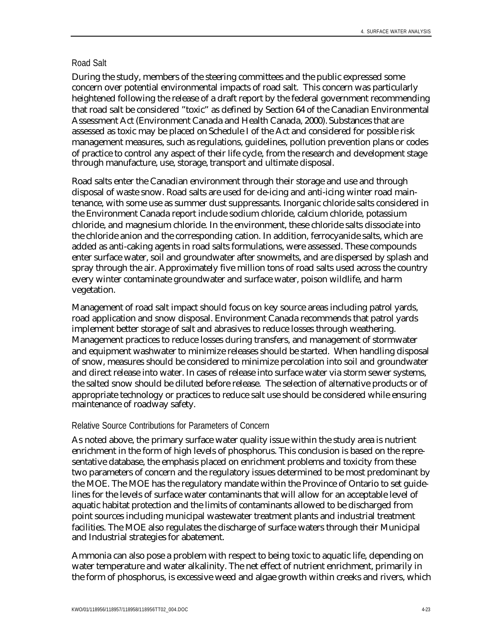#### Road Salt

During the study, members of the steering committees and the public expressed some concern over potential environmental impacts of road salt. This concern was particularly heightened following the release of a draft report by the federal government recommending that road salt be considered "toxic" as defined by Section 64 of the Canadian Environmental Assessment Act (Environment Canada and Health Canada, 2000). Substances that are assessed as toxic may be placed on Schedule I of the Act and considered for possible risk management measures, such as regulations, guidelines, pollution prevention plans or codes of practice to control any aspect of their life cycle, from the research and development stage through manufacture, use, storage, transport and ultimate disposal.

Road salts enter the Canadian environment through their storage and use and through disposal of waste snow. Road salts are used for de-icing and anti-icing winter road maintenance, with some use as summer dust suppressants. Inorganic chloride salts considered in the Environment Canada report include sodium chloride, calcium chloride, potassium chloride, and magnesium chloride. In the environment, these chloride salts dissociate into the chloride anion and the corresponding cation. In addition, ferrocyanide salts, which are added as anti-caking agents in road salts formulations, were assessed. These compounds enter surface water, soil and groundwater after snowmelts, and are dispersed by splash and spray through the air. Approximately five million tons of road salts used across the country every winter contaminate groundwater and surface water, poison wildlife, and harm vegetation.

Management of road salt impact should focus on key source areas including patrol yards, road application and snow disposal. Environment Canada recommends that patrol yards implement better storage of salt and abrasives to reduce losses through weathering. Management practices to reduce losses during transfers, and management of stormwater and equipment washwater to minimize releases should be started. When handling disposal of snow, measures should be considered to minimize percolation into soil and groundwater and direct release into water. In cases of release into surface water via storm sewer systems, the salted snow should be diluted before release. The selection of alternative products or of appropriate technology or practices to reduce salt use should be considered while ensuring maintenance of roadway safety.

#### Relative Source Contributions for Parameters of Concern

As noted above, the primary surface water quality issue within the study area is nutrient enrichment in the form of high levels of phosphorus. This conclusion is based on the representative database, the emphasis placed on enrichment problems and toxicity from these two parameters of concern and the regulatory issues determined to be most predominant by the MOE. The MOE has the regulatory mandate within the Province of Ontario to set guidelines for the levels of surface water contaminants that will allow for an acceptable level of aquatic habitat protection and the limits of contaminants allowed to be discharged from point sources including municipal wastewater treatment plants and industrial treatment facilities. The MOE also regulates the discharge of surface waters through their Municipal and Industrial strategies for abatement.

Ammonia can also pose a problem with respect to being toxic to aquatic life, depending on water temperature and water alkalinity. The net effect of nutrient enrichment, primarily in the form of phosphorus, is excessive weed and algae growth within creeks and rivers, which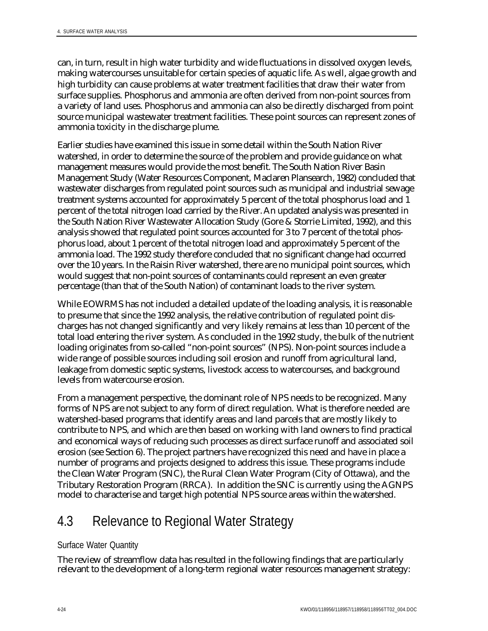can, in turn, result in high water turbidity and wide fluctuations in dissolved oxygen levels, making watercourses unsuitable for certain species of aquatic life. As well, algae growth and high turbidity can cause problems at water treatment facilities that draw their water from surface supplies. Phosphorus and ammonia are often derived from non-point sources from a variety of land uses. Phosphorus and ammonia can also be directly discharged from point source municipal wastewater treatment facilities. These point sources can represent zones of ammonia toxicity in the discharge plume.

Earlier studies have examined this issue in some detail within the South Nation River watershed, in order to determine the source of the problem and provide guidance on what management measures would provide the most benefit. The South Nation River Basin Management Study (Water Resources Component, Maclaren Plansearch, 1982) concluded that wastewater discharges from regulated point sources such as municipal and industrial sewage treatment systems accounted for approximately 5 percent of the total phosphorus load and 1 percent of the total nitrogen load carried by the River. An updated analysis was presented in the South Nation River Wastewater Allocation Study (Gore & Storrie Limited, 1992), and this analysis showed that regulated point sources accounted for 3 to 7 percent of the total phosphorus load, about 1 percent of the total nitrogen load and approximately 5 percent of the ammonia load. The 1992 study therefore concluded that no significant change had occurred over the 10 years. In the Raisin River watershed, there are no municipal point sources, which would suggest that non-point sources of contaminants could represent an even greater percentage (than that of the South Nation) of contaminant loads to the river system.

While EOWRMS has not included a detailed update of the loading analysis, it is reasonable to presume that since the 1992 analysis, the relative contribution of regulated point discharges has not changed significantly and very likely remains at less than 10 percent of the total load entering the river system. As concluded in the 1992 study, the bulk of the nutrient loading originates from so-called "non-point sources" (NPS). Non-point sources include a wide range of possible sources including soil erosion and runoff from agricultural land, leakage from domestic septic systems, livestock access to watercourses, and background levels from watercourse erosion.

From a management perspective, the dominant role of NPS needs to be recognized. Many forms of NPS are not subject to any form of direct regulation. What is therefore needed are watershed-based programs that identify areas and land parcels that are mostly likely to contribute to NPS, and which are then based on working with land owners to find practical and economical ways of reducing such processes as direct surface runoff and associated soil erosion (see Section 6). The project partners have recognized this need and have in place a number of programs and projects designed to address this issue. These programs include the Clean Water Program (SNC), the Rural Clean Water Program (City of Ottawa), and the Tributary Restoration Program (RRCA). In addition the SNC is currently using the AGNPS model to characterise and target high potential NPS source areas within the watershed.

## 4.3 Relevance to Regional Water Strategy

### Surface Water Quantity

The review of streamflow data has resulted in the following findings that are particularly relevant to the development of a long-term regional water resources management strategy: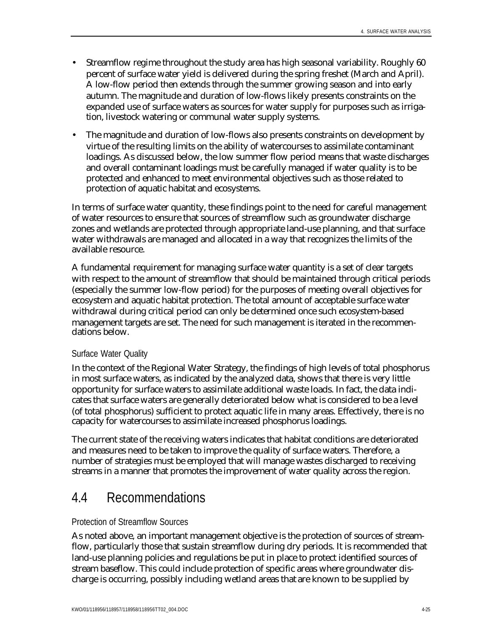- Streamflow regime throughout the study area has high seasonal variability. Roughly 60 percent of surface water yield is delivered during the spring freshet (March and April). A low-flow period then extends through the summer growing season and into early autumn. The magnitude and duration of low-flows likely presents constraints on the expanded use of surface waters as sources for water supply for purposes such as irrigation, livestock watering or communal water supply systems.
- The magnitude and duration of low-flows also presents constraints on development by virtue of the resulting limits on the ability of watercourses to assimilate contaminant loadings. As discussed below, the low summer flow period means that waste discharges and overall contaminant loadings must be carefully managed if water quality is to be protected and enhanced to meet environmental objectives such as those related to protection of aquatic habitat and ecosystems.

In terms of surface water quantity, these findings point to the need for careful management of water resources to ensure that sources of streamflow such as groundwater discharge zones and wetlands are protected through appropriate land-use planning, and that surface water withdrawals are managed and allocated in a way that recognizes the limits of the available resource.

A fundamental requirement for managing surface water quantity is a set of clear targets with respect to the amount of streamflow that should be maintained through critical periods (especially the summer low-flow period) for the purposes of meeting overall objectives for ecosystem and aquatic habitat protection. The total amount of acceptable surface water withdrawal during critical period can only be determined once such ecosystem-based management targets are set. The need for such management is iterated in the recommendations below.

#### Surface Water Quality

In the context of the Regional Water Strategy, the findings of high levels of total phosphorus in most surface waters, as indicated by the analyzed data, shows that there is very little opportunity for surface waters to assimilate additional waste loads. In fact, the data indicates that surface waters are generally deteriorated below what is considered to be a level (of total phosphorus) sufficient to protect aquatic life in many areas. Effectively, there is no capacity for watercourses to assimilate increased phosphorus loadings.

The current state of the receiving waters indicates that habitat conditions are deteriorated and measures need to be taken to improve the quality of surface waters. Therefore, a number of strategies must be employed that will manage wastes discharged to receiving streams in a manner that promotes the improvement of water quality across the region.

## 4.4 Recommendations

#### Protection of Streamflow Sources

As noted above, an important management objective is the protection of sources of streamflow, particularly those that sustain streamflow during dry periods. It is recommended that land-use planning policies and regulations be put in place to protect identified sources of stream baseflow. This could include protection of specific areas where groundwater discharge is occurring, possibly including wetland areas that are known to be supplied by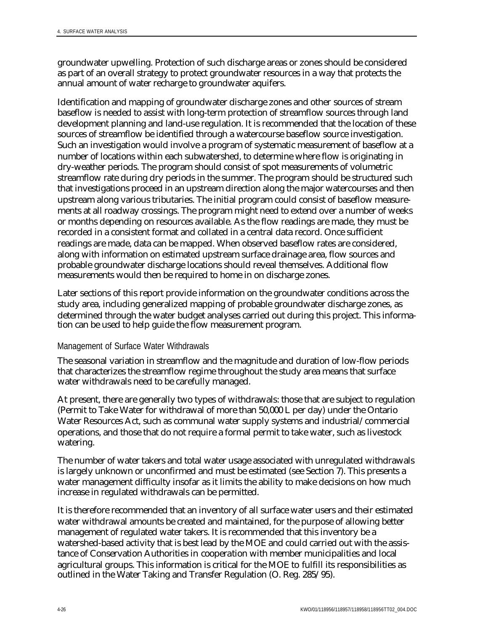groundwater upwelling. Protection of such discharge areas or zones should be considered as part of an overall strategy to protect groundwater resources in a way that protects the annual amount of water recharge to groundwater aquifers.

Identification and mapping of groundwater discharge zones and other sources of stream baseflow is needed to assist with long-term protection of streamflow sources through land development planning and land-use regulation. It is recommended that the location of these sources of streamflow be identified through a watercourse baseflow source investigation. Such an investigation would involve a program of systematic measurement of baseflow at a number of locations within each subwatershed, to determine where flow is originating in dry-weather periods. The program should consist of spot measurements of volumetric streamflow rate during dry periods in the summer. The program should be structured such that investigations proceed in an upstream direction along the major watercourses and then upstream along various tributaries. The initial program could consist of baseflow measurements at all roadway crossings. The program might need to extend over a number of weeks or months depending on resources available. As the flow readings are made, they must be recorded in a consistent format and collated in a central data record. Once sufficient readings are made, data can be mapped. When observed baseflow rates are considered, along with information on estimated upstream surface drainage area, flow sources and probable groundwater discharge locations should reveal themselves. Additional flow measurements would then be required to home in on discharge zones.

Later sections of this report provide information on the groundwater conditions across the study area, including generalized mapping of probable groundwater discharge zones, as determined through the water budget analyses carried out during this project. This information can be used to help guide the flow measurement program.

### Management of Surface Water Withdrawals

The seasonal variation in streamflow and the magnitude and duration of low-flow periods that characterizes the streamflow regime throughout the study area means that surface water withdrawals need to be carefully managed.

At present, there are generally two types of withdrawals: those that are subject to regulation (Permit to Take Water for withdrawal of more than 50,000 L per day) under the Ontario Water Resources Act, such as communal water supply systems and industrial/commercial operations, and those that do not require a formal permit to take water, such as livestock watering.

The number of water takers and total water usage associated with unregulated withdrawals is largely unknown or unconfirmed and must be estimated (see Section 7). This presents a water management difficulty insofar as it limits the ability to make decisions on how much increase in regulated withdrawals can be permitted.

It is therefore recommended that an inventory of all surface water users and their estimated water withdrawal amounts be created and maintained, for the purpose of allowing better management of regulated water takers. It is recommended that this inventory be a watershed-based activity that is best lead by the MOE and could carried out with the assistance of Conservation Authorities in cooperation with member municipalities and local agricultural groups. This information is critical for the MOE to fulfill its responsibilities as outlined in the Water Taking and Transfer Regulation (O. Reg. 285/95).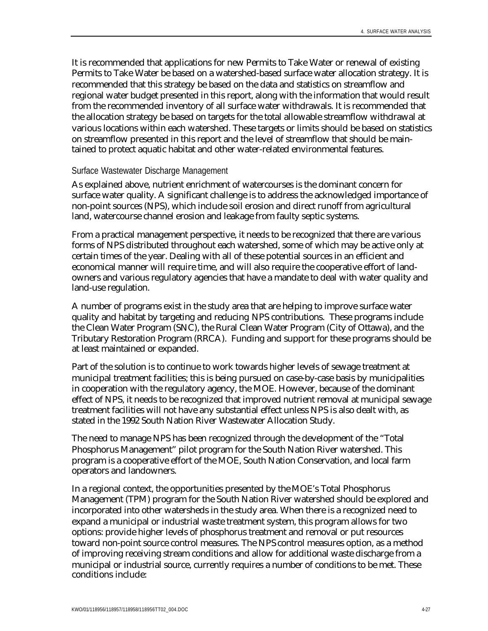It is recommended that applications for new Permits to Take Water or renewal of existing Permits to Take Water be based on a watershed-based surface water allocation strategy. It is recommended that this strategy be based on the data and statistics on streamflow and regional water budget presented in this report, along with the information that would result from the recommended inventory of all surface water withdrawals. It is recommended that the allocation strategy be based on targets for the total allowable streamflow withdrawal at various locations within each watershed. These targets or limits should be based on statistics on streamflow presented in this report and the level of streamflow that should be maintained to protect aquatic habitat and other water-related environmental features.

#### Surface Wastewater Discharge Management

As explained above, nutrient enrichment of watercourses is the dominant concern for surface water quality. A significant challenge is to address the acknowledged importance of non-point sources (NPS), which include soil erosion and direct runoff from agricultural land, watercourse channel erosion and leakage from faulty septic systems.

From a practical management perspective, it needs to be recognized that there are various forms of NPS distributed throughout each watershed, some of which may be active only at certain times of the year. Dealing with all of these potential sources in an efficient and economical manner will require time, and will also require the cooperative effort of landowners and various regulatory agencies that have a mandate to deal with water quality and land-use regulation.

A number of programs exist in the study area that are helping to improve surface water quality and habitat by targeting and reducing NPS contributions. These programs include the Clean Water Program (SNC), the Rural Clean Water Program (City of Ottawa), and the Tributary Restoration Program (RRCA). Funding and support for these programs should be at least maintained or expanded.

Part of the solution is to continue to work towards higher levels of sewage treatment at municipal treatment facilities; this is being pursued on case-by-case basis by municipalities in cooperation with the regulatory agency, the MOE. However, because of the dominant effect of NPS, it needs to be recognized that improved nutrient removal at municipal sewage treatment facilities will not have any substantial effect unless NPS is also dealt with, as stated in the 1992 South Nation River Wastewater Allocation Study.

The need to manage NPS has been recognized through the development of the "Total Phosphorus Management" pilot program for the South Nation River watershed. This program is a cooperative effort of the MOE, South Nation Conservation, and local farm operators and landowners.

In a regional context, the opportunities presented by the MOE's Total Phosphorus Management (TPM) program for the South Nation River watershed should be explored and incorporated into other watersheds in the study area. When there is a recognized need to expand a municipal or industrial waste treatment system, this program allows for two options: provide higher levels of phosphorus treatment and removal or put resources toward non-point source control measures. The NPS control measures option, as a method of improving receiving stream conditions and allow for additional waste discharge from a municipal or industrial source, currently requires a number of conditions to be met. These conditions include: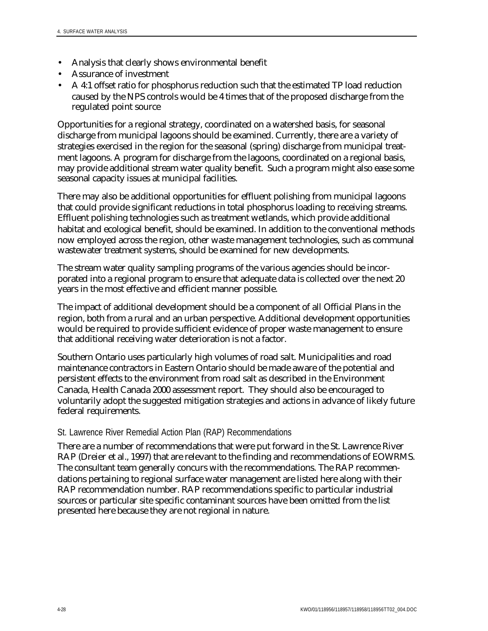- Analysis that clearly shows environmental benefit
- Assurance of investment
- A 4:1 offset ratio for phosphorus reduction such that the estimated TP load reduction caused by the NPS controls would be 4 times that of the proposed discharge from the regulated point source

Opportunities for a regional strategy, coordinated on a watershed basis, for seasonal discharge from municipal lagoons should be examined. Currently, there are a variety of strategies exercised in the region for the seasonal (spring) discharge from municipal treatment lagoons. A program for discharge from the lagoons, coordinated on a regional basis, may provide additional stream water quality benefit. Such a program might also ease some seasonal capacity issues at municipal facilities.

There may also be additional opportunities for effluent polishing from municipal lagoons that could provide significant reductions in total phosphorus loading to receiving streams. Effluent polishing technologies such as treatment wetlands, which provide additional habitat and ecological benefit, should be examined. In addition to the conventional methods now employed across the region, other waste management technologies, such as communal wastewater treatment systems, should be examined for new developments.

The stream water quality sampling programs of the various agencies should be incorporated into a regional program to ensure that adequate data is collected over the next 20 years in the most effective and efficient manner possible.

The impact of additional development should be a component of all Official Plans in the region, both from a rural and an urban perspective. Additional development opportunities would be required to provide sufficient evidence of proper waste management to ensure that additional receiving water deterioration is not a factor.

Southern Ontario uses particularly high volumes of road salt. Municipalities and road maintenance contractors in Eastern Ontario should be made aware of the potential and persistent effects to the environment from road salt as described in the Environment Canada, Health Canada 2000 assessment report. They should also be encouraged to voluntarily adopt the suggested mitigation strategies and actions in advance of likely future federal requirements.

### St. Lawrence River Remedial Action Plan (RAP) Recommendations

There are a number of recommendations that were put forward in the St. Lawrence River RAP (Dreier et al., 1997) that are relevant to the finding and recommendations of EOWRMS. The consultant team generally concurs with the recommendations. The RAP recommendations pertaining to regional surface water management are listed here along with their RAP recommendation number. RAP recommendations specific to particular industrial sources or particular site specific contaminant sources have been omitted from the list presented here because they are not regional in nature.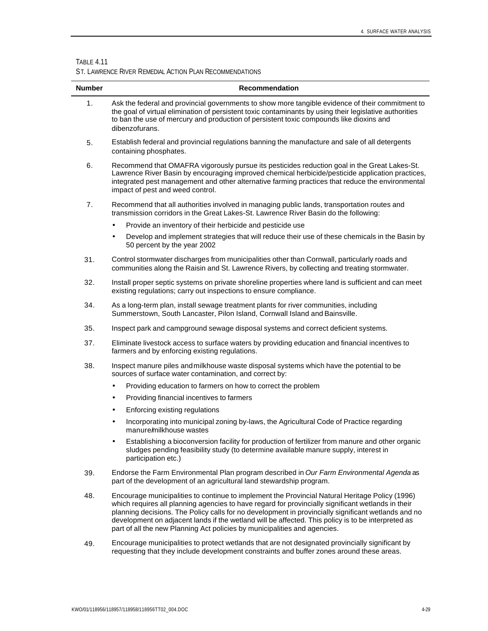#### TABLE 4.11

÷, L

ST. LAWRENCE RIVER REMEDIAL ACTION PLAN RECOMMENDATIONS

| <b>Number</b>  | Recommendation                                                                                                                                                                                                                                                                                                                                                                                                                                                                                  |
|----------------|-------------------------------------------------------------------------------------------------------------------------------------------------------------------------------------------------------------------------------------------------------------------------------------------------------------------------------------------------------------------------------------------------------------------------------------------------------------------------------------------------|
| 1.             | Ask the federal and provincial governments to show more tangible evidence of their commitment to<br>the goal of virtual elimination of persistent toxic contaminants by using their legislative authorities<br>to ban the use of mercury and production of persistent toxic compounds like dioxins and<br>dibenzofurans.                                                                                                                                                                        |
| 5.             | Establish federal and provincial regulations banning the manufacture and sale of all detergents<br>containing phosphates.                                                                                                                                                                                                                                                                                                                                                                       |
| 6.             | Recommend that OMAFRA vigorously pursue its pesticides reduction goal in the Great Lakes-St.<br>Lawrence River Basin by encouraging improved chemical herbicide/pesticide application practices,<br>integrated pest management and other alternative farming practices that reduce the environmental<br>impact of pest and weed control.                                                                                                                                                        |
| 7 <sub>1</sub> | Recommend that all authorities involved in managing public lands, transportation routes and<br>transmission corridors in the Great Lakes-St. Lawrence River Basin do the following:                                                                                                                                                                                                                                                                                                             |
|                | Provide an inventory of their herbicide and pesticide use<br>$\bullet$                                                                                                                                                                                                                                                                                                                                                                                                                          |
|                | Develop and implement strategies that will reduce their use of these chemicals in the Basin by<br>$\bullet$<br>50 percent by the year 2002                                                                                                                                                                                                                                                                                                                                                      |
| 31.            | Control stormwater discharges from municipalities other than Cornwall, particularly roads and<br>communities along the Raisin and St. Lawrence Rivers, by collecting and treating stormwater.                                                                                                                                                                                                                                                                                                   |
| 32.            | Install proper septic systems on private shoreline properties where land is sufficient and can meet<br>existing regulations; carry out inspections to ensure compliance.                                                                                                                                                                                                                                                                                                                        |
| 34.            | As a long-term plan, install sewage treatment plants for river communities, including<br>Summerstown, South Lancaster, Pilon Island, Cornwall Island and Bainsville.                                                                                                                                                                                                                                                                                                                            |
| 35.            | Inspect park and campground sewage disposal systems and correct deficient systems.                                                                                                                                                                                                                                                                                                                                                                                                              |
| 37.            | Eliminate livestock access to surface waters by providing education and financial incentives to<br>farmers and by enforcing existing regulations.                                                                                                                                                                                                                                                                                                                                               |
| 38.            | Inspect manure piles and milkhouse waste disposal systems which have the potential to be<br>sources of surface water contamination, and correct by:                                                                                                                                                                                                                                                                                                                                             |
|                | Providing education to farmers on how to correct the problem<br>$\bullet$                                                                                                                                                                                                                                                                                                                                                                                                                       |
|                | Providing financial incentives to farmers<br>$\bullet$                                                                                                                                                                                                                                                                                                                                                                                                                                          |
|                | Enforcing existing regulations<br>$\bullet$                                                                                                                                                                                                                                                                                                                                                                                                                                                     |
|                | Incorporating into municipal zoning by-laws, the Agricultural Code of Practice regarding<br>$\bullet$<br>manure/milkhouse wastes                                                                                                                                                                                                                                                                                                                                                                |
|                | Establishing a bioconversion facility for production of fertilizer from manure and other organic<br>sludges pending feasibility study (to determine available manure supply, interest in<br>participation etc.)                                                                                                                                                                                                                                                                                 |
| 39.            | Endorse the Farm Environmental Plan program described in Our Farm Environmental Agenda as<br>part of the development of an agricultural land stewardship program.                                                                                                                                                                                                                                                                                                                               |
| 48.            | Encourage municipalities to continue to implement the Provincial Natural Heritage Policy (1996)<br>which requires all planning agencies to have regard for provincially significant wetlands in their<br>planning decisions. The Policy calls for no development in provincially significant wetlands and no<br>development on adjacent lands if the wetland will be affected. This policy is to be interpreted as<br>part of all the new Planning Act policies by municipalities and agencies. |

49. Encourage municipalities to protect wetlands that are not designated provincially significant by requesting that they include development constraints and buffer zones around these areas.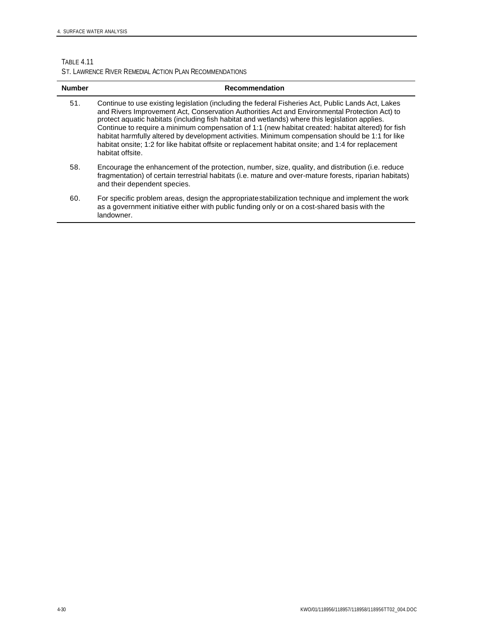### TABLE 4.11

ST. LAWRENCE RIVER REMEDIAL ACTION PLAN RECOMMENDATIONS

| <b>Number</b> | Recommendation                                                                                                                                                                                                                                                                                                                                                                                                                                                                                                                                                                                                                            |
|---------------|-------------------------------------------------------------------------------------------------------------------------------------------------------------------------------------------------------------------------------------------------------------------------------------------------------------------------------------------------------------------------------------------------------------------------------------------------------------------------------------------------------------------------------------------------------------------------------------------------------------------------------------------|
| 51.           | Continue to use existing legislation (including the federal Fisheries Act, Public Lands Act, Lakes<br>and Rivers Improvement Act, Conservation Authorities Act and Environmental Protection Act) to<br>protect aquatic habitats (including fish habitat and wetlands) where this legislation applies.<br>Continue to require a minimum compensation of 1:1 (new habitat created: habitat altered) for fish<br>habitat harmfully altered by development activities. Minimum compensation should be 1:1 for like<br>habitat onsite; 1:2 for like habitat offsite or replacement habitat onsite; and 1:4 for replacement<br>habitat offsite. |
| 58.           | Encourage the enhancement of the protection, number, size, quality, and distribution (i.e. reduce<br>fragmentation) of certain terrestrial habitats (i.e. mature and over-mature forests, riparian habitats)<br>and their dependent species.                                                                                                                                                                                                                                                                                                                                                                                              |
| 60.           | For specific problem areas, design the appropriate stabilization technique and implement the work<br>as a government initiative either with public funding only or on a cost-shared basis with the<br>landowner.                                                                                                                                                                                                                                                                                                                                                                                                                          |
|               |                                                                                                                                                                                                                                                                                                                                                                                                                                                                                                                                                                                                                                           |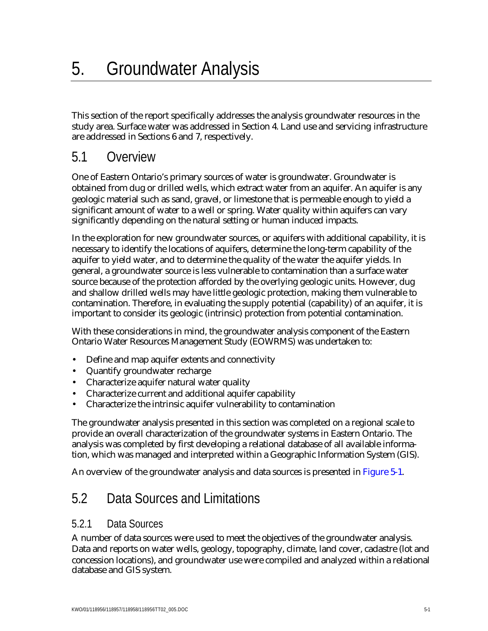This section of the report specifically addresses the analysis groundwater resources in the study area. Surface water was addressed in Section 4. Land use and servicing infrastructure are addressed in Sections 6 and 7, respectively.

## 5.1 Overview

One of Eastern Ontario's primary sources of water is groundwater. Groundwater is obtained from dug or drilled wells, which extract water from an aquifer. An aquifer is any geologic material such as sand, gravel, or limestone that is permeable enough to yield a significant amount of water to a well or spring. Water quality within aquifers can vary significantly depending on the natural setting or human induced impacts.

In the exploration for new groundwater sources, or aquifers with additional capability, it is necessary to identify the locations of aquifers, determine the long-term capability of the aquifer to yield water, and to determine the quality of the water the aquifer yields. In general, a groundwater source is less vulnerable to contamination than a surface water source because of the protection afforded by the overlying geologic units. However, dug and shallow drilled wells may have little geologic protection, making them vulnerable to contamination. Therefore, in evaluating the supply potential (capability) of an aquifer, it is important to consider its geologic (intrinsic) protection from potential contamination.

With these considerations in mind, the groundwater analysis component of the Eastern Ontario Water Resources Management Study (EOWRMS) was undertaken to:

- Define and map aquifer extents and connectivity
- Quantify groundwater recharge
- Characterize aquifer natural water quality
- Characterize current and additional aquifer capability
- Characterize the intrinsic aquifer vulnerability to contamination

The groundwater analysis presented in this section was completed on a regional scale to provide an overall characterization of the groundwater systems in Eastern Ontario. The analysis was completed by first developing a relational database of all available information, which was managed and interpreted within a Geographic Information System (GIS).

An overview of the groundwater analysis and data sources is presented in Figure 5-1.

## 5.2 Data Sources and Limitations

### 5.2.1 Data Sources

A number of data sources were used to meet the objectives of the groundwater analysis. Data and reports on water wells, geology, topography, climate, land cover, cadastre (lot and concession locations), and groundwater use were compiled and analyzed within a relational database and GIS system.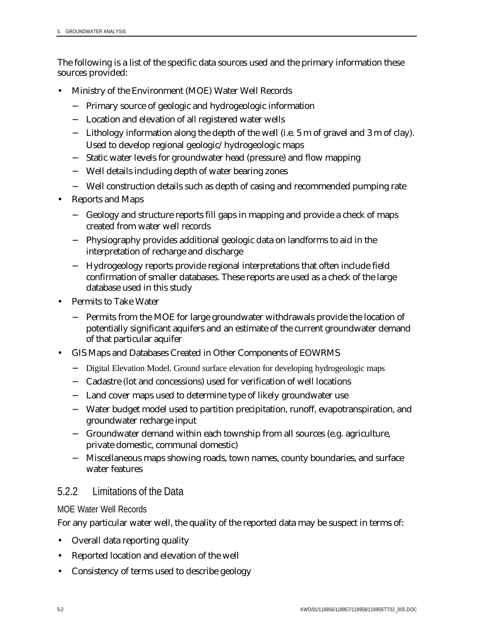The following is a list of the specific data sources used and the primary information these sources provided:

- Ministry of the Environment (MOE) Water Well Records
	- − Primary source of geologic and hydrogeologic information
	- − Location and elevation of all registered water wells
	- − Lithology information along the depth of the well (i.e. 5 m of gravel and 3 m of clay). Used to develop regional geologic/hydrogeologic maps
	- − Static water levels for groundwater head (pressure) and flow mapping
	- − Well details including depth of water bearing zones
	- − Well construction details such as depth of casing and recommended pumping rate
- Reports and Maps
	- − Geology and structure reports fill gaps in mapping and provide a check of maps created from water well records
	- − Physiography provides additional geologic data on landforms to aid in the interpretation of recharge and discharge
	- − Hydrogeology reports provide regional interpretations that often include field confirmation of smaller databases. These reports are used as a check of the large database used in this study
- Permits to Take Water
	- − Permits from the MOE for large groundwater withdrawals provide the location of potentially significant aquifers and an estimate of the current groundwater demand of that particular aquifer
- GIS Maps and Databases Created in Other Components of EOWRMS
	- − Digital Elevation Model. Ground surface elevation for developing hydrogeologic maps
	- − Cadastre (lot and concessions) used for verification of well locations
	- − Land cover maps used to determine type of likely groundwater use
	- − Water budget model used to partition precipitation, runoff, evapotranspiration, and groundwater recharge input
	- − Groundwater demand within each township from all sources (e.g. agriculture, private domestic, communal domestic)
	- − Miscellaneous maps showing roads, town names, county boundaries, and surface water features

### 5.2.2 Limitations of the Data

### MOE Water Well Records

For any particular water well, the quality of the reported data may be suspect in terms of:

- Overall data reporting quality
- Reported location and elevation of the well
- Consistency of terms used to describe geology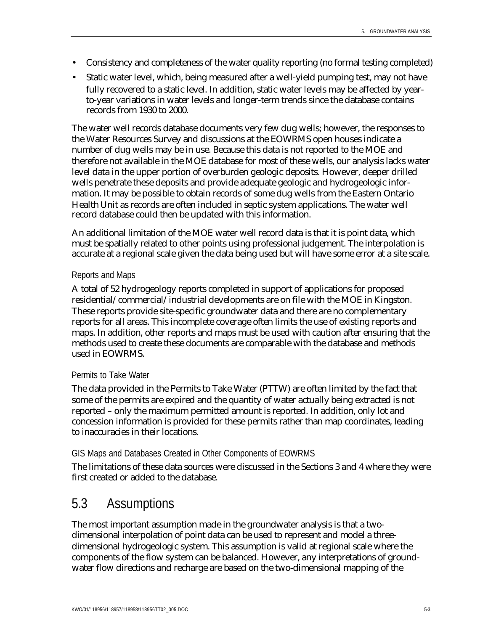- Consistency and completeness of the water quality reporting (no formal testing completed)
- Static water level, which, being measured after a well-yield pumping test, may not have fully recovered to a static level. In addition, static water levels may be affected by yearto-year variations in water levels and longer-term trends since the database contains records from 1930 to 2000.

The water well records database documents very few dug wells; however, the responses to the Water Resources Survey and discussions at the EOWRMS open houses indicate a number of dug wells may be in use. Because this data is not reported to the MOE and therefore not available in the MOE database for most of these wells, our analysis lacks water level data in the upper portion of overburden geologic deposits. However, deeper drilled wells penetrate these deposits and provide adequate geologic and hydrogeologic information. It may be possible to obtain records of some dug wells from the Eastern Ontario Health Unit as records are often included in septic system applications. The water well record database could then be updated with this information.

An additional limitation of the MOE water well record data is that it is point data, which must be spatially related to other points using professional judgement. The interpolation is accurate at a regional scale given the data being used but will have some error at a site scale.

#### Reports and Maps

A total of 52 hydrogeology reports completed in support of applications for proposed residential/commercial/industrial developments are on file with the MOE in Kingston. These reports provide site-specific groundwater data and there are no complementary reports for all areas. This incomplete coverage often limits the use of existing reports and maps. In addition, other reports and maps must be used with caution after ensuring that the methods used to create these documents are comparable with the database and methods used in EOWRMS.

#### Permits to Take Water

The data provided in the Permits to Take Water (PTTW) are often limited by the fact that some of the permits are expired and the quantity of water actually being extracted is not reported – only the maximum permitted amount is reported. In addition, only lot and concession information is provided for these permits rather than map coordinates, leading to inaccuracies in their locations.

### GIS Maps and Databases Created in Other Components of EOWRMS

The limitations of these data sources were discussed in the Sections 3 and 4 where they were first created or added to the database.

## 5.3 Assumptions

The most important assumption made in the groundwater analysis is that a twodimensional interpolation of point data can be used to represent and model a threedimensional hydrogeologic system. This assumption is valid at regional scale where the components of the flow system can be balanced. However, any interpretations of groundwater flow directions and recharge are based on the two-dimensional mapping of the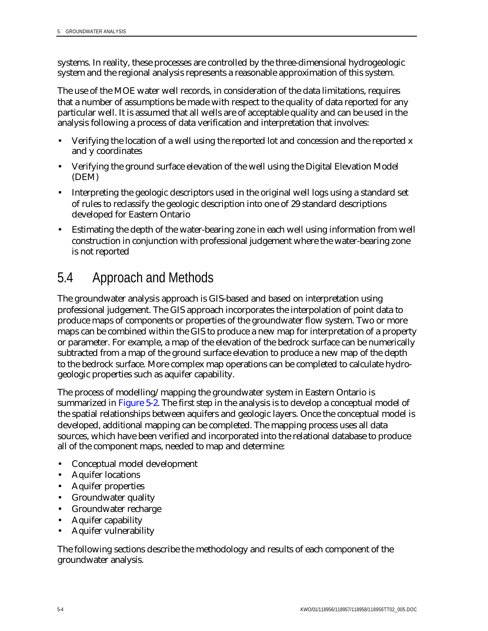systems. In reality, these processes are controlled by the three-dimensional hydrogeologic system and the regional analysis represents a reasonable approximation of this system.

The use of the MOE water well records, in consideration of the data limitations, requires that a number of assumptions be made with respect to the quality of data reported for any particular well. It is assumed that all wells are of acceptable quality and can be used in the analysis following a process of data verification and interpretation that involves:

- Verifying the location of a well using the reported lot and concession and the reported x and y coordinates
- Verifying the ground surface elevation of the well using the Digital Elevation Model (DEM)
- Interpreting the geologic descriptors used in the original well logs using a standard set of rules to reclassify the geologic description into one of 29 standard descriptions developed for Eastern Ontario
- Estimating the depth of the water-bearing zone in each well using information from well construction in conjunction with professional judgement where the water-bearing zone is not reported

## 5.4 Approach and Methods

The groundwater analysis approach is GIS-based and based on interpretation using professional judgement. The GIS approach incorporates the interpolation of point data to produce maps of components or properties of the groundwater flow system. Two or more maps can be combined within the GIS to produce a new map for interpretation of a property or parameter. For example, a map of the elevation of the bedrock surface can be numerically subtracted from a map of the ground surface elevation to produce a new map of the depth to the bedrock surface. More complex map operations can be completed to calculate hydrogeologic properties such as aquifer capability.

The process of modelling/mapping the groundwater system in Eastern Ontario is summarized in Figure 5-2. The first step in the analysis is to develop a conceptual model of the spatial relationships between aquifers and geologic layers. Once the conceptual model is developed, additional mapping can be completed. The mapping process uses all data sources, which have been verified and incorporated into the relational database to produce all of the component maps, needed to map and determine:

- Conceptual model development
- Aquifer locations
- Aquifer properties
- Groundwater quality
- Groundwater recharge
- Aquifer capability
- Aquifer vulnerability

The following sections describe the methodology and results of each component of the groundwater analysis.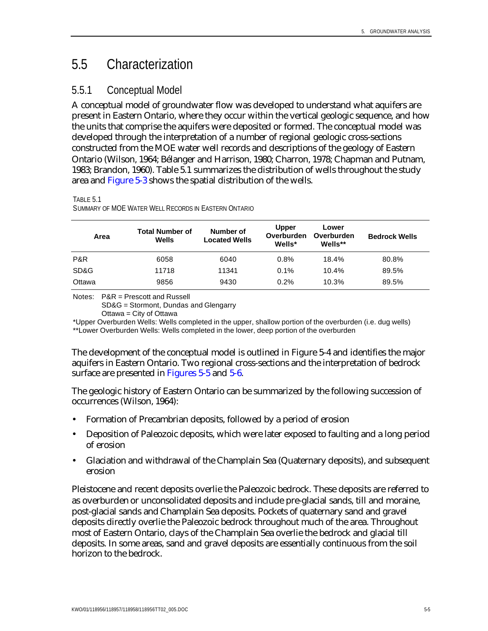## 5.5 Characterization

### 5.5.1 Conceptual Model

A conceptual model of groundwater flow was developed to understand what aquifers are present in Eastern Ontario, where they occur within the vertical geologic sequence, and how the units that comprise the aquifers were deposited or formed. The conceptual model was developed through the interpretation of a number of regional geologic cross-sections constructed from the MOE water well records and descriptions of the geology of Eastern Ontario (Wilson, 1964; Bélanger and Harrison, 1980; Charron, 1978; Chapman and Putnam, 1983; Brandon, 1960). Table 5.1 summarizes the distribution of wells throughout the study area and Figure 5-3 shows the spatial distribution of the wells.

TABLE 5.1

SUMMARY OF MOE WATER WELL RECORDS IN EASTERN ONTARIO

| Area   | <b>Total Number of</b><br>Wells | Number of<br><b>Located Wells</b> | <b>Upper</b><br>Overburden<br>Wells* | Lower<br>Overburden<br>Wells** | <b>Bedrock Wells</b> |
|--------|---------------------------------|-----------------------------------|--------------------------------------|--------------------------------|----------------------|
| P&R    | 6058                            | 6040                              | 0.8%                                 | 18.4%                          | 80.8%                |
| SD&G   | 11718                           | 11341                             | $0.1\%$                              | 10.4%                          | 89.5%                |
| Ottawa | 9856                            | 9430                              | 0.2%                                 | 10.3%                          | 89.5%                |

Notes: P&R = Prescott and Russell

SD&G = Stormont, Dundas and Glengarry

Ottawa = City of Ottawa

\*Upper Overburden Wells: Wells completed in the upper, shallow portion of the overburden (i.e. dug wells) \*\*Lower Overburden Wells: Wells completed in the lower, deep portion of the overburden

The development of the conceptual model is outlined in Figure 5-4 and identifies the major aquifers in Eastern Ontario. Two regional cross-sections and the interpretation of bedrock surface are presented in Figures 5-5 and 5-6.

The geologic history of Eastern Ontario can be summarized by the following succession of occurrences (Wilson, 1964):

- Formation of Precambrian deposits, followed by a period of erosion
- Deposition of Paleozoic deposits, which were later exposed to faulting and a long period of erosion
- Glaciation and withdrawal of the Champlain Sea (Quaternary deposits), and subsequent erosion

Pleistocene and recent deposits overlie the Paleozoic bedrock. These deposits are referred to as overburden or unconsolidated deposits and include pre-glacial sands, till and moraine, post-glacial sands and Champlain Sea deposits. Pockets of quaternary sand and gravel deposits directly overlie the Paleozoic bedrock throughout much of the area. Throughout most of Eastern Ontario, clays of the Champlain Sea overlie the bedrock and glacial till deposits. In some areas, sand and gravel deposits are essentially continuous from the soil horizon to the bedrock.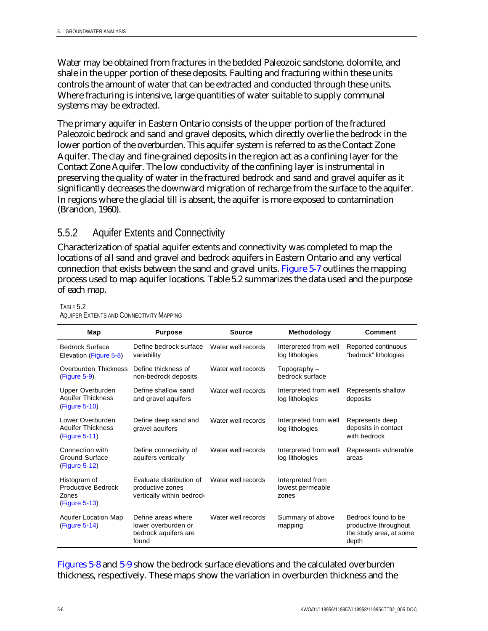Water may be obtained from fractures in the bedded Paleozoic sandstone, dolomite, and shale in the upper portion of these deposits. Faulting and fracturing within these units controls the amount of water that can be extracted and conducted through these units. Where fracturing is intensive, large quantities of water suitable to supply communal systems may be extracted.

The primary aquifer in Eastern Ontario consists of the upper portion of the fractured Paleozoic bedrock and sand and gravel deposits, which directly overlie the bedrock in the lower portion of the overburden. This aquifer system is referred to as the Contact Zone Aquifer. The clay and fine-grained deposits in the region act as a confining layer for the Contact Zone Aquifer. The low conductivity of the confining layer is instrumental in preserving the quality of water in the fractured bedrock and sand and gravel aquifer as it significantly decreases the downward migration of recharge from the surface to the aquifer. In regions where the glacial till is absent, the aquifer is more exposed to contamination (Brandon, 1960).

### 5.5.2 Aquifer Extents and Connectivity

Characterization of spatial aquifer extents and connectivity was completed to map the locations of all sand and gravel and bedrock aquifers in Eastern Ontario and any vertical connection that exists between the sand and gravel units. Figure 5-7 outlines the mapping process used to map aquifer locations. Table 5.2 summarizes the data used and the purpose of each map.

| Map                                                                 | <b>Purpose</b>                                                             | <b>Source</b>      | Methodology                                   | <b>Comment</b>                                                                   |
|---------------------------------------------------------------------|----------------------------------------------------------------------------|--------------------|-----------------------------------------------|----------------------------------------------------------------------------------|
| <b>Bedrock Surface</b><br>Elevation (Figure 5-8)                    | Define bedrock surface<br>variability                                      | Water well records | Interpreted from well<br>log lithologies      | Reported continuous<br>"bedrock" lithologies                                     |
| Overburden Thickness<br>$(Figure 5-9)$                              | Define thickness of<br>non-bedrock deposits                                | Water well records | Topography $-$<br>bedrock surface             |                                                                                  |
| Upper Overburden<br><b>Aquifer Thickness</b><br>(Figure 5-10)       | Define shallow sand<br>and gravel aquifers                                 | Water well records | Interpreted from well<br>log lithologies      | Represents shallow<br>deposits                                                   |
| Lower Overburden<br><b>Aquifer Thickness</b><br>(Figure 5-11)       | Define deep sand and<br>gravel aquifers                                    | Water well records | Interpreted from well<br>log lithologies      | Represents deep<br>deposits in contact<br>with bedrock                           |
| Connection with<br>Ground Surface<br>(Figure 5-12)                  | Define connectivity of<br>aquifers vertically                              | Water well records | Interpreted from well<br>log lithologies      | Represents vulnerable<br>areas                                                   |
| Histogram of<br><b>Productive Bedrock</b><br>Zones<br>(Figure 5-13) | Evaluate distribution of<br>productive zones<br>vertically within bedrock  | Water well records | Interpreted from<br>lowest permeable<br>zones |                                                                                  |
| Aquifer Location Map<br>(Figure 5-14)                               | Define areas where<br>lower overburden or<br>bedrock aquifers are<br>found | Water well records | Summary of above<br>mapping                   | Bedrock found to be<br>productive throughout<br>the study area, at some<br>depth |

TABLE 5.2 AQUIFER EXTENTS AND CONNECTIVITY MAPPING

Figures 5-8 and 5-9 show the bedrock surface elevations and the calculated overburden thickness, respectively. These maps show the variation in overburden thickness and the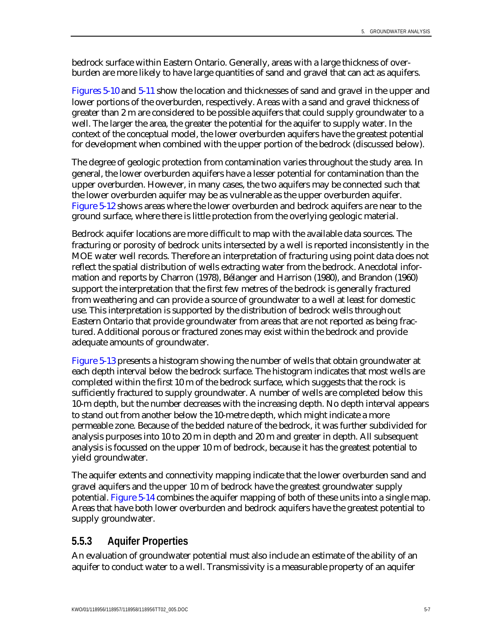bedrock surface within Eastern Ontario. Generally, areas with a large thickness of overburden are more likely to have large quantities of sand and gravel that can act as aquifers.

Figures 5-10 and 5-11 show the location and thicknesses of sand and gravel in the upper and lower portions of the overburden, respectively. Areas with a sand and gravel thickness of greater than 2 m are considered to be possible aquifers that could supply groundwater to a well. The larger the area, the greater the potential for the aquifer to supply water. In the context of the conceptual model, the lower overburden aquifers have the greatest potential for development when combined with the upper portion of the bedrock (discussed below).

The degree of geologic protection from contamination varies throughout the study area. In general, the lower overburden aquifers have a lesser potential for contamination than the upper overburden. However, in many cases, the two aquifers may be connected such that the lower overburden aquifer may be as vulnerable as the upper overburden aquifer. Figure 5-12 shows areas where the lower overburden and bedrock aquifers are near to the ground surface, where there is little protection from the overlying geologic material.

Bedrock aquifer locations are more difficult to map with the available data sources. The fracturing or porosity of bedrock units intersected by a well is reported inconsistently in the MOE water well records. Therefore an interpretation of fracturing using point data does not reflect the spatial distribution of wells extracting water from the bedrock. Anecdotal information and reports by Charron (1978), Bélanger and Harrison (1980), and Brandon (1960) support the interpretation that the first few metres of the bedrock is generally fractured from weathering and can provide a source of groundwater to a well at least for domestic use. This interpretation is supported by the distribution of bedrock wells throughout Eastern Ontario that provide groundwater from areas that are not reported as being fractured. Additional porous or fractured zones may exist within the bedrock and provide adequate amounts of groundwater.

Figure 5-13 presents a histogram showing the number of wells that obtain groundwater at each depth interval below the bedrock surface. The histogram indicates that most wells are completed within the first 10 m of the bedrock surface, which suggests that the rock is sufficiently fractured to supply groundwater. A number of wells are completed below this 10-m depth, but the number decreases with the increasing depth. No depth interval appears to stand out from another below the 10-metre depth, which might indicate a more permeable zone. Because of the bedded nature of the bedrock, it was further subdivided for analysis purposes into 10 to 20 m in depth and 20 m and greater in depth. All subsequent analysis is focussed on the upper 10 m of bedrock, because it has the greatest potential to yield groundwater.

The aquifer extents and connectivity mapping indicate that the lower overburden sand and gravel aquifers and the upper 10 m of bedrock have the greatest groundwater supply potential. Figure 5-14 combines the aquifer mapping of both of these units into a single map. Areas that have both lower overburden and bedrock aquifers have the greatest potential to supply groundwater.

### **5.5.3 Aquifer Properties**

An evaluation of groundwater potential must also include an estimate of the ability of an aquifer to conduct water to a well. Transmissivity is a measurable property of an aquifer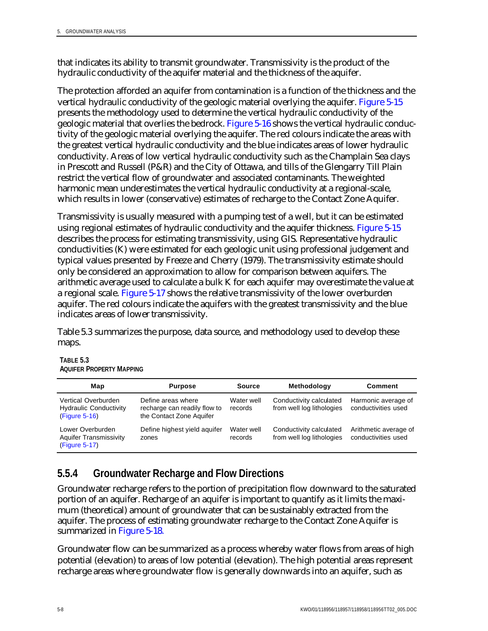that indicates its ability to transmit groundwater. Transmissivity is the product of the hydraulic conductivity of the aquifer material and the thickness of the aquifer.

The protection afforded an aquifer from contamination is a function of the thickness and the vertical hydraulic conductivity of the geologic material overlying the aquifer. Figure 5-15 presents the methodology used to determine the vertical hydraulic conductivity of the geologic material that overlies the bedrock. Figure 5-16 shows the vertical hydraulic conductivity of the geologic material overlying the aquifer. The red colours indicate the areas with the greatest vertical hydraulic conductivity and the blue indicates areas of lower hydraulic conductivity. Areas of low vertical hydraulic conductivity such as the Champlain Sea clays in Prescott and Russell (P&R) and the City of Ottawa, and tills of the Glengarry Till Plain restrict the vertical flow of groundwater and associated contaminants. The weighted harmonic mean underestimates the vertical hydraulic conductivity at a regional-scale, which results in lower (conservative) estimates of recharge to the Contact Zone Aquifer.

Transmissivity is usually measured with a pumping test of a well, but it can be estimated using regional estimates of hydraulic conductivity and the aquifer thickness. Figure 5-15 describes the process for estimating transmissivity, using GIS. Representative hydraulic conductivities (K) were estimated for each geologic unit using professional judgement and typical values presented by Freeze and Cherry (1979). The transmissivity estimate should only be considered an approximation to allow for comparison between aquifers. The arithmetic average used to calculate a bulk K for each aquifer may overestimate the value at a regional scale. Figure 5-17 shows the relative transmissivity of the lower overburden aquifer. The red colours indicate the aquifers with the greatest transmissivity and the blue indicates areas of lower transmissivity.

Table 5.3 summarizes the purpose, data source, and methodology used to develop these maps.

| Map                                                                   | <b>Purpose</b>                                                                 | Source                | <b>Methodology</b>                                   | Comment                                      |
|-----------------------------------------------------------------------|--------------------------------------------------------------------------------|-----------------------|------------------------------------------------------|----------------------------------------------|
| Vertical Overburden<br><b>Hydraulic Conductivity</b><br>(Figure 5-16) | Define areas where<br>recharge can readily flow to<br>the Contact Zone Aquifer | Water well<br>records | Conductivity calculated<br>from well log lithologies | Harmonic average of<br>conductivities used   |
| Lower Overburden<br><b>Aquifer Transmissivity</b><br>(Figure 5-17)    | Define highest yield aguifer<br>zones                                          | Water well<br>records | Conductivity calculated<br>from well log lithologies | Arithmetic average of<br>conductivities used |

| TABLE 5.3                       |  |
|---------------------------------|--|
| <b>AQUIFER PROPERTY MAPPING</b> |  |

### **5.5.4 Groundwater Recharge and Flow Directions**

Groundwater recharge refers to the portion of precipitation flow downward to the saturated portion of an aquifer. Recharge of an aquifer is important to quantify as it limits the maximum (theoretical) amount of groundwater that can be sustainably extracted from the aquifer. The process of estimating groundwater recharge to the Contact Zone Aquifer is summarized in Figure 5-18.

Groundwater flow can be summarized as a process whereby water flows from areas of high potential (elevation) to areas of low potential (elevation). The high potential areas represent recharge areas where groundwater flow is generally downwards into an aquifer, such as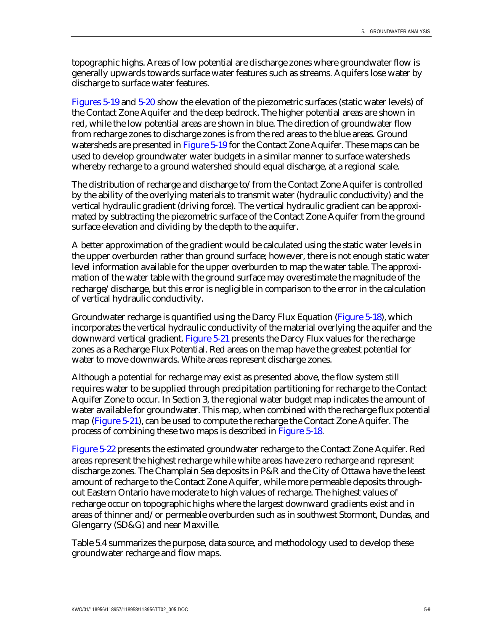topographic highs. Areas of low potential are discharge zones where groundwater flow is generally upwards towards surface water features such as streams. Aquifers lose water by discharge to surface water features.

Figures 5-19 and 5-20 show the elevation of the piezometric surfaces (static water levels) of the Contact Zone Aquifer and the deep bedrock. The higher potential areas are shown in red, while the low potential areas are shown in blue. The direction of groundwater flow from recharge zones to discharge zones is from the red areas to the blue areas. Ground watersheds are presented in Figure 5-19 for the Contact Zone Aquifer. These maps can be used to develop groundwater water budgets in a similar manner to surface watersheds whereby recharge to a ground watershed should equal discharge, at a regional scale.

The distribution of recharge and discharge to/from the Contact Zone Aquifer is controlled by the ability of the overlying materials to transmit water (hydraulic conductivity) and the vertical hydraulic gradient (driving force). The vertical hydraulic gradient can be approximated by subtracting the piezometric surface of the Contact Zone Aquifer from the ground surface elevation and dividing by the depth to the aquifer.

A better approximation of the gradient would be calculated using the static water levels in the upper overburden rather than ground surface; however, there is not enough static water level information available for the upper overburden to map the water table. The approximation of the water table with the ground surface may overestimate the magnitude of the recharge/discharge, but this error is negligible in comparison to the error in the calculation of vertical hydraulic conductivity.

Groundwater recharge is quantified using the Darcy Flux Equation (Figure 5-18), which incorporates the vertical hydraulic conductivity of the material overlying the aquifer and the downward vertical gradient. Figure 5-21 presents the Darcy Flux values for the recharge zones as a Recharge Flux Potential. Red areas on the map have the greatest potential for water to move downwards. White areas represent discharge zones.

Although a potential for recharge may exist as presented above, the flow system still requires water to be supplied through precipitation partitioning for recharge to the Contact Aquifer Zone to occur. In Section 3, the regional water budget map indicates the amount of water available for groundwater. This map, when combined with the recharge flux potential map (Figure 5-21), can be used to compute the recharge the Contact Zone Aquifer. The process of combining these two maps is described in Figure 5-18.

Figure 5-22 presents the estimated groundwater recharge to the Contact Zone Aquifer. Red areas represent the highest recharge while white areas have zero recharge and represent discharge zones. The Champlain Sea deposits in P&R and the City of Ottawa have the least amount of recharge to the Contact Zone Aquifer, while more permeable deposits throughout Eastern Ontario have moderate to high values of recharge. The highest values of recharge occur on topographic highs where the largest downward gradients exist and in areas of thinner and/or permeable overburden such as in southwest Stormont, Dundas, and Glengarry (SD&G) and near Maxville.

Table 5.4 summarizes the purpose, data source, and methodology used to develop these groundwater recharge and flow maps.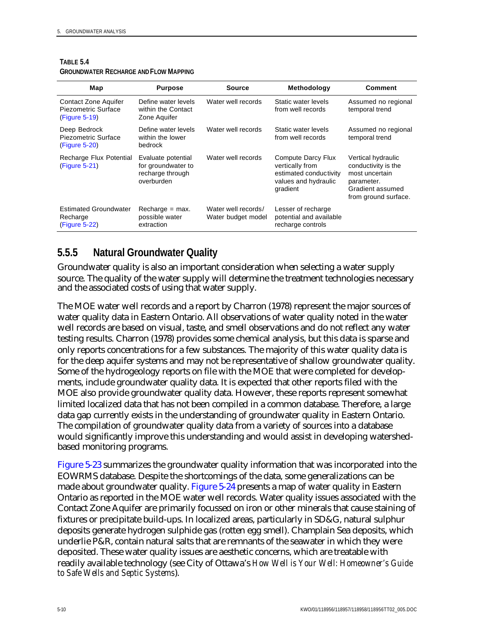| Map                                                          | <b>Purpose</b>                                                             | <b>Source</b>                             | <b>Methodology</b>                                                                                  | <b>Comment</b>                                                                                                        |
|--------------------------------------------------------------|----------------------------------------------------------------------------|-------------------------------------------|-----------------------------------------------------------------------------------------------------|-----------------------------------------------------------------------------------------------------------------------|
| Contact Zone Aquifer<br>Piezometric Surface<br>(Figure 5-19) | Define water levels<br>within the Contact<br>Zone Aquifer                  | Water well records                        | Static water levels<br>from well records                                                            | Assumed no regional<br>temporal trend                                                                                 |
| Deep Bedrock<br>Piezometric Surface<br>(Figure 5-20)         | Define water levels<br>within the lower<br>bedrock                         | Water well records                        | Static water levels<br>from well records                                                            | Assumed no regional<br>temporal trend                                                                                 |
| Recharge Flux Potential<br>(Figure 5-21)                     | Evaluate potential<br>for groundwater to<br>recharge through<br>overburden | Water well records                        | Compute Darcy Flux<br>vertically from<br>estimated conductivity<br>values and hydraulic<br>gradient | Vertical hydraulic<br>conductivity is the<br>most uncertain<br>parameter.<br>Gradient assumed<br>from ground surface. |
| <b>Estimated Groundwater</b><br>Recharge<br>(Figure 5-22)    | $Recharge = max$ .<br>possible water<br>extraction                         | Water well records/<br>Water budget model | Lesser of recharge<br>potential and available<br>recharge controls                                  |                                                                                                                       |

### **TABLE 5.4**

### **GROUNDWATER RECHARGE AND FLOW MAPPING**

### **5.5.5 Natural Groundwater Quality**

Groundwater quality is also an important consideration when selecting a water supply source. The quality of the water supply will determine the treatment technologies necessary and the associated costs of using that water supply.

The MOE water well records and a report by Charron (1978) represent the major sources of water quality data in Eastern Ontario. All observations of water quality noted in the water well records are based on visual, taste, and smell observations and do not reflect any water testing results. Charron (1978) provides some chemical analysis, but this data is sparse and only reports concentrations for a few substances. The majority of this water quality data is for the deep aquifer systems and may not be representative of shallow groundwater quality. Some of the hydrogeology reports on file with the MOE that were completed for developments, include groundwater quality data. It is expected that other reports filed with the MOE also provide groundwater quality data. However, these reports represent somewhat limited localized data that has not been compiled in a common database. Therefore, a large data gap currently exists in the understanding of groundwater quality in Eastern Ontario. The compilation of groundwater quality data from a variety of sources into a database would significantly improve this understanding and would assist in developing watershedbased monitoring programs.

Figure 5-23 summarizes the groundwater quality information that was incorporated into the EOWRMS database. Despite the shortcomings of the data, some generalizations can be made about groundwater quality. Figure 5-24 presents a map of water quality in Eastern Ontario as reported in the MOE water well records. Water quality issues associated with the Contact Zone Aquifer are primarily focussed on iron or other minerals that cause staining of fixtures or precipitate build-ups. In localized areas, particularly in SD&G, natural sulphur deposits generate hydrogen sulphide gas (rotten egg smell). Champlain Sea deposits, which underlie P&R, contain natural salts that are remnants of the seawater in which they were deposited. These water quality issues are aesthetic concerns, which are treatable with readily available technology (see City of Ottawa's *How Well is Your Well: Homeowner's Guide to Safe Wells and Septic Systems*).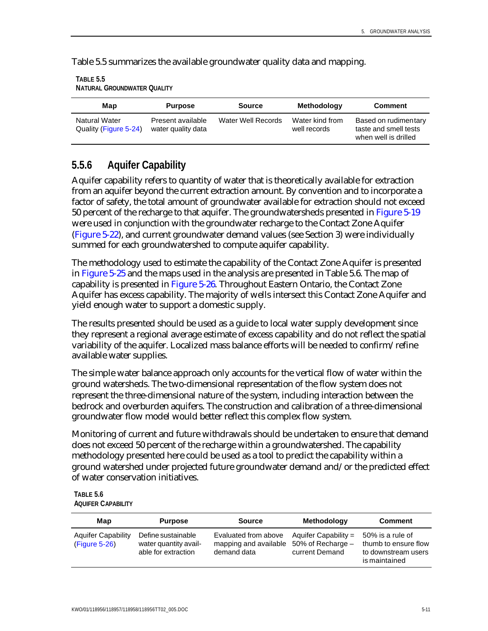Table 5.5 summarizes the available groundwater quality data and mapping.

| TABLE 5.5                          |
|------------------------------------|
| <b>NATURAL GROUNDWATER QUALITY</b> |

| Map                                           | <b>Purpose</b>                                                |  | Methodology                     | <b>Comment</b>                                                        |  |
|-----------------------------------------------|---------------------------------------------------------------|--|---------------------------------|-----------------------------------------------------------------------|--|
| <b>Natural Water</b><br>Quality (Figure 5-24) | Present available<br>Water Well Records<br>water quality data |  | Water kind from<br>well records | Based on rudimentary<br>taste and smell tests<br>when well is drilled |  |

### **5.5.6 Aquifer Capability**

Aquifer capability refers to quantity of water that is theoretically available for extraction from an aquifer beyond the current extraction amount. By convention and to incorporate a factor of safety, the total amount of groundwater available for extraction should not exceed 50 percent of the recharge to that aquifer. The groundwatersheds presented in Figure 5-19 were used in conjunction with the groundwater recharge to the Contact Zone Aquifer (Figure 5-22), and current groundwater demand values (see Section 3) were individually summed for each groundwatershed to compute aquifer capability.

The methodology used to estimate the capability of the Contact Zone Aquifer is presented in Figure 5-25 and the maps used in the analysis are presented in Table 5.6. The map of capability is presented in Figure 5-26. Throughout Eastern Ontario, the Contact Zone Aquifer has excess capability. The majority of wells intersect this Contact Zone Aquifer and yield enough water to support a domestic supply.

The results presented should be used as a guide to local water supply development since they represent a regional average estimate of excess capability and do not reflect the spatial variability of the aquifer. Localized mass balance efforts will be needed to confirm/refine available water supplies.

The simple water balance approach only accounts for the vertical flow of water within the ground watersheds. The two-dimensional representation of the flow system does not represent the three-dimensional nature of the system, including interaction between the bedrock and overburden aquifers. The construction and calibration of a three-dimensional groundwater flow model would better reflect this complex flow system.

Monitoring of current and future withdrawals should be undertaken to ensure that demand does not exceed 50 percent of the recharge within a groundwatershed. The capability methodology presented here could be used as a tool to predict the capability within a ground watershed under projected future groundwater demand and/or the predicted effect of water conservation initiatives.

#### **TABLE 5.6 AQUIFER CAPABILITY**

| Map                                        | <b>Purpose</b>                                                     | Source                                                       | <b>Methodology</b>                                            | <b>Comment</b>                                                                   |  |
|--------------------------------------------|--------------------------------------------------------------------|--------------------------------------------------------------|---------------------------------------------------------------|----------------------------------------------------------------------------------|--|
| <b>Aquifer Capability</b><br>(Figure 5-26) | Define sustainable<br>water quantity avail-<br>able for extraction | Evaluated from above<br>mapping and available<br>demand data | Aquifer Capability $=$<br>50% of Recharge -<br>current Demand | 50% is a rule of<br>thumb to ensure flow<br>to downstream users<br>is maintained |  |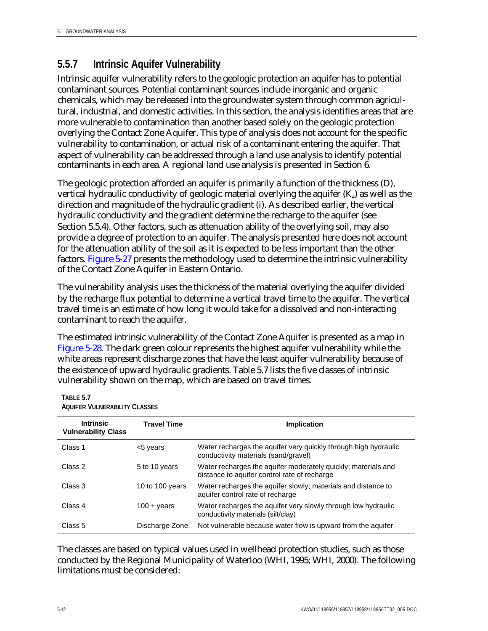## **5.5.7 Intrinsic Aquifer Vulnerability**

Intrinsic aquifer vulnerability refers to the geologic protection an aquifer has to potential contaminant sources. Potential contaminant sources include inorganic and organic chemicals, which may be released into the groundwater system through common agricultural, industrial, and domestic activities. In this section, the analysis identifies areas that are more vulnerable to contamination than another based solely on the geologic protection overlying the Contact Zone Aquifer. This type of analysis does not account for the specific vulnerability to contamination, or actual risk of a contaminant entering the aquifer. That aspect of vulnerability can be addressed through a land use analysis to identify potential contaminants in each area. A regional land use analysis is presented in Section 6.

The geologic protection afforded an aquifer is primarily a function of the thickness (D), vertical hydraulic conductivity of geologic material overlying the aquifer  $(K<sub>z</sub>)$  as well as the direction and magnitude of the hydraulic gradient (i). As described earlier, the vertical hydraulic conductivity and the gradient determine the recharge to the aquifer (see Section 5.5.4). Other factors, such as attenuation ability of the overlying soil, may also provide a degree of protection to an aquifer. The analysis presented here does not account for the attenuation ability of the soil as it is expected to be less important than the other factors. Figure 5-27 presents the methodology used to determine the intrinsic vulnerability of the Contact Zone Aquifer in Eastern Ontario.

The vulnerability analysis uses the thickness of the material overlying the aquifer divided by the recharge flux potential to determine a vertical travel time to the aquifer. The vertical travel time is an estimate of how long it would take for a dissolved and non-interacting contaminant to reach the aquifer.

The estimated intrinsic vulnerability of the Contact Zone Aquifer is presented as a map in Figure 5-28. The dark green colour represents the highest aquifer vulnerability while the white areas represent discharge zones that have the least aquifer vulnerability because of the existence of upward hydraulic gradients. Table 5.7 lists the five classes of intrinsic vulnerability shown on the map, which are based on travel times.

#### **TABLE 5.7 AQUIFER VULNERABILITY CLASSES**

| <b>Intrinsic</b><br><b>Vulnerability Class</b> | <b>Travel Time</b>     | <b>Implication</b>                                                                                            |
|------------------------------------------------|------------------------|---------------------------------------------------------------------------------------------------------------|
| Class 1                                        | <5 years               | Water recharges the aquifer very quickly through high hydraulic<br>conductivity materials (sand/gravel)       |
| Class 2                                        | 5 to 10 years          | Water recharges the aquifer moderately quickly; materials and<br>distance to aquifer control rate of recharge |
| Class 3                                        | 10 to 100 years        | Water recharges the aquifer slowly; materials and distance to<br>aquifer control rate of recharge             |
| Class 4                                        | $100 + \mathrm{years}$ | Water recharges the aquifer very slowly through low hydraulic<br>conductivity materials (silt/clay)           |
| Class 5                                        | Discharge Zone         | Not vulnerable because water flow is upward from the aquifer                                                  |

The classes are based on typical values used in wellhead protection studies, such as those conducted by the Regional Municipality of Waterloo (WHI, 1995; WHI, 2000). The following limitations must be considered: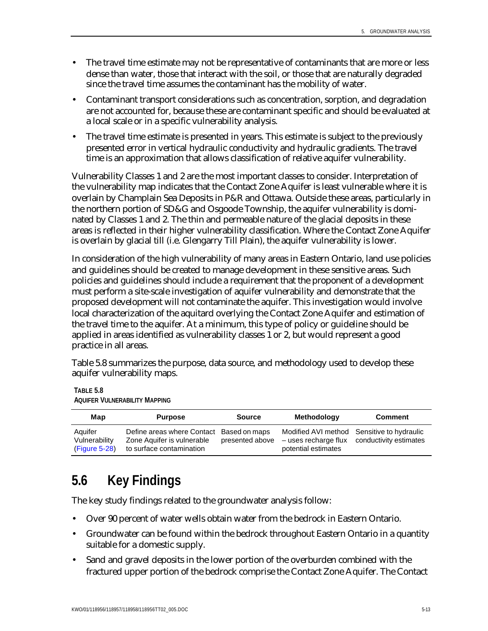- The travel time estimate may not be representative of contaminants that are more or less dense than water, those that interact with the soil, or those that are naturally degraded since the travel time assumes the contaminant has the mobility of water.
- Contaminant transport considerations such as concentration, sorption, and degradation are not accounted for, because these are contaminant specific and should be evaluated at a local scale or in a specific vulnerability analysis.
- The travel time estimate is presented in years. This estimate is subject to the previously presented error in vertical hydraulic conductivity and hydraulic gradients. The travel time is an approximation that allows classification of relative aquifer vulnerability.

Vulnerability Classes 1 and 2 are the most important classes to consider. Interpretation of the vulnerability map indicates that the Contact Zone Aquifer is least vulnerable where it is overlain by Champlain Sea Deposits in P&R and Ottawa. Outside these areas, particularly in the northern portion of SD&G and Osgoode Township, the aquifer vulnerability is dominated by Classes 1 and 2. The thin and permeable nature of the glacial deposits in these areas is reflected in their higher vulnerability classification. Where the Contact Zone Aquifer is overlain by glacial till (i.e. Glengarry Till Plain), the aquifer vulnerability is lower.

In consideration of the high vulnerability of many areas in Eastern Ontario, land use policies and guidelines should be created to manage development in these sensitive areas. Such policies and guidelines should include a requirement that the proponent of a development must perform a site-scale investigation of aquifer vulnerability and demonstrate that the proposed development will not contaminate the aquifer. This investigation would involve local characterization of the aquitard overlying the Contact Zone Aquifer and estimation of the travel time to the aquifer. At a minimum, this type of policy or guideline should be applied in areas identified as vulnerability classes 1 or 2, but would represent a good practice in all areas.

Table 5.8 summarizes the purpose, data source, and methodology used to develop these aquifer vulnerability maps.

**TABLE 5.8 AQUIFER VULNERABILITY MAPPING**

| Map                                       | <b>Purpose</b><br>Source                                                                           |                 | <b>Methodology</b>  | <b>Comment</b>                                                                            |  |  |
|-------------------------------------------|----------------------------------------------------------------------------------------------------|-----------------|---------------------|-------------------------------------------------------------------------------------------|--|--|
| Aquifer<br>Vulnerability<br>(Figure 5-28) | Define areas where Contact Based on maps<br>Zone Aquifer is vulnerable<br>to surface contamination | presented above | potential estimates | Modified AVI method Sensitive to hydraulic<br>- uses recharge flux conductivity estimates |  |  |

## **5.6 Key Findings**

The key study findings related to the groundwater analysis follow:

- Over 90 percent of water wells obtain water from the bedrock in Eastern Ontario.
- Groundwater can be found within the bedrock throughout Eastern Ontario in a quantity suitable for a domestic supply.
- Sand and gravel deposits in the lower portion of the overburden combined with the fractured upper portion of the bedrock comprise the Contact Zone Aquifer. The Contact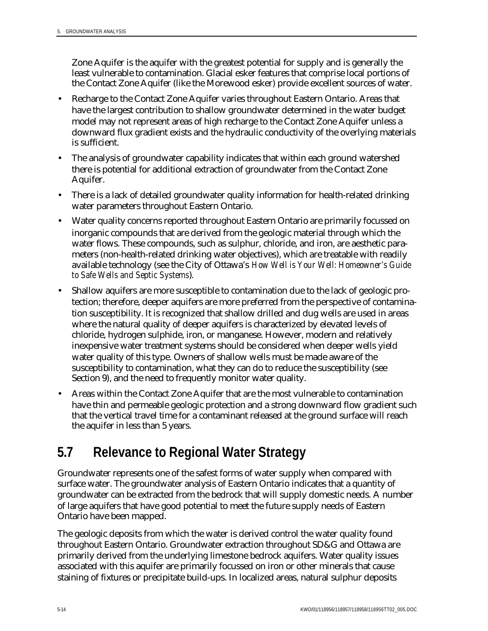Zone Aquifer is the aquifer with the greatest potential for supply and is generally the least vulnerable to contamination. Glacial esker features that comprise local portions of the Contact Zone Aquifer (like the Morewood esker) provide excellent sources of water.

- Recharge to the Contact Zone Aquifer varies throughout Eastern Ontario. Areas that have the largest contribution to shallow groundwater determined in the water budget model may not represent areas of high recharge to the Contact Zone Aquifer unless a downward flux gradient exists and the hydraulic conductivity of the overlying materials is sufficient.
- The analysis of groundwater capability indicates that within each ground watershed there is potential for additional extraction of groundwater from the Contact Zone Aquifer.
- There is a lack of detailed groundwater quality information for health-related drinking water parameters throughout Eastern Ontario.
- Water quality concerns reported throughout Eastern Ontario are primarily focussed on inorganic compounds that are derived from the geologic material through which the water flows. These compounds, such as sulphur, chloride, and iron, are aesthetic parameters (non-health-related drinking water objectives), which are treatable with readily available technology (see the City of Ottawa's *How Well is Your Well: Homeowner's Guide to Safe Wells and Septic Systems*).
- Shallow aquifers are more susceptible to contamination due to the lack of geologic protection; therefore, deeper aquifers are more preferred from the perspective of contamination susceptibility. It is recognized that shallow drilled and dug wells are used in areas where the natural quality of deeper aquifers is characterized by elevated levels of chloride, hydrogen sulphide, iron, or manganese. However, modern and relatively inexpensive water treatment systems should be considered when deeper wells yield water quality of this type. Owners of shallow wells must be made aware of the susceptibility to contamination, what they can do to reduce the susceptibility (see Section 9), and the need to frequently monitor water quality.
- Areas within the Contact Zone Aquifer that are the most vulnerable to contamination have thin and permeable geologic protection and a strong downward flow gradient such that the vertical travel time for a contaminant released at the ground surface will reach the aquifer in less than 5 years.

## **5.7 Relevance to Regional Water Strategy**

Groundwater represents one of the safest forms of water supply when compared with surface water. The groundwater analysis of Eastern Ontario indicates that a quantity of groundwater can be extracted from the bedrock that will supply domestic needs. A number of large aquifers that have good potential to meet the future supply needs of Eastern Ontario have been mapped.

The geologic deposits from which the water is derived control the water quality found throughout Eastern Ontario. Groundwater extraction throughout SD&G and Ottawa are primarily derived from the underlying limestone bedrock aquifers. Water quality issues associated with this aquifer are primarily focussed on iron or other minerals that cause staining of fixtures or precipitate build-ups. In localized areas, natural sulphur deposits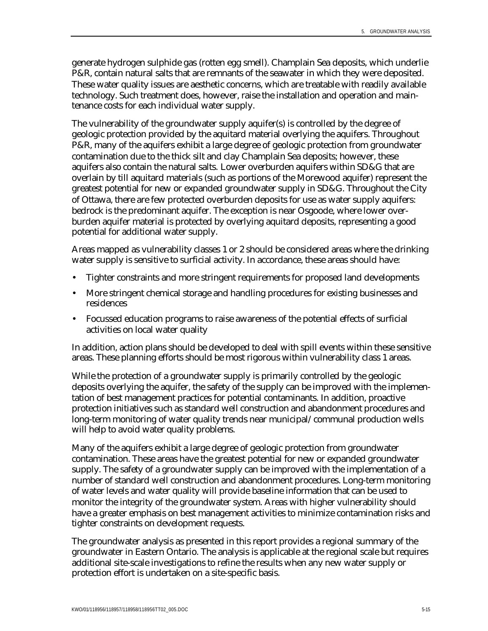generate hydrogen sulphide gas (rotten egg smell). Champlain Sea deposits, which underlie P&R, contain natural salts that are remnants of the seawater in which they were deposited. These water quality issues are aesthetic concerns, which are treatable with readily available technology. Such treatment does, however, raise the installation and operation and maintenance costs for each individual water supply.

The vulnerability of the groundwater supply aquifer(s) is controlled by the degree of geologic protection provided by the aquitard material overlying the aquifers. Throughout P&R, many of the aquifers exhibit a large degree of geologic protection from groundwater contamination due to the thick silt and clay Champlain Sea deposits; however, these aquifers also contain the natural salts. Lower overburden aquifers within SD&G that are overlain by till aquitard materials (such as portions of the Morewood aquifer) represent the greatest potential for new or expanded groundwater supply in SD&G. Throughout the City of Ottawa, there are few protected overburden deposits for use as water supply aquifers: bedrock is the predominant aquifer. The exception is near Osgoode, where lower overburden aquifer material is protected by overlying aquitard deposits, representing a good potential for additional water supply.

Areas mapped as vulnerability classes 1 or 2 should be considered areas where the drinking water supply is sensitive to surficial activity. In accordance, these areas should have:

- Tighter constraints and more stringent requirements for proposed land developments
- More stringent chemical storage and handling procedures for existing businesses and residences
- Focussed education programs to raise awareness of the potential effects of surficial activities on local water quality

In addition, action plans should be developed to deal with spill events within these sensitive areas. These planning efforts should be most rigorous within vulnerability class 1 areas.

While the protection of a groundwater supply is primarily controlled by the geologic deposits overlying the aquifer, the safety of the supply can be improved with the implementation of best management practices for potential contaminants. In addition, proactive protection initiatives such as standard well construction and abandonment procedures and long-term monitoring of water quality trends near municipal/communal production wells will help to avoid water quality problems.

Many of the aquifers exhibit a large degree of geologic protection from groundwater contamination. These areas have the greatest potential for new or expanded groundwater supply. The safety of a groundwater supply can be improved with the implementation of a number of standard well construction and abandonment procedures. Long-term monitoring of water levels and water quality will provide baseline information that can be used to monitor the integrity of the groundwater system. Areas with higher vulnerability should have a greater emphasis on best management activities to minimize contamination risks and tighter constraints on development requests.

The groundwater analysis as presented in this report provides a regional summary of the groundwater in Eastern Ontario. The analysis is applicable at the regional scale but requires additional site-scale investigations to refine the results when any new water supply or protection effort is undertaken on a site-specific basis.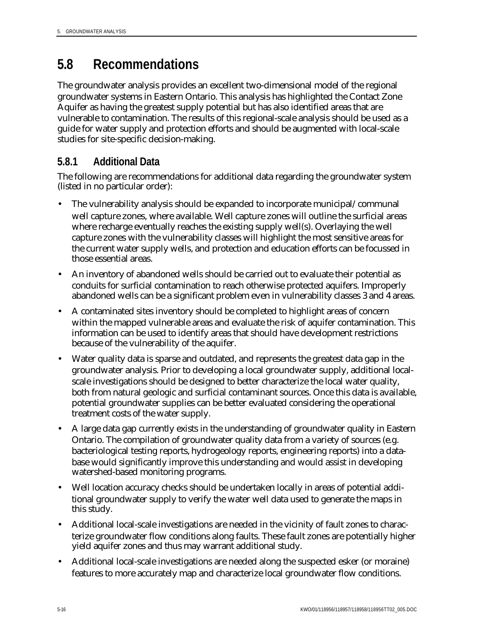## **5.8 Recommendations**

The groundwater analysis provides an excellent two-dimensional model of the regional groundwater systems in Eastern Ontario. This analysis has highlighted the Contact Zone Aquifer as having the greatest supply potential but has also identified areas that are vulnerable to contamination. The results of this regional-scale analysis should be used as a guide for water supply and protection efforts and should be augmented with local-scale studies for site-specific decision-making.

### **5.8.1 Additional Data**

The following are recommendations for additional data regarding the groundwater system (listed in no particular order):

- The vulnerability analysis should be expanded to incorporate municipal/communal well capture zones, where available. Well capture zones will outline the surficial areas where recharge eventually reaches the existing supply well(s). Overlaying the well capture zones with the vulnerability classes will highlight the most sensitive areas for the current water supply wells, and protection and education efforts can be focussed in those essential areas.
- An inventory of abandoned wells should be carried out to evaluate their potential as conduits for surficial contamination to reach otherwise protected aquifers. Improperly abandoned wells can be a significant problem even in vulnerability classes 3 and 4 areas.
- A contaminated sites inventory should be completed to highlight areas of concern within the mapped vulnerable areas and evaluate the risk of aquifer contamination. This information can be used to identify areas that should have development restrictions because of the vulnerability of the aquifer.
- Water quality data is sparse and outdated, and represents the greatest data gap in the groundwater analysis. Prior to developing a local groundwater supply, additional localscale investigations should be designed to better characterize the local water quality, both from natural geologic and surficial contaminant sources. Once this data is available, potential groundwater supplies can be better evaluated considering the operational treatment costs of the water supply.
- A large data gap currently exists in the understanding of groundwater quality in Eastern Ontario. The compilation of groundwater quality data from a variety of sources (e.g. bacteriological testing reports, hydrogeology reports, engineering reports) into a database would significantly improve this understanding and would assist in developing watershed-based monitoring programs.
- Well location accuracy checks should be undertaken locally in areas of potential additional groundwater supply to verify the water well data used to generate the maps in this study.
- Additional local-scale investigations are needed in the vicinity of fault zones to characterize groundwater flow conditions along faults. These fault zones are potentially higher yield aquifer zones and thus may warrant additional study.
- Additional local-scale investigations are needed along the suspected esker (or moraine) features to more accurately map and characterize local groundwater flow conditions.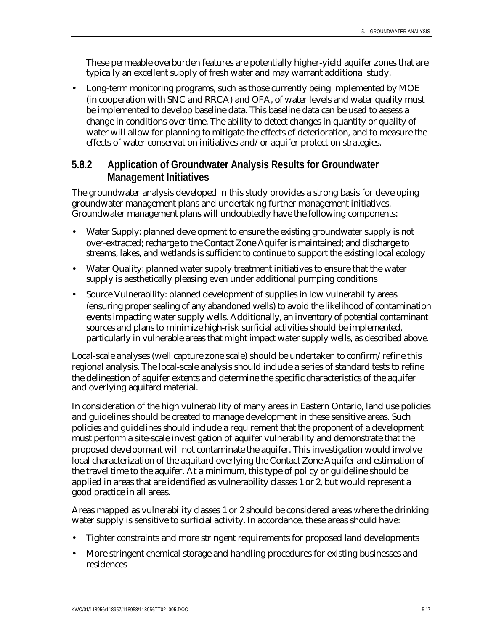These permeable overburden features are potentially higher-yield aquifer zones that are typically an excellent supply of fresh water and may warrant additional study.

• Long-term monitoring programs, such as those currently being implemented by MOE (in cooperation with SNC and RRCA) and OFA, of water levels and water quality must be implemented to develop baseline data. This baseline data can be used to assess a change in conditions over time. The ability to detect changes in quantity or quality of water will allow for planning to mitigate the effects of deterioration, and to measure the effects of water conservation initiatives and/or aquifer protection strategies.

### **5.8.2 Application of Groundwater Analysis Results for Groundwater Management Initiatives**

The groundwater analysis developed in this study provides a strong basis for developing groundwater management plans and undertaking further management initiatives. Groundwater management plans will undoubtedly have the following components:

- Water Supply: planned development to ensure the existing groundwater supply is not over-extracted; recharge to the Contact Zone Aquifer is maintained; and discharge to streams, lakes, and wetlands is sufficient to continue to support the existing local ecology
- Water Quality: planned water supply treatment initiatives to ensure that the water supply is aesthetically pleasing even under additional pumping conditions
- Source Vulnerability: planned development of supplies in low vulnerability areas (ensuring proper sealing of any abandoned wells) to avoid the likelihood of contamination events impacting water supply wells. Additionally, an inventory of potential contaminant sources and plans to minimize high-risk surficial activities should be implemented, particularly in vulnerable areas that might impact water supply wells, as described above.

Local-scale analyses (well capture zone scale) should be undertaken to confirm/refine this regional analysis. The local-scale analysis should include a series of standard tests to refine the delineation of aquifer extents and determine the specific characteristics of the aquifer and overlying aquitard material.

In consideration of the high vulnerability of many areas in Eastern Ontario, land use policies and guidelines should be created to manage development in these sensitive areas. Such policies and guidelines should include a requirement that the proponent of a development must perform a site-scale investigation of aquifer vulnerability and demonstrate that the proposed development will not contaminate the aquifer. This investigation would involve local characterization of the aquitard overlying the Contact Zone Aquifer and estimation of the travel time to the aquifer. At a minimum, this type of policy or guideline should be applied in areas that are identified as vulnerability classes 1 or 2, but would represent a good practice in all areas.

Areas mapped as vulnerability classes 1 or 2 should be considered areas where the drinking water supply is sensitive to surficial activity. In accordance, these areas should have:

- Tighter constraints and more stringent requirements for proposed land developments
- More stringent chemical storage and handling procedures for existing businesses and residences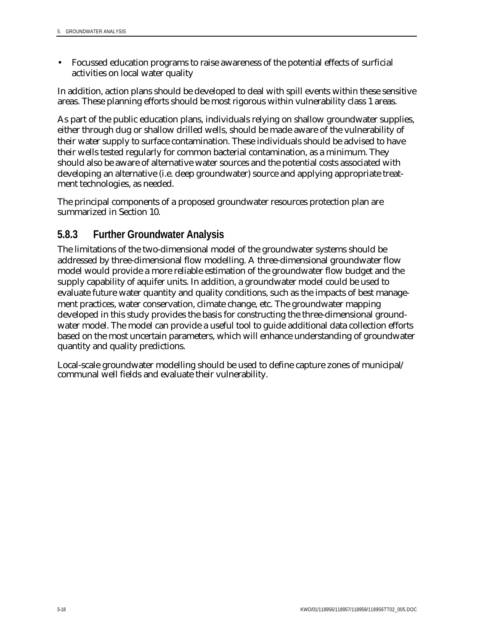• Focussed education programs to raise awareness of the potential effects of surficial activities on local water quality

In addition, action plans should be developed to deal with spill events within these sensitive areas. These planning efforts should be most rigorous within vulnerability class 1 areas.

As part of the public education plans, individuals relying on shallow groundwater supplies, either through dug or shallow drilled wells, should be made aware of the vulnerability of their water supply to surface contamination. These individuals should be advised to have their wells tested regularly for common bacterial contamination, as a minimum. They should also be aware of alternative water sources and the potential costs associated with developing an alternative (i.e. deep groundwater) source and applying appropriate treatment technologies, as needed.

The principal components of a proposed groundwater resources protection plan are summarized in Section 10.

### **5.8.3 Further Groundwater Analysis**

The limitations of the two-dimensional model of the groundwater systems should be addressed by three-dimensional flow modelling. A three-dimensional groundwater flow model would provide a more reliable estimation of the groundwater flow budget and the supply capability of aquifer units. In addition, a groundwater model could be used to evaluate future water quantity and quality conditions, such as the impacts of best management practices, water conservation, climate change, etc. The groundwater mapping developed in this study provides the basis for constructing the three-dimensional groundwater model. The model can provide a useful tool to guide additional data collection efforts based on the most uncertain parameters, which will enhance understanding of groundwater quantity and quality predictions.

Local-scale groundwater modelling should be used to define capture zones of municipal/ communal well fields and evaluate their vulnerability.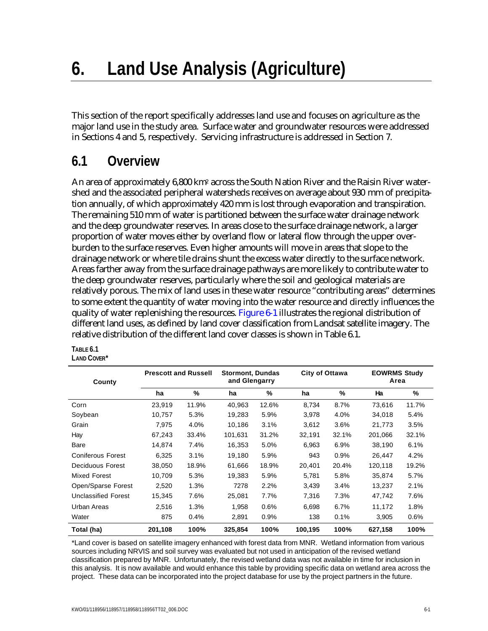# **6. Land Use Analysis (Agriculture)**

This section of the report specifically addresses land use and focuses on agriculture as the major land use in the study area. Surface water and groundwater resources were addressed in Sections 4 and 5, respectively. Servicing infrastructure is addressed in Section 7.

## **6.1 Overview**

An area of approximately 6,800 km2 across the South Nation River and the Raisin River watershed and the associated peripheral watersheds receives on average about 930 mm of precipitation annually, of which approximately 420 mm is lost through evaporation and transpiration. The remaining 510 mm of water is partitioned between the surface water drainage network and the deep groundwater reserves. In areas close to the surface drainage network, a larger proportion of water moves either by overland flow or lateral flow through the upper overburden to the surface reserves. Even higher amounts will move in areas that slope to the drainage network or where tile drains shunt the excess water directly to the surface network. Areas farther away from the surface drainage pathways are more likely to contribute water to the deep groundwater reserves, particularly where the soil and geological materials are relatively porous. The mix of land uses in these water resource "contributing areas" determines to some extent the quantity of water moving into the water resource and directly influences the quality of water replenishing the resources. Figure 6-1 illustrates the regional distribution of different land uses, as defined by land cover classification from Landsat satellite imagery. The relative distribution of the different land cover classes is shown in Table 6.1.

| County                     | <b>Prescott and Russell</b> |       | <b>Stormont, Dundas</b><br>and Glengarry |       | City of Ottawa |       | <b>EOWRMS Study</b><br>Area |       |
|----------------------------|-----------------------------|-------|------------------------------------------|-------|----------------|-------|-----------------------------|-------|
|                            | ha                          | %     | ha                                       | %     | ha             | %     | Ha                          | %     |
| Corn                       | 23,919                      | 11.9% | 40.963                                   | 12.6% | 8.734          | 8.7%  | 73.616                      | 11.7% |
| Soybean                    | 10,757                      | 5.3%  | 19,283                                   | 5.9%  | 3,978          | 4.0%  | 34,018                      | 5.4%  |
| Grain                      | 7.975                       | 4.0%  | 10.186                                   | 3.1%  | 3,612          | 3.6%  | 21,773                      | 3.5%  |
| Hay                        | 67,243                      | 33.4% | 101,631                                  | 31.2% | 32,191         | 32.1% | 201,066                     | 32.1% |
| Bare                       | 14,874                      | 7.4%  | 16,353                                   | 5.0%  | 6,963          | 6.9%  | 38,190                      | 6.1%  |
| <b>Coniferous Forest</b>   | 6,325                       | 3.1%  | 19,180                                   | 5.9%  | 943            | 0.9%  | 26,447                      | 4.2%  |
| Deciduous Forest           | 38,050                      | 18.9% | 61,666                                   | 18.9% | 20,401         | 20.4% | 120,118                     | 19.2% |
| <b>Mixed Forest</b>        | 10,709                      | 5.3%  | 19,383                                   | 5.9%  | 5,781          | 5.8%  | 35,874                      | 5.7%  |
| Open/Sparse Forest         | 2,520                       | 1.3%  | 7278                                     | 2.2%  | 3,439          | 3.4%  | 13,237                      | 2.1%  |
| <b>Unclassified Forest</b> | 15,345                      | 7.6%  | 25,081                                   | 7.7%  | 7,316          | 7.3%  | 47,742                      | 7.6%  |
| Urban Areas                | 2,516                       | 1.3%  | 1,958                                    | 0.6%  | 6,698          | 6.7%  | 11,172                      | 1.8%  |
| Water                      | 875                         | 0.4%  | 2,891                                    | 0.9%  | 138            | 0.1%  | 3,905                       | 0.6%  |
| Total (ha)                 | 201,108                     | 100%  | 325,854                                  | 100%  | 100,195        | 100%  | 627,158                     | 100%  |

**TABLE 6.1 LAND COVER\***

\*Land cover is based on satellite imagery enhanced with forest data from MNR. Wetland information from various sources including NRVIS and soil survey was evaluated but not used in anticipation of the revised wetland classification prepared by MNR. Unfortunately, the revised wetland data was not available in time for inclusion in this analysis. It is now available and would enhance this table by providing specific data on wetland area across the project. These data can be incorporated into the project database for use by the project partners in the future.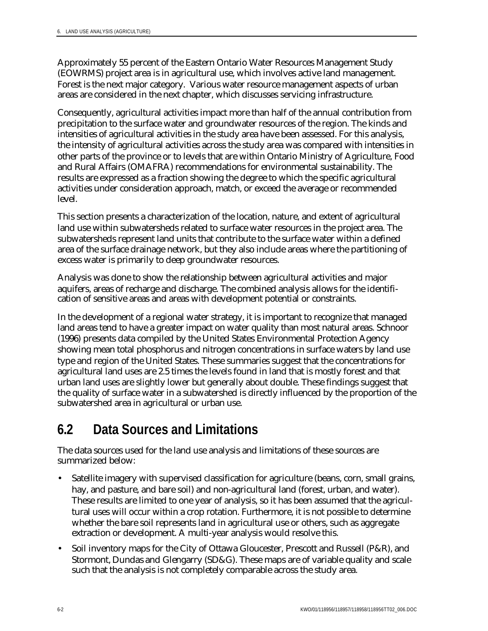Approximately 55 percent of the Eastern Ontario Water Resources Management Study (EOWRMS) project area is in agricultural use, which involves active land management. Forest is the next major category. Various water resource management aspects of urban areas are considered in the next chapter, which discusses servicing infrastructure.

Consequently, agricultural activities impact more than half of the annual contribution from precipitation to the surface water and groundwater resources of the region. The kinds and intensities of agricultural activities in the study area have been assessed. For this analysis, the intensity of agricultural activities across the study area was compared with intensities in other parts of the province or to levels that are within Ontario Ministry of Agriculture, Food and Rural Affairs (OMAFRA) recommendations for environmental sustainability. The results are expressed as a fraction showing the degree to which the specific agricultural activities under consideration approach, match, or exceed the average or recommended level.

This section presents a characterization of the location, nature, and extent of agricultural land use within subwatersheds related to surface water resources in the project area. The subwatersheds represent land units that contribute to the surface water within a defined area of the surface drainage network, but they also include areas where the partitioning of excess water is primarily to deep groundwater resources.

Analysis was done to show the relationship between agricultural activities and major aquifers, areas of recharge and discharge. The combined analysis allows for the identification of sensitive areas and areas with development potential or constraints.

In the development of a regional water strategy, it is important to recognize that managed land areas tend to have a greater impact on water quality than most natural areas. Schnoor (1996) presents data compiled by the United States Environmental Protection Agency showing mean total phosphorus and nitrogen concentrations in surface waters by land use type and region of the United States. These summaries suggest that the concentrations for agricultural land uses are 2.5 times the levels found in land that is mostly forest and that urban land uses are slightly lower but generally about double. These findings suggest that the quality of surface water in a subwatershed is directly influenced by the proportion of the subwatershed area in agricultural or urban use.

## **6.2 Data Sources and Limitations**

The data sources used for the land use analysis and limitations of these sources are summarized below:

- Satellite imagery with supervised classification for agriculture (beans, corn, small grains, hay, and pasture, and bare soil) and non-agricultural land (forest, urban, and water). These results are limited to one year of analysis, so it has been assumed that the agricultural uses will occur within a crop rotation. Furthermore, it is not possible to determine whether the bare soil represents land in agricultural use or others, such as aggregate extraction or development. A multi-year analysis would resolve this.
- Soil inventory maps for the City of Ottawa Gloucester, Prescott and Russell (P&R), and Stormont, Dundas and Glengarry (SD&G). These maps are of variable quality and scale such that the analysis is not completely comparable across the study area.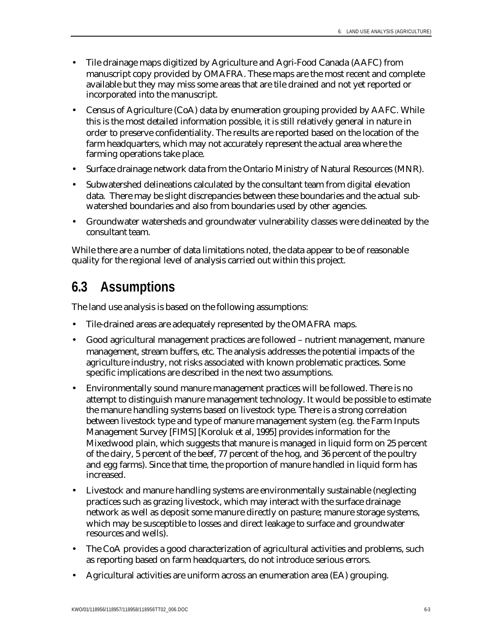- Tile drainage maps digitized by Agriculture and Agri-Food Canada (AAFC) from manuscript copy provided by OMAFRA. These maps are the most recent and complete available but they may miss some areas that are tile drained and not yet reported or incorporated into the manuscript.
- Census of Agriculture (CoA) data by enumeration grouping provided by AAFC. While this is the most detailed information possible, it is still relatively general in nature in order to preserve confidentiality. The results are reported based on the location of the farm headquarters, which may not accurately represent the actual area where the farming operations take place.
- Surface drainage network data from the Ontario Ministry of Natural Resources (MNR).
- Subwatershed delineations calculated by the consultant team from digital elevation data. There may be slight discrepancies between these boundaries and the actual subwatershed boundaries and also from boundaries used by other agencies.
- Groundwater watersheds and groundwater vulnerability classes were delineated by the consultant team.

While there are a number of data limitations noted, the data appear to be of reasonable quality for the regional level of analysis carried out within this project.

## **6.3 Assumptions**

The land use analysis is based on the following assumptions:

- Tile-drained areas are adequately represented by the OMAFRA maps.
- Good agricultural management practices are followed nutrient management, manure management, stream buffers, etc. The analysis addresses the potential impacts of the agriculture industry, not risks associated with known problematic practices. Some specific implications are described in the next two assumptions.
- Environmentally sound manure management practices will be followed. There is no attempt to distinguish manure management technology. It would be possible to estimate the manure handling systems based on livestock type. There is a strong correlation between livestock type and type of manure management system (e.g. the Farm Inputs Management Survey [FIMS] [Koroluk et al, 1995] provides information for the Mixedwood plain, which suggests that manure is managed in liquid form on 25 percent of the dairy, 5 percent of the beef, 77 percent of the hog, and 36 percent of the poultry and egg farms). Since that time, the proportion of manure handled in liquid form has increased.
- Livestock and manure handling systems are environmentally sustainable (neglecting practices such as grazing livestock, which may interact with the surface drainage network as well as deposit some manure directly on pasture; manure storage systems, which may be susceptible to losses and direct leakage to surface and groundwater resources and wells).
- The CoA provides a good characterization of agricultural activities and problems, such as reporting based on farm headquarters, do not introduce serious errors.
- Agricultural activities are uniform across an enumeration area (EA) grouping.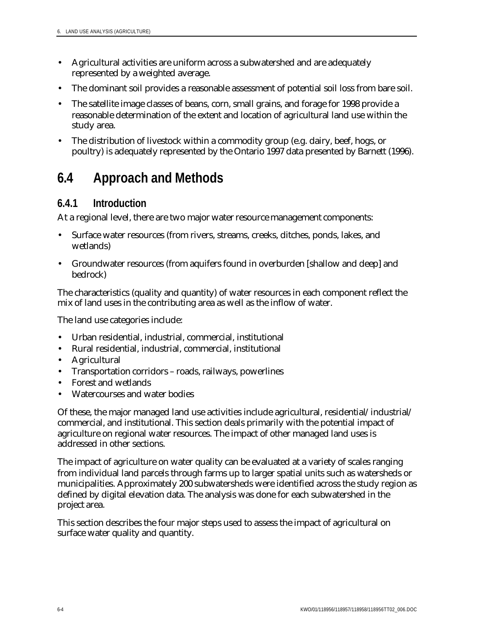- Agricultural activities are uniform across a subwatershed and are adequately represented by a weighted average.
- The dominant soil provides a reasonable assessment of potential soil loss from bare soil.
- The satellite image classes of beans, corn, small grains, and forage for 1998 provide a reasonable determination of the extent and location of agricultural land use within the study area.
- The distribution of livestock within a commodity group (e.g. dairy, beef, hogs, or poultry) is adequately represented by the Ontario 1997 data presented by Barnett (1996).

# **6.4 Approach and Methods**

## **6.4.1 Introduction**

At a regional level, there are two major water resource management components:

- Surface water resources (from rivers, streams, creeks, ditches, ponds, lakes, and wetlands)
- Groundwater resources (from aquifers found in overburden [shallow and deep] and bedrock)

The characteristics (quality and quantity) of water resources in each component reflect the mix of land uses in the contributing area as well as the inflow of water.

The land use categories include:

- Urban residential, industrial, commercial, institutional
- Rural residential, industrial, commercial, institutional
- Agricultural
- Transportation corridors roads, railways, powerlines
- Forest and wetlands
- Watercourses and water bodies

Of these, the major managed land use activities include agricultural, residential/industrial/ commercial, and institutional. This section deals primarily with the potential impact of agriculture on regional water resources. The impact of other managed land uses is addressed in other sections.

The impact of agriculture on water quality can be evaluated at a variety of scales ranging from individual land parcels through farms up to larger spatial units such as watersheds or municipalities. Approximately 200 subwatersheds were identified across the study region as defined by digital elevation data. The analysis was done for each subwatershed in the project area.

This section describes the four major steps used to assess the impact of agricultural on surface water quality and quantity.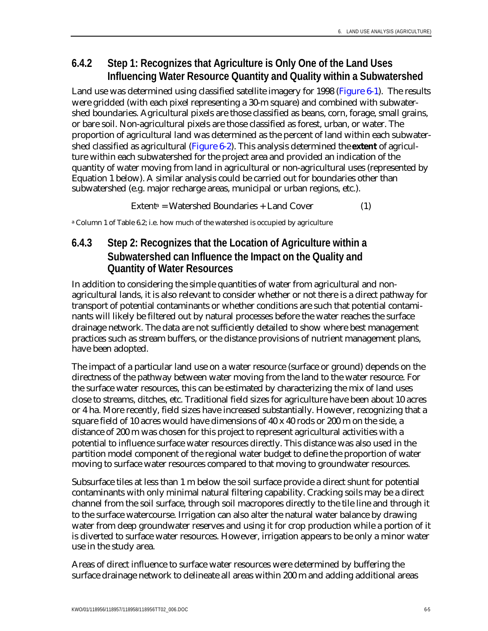# **6.4.2 Step 1: Recognizes that Agriculture is Only One of the Land Uses Influencing Water Resource Quantity and Quality within a Subwatershed**

Land use was determined using classified satellite imagery for 1998 (Figure 6-1). The results were gridded (with each pixel representing a 30-m square) and combined with subwatershed boundaries. Agricultural pixels are those classified as beans, corn, forage, small grains, or bare soil. Non-agricultural pixels are those classified as forest, urban, or water. The proportion of agricultural land was determined as the percent of land within each subwatershed classified as agricultural (Figure 6-2). This analysis determined the **extent** of agriculture within each subwatershed for the project area and provided an indication of the quantity of water moving from land in agricultural or non-agricultural uses (represented by Equation 1 below). A similar analysis could be carried out for boundaries other than subwatershed (e.g. major recharge areas, municipal or urban regions, etc.).

 $Extent<sup>a</sup> = Watershed Boundaries + Land Cover$  (1)

a Column 1 of Table 6.2; i.e. how much of the watershed is occupied by agriculture

# **6.4.3 Step 2: Recognizes that the Location of Agriculture within a Subwatershed can Influence the Impact on the Quality and Quantity of Water Resources**

In addition to considering the simple quantities of water from agricultural and nonagricultural lands, it is also relevant to consider whether or not there is a direct pathway for transport of potential contaminants or whether conditions are such that potential contaminants will likely be filtered out by natural processes before the water reaches the surface drainage network. The data are not sufficiently detailed to show where best management practices such as stream buffers, or the distance provisions of nutrient management plans, have been adopted.

The impact of a particular land use on a water resource (surface or ground) depends on the directness of the pathway between water moving from the land to the water resource. For the surface water resources, this can be estimated by characterizing the mix of land uses close to streams, ditches, etc. Traditional field sizes for agriculture have been about 10 acres or 4 ha. More recently, field sizes have increased substantially. However, recognizing that a square field of 10 acres would have dimensions of 40 x 40 rods or 200 m on the side, a distance of 200 m was chosen for this project to represent agricultural activities with a potential to influence surface water resources directly. This distance was also used in the partition model component of the regional water budget to define the proportion of water moving to surface water resources compared to that moving to groundwater resources.

Subsurface tiles at less than 1 m below the soil surface provide a direct shunt for potential contaminants with only minimal natural filtering capability. Cracking soils may be a direct channel from the soil surface, through soil macropores directly to the tile line and through it to the surface watercourse. Irrigation can also alter the natural water balance by drawing water from deep groundwater reserves and using it for crop production while a portion of it is diverted to surface water resources. However, irrigation appears to be only a minor water use in the study area.

Areas of direct influence to surface water resources were determined by buffering the surface drainage network to delineate all areas within 200 m and adding additional areas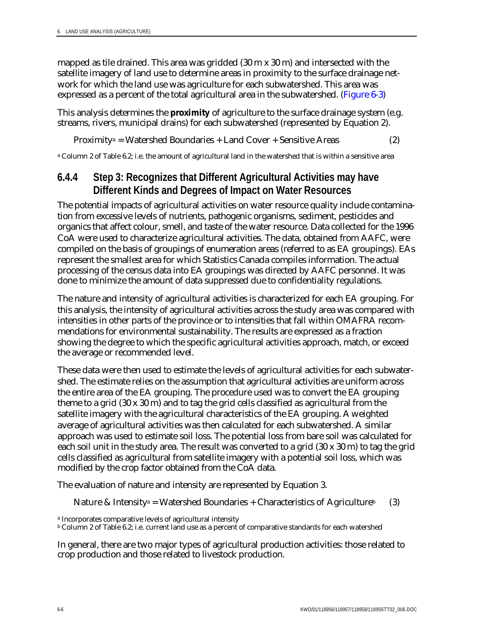mapped as tile drained. This area was gridded (30 m x 30 m) and intersected with the satellite imagery of land use to determine areas in proximity to the surface drainage network for which the land use was agriculture for each subwatershed. This area was expressed as a percent of the total agricultural area in the subwatershed. (Figure 6-3)

This analysis determines the **proximity** of agriculture to the surface drainage system (e.g. streams, rivers, municipal drains) for each subwatershed (represented by Equation 2).

Proximitya = Watershed Boundaries + Land Cover + Sensitive Areas (2)

a Column 2 of Table 6.2; i.e. the amount of agricultural land in the watershed that is within a sensitive area

# **6.4.4 Step 3: Recognizes that Different Agricultural Activities may have Different Kinds and Degrees of Impact on Water Resources**

The potential impacts of agricultural activities on water resource quality include contamination from excessive levels of nutrients, pathogenic organisms, sediment, pesticides and organics that affect colour, smell, and taste of the water resource. Data collected for the 1996 CoA were used to characterize agricultural activities. The data, obtained from AAFC, were compiled on the basis of groupings of enumeration areas (referred to as EA groupings). EAs represent the smallest area for which Statistics Canada compiles information. The actual processing of the census data into EA groupings was directed by AAFC personnel. It was done to minimize the amount of data suppressed due to confidentiality regulations.

The nature and intensity of agricultural activities is characterized for each EA grouping. For this analysis, the intensity of agricultural activities across the study area was compared with intensities in other parts of the province or to intensities that fall within OMAFRA recommendations for environmental sustainability. The results are expressed as a fraction showing the degree to which the specific agricultural activities approach, match, or exceed the average or recommended level.

These data were then used to estimate the levels of agricultural activities for each subwatershed. The estimate relies on the assumption that agricultural activities are uniform across the entire area of the EA grouping. The procedure used was to convert the EA grouping theme to a grid (30 x 30 m) and to tag the grid cells classified as agricultural from the satellite imagery with the agricultural characteristics of the EA grouping. A weighted average of agricultural activities was then calculated for each subwatershed. A similar approach was used to estimate soil loss. The potential loss from bare soil was calculated for each soil unit in the study area. The result was converted to a grid (30 x 30 m) to tag the grid cells classified as agricultural from satellite imagery with a potential soil loss, which was modified by the crop factor obtained from the CoA data.

The evaluation of nature and intensity are represented by Equation 3.

Nature & Intensity<sup>a</sup> = Watershed Boundaries + Characteristics of Agriculture<sup>b</sup> (3)

a Incorporates comparative levels of agricultural intensity

b Column 2 of Table 6.2; i.e. current land use as a percent of comparative standards for each watershed

In general, there are two major types of agricultural production activities: those related to crop production and those related to livestock production.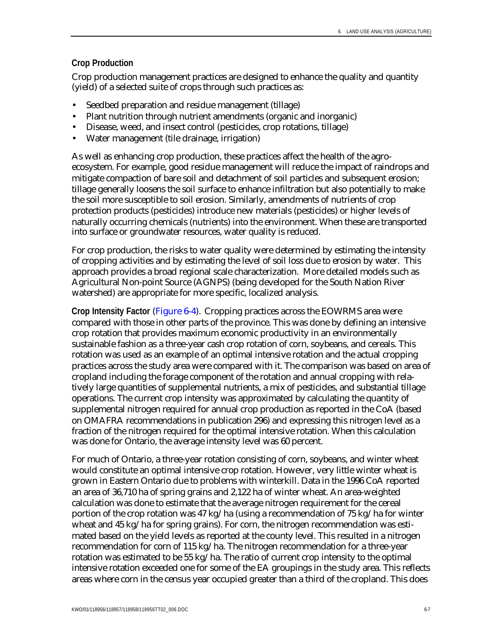### **Crop Production**

Crop production management practices are designed to enhance the quality and quantity (yield) of a selected suite of crops through such practices as:

- Seedbed preparation and residue management (tillage)
- Plant nutrition through nutrient amendments (organic and inorganic)
- Disease, weed, and insect control (pesticides, crop rotations, tillage)
- Water management (tile drainage, irrigation)

As well as enhancing crop production, these practices affect the health of the agroecosystem. For example, good residue management will reduce the impact of raindrops and mitigate compaction of bare soil and detachment of soil particles and subsequent erosion; tillage generally loosens the soil surface to enhance infiltration but also potentially to make the soil more susceptible to soil erosion. Similarly, amendments of nutrients of crop protection products (pesticides) introduce new materials (pesticides) or higher levels of naturally occurring chemicals (nutrients) into the environment. When these are transported into surface or groundwater resources, water quality is reduced.

For crop production, the risks to water quality were determined by estimating the intensity of cropping activities and by estimating the level of soil loss due to erosion by water. This approach provides a broad regional scale characterization. More detailed models such as Agricultural Non-point Source (AGNPS) (being developed for the South Nation River watershed) are appropriate for more specific, localized analysis.

**Crop Intensity Factor** (Figure 6-4). Cropping practices across the EOWRMS area were compared with those in other parts of the province. This was done by defining an intensive crop rotation that provides maximum economic productivity in an environmentally sustainable fashion as a three-year cash crop rotation of corn, soybeans, and cereals. This rotation was used as an example of an optimal intensive rotation and the actual cropping practices across the study area were compared with it. The comparison was based on area of cropland including the forage component of the rotation and annual cropping with relatively large quantities of supplemental nutrients, a mix of pesticides, and substantial tillage operations. The current crop intensity was approximated by calculating the quantity of supplemental nitrogen required for annual crop production as reported in the CoA (based on OMAFRA recommendations in publication 296) and expressing this nitrogen level as a fraction of the nitrogen required for the optimal intensive rotation. When this calculation was done for Ontario, the average intensity level was 60 percent.

For much of Ontario, a three-year rotation consisting of corn, soybeans, and winter wheat would constitute an optimal intensive crop rotation. However, very little winter wheat is grown in Eastern Ontario due to problems with winterkill. Data in the 1996 CoA reported an area of 36,710 ha of spring grains and 2,122 ha of winter wheat. An area-weighted calculation was done to estimate that the average nitrogen requirement for the cereal portion of the crop rotation was 47 kg/ha (using a recommendation of 75 kg/ha for winter wheat and 45 kg/ha for spring grains). For corn, the nitrogen recommendation was estimated based on the yield levels as reported at the county level. This resulted in a nitrogen recommendation for corn of 115 kg/ha. The nitrogen recommendation for a three-year rotation was estimated to be 55 kg/ha. The ratio of current crop intensity to the optimal intensive rotation exceeded one for some of the EA groupings in the study area. This reflects areas where corn in the census year occupied greater than a third of the cropland. This does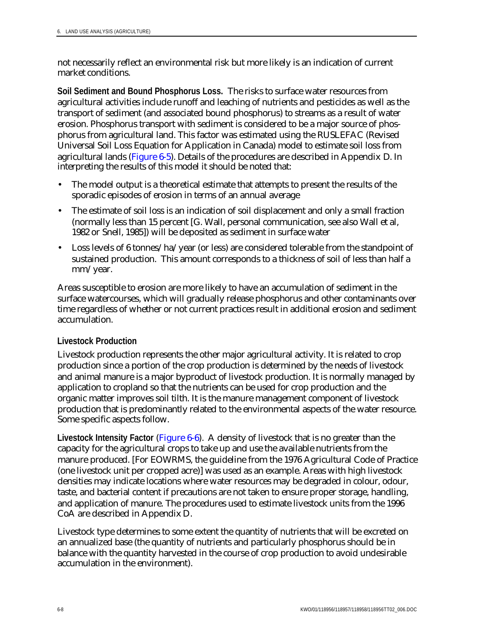not necessarily reflect an environmental risk but more likely is an indication of current market conditions.

**Soil Sediment and Bound Phosphorus Loss.** The risks to surface water resources from agricultural activities include runoff and leaching of nutrients and pesticides as well as the transport of sediment (and associated bound phosphorus) to streams as a result of water erosion. Phosphorus transport with sediment is considered to be a major source of phosphorus from agricultural land. This factor was estimated using the RUSLEFAC (Revised Universal Soil Loss Equation for Application in Canada) model to estimate soil loss from agricultural lands (Figure 6-5). Details of the procedures are described in Appendix D. In interpreting the results of this model it should be noted that:

- The model output is a theoretical estimate that attempts to present the results of the sporadic episodes of erosion in terms of an annual average
- The estimate of soil loss is an indication of soil displacement and only a small fraction (normally less than 15 percent [G. Wall, personal communication, see also Wall et al, 1982 or Snell, 1985]) will be deposited as sediment in surface water
- Loss levels of 6 tonnes/ha/year (or less) are considered tolerable from the standpoint of sustained production. This amount corresponds to a thickness of soil of less than half a mm/year.

Areas susceptible to erosion are more likely to have an accumulation of sediment in the surface watercourses, which will gradually release phosphorus and other contaminants over time regardless of whether or not current practices result in additional erosion and sediment accumulation.

## **Livestock Production**

Livestock production represents the other major agricultural activity. It is related to crop production since a portion of the crop production is determined by the needs of livestock and animal manure is a major byproduct of livestock production. It is normally managed by application to cropland so that the nutrients can be used for crop production and the organic matter improves soil tilth. It is the manure management component of livestock production that is predominantly related to the environmental aspects of the water resource. Some specific aspects follow.

**Livestock Intensity Factor** (Figure 6-6). A density of livestock that is no greater than the capacity for the agricultural crops to take up and use the available nutrients from the manure produced. [For EOWRMS, the guideline from the 1976 Agricultural Code of Practice (one livestock unit per cropped acre)] was used as an example. Areas with high livestock densities may indicate locations where water resources may be degraded in colour, odour, taste, and bacterial content if precautions are not taken to ensure proper storage, handling, and application of manure. The procedures used to estimate livestock units from the 1996 CoA are described in Appendix D.

Livestock type determines to some extent the quantity of nutrients that will be excreted on an annualized base (the quantity of nutrients and particularly phosphorus should be in balance with the quantity harvested in the course of crop production to avoid undesirable accumulation in the environment).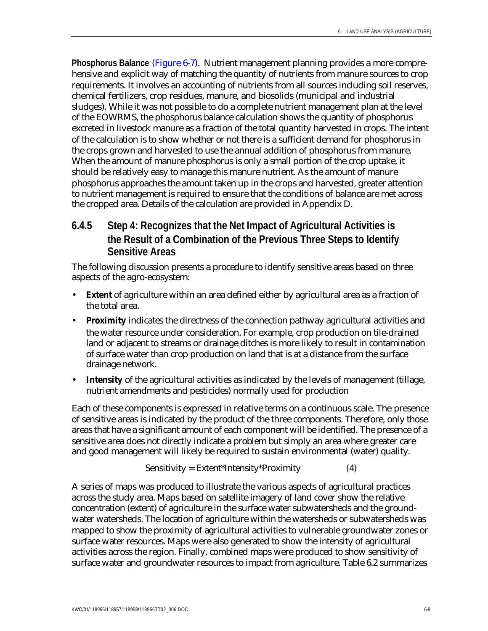**Phosphorus Balance** (Figure 6-7). Nutrient management planning provides a more comprehensive and explicit way of matching the quantity of nutrients from manure sources to crop requirements. It involves an accounting of nutrients from all sources including soil reserves, chemical fertilizers, crop residues, manure, and biosolids (municipal and industrial sludges). While it was not possible to do a complete nutrient management plan at the level of the EOWRMS, the phosphorus balance calculation shows the quantity of phosphorus excreted in livestock manure as a fraction of the total quantity harvested in crops. The intent of the calculation is to show whether or not there is a sufficient demand for phosphorus in the crops grown and harvested to use the annual addition of phosphorus from manure. When the amount of manure phosphorus is only a small portion of the crop uptake, it should be relatively easy to manage this manure nutrient. As the amount of manure phosphorus approaches the amount taken up in the crops and harvested, greater attention to nutrient management is required to ensure that the conditions of balance are met across the cropped area. Details of the calculation are provided in Appendix D.

# **6.4.5 Step 4: Recognizes that the Net Impact of Agricultural Activities is the Result of a Combination of the Previous Three Steps to Identify Sensitive Areas**

The following discussion presents a procedure to identify sensitive areas based on three aspects of the agro-ecosystem:

- **Extent** of agriculture within an area defined either by agricultural area as a fraction of the total area.
- **Proximity** indicates the directness of the connection pathway agricultural activities and the water resource under consideration. For example, crop production on tile-drained land or adjacent to streams or drainage ditches is more likely to result in contamination of surface water than crop production on land that is at a distance from the surface drainage network.
- **Intensity** of the agricultural activities as indicated by the levels of management (tillage, nutrient amendments and pesticides) normally used for production

Each of these components is expressed in relative terms on a continuous scale. The presence of sensitive areas is indicated by the product of the three components. Therefore, only those areas that have a significant amount of each component will be identified. The presence of a sensitive area does not directly indicate a problem but simply an area where greater care and good management will likely be required to sustain environmental (water) quality.

$$
Sensitivity = Extent*Intensity*Proximity \tag{4}
$$

A series of maps was produced to illustrate the various aspects of agricultural practices across the study area. Maps based on satellite imagery of land cover show the relative concentration (extent) of agriculture in the surface water subwatersheds and the groundwater watersheds. The location of agriculture within the watersheds or subwatersheds was mapped to show the proximity of agricultural activities to vulnerable groundwater zones or surface water resources. Maps were also generated to show the intensity of agricultural activities across the region. Finally, combined maps were produced to show sensitivity of surface water and groundwater resources to impact from agriculture. Table 6.2 summarizes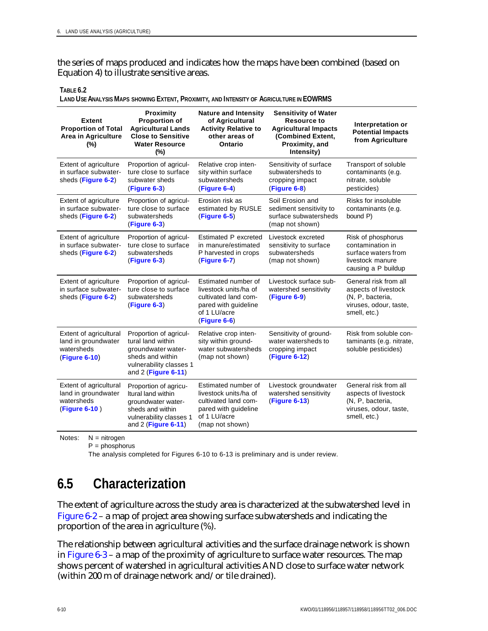the series of maps produced and indicates how the maps have been combined (based on Equation 4) to illustrate sensitive areas.

**TABLE 6.2**

**LAND USE ANALYSIS MAPS SHOWING EXTENT, PROXIMITY, AND INTENSITY OF AGRICULTURE IN EOWRMS**

| <b>Extent</b><br><b>Proportion of Total</b><br><b>Area in Agriculture</b><br>$(\%)$ | <b>Proximity</b><br><b>Proportion of</b><br><b>Agricultural Lands</b><br><b>Close to Sensitive</b><br><b>Water Resource</b><br>$(\%)$   | <b>Nature and Intensity</b><br>of Agricultural<br><b>Activity Relative to</b><br>other areas of<br>Ontario                      | <b>Sensitivity of Water</b><br><b>Resource to</b><br><b>Agricultural Impacts</b><br>(Combined Extent,<br>Proximity, and<br>Intensity) | Interpretation or<br><b>Potential Impacts</b><br>from Agriculture                                           |
|-------------------------------------------------------------------------------------|-----------------------------------------------------------------------------------------------------------------------------------------|---------------------------------------------------------------------------------------------------------------------------------|---------------------------------------------------------------------------------------------------------------------------------------|-------------------------------------------------------------------------------------------------------------|
| Extent of agriculture<br>in surface subwater-<br>sheds (Figure 6-2)                 | Proportion of agricul-<br>ture close to surface<br>subwater sheds<br>$(Figure 6-3)$                                                     | Relative crop inten-<br>sity within surface<br>subwatersheds<br>$(Figure 6-4)$                                                  | Sensitivity of surface<br>subwatersheds to<br>cropping impact<br><b>(Figure 6-8)</b>                                                  | Transport of soluble<br>contaminants (e.g.<br>nitrate, soluble<br>pesticides)                               |
| Extent of agriculture<br>in surface subwater-<br>sheds (Figure 6-2)                 | Proportion of agricul-<br>ture close to surface<br>subwatersheds<br>$(Figure 6-3)$                                                      | Erosion risk as<br>estimated by RUSLE<br>$(Figure 6-5)$                                                                         | Soil Erosion and<br>sediment sensitivity to<br>surface subwatersheds<br>(map not shown)                                               | Risks for insoluble<br>contaminants (e.g.<br>bound P)                                                       |
| Extent of agriculture<br>in surface subwater-<br>sheds (Figure 6-2)                 | Proportion of agricul-<br>ture close to surface<br>subwatersheds<br>$(Figure 6-3)$                                                      | Estimated P excreted<br>in manure/estimated<br>P harvested in crops<br>$(Figure 6-7)$                                           | Livestock excreted<br>sensitivity to surface<br>subwatersheds<br>(map not shown)                                                      | Risk of phosphorus<br>contamination in<br>surface waters from<br>livestock manure<br>causing a P buildup    |
| Extent of agriculture<br>in surface subwater-<br>sheds (Figure 6-2)                 | Proportion of agricul-<br>ture close to surface<br>subwatersheds<br>$(Figure 6-3)$                                                      | Estimated number of<br>livestock units/ha of<br>cultivated land com-<br>pared with guideline<br>of 1 LU/acre<br>$(Figure 6-6)$  | Livestock surface sub-<br>watershed sensitivity<br><b>(Figure 6-9)</b>                                                                | General risk from all<br>aspects of livestock<br>(N, P, bacteria,<br>viruses, odour, taste,<br>smell, etc.) |
| Extent of agricultural<br>land in groundwater<br>watersheds<br><b>(Figure 6-10)</b> | Proportion of agricul-<br>tural land within<br>groundwater water-<br>sheds and within<br>vulnerability classes 1<br>and 2 (Figure 6-11) | Relative crop inten-<br>sity within ground-<br>water subwatersheds<br>(map not shown)                                           | Sensitivity of ground-<br>water watersheds to<br>cropping impact<br><b>(Figure 6-12)</b>                                              | Risk from soluble con-<br>taminants (e.g. nitrate,<br>soluble pesticides)                                   |
| Extent of agricultural<br>land in groundwater<br>watersheds<br>(Figure 6-10)        | Proportion of agricu-<br>Itural land within<br>groundwater water-<br>sheds and within<br>vulnerability classes 1<br>and 2 (Figure 6-11) | Estimated number of<br>livestock units/ha of<br>cultivated land com-<br>pared with guideline<br>of 1 LU/acre<br>(map not shown) | Livestock groundwater<br>watershed sensitivity<br>(Figure 6-13)                                                                       | General risk from all<br>aspects of livestock<br>(N, P, bacteria,<br>viruses, odour, taste,<br>smell, etc.) |

Notes: N = nitrogen

 $P =$ phosphorus

The analysis completed for Figures 6-10 to 6-13 is preliminary and is under review.

# **6.5 Characterization**

The extent of agriculture across the study area is characterized at the subwatershed level in Figure 6-2 – a map of project area showing surface subwatersheds and indicating the proportion of the area in agriculture (%).

The relationship between agricultural activities and the surface drainage network is shown in Figure 6-3 – a map of the proximity of agriculture to surface water resources. The map shows percent of watershed in agricultural activities AND close to surface water network (within 200 m of drainage network and/or tile drained).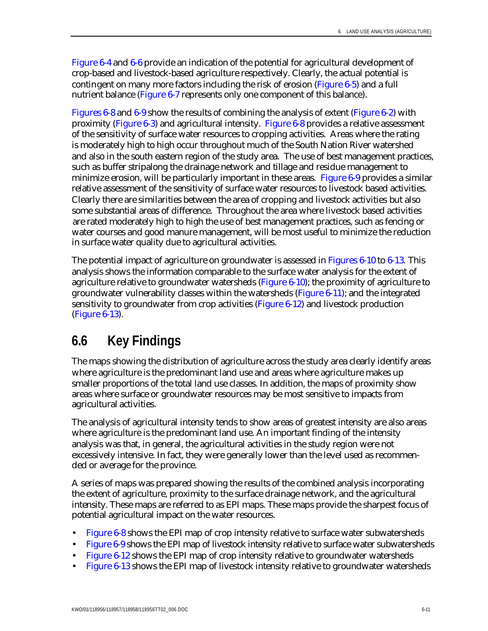Figure 6-4 and 6-6 provide an indication of the potential for agricultural development of crop-based and livestock-based agriculture respectively. Clearly, the actual potential is contingent on many more factors including the risk of erosion (Figure 6-5) and a full nutrient balance (Figure 6-7 represents only one component of this balance).

Figures 6-8 and 6-9 show the results of combining the analysis of extent (Figure 6-2) with proximity (Figure 6-3) and agricultural intensity. Figure 6-8 provides a relative assessment of the sensitivity of surface water resources to cropping activities. Areas where the rating is moderately high to high occur throughout much of the South Nation River watershed and also in the south eastern region of the study area. The use of best management practices, such as buffer stripalong the drainage network and tillage and residue management to minimize erosion, will be particularly important in these areas. Figure 6-9 provides a similar relative assessment of the sensitivity of surface water resources to livestock based activities. Clearly there are similarities between the area of cropping and livestock activities but also some substantial areas of difference. Throughout the area where livestock based activities are rated moderately high to high the use of best management practices, such as fencing or water courses and good manure management, will be most useful to minimize the reduction in surface water quality due to agricultural activities.

The potential impact of agriculture on groundwater is assessed in Figures 6-10 to 6-13. This analysis shows the information comparable to the surface water analysis for the extent of agriculture relative to groundwater watersheds (Figure 6-10); the proximity of agriculture to groundwater vulnerability classes within the watersheds (Figure 6-11); and the integrated sensitivity to groundwater from crop activities (Figure 6-12) and livestock production (Figure 6-13).

# **6.6 Key Findings**

The maps showing the distribution of agriculture across the study area clearly identify areas where agriculture is the predominant land use and areas where agriculture makes up smaller proportions of the total land use classes. In addition, the maps of proximity show areas where surface or groundwater resources may be most sensitive to impacts from agricultural activities.

The analysis of agricultural intensity tends to show areas of greatest intensity are also areas where agriculture is the predominant land use. An important finding of the intensity analysis was that, in general, the agricultural activities in the study region were not excessively intensive. In fact, they were generally lower than the level used as recommended or average for the province.

A series of maps was prepared showing the results of the combined analysis incorporating the extent of agriculture, proximity to the surface drainage network, and the agricultural intensity. These maps are referred to as EPI maps. These maps provide the sharpest focus of potential agricultural impact on the water resources.

- **Figure 6-8 shows the EPI map of crop intensity relative to surface water subwatersheds**
- Figure 6-9 shows the EPI map of livestock intensity relative to surface water subwatersheds
- Figure 6-12 shows the EPI map of crop intensity relative to groundwater watersheds
- Figure 6-13 shows the EPI map of livestock intensity relative to groundwater watersheds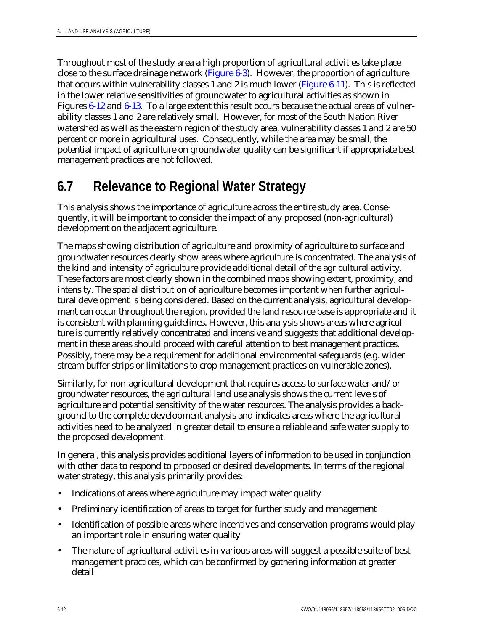Throughout most of the study area a high proportion of agricultural activities take place close to the surface drainage network (Figure 6-3). However, the proportion of agriculture that occurs within vulnerability classes 1 and 2 is much lower (Figure 6-11). This is reflected in the lower relative sensitivities of groundwater to agricultural activities as shown in Figures 6-12 and 6-13. To a large extent this result occurs because the actual areas of vulnerability classes 1 and 2 are relatively small. However, for most of the South Nation River watershed as well as the eastern region of the study area, vulnerability classes 1 and 2 are 50 percent or more in agricultural uses. Consequently, while the area may be small, the potential impact of agriculture on groundwater quality can be significant if appropriate best management practices are not followed.

# **6.7 Relevance to Regional Water Strategy**

This analysis shows the importance of agriculture across the entire study area. Consequently, it will be important to consider the impact of any proposed (non-agricultural) development on the adjacent agriculture.

The maps showing distribution of agriculture and proximity of agriculture to surface and groundwater resources clearly show areas where agriculture is concentrated. The analysis of the kind and intensity of agriculture provide additional detail of the agricultural activity. These factors are most clearly shown in the combined maps showing extent, proximity, and intensity. The spatial distribution of agriculture becomes important when further agricultural development is being considered. Based on the current analysis, agricultural development can occur throughout the region, provided the land resource base is appropriate and it is consistent with planning guidelines. However, this analysis shows areas where agriculture is currently relatively concentrated and intensive and suggests that additional development in these areas should proceed with careful attention to best management practices. Possibly, there may be a requirement for additional environmental safeguards (e.g. wider stream buffer strips or limitations to crop management practices on vulnerable zones).

Similarly, for non-agricultural development that requires access to surface water and/or groundwater resources, the agricultural land use analysis shows the current levels of agriculture and potential sensitivity of the water resources. The analysis provides a background to the complete development analysis and indicates areas where the agricultural activities need to be analyzed in greater detail to ensure a reliable and safe water supply to the proposed development.

In general, this analysis provides additional layers of information to be used in conjunction with other data to respond to proposed or desired developments. In terms of the regional water strategy, this analysis primarily provides:

- Indications of areas where agriculture may impact water quality
- Preliminary identification of areas to target for further study and management
- Identification of possible areas where incentives and conservation programs would play an important role in ensuring water quality
- The nature of agricultural activities in various areas will suggest a possible suite of best management practices, which can be confirmed by gathering information at greater detail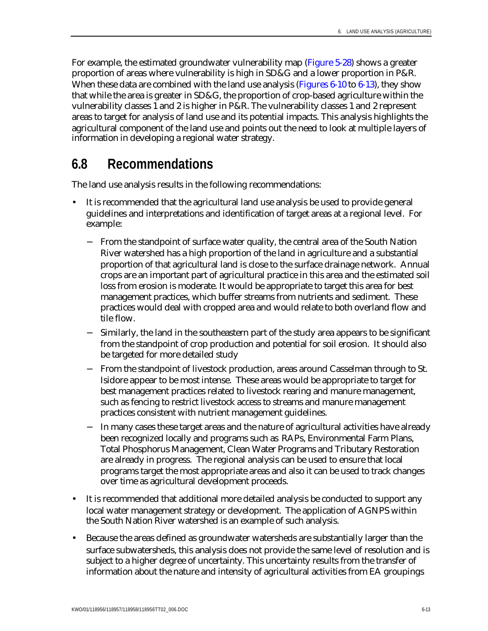For example, the estimated groundwater vulnerability map (Figure 5-28) shows a greater proportion of areas where vulnerability is high in SD&G and a lower proportion in P&R. When these data are combined with the land use analysis (Figures  $6-10$  to  $6-13$ ), they show that while the area is greater in SD&G, the proportion of crop-based agriculture within the vulnerability classes 1 and 2 is higher in P&R. The vulnerability classes 1 and 2 represent areas to target for analysis of land use and its potential impacts. This analysis highlights the agricultural component of the land use and points out the need to look at multiple layers of information in developing a regional water strategy.

# **6.8 Recommendations**

The land use analysis results in the following recommendations:

- It is recommended that the agricultural land use analysis be used to provide general guidelines and interpretations and identification of target areas at a regional level. For example:
	- − From the standpoint of surface water quality, the central area of the South Nation River watershed has a high proportion of the land in agriculture and a substantial proportion of that agricultural land is close to the surface drainage network. Annual crops are an important part of agricultural practice in this area and the estimated soil loss from erosion is moderate. It would be appropriate to target this area for best management practices, which buffer streams from nutrients and sediment. These practices would deal with cropped area and would relate to both overland flow and tile flow.
	- − Similarly, the land in the southeastern part of the study area appears to be significant from the standpoint of crop production and potential for soil erosion. It should also be targeted for more detailed study
	- From the standpoint of livestock production, areas around Casselman through to St. Isidore appear to be most intense. These areas would be appropriate to target for best management practices related to livestock rearing and manure management, such as fencing to restrict livestock access to streams and manure management practices consistent with nutrient management guidelines.
	- − In many cases these target areas and the nature of agricultural activities have already been recognized locally and programs such as RAPs, Environmental Farm Plans, Total Phosphorus Management, Clean Water Programs and Tributary Restoration are already in progress. The regional analysis can be used to ensure that local programs target the most appropriate areas and also it can be used to track changes over time as agricultural development proceeds.
- It is recommended that additional more detailed analysis be conducted to support any local water management strategy or development. The application of AGNPS within the South Nation River watershed is an example of such analysis.
- Because the areas defined as groundwater watersheds are substantially larger than the surface subwatersheds, this analysis does not provide the same level of resolution and is subject to a higher degree of uncertainty. This uncertainty results from the transfer of information about the nature and intensity of agricultural activities from EA groupings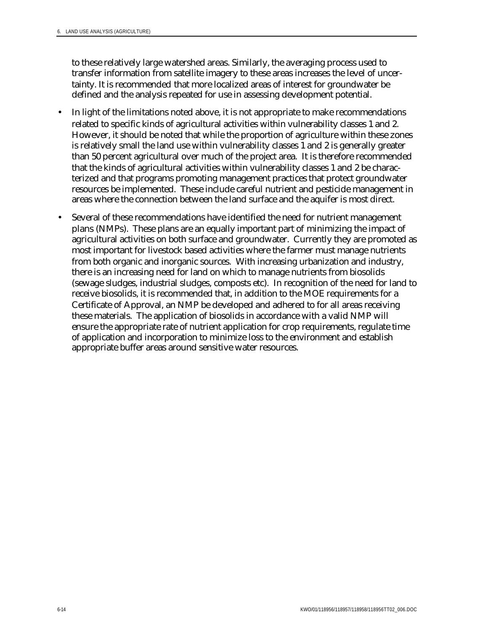to these relatively large watershed areas. Similarly, the averaging process used to transfer information from satellite imagery to these areas increases the level of uncertainty. It is recommended that more localized areas of interest for groundwater be defined and the analysis repeated for use in assessing development potential.

- In light of the limitations noted above, it is not appropriate to make recommendations related to specific kinds of agricultural activities within vulnerability classes 1 and 2. However, it should be noted that while the proportion of agriculture within these zones is relatively small the land use within vulnerability classes 1 and 2 is generally greater than 50 percent agricultural over much of the project area. It is therefore recommended that the kinds of agricultural activities within vulnerability classes 1 and 2 be characterized and that programs promoting management practices that protect groundwater resources be implemented. These include careful nutrient and pesticide management in areas where the connection between the land surface and the aquifer is most direct.
- Several of these recommendations have identified the need for nutrient management plans (NMPs). These plans are an equally important part of minimizing the impact of agricultural activities on both surface and groundwater. Currently they are promoted as most important for livestock based activities where the farmer must manage nutrients from both organic and inorganic sources. With increasing urbanization and industry, there is an increasing need for land on which to manage nutrients from biosolids (sewage sludges, industrial sludges, composts etc). In recognition of the need for land to receive biosolids, it is recommended that, in addition to the MOE requirements for a Certificate of Approval, an NMP be developed and adhered to for all areas receiving these materials. The application of biosolids in accordance with a valid NMP will ensure the appropriate rate of nutrient application for crop requirements, regulate time of application and incorporation to minimize loss to the environment and establish appropriate buffer areas around sensitive water resources.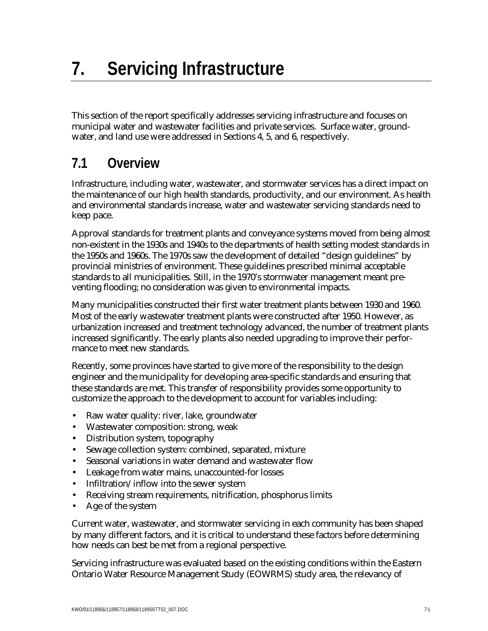This section of the report specifically addresses servicing infrastructure and focuses on municipal water and wastewater facilities and private services. Surface water, groundwater, and land use were addressed in Sections 4, 5, and 6, respectively.

# **7.1 Overview**

Infrastructure, including water, wastewater, and stormwater services has a direct impact on the maintenance of our high health standards, productivity, and our environment. As health and environmental standards increase, water and wastewater servicing standards need to keep pace.

Approval standards for treatment plants and conveyance systems moved from being almost non-existent in the 1930s and 1940s to the departments of health setting modest standards in the 1950s and 1960s. The 1970s saw the development of detailed "design guidelines" by provincial ministries of environment. These guidelines prescribed minimal acceptable standards to all municipalities. Still, in the 1970's stormwater management meant preventing flooding; no consideration was given to environmental impacts.

Many municipalities constructed their first water treatment plants between 1930 and 1960. Most of the early wastewater treatment plants were constructed after 1950. However, as urbanization increased and treatment technology advanced, the number of treatment plants increased significantly. The early plants also needed upgrading to improve their performance to meet new standards.

Recently, some provinces have started to give more of the responsibility to the design engineer and the municipality for developing area-specific standards and ensuring that these standards are met. This transfer of responsibility provides some opportunity to customize the approach to the development to account for variables including:

- Raw water quality: river, lake, groundwater
- Wastewater composition: strong, weak
- Distribution system, topography
- Sewage collection system: combined, separated, mixture
- Seasonal variations in water demand and wastewater flow
- Leakage from water mains, unaccounted-for losses
- Infiltration/inflow into the sewer system
- Receiving stream requirements, nitrification, phosphorus limits
- Age of the system

Current water, wastewater, and stormwater servicing in each community has been shaped by many different factors, and it is critical to understand these factors before determining how needs can best be met from a regional perspective.

Servicing infrastructure was evaluated based on the existing conditions within the Eastern Ontario Water Resource Management Study (EOWRMS) study area, the relevancy of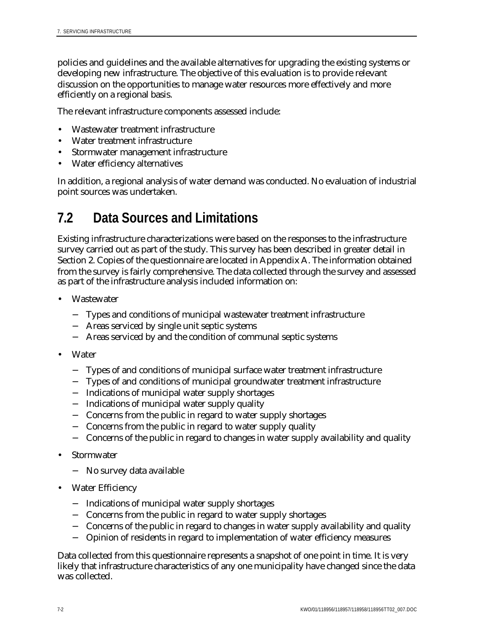policies and guidelines and the available alternatives for upgrading the existing systems or developing new infrastructure. The objective of this evaluation is to provide relevant discussion on the opportunities to manage water resources more effectively and more efficiently on a regional basis.

The relevant infrastructure components assessed include:

- Wastewater treatment infrastructure
- Water treatment infrastructure
- Stormwater management infrastructure
- Water efficiency alternatives

In addition, a regional analysis of water demand was conducted. No evaluation of industrial point sources was undertaken.

# **7.2 Data Sources and Limitations**

Existing infrastructure characterizations were based on the responses to the infrastructure survey carried out as part of the study. This survey has been described in greater detail in Section 2. Copies of the questionnaire are located in Appendix A. The information obtained from the survey is fairly comprehensive. The data collected through the survey and assessed as part of the infrastructure analysis included information on:

- **Wastewater** 
	- − Types and conditions of municipal wastewater treatment infrastructure
	- − Areas serviced by single unit septic systems
	- − Areas serviced by and the condition of communal septic systems
- **Water** 
	- − Types of and conditions of municipal surface water treatment infrastructure
	- − Types of and conditions of municipal groundwater treatment infrastructure
	- − Indications of municipal water supply shortages
	- − Indications of municipal water supply quality
	- − Concerns from the public in regard to water supply shortages
	- − Concerns from the public in regard to water supply quality
	- − Concerns of the public in regard to changes in water supply availability and quality
- **Stormwater** 
	- − No survey data available
- Water Efficiency
	- − Indications of municipal water supply shortages
	- − Concerns from the public in regard to water supply shortages
	- − Concerns of the public in regard to changes in water supply availability and quality
	- − Opinion of residents in regard to implementation of water efficiency measures

Data collected from this questionnaire represents a snapshot of one point in time. It is very likely that infrastructure characteristics of any one municipality have changed since the data was collected.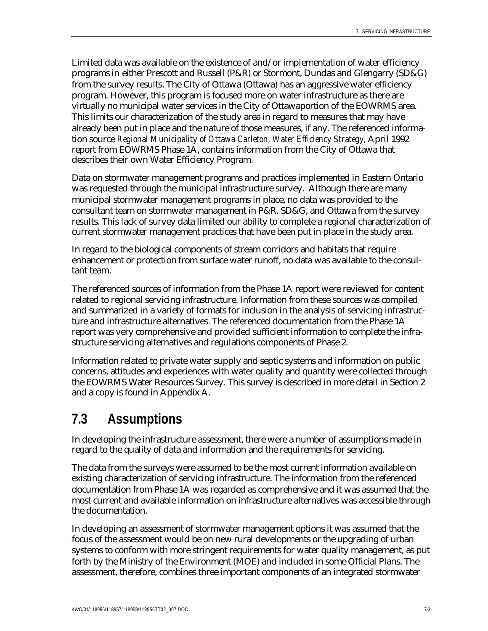Limited data was available on the existence of and/or implementation of water efficiency programs in either Prescott and Russell (P&R) or Stormont, Dundas and Glengarry (SD&G) from the survey results. The City of Ottawa (Ottawa) has an aggressive water efficiency program. However, this program is focused more on water infrastructure as there are virtually no municipal water services in the City of Ottawaportion of the EOWRMS area. This limits our characterization of the study area in regard to measures that may have already been put in place and the nature of those measures, if any. The referenced information source *Regional Municipality of Ottawa Carleton, Water Efficiency Strategy*, April 1992 report from EOWRMS Phase 1A, contains information from the City of Ottawa that describes their own Water Efficiency Program.

Data on stormwater management programs and practices implemented in Eastern Ontario was requested through the municipal infrastructure survey. Although there are many municipal stormwater management programs in place, no data was provided to the consultant team on stormwater management in P&R, SD&G, and Ottawa from the survey results. This lack of survey data limited our ability to complete a regional characterization of current stormwater management practices that have been put in place in the study area.

In regard to the biological components of stream corridors and habitats that require enhancement or protection from surface water runoff, no data was available to the consultant team.

The referenced sources of information from the Phase 1A report were reviewed for content related to regional servicing infrastructure. Information from these sources was compiled and summarized in a variety of formats for inclusion in the analysis of servicing infrastructure and infrastructure alternatives. The referenced documentation from the Phase 1A report was very comprehensive and provided sufficient information to complete the infrastructure servicing alternatives and regulations components of Phase 2.

Information related to private water supply and septic systems and information on public concerns, attitudes and experiences with water quality and quantity were collected through the EOWRMS Water Resources Survey. This survey is described in more detail in Section 2 and a copy is found in Appendix A.

# **7.3 Assumptions**

In developing the infrastructure assessment, there were a number of assumptions made in regard to the quality of data and information and the requirements for servicing.

The data from the surveys were assumed to be the most current information available on existing characterization of servicing infrastructure. The information from the referenced documentation from Phase 1A was regarded as comprehensive and it was assumed that the most current and available information on infrastructure alternatives was accessible through the documentation.

In developing an assessment of stormwater management options it was assumed that the focus of the assessment would be on new rural developments or the upgrading of urban systems to conform with more stringent requirements for water quality management, as put forth by the Ministry of the Environment (MOE) and included in some Official Plans. The assessment, therefore, combines three important components of an integrated stormwater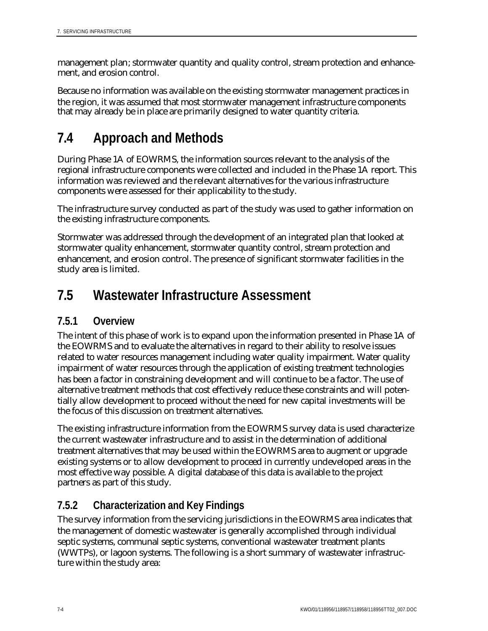management plan; stormwater quantity and quality control, stream protection and enhancement, and erosion control.

Because no information was available on the existing stormwater management practices in the region, it was assumed that most stormwater management infrastructure components that may already be in place are primarily designed to water quantity criteria.

# **7.4 Approach and Methods**

During Phase 1A of EOWRMS, the information sources relevant to the analysis of the regional infrastructure components were collected and included in the Phase 1A report. This information was reviewed and the relevant alternatives for the various infrastructure components were assessed for their applicability to the study.

The infrastructure survey conducted as part of the study was used to gather information on the existing infrastructure components.

Stormwater was addressed through the development of an integrated plan that looked at stormwater quality enhancement, stormwater quantity control, stream protection and enhancement, and erosion control. The presence of significant stormwater facilities in the study area is limited.

# **7.5 Wastewater Infrastructure Assessment**

# **7.5.1 Overview**

The intent of this phase of work is to expand upon the information presented in Phase 1A of the EOWRMS and to evaluate the alternatives in regard to their ability to resolve issues related to water resources management including water quality impairment. Water quality impairment of water resources through the application of existing treatment technologies has been a factor in constraining development and will continue to be a factor. The use of alternative treatment methods that cost effectively reduce these constraints and will potentially allow development to proceed without the need for new capital investments will be the focus of this discussion on treatment alternatives.

The existing infrastructure information from the EOWRMS survey data is used characterize the current wastewater infrastructure and to assist in the determination of additional treatment alternatives that may be used within the EOWRMS area to augment or upgrade existing systems or to allow development to proceed in currently undeveloped areas in the most effective way possible. A digital database of this data is available to the project partners as part of this study.

# **7.5.2 Characterization and Key Findings**

The survey information from the servicing jurisdictions in the EOWRMS area indicates that the management of domestic wastewater is generally accomplished through individual septic systems, communal septic systems, conventional wastewater treatment plants (WWTPs), or lagoon systems. The following is a short summary of wastewater infrastructure within the study area: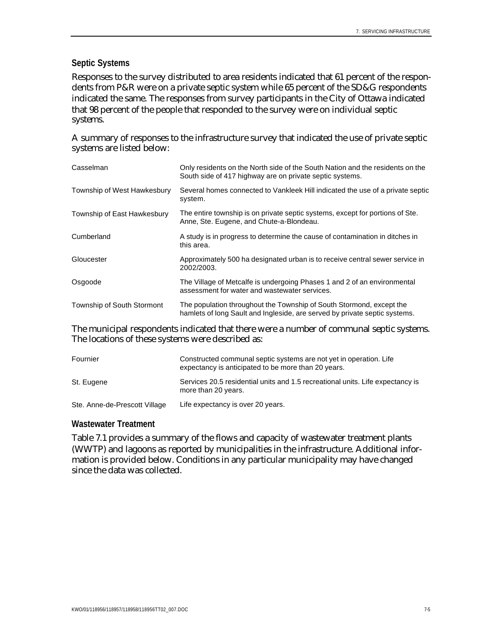### **Septic Systems**

Responses to the survey distributed to area residents indicated that 61 percent of the respondents from P&R were on a private septic system while 65 percent of the SD&G respondents indicated the same. The responses from survey participants in the City of Ottawa indicated that 98 percent of the people that responded to the survey were on individual septic systems.

A summary of responses to the infrastructure survey that indicated the use of private septic systems are listed below:

| Casselman                   | Only residents on the North side of the South Nation and the residents on the<br>South side of 417 highway are on private septic systems.          |
|-----------------------------|----------------------------------------------------------------------------------------------------------------------------------------------------|
| Township of West Hawkesbury | Several homes connected to Vankleek Hill indicated the use of a private septic<br>system.                                                          |
| Township of East Hawkesbury | The entire township is on private septic systems, except for portions of Ste.<br>Anne, Ste. Eugene, and Chute-a-Blondeau.                          |
| Cumberland                  | A study is in progress to determine the cause of contamination in ditches in<br>this area.                                                         |
| Gloucester                  | Approximately 500 ha designated urban is to receive central sewer service in<br>2002/2003.                                                         |
| Osgoode                     | The Village of Metcalfe is undergoing Phases 1 and 2 of an environmental<br>assessment for water and wastewater services.                          |
| Township of South Stormont  | The population throughout the Township of South Stormond, except the<br>hamlets of long Sault and Ingleside, are served by private septic systems. |

The municipal respondents indicated that there were a number of communal septic systems. The locations of these systems were described as:

| Fournier                      | Constructed communal septic systems are not yet in operation. Life<br>expectancy is anticipated to be more than 20 years. |
|-------------------------------|---------------------------------------------------------------------------------------------------------------------------|
| St. Eugene                    | Services 20.5 residential units and 1.5 recreational units. Life expectancy is<br>more than 20 years.                     |
| Ste. Anne-de-Prescott Village | Life expectancy is over 20 years.                                                                                         |

#### **Wastewater Treatment**

Table 7.1 provides a summary of the flows and capacity of wastewater treatment plants (WWTP) and lagoons as reported by municipalities in the infrastructure. Additional information is provided below. Conditions in any particular municipality may have changed since the data was collected.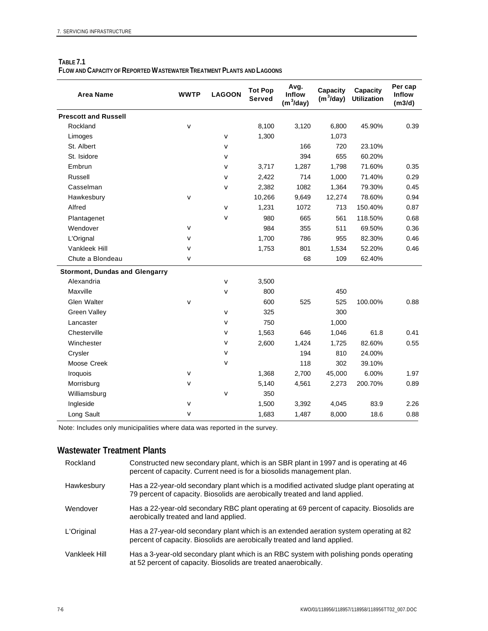| TABLE 7.1                                                                    |  |
|------------------------------------------------------------------------------|--|
| <b>FLOW AND CAPACITY OF REPORTED WASTEWATER TREATMENT PLANTS AND LAGOONS</b> |  |

| <b>Area Name</b>                      | <b>WWTP</b>  | <b>LAGOON</b> | <b>Tot Pop</b><br><b>Served</b> | Avg.<br><b>Inflow</b><br>$(m^3/day)$ | Capacity<br>$(m^3/day)$ | <b>Capacity</b><br><b>Utilization</b> | Per cap<br><b>Inflow</b><br>(m3/d) |
|---------------------------------------|--------------|---------------|---------------------------------|--------------------------------------|-------------------------|---------------------------------------|------------------------------------|
| <b>Prescott and Russell</b>           |              |               |                                 |                                      |                         |                                       |                                    |
| Rockland                              | $\mathbf{v}$ |               | 8,100                           | 3,120                                | 6,800                   | 45.90%                                | 0.39                               |
| Limoges                               |              | $\mathbf{v}$  | 1,300                           |                                      | 1,073                   |                                       |                                    |
| St. Albert                            |              | $\mathbf{v}$  |                                 | 166                                  | 720                     | 23.10%                                |                                    |
| St. Isidore                           |              | V             |                                 | 394                                  | 655                     | 60.20%                                |                                    |
| Embrun                                |              | v             | 3,717                           | 1,287                                | 1,798                   | 71.60%                                | 0.35                               |
| Russell                               |              | $\mathbf{v}$  | 2,422                           | 714                                  | 1,000                   | 71.40%                                | 0.29                               |
| Casselman                             |              | $\mathbf{v}$  | 2,382                           | 1082                                 | 1,364                   | 79.30%                                | 0.45                               |
| Hawkesbury                            | $\mathbf{v}$ |               | 10,266                          | 9,649                                | 12,274                  | 78.60%                                | 0.94                               |
| Alfred                                |              | $\mathbf{v}$  | 1,231                           | 1072                                 | 713                     | 150.40%                               | 0.87                               |
| Plantagenet                           |              | v             | 980                             | 665                                  | 561                     | 118.50%                               | 0.68                               |
| Wendover                              | $\mathbf v$  |               | 984                             | 355                                  | 511                     | 69.50%                                | 0.36                               |
| L'Orignal                             | $\mathbf{v}$ |               | 1,700                           | 786                                  | 955                     | 82.30%                                | 0.46                               |
| Vankleek Hill                         | $\mathbf{v}$ |               | 1,753                           | 801                                  | 1,534                   | 52.20%                                | 0.46                               |
| Chute a Blondeau                      | $\mathbf{v}$ |               |                                 | 68                                   | 109                     | 62.40%                                |                                    |
| <b>Stormont, Dundas and Glengarry</b> |              |               |                                 |                                      |                         |                                       |                                    |
| Alexandria                            |              | $\mathbf{v}$  | 3,500                           |                                      |                         |                                       |                                    |
| Maxville                              |              | v             | 800                             |                                      | 450                     |                                       |                                    |
| Glen Walter                           | $\mathbf{v}$ |               | 600                             | 525                                  | 525                     | 100.00%                               | 0.88                               |
| <b>Green Valley</b>                   |              | $\mathbf{v}$  | 325                             |                                      | 300                     |                                       |                                    |
| Lancaster                             |              | $\mathbf{v}$  | 750                             |                                      | 1,000                   |                                       |                                    |
| Chesterville                          |              | v             | 1,563                           | 646                                  | 1,046                   | 61.8                                  | 0.41                               |
| Winchester                            |              | v             | 2,600                           | 1,424                                | 1,725                   | 82.60%                                | 0.55                               |
| Crysler                               |              | $\mathbf{v}$  |                                 | 194                                  | 810                     | 24.00%                                |                                    |
| Moose Creek                           |              | $\mathbf{v}$  |                                 | 118                                  | 302                     | 39.10%                                |                                    |
| Iroquois                              | $\mathbf{v}$ |               | 1,368                           | 2,700                                | 45,000                  | 6.00%                                 | 1.97                               |
| Morrisburg                            | $\mathbf{v}$ |               | 5,140                           | 4,561                                | 2,273                   | 200.70%                               | 0.89                               |
| Williamsburg                          |              | $\mathbf{v}$  | 350                             |                                      |                         |                                       |                                    |
| Ingleside                             | $\mathbf{v}$ |               | 1,500                           | 3,392                                | 4,045                   | 83.9                                  | 2.26                               |
| Long Sault                            | $\mathbf{v}$ |               | 1,683                           | 1,487                                | 8,000                   | 18.6                                  | 0.88                               |

Note: Includes only municipalities where data was reported in the survey.

## **Wastewater Treatment Plants**

| Rockland      | Constructed new secondary plant, which is an SBR plant in 1997 and is operating at 46<br>percent of capacity. Current need is for a biosolids management plan.           |
|---------------|--------------------------------------------------------------------------------------------------------------------------------------------------------------------------|
| Hawkesbury    | Has a 22-year-old secondary plant which is a modified activated sludge plant operating at<br>79 percent of capacity. Biosolids are aerobically treated and land applied. |
| Wendover      | Has a 22-year-old secondary RBC plant operating at 69 percent of capacity. Biosolids are<br>aerobically treated and land applied.                                        |
| L'Original    | Has a 27-year-old secondary plant which is an extended aeration system operating at 82<br>percent of capacity. Biosolids are aerobically treated and land applied.       |
| Vankleek Hill | Has a 3-year-old secondary plant which is an RBC system with polishing ponds operating<br>at 52 percent of capacity. Biosolids are treated anaerobically.                |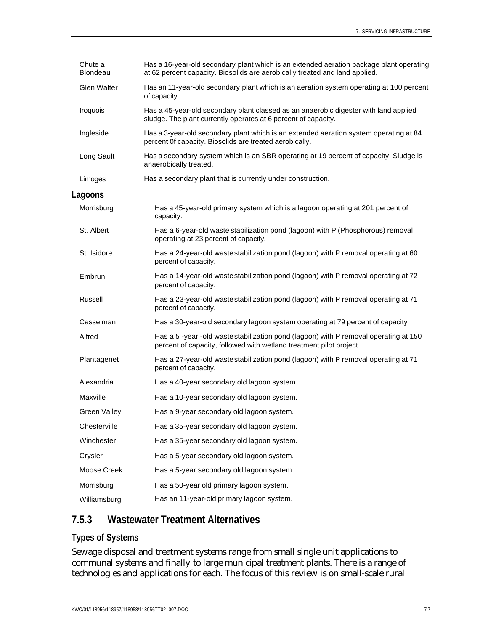| Chute a<br>Blondeau | Has a 16-year-old secondary plant which is an extended aeration package plant operating<br>at 62 percent capacity. Biosolids are aerobically treated and land applied. |
|---------------------|------------------------------------------------------------------------------------------------------------------------------------------------------------------------|
| Glen Walter         | Has an 11-year-old secondary plant which is an aeration system operating at 100 percent<br>of capacity.                                                                |
| Iroquois            | Has a 45-year-old secondary plant classed as an anaerobic digester with land applied<br>sludge. The plant currently operates at 6 percent of capacity.                 |
| Ingleside           | Has a 3-year-old secondary plant which is an extended aeration system operating at 84<br>percent Of capacity. Biosolids are treated aerobically.                       |
| Long Sault          | Has a secondary system which is an SBR operating at 19 percent of capacity. Sludge is<br>anaerobically treated.                                                        |
| Limoges             | Has a secondary plant that is currently under construction.                                                                                                            |
| Lagoons             |                                                                                                                                                                        |
| Morrisburg          | Has a 45-year-old primary system which is a lagoon operating at 201 percent of<br>capacity.                                                                            |
| St. Albert          | Has a 6-year-old waste stabilization pond (lagoon) with P (Phosphorous) removal<br>operating at 23 percent of capacity.                                                |
| St. Isidore         | Has a 24-year-old waste stabilization pond (lagoon) with P removal operating at 60<br>percent of capacity.                                                             |
| Embrun              | Has a 14-year-old waste stabilization pond (lagoon) with P removal operating at 72<br>percent of capacity.                                                             |
| Russell             | Has a 23-year-old waste stabilization pond (lagoon) with P removal operating at 71<br>percent of capacity.                                                             |
| Casselman           | Has a 30-year-old secondary lagoon system operating at 79 percent of capacity                                                                                          |
| Alfred              | Has a 5-year-old wastestabilization pond (lagoon) with P removal operating at 150<br>percent of capacity, followed with wetland treatment pilot project                |
| Plantagenet         | Has a 27-year-old waste stabilization pond (lagoon) with P removal operating at 71<br>percent of capacity.                                                             |
| Alexandria          | Has a 40-year secondary old lagoon system.                                                                                                                             |
| Maxville            | Has a 10-year secondary old lagoon system.                                                                                                                             |
| <b>Green Valley</b> | Has a 9-year secondary old lagoon system.                                                                                                                              |
| Chesterville        | Has a 35-year secondary old lagoon system.                                                                                                                             |
| Winchester          | Has a 35-year secondary old lagoon system.                                                                                                                             |
| Crysler             | Has a 5-year secondary old lagoon system.                                                                                                                              |
| Moose Creek         | Has a 5-year secondary old lagoon system.                                                                                                                              |
| Morrisburg          | Has a 50-year old primary lagoon system.                                                                                                                               |
| Williamsburg        | Has an 11-year-old primary lagoon system.                                                                                                                              |

# **7.5.3 Wastewater Treatment Alternatives**

## **Types of Systems**

Sewage disposal and treatment systems range from small single unit applications to communal systems and finally to large municipal treatment plants. There is a range of technologies and applications for each. The focus of this review is on small-scale rural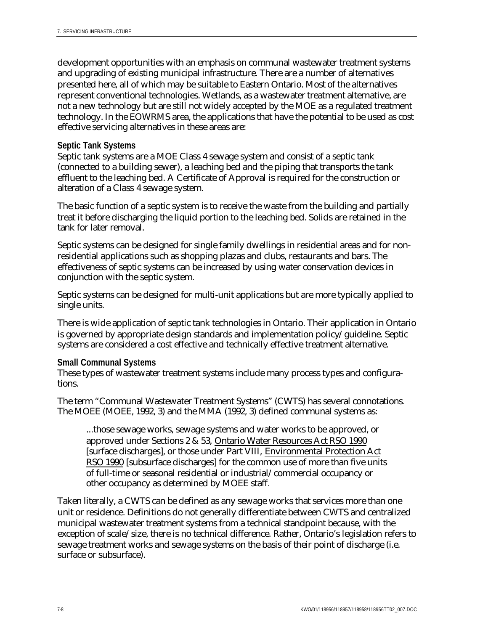development opportunities with an emphasis on communal wastewater treatment systems and upgrading of existing municipal infrastructure. There are a number of alternatives presented here, all of which may be suitable to Eastern Ontario. Most of the alternatives represent conventional technologies. Wetlands, as a wastewater treatment alternative, are not a new technology but are still not widely accepted by the MOE as a regulated treatment technology. In the EOWRMS area, the applications that have the potential to be used as cost effective servicing alternatives in these areas are:

### **Septic Tank Systems**

Septic tank systems are a MOE Class 4 sewage system and consist of a septic tank (connected to a building sewer), a leaching bed and the piping that transports the tank effluent to the leaching bed. A Certificate of Approval is required for the construction or alteration of a Class 4 sewage system.

The basic function of a septic system is to receive the waste from the building and partially treat it before discharging the liquid portion to the leaching bed. Solids are retained in the tank for later removal.

Septic systems can be designed for single family dwellings in residential areas and for nonresidential applications such as shopping plazas and clubs, restaurants and bars. The effectiveness of septic systems can be increased by using water conservation devices in conjunction with the septic system.

Septic systems can be designed for multi-unit applications but are more typically applied to single units.

There is wide application of septic tank technologies in Ontario. Their application in Ontario is governed by appropriate design standards and implementation policy/guideline. Septic systems are considered a cost effective and technically effective treatment alternative.

#### **Small Communal Systems**

These types of wastewater treatment systems include many process types and configurations.

The term "Communal Wastewater Treatment Systems" (CWTS) has several connotations. The MOEE (MOEE, 1992, 3) and the MMA (1992, 3) defined communal systems as:

...those sewage works, sewage systems and water works to be approved, or approved under Sections 2 & 53, Ontario Water Resources Act RSO 1990 [surface discharges], or those under Part VIII, Environmental Protection Act RSO 1990 [subsurface discharges] for the common use of more than five units of full-time or seasonal residential or industrial/commercial occupancy or other occupancy as determined by MOEE staff.

Taken literally, a CWTS can be defined as any sewage works that services more than one unit or residence. Definitions do not generally differentiate between CWTS and centralized municipal wastewater treatment systems from a technical standpoint because, with the exception of scale/size, there is no technical difference. Rather, Ontario's legislation refers to sewage treatment works and sewage systems on the basis of their point of discharge (i.e. surface or subsurface).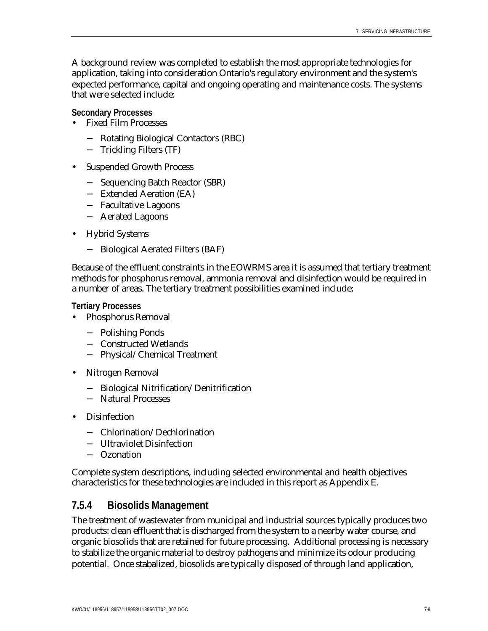A background review was completed to establish the most appropriate technologies for application, taking into consideration Ontario's regulatory environment and the system's expected performance, capital and ongoing operating and maintenance costs. The systems that were selected include:

**Secondary Processes**

- Fixed Film Processes
	- − Rotating Biological Contactors (RBC)
	- − Trickling Filters (TF)
- Suspended Growth Process
	- − Sequencing Batch Reactor (SBR)
	- − Extended Aeration (EA)
	- − Facultative Lagoons
	- − Aerated Lagoons
- Hybrid Systems
	- − Biological Aerated Filters (BAF)

Because of the effluent constraints in the EOWRMS area it is assumed that tertiary treatment methods for phosphorus removal, ammonia removal and disinfection would be required in a number of areas. The tertiary treatment possibilities examined include:

**Tertiary Processes**

- Phosphorus Removal
	- − Polishing Ponds
	- − Constructed Wetlands
	- − Physical/Chemical Treatment
- Nitrogen Removal
	- − Biological Nitrification/Denitrification
	- − Natural Processes
- Disinfection
	- − Chlorination/Dechlorination
	- − Ultraviolet Disinfection
	- − Ozonation

Complete system descriptions, including selected environmental and health objectives characteristics for these technologies are included in this report as Appendix E.

## **7.5.4 Biosolids Management**

The treatment of wastewater from municipal and industrial sources typically produces two products: clean effluent that is discharged from the system to a nearby water course, and organic biosolids that are retained for future processing. Additional processing is necessary to stabilize the organic material to destroy pathogens and minimize its odour producing potential. Once stabalized, biosolids are typically disposed of through land application,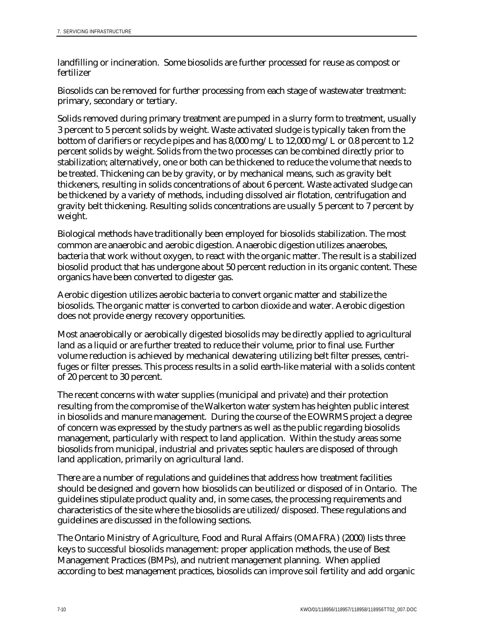landfilling or incineration. Some biosolids are further processed for reuse as compost or fertilizer

Biosolids can be removed for further processing from each stage of wastewater treatment: primary, secondary or tertiary.

Solids removed during primary treatment are pumped in a slurry form to treatment, usually 3 percent to 5 percent solids by weight. Waste activated sludge is typically taken from the bottom of clarifiers or recycle pipes and has 8,000 mg/L to 12,000 mg/L or 0.8 percent to 1.2 percent solids by weight. Solids from the two processes can be combined directly prior to stabilization; alternatively, one or both can be thickened to reduce the volume that needs to be treated. Thickening can be by gravity, or by mechanical means, such as gravity belt thickeners, resulting in solids concentrations of about 6 percent. Waste activated sludge can be thickened by a variety of methods, including dissolved air flotation, centrifugation and gravity belt thickening. Resulting solids concentrations are usually 5 percent to 7 percent by weight.

Biological methods have traditionally been employed for biosolids stabilization. The most common are anaerobic and aerobic digestion. Anaerobic digestion utilizes anaerobes, bacteria that work without oxygen, to react with the organic matter. The result is a stabilized biosolid product that has undergone about 50 percent reduction in its organic content. These organics have been converted to digester gas.

Aerobic digestion utilizes aerobic bacteria to convert organic matter and stabilize the biosolids. The organic matter is converted to carbon dioxide and water. Aerobic digestion does not provide energy recovery opportunities.

Most anaerobically or aerobically digested biosolids may be directly applied to agricultural land as a liquid or are further treated to reduce their volume, prior to final use. Further volume reduction is achieved by mechanical dewatering utilizing belt filter presses, centrifuges or filter presses. This process results in a solid earth-like material with a solids content of 20 percent to 30 percent.

The recent concerns with water supplies (municipal and private) and their protection resulting from the compromise of the Walkerton water system has heighten public interest in biosolids and manure management. During the course of the EOWRMS project a degree of concern was expressed by the study partners as well as the public regarding biosolids management, particularly with respect to land application. Within the study areas some biosolids from municipal, industrial and privates septic haulers are disposed of through land application, primarily on agricultural land.

There are a number of regulations and guidelines that address how treatment facilities should be designed and govern how biosolids can be utilized or disposed of in Ontario. The guidelines stipulate product quality and, in some cases, the processing requirements and characteristics of the site where the biosolids are utilized/disposed. These regulations and guidelines are discussed in the following sections.

The Ontario Ministry of Agriculture, Food and Rural Affairs (OMAFRA) (2000) lists three keys to successful biosolids management: proper application methods, the use of Best Management Practices (BMPs), and nutrient management planning. When applied according to best management practices, biosolids can improve soil fertility and add organic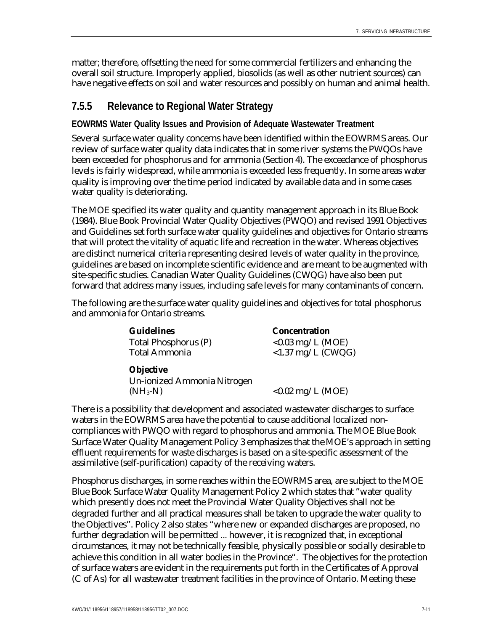matter; therefore, offsetting the need for some commercial fertilizers and enhancing the overall soil structure. Improperly applied, biosolids (as well as other nutrient sources) can have negative effects on soil and water resources and possibly on human and animal health.

## **7.5.5 Relevance to Regional Water Strategy**

## **EOWRMS Water Quality Issues and Provision of Adequate Wastewater Treatment**

Several surface water quality concerns have been identified within the EOWRMS areas. Our review of surface water quality data indicates that in some river systems the PWQOs have been exceeded for phosphorus and for ammonia (Section 4). The exceedance of phosphorus levels is fairly widespread, while ammonia is exceeded less frequently. In some areas water quality is improving over the time period indicated by available data and in some cases water quality is deteriorating.

The MOE specified its water quality and quantity management approach in its Blue Book (1984). Blue Book Provincial Water Quality Objectives (PWQO) and revised 1991 Objectives and Guidelines set forth surface water quality guidelines and objectives for Ontario streams that will protect the vitality of aquatic life and recreation in the water. Whereas objectives are distinct numerical criteria representing desired levels of water quality in the province, guidelines are based on incomplete scientific evidence and are meant to be augmented with site-specific studies. Canadian Water Quality Guidelines (CWQG) have also been put forward that address many issues, including safe levels for many contaminants of concern.

The following are the surface water quality guidelines and objectives for total phosphorus and ammonia for Ontario streams.

> **Guidelines Concentration** Total Phosphorus  $(P)$   $\leq 0.03 \text{ mg/L}$  (MOE)

Total Ammonia <1.37 mg/L (CWQG)

## **Objective**

Un-ionized Ammonia Nitrogen  $(NH_3-N)$   $< 0.02$  mg/L (MOE)

There is a possibility that development and associated wastewater discharges to surface waters in the EOWRMS area have the potential to cause additional localized noncompliances with PWQO with regard to phosphorus and ammonia. The MOE Blue Book Surface Water Quality Management Policy 3 emphasizes that the MOE's approach in setting effluent requirements for waste discharges is based on a site-specific assessment of the assimilative (self-purification) capacity of the receiving waters.

Phosphorus discharges, in some reaches within the EOWRMS area, are subject to the MOE Blue Book Surface Water Quality Management Policy 2 which states that "water quality which presently does not meet the Provincial Water Quality Objectives shall not be degraded further and all practical measures shall be taken to upgrade the water quality to the Objectives". Policy 2 also states "where new or expanded discharges are proposed, no further degradation will be permitted ... however, it is recognized that, in exceptional circumstances, it may not be technically feasible, physically possible or socially desirable to achieve this condition in all water bodies in the Province". The objectives for the protection of surface waters are evident in the requirements put forth in the Certificates of Approval (C of As) for all wastewater treatment facilities in the province of Ontario. Meeting these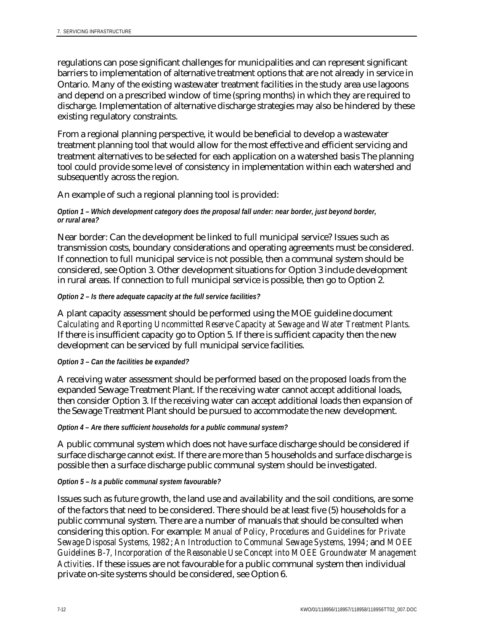regulations can pose significant challenges for municipalities and can represent significant barriers to implementation of alternative treatment options that are not already in service in Ontario. Many of the existing wastewater treatment facilities in the study area use lagoons and depend on a prescribed window of time (spring months) in which they are required to discharge. Implementation of alternative discharge strategies may also be hindered by these existing regulatory constraints.

From a regional planning perspective, it would be beneficial to develop a wastewater treatment planning tool that would allow for the most effective and efficient servicing and treatment alternatives to be selected for each application on a watershed basis The planning tool could provide some level of consistency in implementation within each watershed and subsequently across the region.

An example of such a regional planning tool is provided:

#### *Option 1 – Which development category does the proposal fall under: near border, just beyond border, or rural area?*

Near border: Can the development be linked to full municipal service? Issues such as transmission costs, boundary considerations and operating agreements must be considered. If connection to full municipal service is not possible, then a communal system should be considered, see Option 3. Other development situations for Option 3 include development in rural areas. If connection to full municipal service is possible, then go to Option 2.

#### *Option 2 – Is there adequate capacity at the full service facilities?*

A plant capacity assessment should be performed using the MOE guideline document *Calculating and Reporting Uncommitted Reserve Capacity at Sewage and Water Treatment Plants*. If there is insufficient capacity go to Option 5. If there is sufficient capacity then the new development can be serviced by full municipal service facilities.

#### *Option 3 – Can the facilities be expanded?*

A receiving water assessment should be performed based on the proposed loads from the expanded Sewage Treatment Plant. If the receiving water cannot accept additional loads, then consider Option 3. If the receiving water can accept additional loads then expansion of the Sewage Treatment Plant should be pursued to accommodate the new development.

#### *Option 4 – Are there sufficient households for a public communal system?*

A public communal system which does not have surface discharge should be considered if surface discharge cannot exist. If there are more than 5 households and surface discharge is possible then a surface discharge public communal system should be investigated.

#### *Option 5 – Is a public communal system favourable?*

Issues such as future growth, the land use and availability and the soil conditions, are some of the factors that need to be considered. There should be at least five (5) households for a public communal system. There are a number of manuals that should be consulted when considering this option. For example: *Manual of Policy, Procedures and Guidelines for Private Sewage Disposal Systems, 1982*; *An Introduction to Communal Sewage Systems, 1994*; and *MOEE Guidelines B-7, Incorporation of the Reasonable Use Concept into MOEE Groundwater Management Activities*. If these issues are not favourable for a public communal system then individual private on-site systems should be considered, see Option 6.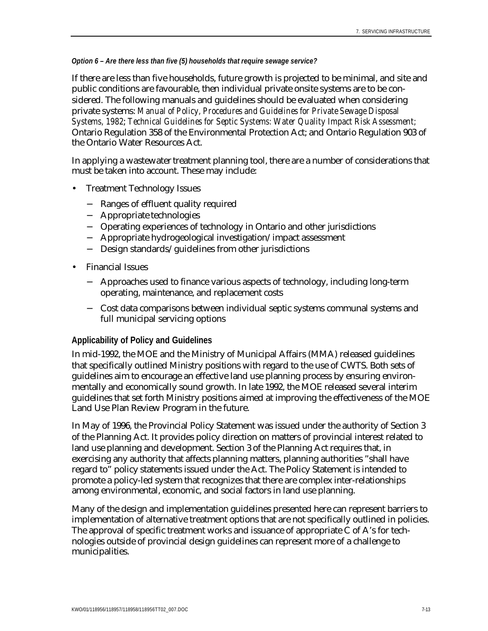#### *Option 6 – Are there less than five (5) households that require sewage service?*

If there are less than five households, future growth is projected to be minimal, and site and public conditions are favourable, then individual private onsite systems are to be considered. The following manuals and guidelines should be evaluated when considering private systems: *Manual of Policy, Procedures and Guidelines for Private Sewage Disposal Systems, 1982*; *Technical Guidelines for Septic Systems: Water Quality Impact Risk Assessment;* Ontario Regulation 358 of the Environmental Protection Act; and Ontario Regulation 903 of the Ontario Water Resources Act.

In applying a wastewater treatment planning tool, there are a number of considerations that must be taken into account. These may include:

- Treatment Technology Issues
	- − Ranges of effluent quality required
	- − Appropriate technologies
	- − Operating experiences of technology in Ontario and other jurisdictions
	- − Appropriate hydrogeological investigation/impact assessment
	- − Design standards/guidelines from other jurisdictions
- Financial Issues
	- − Approaches used to finance various aspects of technology, including long-term operating, maintenance, and replacement costs
	- − Cost data comparisons between individual septic systems communal systems and full municipal servicing options

#### **Applicability of Policy and Guidelines**

In mid-1992, the MOE and the Ministry of Municipal Affairs (MMA) released guidelines that specifically outlined Ministry positions with regard to the use of CWTS. Both sets of guidelines aim to encourage an effective land use planning process by ensuring environmentally and economically sound growth. In late 1992, the MOE released several interim guidelines that set forth Ministry positions aimed at improving the effectiveness of the MOE Land Use Plan Review Program in the future.

In May of 1996, the Provincial Policy Statement was issued under the authority of Section 3 of the Planning Act. It provides policy direction on matters of provincial interest related to land use planning and development. Section 3 of the Planning Act requires that, in exercising any authority that affects planning matters, planning authorities "shall have regard to" policy statements issued under the Act. The Policy Statement is intended to promote a policy-led system that recognizes that there are complex inter-relationships among environmental, economic, and social factors in land use planning.

Many of the design and implementation guidelines presented here can represent barriers to implementation of alternative treatment options that are not specifically outlined in policies. The approval of specific treatment works and issuance of appropriate C of A's for technologies outside of provincial design guidelines can represent more of a challenge to municipalities.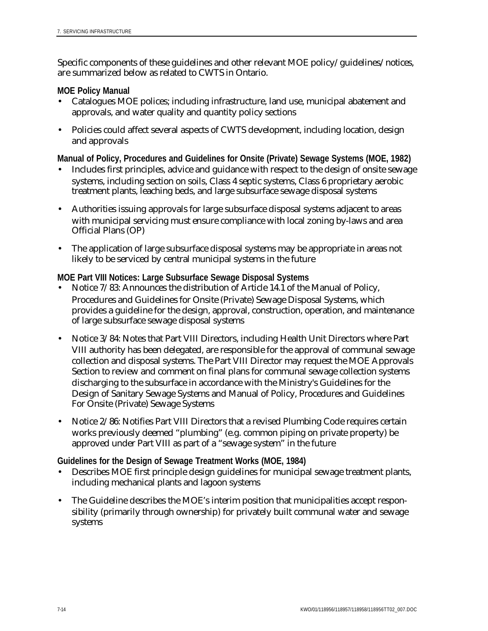Specific components of these guidelines and other relevant MOE policy/guidelines/notices, are summarized below as related to CWTS in Ontario.

### **MOE Policy Manual**

- Catalogues MOE polices; including infrastructure, land use, municipal abatement and approvals, and water quality and quantity policy sections
- Policies could affect several aspects of CWTS development, including location, design and approvals

**Manual of Policy, Procedures and Guidelines for Onsite (Private) Sewage Systems (MOE, 1982)**

- Includes first principles, advice and guidance with respect to the design of onsite sewage systems, including section on soils, Class 4 septic systems, Class 6 proprietary aerobic treatment plants, leaching beds, and large subsurface sewage disposal systems
- Authorities issuing approvals for large subsurface disposal systems adjacent to areas with municipal servicing must ensure compliance with local zoning by-laws and area Official Plans (OP)
- The application of large subsurface disposal systems may be appropriate in areas not likely to be serviced by central municipal systems in the future

## **MOE Part VIII Notices: Large Subsurface Sewage Disposal Systems**

- Notice 7/83: Announces the distribution of Article 14.1 of the Manual of Policy, Procedures and Guidelines for Onsite (Private) Sewage Disposal Systems, which provides a guideline for the design, approval, construction, operation, and maintenance of large subsurface sewage disposal systems
- Notice 3/84: Notes that Part VIII Directors, including Health Unit Directors where Part VIII authority has been delegated, are responsible for the approval of communal sewage collection and disposal systems. The Part VIII Director may request the MOE Approvals Section to review and comment on final plans for communal sewage collection systems discharging to the subsurface in accordance with the Ministry's Guidelines for the Design of Sanitary Sewage Systems and Manual of Policy, Procedures and Guidelines For Onsite (Private) Sewage Systems
- Notice 2/86: Notifies Part VIII Directors that a revised Plumbing Code requires certain works previously deemed "plumbing" (e.g. common piping on private property) be approved under Part VIII as part of a "sewage system" in the future

**Guidelines for the Design of Sewage Treatment Works (MOE, 1984)**

- Describes MOE first principle design guidelines for municipal sewage treatment plants, including mechanical plants and lagoon systems
- The Guideline describes the MOE's interim position that municipalities accept responsibility (primarily through ownership) for privately built communal water and sewage systems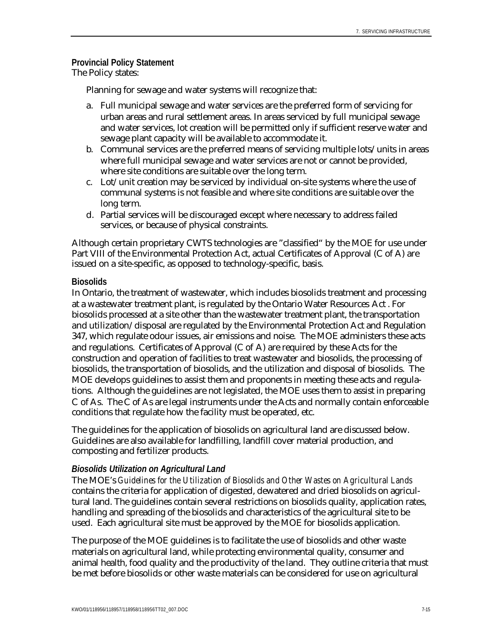#### **Provincial Policy Statement** The Policy states:

Planning for sewage and water systems will recognize that:

- a. Full municipal sewage and water services are the preferred form of servicing for urban areas and rural settlement areas. In areas serviced by full municipal sewage and water services, lot creation will be permitted only if sufficient reserve water and sewage plant capacity will be available to accommodate it.
- b. Communal services are the preferred means of servicing multiple lots/units in areas where full municipal sewage and water services are not or cannot be provided, where site conditions are suitable over the long term.
- c. Lot/unit creation may be serviced by individual on-site systems where the use of communal systems is not feasible and where site conditions are suitable over the long term.
- d. Partial services will be discouraged except where necessary to address failed services, or because of physical constraints.

Although certain proprietary CWTS technologies are "classified" by the MOE for use under Part VIII of the Environmental Protection Act, actual Certificates of Approval (C of A) are issued on a site-specific, as opposed to technology-specific, basis.

#### **Biosolids**

In Ontario, the treatment of wastewater, which includes biosolids treatment and processing at a wastewater treatment plant, is regulated by the Ontario Water Resources Act . For biosolids processed at a site other than the wastewater treatment plant, the transportation and utilization/disposal are regulated by the Environmental Protection Act and Regulation 347, which regulate odour issues, air emissions and noise. The MOE administers these acts and regulations. Certificates of Approval (C of A) are required by these Acts for the construction and operation of facilities to treat wastewater and biosolids, the processing of biosolids, the transportation of biosolids, and the utilization and disposal of biosolids. The MOE develops guidelines to assist them and proponents in meeting these acts and regulations. Although the guidelines are not legislated, the MOE uses them to assist in preparing C of As. The C of As are legal instruments under the Acts and normally contain enforceable conditions that regulate how the facility must be operated, etc.

The guidelines for the application of biosolids on agricultural land are discussed below. Guidelines are also available for landfilling, landfill cover material production, and composting and fertilizer products.

#### *Biosolids Utilization on Agricultural Land*

The MOE's *Guidelines for the Utilization of Biosolids and Other Wastes on Agricultural Lands* contains the criteria for application of digested, dewatered and dried biosolids on agricultural land. The guidelines contain several restrictions on biosolids quality, application rates, handling and spreading of the biosolids and characteristics of the agricultural site to be used. Each agricultural site must be approved by the MOE for biosolids application.

The purpose of the MOE guidelines is to facilitate the use of biosolids and other waste materials on agricultural land, while protecting environmental quality, consumer and animal health, food quality and the productivity of the land. They outline criteria that must be met before biosolids or other waste materials can be considered for use on agricultural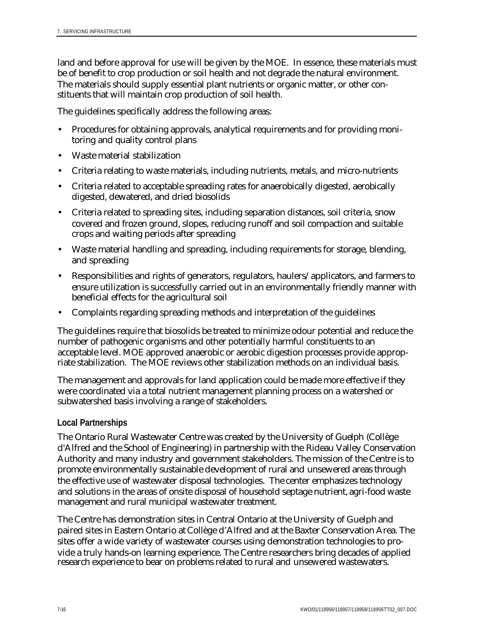land and before approval for use will be given by the MOE. In essence, these materials must be of benefit to crop production or soil health and not degrade the natural environment. The materials should supply essential plant nutrients or organic matter, or other constituents that will maintain crop production of soil health.

The guidelines specifically address the following areas:

- Procedures for obtaining approvals, analytical requirements and for providing monitoring and quality control plans
- Waste material stabilization
- Criteria relating to waste materials, including nutrients, metals, and micro-nutrients
- Criteria related to acceptable spreading rates for anaerobically digested, aerobically digested, dewatered, and dried biosolids
- Criteria related to spreading sites, including separation distances, soil criteria, snow covered and frozen ground, slopes, reducing runoff and soil compaction and suitable crops and waiting periods after spreading
- Waste material handling and spreading, including requirements for storage, blending, and spreading
- Responsibilities and rights of generators, regulators, haulers/applicators, and farmers to ensure utilization is successfully carried out in an environmentally friendly manner with beneficial effects for the agricultural soil
- Complaints regarding spreading methods and interpretation of the guidelines

The guidelines require that biosolids be treated to minimize odour potential and reduce the number of pathogenic organisms and other potentially harmful constituents to an acceptable level. MOE approved anaerobic or aerobic digestion processes provide appropriate stabilization. The MOE reviews other stabilization methods on an individual basis.

The management and approvals for land application could be made more effective if they were coordinated via a total nutrient management planning process on a watershed or subwatershed basis involving a range of stakeholders.

## **Local Partnerships**

The Ontario Rural Wastewater Centre was created by the University of Guelph (Collège d'Alfred and the School of Engineering) in partnership with the Rideau Valley Conservation Authority and many industry and government stakeholders. The mission of the Centre is to promote environmentally sustainable development of rural and unsewered areas through the effective use of wastewater disposal technologies. The center emphasizes technology and solutions in the areas of onsite disposal of household septage nutrient, agri-food waste management and rural municipal wastewater treatment.

The Centre has demonstration sites in Central Ontario at the University of Guelph and paired sites in Eastern Ontario at Collège d'Alfred and at the Baxter Conservation Area. The sites offer a wide variety of wastewater courses using demonstration technologies to provide a truly hands-on learning experience. The Centre researchers bring decades of applied research experience to bear on problems related to rural and unsewered wastewaters.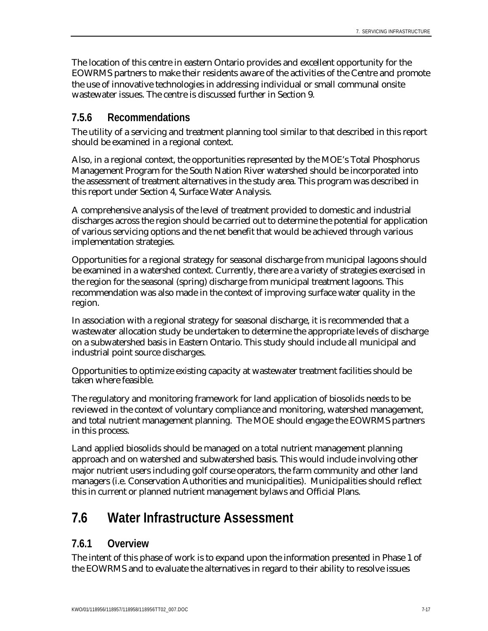The location of this centre in eastern Ontario provides and excellent opportunity for the EOWRMS partners to make their residents aware of the activities of the Centre and promote the use of innovative technologies in addressing individual or small communal onsite wastewater issues. The centre is discussed further in Section 9.

## **7.5.6 Recommendations**

The utility of a servicing and treatment planning tool similar to that described in this report should be examined in a regional context.

Also, in a regional context, the opportunities represented by the MOE's Total Phosphorus Management Program for the South Nation River watershed should be incorporated into the assessment of treatment alternatives in the study area. This program was described in this report under Section 4, Surface Water Analysis.

A comprehensive analysis of the level of treatment provided to domestic and industrial discharges across the region should be carried out to determine the potential for application of various servicing options and the net benefit that would be achieved through various implementation strategies.

Opportunities for a regional strategy for seasonal discharge from municipal lagoons should be examined in a watershed context. Currently, there are a variety of strategies exercised in the region for the seasonal (spring) discharge from municipal treatment lagoons. This recommendation was also made in the context of improving surface water quality in the region.

In association with a regional strategy for seasonal discharge, it is recommended that a wastewater allocation study be undertaken to determine the appropriate levels of discharge on a subwatershed basis in Eastern Ontario. This study should include all municipal and industrial point source discharges.

Opportunities to optimize existing capacity at wastewater treatment facilities should be taken where feasible.

The regulatory and monitoring framework for land application of biosolids needs to be reviewed in the context of voluntary compliance and monitoring, watershed management, and total nutrient management planning. The MOE should engage the EOWRMS partners in this process.

Land applied biosolids should be managed on a total nutrient management planning approach and on watershed and subwatershed basis. This would include involving other major nutrient users including golf course operators, the farm community and other land managers (i.e. Conservation Authorities and municipalities). Municipalities should reflect this in current or planned nutrient management bylaws and Official Plans.

# **7.6 Water Infrastructure Assessment**

## **7.6.1 Overview**

The intent of this phase of work is to expand upon the information presented in Phase 1 of the EOWRMS and to evaluate the alternatives in regard to their ability to resolve issues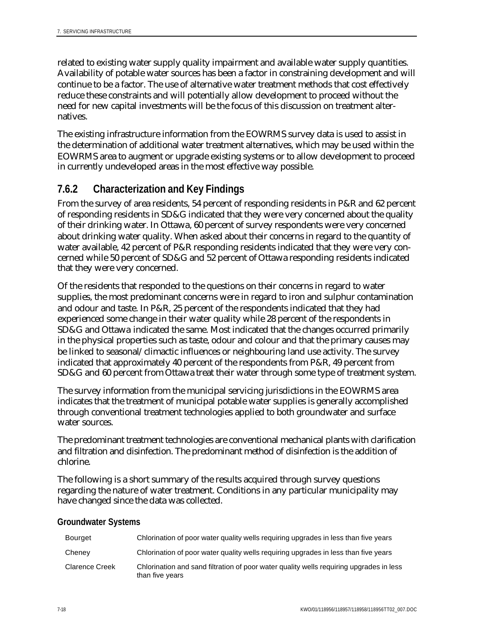related to existing water supply quality impairment and available water supply quantities. Availability of potable water sources has been a factor in constraining development and will continue to be a factor. The use of alternative water treatment methods that cost effectively reduce these constraints and will potentially allow development to proceed without the need for new capital investments will be the focus of this discussion on treatment alternatives.

The existing infrastructure information from the EOWRMS survey data is used to assist in the determination of additional water treatment alternatives, which may be used within the EOWRMS area to augment or upgrade existing systems or to allow development to proceed in currently undeveloped areas in the most effective way possible.

# **7.6.2 Characterization and Key Findings**

From the survey of area residents, 54 percent of responding residents in P&R and 62 percent of responding residents in SD&G indicated that they were very concerned about the quality of their drinking water. In Ottawa, 60 percent of survey respondents were very concerned about drinking water quality. When asked about their concerns in regard to the quantity of water available, 42 percent of P&R responding residents indicated that they were very concerned while 50 percent of SD&G and 52 percent of Ottawa responding residents indicated that they were very concerned.

Of the residents that responded to the questions on their concerns in regard to water supplies, the most predominant concerns were in regard to iron and sulphur contamination and odour and taste. In P&R, 25 percent of the respondents indicated that they had experienced some change in their water quality while 28 percent of the respondents in SD&G and Ottawa indicated the same. Most indicated that the changes occurred primarily in the physical properties such as taste, odour and colour and that the primary causes may be linked to seasonal/climactic influences or neighbouring land use activity. The survey indicated that approximately 40 percent of the respondents from P&R, 49 percent from SD&G and 60 percent from Ottawa treat their water through some type of treatment system.

The survey information from the municipal servicing jurisdictions in the EOWRMS area indicates that the treatment of municipal potable water supplies is generally accomplished through conventional treatment technologies applied to both groundwater and surface water sources.

The predominant treatment technologies are conventional mechanical plants with clarification and filtration and disinfection. The predominant method of disinfection is the addition of chlorine.

The following is a short summary of the results acquired through survey questions regarding the nature of water treatment. Conditions in any particular municipality may have changed since the data was collected.

## **Groundwater Systems**

| Bourget               | Chlorination of poor water quality wells requiring upgrades in less than five years                        |
|-----------------------|------------------------------------------------------------------------------------------------------------|
| Cheney                | Chlorination of poor water quality wells requiring upgrades in less than five years                        |
| <b>Clarence Creek</b> | Chlorination and sand filtration of poor water quality wells requiring upgrades in less<br>than five years |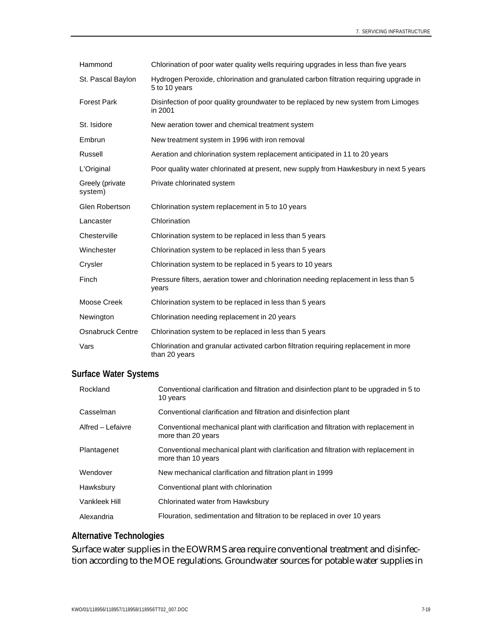| Hammond                    | Chlorination of poor water quality wells requiring upgrades in less than five years                    |
|----------------------------|--------------------------------------------------------------------------------------------------------|
| St. Pascal Baylon          | Hydrogen Peroxide, chlorination and granulated carbon filtration requiring upgrade in<br>5 to 10 years |
| <b>Forest Park</b>         | Disinfection of poor quality groundwater to be replaced by new system from Limoges<br>in 2001          |
| St. Isidore                | New aeration tower and chemical treatment system                                                       |
| Embrun                     | New treatment system in 1996 with iron removal                                                         |
| Russell                    | Aeration and chlorination system replacement anticipated in 11 to 20 years                             |
| L'Original                 | Poor quality water chlorinated at present, new supply from Hawkesbury in next 5 years                  |
| Greely (private<br>system) | Private chlorinated system                                                                             |
| Glen Robertson             | Chlorination system replacement in 5 to 10 years                                                       |
| Lancaster                  | Chlorination                                                                                           |
| Chesterville               | Chlorination system to be replaced in less than 5 years                                                |
| Winchester                 | Chlorination system to be replaced in less than 5 years                                                |
| Crysler                    | Chlorination system to be replaced in 5 years to 10 years                                              |
| Finch                      | Pressure filters, aeration tower and chlorination needing replacement in less than 5<br>years          |
| Moose Creek                | Chlorination system to be replaced in less than 5 years                                                |
| Newington                  | Chlorination needing replacement in 20 years                                                           |
| <b>Osnabruck Centre</b>    | Chlorination system to be replaced in less than 5 years                                                |
| Vars                       | Chlorination and granular activated carbon filtration requiring replacement in more<br>than 20 years   |

## **Surface Water Systems**

| Rockland          | Conventional clarification and filtration and disinfection plant to be upgraded in 5 to<br>10 years       |
|-------------------|-----------------------------------------------------------------------------------------------------------|
| Casselman         | Conventional clarification and filtration and disinfection plant                                          |
| Alfred - Lefaivre | Conventional mechanical plant with clarification and filtration with replacement in<br>more than 20 years |
| Plantagenet       | Conventional mechanical plant with clarification and filtration with replacement in<br>more than 10 years |
| Wendover          | New mechanical clarification and filtration plant in 1999                                                 |
| Hawksbury         | Conventional plant with chlorination                                                                      |
| Vankleek Hill     | Chlorinated water from Hawksbury                                                                          |
| Alexandria        | Flouration, sedimentation and filtration to be replaced in over 10 years                                  |

## **Alternative Technologies**

Surface water supplies in the EOWRMS area require conventional treatment and disinfection according to the MOE regulations. Groundwater sources for potable water supplies in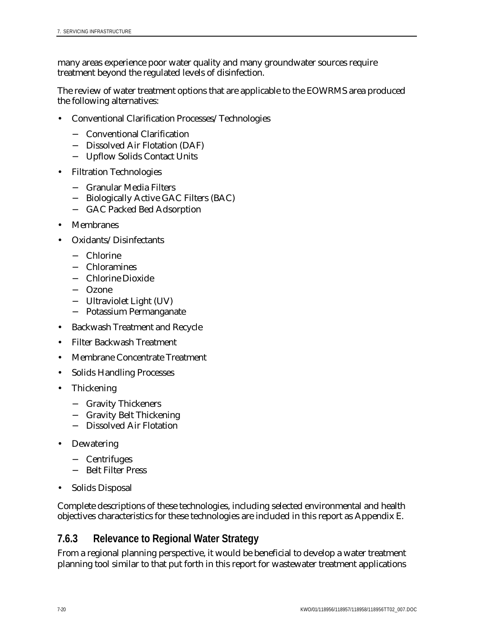many areas experience poor water quality and many groundwater sources require treatment beyond the regulated levels of disinfection.

The review of water treatment options that are applicable to the EOWRMS area produced the following alternatives:

- Conventional Clarification Processes/Technologies
	- − Conventional Clarification
	- − Dissolved Air Flotation (DAF)
	- − Upflow Solids Contact Units
- Filtration Technologies
	- − Granular Media Filters
	- − Biologically Active GAC Filters (BAC)
	- GAC Packed Bed Adsorption
- **Membranes**
- Oxidants/Disinfectants
	- − Chlorine
	- − Chloramines
	- − Chlorine Dioxide
	- − Ozone
	- − Ultraviolet Light (UV)
	- − Potassium Permanganate
- Backwash Treatment and Recycle
- Filter Backwash Treatment
- Membrane Concentrate Treatment
- Solids Handling Processes
- Thickening
	- − Gravity Thickeners
	- − Gravity Belt Thickening
	- − Dissolved Air Flotation
- **Dewatering** 
	- − Centrifuges
	- − Belt Filter Press
- Solids Disposal

Complete descriptions of these technologies, including selected environmental and health objectives characteristics for these technologies are included in this report as Appendix E.

## **7.6.3 Relevance to Regional Water Strategy**

From a regional planning perspective, it would be beneficial to develop a water treatment planning tool similar to that put forth in this report for wastewater treatment applications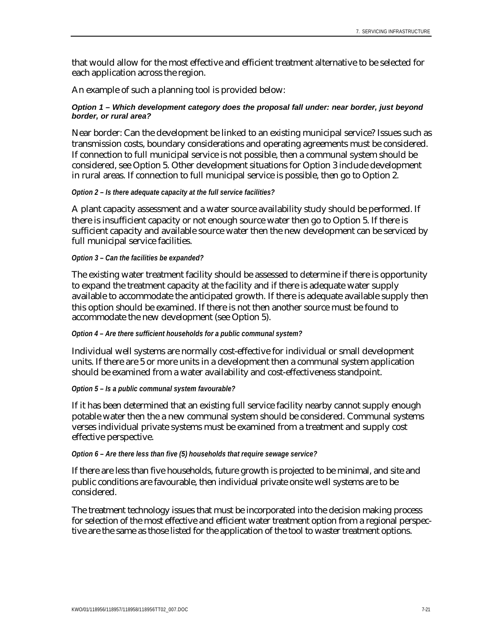that would allow for the most effective and efficient treatment alternative to be selected for each application across the region.

An example of such a planning tool is provided below:

### *Option 1 – Which development category does the proposal fall under: near border, just beyond border, or rural area?*

Near border: Can the development be linked to an existing municipal service? Issues such as transmission costs, boundary considerations and operating agreements must be considered. If connection to full municipal service is not possible, then a communal system should be considered, see Option 5. Other development situations for Option 3 include development in rural areas. If connection to full municipal service is possible, then go to Option 2.

#### *Option 2 – Is there adequate capacity at the full service facilities?*

A plant capacity assessment and a water source availability study should be performed. If there is insufficient capacity or not enough source water then go to Option 5. If there is sufficient capacity and available source water then the new development can be serviced by full municipal service facilities.

#### *Option 3 – Can the facilities be expanded?*

The existing water treatment facility should be assessed to determine if there is opportunity to expand the treatment capacity at the facility and if there is adequate water supply available to accommodate the anticipated growth. If there is adequate available supply then this option should be examined. If there is not then another source must be found to accommodate the new development (see Option 5).

#### *Option 4 – Are there sufficient households for a public communal system?*

Individual well systems are normally cost-effective for individual or small development units. If there are 5 or more units in a development then a communal system application should be examined from a water availability and cost-effectiveness standpoint.

#### *Option 5 – Is a public communal system favourable?*

If it has been determined that an existing full service facility nearby cannot supply enough potable water then the a new communal system should be considered. Communal systems verses individual private systems must be examined from a treatment and supply cost effective perspective.

#### *Option 6 – Are there less than five (5) households that require sewage service?*

If there are less than five households, future growth is projected to be minimal, and site and public conditions are favourable, then individual private onsite well systems are to be considered.

The treatment technology issues that must be incorporated into the decision making process for selection of the most effective and efficient water treatment option from a regional perspective are the same as those listed for the application of the tool to waster treatment options.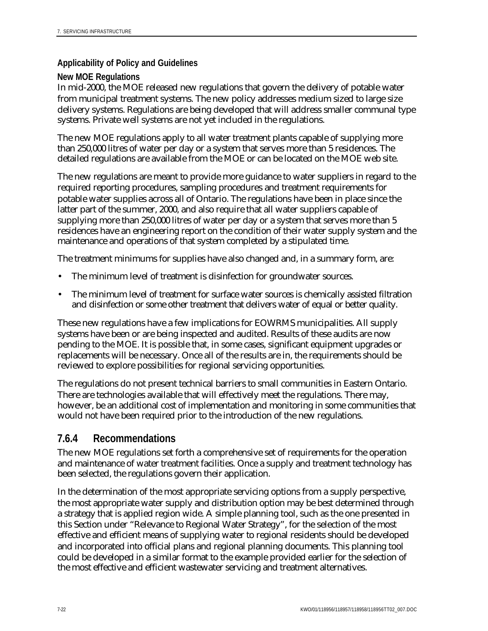## **Applicability of Policy and Guidelines**

## **New MOE Regulations**

In mid-2000, the MOE released new regulations that govern the delivery of potable water from municipal treatment systems. The new policy addresses medium sized to large size delivery systems. Regulations are being developed that will address smaller communal type systems. Private well systems are not yet included in the regulations.

The new MOE regulations apply to all water treatment plants capable of supplying more than 250,000 litres of water per day or a system that serves more than 5 residences. The detailed regulations are available from the MOE or can be located on the MOE web site.

The new regulations are meant to provide more guidance to water suppliers in regard to the required reporting procedures, sampling procedures and treatment requirements for potable water supplies across all of Ontario. The regulations have been in place since the latter part of the summer, 2000, and also require that all water suppliers capable of supplying more than 250,000 litres of water per day or a system that serves more than 5 residences have an engineering report on the condition of their water supply system and the maintenance and operations of that system completed by a stipulated time.

The treatment minimums for supplies have also changed and, in a summary form, are:

- The minimum level of treatment is disinfection for groundwater sources.
- The minimum level of treatment for surface water sources is chemically assisted filtration and disinfection or some other treatment that delivers water of equal or better quality.

These new regulations have a few implications for EOWRMS municipalities. All supply systems have been or are being inspected and audited. Results of these audits are now pending to the MOE. It is possible that, in some cases, significant equipment upgrades or replacements will be necessary. Once all of the results are in, the requirements should be reviewed to explore possibilities for regional servicing opportunities.

The regulations do not present technical barriers to small communities in Eastern Ontario. There are technologies available that will effectively meet the regulations. There may, however, be an additional cost of implementation and monitoring in some communities that would not have been required prior to the introduction of the new regulations.

## **7.6.4 Recommendations**

The new MOE regulations set forth a comprehensive set of requirements for the operation and maintenance of water treatment facilities. Once a supply and treatment technology has been selected, the regulations govern their application.

In the determination of the most appropriate servicing options from a supply perspective, the most appropriate water supply and distribution option may be best determined through a strategy that is applied region wide. A simple planning tool, such as the one presented in this Section under "Relevance to Regional Water Strategy", for the selection of the most effective and efficient means of supplying water to regional residents should be developed and incorporated into official plans and regional planning documents. This planning tool could be developed in a similar format to the example provided earlier for the selection of the most effective and efficient wastewater servicing and treatment alternatives.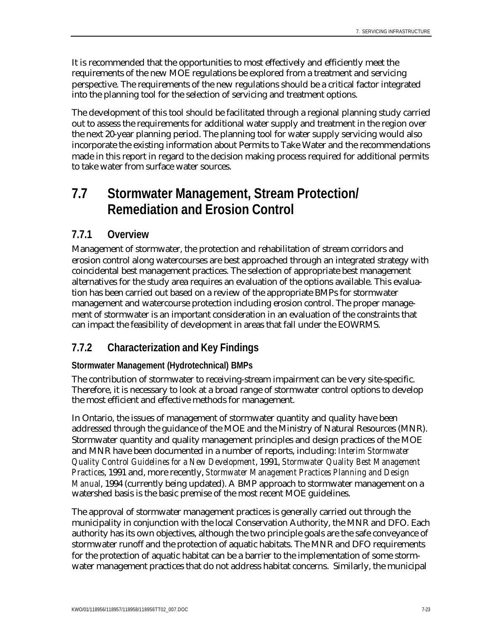It is recommended that the opportunities to most effectively and efficiently meet the requirements of the new MOE regulations be explored from a treatment and servicing perspective. The requirements of the new regulations should be a critical factor integrated into the planning tool for the selection of servicing and treatment options.

The development of this tool should be facilitated through a regional planning study carried out to assess the requirements for additional water supply and treatment in the region over the next 20-year planning period. The planning tool for water supply servicing would also incorporate the existing information about Permits to Take Water and the recommendations made in this report in regard to the decision making process required for additional permits to take water from surface water sources.

# **7.7 Stormwater Management, Stream Protection/ Remediation and Erosion Control**

## **7.7.1 Overview**

Management of stormwater, the protection and rehabilitation of stream corridors and erosion control along watercourses are best approached through an integrated strategy with coincidental best management practices. The selection of appropriate best management alternatives for the study area requires an evaluation of the options available. This evaluation has been carried out based on a review of the appropriate BMPs for stormwater management and watercourse protection including erosion control. The proper management of stormwater is an important consideration in an evaluation of the constraints that can impact the feasibility of development in areas that fall under the EOWRMS.

# **7.7.2 Characterization and Key Findings**

## **Stormwater Management (Hydrotechnical) BMPs**

The contribution of stormwater to receiving-stream impairment can be very site-specific. Therefore, it is necessary to look at a broad range of stormwater control options to develop the most efficient and effective methods for management.

In Ontario, the issues of management of stormwater quantity and quality have been addressed through the guidance of the MOE and the Ministry of Natural Resources (MNR). Stormwater quantity and quality management principles and design practices of the MOE and MNR have been documented in a number of reports, including: *Interim Stormwater Quality Control Guidelines for a New Development*, 1991, *Stormwater Quality Best Management Practices*, 1991 and, more recently, *Stormwater Management Practices Planning and Design Manual*, 1994 (currently being updated). A BMP approach to stormwater management on a watershed basis is the basic premise of the most recent MOE guidelines.

The approval of stormwater management practices is generally carried out through the municipality in conjunction with the local Conservation Authority, the MNR and DFO. Each authority has its own objectives, although the two principle goals are the safe conveyance of stormwater runoff and the protection of aquatic habitats. The MNR and DFO requirements for the protection of aquatic habitat can be a barrier to the implementation of some stormwater management practices that do not address habitat concerns. Similarly, the municipal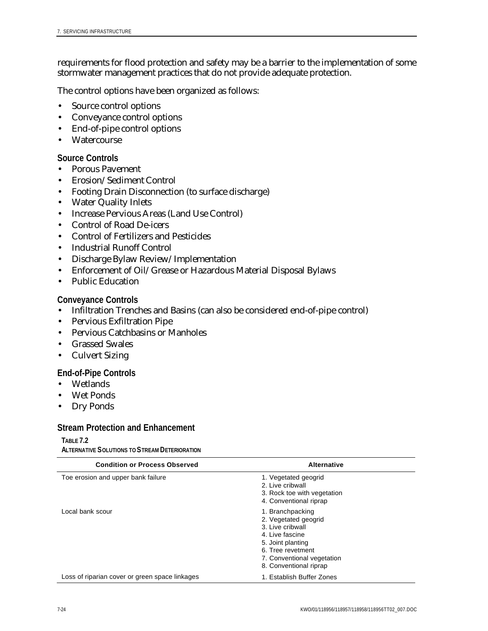requirements for flood protection and safety may be a barrier to the implementation of some stormwater management practices that do not provide adequate protection.

The control options have been organized as follows:

- Source control options
- Conveyance control options
- End-of-pipe control options
- Watercourse

## **Source Controls**

- Porous Pavement
- Erosion/Sediment Control
- Footing Drain Disconnection (to surface discharge)
- Water Quality Inlets
- Increase Pervious Areas (Land Use Control)
- Control of Road De-icers
- Control of Fertilizers and Pesticides
- Industrial Runoff Control
- Discharge Bylaw Review/Implementation
- Enforcement of Oil/Grease or Hazardous Material Disposal Bylaws
- Public Education

## **Conveyance Controls**

- Infiltration Trenches and Basins (can also be considered end-of-pipe control)
- Pervious Exfiltration Pipe
- Pervious Catchbasins or Manholes
- Grassed Swales
- Culvert Sizing

## **End-of-Pipe Controls**

- Wetlands
- Wet Ponds
- Dry Ponds

## **Stream Protection and Enhancement**

**TABLE 7.2**

**ALTERNATIVE SOLUTIONS TO STREAM DETERIORATION**

| <b>Condition or Process Observed</b>           | Alternative                                                                                                                                                                       |  |
|------------------------------------------------|-----------------------------------------------------------------------------------------------------------------------------------------------------------------------------------|--|
| Toe erosion and upper bank failure             | 1. Vegetated geogrid<br>2. Live cribwall<br>3. Rock toe with vegetation<br>4. Conventional riprap                                                                                 |  |
| Local bank scour                               | 1. Branchpacking<br>2. Vegetated geogrid<br>3. Live cribwall<br>4. Live fascine<br>5. Joint planting<br>6. Tree revetment<br>7. Conventional vegetation<br>8. Conventional riprap |  |
| Loss of riparian cover or green space linkages | 1. Establish Buffer Zones                                                                                                                                                         |  |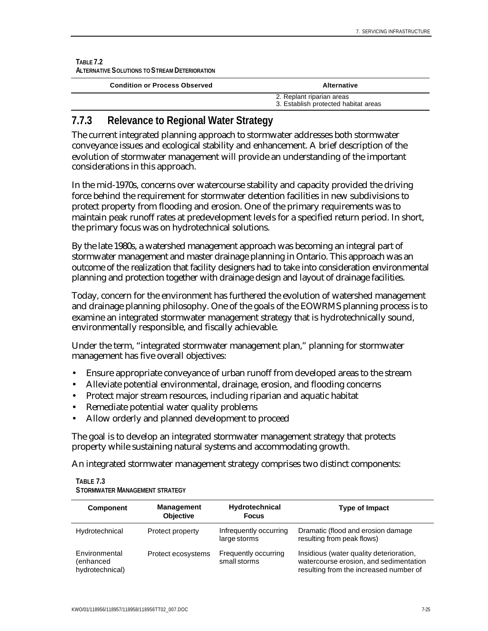#### **TABLE 7.2 ALTERNATIVE SOLUTIONS TO STREAM DETERIORATION**

| <b>Condition or Process Observed</b> | Alternative                                                       |  |
|--------------------------------------|-------------------------------------------------------------------|--|
|                                      | 2. Replant riparian areas<br>3. Establish protected habitat areas |  |

# **7.7.3 Relevance to Regional Water Strategy**

The current integrated planning approach to stormwater addresses both stormwater conveyance issues and ecological stability and enhancement. A brief description of the evolution of stormwater management will provide an understanding of the important considerations in this approach.

In the mid-1970s, concerns over watercourse stability and capacity provided the driving force behind the requirement for stormwater detention facilities in new subdivisions to protect property from flooding and erosion. One of the primary requirements was to maintain peak runoff rates at predevelopment levels for a specified return period. In short, the primary focus was on hydrotechnical solutions.

By the late 1980s, a watershed management approach was becoming an integral part of stormwater management and master drainage planning in Ontario. This approach was an outcome of the realization that facility designers had to take into consideration environmental planning and protection together with drainage design and layout of drainage facilities.

Today, concern for the environment has furthered the evolution of watershed management and drainage planning philosophy. One of the goals of the EOWRMS planning process is to examine an integrated stormwater management strategy that is hydrotechnically sound, environmentally responsible, and fiscally achievable.

Under the term, "integrated stormwater management plan," planning for stormwater management has five overall objectives:

- Ensure appropriate conveyance of urban runoff from developed areas to the stream
- Alleviate potential environmental, drainage, erosion, and flooding concerns
- Protect major stream resources, including riparian and aquatic habitat
- Remediate potential water quality problems
- Allow orderly and planned development to proceed

The goal is to develop an integrated stormwater management strategy that protects property while sustaining natural systems and accommodating growth.

An integrated stormwater management strategy comprises two distinct components:

| <b>Component</b>                              | <b>Management</b><br><b>Objective</b> | Hydrotechnical<br><b>Focus</b>         | <b>Type of Impact</b>                                                                                                       |
|-----------------------------------------------|---------------------------------------|----------------------------------------|-----------------------------------------------------------------------------------------------------------------------------|
| Hydrotechnical                                | Protect property                      | Infrequently occurring<br>large storms | Dramatic (flood and erosion damage<br>resulting from peak flows)                                                            |
| Environmental<br>(enhanced<br>hydrotechnical) | Protect ecosystems                    | Frequently occurring<br>small storms   | Insidious (water quality deterioration,<br>watercourse erosion, and sedimentation<br>resulting from the increased number of |

#### **TABLE 7.3 STORMWATER MANAGEMENT STRATEGY**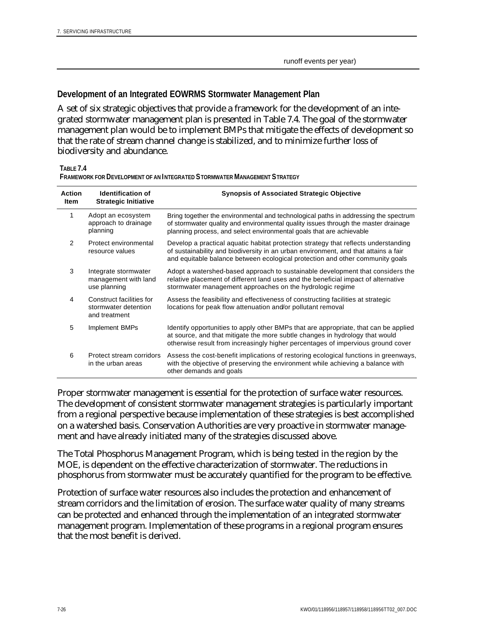### **Development of an Integrated EOWRMS Stormwater Management Plan**

A set of six strategic objectives that provide a framework for the development of an integrated stormwater management plan is presented in Table 7.4. The goal of the stormwater management plan would be to implement BMPs that mitigate the effects of development so that the rate of stream channel change is stabilized, and to minimize further loss of biodiversity and abundance.

**TABLE 7.4**

**FRAMEWORK FOR DEVELOPMENT OF AN INTEGRATED STORMWATER MANAGEMENT STRATEGY**

| <b>Action</b><br><b>Item</b> | <b>Identification of</b><br><b>Strategic Initiative</b>           | <b>Synopsis of Associated Strategic Objective</b>                                                                                                                                                                                                           |
|------------------------------|-------------------------------------------------------------------|-------------------------------------------------------------------------------------------------------------------------------------------------------------------------------------------------------------------------------------------------------------|
| 1                            | Adopt an ecosystem<br>approach to drainage<br>planning            | Bring together the environmental and technological paths in addressing the spectrum<br>of stormwater quality and environmental quality issues through the master drainage<br>planning process, and select environmental goals that are achievable           |
| 2                            | Protect environmental<br>resource values                          | Develop a practical aquatic habitat protection strategy that reflects understanding<br>of sustainability and biodiversity in an urban environment, and that attains a fair<br>and equitable balance between ecological protection and other community goals |
| 3                            | Integrate stormwater<br>management with land<br>use planning      | Adopt a watershed-based approach to sustainable development that considers the<br>relative placement of different land uses and the beneficial impact of alternative<br>stormwater management approaches on the hydrologic regime                           |
| 4                            | Construct facilities for<br>stormwater detention<br>and treatment | Assess the feasibility and effectiveness of constructing facilities at strategic<br>locations for peak flow attenuation and/or pollutant removal                                                                                                            |
| 5                            | Implement BMPs                                                    | Identify opportunities to apply other BMPs that are appropriate, that can be applied<br>at source, and that mitigate the more subtle changes in hydrology that would<br>otherwise result from increasingly higher percentages of impervious ground cover    |
| 6                            | Protect stream corridors<br>in the urban areas                    | Assess the cost-benefit implications of restoring ecological functions in greenways,<br>with the objective of preserving the environment while achieving a balance with<br>other demands and goals                                                          |

Proper stormwater management is essential for the protection of surface water resources. The development of consistent stormwater management strategies is particularly important from a regional perspective because implementation of these strategies is best accomplished on a watershed basis. Conservation Authorities are very proactive in stormwater management and have already initiated many of the strategies discussed above.

The Total Phosphorus Management Program, which is being tested in the region by the MOE, is dependent on the effective characterization of stormwater. The reductions in phosphorus from stormwater must be accurately quantified for the program to be effective.

Protection of surface water resources also includes the protection and enhancement of stream corridors and the limitation of erosion. The surface water quality of many streams can be protected and enhanced through the implementation of an integrated stormwater management program. Implementation of these programs in a regional program ensures that the most benefit is derived.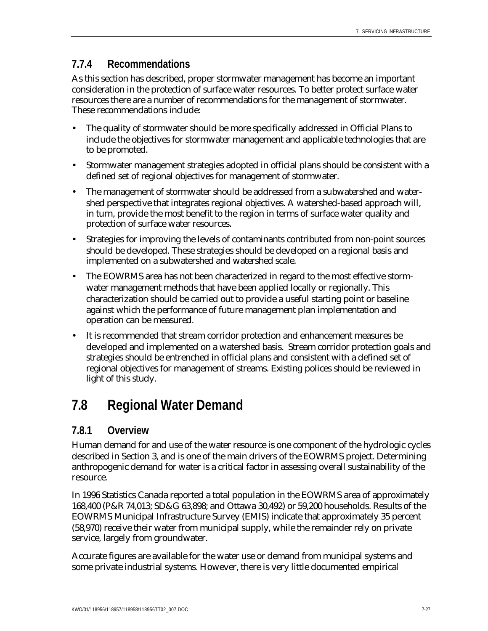## **7.7.4 Recommendations**

As this section has described, proper stormwater management has become an important consideration in the protection of surface water resources. To better protect surface water resources there are a number of recommendations for the management of stormwater. These recommendations include:

- The quality of stormwater should be more specifically addressed in Official Plans to include the objectives for stormwater management and applicable technologies that are to be promoted.
- Stormwater management strategies adopted in official plans should be consistent with a defined set of regional objectives for management of stormwater.
- The management of stormwater should be addressed from a subwatershed and watershed perspective that integrates regional objectives. A watershed-based approach will, in turn, provide the most benefit to the region in terms of surface water quality and protection of surface water resources.
- Strategies for improving the levels of contaminants contributed from non-point sources should be developed. These strategies should be developed on a regional basis and implemented on a subwatershed and watershed scale.
- The EOWRMS area has not been characterized in regard to the most effective stormwater management methods that have been applied locally or regionally. This characterization should be carried out to provide a useful starting point or baseline against which the performance of future management plan implementation and operation can be measured.
- It is recommended that stream corridor protection and enhancement measures be developed and implemented on a watershed basis. Stream corridor protection goals and strategies should be entrenched in official plans and consistent with a defined set of regional objectives for management of streams. Existing polices should be reviewed in light of this study.

# **7.8 Regional Water Demand**

## **7.8.1 Overview**

Human demand for and use of the water resource is one component of the hydrologic cycles described in Section 3, and is one of the main drivers of the EOWRMS project. Determining anthropogenic demand for water is a critical factor in assessing overall sustainability of the resource.

In 1996 Statistics Canada reported a total population in the EOWRMS area of approximately 168,400 (P&R 74,013; SD&G 63,898; and Ottawa 30,492) or 59,200 households. Results of the EOWRMS Municipal Infrastructure Survey (EMIS) indicate that approximately 35 percent (58,970) receive their water from municipal supply, while the remainder rely on private service, largely from groundwater.

Accurate figures are available for the water use or demand from municipal systems and some private industrial systems. However, there is very little documented empirical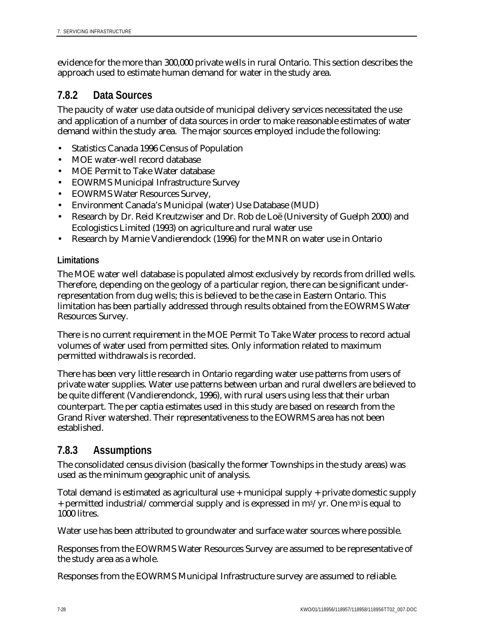evidence for the more than 300,000 private wells in rural Ontario. This section describes the approach used to estimate human demand for water in the study area.

## **7.8.2 Data Sources**

The paucity of water use data outside of municipal delivery services necessitated the use and application of a number of data sources in order to make reasonable estimates of water demand within the study area. The major sources employed include the following:

- Statistics Canada 1996 Census of Population
- MOE water-well record database
- MOE Permit to Take Water database
- EOWRMS Municipal Infrastructure Survey
- EOWRMS Water Resources Survey,
- Environment Canada's Municipal (water) Use Database (MUD)
- Research by Dr. Reid Kreutzwiser and Dr. Rob de Loë (University of Guelph 2000) and Ecologistics Limited (1993) on agriculture and rural water use
- Research by Marnie Vandierendock (1996) for the MNR on water use in Ontario

## **Limitations**

The MOE water well database is populated almost exclusively by records from drilled wells. Therefore, depending on the geology of a particular region, there can be significant underrepresentation from dug wells; this is believed to be the case in Eastern Ontario. This limitation has been partially addressed through results obtained from the EOWRMS Water Resources Survey.

There is no current requirement in the MOE Permit To Take Water process to record actual volumes of water used from permitted sites. Only information related to maximum permitted withdrawals is recorded.

There has been very little research in Ontario regarding water use patterns from users of private water supplies. Water use patterns between urban and rural dwellers are believed to be quite different (Vandierendonck, 1996), with rural users using less that their urban counterpart. The per captia estimates used in this study are based on research from the Grand River watershed. Their representativeness to the EOWRMS area has not been established.

## **7.8.3 Assumptions**

The consolidated census division (basically the former Townships in the study areas) was used as the minimum geographic unit of analysis.

Total demand is estimated as agricultural use + municipal supply + private domestic supply + permitted industrial/commercial supply and is expressed in m3/yr. One m3 is equal to 1000 litres.

Water use has been attributed to groundwater and surface water sources where possible.

Responses from the EOWRMS Water Resources Survey are assumed to be representative of the study area as a whole.

Responses from the EOWRMS Municipal Infrastructure survey are assumed to reliable.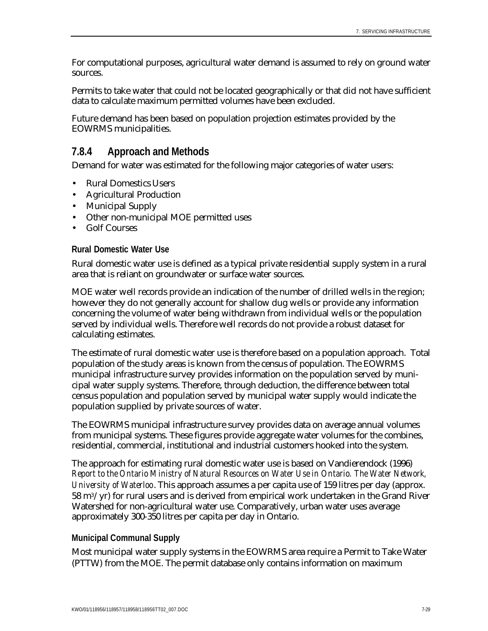For computational purposes, agricultural water demand is assumed to rely on ground water sources.

Permits to take water that could not be located geographically or that did not have sufficient data to calculate maximum permitted volumes have been excluded.

Future demand has been based on population projection estimates provided by the EOWRMS municipalities.

## **7.8.4 Approach and Methods**

Demand for water was estimated for the following major categories of water users:

- Rural Domestics Users
- Agricultural Production
- Municipal Supply
- Other non-municipal MOE permitted uses
- Golf Courses

### **Rural Domestic Water Use**

Rural domestic water use is defined as a typical private residential supply system in a rural area that is reliant on groundwater or surface water sources.

MOE water well records provide an indication of the number of drilled wells in the region; however they do not generally account for shallow dug wells or provide any information concerning the volume of water being withdrawn from individual wells or the population served by individual wells. Therefore well records do not provide a robust dataset for calculating estimates.

The estimate of rural domestic water use is therefore based on a population approach. Total population of the study areas is known from the census of population. The EOWRMS municipal infrastructure survey provides information on the population served by municipal water supply systems. Therefore, through deduction, the difference between total census population and population served by municipal water supply would indicate the population supplied by private sources of water.

The EOWRMS municipal infrastructure survey provides data on average annual volumes from municipal systems. These figures provide aggregate water volumes for the combines, residential, commercial, institutional and industrial customers hooked into the system.

The approach for estimating rural domestic water use is based on Vandierendock (1996) *Report to the Ontario Ministry of Natural Resources on Water Use in Ontario. The Water Network, University of Waterloo*. This approach assumes a per capita use of 159 litres per day (approx. 58 m3/yr) for rural users and is derived from empirical work undertaken in the Grand River Watershed for non-agricultural water use. Comparatively, urban water uses average approximately 300-350 litres per capita per day in Ontario.

## **Municipal Communal Supply**

Most municipal water supply systems in the EOWRMS area require a Permit to Take Water (PTTW) from the MOE. The permit database only contains information on maximum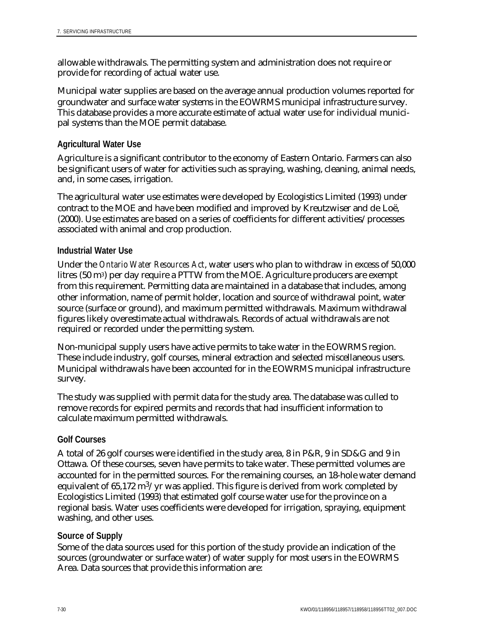allowable withdrawals. The permitting system and administration does not require or provide for recording of actual water use.

Municipal water supplies are based on the average annual production volumes reported for groundwater and surface water systems in the EOWRMS municipal infrastructure survey. This database provides a more accurate estimate of actual water use for individual municipal systems than the MOE permit database.

### **Agricultural Water Use**

Agriculture is a significant contributor to the economy of Eastern Ontario. Farmers can also be significant users of water for activities such as spraying, washing, cleaning, animal needs, and, in some cases, irrigation.

The agricultural water use estimates were developed by Ecologistics Limited (1993) under contract to the MOE and have been modified and improved by Kreutzwiser and de Loë, (2000). Use estimates are based on a series of coefficients for different activities/processes associated with animal and crop production.

### **Industrial Water Use**

Under the *Ontario Water Resources Act*, water users who plan to withdraw in excess of 50,000 litres (50 m3) per day require a PTTW from the MOE. Agriculture producers are exempt from this requirement. Permitting data are maintained in a database that includes, among other information, name of permit holder, location and source of withdrawal point, water source (surface or ground), and maximum permitted withdrawals. Maximum withdrawal figures likely overestimate actual withdrawals. Records of actual withdrawals are not required or recorded under the permitting system.

Non-municipal supply users have active permits to take water in the EOWRMS region. These include industry, golf courses, mineral extraction and selected miscellaneous users. Municipal withdrawals have been accounted for in the EOWRMS municipal infrastructure survey.

The study was supplied with permit data for the study area. The database was culled to remove records for expired permits and records that had insufficient information to calculate maximum permitted withdrawals.

## **Golf Courses**

A total of 26 golf courses were identified in the study area, 8 in P&R, 9 in SD&G and 9 in Ottawa. Of these courses, seven have permits to take water. These permitted volumes are accounted for in the permitted sources. For the remaining courses, an 18-hole water demand equivalent of 65,172  $\text{m}^3/\text{yr}$  was applied. This figure is derived from work completed by Ecologistics Limited (1993) that estimated golf course water use for the province on a regional basis. Water uses coefficients were developed for irrigation, spraying, equipment washing, and other uses.

### **Source of Supply**

Some of the data sources used for this portion of the study provide an indication of the sources (groundwater or surface water) of water supply for most users in the EOWRMS Area. Data sources that provide this information are: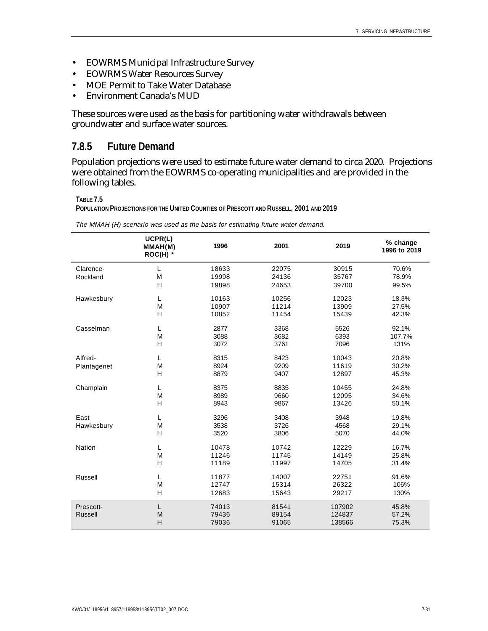- EOWRMS Municipal Infrastructure Survey
- EOWRMS Water Resources Survey
- MOE Permit to Take Water Database
- Environment Canada's MUD

These sources were used as the basis for partitioning water withdrawals between groundwater and surface water sources.

## **7.8.5 Future Demand**

Population projections were used to estimate future water demand to circa 2020. Projections were obtained from the EOWRMS co-operating municipalities and are provided in the following tables.

#### **TABLE 7.5**

**POPULATION PROJECTIONS FOR THE UNITED COUNTIES OF PRESCOTT AND RUSSELL, 2001 AND 2019**

|                | UCPR(L)<br>MMAH(M)<br>$ROC(H)$ * | 1996  | 2001  | 2019   | % change<br>1996 to 2019 |
|----------------|----------------------------------|-------|-------|--------|--------------------------|
| Clarence-      | L                                | 18633 | 22075 | 30915  | 70.6%                    |
| Rockland       | M                                | 19998 | 24136 | 35767  | 78.9%                    |
|                | H                                | 19898 | 24653 | 39700  | 99.5%                    |
| Hawkesbury     | L                                | 10163 | 10256 | 12023  | 18.3%                    |
|                | M                                | 10907 | 11214 | 13909  | 27.5%                    |
|                | H                                | 10852 | 11454 | 15439  | 42.3%                    |
| Casselman      | L                                | 2877  | 3368  | 5526   | 92.1%                    |
|                | M                                | 3088  | 3682  | 6393   | 107.7%                   |
|                | H                                | 3072  | 3761  | 7096   | 131%                     |
| Alfred-        | L                                | 8315  | 8423  | 10043  | 20.8%                    |
| Plantagenet    | M                                | 8924  | 9209  | 11619  | 30.2%                    |
|                | H                                | 8879  | 9407  | 12897  | 45.3%                    |
| Champlain      | L                                | 8375  | 8835  | 10455  | 24.8%                    |
|                | M                                | 8989  | 9660  | 12095  | 34.6%                    |
|                | H                                | 8943  | 9867  | 13426  | 50.1%                    |
| East           | L                                | 3296  | 3408  | 3948   | 19.8%                    |
| Hawkesbury     | M                                | 3538  | 3726  | 4568   | 29.1%                    |
|                | H                                | 3520  | 3806  | 5070   | 44.0%                    |
| Nation         | L                                | 10478 | 10742 | 12229  | 16.7%                    |
|                | M                                | 11246 | 11745 | 14149  | 25.8%                    |
|                | H                                | 11189 | 11997 | 14705  | 31.4%                    |
| Russell        | L                                | 11877 | 14007 | 22751  | 91.6%                    |
|                | M                                | 12747 | 15314 | 26322  | 106%                     |
|                | H                                | 12683 | 15643 | 29217  | 130%                     |
| Prescott-      | L                                | 74013 | 81541 | 107902 | 45.8%                    |
| <b>Russell</b> | M                                | 79436 | 89154 | 124837 | 57.2%                    |
|                | H                                | 79036 | 91065 | 138566 | 75.3%                    |

*The MMAH (H) scenario was used as the basis for estimating future water demand.*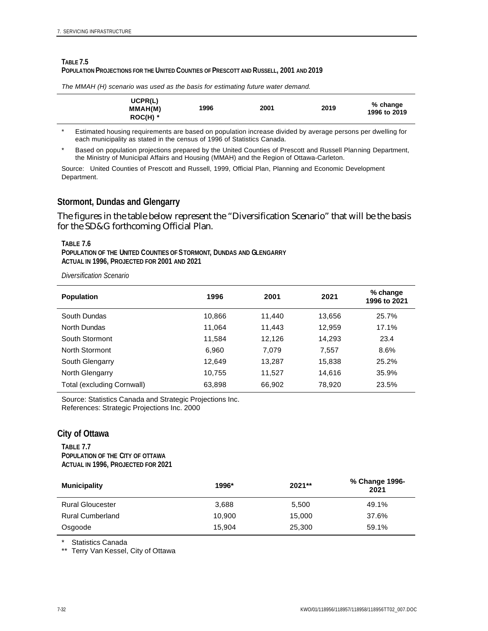#### **TABLE 7.5 POPULATION PROJECTIONS FOR THE UNITED COUNTIES OF PRESCOTT AND RUSSELL, 2001 AND 2019**

| UCPR(L)<br>MMAH(M)<br>$ROC(H)$ * | 1996 | 2001 | 2019 | % change<br>1996 to 2019 |
|----------------------------------|------|------|------|--------------------------|
|----------------------------------|------|------|------|--------------------------|

*The MMAH (H) scenario was used as the basis for estimating future water demand.*

\* Estimated housing requirements are based on population increase divided by average persons per dwelling for each municipality as stated in the census of 1996 of Statistics Canada.

Based on population projections prepared by the United Counties of Prescott and Russell Planning Department, the Ministry of Municipal Affairs and Housing (MMAH) and the Region of Ottawa-Carleton.

Source: United Counties of Prescott and Russell, 1999, Official Plan, Planning and Economic Development Department.

### **Stormont, Dundas and Glengarry**

The figures in the table below represent the "Diversification Scenario" that will be the basis for the SD&G forthcoming Official Plan.

#### **TABLE 7.6**

**POPULATION OF THE UNITED COUNTIES OF STORMONT, DUNDAS AND GLENGARRY ACTUAL IN 1996, PROJECTED FOR 2001 AND 2021**

*Diversification Scenario*

| <b>Population</b>          | 1996   | 2001   | 2021   | % change<br>1996 to 2021 |
|----------------------------|--------|--------|--------|--------------------------|
| South Dundas               | 10,866 | 11,440 | 13,656 | 25.7%                    |
| North Dundas               | 11.064 | 11,443 | 12,959 | 17.1%                    |
| South Stormont             | 11,584 | 12,126 | 14.293 | 23.4                     |
| North Stormont             | 6.960  | 7,079  | 7,557  | 8.6%                     |
| South Glengarry            | 12.649 | 13.287 | 15,838 | 25.2%                    |
| North Glengarry            | 10.755 | 11.527 | 14.616 | 35.9%                    |
| Total (excluding Cornwall) | 63,898 | 66,902 | 78.920 | 23.5%                    |

Source: Statistics Canada and Strategic Projections Inc. References: Strategic Projections Inc. 2000

#### **City of Ottawa**

**TABLE 7.7 POPULATION OF THE CITY OF OTTAWA ACTUAL IN 1996, PROJECTED FOR 2021**

| <b>Municipality</b>     | 1996*  | $2021**$ | % Change 1996-<br>2021 |
|-------------------------|--------|----------|------------------------|
| <b>Rural Gloucester</b> | 3.688  | 5.500    | 49.1%                  |
| <b>Rural Cumberland</b> | 10.900 | 15.000   | 37.6%                  |
| Osgoode                 | 15.904 | 25,300   | 59.1%                  |

\* Statistics Canada

\*\* Terry Van Kessel, City of Ottawa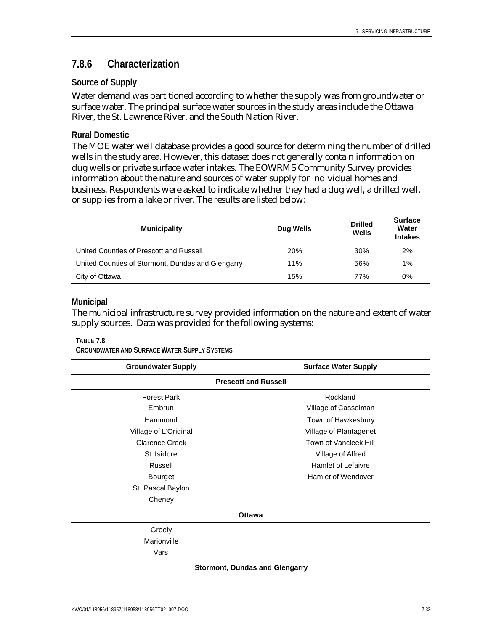## **7.8.6 Characterization**

### **Source of Supply**

Water demand was partitioned according to whether the supply was from groundwater or surface water. The principal surface water sources in the study areas include the Ottawa River, the St. Lawrence River, and the South Nation River.

### **Rural Domestic**

The MOE water well database provides a good source for determining the number of drilled wells in the study area. However, this dataset does not generally contain information on dug wells or private surface water intakes. The EOWRMS Community Survey provides information about the nature and sources of water supply for individual homes and business. Respondents were asked to indicate whether they had a dug well, a drilled well, or supplies from a lake or river. The results are listed below:

| <b>Municipality</b>                               | <b>Dug Wells</b> | <b>Drilled</b><br>Wells | <b>Surface</b><br>Water<br><b>Intakes</b> |
|---------------------------------------------------|------------------|-------------------------|-------------------------------------------|
| United Counties of Prescott and Russell           | 20%              | 30%                     | 2%                                        |
| United Counties of Stormont, Dundas and Glengarry | 11%              | 56%                     | 1%                                        |
| City of Ottawa                                    | 15%              | 77%                     | 0%                                        |

### **Municipal**

The municipal infrastructure survey provided information on the nature and extent of water supply sources. Data was provided for the following systems:

#### **TABLE 7.8**

**GROUNDWATER AND SURFACE WATER SUPPLY SYSTEMS**

| <b>Groundwater Supply</b>   | <b>Surface Water Supply</b>           |  |  |  |  |  |  |  |  |
|-----------------------------|---------------------------------------|--|--|--|--|--|--|--|--|
| <b>Prescott and Russell</b> |                                       |  |  |  |  |  |  |  |  |
| <b>Forest Park</b>          | Rockland                              |  |  |  |  |  |  |  |  |
| Embrun                      | Village of Casselman                  |  |  |  |  |  |  |  |  |
| Hammond                     | Town of Hawkesbury                    |  |  |  |  |  |  |  |  |
| Village of L'Original       | Village of Plantagenet                |  |  |  |  |  |  |  |  |
| <b>Clarence Creek</b>       | Town of Vancleek Hill                 |  |  |  |  |  |  |  |  |
| St. Isidore                 | Village of Alfred                     |  |  |  |  |  |  |  |  |
| Russell                     | <b>Hamlet of Lefaivre</b>             |  |  |  |  |  |  |  |  |
| Bourget                     | Hamlet of Wendover                    |  |  |  |  |  |  |  |  |
| St. Pascal Baylon           |                                       |  |  |  |  |  |  |  |  |
| Cheney                      |                                       |  |  |  |  |  |  |  |  |
|                             | <b>Ottawa</b>                         |  |  |  |  |  |  |  |  |
| Greely                      |                                       |  |  |  |  |  |  |  |  |
| Marionville                 |                                       |  |  |  |  |  |  |  |  |
| Vars                        |                                       |  |  |  |  |  |  |  |  |
|                             | <b>Stormont, Dundas and Glengarry</b> |  |  |  |  |  |  |  |  |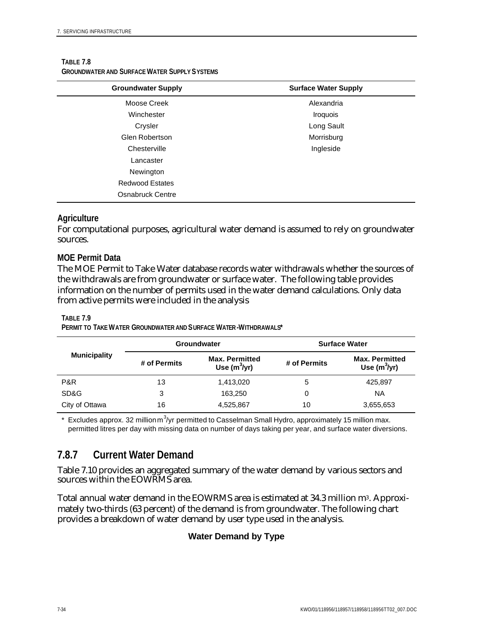| <b>Groundwater Supply</b> | <b>Surface Water Supply</b> |
|---------------------------|-----------------------------|
| Moose Creek               | Alexandria                  |
| Winchester                | Iroquois                    |
| Crysler                   | Long Sault                  |
| Glen Robertson            | Morrisburg                  |
| Chesterville              | Ingleside                   |
| Lancaster                 |                             |
| Newington                 |                             |
| <b>Redwood Estates</b>    |                             |
| Osnabruck Centre          |                             |

#### **TABLE 7.8 GROUNDWATER AND SURFACE WATER SUPPLY SYSTEMS**

### **Agriculture**

For computational purposes, agricultural water demand is assumed to rely on groundwater sources.

### **MOE Permit Data**

The MOE Permit to Take Water database records water withdrawals whether the sources of the withdrawals are from groundwater or surface water. The following table provides information on the number of permits used in the water demand calculations. Only data from active permits were included in the analysis

#### **TABLE 7.9**

**PERMIT TO TAKE WATER GROUNDWATER AND SURFACE WATER-WITHDRAWALS\***

|                     |              | <b>Groundwater</b>                      | <b>Surface Water</b> |                                          |  |  |
|---------------------|--------------|-----------------------------------------|----------------------|------------------------------------------|--|--|
| <b>Municipality</b> | # of Permits | <b>Max. Permitted</b><br>Use $(m^3/yr)$ | # of Permits         | <b>Max. Permitted</b><br>Use $(m^3$ /yr) |  |  |
| P&R                 | 13           | 1,413,020                               | 5                    | 425,897                                  |  |  |
| SD&G                | 3            | 163.250                                 | 0                    | ΝA                                       |  |  |
| City of Ottawa      | 16           | 4,525,867                               | 10                   | 3,655,653                                |  |  |

 $*$  Excludes approx. 32 million m<sup>3</sup>/yr permitted to Casselman Small Hydro, approximately 15 million max. permitted litres per day with missing data on number of days taking per year, and surface water diversions.

## **7.8.7 Current Water Demand**

Table 7.10 provides an aggregated summary of the water demand by various sectors and sources within the EOWRMS area.

Total annual water demand in the EOWRMS area is estimated at 34.3 million m<sup>3</sup>. Approximately two-thirds (63 percent) of the demand is from groundwater. The following chart provides a breakdown of water demand by user type used in the analysis.

## **Water Demand by Type**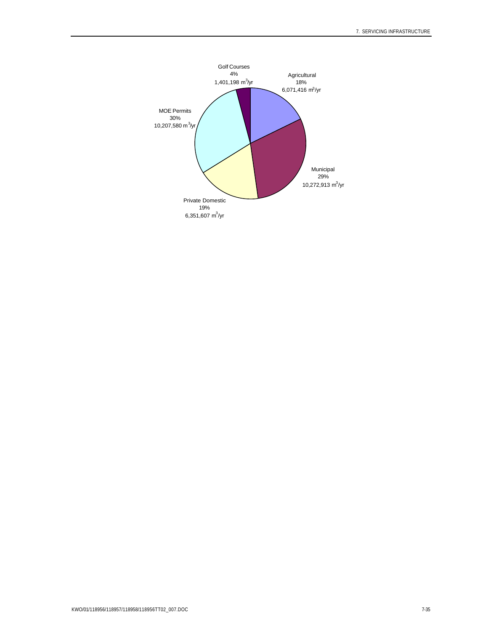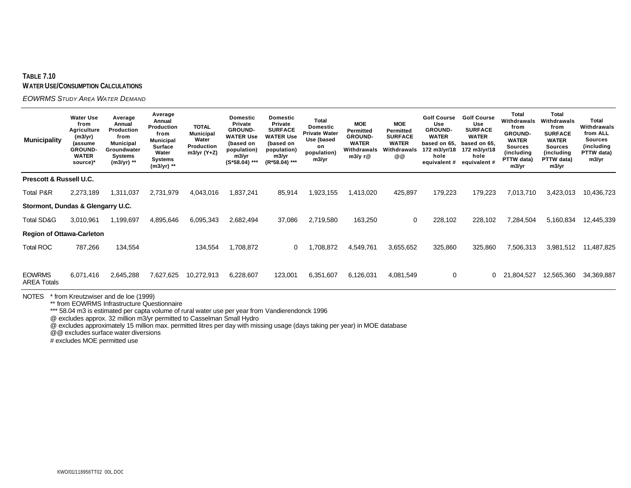#### **TABLE 7.10 WATER USE/CONSUMPTION CALCULATIONS**

*EOWRMS STUDY AREA WATER DEMAND*

| <b>Municipality</b>                 | <b>Water Use</b><br>from<br><b>Agriculture</b><br>(m3/yr)<br>(assume<br><b>GROUND-</b><br><b>WATER</b><br>source)* | Average<br>Annual<br><b>Production</b><br>from<br><b>Municipal</b><br>Groundwater<br>Systems<br>(m3/yr) ** | Average<br>Annual<br>Production<br>from<br><b>Municipal</b><br><b>Surface</b><br>Water<br>Systems<br>(m3/yr) ** | <b>TOTAL</b><br><b>Municipal</b><br>Water<br>Production<br>m3/yr (Y+Z) | <b>Domestic</b><br>Private<br><b>GROUND-</b><br><b>WATER Use</b><br>(based on<br>population)<br>m3/yr<br>$(S*58.04)$ *** | <b>Domestic</b><br><b>Private</b><br><b>SURFACE</b><br><b>WATER Use</b><br>(based on<br>population)<br>m3/yr<br>(R*58.04) *** | Total<br><b>Domestic</b><br><b>Private Water</b><br>Use (based<br>on<br>population)<br>m3/yr | <b>MOE</b><br><b>Permitted</b><br><b>GROUND-</b><br><b>WATER</b><br>Withdrawals<br>m3/y r@ | <b>MOE</b><br>Permitted<br><b>SURFACE</b><br><b>WATER</b><br>Withdrawals<br>@@ | <b>Golf Course</b><br>Use<br><b>GROUND-</b><br><b>WATER</b><br>based on 65,<br>172 m3/yr/18<br>hole<br>equivalent # | <b>Golf Course</b><br>Use<br><b>SURFACE</b><br><b>WATER</b><br>based on 65.<br>172 m3/yr/18<br>hole<br>equivalent # | <b>Total</b><br>Withdrawals<br>from<br><b>GROUND-</b><br><b>WATER</b><br><b>Sources</b><br>(including<br>PTTW data)<br>m3/yr | <b>Total</b><br>Withdrawals<br>from<br><b>SURFACE</b><br><b>WATER</b><br><b>Sources</b><br>(including<br>PTTW data)<br>m3/yr | Total<br>Withdrawals<br>from ALL<br><b>Sources</b><br>(including<br>PTTW data)<br>m3/yr |
|-------------------------------------|--------------------------------------------------------------------------------------------------------------------|------------------------------------------------------------------------------------------------------------|-----------------------------------------------------------------------------------------------------------------|------------------------------------------------------------------------|--------------------------------------------------------------------------------------------------------------------------|-------------------------------------------------------------------------------------------------------------------------------|----------------------------------------------------------------------------------------------|--------------------------------------------------------------------------------------------|--------------------------------------------------------------------------------|---------------------------------------------------------------------------------------------------------------------|---------------------------------------------------------------------------------------------------------------------|------------------------------------------------------------------------------------------------------------------------------|------------------------------------------------------------------------------------------------------------------------------|-----------------------------------------------------------------------------------------|
| Prescott & Russell U.C.             |                                                                                                                    |                                                                                                            |                                                                                                                 |                                                                        |                                                                                                                          |                                                                                                                               |                                                                                              |                                                                                            |                                                                                |                                                                                                                     |                                                                                                                     |                                                                                                                              |                                                                                                                              |                                                                                         |
| <b>Total P&amp;R</b>                | 2,273,189                                                                                                          | 1,311,037                                                                                                  | 2,731,979                                                                                                       | 4,043,016                                                              | 837,241.                                                                                                                 | 85,914                                                                                                                        | 923,155                                                                                      | 1,413,020                                                                                  | 425,897                                                                        | 179,223                                                                                                             | 179,223                                                                                                             | 7,013,710                                                                                                                    | 3,423,013                                                                                                                    | 10,436,723                                                                              |
| Stormont, Dundas & Glengarry U.C.   |                                                                                                                    |                                                                                                            |                                                                                                                 |                                                                        |                                                                                                                          |                                                                                                                               |                                                                                              |                                                                                            |                                                                                |                                                                                                                     |                                                                                                                     |                                                                                                                              |                                                                                                                              |                                                                                         |
| Total SD&G                          | 3,010,961                                                                                                          | 1,199,697                                                                                                  | 4,895,646                                                                                                       | 6,095,343                                                              | 2,682,494                                                                                                                | 37,086                                                                                                                        | 2,719,580                                                                                    | 163,250                                                                                    | 0                                                                              | 228,102                                                                                                             | 228,102                                                                                                             | 7,284,504                                                                                                                    | 5,160,834                                                                                                                    | 12,445,339                                                                              |
| <b>Region of Ottawa-Carleton</b>    |                                                                                                                    |                                                                                                            |                                                                                                                 |                                                                        |                                                                                                                          |                                                                                                                               |                                                                                              |                                                                                            |                                                                                |                                                                                                                     |                                                                                                                     |                                                                                                                              |                                                                                                                              |                                                                                         |
| <b>Total ROC</b>                    | 787,266                                                                                                            | 134,554                                                                                                    |                                                                                                                 | 134,554                                                                | 1,708,872                                                                                                                | 0                                                                                                                             | ,708,872                                                                                     | 4,549,761                                                                                  | 3,655,652                                                                      | 325,860                                                                                                             | 325,860                                                                                                             | 7,506,313                                                                                                                    | 3,981,512                                                                                                                    | 11,487,825                                                                              |
|                                     |                                                                                                                    |                                                                                                            |                                                                                                                 |                                                                        |                                                                                                                          |                                                                                                                               |                                                                                              |                                                                                            |                                                                                |                                                                                                                     |                                                                                                                     |                                                                                                                              |                                                                                                                              |                                                                                         |
| <b>EOWRMS</b><br><b>AREA Totals</b> | 6,071,416                                                                                                          | 2,645,288                                                                                                  | 7,627,625                                                                                                       | 10,272,913                                                             | 6,228,607                                                                                                                | 123,001                                                                                                                       | 6,351,607                                                                                    | 6,126,031                                                                                  | 4,081,549                                                                      | 0                                                                                                                   | 0                                                                                                                   | 21,804,527                                                                                                                   | 12,565,360                                                                                                                   | 34,369,887                                                                              |

NOTES \* from Kreutzwiser and de loe (1999)

\*\* from EOWRMS Infrastructure Questionnaire

\*\*\* 58.04 m3 is estimated per capta volume of rural water use per year from Vandierendonck 1996

@ excludes approx. 32 million m3/yr permitted to Casselman Small Hydro

@ excludes approximately 15 million max. permitted litres per day with missing usage (days taking per year) in MOE database

@@ excludes surface water diversions

# excludes MOE permitted use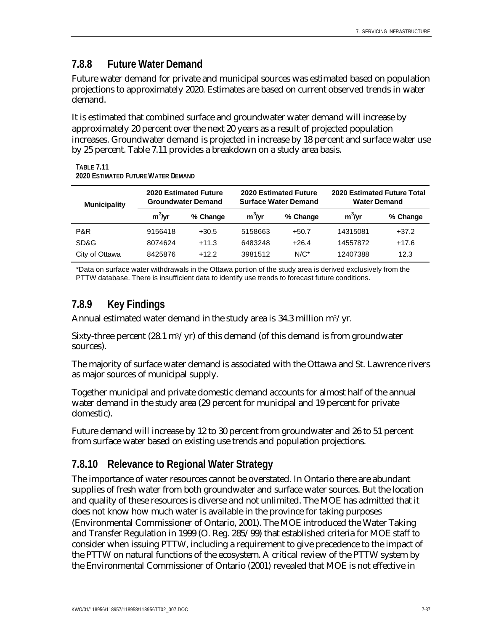## **7.8.8 Future Water Demand**

Future water demand for private and municipal sources was estimated based on population projections to approximately 2020. Estimates are based on current observed trends in water demand.

It is estimated that combined surface and groundwater water demand will increase by approximately 20 percent over the next 20 years as a result of projected population increases. Groundwater demand is projected in increase by 18 percent and surface water use by 25 percent. Table 7.11 provides a breakdown on a study area basis.

| <b>Municipality</b> |          | <b>2020 Estimated Future</b><br><b>Groundwater Demand</b> |          | <b>2020 Estimated Future</b><br><b>Surface Water Demand</b> | 2020 Estimated Future Total<br><b>Water Demand</b> |          |  |
|---------------------|----------|-----------------------------------------------------------|----------|-------------------------------------------------------------|----------------------------------------------------|----------|--|
|                     | $m3$ /yr | % Change                                                  | $m3$ /yr | % Change                                                    | $m3$ /yr                                           | % Change |  |
| P&R                 | 9156418  | $+30.5$                                                   | 5158663  | $+50.7$                                                     | 14315081                                           | $+37.2$  |  |
| SD&G                | 8074624  | $+11.3$                                                   | 6483248  | $+26.4$                                                     | 14557872                                           | $+17.6$  |  |
| City of Ottawa      | 8425876  | $+12.2$                                                   | 3981512  | $N/C^*$                                                     | 12407388                                           | 12.3     |  |

**TABLE 7.11 2020 ESTIMATED FUTURE WATER DEMAND**

\*Data on surface water withdrawals in the Ottawa portion of the study area is derived exclusively from the PTTW database. There is insufficient data to identify use trends to forecast future conditions.

## **7.8.9 Key Findings**

Annual estimated water demand in the study area is 34.3 million  $m^3/yr$ .

Sixty-three percent (28.1  $\text{m}^3/\text{yr}$ ) of this demand (of this demand is from groundwater sources).

The majority of surface water demand is associated with the Ottawa and St. Lawrence rivers as major sources of municipal supply.

Together municipal and private domestic demand accounts for almost half of the annual water demand in the study area (29 percent for municipal and 19 percent for private domestic).

Future demand will increase by 12 to 30 percent from groundwater and 26 to 51 percent from surface water based on existing use trends and population projections.

## **7.8.10 Relevance to Regional Water Strategy**

The importance of water resources cannot be overstated. In Ontario there are abundant supplies of fresh water from both groundwater and surface water sources. But the location and quality of these resources is diverse and not unlimited. The MOE has admitted that it does not know how much water is available in the province for taking purposes (Environmental Commissioner of Ontario, 2001). The MOE introduced the Water Taking and Transfer Regulation in 1999 (O. Reg. 285/99) that established criteria for MOE staff to consider when issuing PTTW, including a requirement to give precedence to the impact of the PTTW on natural functions of the ecosystem. A critical review of the PTTW system by the Environmental Commissioner of Ontario (2001) revealed that MOE is not effective in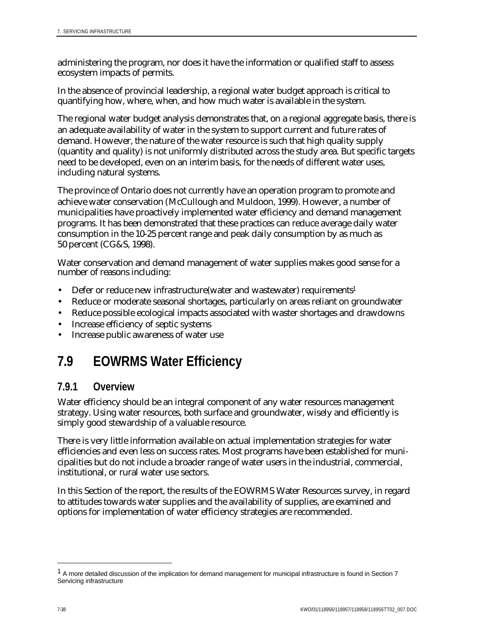administering the program, nor does it have the information or qualified staff to assess ecosystem impacts of permits.

In the absence of provincial leadership, a regional water budget approach is critical to quantifying how, where, when, and how much water is available in the system.

The regional water budget analysis demonstrates that, on a regional aggregate basis, there is an adequate availability of water in the system to support current and future rates of demand. However, the nature of the water resource is such that high quality supply (quantity and quality) is not uniformly distributed across the study area. But specific targets need to be developed, even on an interim basis, for the needs of different water uses, including natural systems.

The province of Ontario does not currently have an operation program to promote and achieve water conservation (McCullough and Muldoon, 1999). However, a number of municipalities have proactively implemented water efficiency and demand management programs. It has been demonstrated that these practices can reduce average daily water consumption in the 10-25 percent range and peak daily consumption by as much as 50 percent (CG&S, 1998).

Water conservation and demand management of water supplies makes good sense for a number of reasons including:

- Defer or reduce new infrastructure(water and wastewater) requirements<sup>1</sup>
- Reduce or moderate seasonal shortages, particularly on areas reliant on groundwater
- Reduce possible ecological impacts associated with waster shortages and drawdowns
- Increase efficiency of septic systems
- Increase public awareness of water use

# **7.9 EOWRMS Water Efficiency**

## **7.9.1 Overview**

Water efficiency should be an integral component of any water resources management strategy. Using water resources, both surface and groundwater, wisely and efficiently is simply good stewardship of a valuable resource.

There is very little information available on actual implementation strategies for water efficiencies and even less on success rates. Most programs have been established for municipalities but do not include a broader range of water users in the industrial, commercial, institutional, or rural water use sectors.

In this Section of the report, the results of the EOWRMS Water Resources survey, in regard to attitudes towards water supplies and the availability of supplies, are examined and options for implementation of water efficiency strategies are recommended.

 $\overline{a}$ 

<sup>&</sup>lt;sup>1</sup> A more detailed discussion of the implication for demand management for municipal infrastructure is found in Section 7 Servicing infrastructure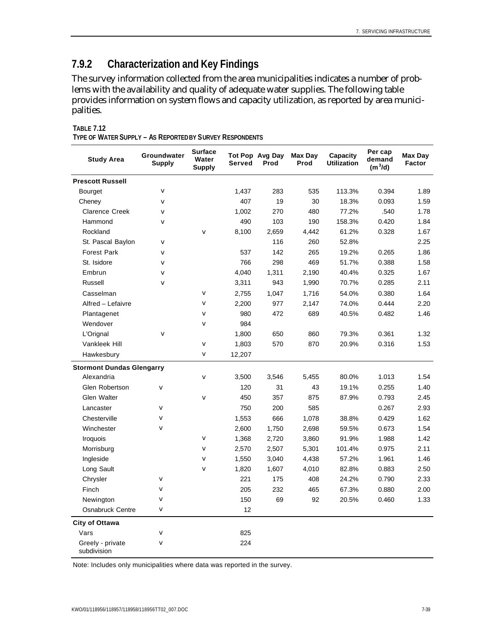# **7.9.2 Characterization and Key Findings**

The survey information collected from the area municipalities indicates a number of problems with the availability and quality of adequate water supplies. The following table provides information on system flows and capacity utilization, as reported by area municipalities.

| <b>Study Area</b>                | Groundwater<br>Supply | <b>Surface</b><br>Water<br><b>Supply</b> | <b>Served</b> | Tot Pop Avg Day<br>Prod | <b>Max Day</b><br>Prod | Capacity<br><b>Utilization</b> | Per cap<br>demand<br>$(m^3/d)$ | <b>Max Day</b><br><b>Factor</b> |
|----------------------------------|-----------------------|------------------------------------------|---------------|-------------------------|------------------------|--------------------------------|--------------------------------|---------------------------------|
| <b>Prescott Russell</b>          |                       |                                          |               |                         |                        |                                |                                |                                 |
| <b>Bourget</b>                   | $\mathbf{v}$          |                                          | 1,437         | 283                     | 535                    | 113.3%                         | 0.394                          | 1.89                            |
| Cheney                           | $\mathbf{v}$          |                                          | 407           | 19                      | 30                     | 18.3%                          | 0.093                          | 1.59                            |
| <b>Clarence Creek</b>            | $\mathbf{v}$          |                                          | 1,002         | 270                     | 480                    | 77.2%                          | .540                           | 1.78                            |
| Hammond                          | $\mathbf{v}$          |                                          | 490           | 103                     | 190                    | 158.3%                         | 0.420                          | 1.84                            |
| Rockland                         |                       | $\mathbf{v}$                             | 8,100         | 2,659                   | 4,442                  | 61.2%                          | 0.328                          | 1.67                            |
| St. Pascal Baylon                | $\mathbf{v}$          |                                          |               | 116                     | 260                    | 52.8%                          |                                | 2.25                            |
| <b>Forest Park</b>               | $\mathbf{v}$          |                                          | 537           | 142                     | 265                    | 19.2%                          | 0.265                          | 1.86                            |
| St. Isidore                      | $\mathbf{v}$          |                                          | 766           | 298                     | 469                    | 51.7%                          | 0.388                          | 1.58                            |
| Embrun                           | $\mathbf{v}$          |                                          | 4,040         | 1,311                   | 2,190                  | 40.4%                          | 0.325                          | 1.67                            |
| <b>Russell</b>                   | $\mathbf{v}$          |                                          | 3,311         | 943                     | 1,990                  | 70.7%                          | 0.285                          | 2.11                            |
| Casselman                        |                       | $\mathbf{v}$                             | 2,755         | 1,047                   | 1,716                  | 54.0%                          | 0.380                          | 1.64                            |
| Alfred - Lefaivre                |                       | $\mathbf{v}$                             | 2,200         | 977                     | 2,147                  | 74.0%                          | 0.444                          | 2.20                            |
| Plantagenet                      |                       | $\mathbf{v}$                             | 980           | 472                     | 689                    | 40.5%                          | 0.482                          | 1.46                            |
| Wendover                         |                       | $\mathbf{v}$                             | 984           |                         |                        |                                |                                |                                 |
| L'Orignal                        | $\mathbf{v}$          |                                          | 1,800         | 650                     | 860                    | 79.3%                          | 0.361                          | 1.32                            |
| Vankleek Hill                    |                       | $\mathbf{v}$                             | 1,803         | 570                     | 870                    | 20.9%                          | 0.316                          | 1.53                            |
| Hawkesbury                       |                       | $\mathbf{v}$                             | 12,207        |                         |                        |                                |                                |                                 |
| <b>Stormont Dundas Glengarry</b> |                       |                                          |               |                         |                        |                                |                                |                                 |
| Alexandria                       |                       | $\mathbf{v}$                             | 3,500         | 3,546                   | 5,455                  | 80.0%                          | 1.013                          | 1.54                            |
| Glen Robertson                   | $\mathbf{v}$          |                                          | 120           | 31                      | 43                     | 19.1%                          | 0.255                          | 1.40                            |
| Glen Walter                      |                       | $\mathbf{v}$                             | 450           | 357                     | 875                    | 87.9%                          | 0.793                          | 2.45                            |
| Lancaster                        | $\mathbf{v}$          |                                          | 750           | 200                     | 585                    |                                | 0.267                          | 2.93                            |
| Chesterville                     | $\mathbf{v}$          |                                          | 1,553         | 666                     | 1,078                  | 38.8%                          | 0.429                          | 1.62                            |
| Winchester                       | $\mathbf{v}$          |                                          | 2,600         | 1,750                   | 2,698                  | 59.5%                          | 0.673                          | 1.54                            |
| Iroquois                         |                       | $\mathbf{v}$                             | 1,368         | 2,720                   | 3,860                  | 91.9%                          | 1.988                          | 1.42                            |
| Morrisburg                       |                       | $\mathbf{v}$                             | 2,570         | 2,507                   | 5,301                  | 101.4%                         | 0.975                          | 2.11                            |
| Ingleside                        |                       | $\mathbf{v}$                             | 1,550         | 3,040                   | 4,438                  | 57.2%                          | 1.961                          | 1.46                            |
| Long Sault                       |                       | $\mathbf{v}$                             | 1,820         | 1,607                   | 4,010                  | 82.8%                          | 0.883                          | 2.50                            |
| Chrysler                         | $\mathbf{v}$          |                                          | 221           | 175                     | 408                    | 24.2%                          | 0.790                          | 2.33                            |
| Finch                            | v                     |                                          | 205           | 232                     | 465                    | 67.3%                          | 0.880                          | 2.00                            |
| Newington                        | $\mathbf{v}$          |                                          | 150           | 69                      | 92                     | 20.5%                          | 0.460                          | 1.33                            |
| <b>Osnabruck Centre</b>          | $\mathbf{v}$          |                                          | 12            |                         |                        |                                |                                |                                 |
| City of Ottawa                   |                       |                                          |               |                         |                        |                                |                                |                                 |
| Vars                             | $\mathbf{v}$          |                                          | 825           |                         |                        |                                |                                |                                 |
| Greely - private<br>subdivision  | $\mathbf{v}$          |                                          | 224           |                         |                        |                                |                                |                                 |

**TABLE 7.12 TYPE OF WATER SUPPLY – AS REPORTED BY SURVEY RESPONDENTS**

Note: Includes only municipalities where data was reported in the survey.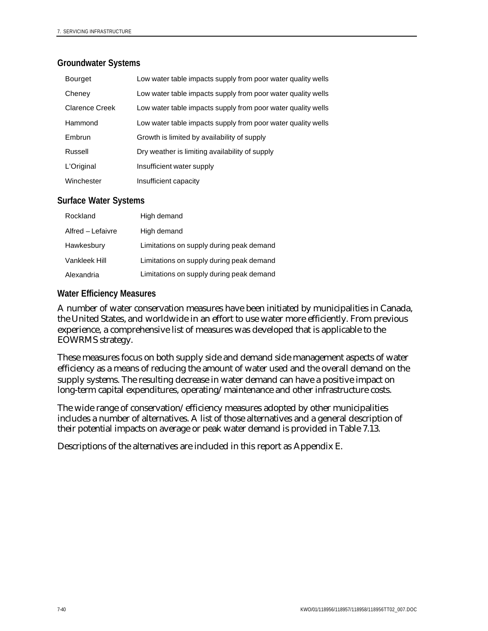### **Groundwater Systems**

| <b>Bourget</b> | Low water table impacts supply from poor water quality wells |
|----------------|--------------------------------------------------------------|
| Cheney         | Low water table impacts supply from poor water quality wells |
| Clarence Creek | Low water table impacts supply from poor water quality wells |
| Hammond        | Low water table impacts supply from poor water quality wells |
| Embrun         | Growth is limited by availability of supply                  |
| Russell        | Dry weather is limiting availability of supply               |
| L'Original     | Insufficient water supply                                    |
| Winchester     | Insufficient capacity                                        |

### **Surface Water Systems**

| Rockland          | High demand                              |
|-------------------|------------------------------------------|
| Alfred – Lefaivre | High demand                              |
| Hawkesbury        | Limitations on supply during peak demand |
| Vankleek Hill     | Limitations on supply during peak demand |
| Alexandria        | Limitations on supply during peak demand |

### **Water Efficiency Measures**

A number of water conservation measures have been initiated by municipalities in Canada, the United States, and worldwide in an effort to use water more efficiently. From previous experience, a comprehensive list of measures was developed that is applicable to the EOWRMS strategy.

These measures focus on both supply side and demand side management aspects of water efficiency as a means of reducing the amount of water used and the overall demand on the supply systems. The resulting decrease in water demand can have a positive impact on long-term capital expenditures, operating/maintenance and other infrastructure costs.

The wide range of conservation/efficiency measures adopted by other municipalities includes a number of alternatives. A list of those alternatives and a general description of their potential impacts on average or peak water demand is provided in Table 7.13.

Descriptions of the alternatives are included in this report as Appendix E.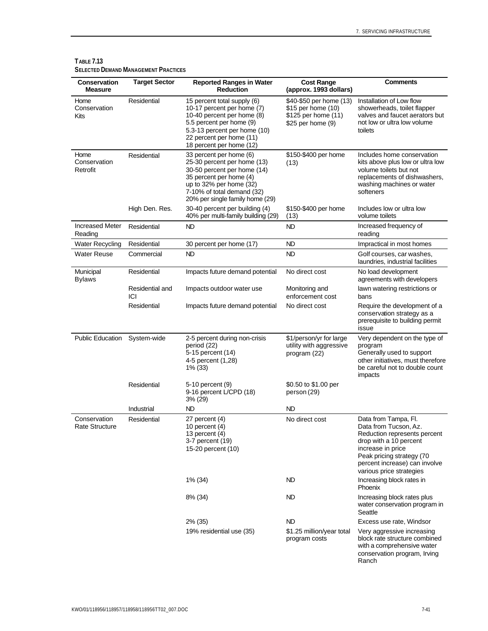| Conservation<br><b>Measure</b>        | <b>Target Sector</b>   | <b>Reported Ranges in Water</b><br><b>Reduction</b>                                                                                                                                                          | <b>Cost Range</b><br>(approx. 1993 dollars)                                               | <b>Comments</b>                                                                                                                                                                                                        |
|---------------------------------------|------------------------|--------------------------------------------------------------------------------------------------------------------------------------------------------------------------------------------------------------|-------------------------------------------------------------------------------------------|------------------------------------------------------------------------------------------------------------------------------------------------------------------------------------------------------------------------|
| Home<br>Conservation<br>Kits          | Residential            | 15 percent total supply (6)<br>10-17 percent per home (7)<br>10-40 percent per home (8)<br>5.5 percent per home (9)<br>5.3-13 percent per home (10)<br>22 percent per home (11)<br>18 percent per home (12)  | \$40-\$50 per home (13)<br>\$15 per home (10)<br>\$125 per home (11)<br>\$25 per home (9) | Installation of Low flow<br>showerheads, toilet flapper<br>valves and faucet aerators but<br>not low or ultra low volume<br>toilets                                                                                    |
| Home<br>Conservation<br>Retrofit      | Residential            | 33 percent per home (6)<br>25-30 percent per home (13)<br>30-50 percent per home (14)<br>35 percent per home (4)<br>up to 32% per home (32)<br>7-10% of total demand (32)<br>20% per single family home (29) | \$150-\$400 per home<br>(13)                                                              | Includes home conservation<br>kits above plus low or ultra low<br>volume toilets but not<br>replacements of dishwashers,<br>washing machines or water<br>softeners                                                     |
|                                       | High Den. Res.         | 30-40 percent per building (4)<br>40% per multi-family building (29)                                                                                                                                         | \$150-\$400 per home<br>(13)                                                              | Includes low or ultra low<br>volume toilets                                                                                                                                                                            |
| <b>Increased Meter</b><br>Reading     | Residential            | ND                                                                                                                                                                                                           | ND                                                                                        | Increased frequency of<br>reading                                                                                                                                                                                      |
| <b>Water Recycling</b>                | Residential            | 30 percent per home (17)                                                                                                                                                                                     | <b>ND</b>                                                                                 | Impractical in most homes                                                                                                                                                                                              |
| <b>Water Reuse</b>                    | Commercial             | <b>ND</b>                                                                                                                                                                                                    | ND.                                                                                       | Golf courses, car washes,<br>laundries, industrial facilities                                                                                                                                                          |
| Municipal<br><b>Bylaws</b>            | Residential            | Impacts future demand potential                                                                                                                                                                              | No direct cost                                                                            | No load development<br>agreements with developers                                                                                                                                                                      |
|                                       | Residential and<br>ICI | Impacts outdoor water use                                                                                                                                                                                    | Monitoring and<br>enforcement cost                                                        | lawn watering restrictions or<br>bans                                                                                                                                                                                  |
|                                       | Residential            | Impacts future demand potential                                                                                                                                                                              | No direct cost                                                                            | Require the development of a<br>conservation strategy as a<br>prerequisite to building permit<br>issue                                                                                                                 |
| <b>Public Education</b>               | System-wide            | 2-5 percent during non-crisis<br>period (22)<br>5-15 percent (14)<br>4-5 percent (1,28)<br>1% (33)                                                                                                           | \$1/person/yr for large<br>utility with aggressive<br>program (22)                        | Very dependent on the type of<br>program<br>Generally used to support<br>other initiatives, must therefore<br>be careful not to double count<br>impacts                                                                |
|                                       | Residential            | 5-10 percent (9)<br>9-16 percent L/CPD (18)<br>3% (29)                                                                                                                                                       | \$0.50 to \$1.00 per<br>person (29)                                                       |                                                                                                                                                                                                                        |
|                                       | Industrial             | ND                                                                                                                                                                                                           | ND                                                                                        |                                                                                                                                                                                                                        |
| Conservation<br><b>Rate Structure</b> | Residential            | 27 percent (4)<br>10 percent $(4)$<br>13 percent (4)<br>3-7 percent (19)<br>15-20 percent (10)                                                                                                               | No direct cost                                                                            | Data from Tampa, Fl.<br>Data from Tucson, Az.<br>Reduction represents percent<br>drop with a 10 percent<br>increase in price<br>Peak pricing strategy (70<br>percent increase) can involve<br>various price strategies |
|                                       |                        | 1% (34)                                                                                                                                                                                                      | ND                                                                                        | Increasing block rates in<br>Phoenix                                                                                                                                                                                   |
|                                       |                        | 8% (34)                                                                                                                                                                                                      | ND                                                                                        | Increasing block rates plus<br>water conservation program in<br>Seattle                                                                                                                                                |
|                                       |                        | 2% (35)                                                                                                                                                                                                      | ND.                                                                                       | Excess use rate, Windsor                                                                                                                                                                                               |
|                                       |                        | 19% residential use (35)                                                                                                                                                                                     | \$1.25 million/year total<br>program costs                                                | Very aggressive increasing<br>block rate structure combined<br>with a comprehensive water<br>conservation program, Irving<br>Ranch                                                                                     |

#### **TABLE 7.13 SELECTED DEMAND MANAGEMENT PRACTICES**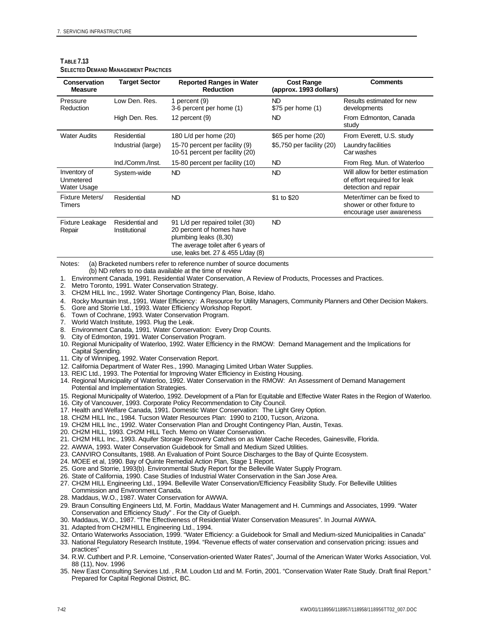| <b>Conservation</b><br><b>Measure</b>    | <b>Target Sector</b>             | <b>Reported Ranges in Water</b><br><b>Reduction</b>                                                                                                               | <b>Cost Range</b><br>(approx. 1993 dollars) | <b>Comments</b>                                                                         |
|------------------------------------------|----------------------------------|-------------------------------------------------------------------------------------------------------------------------------------------------------------------|---------------------------------------------|-----------------------------------------------------------------------------------------|
| Pressure<br>Reduction                    | Low Den, Res.                    | 1 percent (9)<br>3-6 percent per home (1)                                                                                                                         | ND<br>\$75 per home (1)                     | Results estimated for new<br>developments                                               |
|                                          | High Den. Res.                   | 12 percent (9)                                                                                                                                                    | ND                                          | From Edmonton, Canada<br>study                                                          |
| <b>Water Audits</b>                      | Residential                      | 180 L/d per home (20)                                                                                                                                             | \$65 per home (20)                          | From Everett, U.S. study                                                                |
|                                          | Industrial (large)               | 15-70 percent per facility (9)<br>10-51 percent per facility (20)                                                                                                 | \$5,750 per facility (20)                   | Laundry facilities<br>Car washes                                                        |
|                                          | Ind./Comm./Inst.                 | 15-80 percent per facility (10)                                                                                                                                   | ND                                          | From Reg. Mun. of Waterloo                                                              |
| Inventory of<br>Unmetered<br>Water Usage | System-wide                      | ND.                                                                                                                                                               | <b>ND</b>                                   | Will allow for better estimation<br>of effort required for leak<br>detection and repair |
| Fixture Meters/<br>Timers                | Residential                      | ND.                                                                                                                                                               | \$1 to \$20                                 | Meter/timer can be fixed to<br>shower or other fixture to<br>encourage user awareness   |
| Fixture Leakage<br>Repair                | Residential and<br>Institutional | 91 L/d per repaired toilet (30)<br>20 percent of homes have<br>plumbing leaks (8,30)<br>The average toilet after 6 years of<br>use, leaks bet. 27 & 455 L/day (8) | <b>ND</b>                                   |                                                                                         |

#### **TABLE 7.13 SELECTED DEMAND MANAGEMENT PRACTICES**

Notes: (a) Bracketed numbers refer to reference number of source documents

- (b) ND refers to no data available at the time of review
- 1. Environment Canada, 1991. Residential Water Conservation, A Review of Products, Processes and Practices. 2. Metro Toronto, 1991. Water Conservation Strategy.
- 3. CH2M HILL Inc., 1992. Water Shortage Contingency Plan, Boise, Idaho.
- 4. Rocky Mountain Inst., 1991. Water Efficiency: A Resource for Utility Managers, Community Planners and Other Decision Makers.<br>5. Gore and Storrie Ltd., 1993. Water Efficiency Workshop Report.
- 5. Gore and Storrie Ltd., 1993. Water Efficiency Workshop Report.
- 6. Town of Cochrane, 1993. Water Conservation Program.
- 7. World Watch Institute, 1993. Plug the Leak.
- 8. Environment Canada, 1991. Water Conservation: Every Drop Counts.
- 9. City of Edmonton, 1991. Water Conservation Program.
- 10. Regional Municipality of Waterloo, 1992. Water Efficiency in the RMOW: Demand Management and the Implications for Capital Spending.
- 11. City of Winnipeg, 1992. Water Conservation Report.
- 12. California Department of Water Res., 1990. Managing Limited Urban Water Supplies.
- 13. REIC Ltd., 1993. The Potential for Improving Water Efficiency in Existing Housing.
- 14. Regional Municipality of Waterloo, 1992. Water Conservation in the RMOW: An Assessment of Demand Management Potential and Implementation Strategies.
- 15. Regional Municipality of Waterloo, 1992. Development of a Plan for Equitable and Effective Water Rates in the Region of Waterloo.
- 16. City of Vancouver, 1993. Corporate Policy Recommendation to City Council.
- 17. Health and Welfare Canada, 1991. Domestic Water Conservation: The Light Grey Option.
- 18. CH2M HILL Inc., 1984. Tucson Water Resources Plan: 1990 to 2100, Tucson, Arizona.
- 19. CH2M HILL Inc., 1992. Water Conservation Plan and Drought Contingency Plan, Austin, Texas.
- 20. CH2M HILL, 1993. CH2M HILL Tech. Memo on Water Conservation.
- 21. CH2M HILL Inc., 1993. Aquifer Storage Recovery Catches on as Water Cache Recedes, Gainesville, Florida.
- 22. AWWA, 1993. Water Conservation Guidebook for Small and Medium Sized Utilities.
- 23. CANVIRO Consultants, 1988. An Evaluation of Point Source Discharges to the Bay of Quinte Ecosystem.
- 24. MOEE et al, 1990. Bay of Quinte Remedial Action Plan, Stage 1 Report.
- 25. Gore and Storrie, 1993(b). Environmental Study Report for the Belleville Water Supply Program.
- 26. State of California, 1990. Case Studies of Industrial Water Conservation in the San Jose Area.
- 27. CH2M HILL Engineering Ltd., 1994. Belleville Water Conservation/Efficiency Feasibility Study. For Belleville Utilities Commission and Environment Canada.
- 28. Maddaus, W.O., 1987. Water Conservation for AWWA.
- 29. Braun Consulting Engineers Ltd, M. Fortin, Maddaus Water Management and H. Cummings and Associates, 1999. "Water Conservation and Efficiency Study" . For the City of Guelph.
- 30. Maddaus, W.O., 1987. "The Effectiveness of Residential Water Conservation Measures". In Journal AWWA.
- 31. Adapted from CH2M HILL Engineering Ltd., 1994.
- 32. Ontario Waterworks Association, 1999. "Water Efficiency: a Guidebook for Small and Medium-sized Municipalities in Canada"
- 33. National Regulatory Research Institute, 1994. "Revenue effects of water conservation and conservation pricing: issues and practices"
- 34. R.W. Cuthbert and P.R. Lemoine, "Conservation-oriented Water Rates", Journal of the American Water Works Association, Vol. 88 (11), Nov. 1996
- 35. New East Consulting Services Ltd. , R.M. Loudon Ltd and M. Fortin, 2001. "Conservation Water Rate Study. Draft final Report." Prepared for Capital Regional District, BC.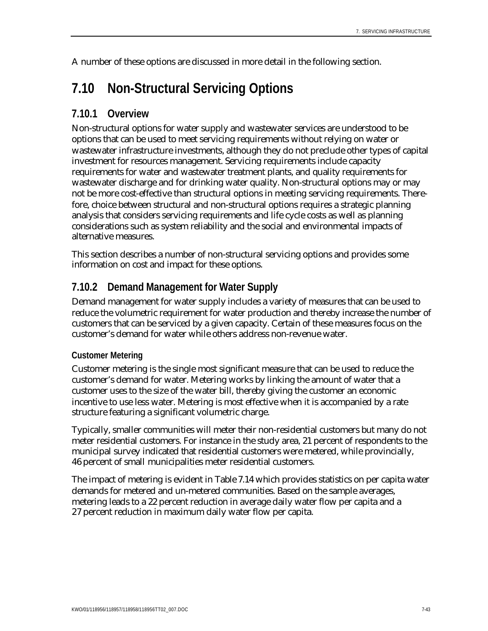A number of these options are discussed in more detail in the following section.

# **7.10 Non-Structural Servicing Options**

## **7.10.1 Overview**

Non-structural options for water supply and wastewater services are understood to be options that can be used to meet servicing requirements without relying on water or wastewater infrastructure investments, although they do not preclude other types of capital investment for resources management. Servicing requirements include capacity requirements for water and wastewater treatment plants, and quality requirements for wastewater discharge and for drinking water quality. Non-structural options may or may not be more cost-effective than structural options in meeting servicing requirements. Therefore, choice between structural and non-structural options requires a strategic planning analysis that considers servicing requirements and life cycle costs as well as planning considerations such as system reliability and the social and environmental impacts of alternative measures.

This section describes a number of non-structural servicing options and provides some information on cost and impact for these options.

## **7.10.2 Demand Management for Water Supply**

Demand management for water supply includes a variety of measures that can be used to reduce the volumetric requirement for water production and thereby increase the number of customers that can be serviced by a given capacity. Certain of these measures focus on the customer's demand for water while others address non-revenue water.

### **Customer Metering**

Customer metering is the single most significant measure that can be used to reduce the customer's demand for water. Metering works by linking the amount of water that a customer uses to the size of the water bill, thereby giving the customer an economic incentive to use less water. Metering is most effective when it is accompanied by a rate structure featuring a significant volumetric charge.

Typically, smaller communities will meter their non-residential customers but many do not meter residential customers. For instance in the study area, 21 percent of respondents to the municipal survey indicated that residential customers were metered, while provincially, 46 percent of small municipalities meter residential customers.

The impact of metering is evident in Table 7.14 which provides statistics on per capita water demands for metered and un-metered communities. Based on the sample averages, metering leads to a 22 percent reduction in average daily water flow per capita and a 27 percent reduction in maximum daily water flow per capita.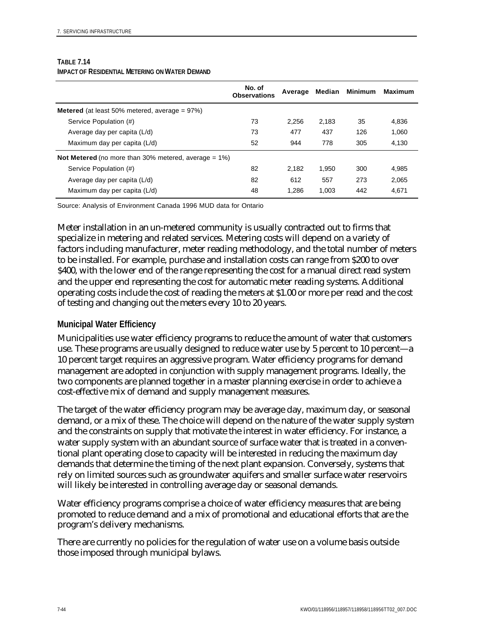|                                                                 | No. of<br><b>Observations</b> | Average | Median | <b>Minimum</b> | <b>Maximum</b> |
|-----------------------------------------------------------------|-------------------------------|---------|--------|----------------|----------------|
| <b>Metered</b> (at least 50% metered, average $= 97\%$ )        |                               |         |        |                |                |
| Service Population (#)                                          | 73                            | 2.256   | 2.183  | 35             | 4.836          |
| Average day per capita (L/d)                                    | 73                            | 477     | 437    | 126            | 1.060          |
| Maximum day per capita (L/d)                                    | 52                            | 944     | 778    | 305            | 4.130          |
| <b>Not Metered</b> (no more than 30% metered, average $= 1\%$ ) |                               |         |        |                |                |
| Service Population (#)                                          | 82                            | 2.182   | 1,950  | 300            | 4,985          |
| Average day per capita (L/d)                                    | 82                            | 612     | 557    | 273            | 2,065          |
| Maximum day per capita (L/d)                                    | 48                            | 1.286   | 1,003  | 442            | 4,671          |

#### **TABLE 7.14 IMPACT OF RESIDENTIAL METERING ON WATER DEMAND**

Source: Analysis of Environment Canada 1996 MUD data for Ontario

Meter installation in an un-metered community is usually contracted out to firms that specialize in metering and related services. Metering costs will depend on a variety of factors including manufacturer, meter reading methodology, and the total number of meters to be installed. For example, purchase and installation costs can range from \$200 to over \$400, with the lower end of the range representing the cost for a manual direct read system and the upper end representing the cost for automatic meter reading systems. Additional operating costs include the cost of reading the meters at \$1.00 or more per read and the cost of testing and changing out the meters every 10 to 20 years.

### **Municipal Water Efficiency**

Municipalities use water efficiency programs to reduce the amount of water that customers use. These programs are usually designed to reduce water use by 5 percent to 10 percent—a 10 percent target requires an aggressive program. Water efficiency programs for demand management are adopted in conjunction with supply management programs. Ideally, the two components are planned together in a master planning exercise in order to achieve a cost-effective mix of demand and supply management measures.

The target of the water efficiency program may be average day, maximum day, or seasonal demand, or a mix of these. The choice will depend on the nature of the water supply system and the constraints on supply that motivate the interest in water efficiency. For instance, a water supply system with an abundant source of surface water that is treated in a conventional plant operating close to capacity will be interested in reducing the maximum day demands that determine the timing of the next plant expansion. Conversely, systems that rely on limited sources such as groundwater aquifers and smaller surface water reservoirs will likely be interested in controlling average day or seasonal demands.

Water efficiency programs comprise a choice of water efficiency measures that are being promoted to reduce demand and a mix of promotional and educational efforts that are the program's delivery mechanisms.

There are currently no policies for the regulation of water use on a volume basis outside those imposed through municipal bylaws.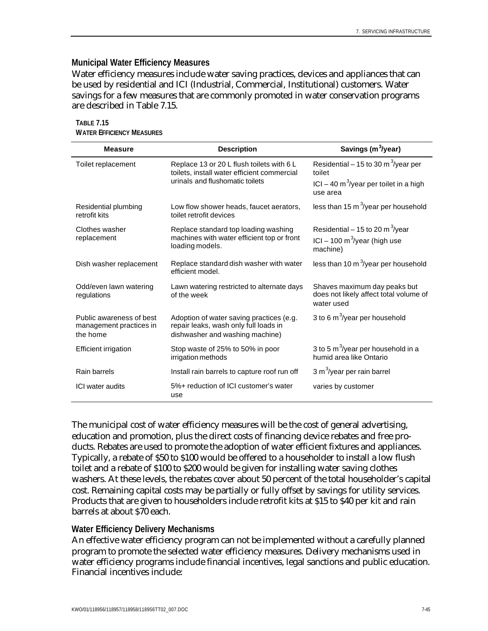### **Municipal Water Efficiency Measures**

Water efficiency measures include water saving practices, devices and appliances that can be used by residential and ICI (Industrial, Commercial, Institutional) customers. Water savings for a few measures that are commonly promoted in water conservation programs are described in Table 7.15.

| <b>Measure</b>                                                  | <b>Description</b>                                                                                                          | Savings (m <sup>3</sup> /year)                                                                                  |
|-----------------------------------------------------------------|-----------------------------------------------------------------------------------------------------------------------------|-----------------------------------------------------------------------------------------------------------------|
| Toilet replacement                                              | Replace 13 or 20 L flush toilets with 6 L<br>toilets, install water efficient commercial<br>urinals and flushomatic toilets | Residential – 15 to 30 m <sup>3</sup> /year per<br>toilet<br>ICI – 40 m <sup>3</sup> /year per toilet in a high |
|                                                                 |                                                                                                                             | use area                                                                                                        |
| Residential plumbing<br>retrofit kits                           | Low flow shower heads, faucet aerators,<br>toilet retrofit devices                                                          | less than 15 $m^3$ /year per household                                                                          |
| Clothes washer<br>replacement                                   | Replace standard top loading washing<br>machines with water efficient top or front<br>loading models.                       | Residential – 15 to 20 m <sup>3</sup> /year<br>ICI – 100 m <sup>3</sup> /year (high use<br>machine)             |
| Dish washer replacement                                         | Replace standard dish washer with water<br>efficient model.                                                                 | less than 10 $m^3$ /year per household                                                                          |
| Odd/even lawn watering<br>regulations                           | Lawn watering restricted to alternate days<br>of the week                                                                   | Shaves maximum day peaks but<br>does not likely affect total volume of<br>water used                            |
| Public awareness of best<br>management practices in<br>the home | Adoption of water saving practices (e.g.<br>repair leaks, wash only full loads in<br>dishwasher and washing machine)        | 3 to 6 $m^3$ /year per household                                                                                |
| <b>Efficient irrigation</b>                                     | Stop waste of 25% to 50% in poor<br>irrigation methods                                                                      | 3 to 5 m <sup>3</sup> /year per household in a<br>humid area like Ontario                                       |
| Rain barrels                                                    | Install rain barrels to capture roof run off                                                                                | 3 m <sup>3</sup> /year per rain barrel                                                                          |
| ICI water audits                                                | 5%+ reduction of ICI customer's water<br>use                                                                                | varies by customer                                                                                              |

**TABLE 7.15 WATER EFFICIENCY MEASURES**

The municipal cost of water efficiency measures will be the cost of general advertising, education and promotion, plus the direct costs of financing device rebates and free products. Rebates are used to promote the adoption of water efficient fixtures and appliances. Typically, a rebate of \$50 to \$100 would be offered to a householder to install a low flush toilet and a rebate of \$100 to \$200 would be given for installing water saving clothes washers. At these levels, the rebates cover about 50 percent of the total householder's capital cost. Remaining capital costs may be partially or fully offset by savings for utility services. Products that are given to householders include retrofit kits at \$15 to \$40 per kit and rain barrels at about \$70 each.

### **Water Efficiency Delivery Mechanisms**

An effective water efficiency program can not be implemented without a carefully planned program to promote the selected water efficiency measures. Delivery mechanisms used in water efficiency programs include financial incentives, legal sanctions and public education. Financial incentives include: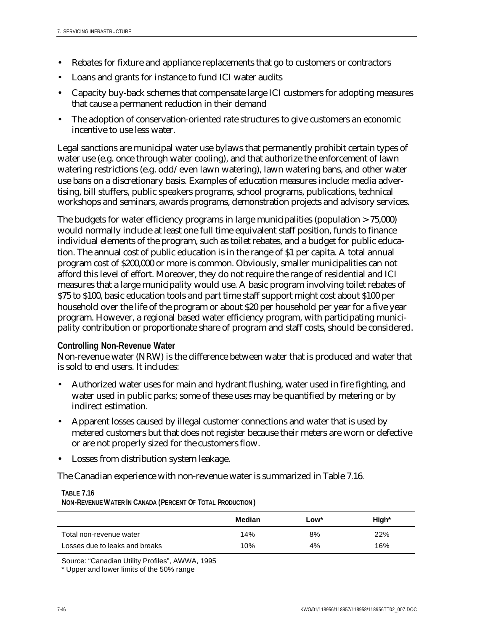- Rebates for fixture and appliance replacements that go to customers or contractors
- Loans and grants for instance to fund ICI water audits
- Capacity buy-back schemes that compensate large ICI customers for adopting measures that cause a permanent reduction in their demand
- The adoption of conservation-oriented rate structures to give customers an economic incentive to use less water.

Legal sanctions are municipal water use bylaws that permanently prohibit certain types of water use (e.g. once through water cooling), and that authorize the enforcement of lawn watering restrictions (e.g. odd/even lawn watering), lawn watering bans, and other water use bans on a discretionary basis. Examples of education measures include: media advertising, bill stuffers, public speakers programs, school programs, publications, technical workshops and seminars, awards programs, demonstration projects and advisory services.

The budgets for water efficiency programs in large municipalities (population > 75,000) would normally include at least one full time equivalent staff position, funds to finance individual elements of the program, such as toilet rebates, and a budget for public education. The annual cost of public education is in the range of \$1 per capita. A total annual program cost of \$200,000 or more is common. Obviously, smaller municipalities can not afford this level of effort. Moreover, they do not require the range of residential and ICI measures that a large municipality would use. A basic program involving toilet rebates of \$75 to \$100, basic education tools and part time staff support might cost about \$100 per household over the life of the program or about \$20 per household per year for a five year program. However, a regional based water efficiency program, with participating municipality contribution or proportionate share of program and staff costs, should be considered.

#### **Controlling Non-Revenue Water**

Non-revenue water (NRW) is the difference between water that is produced and water that is sold to end users. It includes:

- Authorized water uses for main and hydrant flushing, water used in fire fighting, and water used in public parks; some of these uses may be quantified by metering or by indirect estimation.
- Apparent losses caused by illegal customer connections and water that is used by metered customers but that does not register because their meters are worn or defective or are not properly sized for the customers flow.
- Losses from distribution system leakage.

The Canadian experience with non-revenue water is summarized in Table 7.16.

| <b>INUM-REVENUE WATER IN CANADA (FERGENT OF TUTAL FRODUCTION)</b> |        |      |       |  |  |
|-------------------------------------------------------------------|--------|------|-------|--|--|
|                                                                   | Median | Low* | High* |  |  |
| Total non-revenue water                                           | 14%    | 8%   | 22%   |  |  |
| Losses due to leaks and breaks                                    | 10%    | 4%   | 16%   |  |  |

**TABLE 7.16 NON-REVENUE WATER IN CANADA (PERCENT OF TOTAL PRODUCTION )**

Source: "Canadian Utility Profiles", AWWA, 1995

<sup>\*</sup> Upper and lower limits of the 50% range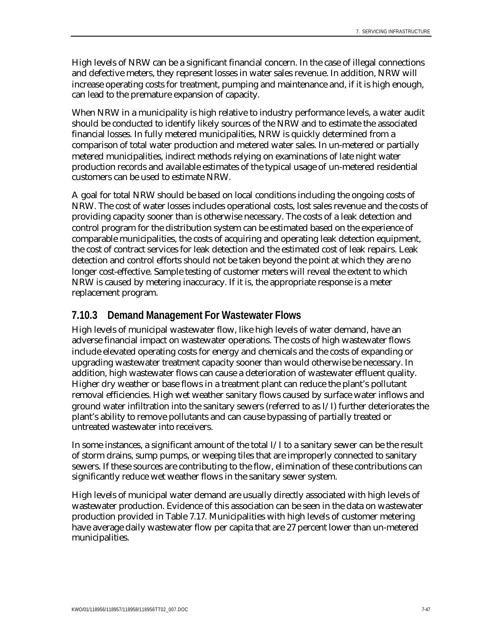High levels of NRW can be a significant financial concern. In the case of illegal connections and defective meters, they represent losses in water sales revenue. In addition, NRW will increase operating costs for treatment, pumping and maintenance and, if it is high enough, can lead to the premature expansion of capacity.

When NRW in a municipality is high relative to industry performance levels, a water audit should be conducted to identify likely sources of the NRW and to estimate the associated financial losses. In fully metered municipalities, NRW is quickly determined from a comparison of total water production and metered water sales. In un-metered or partially metered municipalities, indirect methods relying on examinations of late night water production records and available estimates of the typical usage of un-metered residential customers can be used to estimate NRW.

A goal for total NRW should be based on local conditions including the ongoing costs of NRW. The cost of water losses includes operational costs, lost sales revenue and the costs of providing capacity sooner than is otherwise necessary. The costs of a leak detection and control program for the distribution system can be estimated based on the experience of comparable municipalities, the costs of acquiring and operating leak detection equipment, the cost of contract services for leak detection and the estimated cost of leak repairs. Leak detection and control efforts should not be taken beyond the point at which they are no longer cost-effective. Sample testing of customer meters will reveal the extent to which NRW is caused by metering inaccuracy. If it is, the appropriate response is a meter replacement program.

## **7.10.3 Demand Management For Wastewater Flows**

High levels of municipal wastewater flow, like high levels of water demand, have an adverse financial impact on wastewater operations. The costs of high wastewater flows include elevated operating costs for energy and chemicals and the costs of expanding or upgrading wastewater treatment capacity sooner than would otherwise be necessary. In addition, high wastewater flows can cause a deterioration of wastewater effluent quality. Higher dry weather or base flows in a treatment plant can reduce the plant's pollutant removal efficiencies. High wet weather sanitary flows caused by surface water inflows and ground water infiltration into the sanitary sewers (referred to as I/I) further deteriorates the plant's ability to remove pollutants and can cause bypassing of partially treated or untreated wastewater into receivers.

In some instances, a significant amount of the total I/I to a sanitary sewer can be the result of storm drains, sump pumps, or weeping tiles that are improperly connected to sanitary sewers. If these sources are contributing to the flow, elimination of these contributions can significantly reduce wet weather flows in the sanitary sewer system.

High levels of municipal water demand are usually directly associated with high levels of wastewater production. Evidence of this association can be seen in the data on wastewater production provided in Table 7.17. Municipalities with high levels of customer metering have average daily wastewater flow per capita that are 27 percent lower than un-metered municipalities.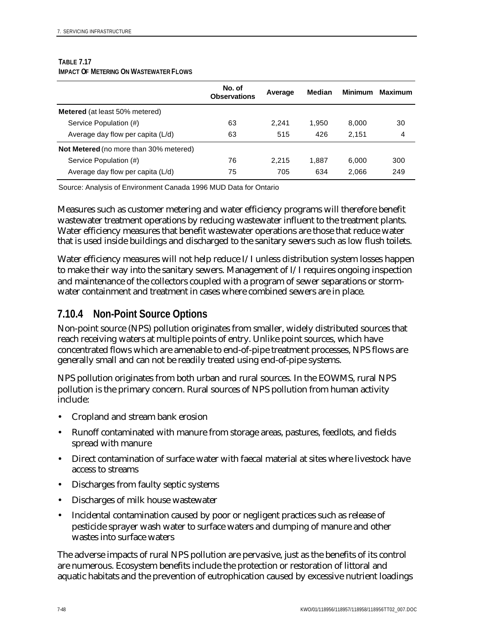#### **TABLE 7.17 IMPACT OF METERING ON WASTEWATER FLOWS**

|                                               | No. of<br><b>Observations</b> | Average | <b>Median</b> | <b>Minimum</b> | <b>Maximum</b> |
|-----------------------------------------------|-------------------------------|---------|---------------|----------------|----------------|
| <b>Metered</b> (at least 50% metered)         |                               |         |               |                |                |
| Service Population (#)                        | 63                            | 2.241   | 1.950         | 8.000          | 30             |
| Average day flow per capita (L/d)             | 63                            | 515     | 426           | 2.151          | 4              |
| <b>Not Metered</b> (no more than 30% metered) |                               |         |               |                |                |
| Service Population (#)                        | 76                            | 2.215   | 1.887         | 6.000          | 300            |
| Average day flow per capita (L/d)             | 75                            | 705     | 634           | 2,066          | 249            |

Source: Analysis of Environment Canada 1996 MUD Data for Ontario

Measures such as customer metering and water efficiency programs will therefore benefit wastewater treatment operations by reducing wastewater influent to the treatment plants. Water efficiency measures that benefit wastewater operations are those that reduce water that is used inside buildings and discharged to the sanitary sewers such as low flush toilets.

Water efficiency measures will not help reduce I/I unless distribution system losses happen to make their way into the sanitary sewers. Management of I/I requires ongoing inspection and maintenance of the collectors coupled with a program of sewer separations or stormwater containment and treatment in cases where combined sewers are in place.

## **7.10.4 Non-Point Source Options**

Non-point source (NPS) pollution originates from smaller, widely distributed sources that reach receiving waters at multiple points of entry. Unlike point sources, which have concentrated flows which are amenable to end-of-pipe treatment processes, NPS flows are generally small and can not be readily treated using end-of-pipe systems.

NPS pollution originates from both urban and rural sources. In the EOWMS, rural NPS pollution is the primary concern. Rural sources of NPS pollution from human activity include:

- Cropland and stream bank erosion
- Runoff contaminated with manure from storage areas, pastures, feedlots, and fields spread with manure
- Direct contamination of surface water with faecal material at sites where livestock have access to streams
- Discharges from faulty septic systems
- Discharges of milk house wastewater
- Incidental contamination caused by poor or negligent practices such as release of pesticide sprayer wash water to surface waters and dumping of manure and other wastes into surface waters

The adverse impacts of rural NPS pollution are pervasive, just as the benefits of its control are numerous. Ecosystem benefits include the protection or restoration of littoral and aquatic habitats and the prevention of eutrophication caused by excessive nutrient loadings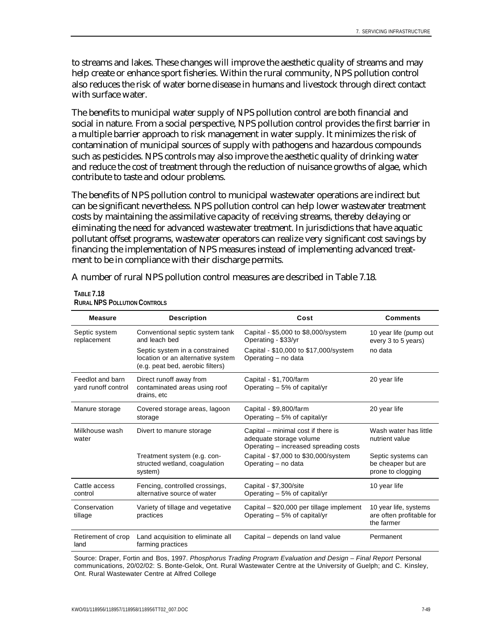to streams and lakes. These changes will improve the aesthetic quality of streams and may help create or enhance sport fisheries. Within the rural community, NPS pollution control also reduces the risk of water borne disease in humans and livestock through direct contact with surface water.

The benefits to municipal water supply of NPS pollution control are both financial and social in nature. From a social perspective, NPS pollution control provides the first barrier in a multiple barrier approach to risk management in water supply. It minimizes the risk of contamination of municipal sources of supply with pathogens and hazardous compounds such as pesticides. NPS controls may also improve the aesthetic quality of drinking water and reduce the cost of treatment through the reduction of nuisance growths of algae, which contribute to taste and odour problems.

The benefits of NPS pollution control to municipal wastewater operations are indirect but can be significant nevertheless. NPS pollution control can help lower wastewater treatment costs by maintaining the assimilative capacity of receiving streams, thereby delaying or eliminating the need for advanced wastewater treatment. In jurisdictions that have aquatic pollutant offset programs, wastewater operators can realize very significant cost savings by financing the implementation of NPS measures instead of implementing advanced treatment to be in compliance with their discharge permits.

A number of rural NPS pollution control measures are described in Table 7.18.

| <b>Measure</b>                          | <b>Description</b>                                                                                      | Cost                                                                                                   | <b>Comments</b>                                                 |
|-----------------------------------------|---------------------------------------------------------------------------------------------------------|--------------------------------------------------------------------------------------------------------|-----------------------------------------------------------------|
| Septic system<br>replacement            | Conventional septic system tank<br>and leach bed                                                        | Capital - \$5,000 to \$8,000/system<br>Operating - \$33/yr                                             | 10 year life (pump out<br>every 3 to 5 years)                   |
|                                         | Septic system in a constrained<br>location or an alternative system<br>(e.g. peat bed, aerobic filters) | Capital - \$10,000 to \$17,000/system<br>Operating - no data                                           | no data                                                         |
| Feedlot and barn<br>yard runoff control | Direct runoff away from<br>contaminated areas using roof<br>drains, etc                                 | Capital - \$1,700/farm<br>Operating $-5%$ of capital/yr                                                | 20 year life                                                    |
| Manure storage                          | Covered storage areas, lagoon<br>storage                                                                | Capital - \$9,800/farm<br>Operating - 5% of capital/yr                                                 | 20 year life                                                    |
| Milkhouse wash<br>water                 | Divert to manure storage                                                                                | Capital - minimal cost if there is<br>adequate storage volume<br>Operating – increased spreading costs | Wash water has little<br>nutrient value                         |
|                                         | Treatment system (e.g. con-<br>structed wetland, coagulation<br>system)                                 | Capital - \$7,000 to \$30,000/system<br>Operating - no data                                            | Septic systems can<br>be cheaper but are<br>prone to clogging   |
| Cattle access<br>control                | Fencing, controlled crossings,<br>alternative source of water                                           | Capital - \$7,300/site<br>Operating $-5%$ of capital/yr                                                | 10 year life                                                    |
| Conservation<br>tillage                 | Variety of tillage and vegetative<br>practices                                                          | Capital - \$20,000 per tillage implement<br>Operating $-5%$ of capital/yr                              | 10 year life, systems<br>are often profitable for<br>the farmer |
| Retirement of crop<br>land              | Land acquisition to eliminate all<br>farming practices                                                  | Capital – depends on land value                                                                        | Permanent                                                       |

#### **TABLE 7.18 RURAL NPS POLLUTION CONTROLS**

Source: Draper, Fortin and Bos, 1997. Phosphorus Trading Program Evaluation and Design - Final Report Personal communications, 20/02/02: S. Bonte-Gelok, Ont. Rural Wastewater Centre at the University of Guelph; and C. Kinsley, Ont. Rural Wastewater Centre at Alfred College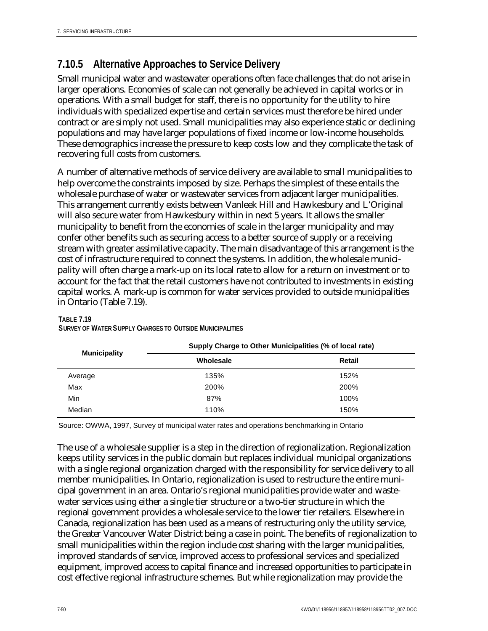## **7.10.5 Alternative Approaches to Service Delivery**

Small municipal water and wastewater operations often face challenges that do not arise in larger operations. Economies of scale can not generally be achieved in capital works or in operations. With a small budget for staff, there is no opportunity for the utility to hire individuals with specialized expertise and certain services must therefore be hired under contract or are simply not used. Small municipalities may also experience static or declining populations and may have larger populations of fixed income or low-income households. These demographics increase the pressure to keep costs low and they complicate the task of recovering full costs from customers.

A number of alternative methods of service delivery are available to small municipalities to help overcome the constraints imposed by size. Perhaps the simplest of these entails the wholesale purchase of water or wastewater services from adjacent larger municipalities. This arrangement currently exists between Vanleek Hill and Hawkesbury and L'Original will also secure water from Hawkesbury within in next 5 years. It allows the smaller municipality to benefit from the economies of scale in the larger municipality and may confer other benefits such as securing access to a better source of supply or a receiving stream with greater assimilative capacity. The main disadvantage of this arrangement is the cost of infrastructure required to connect the systems. In addition, the wholesale municipality will often charge a mark-up on its local rate to allow for a return on investment or to account for the fact that the retail customers have not contributed to investments in existing capital works. A mark-up is common for water services provided to outside municipalities in Ontario (Table 7.19).

|                     | Supply Charge to Other Municipalities (% of local rate) |               |  |
|---------------------|---------------------------------------------------------|---------------|--|
| <b>Municipality</b> | Wholesale                                               | <b>Retail</b> |  |
| Average             | 135%                                                    | 152%          |  |
| Max                 | 200%                                                    | 200%          |  |
| Min                 | 87%                                                     | 100%          |  |
| Median              | 110%                                                    | 150%          |  |

#### **TABLE 7.19 SURVEY OF WATER SUPPLY CHARGES TO OUTSIDE MUNICIPALITIES**

Source: OWWA, 1997, Survey of municipal water rates and operations benchmarking in Ontario

The use of a wholesale supplier is a step in the direction of regionalization. Regionalization keeps utility services in the public domain but replaces individual municipal organizations with a single regional organization charged with the responsibility for service delivery to all member municipalities. In Ontario, regionalization is used to restructure the entire municipal government in an area. Ontario's regional municipalities provide water and wastewater services using either a single tier structure or a two-tier structure in which the regional government provides a wholesale service to the lower tier retailers. Elsewhere in Canada, regionalization has been used as a means of restructuring only the utility service, the Greater Vancouver Water District being a case in point. The benefits of regionalization to small municipalities within the region include cost sharing with the larger municipalities, improved standards of service, improved access to professional services and specialized equipment, improved access to capital finance and increased opportunities to participate in cost effective regional infrastructure schemes. But while regionalization may provide the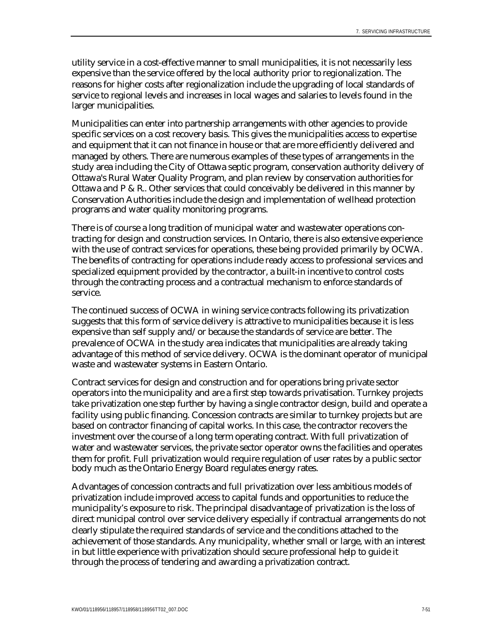utility service in a cost-effective manner to small municipalities, it is not necessarily less expensive than the service offered by the local authority prior to regionalization. The reasons for higher costs after regionalization include the upgrading of local standards of service to regional levels and increases in local wages and salaries to levels found in the larger municipalities.

Municipalities can enter into partnership arrangements with other agencies to provide specific services on a cost recovery basis. This gives the municipalities access to expertise and equipment that it can not finance in house or that are more efficiently delivered and managed by others. There are numerous examples of these types of arrangements in the study area including the City of Ottawa septic program, conservation authority delivery of Ottawa's Rural Water Quality Program, and plan review by conservation authorities for Ottawa and P & R.. Other services that could conceivably be delivered in this manner by Conservation Authorities include the design and implementation of wellhead protection programs and water quality monitoring programs.

There is of course a long tradition of municipal water and wastewater operations contracting for design and construction services. In Ontario, there is also extensive experience with the use of contract services for operations, these being provided primarily by OCWA. The benefits of contracting for operations include ready access to professional services and specialized equipment provided by the contractor, a built-in incentive to control costs through the contracting process and a contractual mechanism to enforce standards of service.

The continued success of OCWA in wining service contracts following its privatization suggests that this form of service delivery is attractive to municipalities because it is less expensive than self supply and/or because the standards of service are better. The prevalence of OCWA in the study area indicates that municipalities are already taking advantage of this method of service delivery. OCWA is the dominant operator of municipal waste and wastewater systems in Eastern Ontario.

Contract services for design and construction and for operations bring private sector operators into the municipality and are a first step towards privatisation. Turnkey projects take privatization one step further by having a single contractor design, build and operate a facility using public financing. Concession contracts are similar to turnkey projects but are based on contractor financing of capital works. In this case, the contractor recovers the investment over the course of a long term operating contract. With full privatization of water and wastewater services, the private sector operator owns the facilities and operates them for profit. Full privatization would require regulation of user rates by a public sector body much as the Ontario Energy Board regulates energy rates.

Advantages of concession contracts and full privatization over less ambitious models of privatization include improved access to capital funds and opportunities to reduce the municipality's exposure to risk. The principal disadvantage of privatization is the loss of direct municipal control over service delivery especially if contractual arrangements do not clearly stipulate the required standards of service and the conditions attached to the achievement of those standards. Any municipality, whether small or large, with an interest in but little experience with privatization should secure professional help to guide it through the process of tendering and awarding a privatization contract.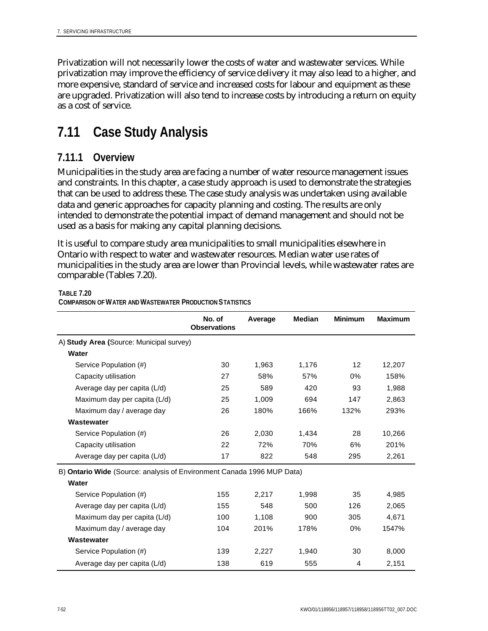Privatization will not necessarily lower the costs of water and wastewater services. While privatization may improve the efficiency of service delivery it may also lead to a higher, and more expensive, standard of service and increased costs for labour and equipment as these are upgraded. Privatization will also tend to increase costs by introducing a return on equity as a cost of service.

# **7.11 Case Study Analysis**

## **7.11.1 Overview**

Municipalities in the study area are facing a number of water resource management issues and constraints. In this chapter, a case study approach is used to demonstrate the strategies that can be used to address these. The case study analysis was undertaken using available data and generic approaches for capacity planning and costing. The results are only intended to demonstrate the potential impact of demand management and should not be used as a basis for making any capital planning decisions.

It is useful to compare study area municipalities to small municipalities elsewhere in Ontario with respect to water and wastewater resources. Median water use rates of municipalities in the study area are lower than Provincial levels, while wastewater rates are comparable (Tables 7.20).

#### **TABLE 7.20**

**COMPARISON OF WATER AND WASTEWATER PRODUCTION STATISTICS**

|                                                                        | No. of<br><b>Observations</b> | Average | <b>Median</b> | <b>Minimum</b> | <b>Maximum</b> |
|------------------------------------------------------------------------|-------------------------------|---------|---------------|----------------|----------------|
| A) Study Area (Source: Municipal survey)                               |                               |         |               |                |                |
| Water                                                                  |                               |         |               |                |                |
| Service Population (#)                                                 | 30                            | 1,963   | 1,176         | 12             | 12,207         |
| Capacity utilisation                                                   | 27                            | 58%     | 57%           | $0\%$          | 158%           |
| Average day per capita (L/d)                                           | 25                            | 589     | 420           | 93             | 1,988          |
| Maximum day per capita (L/d)                                           | 25                            | 1.009   | 694           | 147            | 2.863          |
| Maximum day / average day                                              | 26                            | 180%    | 166%          | 132%           | 293%           |
| Wastewater                                                             |                               |         |               |                |                |
| Service Population (#)                                                 | 26                            | 2,030   | 1,434         | 28             | 10,266         |
| Capacity utilisation                                                   | 22                            | 72%     | 70%           | 6%             | 201%           |
| Average day per capita (L/d)                                           | 17                            | 822     | 548           | 295            | 2,261          |
| B) Ontario Wide (Source: analysis of Environment Canada 1996 MUP Data) |                               |         |               |                |                |
| Water                                                                  |                               |         |               |                |                |
| Service Population (#)                                                 | 155                           | 2,217   | 1,998         | 35             | 4,985          |
| Average day per capita (L/d)                                           | 155                           | 548     | 500           | 126            | 2,065          |
| Maximum day per capita (L/d)                                           | 100                           | 1,108   | 900           | 305            | 4,671          |
| Maximum day / average day                                              | 104                           | 201%    | 178%          | $0\%$          | 1547%          |
| Wastewater                                                             |                               |         |               |                |                |
| Service Population (#)                                                 | 139                           | 2,227   | 1,940         | 30             | 8,000          |
| Average day per capita (L/d)                                           | 138                           | 619     | 555           | 4              | 2,151          |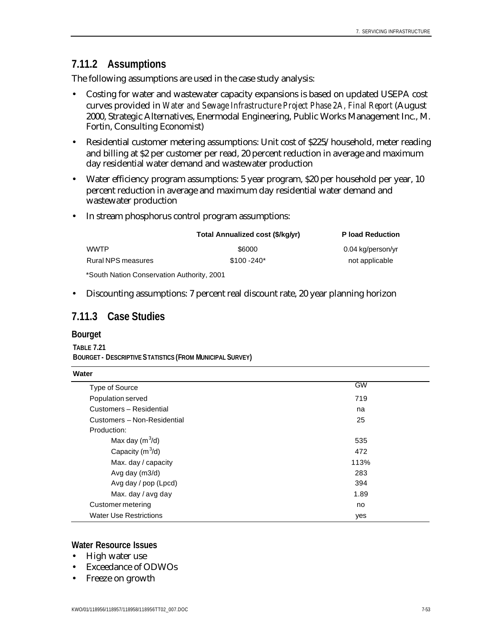## **7.11.2 Assumptions**

The following assumptions are used in the case study analysis:

- Costing for water and wastewater capacity expansions is based on updated USEPA cost curves provided in *Water and Sewage Infrastructure Project Phase 2A, Final Report* (August 2000, Strategic Alternatives, Enermodal Engineering, Public Works Management Inc., M. Fortin, Consulting Economist)
- Residential customer metering assumptions: Unit cost of \$225/household, meter reading and billing at \$2 per customer per read, 20 percent reduction in average and maximum day residential water demand and wastewater production
- Water efficiency program assumptions: 5 year program, \$20 per household per year, 10 percent reduction in average and maximum day residential water demand and wastewater production
- In stream phosphorus control program assumptions:

|                                            | Total Annualized cost (\$/kg/yr) | <b>P</b> load Reduction |
|--------------------------------------------|----------------------------------|-------------------------|
| WWTP.                                      | \$6000                           | 0.04 kg/person/yr       |
| Rural NPS measures                         | $$100 - 240*$                    | not applicable          |
| *South Nation Conservation Authority, 2001 |                                  |                         |

• Discounting assumptions: 7 percent real discount rate, 20 year planning horizon

### **7.11.3 Case Studies**

#### **Bourget**

**TABLE 7.21 BOURGET - DESCRIPTIVE STATISTICS (FROM MUNICIPAL SURVEY)**

| Water                         |           |
|-------------------------------|-----------|
| Type of Source                | <b>GW</b> |
| Population served             | 719       |
| Customers - Residential       | na        |
| Customers - Non-Residential   | 25        |
| Production:                   |           |
| Max day $(m^3/d)$             | 535       |
| Capacity $(m^3/d)$            | 472       |
| Max. day / capacity           | 113%      |
| Avg day (m3/d)                | 283       |
| Avg day / pop (Lpcd)          | 394       |
| Max. day / avg day            | 1.89      |
| Customer metering             | no        |
| <b>Water Use Restrictions</b> | yes       |

#### **Water Resource Issues**

- High water use
- Exceedance of ODWOs
- Freeze on growth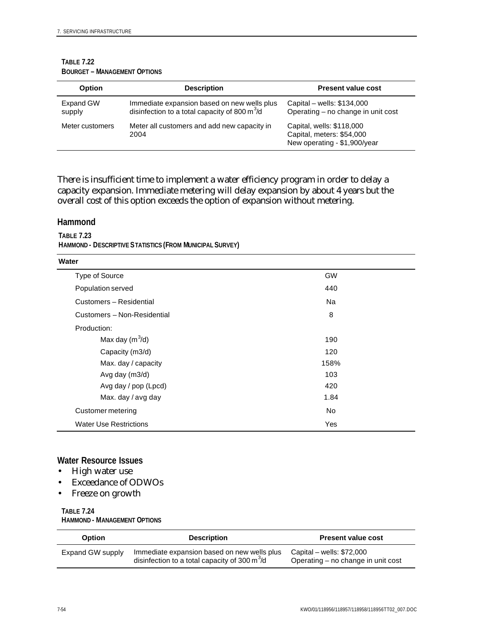| <b>Option</b>       | <b>Description</b>                                                                             | <b>Present value cost</b>                                                              |
|---------------------|------------------------------------------------------------------------------------------------|----------------------------------------------------------------------------------------|
| Expand GW<br>supply | Immediate expansion based on new wells plus<br>disinfection to a total capacity of 800 $m^3/d$ | Capital – wells: \$134,000<br>Operating – no change in unit cost                       |
| Meter customers     | Meter all customers and add new capacity in<br>2004                                            | Capital, wells: \$118,000<br>Capital, meters: \$54,000<br>New operating - \$1,900/year |

#### **TABLE 7.22 BOURGET – MANAGEMENT OPTIONS**

There is insufficient time to implement a water efficiency program in order to delay a capacity expansion. Immediate metering will delay expansion by about 4 years but the overall cost of this option exceeds the option of expansion without metering.

#### **Hammond**

**TABLE 7.23 HAMMOND - DESCRIPTIVE STATISTICS (FROM MUNICIPAL SURVEY)**

| Water                         |           |
|-------------------------------|-----------|
| Type of Source                | <b>GW</b> |
| Population served             | 440       |
| Customers - Residential       | Na        |
| Customers - Non-Residential   | 8         |
| Production:                   |           |
| Max day $(m^3/d)$             | 190       |
| Capacity (m3/d)               | 120       |
| Max. day / capacity           | 158%      |
| Avg day (m3/d)                | 103       |
| Avg day / pop (Lpcd)          | 420       |
| Max. day / avg day            | 1.84      |
| Customer metering             | No        |
| <b>Water Use Restrictions</b> | Yes       |

### **Water Resource Issues**

- High water use
- Exceedance of ODWOs
- Freeze on growth

#### **TABLE 7.24 HAMMOND - MANAGEMENT OPTIONS**

| Option           | <b>Description</b>                                                                                           | <b>Present value cost</b>                                        |
|------------------|--------------------------------------------------------------------------------------------------------------|------------------------------------------------------------------|
| Expand GW supply | Immediate expansion based on new wells plus<br>disinfection to a total capacity of 300 $\text{m}^3/\text{d}$ | Capital – wells: $$72,000$<br>Operating - no change in unit cost |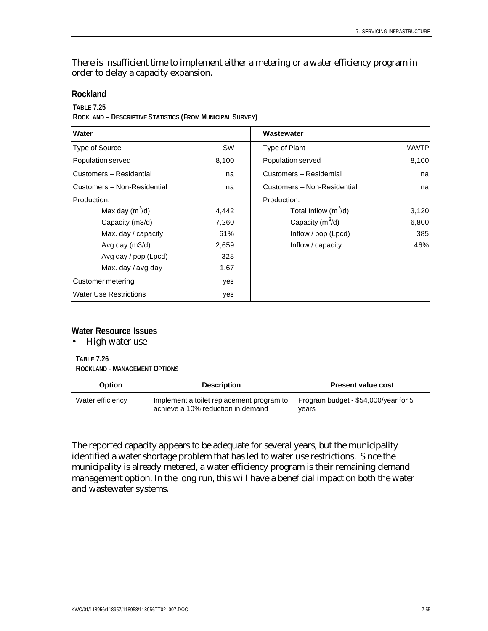There is insufficient time to implement either a metering or a water efficiency program in order to delay a capacity expansion.

#### **Rockland**

#### **TABLE 7.25**

**ROCKLAND – DESCRIPTIVE STATISTICS (FROM MUNICIPAL SURVEY)**

| Water                         |           | Wastewater                  |             |
|-------------------------------|-----------|-----------------------------|-------------|
| Type of Source                | <b>SW</b> | Type of Plant               | <b>WWTP</b> |
| Population served             | 8,100     | Population served           | 8,100       |
| Customers - Residential       | na        | Customers - Residential     | na          |
| Customers - Non-Residential   | na        | Customers - Non-Residential | na          |
| Production:                   |           | Production:                 |             |
| Max day $(m^3/d)$             | 4,442     | Total Inflow $(m^3/d)$      | 3,120       |
| Capacity (m3/d)               | 7,260     | Capacity $(m^3/d)$          | 6,800       |
| Max. day / capacity           | 61%       | Inflow / pop (Lpcd)         | 385         |
| Avg day $(m3/d)$              | 2,659     | Inflow / capacity           | 46%         |
| Avg day / pop (Lpcd)          | 328       |                             |             |
| Max. day / avg day            | 1.67      |                             |             |
| Customer metering             | yes       |                             |             |
| <b>Water Use Restrictions</b> | yes       |                             |             |

#### **Water Resource Issues**

• High water use

**TABLE 7.26 ROCKLAND - MANAGEMENT OPTIONS**

| <b>Option</b>    | <b>Description</b>                                                             | <b>Present value cost</b>                     |
|------------------|--------------------------------------------------------------------------------|-----------------------------------------------|
| Water efficiency | Implement a toilet replacement program to<br>achieve a 10% reduction in demand | Program budget - \$54,000/year for 5<br>vears |

The reported capacity appears to be adequate for several years, but the municipality identified a water shortage problem that has led to water use restrictions. Since the municipality is already metered, a water efficiency program is their remaining demand management option. In the long run, this will have a beneficial impact on both the water and wastewater systems.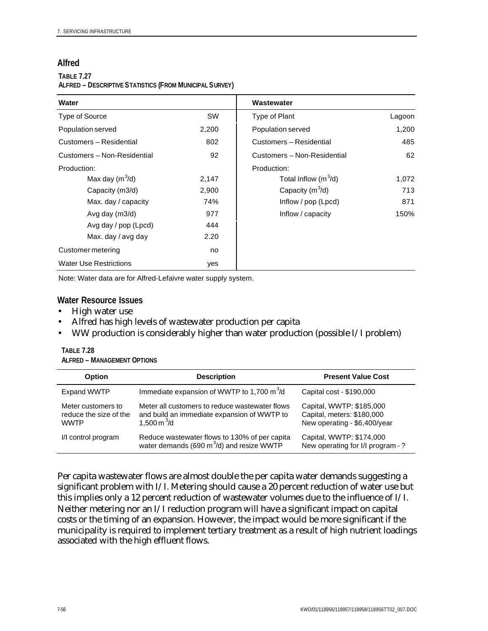### **Alfred**

#### **TABLE 7.27 ALFRED – DESCRIPTIVE STATISTICS (FROM MUNICIPAL SURVEY)**

| Water                         |           | Wastewater                  |        |
|-------------------------------|-----------|-----------------------------|--------|
| Type of Source                | <b>SW</b> | Type of Plant               | Lagoon |
| Population served             | 2,200     | Population served           | 1,200  |
| Customers - Residential       | 802       | Customers - Residential     | 485    |
| Customers - Non-Residential   | 92        | Customers - Non-Residential | 62     |
| Production:                   |           | Production:                 |        |
| Max day $(m^3/d)$             | 2,147     | Total Inflow $(m^3/d)$      | 1,072  |
| Capacity (m3/d)               | 2,900     | Capacity $(m^3/d)$          | 713    |
| Max. day / capacity           | 74%       | Inflow / pop (Lpcd)         | 871    |
| Avg day $(m3/d)$              | 977       | Inflow / capacity           | 150%   |
| Avg day / pop (Lpcd)          | 444       |                             |        |
| Max. day / avg day            | 2.20      |                             |        |
| Customer metering             | no        |                             |        |
| <b>Water Use Restrictions</b> | yes       |                             |        |

Note: Water data are for Alfred-Lefaivre water supply system.

#### **Water Resource Issues**

- High water use
- Alfred has high levels of wastewater production per capita
- WW production is considerably higher than water production (possible I/I problem)

| <b>Option</b>                                               | <b>Description</b>                                                                                                 | <b>Present Value Cost</b>                                                              |
|-------------------------------------------------------------|--------------------------------------------------------------------------------------------------------------------|----------------------------------------------------------------------------------------|
| <b>Expand WWTP</b>                                          | Immediate expansion of WWTP to 1,700 $m3/d$                                                                        | Capital cost - \$190,000                                                               |
| Meter customers to<br>reduce the size of the<br><b>WWTP</b> | Meter all customers to reduce wastewater flows<br>and build an immediate expansion of WWTP to<br>1,500 m $^{3}$ /d | Capital, WWTP: \$185,000<br>Capital, meters: \$180,000<br>New operating - \$6,400/year |
| I/I control program                                         | Reduce wastewater flows to 130% of per capita<br>water demands (690 m $3$ /d) and resize WWTP                      | Capital, WWTP: \$174,000<br>New operating for I/I program -?                           |

| <b>TABLE 7.28</b>                  |
|------------------------------------|
| <b>ALFRED – MANAGEMENT OPTIONS</b> |

Per capita wastewater flows are almost double the per capita water demands suggesting a significant problem with I/I. Metering should cause a 20 percent reduction of water use but this implies only a 12 percent reduction of wastewater volumes due to the influence of I/I. Neither metering nor an I/I reduction program will have a significant impact on capital costs or the timing of an expansion. However, the impact would be more significant if the municipality is required to implement tertiary treatment as a result of high nutrient loadings associated with the high effluent flows.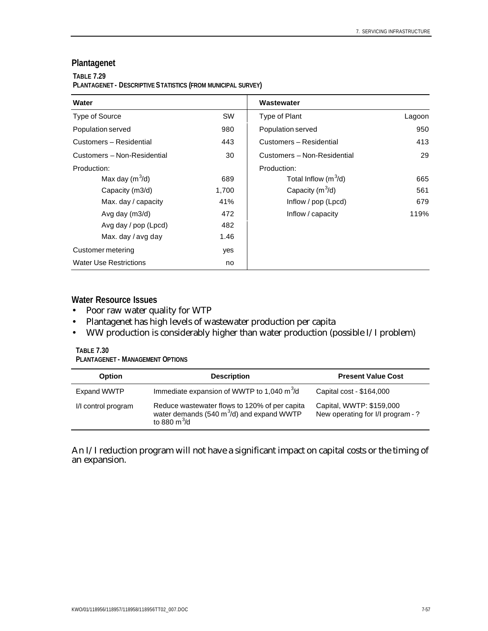## **Plantagenet**

#### **TABLE 7.29**

#### **PLANTAGENET - DESCRIPTIVE STATISTICS (FROM MUNICIPAL SURVEY)**

| Water                         |           | Wastewater                  |        |
|-------------------------------|-----------|-----------------------------|--------|
| Type of Source                | <b>SW</b> | Type of Plant               | Lagoon |
| Population served             | 980       | Population served           | 950    |
| Customers - Residential       | 443       | Customers - Residential     | 413    |
| Customers - Non-Residential   | 30        | Customers - Non-Residential | 29     |
| Production:                   |           | Production:                 |        |
| Max day $(m^3/d)$             | 689       | Total Inflow $(m^3/d)$      | 665    |
| Capacity (m3/d)               | 1,700     | Capacity $(m^3/d)$          | 561    |
| Max. day / capacity           | 41%       | Inflow $/$ pop (Lpcd)       | 679    |
| Avg day (m3/d)                | 472       | Inflow / capacity           | 119%   |
| Avg day / pop (Lpcd)          | 482       |                             |        |
| Max. day / avg day            | 1.46      |                             |        |
| Customer metering             | yes       |                             |        |
| <b>Water Use Restrictions</b> | no        |                             |        |

### **Water Resource Issues**

- Poor raw water quality for WTP
- Plantagenet has high levels of wastewater production per capita
- WW production is considerably higher than water production (possible I/I problem)

## **TABLE 7.30**

**PLANTAGENET - MANAGEMENT OPTIONS**

| <b>Option</b>       | <b>Description</b>                                                                                              | <b>Present Value Cost</b>                                     |
|---------------------|-----------------------------------------------------------------------------------------------------------------|---------------------------------------------------------------|
| Expand WWTP         | Immediate expansion of WWTP to 1,040 $m^3/d$                                                                    | Capital cost - \$164,000                                      |
| I/I control program | Reduce wastewater flows to 120% of per capita<br>water demands (540 $m^3$ /d) and expand WWTP<br>to 880 $m^3/d$ | Capital, WWTP: \$159,000<br>New operating for I/I program - ? |

An I/I reduction program will not have a significant impact on capital costs or the timing of an expansion.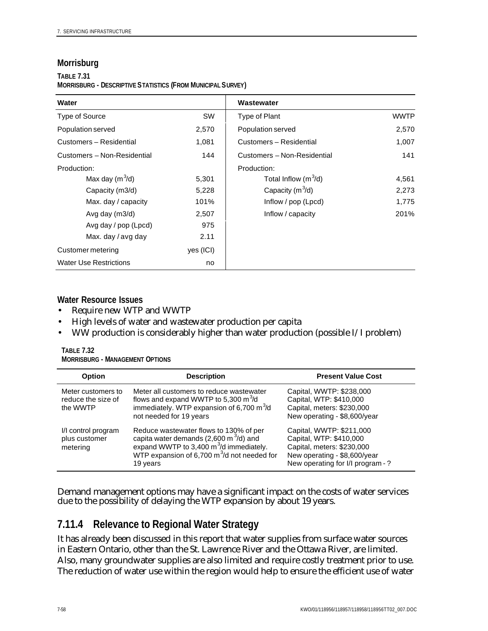### **Morrisburg**

#### **TABLE 7.31**

**MORRISBURG - DESCRIPTIVE STATISTICS (FROM MUNICIPAL SURVEY)**

| Water                         |           | Wastewater                  |             |
|-------------------------------|-----------|-----------------------------|-------------|
| Type of Source                | SW        | Type of Plant               | <b>WWTP</b> |
| Population served             | 2,570     | Population served           | 2,570       |
| Customers - Residential       | 1,081     | Customers - Residential     | 1,007       |
| Customers - Non-Residential   | 144       | Customers - Non-Residential | 141         |
| Production:                   |           | Production:                 |             |
| Max day $(m^3/d)$             | 5,301     | Total Inflow $(m^3/d)$      | 4,561       |
| Capacity (m3/d)               | 5,228     | Capacity $(m^3/d)$          | 2,273       |
| Max. day / capacity           | 101%      | Inflow $/$ pop (Lpcd)       | 1,775       |
| Avg day (m3/d)                | 2,507     | Inflow / capacity           | 201%        |
| Avg day / pop (Lpcd)          | 975       |                             |             |
| Max. day / avg day            | 2.11      |                             |             |
| Customer metering             | yes (ICI) |                             |             |
| <b>Water Use Restrictions</b> | no        |                             |             |

### **Water Resource Issues**

- Require new WTP and WWTP
- High levels of water and wastewater production per capita
- WW production is considerably higher than water production (possible I/I problem)

| TABLE 7.32                      |  |
|---------------------------------|--|
| Morrisburg - Management Options |  |

| <b>Option</b>                                        | <b>Description</b>                                                                                                                                                                                             | <b>Present Value Cost</b>                                                                                                                              |
|------------------------------------------------------|----------------------------------------------------------------------------------------------------------------------------------------------------------------------------------------------------------------|--------------------------------------------------------------------------------------------------------------------------------------------------------|
| Meter customers to<br>reduce the size of<br>the WWTP | Meter all customers to reduce wastewater<br>flows and expand WWTP to 5,300 $\text{m}^3/\text{d}$<br>immediately. WTP expansion of 6,700 $m3/d$<br>not needed for 19 years                                      | Capital, WWTP: \$238,000<br>Capital, WTP: \$410,000<br>Capital, meters: \$230,000<br>New operating - \$8,600/year                                      |
| I/I control program<br>plus customer<br>metering     | Reduce wastewater flows to 130% of per<br>capita water demands (2,600 m <sup>3</sup> /d) and<br>expand WWTP to 3,400 $\text{m}^3$ /d immediately.<br>WTP expansion of 6,700 $m^3/d$ not needed for<br>19 years | Capital, WWTP: \$211,000<br>Capital, WTP: \$410,000<br>Capital, meters: \$230,000<br>New operating - \$8,600/year<br>New operating for I/I program - ? |

Demand management options may have a significant impact on the costs of water services due to the possibility of delaying the WTP expansion by about 19 years.

## **7.11.4 Relevance to Regional Water Strategy**

It has already been discussed in this report that water supplies from surface water sources in Eastern Ontario, other than the St. Lawrence River and the Ottawa River, are limited. Also, many groundwater supplies are also limited and require costly treatment prior to use. The reduction of water use within the region would help to ensure the efficient use of water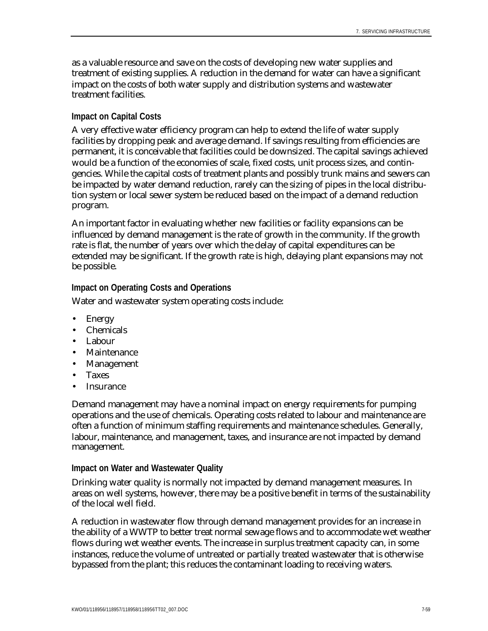as a valuable resource and save on the costs of developing new water supplies and treatment of existing supplies. A reduction in the demand for water can have a significant impact on the costs of both water supply and distribution systems and wastewater treatment facilities.

### **Impact on Capital Costs**

A very effective water efficiency program can help to extend the life of water supply facilities by dropping peak and average demand. If savings resulting from efficiencies are permanent, it is conceivable that facilities could be downsized. The capital savings achieved would be a function of the economies of scale, fixed costs, unit process sizes, and contingencies. While the capital costs of treatment plants and possibly trunk mains and sewers can be impacted by water demand reduction, rarely can the sizing of pipes in the local distribution system or local sewer system be reduced based on the impact of a demand reduction program.

An important factor in evaluating whether new facilities or facility expansions can be influenced by demand management is the rate of growth in the community. If the growth rate is flat, the number of years over which the delay of capital expenditures can be extended may be significant. If the growth rate is high, delaying plant expansions may not be possible.

### **Impact on Operating Costs and Operations**

Water and wastewater system operating costs include:

- Energy
- Chemicals
- Labour
- Maintenance
- Management
- Taxes
- **Insurance**

Demand management may have a nominal impact on energy requirements for pumping operations and the use of chemicals. Operating costs related to labour and maintenance are often a function of minimum staffing requirements and maintenance schedules. Generally, labour, maintenance, and management, taxes, and insurance are not impacted by demand management.

#### **Impact on Water and Wastewater Quality**

Drinking water quality is normally not impacted by demand management measures. In areas on well systems, however, there may be a positive benefit in terms of the sustainability of the local well field.

A reduction in wastewater flow through demand management provides for an increase in the ability of a WWTP to better treat normal sewage flows and to accommodate wet weather flows during wet weather events. The increase in surplus treatment capacity can, in some instances, reduce the volume of untreated or partially treated wastewater that is otherwise bypassed from the plant; this reduces the contaminant loading to receiving waters.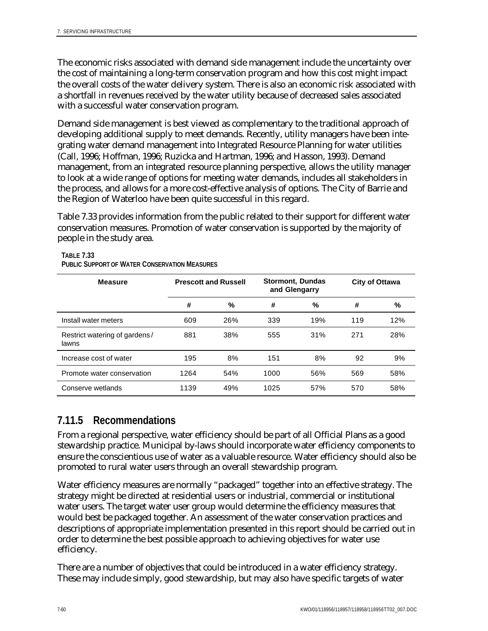The economic risks associated with demand side management include the uncertainty over the cost of maintaining a long-term conservation program and how this cost might impact the overall costs of the water delivery system. There is also an economic risk associated with a shortfall in revenues received by the water utility because of decreased sales associated with a successful water conservation program.

Demand side management is best viewed as complementary to the traditional approach of developing additional supply to meet demands. Recently, utility managers have been integrating water demand management into Integrated Resource Planning for water utilities (Call, 1996; Hoffman, 1996; Ruzicka and Hartman, 1996; and Hasson, 1993). Demand management, from an integrated resource planning perspective, allows the utility manager to look at a wide range of options for meeting water demands, includes all stakeholders in the process, and allows for a more cost-effective analysis of options. The City of Barrie and the Region of Waterloo have been quite successful in this regard.

Table 7.33 provides information from the public related to their support for different water conservation measures. Promotion of water conservation is supported by the majority of people in the study area.

| <b>Measure</b>                         | <b>Prescott and Russell</b> |     | <b>Stormont, Dundas</b><br>and Glengarry |     | <b>City of Ottawa</b> |     |
|----------------------------------------|-----------------------------|-----|------------------------------------------|-----|-----------------------|-----|
|                                        | #                           | %   | #                                        | %   | #                     | %   |
| Install water meters                   | 609                         | 26% | 339                                      | 19% | 119                   | 12% |
| Restrict watering of gardens/<br>lawns | 881                         | 38% | 555                                      | 31% | 271                   | 28% |
| Increase cost of water                 | 195                         | 8%  | 151                                      | 8%  | 92                    | 9%  |
| Promote water conservation             | 1264                        | 54% | 1000                                     | 56% | 569                   | 58% |
| Conserve wetlands                      | 1139                        | 49% | 1025                                     | 57% | 570                   | 58% |

#### **TABLE 7.33 PUBLIC SUPPORT OF WATER CONSERVATION MEASURES**

## **7.11.5 Recommendations**

From a regional perspective, water efficiency should be part of all Official Plans as a good stewardship practice. Municipal by-laws should incorporate water efficiency components to ensure the conscientious use of water as a valuable resource. Water efficiency should also be promoted to rural water users through an overall stewardship program.

Water efficiency measures are normally "packaged" together into an effective strategy. The strategy might be directed at residential users or industrial, commercial or institutional water users. The target water user group would determine the efficiency measures that would best be packaged together. An assessment of the water conservation practices and descriptions of appropriate implementation presented in this report should be carried out in order to determine the best possible approach to achieving objectives for water use efficiency.

There are a number of objectives that could be introduced in a water efficiency strategy. These may include simply, good stewardship, but may also have specific targets of water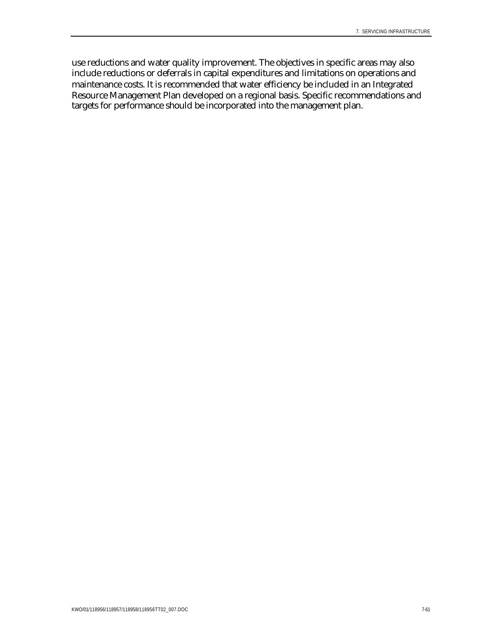use reductions and water quality improvement. The objectives in specific areas may also include reductions or deferrals in capital expenditures and limitations on operations and maintenance costs. It is recommended that water efficiency be included in an Integrated Resource Management Plan developed on a regional basis. Specific recommendations and targets for performance should be incorporated into the management plan.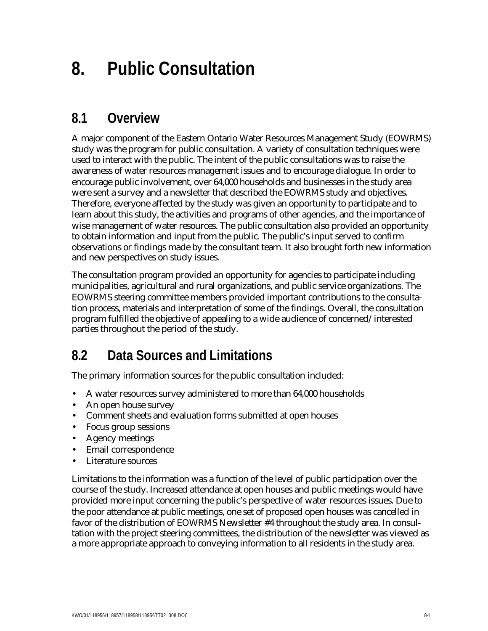# **8.1 Overview**

A major component of the Eastern Ontario Water Resources Management Study (EOWRMS) study was the program for public consultation. A variety of consultation techniques were used to interact with the public. The intent of the public consultations was to raise the awareness of water resources management issues and to encourage dialogue. In order to encourage public involvement, over 64,000 households and businesses in the study area were sent a survey and a newsletter that described the EOWRMS study and objectives. Therefore, everyone affected by the study was given an opportunity to participate and to learn about this study, the activities and programs of other agencies, and the importance of wise management of water resources. The public consultation also provided an opportunity to obtain information and input from the public. The public's input served to confirm observations or findings made by the consultant team. It also brought forth new information and new perspectives on study issues.

The consultation program provided an opportunity for agencies to participate including municipalities, agricultural and rural organizations, and public service organizations. The EOWRMS steering committee members provided important contributions to the consultation process, materials and interpretation of some of the findings. Overall, the consultation program fulfilled the objective of appealing to a wide audience of concerned/interested parties throughout the period of the study.

# **8.2 Data Sources and Limitations**

The primary information sources for the public consultation included:

- A water resources survey administered to more than 64,000 households
- An open house survey
- Comment sheets and evaluation forms submitted at open houses
- Focus group sessions
- Agency meetings
- Email correspondence
- Literature sources

Limitations to the information was a function of the level of public participation over the course of the study. Increased attendance at open houses and public meetings would have provided more input concerning the public's perspective of water resources issues. Due to the poor attendance at public meetings, one set of proposed open houses was cancelled in favor of the distribution of EOWRMS Newsletter #4 throughout the study area. In consultation with the project steering committees, the distribution of the newsletter was viewed as a more appropriate approach to conveying information to all residents in the study area.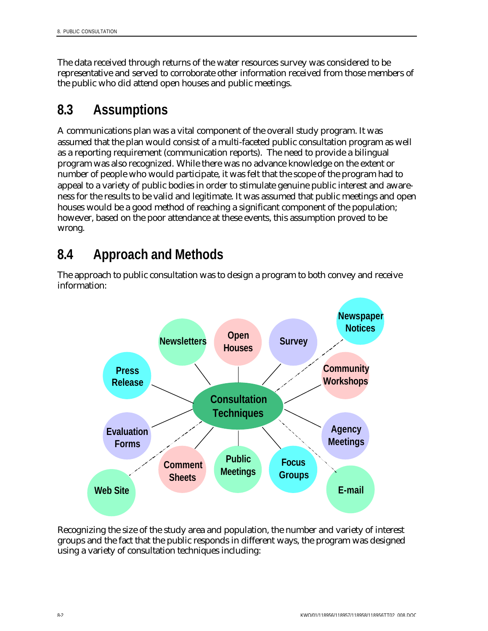The data received through returns of the water resources survey was considered to be representative and served to corroborate other information received from those members of the public who did attend open houses and public meetings.

# **8.3 Assumptions**

A communications plan was a vital component of the overall study program. It was assumed that the plan would consist of a multi-faceted public consultation program as well as a reporting requirement (communication reports). The need to provide a bilingual program was also recognized. While there was no advance knowledge on the extent or number of people who would participate, it was felt that the scope of the program had to appeal to a variety of public bodies in order to stimulate genuine public interest and awareness for the results to be valid and legitimate. It was assumed that public meetings and open houses would be a good method of reaching a significant component of the population; however, based on the poor attendance at these events, this assumption proved to be wrong.

# **8.4 Approach and Methods**

The approach to public consultation was to design a program to both convey and receive information:



Recognizing the size of the study area and population, the number and variety of interest groups and the fact that the public responds in different ways, the program was designed using a variety of consultation techniques including: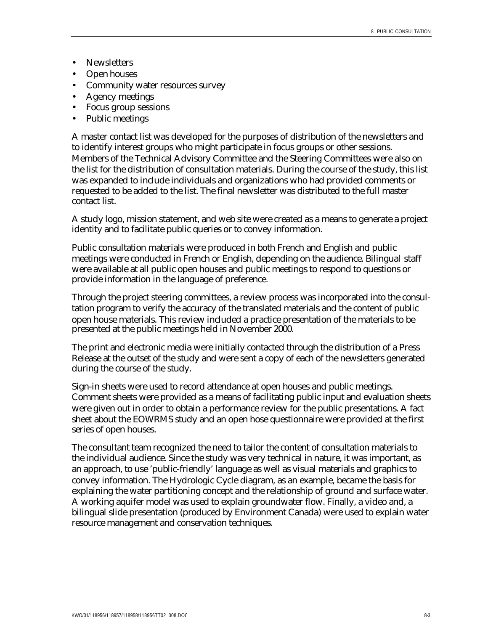- Newsletters
- Open houses
- Community water resources survey
- Agency meetings
- Focus group sessions
- Public meetings

A master contact list was developed for the purposes of distribution of the newsletters and to identify interest groups who might participate in focus groups or other sessions. Members of the Technical Advisory Committee and the Steering Committees were also on the list for the distribution of consultation materials. During the course of the study, this list was expanded to include individuals and organizations who had provided comments or requested to be added to the list. The final newsletter was distributed to the full master contact list.

A study logo, mission statement, and web site were created as a means to generate a project identity and to facilitate public queries or to convey information.

Public consultation materials were produced in both French and English and public meetings were conducted in French or English, depending on the audience. Bilingual staff were available at all public open houses and public meetings to respond to questions or provide information in the language of preference.

Through the project steering committees, a review process was incorporated into the consultation program to verify the accuracy of the translated materials and the content of public open house materials. This review included a practice presentation of the materials to be presented at the public meetings held in November 2000.

The print and electronic media were initially contacted through the distribution of a Press Release at the outset of the study and were sent a copy of each of the newsletters generated during the course of the study.

Sign-in sheets were used to record attendance at open houses and public meetings. Comment sheets were provided as a means of facilitating public input and evaluation sheets were given out in order to obtain a performance review for the public presentations. A fact sheet about the EOWRMS study and an open hose questionnaire were provided at the first series of open houses.

The consultant team recognized the need to tailor the content of consultation materials to the individual audience. Since the study was very technical in nature, it was important, as an approach, to use 'public-friendly' language as well as visual materials and graphics to convey information. The Hydrologic Cycle diagram, as an example, became the basis for explaining the water partitioning concept and the relationship of ground and surface water. A working aquifer model was used to explain groundwater flow. Finally, a video and, a bilingual slide presentation (produced by Environment Canada) were used to explain water resource management and conservation techniques.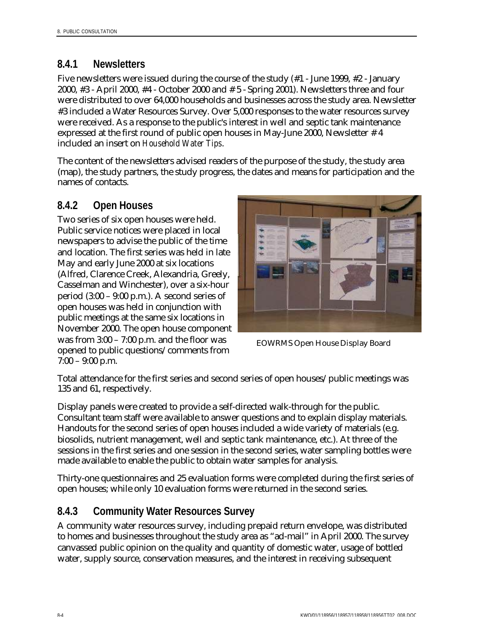### **8.4.1 Newsletters**

Five newsletters were issued during the course of the study (#1 - June 1999, #2 - January 2000, #3 - April 2000, #4 - October 2000 and # 5 - Spring 2001). Newsletters three and four were distributed to over 64,000 households and businesses across the study area. Newsletter #3 included a Water Resources Survey. Over 5,000 responses to the water resources survey were received. As a response to the public's interest in well and septic tank maintenance expressed at the first round of public open houses in May-June 2000, Newsletter # 4 included an insert on *Household Water Tips*.

The content of the newsletters advised readers of the purpose of the study, the study area (map), the study partners, the study progress, the dates and means for participation and the names of contacts.

## **8.4.2 Open Houses**

Two series of six open houses were held. Public service notices were placed in local newspapers to advise the public of the time and location. The first series was held in late May and early June 2000 at six locations (Alfred, Clarence Creek, Alexandria, Greely, Casselman and Winchester), over a six-hour period (3:00 – 9:00 p.m.). A second series of open houses was held in conjunction with public meetings at the same six locations in November 2000. The open house component was from 3:00 – 7:00 p.m. and the floor was opened to public questions/comments from 7:00 – 9:00 p.m.



EOWRMS Open House Display Board

Total attendance for the first series and second series of open houses/public meetings was 135 and 61, respectively.

Display panels were created to provide a self-directed walk-through for the public. Consultant team staff were available to answer questions and to explain display materials. Handouts for the second series of open houses included a wide variety of materials (e.g. biosolids, nutrient management, well and septic tank maintenance, etc.). At three of the sessions in the first series and one session in the second series, water sampling bottles were made available to enable the public to obtain water samples for analysis.

Thirty-one questionnaires and 25 evaluation forms were completed during the first series of open houses; while only 10 evaluation forms were returned in the second series.

### **8.4.3 Community Water Resources Survey**

A community water resources survey, including prepaid return envelope, was distributed to homes and businesses throughout the study area as "ad-mail" in April 2000. The survey canvassed public opinion on the quality and quantity of domestic water, usage of bottled water, supply source, conservation measures, and the interest in receiving subsequent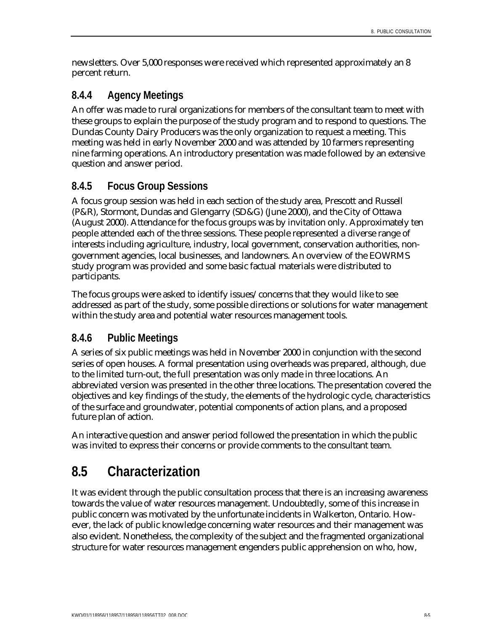newsletters. Over 5,000 responses were received which represented approximately an 8 percent return.

### **8.4.4 Agency Meetings**

An offer was made to rural organizations for members of the consultant team to meet with these groups to explain the purpose of the study program and to respond to questions. The Dundas County Dairy Producers was the only organization to request a meeting. This meeting was held in early November 2000 and was attended by 10 farmers representing nine farming operations. An introductory presentation was made followed by an extensive question and answer period.

### **8.4.5 Focus Group Sessions**

A focus group session was held in each section of the study area, Prescott and Russell (P&R), Stormont, Dundas and Glengarry (SD&G) (June 2000), and the City of Ottawa (August 2000). Attendance for the focus groups was by invitation only. Approximately ten people attended each of the three sessions. These people represented a diverse range of interests including agriculture, industry, local government, conservation authorities, nongovernment agencies, local businesses, and landowners. An overview of the EOWRMS study program was provided and some basic factual materials were distributed to participants.

The focus groups were asked to identify issues/concerns that they would like to see addressed as part of the study, some possible directions or solutions for water management within the study area and potential water resources management tools.

### **8.4.6 Public Meetings**

A series of six public meetings was held in November 2000 in conjunction with the second series of open houses. A formal presentation using overheads was prepared, although, due to the limited turn-out, the full presentation was only made in three locations. An abbreviated version was presented in the other three locations. The presentation covered the objectives and key findings of the study, the elements of the hydrologic cycle, characteristics of the surface and groundwater, potential components of action plans, and a proposed future plan of action.

An interactive question and answer period followed the presentation in which the public was invited to express their concerns or provide comments to the consultant team.

# **8.5 Characterization**

It was evident through the public consultation process that there is an increasing awareness towards the value of water resources management. Undoubtedly, some of this increase in public concern was motivated by the unfortunate incidents in Walkerton, Ontario. However, the lack of public knowledge concerning water resources and their management was also evident. Nonetheless, the complexity of the subject and the fragmented organizational structure for water resources management engenders public apprehension on who, how,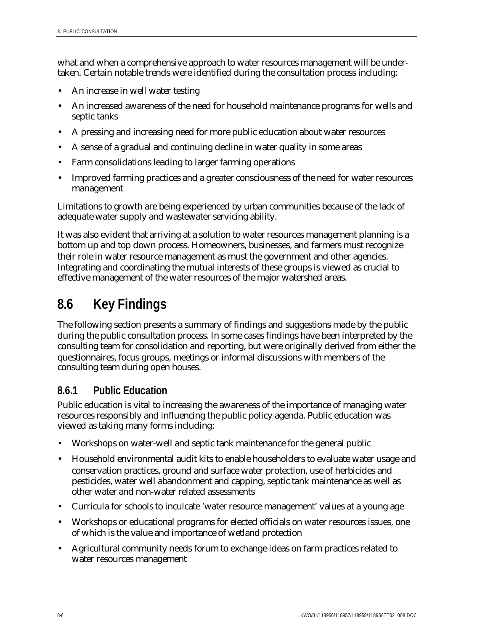what and when a comprehensive approach to water resources management will be undertaken. Certain notable trends were identified during the consultation process including:

- An increase in well water testing
- An increased awareness of the need for household maintenance programs for wells and septic tanks
- A pressing and increasing need for more public education about water resources
- A sense of a gradual and continuing decline in water quality in some areas
- Farm consolidations leading to larger farming operations
- Improved farming practices and a greater consciousness of the need for water resources management

Limitations to growth are being experienced by urban communities because of the lack of adequate water supply and wastewater servicing ability.

It was also evident that arriving at a solution to water resources management planning is a bottom up and top down process. Homeowners, businesses, and farmers must recognize their role in water resource management as must the government and other agencies. Integrating and coordinating the mutual interests of these groups is viewed as crucial to effective management of the water resources of the major watershed areas.

# **8.6 Key Findings**

The following section presents a summary of findings and suggestions made by the public during the public consultation process. In some cases findings have been interpreted by the consulting team for consolidation and reporting, but were originally derived from either the questionnaires, focus groups, meetings or informal discussions with members of the consulting team during open houses.

### **8.6.1 Public Education**

Public education is vital to increasing the awareness of the importance of managing water resources responsibly and influencing the public policy agenda. Public education was viewed as taking many forms including:

- Workshops on water-well and septic tank maintenance for the general public
- Household environmental audit kits to enable householders to evaluate water usage and conservation practices, ground and surface water protection, use of herbicides and pesticides, water well abandonment and capping, septic tank maintenance as well as other water and non-water related assessments
- Curricula for schools to inculcate 'water resource management' values at a young age
- Workshops or educational programs for elected officials on water resources issues, one of which is the value and importance of wetland protection
- Agricultural community needs forum to exchange ideas on farm practices related to water resources management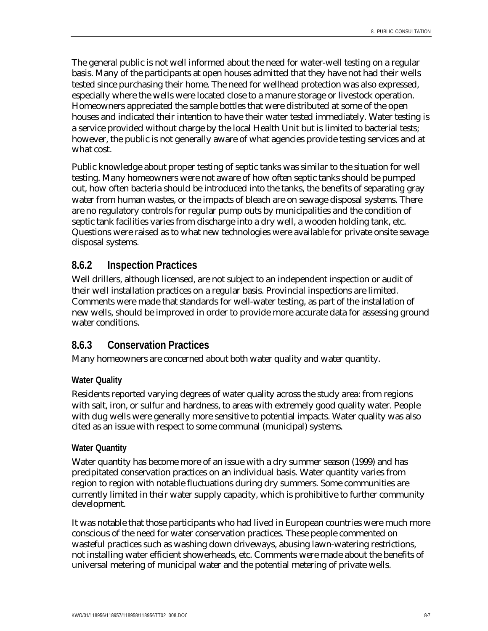The general public is not well informed about the need for water-well testing on a regular basis. Many of the participants at open houses admitted that they have not had their wells tested since purchasing their home. The need for wellhead protection was also expressed, especially where the wells were located close to a manure storage or livestock operation. Homeowners appreciated the sample bottles that were distributed at some of the open houses and indicated their intention to have their water tested immediately. Water testing is a service provided without charge by the local Health Unit but is limited to bacterial tests; however, the public is not generally aware of what agencies provide testing services and at what cost.

Public knowledge about proper testing of septic tanks was similar to the situation for well testing. Many homeowners were not aware of how often septic tanks should be pumped out, how often bacteria should be introduced into the tanks, the benefits of separating gray water from human wastes, or the impacts of bleach are on sewage disposal systems. There are no regulatory controls for regular pump outs by municipalities and the condition of septic tank facilities varies from discharge into a dry well, a wooden holding tank, etc. Questions were raised as to what new technologies were available for private onsite sewage disposal systems.

### **8.6.2 Inspection Practices**

Well drillers, although licensed, are not subject to an independent inspection or audit of their well installation practices on a regular basis. Provincial inspections are limited. Comments were made that standards for well-water testing, as part of the installation of new wells, should be improved in order to provide more accurate data for assessing ground water conditions.

### **8.6.3 Conservation Practices**

Many homeowners are concerned about both water quality and water quantity.

#### **Water Quality**

Residents reported varying degrees of water quality across the study area: from regions with salt, iron, or sulfur and hardness, to areas with extremely good quality water. People with dug wells were generally more sensitive to potential impacts. Water quality was also cited as an issue with respect to some communal (municipal) systems.

#### **Water Quantity**

Water quantity has become more of an issue with a dry summer season (1999) and has precipitated conservation practices on an individual basis. Water quantity varies from region to region with notable fluctuations during dry summers. Some communities are currently limited in their water supply capacity, which is prohibitive to further community development.

It was notable that those participants who had lived in European countries were much more conscious of the need for water conservation practices. These people commented on wasteful practices such as washing down driveways, abusing lawn-watering restrictions, not installing water efficient showerheads, etc. Comments were made about the benefits of universal metering of municipal water and the potential metering of private wells.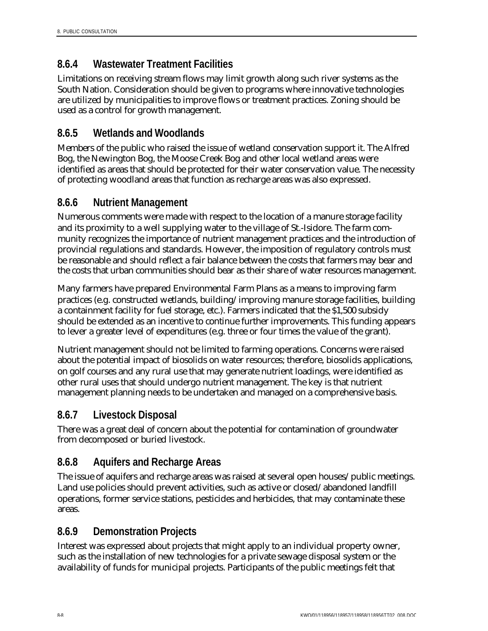## **8.6.4 Wastewater Treatment Facilities**

Limitations on receiving stream flows may limit growth along such river systems as the South Nation. Consideration should be given to programs where innovative technologies are utilized by municipalities to improve flows or treatment practices. Zoning should be used as a control for growth management.

### **8.6.5 Wetlands and Woodlands**

Members of the public who raised the issue of wetland conservation support it. The Alfred Bog, the Newington Bog, the Moose Creek Bog and other local wetland areas were identified as areas that should be protected for their water conservation value. The necessity of protecting woodland areas that function as recharge areas was also expressed.

### **8.6.6 Nutrient Management**

Numerous comments were made with respect to the location of a manure storage facility and its proximity to a well supplying water to the village of St.-Isidore. The farm community recognizes the importance of nutrient management practices and the introduction of provincial regulations and standards. However, the imposition of regulatory controls must be reasonable and should reflect a fair balance between the costs that farmers may bear and the costs that urban communities should bear as their share of water resources management.

Many farmers have prepared Environmental Farm Plans as a means to improving farm practices (e.g. constructed wetlands, building/improving manure storage facilities, building a containment facility for fuel storage, etc.). Farmers indicated that the \$1,500 subsidy should be extended as an incentive to continue further improvements. This funding appears to lever a greater level of expenditures (e.g. three or four times the value of the grant).

Nutrient management should not be limited to farming operations. Concerns were raised about the potential impact of biosolids on water resources; therefore, biosolids applications, on golf courses and any rural use that may generate nutrient loadings, were identified as other rural uses that should undergo nutrient management. The key is that nutrient management planning needs to be undertaken and managed on a comprehensive basis.

## **8.6.7 Livestock Disposal**

There was a great deal of concern about the potential for contamination of groundwater from decomposed or buried livestock.

## **8.6.8 Aquifers and Recharge Areas**

The issue of aquifers and recharge areas was raised at several open houses/public meetings. Land use policies should prevent activities, such as active or closed/abandoned landfill operations, former service stations, pesticides and herbicides, that may contaminate these areas.

## **8.6.9 Demonstration Projects**

Interest was expressed about projects that might apply to an individual property owner, such as the installation of new technologies for a private sewage disposal system or the availability of funds for municipal projects. Participants of the public meetings felt that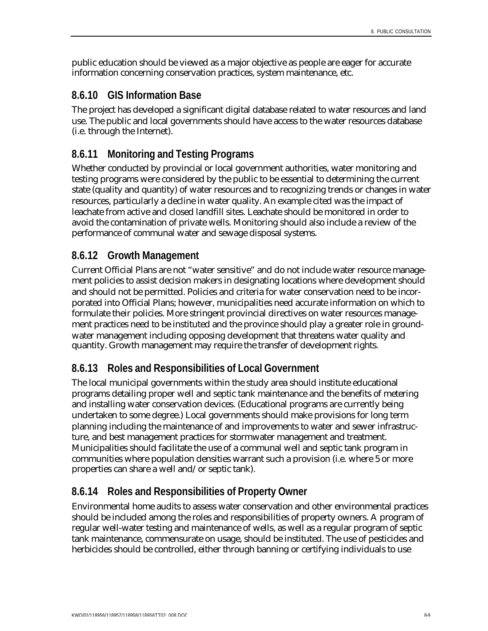public education should be viewed as a major objective as people are eager for accurate information concerning conservation practices, system maintenance, etc.

### **8.6.10 GIS Information Base**

The project has developed a significant digital database related to water resources and land use. The public and local governments should have access to the water resources database (i.e. through the Internet).

## **8.6.11 Monitoring and Testing Programs**

Whether conducted by provincial or local government authorities, water monitoring and testing programs were considered by the public to be essential to determining the current state (quality and quantity) of water resources and to recognizing trends or changes in water resources, particularly a decline in water quality. An example cited was the impact of leachate from active and closed landfill sites. Leachate should be monitored in order to avoid the contamination of private wells. Monitoring should also include a review of the performance of communal water and sewage disposal systems.

## **8.6.12 Growth Management**

Current Official Plans are not "water sensitive" and do not include water resource management policies to assist decision makers in designating locations where development should and should not be permitted. Policies and criteria for water conservation need to be incorporated into Official Plans; however, municipalities need accurate information on which to formulate their policies. More stringent provincial directives on water resources management practices need to be instituted and the province should play a greater role in groundwater management including opposing development that threatens water quality and quantity. Growth management may require the transfer of development rights.

### **8.6.13 Roles and Responsibilities of Local Government**

The local municipal governments within the study area should institute educational programs detailing proper well and septic tank maintenance and the benefits of metering and installing water conservation devices. (Educational programs are currently being undertaken to some degree.) Local governments should make provisions for long term planning including the maintenance of and improvements to water and sewer infrastructure, and best management practices for stormwater management and treatment. Municipalities should facilitate the use of a communal well and septic tank program in communities where population densities warrant such a provision (i.e. where 5 or more properties can share a well and/or septic tank).

## **8.6.14 Roles and Responsibilities of Property Owner**

Environmental home audits to assess water conservation and other environmental practices should be included among the roles and responsibilities of property owners. A program of regular well-water testing and maintenance of wells, as well as a regular program of septic tank maintenance, commensurate on usage, should be instituted. The use of pesticides and herbicides should be controlled, either through banning or certifying individuals to use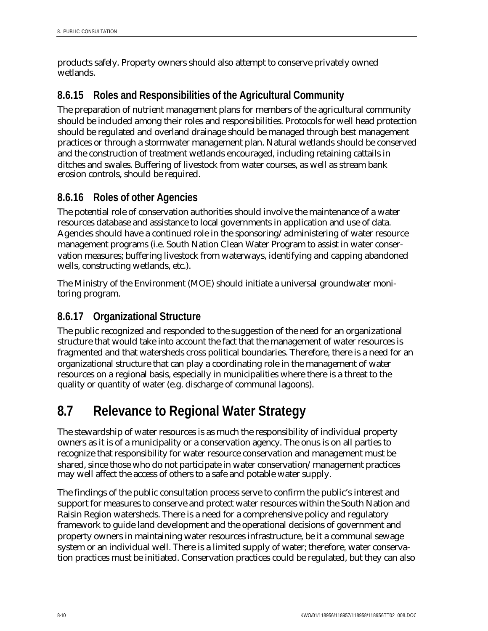products safely. Property owners should also attempt to conserve privately owned wetlands.

## **8.6.15 Roles and Responsibilities of the Agricultural Community**

The preparation of nutrient management plans for members of the agricultural community should be included among their roles and responsibilities. Protocols for well head protection should be regulated and overland drainage should be managed through best management practices or through a stormwater management plan. Natural wetlands should be conserved and the construction of treatment wetlands encouraged, including retaining cattails in ditches and swales. Buffering of livestock from water courses, as well as stream bank erosion controls, should be required.

## **8.6.16 Roles of other Agencies**

The potential role of conservation authorities should involve the maintenance of a water resources database and assistance to local governments in application and use of data. Agencies should have a continued role in the sponsoring/administering of water resource management programs (i.e. South Nation Clean Water Program to assist in water conservation measures; buffering livestock from waterways, identifying and capping abandoned wells, constructing wetlands, etc.).

The Ministry of the Environment (MOE) should initiate a universal groundwater monitoring program.

## **8.6.17 Organizational Structure**

The public recognized and responded to the suggestion of the need for an organizational structure that would take into account the fact that the management of water resources is fragmented and that watersheds cross political boundaries. Therefore, there is a need for an organizational structure that can play a coordinating role in the management of water resources on a regional basis, especially in municipalities where there is a threat to the quality or quantity of water (e.g. discharge of communal lagoons).

# **8.7 Relevance to Regional Water Strategy**

The stewardship of water resources is as much the responsibility of individual property owners as it is of a municipality or a conservation agency. The onus is on all parties to recognize that responsibility for water resource conservation and management must be shared, since those who do not participate in water conservation/management practices may well affect the access of others to a safe and potable water supply.

The findings of the public consultation process serve to confirm the public's interest and support for measures to conserve and protect water resources within the South Nation and Raisin Region watersheds. There is a need for a comprehensive policy and regulatory framework to guide land development and the operational decisions of government and property owners in maintaining water resources infrastructure, be it a communal sewage system or an individual well. There is a limited supply of water; therefore, water conservation practices must be initiated. Conservation practices could be regulated, but they can also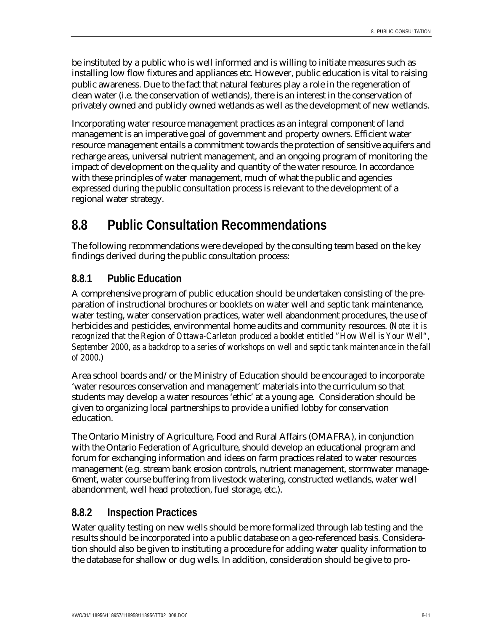be instituted by a public who is well informed and is willing to initiate measures such as installing low flow fixtures and appliances etc. However, public education is vital to raising public awareness. Due to the fact that natural features play a role in the regeneration of clean water (i.e. the conservation of wetlands), there is an interest in the conservation of privately owned and publicly owned wetlands as well as the development of new wetlands.

Incorporating water resource management practices as an integral component of land management is an imperative goal of government and property owners. Efficient water resource management entails a commitment towards the protection of sensitive aquifers and recharge areas, universal nutrient management, and an ongoing program of monitoring the impact of development on the quality and quantity of the water resource. In accordance with these principles of water management, much of what the public and agencies expressed during the public consultation process is relevant to the development of a regional water strategy.

# **8.8 Public Consultation Recommendations**

The following recommendations were developed by the consulting team based on the key findings derived during the public consultation process:

## **8.8.1 Public Education**

A comprehensive program of public education should be undertaken consisting of the preparation of instructional brochures or booklets on water well and septic tank maintenance, water testing, water conservation practices, water well abandonment procedures, the use of herbicides and pesticides, environmental home audits and community resources. (*Note: it is recognized that the Region of Ottawa-Carleton produced a booklet entitled "How Well is Your Well", September 2000, as a backdrop to a series of workshops on well and septic tank maintenance in the fall of 2000*.)

Area school boards and/or the Ministry of Education should be encouraged to incorporate 'water resources conservation and management' materials into the curriculum so that students may develop a water resources 'ethic' at a young age. Consideration should be given to organizing local partnerships to provide a unified lobby for conservation education.

The Ontario Ministry of Agriculture, Food and Rural Affairs (OMAFRA), in conjunction with the Ontario Federation of Agriculture, should develop an educational program and forum for exchanging information and ideas on farm practices related to water resources management (e.g. stream bank erosion controls, nutrient management, stormwater manage-6ment, water course buffering from livestock watering, constructed wetlands, water well abandonment, well head protection, fuel storage, etc.).

### **8.8.2 Inspection Practices**

Water quality testing on new wells should be more formalized through lab testing and the results should be incorporated into a public database on a geo-referenced basis. Consideration should also be given to instituting a procedure for adding water quality information to the database for shallow or dug wells. In addition, consideration should be give to pro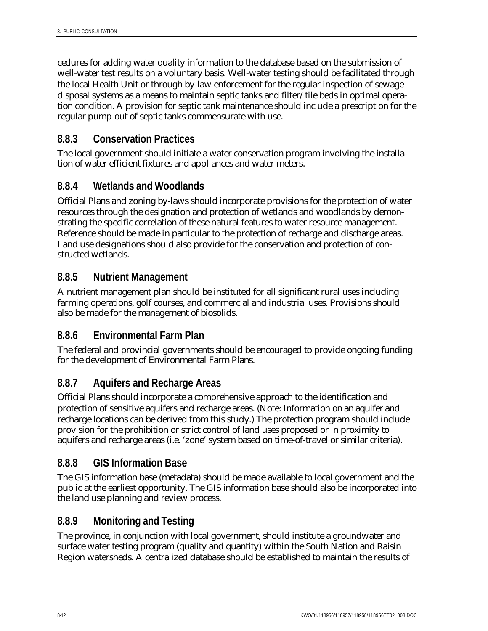cedures for adding water quality information to the database based on the submission of well-water test results on a voluntary basis. Well-water testing should be facilitated through the local Health Unit or through by-law enforcement for the regular inspection of sewage disposal systems as a means to maintain septic tanks and filter/tile beds in optimal operation condition. A provision for septic tank maintenance should include a prescription for the regular pump-out of septic tanks commensurate with use.

## **8.8.3 Conservation Practices**

The local government should initiate a water conservation program involving the installation of water efficient fixtures and appliances and water meters.

### **8.8.4 Wetlands and Woodlands**

Official Plans and zoning by-laws should incorporate provisions for the protection of water resources through the designation and protection of wetlands and woodlands by demonstrating the specific correlation of these natural features to water resource management. Reference should be made in particular to the protection of recharge and discharge areas. Land use designations should also provide for the conservation and protection of constructed wetlands.

### **8.8.5 Nutrient Management**

A nutrient management plan should be instituted for all significant rural uses including farming operations, golf courses, and commercial and industrial uses. Provisions should also be made for the management of biosolids.

### **8.8.6 Environmental Farm Plan**

The federal and provincial governments should be encouraged to provide ongoing funding for the development of Environmental Farm Plans.

## **8.8.7 Aquifers and Recharge Areas**

Official Plans should incorporate a comprehensive approach to the identification and protection of sensitive aquifers and recharge areas. (Note: Information on an aquifer and recharge locations can be derived from this study.) The protection program should include provision for the prohibition or strict control of land uses proposed or in proximity to aquifers and recharge areas (i.e. 'zone' system based on time-of-travel or similar criteria).

### **8.8.8 GIS Information Base**

The GIS information base (metadata) should be made available to local government and the public at the earliest opportunity. The GIS information base should also be incorporated into the land use planning and review process.

## **8.8.9 Monitoring and Testing**

The province, in conjunction with local government, should institute a groundwater and surface water testing program (quality and quantity) within the South Nation and Raisin Region watersheds. A centralized database should be established to maintain the results of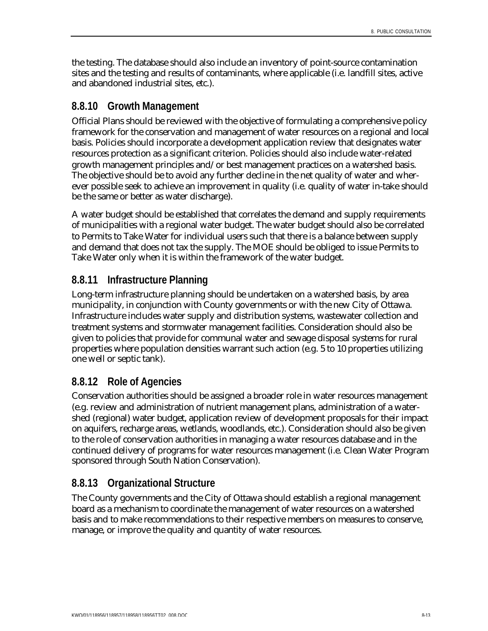the testing. The database should also include an inventory of point-source contamination sites and the testing and results of contaminants, where applicable (i.e. landfill sites, active and abandoned industrial sites, etc.).

### **8.8.10 Growth Management**

Official Plans should be reviewed with the objective of formulating a comprehensive policy framework for the conservation and management of water resources on a regional and local basis. Policies should incorporate a development application review that designates water resources protection as a significant criterion. Policies should also include water-related growth management principles and/or best management practices on a watershed basis. The objective should be to avoid any further decline in the net quality of water and wherever possible seek to achieve an improvement in quality (i.e. quality of water in-take should be the same or better as water discharge).

A water budget should be established that correlates the demand and supply requirements of municipalities with a regional water budget. The water budget should also be correlated to Permits to Take Water for individual users such that there is a balance between supply and demand that does not tax the supply. The MOE should be obliged to issue Permits to Take Water only when it is within the framework of the water budget.

### **8.8.11 Infrastructure Planning**

Long-term infrastructure planning should be undertaken on a watershed basis, by area municipality, in conjunction with County governments or with the new City of Ottawa. Infrastructure includes water supply and distribution systems, wastewater collection and treatment systems and stormwater management facilities. Consideration should also be given to policies that provide for communal water and sewage disposal systems for rural properties where population densities warrant such action (e.g. 5 to 10 properties utilizing one well or septic tank).

### **8.8.12 Role of Agencies**

Conservation authorities should be assigned a broader role in water resources management (e.g. review and administration of nutrient management plans, administration of a watershed (regional) water budget, application review of development proposals for their impact on aquifers, recharge areas, wetlands, woodlands, etc.). Consideration should also be given to the role of conservation authorities in managing a water resources database and in the continued delivery of programs for water resources management (i.e. Clean Water Program sponsored through South Nation Conservation).

## **8.8.13 Organizational Structure**

The County governments and the City of Ottawa should establish a regional management board as a mechanism to coordinate the management of water resources on a watershed basis and to make recommendations to their respective members on measures to conserve, manage, or improve the quality and quantity of water resources.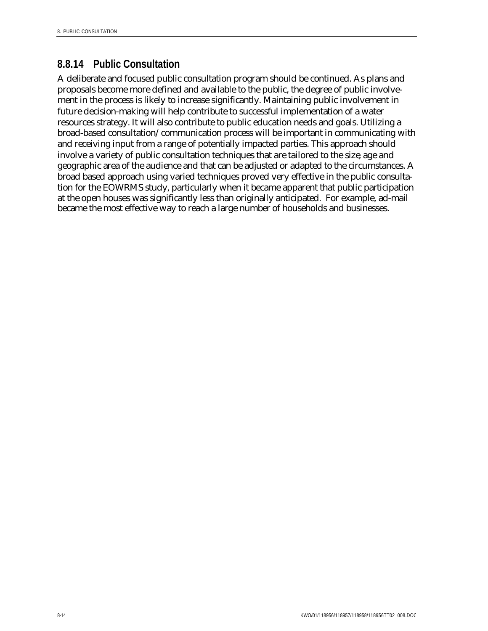### **8.8.14 Public Consultation**

A deliberate and focused public consultation program should be continued. As plans and proposals become more defined and available to the public, the degree of public involvement in the process is likely to increase significantly. Maintaining public involvement in future decision-making will help contribute to successful implementation of a water resources strategy. It will also contribute to public education needs and goals. Utilizing a broad-based consultation/communication process will be important in communicating with and receiving input from a range of potentially impacted parties. This approach should involve a variety of public consultation techniques that are tailored to the size, age and geographic area of the audience and that can be adjusted or adapted to the circumstances. A broad based approach using varied techniques proved very effective in the public consultation for the EOWRMS study, particularly when it became apparent that public participation at the open houses was significantly less than originally anticipated. For example, ad-mail became the most effective way to reach a large number of households and businesses.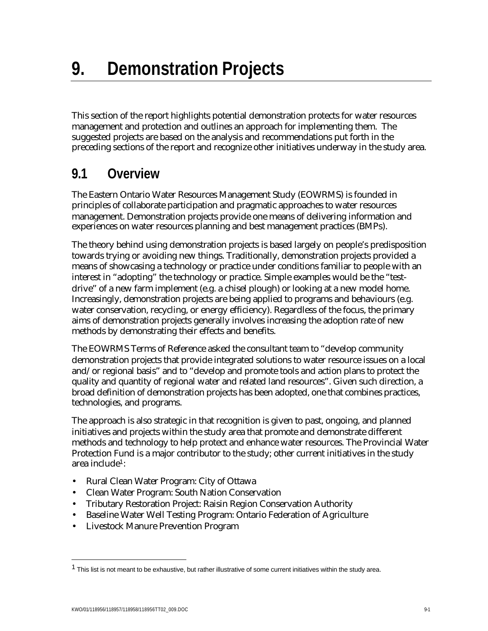This section of the report highlights potential demonstration protects for water resources management and protection and outlines an approach for implementing them. The suggested projects are based on the analysis and recommendations put forth in the preceding sections of the report and recognize other initiatives underway in the study area.

# **9.1 Overview**

The Eastern Ontario Water Resources Management Study (EOWRMS) is founded in principles of collaborate participation and pragmatic approaches to water resources management. Demonstration projects provide one means of delivering information and experiences on water resources planning and best management practices (BMPs).

The theory behind using demonstration projects is based largely on people's predisposition towards trying or avoiding new things. Traditionally, demonstration projects provided a means of showcasing a technology or practice under conditions familiar to people with an interest in "adopting" the technology or practice. Simple examples would be the "testdrive" of a new farm implement (e.g. a chisel plough) or looking at a new model home. Increasingly, demonstration projects are being applied to programs and behaviours (e.g. water conservation, recycling, or energy efficiency). Regardless of the focus, the primary aims of demonstration projects generally involves increasing the adoption rate of new methods by demonstrating their effects and benefits.

The EOWRMS Terms of Reference asked the consultant team to "develop community demonstration projects that provide integrated solutions to water resource issues on a local and/or regional basis" and to "develop and promote tools and action plans to protect the quality and quantity of regional water and related land resources". Given such direction, a broad definition of demonstration projects has been adopted, one that combines practices, technologies, and programs.

The approach is also strategic in that recognition is given to past, ongoing, and planned initiatives and projects within the study area that promote and demonstrate different methods and technology to help protect and enhance water resources. The Provincial Water Protection Fund is a major contributor to the study; other current initiatives in the study area include1:

- Rural Clean Water Program: City of Ottawa
- Clean Water Program: South Nation Conservation
- Tributary Restoration Project: Raisin Region Conservation Authority
- Baseline Water Well Testing Program: Ontario Federation of Agriculture
- Livestock Manure Prevention Program

 $\overline{a}$ 

<sup>&</sup>lt;sup>1</sup> This list is not meant to be exhaustive, but rather illustrative of some current initiatives within the study area.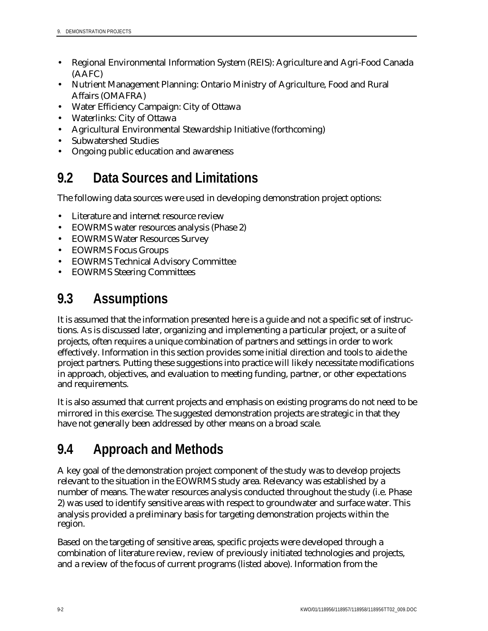- Regional Environmental Information System (REIS): Agriculture and Agri-Food Canada (AAFC)
- Nutrient Management Planning: Ontario Ministry of Agriculture, Food and Rural Affairs (OMAFRA)
- Water Efficiency Campaign: City of Ottawa
- Waterlinks: City of Ottawa
- Agricultural Environmental Stewardship Initiative (forthcoming)
- Subwatershed Studies
- Ongoing public education and awareness

# **9.2 Data Sources and Limitations**

The following data sources were used in developing demonstration project options:

- Literature and internet resource review
- EOWRMS water resources analysis (Phase 2)
- EOWRMS Water Resources Survey
- EOWRMS Focus Groups
- EOWRMS Technical Advisory Committee
- EOWRMS Steering Committees

# **9.3 Assumptions**

It is assumed that the information presented here is a guide and not a specific set of instructions. As is discussed later, organizing and implementing a particular project, or a suite of projects, often requires a unique combination of partners and settings in order to work effectively. Information in this section provides some initial direction and tools to aide the project partners. Putting these suggestions into practice will likely necessitate modifications in approach, objectives, and evaluation to meeting funding, partner, or other expectations and requirements.

It is also assumed that current projects and emphasis on existing programs do not need to be mirrored in this exercise. The suggested demonstration projects are strategic in that they have not generally been addressed by other means on a broad scale.

# **9.4 Approach and Methods**

A key goal of the demonstration project component of the study was to develop projects relevant to the situation in the EOWRMS study area. Relevancy was established by a number of means. The water resources analysis conducted throughout the study (i.e. Phase 2) was used to identify sensitive areas with respect to groundwater and surface water. This analysis provided a preliminary basis for targeting demonstration projects within the region.

Based on the targeting of sensitive areas, specific projects were developed through a combination of literature review, review of previously initiated technologies and projects, and a review of the focus of current programs (listed above). Information from the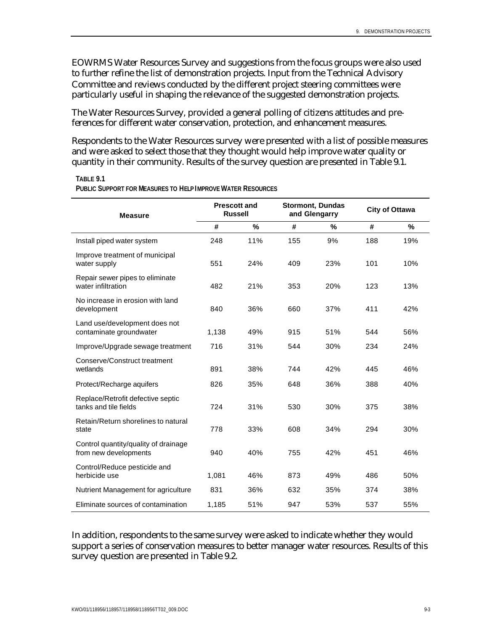EOWRMS Water Resources Survey and suggestions from the focus groups were also used to further refine the list of demonstration projects. Input from the Technical Advisory Committee and reviews conducted by the different project steering committees were particularly useful in shaping the relevance of the suggested demonstration projects.

The Water Resources Survey, provided a general polling of citizens attitudes and preferences for different water conservation, protection, and enhancement measures.

Respondents to the Water Resources survey were presented with a list of possible measures and were asked to select those that they thought would help improve water quality or quantity in their community. Results of the survey question are presented in Table 9.1.

| <b>Measure</b>                                                | <b>Prescott and</b><br><b>Russell</b> |      |     | Stormont, Dundas<br>and Glengarry | <b>City of Ottawa</b> |      |  |
|---------------------------------------------------------------|---------------------------------------|------|-----|-----------------------------------|-----------------------|------|--|
|                                                               | #                                     | $\%$ | #   | %                                 | #                     | $\%$ |  |
| Install piped water system                                    | 248                                   | 11%  | 155 | 9%                                | 188                   | 19%  |  |
| Improve treatment of municipal<br>water supply                | 551                                   | 24%  | 409 | 23%                               | 101                   | 10%  |  |
| Repair sewer pipes to eliminate<br>water infiltration         | 482                                   | 21%  | 353 | 20%                               | 123                   | 13%  |  |
| No increase in erosion with land<br>development               | 840                                   | 36%  | 660 | 37%                               | 411                   | 42%  |  |
| Land use/development does not<br>contaminate groundwater      | 1,138                                 | 49%  | 915 | 51%                               | 544                   | 56%  |  |
| Improve/Upgrade sewage treatment                              | 716                                   | 31%  | 544 | 30%                               | 234                   | 24%  |  |
| Conserve/Construct treatment<br>wetlands                      | 891                                   | 38%  | 744 | 42%                               | 445                   | 46%  |  |
| Protect/Recharge aquifers                                     | 826                                   | 35%  | 648 | 36%                               | 388                   | 40%  |  |
| Replace/Retrofit defective septic<br>tanks and tile fields    | 724                                   | 31%  | 530 | 30%                               | 375                   | 38%  |  |
| Retain/Return shorelines to natural<br>state                  | 778                                   | 33%  | 608 | 34%                               | 294                   | 30%  |  |
| Control quantity/quality of drainage<br>from new developments | 940                                   | 40%  | 755 | 42%                               | 451                   | 46%  |  |
| Control/Reduce pesticide and<br>herbicide use                 | 1,081                                 | 46%  | 873 | 49%                               | 486                   | 50%  |  |
| Nutrient Management for agriculture                           | 831                                   | 36%  | 632 | 35%                               | 374                   | 38%  |  |
| Eliminate sources of contamination                            | 1,185                                 | 51%  | 947 | 53%                               | 537                   | 55%  |  |

**TABLE 9.1**

**PUBLIC SUPPORT FOR MEASURES TO HELP IMPROVE WATER RESOURCES**

In addition, respondents to the same survey were asked to indicate whether they would support a series of conservation measures to better manager water resources. Results of this survey question are presented in Table 9.2.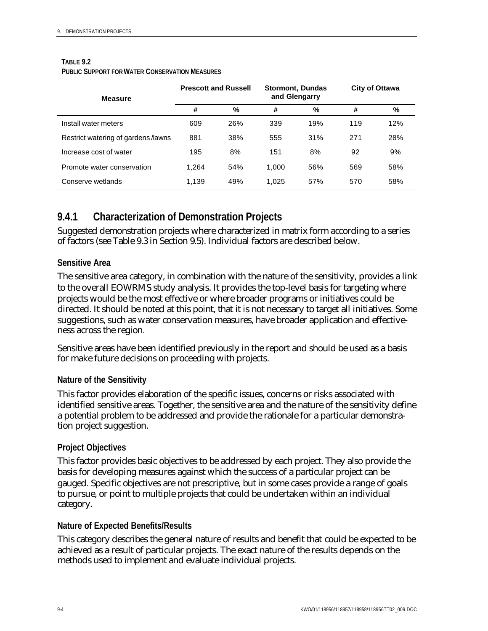#### **TABLE 9.2**

| <b>Measure</b>                     |       | <b>Prescott and Russell</b> | <b>Stormont, Dundas</b><br>and Glengarry |     | City of Ottawa |     |  |
|------------------------------------|-------|-----------------------------|------------------------------------------|-----|----------------|-----|--|
|                                    | #     | %                           | #                                        | %   | #              | %   |  |
| Install water meters               | 609   | 26%                         | 339                                      | 19% | 119            | 12% |  |
| Restrict watering of gardens/lawns | 881   | 38%                         | 555                                      | 31% | 271            | 28% |  |
| Increase cost of water             | 195   | 8%                          | 151                                      | 8%  | 92             | 9%  |  |
| Promote water conservation         | 1.264 | 54%                         | 1,000                                    | 56% | 569            | 58% |  |
| Conserve wetlands                  | 1.139 | 49%                         | 1.025                                    | 57% | 570            | 58% |  |

### **9.4.1 Characterization of Demonstration Projects**

Suggested demonstration projects where characterized in matrix form according to a series of factors (see Table 9.3 in Section 9.5). Individual factors are described below.

#### **Sensitive Area**

The sensitive area category, in combination with the nature of the sensitivity, provides a link to the overall EOWRMS study analysis. It provides the top-level basis for targeting where projects would be the most effective or where broader programs or initiatives could be directed. It should be noted at this point, that it is not necessary to target all initiatives. Some suggestions, such as water conservation measures, have broader application and effectiveness across the region.

Sensitive areas have been identified previously in the report and should be used as a basis for make future decisions on proceeding with projects.

#### **Nature of the Sensitivity**

This factor provides elaboration of the specific issues, concerns or risks associated with identified sensitive areas. Together, the sensitive area and the nature of the sensitivity define a potential problem to be addressed and provide the rationale for a particular demonstration project suggestion.

#### **Project Objectives**

This factor provides basic objectives to be addressed by each project. They also provide the basis for developing measures against which the success of a particular project can be gauged. Specific objectives are not prescriptive, but in some cases provide a range of goals to pursue, or point to multiple projects that could be undertaken within an individual category.

#### **Nature of Expected Benefits/Results**

This category describes the general nature of results and benefit that could be expected to be achieved as a result of particular projects. The exact nature of the results depends on the methods used to implement and evaluate individual projects.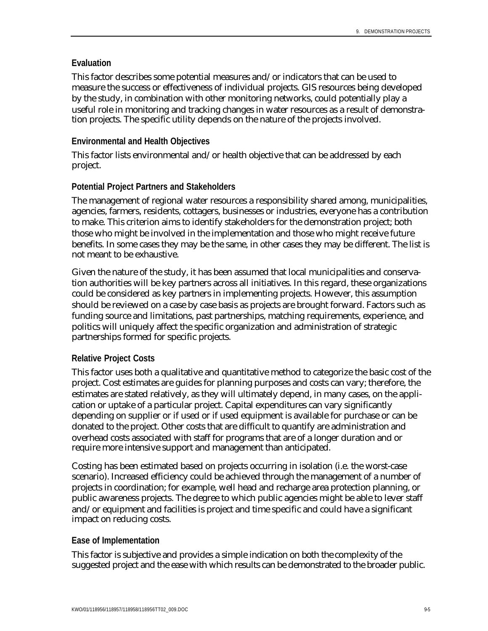#### **Evaluation**

This factor describes some potential measures and/or indicators that can be used to measure the success or effectiveness of individual projects. GIS resources being developed by the study, in combination with other monitoring networks, could potentially play a useful role in monitoring and tracking changes in water resources as a result of demonstration projects. The specific utility depends on the nature of the projects involved.

#### **Environmental and Health Objectives**

This factor lists environmental and/or health objective that can be addressed by each project.

#### **Potential Project Partners and Stakeholders**

The management of regional water resources a responsibility shared among, municipalities, agencies, farmers, residents, cottagers, businesses or industries, everyone has a contribution to make. This criterion aims to identify stakeholders for the demonstration project; both those who might be involved in the implementation and those who might receive future benefits. In some cases they may be the same, in other cases they may be different. The list is not meant to be exhaustive.

Given the nature of the study, it has been assumed that local municipalities and conservation authorities will be key partners across all initiatives. In this regard, these organizations could be considered as key partners in implementing projects. However, this assumption should be reviewed on a case by case basis as projects are brought forward. Factors such as funding source and limitations, past partnerships, matching requirements, experience, and politics will uniquely affect the specific organization and administration of strategic partnerships formed for specific projects.

#### **Relative Project Costs**

This factor uses both a qualitative and quantitative method to categorize the basic cost of the project. Cost estimates are guides for planning purposes and costs can vary; therefore, the estimates are stated relatively, as they will ultimately depend, in many cases, on the application or uptake of a particular project. Capital expenditures can vary significantly depending on supplier or if used or if used equipment is available for purchase or can be donated to the project. Other costs that are difficult to quantify are administration and overhead costs associated with staff for programs that are of a longer duration and or require more intensive support and management than anticipated.

Costing has been estimated based on projects occurring in isolation (i.e. the worst-case scenario). Increased efficiency could be achieved through the management of a number of projects in coordination; for example, well head and recharge area protection planning, or public awareness projects. The degree to which public agencies might be able to lever staff and/or equipment and facilities is project and time specific and could have a significant impact on reducing costs.

#### **Ease of Implementation**

This factor is subjective and provides a simple indication on both the complexity of the suggested project and the ease with which results can be demonstrated to the broader public.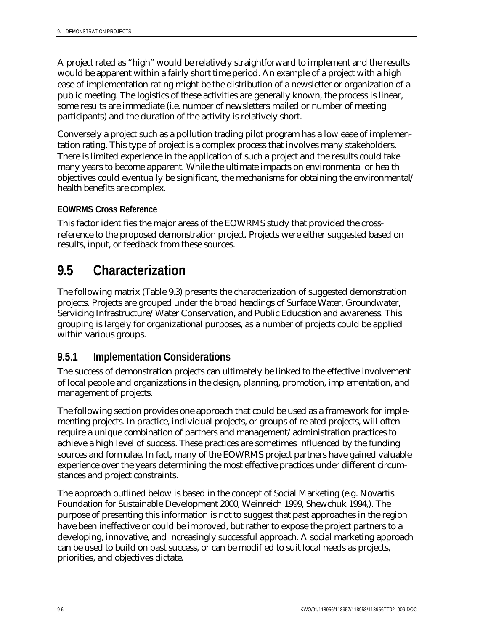A project rated as "high" would be relatively straightforward to implement and the results would be apparent within a fairly short time period. An example of a project with a high ease of implementation rating might be the distribution of a newsletter or organization of a public meeting. The logistics of these activities are generally known, the process is linear, some results are immediate (i.e. number of newsletters mailed or number of meeting participants) and the duration of the activity is relatively short.

Conversely a project such as a pollution trading pilot program has a low ease of implementation rating. This type of project is a complex process that involves many stakeholders. There is limited experience in the application of such a project and the results could take many years to become apparent. While the ultimate impacts on environmental or health objectives could eventually be significant, the mechanisms for obtaining the environmental/ health benefits are complex.

#### **EOWRMS Cross Reference**

This factor identifies the major areas of the EOWRMS study that provided the crossreference to the proposed demonstration project. Projects were either suggested based on results, input, or feedback from these sources.

# **9.5 Characterization**

The following matrix (Table 9.3) presents the characterization of suggested demonstration projects. Projects are grouped under the broad headings of Surface Water, Groundwater, Servicing Infrastructure/Water Conservation, and Public Education and awareness. This grouping is largely for organizational purposes, as a number of projects could be applied within various groups.

### **9.5.1 Implementation Considerations**

The success of demonstration projects can ultimately be linked to the effective involvement of local people and organizations in the design, planning, promotion, implementation, and management of projects.

The following section provides one approach that could be used as a framework for implementing projects. In practice, individual projects, or groups of related projects, will often require a unique combination of partners and management/administration practices to achieve a high level of success. These practices are sometimes influenced by the funding sources and formulae. In fact, many of the EOWRMS project partners have gained valuable experience over the years determining the most effective practices under different circumstances and project constraints.

The approach outlined below is based in the concept of Social Marketing (e.g. Novartis Foundation for Sustainable Development 2000, Weinreich 1999, Shewchuk 1994,). The purpose of presenting this information is not to suggest that past approaches in the region have been ineffective or could be improved, but rather to expose the project partners to a developing, innovative, and increasingly successful approach. A social marketing approach can be used to build on past success, or can be modified to suit local needs as projects, priorities, and objectives dictate.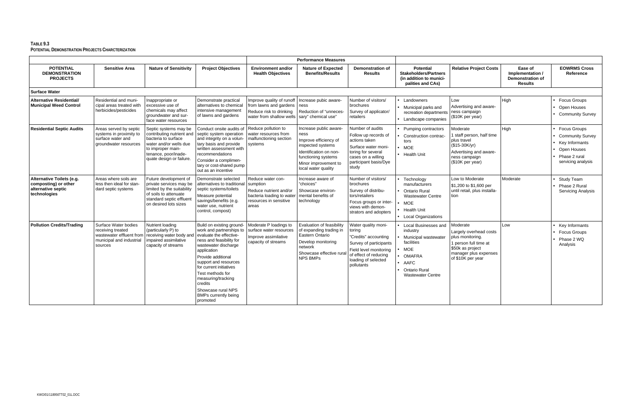|                                                                                         |                                                                                                              |                                                                                                                                                                              |                                                                                                                                                                                                                                                                                                                                                     | <b>Performance Measures</b>                                                                                             |                                                                                                                                                                              |                                                                                                                                                                         |                                                                                                                                                            |                                                                                                                                                   |                                                                          |                                                                                                                        |
|-----------------------------------------------------------------------------------------|--------------------------------------------------------------------------------------------------------------|------------------------------------------------------------------------------------------------------------------------------------------------------------------------------|-----------------------------------------------------------------------------------------------------------------------------------------------------------------------------------------------------------------------------------------------------------------------------------------------------------------------------------------------------|-------------------------------------------------------------------------------------------------------------------------|------------------------------------------------------------------------------------------------------------------------------------------------------------------------------|-------------------------------------------------------------------------------------------------------------------------------------------------------------------------|------------------------------------------------------------------------------------------------------------------------------------------------------------|---------------------------------------------------------------------------------------------------------------------------------------------------|--------------------------------------------------------------------------|------------------------------------------------------------------------------------------------------------------------|
| <b>POTENTIAL</b><br><b>DEMONSTRATION</b><br><b>PROJECTS</b>                             | <b>Sensitive Area</b>                                                                                        | <b>Nature of Sensitivity</b>                                                                                                                                                 | <b>Project Objectives</b>                                                                                                                                                                                                                                                                                                                           | <b>Environment and/or</b><br><b>Health Objectives</b>                                                                   | <b>Nature of Expected</b><br><b>Benefits/Results</b>                                                                                                                         | <b>Demonstration of</b><br><b>Results</b>                                                                                                                               | <b>Potential</b><br><b>Stakeholders/Partners</b><br>(in addition to munici-<br>palities and CAs)                                                           | <b>Relative Project Costs</b>                                                                                                                     | Ease of<br>Implementation /<br><b>Demonstration of</b><br><b>Results</b> | <b>EOWRMS Cross</b><br>Reference                                                                                       |
| <b>Surface Water</b>                                                                    |                                                                                                              |                                                                                                                                                                              |                                                                                                                                                                                                                                                                                                                                                     |                                                                                                                         |                                                                                                                                                                              |                                                                                                                                                                         |                                                                                                                                                            |                                                                                                                                                   |                                                                          |                                                                                                                        |
| <b>Alternative Residential/</b><br><b>Municipal Weed Control</b>                        | Residential and muni-<br>cipal areas treated with<br>herbicides/pesticides                                   | Inappropriate or<br>excessive use of<br>chemicals may affect<br>groundwater and sur-<br>face water resources                                                                 | Demonstrate practical<br>alternatives to chemical<br>intensive management<br>of lawns and gardens                                                                                                                                                                                                                                                   | Improve quality of runoff<br>from lawns and gardens<br>Reduce risk to drinking<br>water from shallow wells              | Increase pubic aware-<br>ness<br>Reduction of "unneces-<br>sary" chemical use"                                                                                               | Number of visitors/<br>brochures<br>Survey of applicator/<br>retailers                                                                                                  | Landowners<br>Municipal parks and<br>recreation departments<br>Landscape companies                                                                         | Low<br>Advertising and aware-<br>ness campaign<br>(\$10K per year)                                                                                | High                                                                     | <b>Focus Groups</b><br>Open Houses<br><b>Community Survey</b>                                                          |
| <b>Residential Septic Audits</b>                                                        | Areas served by septic<br>systems in proximity to<br>surface water and<br>groundwater resources              | Septic systems may be<br>contributing nutrient and<br>bacteria to surface<br>water and/or wells due<br>to improper main-<br>tenance, poor/inade-<br>quate design or failure. | Conduct onsite audits of<br>septic system operation<br>and integrity on a volun-<br>tary basis and provide<br>written assessment with<br>recommendations<br>Consider a complimen-<br>tary or cost-shared pump<br>out as an incentive                                                                                                                | Reduce pollution to<br>water resources from<br>malfunctioning section<br>systems                                        | Increase public aware-<br>ness<br>Improve efficiency of<br>inspected systems<br>Identification on non-<br>functioning systems<br>Minor improvement to<br>local water quality | Number of audits<br>Follow up records of<br>actions taken<br>Surface water moni-<br>toring for several<br>cases on a willing<br>participant basis/Dye<br>study          | Pumping contractors<br>Construction contrac-<br>tors<br><b>MOE</b><br><b>Health Unit</b>                                                                   | Moderate<br>I staff person, half time<br>plus travel<br>(\$15-30K/yr)<br>Advertising and aware-<br>ness campaign<br>(\$10K per year)              | High                                                                     | <b>Focus Groups</b><br><b>Community Survey</b><br>Key Informants<br>Open Houses<br>Phase 2 rural<br>servicing analysis |
| Alternative Toilets (e.g.<br>composting) or other<br>alternative septic<br>technologies | Areas where soils are<br>less then ideal for stan-<br>dard septic systems                                    | Future development of<br>private services may be<br>limited by the suitability<br>of soils to attenuate<br>standard septic effluent<br>on desired lots sizes                 | Demonstrate selected<br>alternatives to traditional<br>septic systems/toilets<br>Measure potential<br>savings/benefits (e.g.<br>water use, nutrient<br>control, compost)                                                                                                                                                                            | Reduce water con-<br>sumption<br>Reduce nutrient and/or<br>bacteria loading to water<br>resources in sensitive<br>areas | ncrease aware of<br>"choices"<br>Showcase environ-<br>mental benefits of<br>technology                                                                                       | Number of visitors/<br>brochures<br>Survey of distribu-<br>tors/retailers<br>Focus groups or inter-<br>views with demon-<br>strators and adopters                       | Technology<br>manufacturers<br><b>Ontario Rural</b><br><b>Wastewater Centre</b><br><b>MOE</b><br><b>Health Unit</b><br><b>Local Organizations</b>          | Low to Moderate<br>\$1,200 to \$1,600 per<br>until retail, plus installa-<br>tion                                                                 | Moderate                                                                 | <b>Study Team</b><br>Phase 2 Rural<br><b>Servicing Analysis</b>                                                        |
| <b>Pollution Credits/Trading</b>                                                        | Surface Water bodies<br>receiving treated<br>wastewater effluent from<br>municipal and industrial<br>sources | Nutrient loading<br>(particularly P) to<br>receiving water body and<br>impaired assimilative<br>capacity of streams                                                          | Build on existing ground-<br>work and partnerships to<br>evaluate the effective-<br>ness and feasibility for<br>wastewater discharge<br>application<br>Provide additional<br>support and resources<br>for current initiatives<br>Test methods for<br>measuring/tracking<br>credits<br>Showcase rural NPS<br><b>BMPs currently being</b><br>promoted | Moderate P loadings to<br>surface water resources<br>Improve assimilative<br>capacity of streams                        | <b>Evaluation of feasibility</b><br>of expanding trading in<br>Eastern Ontario<br>Develop monitoring<br>network<br>Showcase effective rura<br><b>NPS BMPs</b>                | Water quality moni-<br>toring<br>"Credits" accounting<br>Survey of participants<br>Field level monitoring<br>of effect of reducing<br>loading of selected<br>pollutants | Local Businesses and<br>industry<br>Municipal wastewater<br>facilities<br><b>MOE</b><br><b>OMAFRA</b><br>AAFC<br>Ontario Rural<br><b>Wastewater Centre</b> | Moderate<br>Largely overhead costs<br>plus monitoring.<br>1 person full time at<br>\$50k as project<br>manager plus expenses<br>of \$10K per year | Low                                                                      | Key Informants<br><b>Focus Groups</b><br>Phase 2 WQ<br>Analysis                                                        |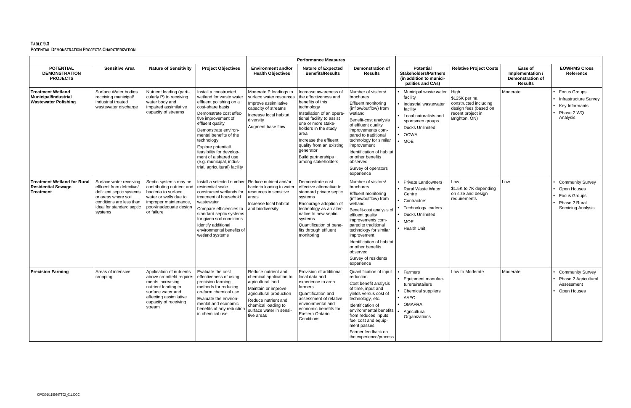|                                                                                        |                                                                                                                                                                            |                                                                                                                                                                                    |                                                                                                                                                                                                                                                                                                                                                                             | <b>Performance Measures</b>                                                                                                                                                                                  |                                                                                                                                                                                                                                                                                                                       |                                                                                                                                                                                                                                                                                                                                             |                                                                                                                                                                     |                                                                                                               |                                                                          |                                                                                                             |
|----------------------------------------------------------------------------------------|----------------------------------------------------------------------------------------------------------------------------------------------------------------------------|------------------------------------------------------------------------------------------------------------------------------------------------------------------------------------|-----------------------------------------------------------------------------------------------------------------------------------------------------------------------------------------------------------------------------------------------------------------------------------------------------------------------------------------------------------------------------|--------------------------------------------------------------------------------------------------------------------------------------------------------------------------------------------------------------|-----------------------------------------------------------------------------------------------------------------------------------------------------------------------------------------------------------------------------------------------------------------------------------------------------------------------|---------------------------------------------------------------------------------------------------------------------------------------------------------------------------------------------------------------------------------------------------------------------------------------------------------------------------------------------|---------------------------------------------------------------------------------------------------------------------------------------------------------------------|---------------------------------------------------------------------------------------------------------------|--------------------------------------------------------------------------|-------------------------------------------------------------------------------------------------------------|
| <b>POTENTIAL</b><br><b>DEMONSTRATION</b><br><b>PROJECTS</b>                            | <b>Sensitive Area</b>                                                                                                                                                      | <b>Nature of Sensitivity</b>                                                                                                                                                       | <b>Project Objectives</b>                                                                                                                                                                                                                                                                                                                                                   | <b>Environment and/or</b><br><b>Health Objectives</b>                                                                                                                                                        | <b>Nature of Expected</b><br><b>Benefits/Results</b>                                                                                                                                                                                                                                                                  | <b>Demonstration of</b><br><b>Results</b>                                                                                                                                                                                                                                                                                                   | <b>Potential</b><br><b>Stakeholders/Partners</b><br>(in addition to munici-<br>palities and CAs)                                                                    | <b>Relative Project Costs</b>                                                                                 | Ease of<br>Implementation /<br><b>Demonstration of</b><br><b>Results</b> | <b>EOWRMS Cross</b><br>Reference                                                                            |
| <b>Treatment Wetland</b><br><b>Municipal/Industrial</b><br><b>Wastewater Polishing</b> | Surface Water bodies<br>receiving municipal/<br>industrial treated<br>wastewater discharge                                                                                 | Nutrient loading (parti-<br>cularly P) to receiving<br>water body and<br>impaired assimilative<br>capacity of streams                                                              | Install a constructed<br>wetland for waste water<br>effluent polishing on a<br>cost-share basis<br>Demonstrate cost effec-<br>tive improvement of<br>effluent quality<br>Demonstrate environ-<br>mental benefits of the<br>technology<br>Explore potential/<br>feasibility for develop-<br>ment of a shared use<br>(e.g. municipal, indus-<br>trial, agricultural) facility | Moderate P loadings to<br>surface water resources<br>Improve assimilative<br>capacity of streams<br>Increase local habitat<br>diversity<br>Augment base flow                                                 | Increase awareness of<br>the effectiveness and<br>benefits of this<br>technology<br>Installation of an opera-<br>tional facility to assist<br>one or more stake-<br>holders in the study<br>area<br>Increase the effluent<br>quality from an existing<br>generator<br><b>Build partnerships</b><br>among stakeholders | Number of visitors/<br>brochures<br><b>Effluent monitoring</b><br>(inflow/outflow) from<br>wetland<br>Benefit-cost analysis<br>of effluent quality<br>improvements com-<br>pared to traditional<br>technology for similar<br>improvement<br>Identification of habitat<br>or other benefits<br>observed<br>Survey of operators<br>experience | Municipal waste water<br>facility<br>Industrial wastewater<br>facility<br>Local naturalists and<br>sportsmen groups<br>Ducks Unlimited<br><b>OCWA</b><br><b>MOE</b> | High<br>\$125K per ha<br>constructed including<br>design fees (based on<br>recent project in<br>Brighton, ON) | Moderate                                                                 | <b>Focus Groups</b><br><b>Infrastructure Survey</b><br>Key Informants<br>Phase 2 WQ<br>Analysis             |
| <b>Treatment Wetland for Rural</b><br><b>Residential Sewage</b><br>Treatment           | Surface water receiving<br>effluent from defective/<br>deficient septic systems<br>or areas where soil<br>conditions are less than<br>ideal for standard septic<br>systems | Septic systems may be<br>contributing nutrient and<br>bacteria to surface<br>water or wells due to<br>improper maintenance,<br>poor/inadequate design<br>or failure                | Install a selected number<br>residential scale<br>constructed wetlands for<br>treatment of household<br>wastewater<br>Compare efficiencies to<br>standard septic systems<br>for given soil conditions<br>Identify additional<br>environmental benefits of<br>wetland systems                                                                                                | Reduce nutrient and/or<br>bacteria loading to water<br>resources in sensitive<br>areas<br>Increase local habitat<br>and biodiversity                                                                         | Demonstrate cost<br>effective alternative to<br>standard private septic<br>systems<br>Encourage adoption of<br>technology as an alter-<br>native to new septic<br>systems<br>Quantification of bene-<br>fits through effluent<br>monitoring                                                                           | Number of visitors/<br>brochures<br><b>Effluent monitoring</b><br>(inflow/outflow) from<br>wetland<br>Benefit-cost analysis of<br>effluent quality<br>improvements com-<br>pared to traditional<br>technology for similar<br>improvement<br>Identification of habitat<br>or other benefits<br>observed<br>Survey of residents<br>experience | <b>Private Landowners</b><br><b>Rural Waste Water</b><br>Centre<br>Contractors<br>Technology leaders<br><b>Ducks Unlimited</b><br>MOE<br><b>Health Unit</b>         | Low<br>\$1.5K to 7K depending<br>on size and design<br>requirements                                           | Low                                                                      | <b>Community Survey</b><br>Open Houses<br><b>Focus Groups</b><br>Phase 2 Rural<br><b>Servicing Analysis</b> |
| <b>Precision Farming</b>                                                               | Areas of intensive<br>cropping                                                                                                                                             | Application of nutrients<br>above crop/field require-<br>ments increasing<br>nutrient loading to<br>surface water and<br>affecting assimilative<br>capacity of receiving<br>stream | Evaluate the cost<br>effectiveness of using<br>precision farming<br>methods for reducing<br>on-farm chemical use<br>Evaluate the environ-<br>mental and economic<br>benefits of any reduction<br>in chemical use                                                                                                                                                            | Reduce nutrient and<br>chemical application to<br>agricultural land<br>Maintain or improve<br>agricultural production<br>Reduce nutrient and<br>chemical loading to<br>surface water in sensi-<br>tive areas | Provision of additional<br>local data and<br>experience to area<br>farmers<br>Quantification and<br>assessment of relative<br>environmental and<br>economic benefits for<br><b>Eastern Ontario</b><br>Conditions                                                                                                      | Quantification of input<br>reduction<br>Cost benefit analysis<br>of time, input and<br>yields versus cost of<br>technology, etc.<br>Identification of<br>environmental benefits<br>from reduced inputs,<br>fuel cost and equip-<br>ment passes<br>Farmer feedback on<br>the experience/process                                              | Farmers<br>Equipment manufac-<br>turers/retailers<br><b>Chemical suppliers</b><br>AAFC<br><b>OMAFRA</b><br>Agricultural<br>Organizations                            | Low to Moderate                                                                                               | Moderate                                                                 | <b>Community Survey</b><br>Phase 2 Agricultural<br>Assessment<br>• Open Houses                              |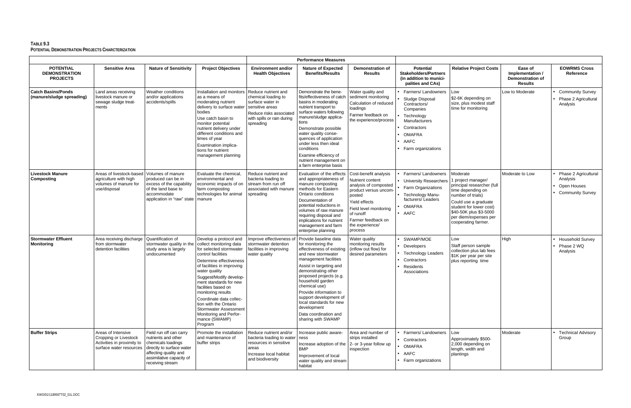|                                                             |                                                                                                      |                                                                                                                                                                            |                                                                                                                                                                                                                                                                                                                                                                                                                   | <b>Performance Measures</b>                                                                                                                             |                                                                                                                                                                                                                                                                                                                                                                                        |                                                                                                                                                                                                                   |                                                                                                                                                                 |                                                                                                                                                                                                                                     |                                                                          |                                                                            |
|-------------------------------------------------------------|------------------------------------------------------------------------------------------------------|----------------------------------------------------------------------------------------------------------------------------------------------------------------------------|-------------------------------------------------------------------------------------------------------------------------------------------------------------------------------------------------------------------------------------------------------------------------------------------------------------------------------------------------------------------------------------------------------------------|---------------------------------------------------------------------------------------------------------------------------------------------------------|----------------------------------------------------------------------------------------------------------------------------------------------------------------------------------------------------------------------------------------------------------------------------------------------------------------------------------------------------------------------------------------|-------------------------------------------------------------------------------------------------------------------------------------------------------------------------------------------------------------------|-----------------------------------------------------------------------------------------------------------------------------------------------------------------|-------------------------------------------------------------------------------------------------------------------------------------------------------------------------------------------------------------------------------------|--------------------------------------------------------------------------|----------------------------------------------------------------------------|
| <b>POTENTIAL</b><br><b>DEMONSTRATION</b><br><b>PROJECTS</b> | <b>Sensitive Area</b>                                                                                | <b>Nature of Sensitivity</b>                                                                                                                                               | <b>Project Objectives</b>                                                                                                                                                                                                                                                                                                                                                                                         | <b>Environment and/or</b><br><b>Health Objectives</b>                                                                                                   | <b>Nature of Expected</b><br><b>Benefits/Results</b>                                                                                                                                                                                                                                                                                                                                   | <b>Demonstration of</b><br><b>Results</b>                                                                                                                                                                         | <b>Potential</b><br><b>Stakeholders/Partners</b><br>(in addition to munici-<br>palities and CAs)                                                                | <b>Relative Project Costs</b>                                                                                                                                                                                                       | Ease of<br>Implementation /<br><b>Demonstration of</b><br><b>Results</b> | <b>EOWRMS Cross</b><br>Reference                                           |
| <b>Catch Basins/Ponds</b><br>(manure/sludge spreading)      | Land areas receiving<br>livestock manure or<br>sewage sludge treat-<br>ments                         | Weather conditions<br>and/or applications<br>accidents/spills                                                                                                              | Installation and monitors<br>as a means of<br>moderating nutrient<br>delivery to surface water<br>bodies<br>Use catch basin to<br>monitor potential<br>nutrient delivery under<br>different conditions and<br>times of year<br><b>Examination implica-</b><br>tions for nutrient<br>management planning                                                                                                           | Reduce nutrient and<br>chemical loading to<br>surface water in<br>sensitive areas<br>Reduce risks associated<br>with spills or rain during<br>spreading | Demonstrate the bene-<br>fits/effectiveness of catch<br>basins in moderating<br>nutrient transport to<br>surface waters following<br>manure/sludge applica-<br>tions<br>Demonstrate possible<br>water quality conse-<br>quences of application<br>under less then ideal<br>conditions<br>Examine efficiency of<br>nutrient management on<br>a farm enterprise basis                    | Water quality and<br>sediment monitoring<br>Calculation of reduced<br>loadings<br>Farmer feedback on<br>the experience/process                                                                                    | Farmers/Landowners<br>Sludge Disposal<br>Contractors/<br>Companies<br>Technology<br>Manufacturers<br>Contractors<br><b>OMAFRA</b><br>AAFC<br>Farm organizations | Low<br>\$2-6K depending on<br>size, plus modest staff<br>time for monitoring                                                                                                                                                        | Low to Moderate                                                          | <b>Community Survey</b><br>Phase 2 Agricultural<br>Analysis                |
| <b>Livestock Manure</b><br>Composting                       | Areas of livestock-based<br>agriculture with high<br>volumes of manure for<br>use/disposal           | Volumes of manure<br>produced can be in<br>excess of the capability<br>of the land base to<br>accommodate<br>application in "raw" state   manure                           | Evaluate the chemical.<br>environmental and<br>economic impacts of on<br>farm composting<br>technologies for animal                                                                                                                                                                                                                                                                                               | Reduce nutrient and<br>bacteria loading to<br>stream from run off<br>associated with manure<br>spreading                                                | Evaluation of the effects<br>and appropriateness of<br>manure composting<br>methods for Eastern<br><b>Ontario conditions</b><br>Documentation of<br>potential reductions in<br>volumes of raw manure<br>requiring disposal and<br>implications for nutrient<br>management and farm<br>enterprise planning                                                                              | Cost-benefit analysis<br>Nutrient content<br>analysis of composted<br>product versus uncom-<br>posted<br>Yield effects<br>Field level monitoring<br>of runoff<br>Farmer feedback on<br>the experience/<br>process | Farmers/Landowners<br><b>University Researchers</b><br>Farm Organizations<br>Technology Manu-<br>facturers/Leaders<br><b>OMAFRA</b><br>$\bullet$ AAFC           | Moderate<br>1 project manager/<br>principal researcher (full<br>time depending on<br>number of trials)<br>Could use a graduate<br>student for lower cost)<br>\$40-50K plus \$3-5000<br>per diem/expenses per<br>cooperating farmer. | Moderate to Low                                                          | Phase 2 Agricultural<br>Analysis<br>Open Houses<br><b>Community Survey</b> |
| <b>Stormwater Effluent</b><br>Monitoring                    | Area receiving discharge<br>from stormwater<br>detention facilities                                  | Quantification of<br>stormwater quality in the<br>study area is largely<br>undocumented                                                                                    | Develop a protocol and<br>collect monitoring data<br>for selected stormwater<br>control facilities<br>Determine effectiveness<br>of facilities in improving<br>water quality<br>Suggest/Modify develop-<br>ment standards for new<br>facilities based on<br>monitoring results<br>Coordinate data collec-<br>tion with the Ontario<br>Stormwater Assessment<br>Monitoring and Perfor-<br>mance (SWAMP)<br>Program | Improve effectiveness of<br>stormwater detention<br>facilities in improving<br>water quality                                                            | Provide baseline data<br>for monitoring the<br>effectiveness of existing<br>and new stormwater<br>management facilities<br>Assist in targeting and<br>demonstrating other<br>proposed projects (e.g.<br>household garden<br>chemical use)<br>Provide information to<br>support development of<br>local standards for new<br>development<br>Data coordination and<br>sharing with SWAMP | Water quality<br>monitoring results<br>(inflow out flow) for<br>desired parameters                                                                                                                                | SWAMP/MOE<br>Developers<br>• Technology Leaders<br>Contractors<br>Residents<br>Associations                                                                     | Low<br>Staff person sample<br>collection plus lab fees<br>\$1K per year per site<br>plus reporting time                                                                                                                             | High                                                                     | <b>Household Survey</b><br>Phase 2 WQ<br>Analysis                          |
| <b>Buffer Strips</b>                                        | Areas of Intensive<br>Cropping or Livestock<br>Activities in proximity to<br>surface water resources | Field run off can carry<br>nutrients and other<br>chemicals loadings<br>directly to surface water<br>affecting quality and<br>assimilative capacity of<br>receiving stream | Promote the installation<br>and maintenance of<br>buffer strips                                                                                                                                                                                                                                                                                                                                                   | Reduce nutrient and/or<br>bacteria loading to water<br>resources in sensitive<br>areas<br>Increase local habitat<br>and biodiversity                    | Increase public aware-<br>ness<br>Increase adoption of the $ 2$ - or 3-year follow up<br><b>BMP</b><br>Improvement of local<br>water quality and stream<br>habitat                                                                                                                                                                                                                     | Area and number of<br>strips installed<br>inspection                                                                                                                                                              | Farmers/Landowners<br>Contractors<br>OMAFRA<br>• AAFC<br>• Farm organizations                                                                                   | Low<br>Approximately \$500-<br>2,000 depending on<br>length, width and<br>plantings                                                                                                                                                 | Moderate                                                                 | <b>Technical Advisory</b><br>Group                                         |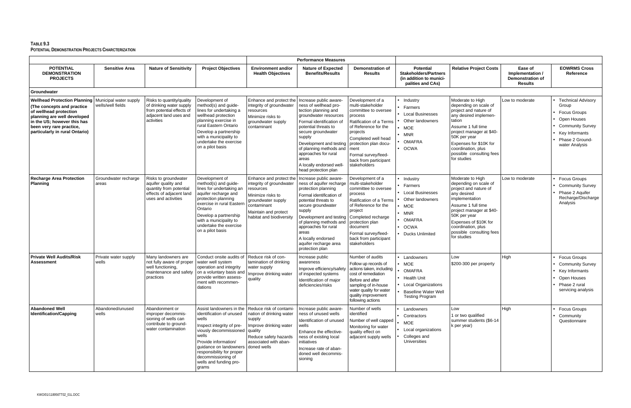| <b>Performance Measures</b>                                                                                                                                                                                              |                                             |                                                                                                                            |                                                                                                                                                                                                                                                            |                                                                                                                                                                                                         |                                                                                                                                                                                                                                                                                                       |                                                                                                                                                                                                                                                                        |                                                                                                                                                   |                                                                                                                                                                                                                                                                    |                                                                          |                                                                                                                                                            |
|--------------------------------------------------------------------------------------------------------------------------------------------------------------------------------------------------------------------------|---------------------------------------------|----------------------------------------------------------------------------------------------------------------------------|------------------------------------------------------------------------------------------------------------------------------------------------------------------------------------------------------------------------------------------------------------|---------------------------------------------------------------------------------------------------------------------------------------------------------------------------------------------------------|-------------------------------------------------------------------------------------------------------------------------------------------------------------------------------------------------------------------------------------------------------------------------------------------------------|------------------------------------------------------------------------------------------------------------------------------------------------------------------------------------------------------------------------------------------------------------------------|---------------------------------------------------------------------------------------------------------------------------------------------------|--------------------------------------------------------------------------------------------------------------------------------------------------------------------------------------------------------------------------------------------------------------------|--------------------------------------------------------------------------|------------------------------------------------------------------------------------------------------------------------------------------------------------|
| <b>POTENTIAL</b><br><b>DEMONSTRATION</b><br><b>PROJECTS</b>                                                                                                                                                              | <b>Sensitive Area</b>                       | <b>Nature of Sensitivity</b>                                                                                               | <b>Project Objectives</b>                                                                                                                                                                                                                                  | <b>Environment and/or</b><br><b>Health Objectives</b>                                                                                                                                                   | <b>Nature of Expected</b><br><b>Benefits/Results</b>                                                                                                                                                                                                                                                  | <b>Demonstration of</b><br><b>Results</b>                                                                                                                                                                                                                              | <b>Potential</b><br><b>Stakeholders/Partners</b><br>(in addition to munici-<br>palities and CAs)                                                  | <b>Relative Project Costs</b>                                                                                                                                                                                                                                      | Ease of<br>Implementation /<br><b>Demonstration of</b><br><b>Results</b> | <b>EOWRMS Cross</b><br>Reference                                                                                                                           |
| Groundwater                                                                                                                                                                                                              |                                             |                                                                                                                            |                                                                                                                                                                                                                                                            |                                                                                                                                                                                                         |                                                                                                                                                                                                                                                                                                       |                                                                                                                                                                                                                                                                        |                                                                                                                                                   |                                                                                                                                                                                                                                                                    |                                                                          |                                                                                                                                                            |
| <b>Wellhead Protection Planning</b><br>(The concepts and practice)<br>of wellhead protection<br>planning are well developed<br>in the US; however this has<br>been very rare practice.<br>particularly in rural Ontario) | Municipal water supply<br>wells/well fields | Risks to quantity/quality<br>of drinking water supply<br>from potential effects of<br>adjacent land uses and<br>activities | Development of<br>method(s) and guide-<br>lines for undertaking a<br>wellhead protection<br>planning exercise in<br>rural Eastern Ontario<br>Develop a partnership<br>with a municipality to<br>undertake the exercise<br>on a pilot basis                 | Enhance and protect the   Increase public aware-<br>integrity of groundwater<br>resources<br>Minimize risks to<br>groundwater supply<br>contaminant                                                     | ness of wellhead pro-<br>tection planning and<br>groundwater resources<br>Formal identification of<br>potential threats to<br>secure groundwater<br>supply<br>Development and testing<br>of planning methods and<br>approaches for rural<br>areas<br>A locally endorsed well-<br>head protection plan | Development of a<br>multi-stakeholder<br>committee to oversee<br>process<br><b>Ratification of a Terms</b><br>of Reference for the<br>projects<br>Completed well head<br>protection plan docu-<br>ment<br>Formal survey/feed-<br>back from participant<br>stakeholders | Industry<br>Farmers<br><b>Local Businesses</b><br>Other landowners<br><b>MOE</b><br><b>MNR</b><br><b>OMAFRA</b><br><b>OCWA</b>                    | Moderate to High<br>depending on scale of<br>project and nature of<br>any desired implemen-<br>tation<br>Assume 1 full time<br>project manager at \$40-<br>50K per year<br>Expenses for \$10K for<br>coordination, plus<br>possible consulting fees<br>for studies | Low to moderate                                                          | <b>Technical Advisory</b><br>Group<br><b>Focus Groups</b><br>Open Houses<br><b>Community Survey</b><br>Key Informants<br>Phase 2 Ground-<br>water Analysis |
| <b>Recharge Area Protection</b><br>Planning                                                                                                                                                                              | Groundwater recharge<br>areas               | Risks to groundwater<br>aquifer quality and<br>quantity from potential<br>effects of adjacent land<br>uses and activities  | Development of<br>method(s) and guide-<br>lines for undertaking an<br>aquifer recharge and<br>protection planning<br>exercise in rural Eastern<br>Ontario<br>Develop a partnership<br>with a municipality to<br>undertake the exercise<br>on a pilot basis | Enhance and protect the   Increase public aware-<br>integrity of groundwater<br>resources<br>Minimize risks to<br>groundwater supply<br>contaminant<br>Maintain and protect<br>habitat and biodiversity | ness of aquifer recharge<br>protection planning<br>Formal identification of<br>potential threats to<br>secure groundwater<br>supply<br>Development and testing<br>of planning methods and<br>approaches for rural<br>areas<br>A locally endorsed<br>aquifer recharge area<br>protection plan          | Development of a<br>multi-stakeholder<br>committee to oversee<br>process<br>Ratification of a Terms<br>of Reference for the<br>project<br>Completed recharge<br>protection plan<br>document<br>Formal survey/feed-<br>back from participant<br>stakeholders            | Industry<br>Farmers<br><b>Local Businesses</b><br>Other landowners<br><b>MOE</b><br><b>MNR</b><br><b>OMAFRA</b><br><b>OCWA</b><br>Ducks Unlimited | Moderate to High<br>depending on scale of<br>project and nature of<br>any desired<br>implementation<br>Assume 1 full time<br>project manager at \$40-<br>50K per year<br>Expenses of \$10K for<br>coordination, plus<br>possible consulting fees<br>for studies    | Low to moderate                                                          | <b>Focus Groups</b><br><b>Community Survey</b><br>Phase 2 Aquifer<br>Recharge/Discharge<br>Analysis                                                        |
| <b>Private Well Audits/Risk</b><br><b>Assessment</b>                                                                                                                                                                     | Private water supply<br>wells               | Many landowners are<br>not fully aware of proper<br>well functioning,<br>maintenance and safety<br>practices               | Conduct onsite audits of<br>water well system<br>operation and integrity<br>on a voluntary basis and<br>provide written assess-<br>ment with recommen-<br>dations                                                                                          | Reduce risk of con-<br>tamination of drinking<br>water supply<br>Improve drinking water<br>quality                                                                                                      | Increase public<br>awareness<br>Improve efficiency/safety<br>of inspected systems<br>Identification of major<br>deficiencies/risks                                                                                                                                                                    | Number of audits<br>Follow up records of<br>actions taken, including<br>cost of remediation<br>Before and after<br>sampling of in-house<br>water quality for water<br>quality improvement<br>following actions                                                         | Landowners<br>MOE<br><b>OMAFRA</b><br><b>Health Unit</b><br><b>Local Organizations</b><br><b>Baselline Water Well</b><br><b>Testing Program</b>   | Low<br>\$200-300 per property                                                                                                                                                                                                                                      | High                                                                     | <b>Focus Groups</b><br><b>Community Survey</b><br>Key Informants<br>Open Houses<br>Phase 2 rural<br>servicing analysis                                     |
| <b>Abandoned Well</b><br>Identification/Capping                                                                                                                                                                          | Abandoned/unused<br>wells                   | Abandonment or<br>improper decommis-<br>sioning of wells can<br>contribute to ground-<br>water contamination               | identification of unused<br>wells<br>Inspect integrity of pre-<br>viously decommissioned   quality<br>wells<br>Provide information/<br>quidance on landowners<br>responsibility for proper<br>decommissioning of<br>wells and funding pro-<br>grams        | Assist landowners in the Reduce risk of contami-<br>nation of drinking water<br>supply<br>Improve drinking water<br>Reduce safety hazards<br>associated with aban-<br>doned wells                       | Increase public aware-<br>ness of unused wells<br>Identification of unused<br>wells<br>Enhance the effective-<br>ness of existing local<br>initiatives<br>Increase rate of aban-<br>doned well decommis-<br>sioning                                                                                   | Number of wells<br>identified<br>Number of well capped<br>Monitoring for water<br>quality effect on<br>adjacent supply wells                                                                                                                                           | Landowners<br>Contractors<br><b>MOE</b><br>Local organizations<br>Colleges and<br>Universities                                                    | Low<br>1 or two qualified<br>summer students (\$6-14<br>k per year)                                                                                                                                                                                                | High                                                                     | <b>Focus Groups</b><br>Community<br>Questionnaire                                                                                                          |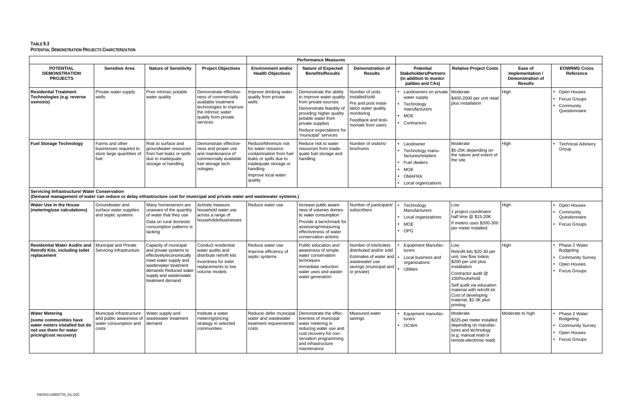| <b>Performance Measures</b>                                                                                                                                                         |                                                                                       |                                                                                                                                                                                                      |                                                                                                                                                             |                                                                                                                                                                        |                                                                                                                                                                                                                                 |                                                                                                                                              |                                                                                                                             |                                                                                                                                                                                                                                                                |                                                                          |                                                                                                    |
|-------------------------------------------------------------------------------------------------------------------------------------------------------------------------------------|---------------------------------------------------------------------------------------|------------------------------------------------------------------------------------------------------------------------------------------------------------------------------------------------------|-------------------------------------------------------------------------------------------------------------------------------------------------------------|------------------------------------------------------------------------------------------------------------------------------------------------------------------------|---------------------------------------------------------------------------------------------------------------------------------------------------------------------------------------------------------------------------------|----------------------------------------------------------------------------------------------------------------------------------------------|-----------------------------------------------------------------------------------------------------------------------------|----------------------------------------------------------------------------------------------------------------------------------------------------------------------------------------------------------------------------------------------------------------|--------------------------------------------------------------------------|----------------------------------------------------------------------------------------------------|
| <b>POTENTIAL</b><br><b>DEMONSTRATION</b><br><b>PROJECTS</b>                                                                                                                         | <b>Sensitive Area</b>                                                                 | <b>Nature of Sensitivity</b>                                                                                                                                                                         | <b>Project Objectives</b>                                                                                                                                   | <b>Environment and/or</b><br><b>Health Objectives</b>                                                                                                                  | <b>Nature of Expected</b><br><b>Benefits/Results</b>                                                                                                                                                                            | <b>Demonstration of</b><br><b>Results</b>                                                                                                    | <b>Potential</b><br><b>Stakeholders/Partners</b><br>(in addition to munici-<br>palities and CAs)                            | <b>Relative Project Costs</b>                                                                                                                                                                                                                                  | Ease of<br>Implementation /<br><b>Demonstration of</b><br><b>Results</b> | <b>EOWRMS Cross</b><br>Reference                                                                   |
| <b>Residential Treatment</b><br>Technologies (e.g. reverse<br>osmosis)                                                                                                              | Private water supply<br>wells                                                         | Poor intrinsic potable<br>water quality                                                                                                                                                              | Demonstrate effective-<br>ness of commercially<br>available treatment<br>technologies to improve<br>the intrinsic water<br>quality from private<br>services | Improve drinking water<br>quality from private<br>wells                                                                                                                | Demonstrate the ability<br>to improve water quality<br>from private sources<br>Demonstrate feasibly of<br>providing higher quality<br>potable water from<br>private supplies<br>Reduce expectations for<br>"municipal" services | Number of units<br>installed/sold<br>Pre and post instal-<br>lation water quality<br>monitoring<br>Feedback and testi-<br>monials from users | Landowners on private<br>water supply<br>Technology<br>manufacturers<br>$\bullet$ MOE<br>Contractors                        | Moderate<br>\$400-2000 per unit retail<br>plus installation                                                                                                                                                                                                    | High                                                                     | Open Houses<br><b>Focus Groups</b><br>Community<br>Questionnaire                                   |
| <b>Fuel Storage Technology</b>                                                                                                                                                      | Farms and other<br>businesses required to<br>store large quantities of<br>fuel        | Risk to surface and<br>groundwater resources<br>from fuel leaks or spills<br>due to inadequate<br>storage or handling                                                                                | Demonstrate effective-<br>ness and proper use<br>and maintenance of<br>commercially available<br>fuel storage tech-<br>nologies                             | Reduce/Minimize risk<br>for water resource<br>contamination from fuel<br>leaks or spills due to<br>inadequate storage or<br>handling<br>Improve local water<br>quality | Reduce risk to water<br>resources from inade-<br>quate fuel storage and<br>handling                                                                                                                                             | Number of visitors/<br>brochures                                                                                                             | Landowner<br>Technology manu-<br>factures/retailers<br>Fuel dealers<br><b>MOE</b><br><b>OMAFRA</b><br>• Local organizations | Moderate<br>\$5-25K depending on<br>the nature and extent of<br>the site                                                                                                                                                                                       | High                                                                     | <b>Technical Advisory</b><br>Group                                                                 |
| <b>Servicing Infrastructure/ Water Conservation</b><br>(Demand management of water can reduce or delay infrastructure cost for municipal and private water and wastewater systems.) |                                                                                       |                                                                                                                                                                                                      |                                                                                                                                                             |                                                                                                                                                                        |                                                                                                                                                                                                                                 |                                                                                                                                              |                                                                                                                             |                                                                                                                                                                                                                                                                |                                                                          |                                                                                                    |
| Water Use in the House<br>(metering/use calculations)                                                                                                                               | Groundwater and<br>surface water supplies<br>and septic systems                       | Many homeowners are<br>unaware of the quantity<br>of water that they use<br>Data on rural domestic<br>consumption patterns is<br>lacking                                                             | Actively measure<br>household water use<br>across a range of<br>households/businesses                                                                       | Reduce water use                                                                                                                                                       | Increase public aware-<br>ness of volumes domes-<br>tic water consumption<br>Provide a benchmark for<br>assessing/measuring<br>effectiveness of water<br>conservation actions                                                   | Number of participant/<br>subscribers                                                                                                        | Technology<br>Manufacturers<br>Local organizations<br><b>MOE</b><br>OPG                                                     | Low<br>1 project coordinator<br>half time @ \$15-20K<br>If meters uses \$200-300<br>per meter installed                                                                                                                                                        | High                                                                     | Open Houses<br>Community<br>Questionnaire<br><b>Focus Groups</b>                                   |
| <b>Residential Water Audits and</b><br><b>Retrofit Kits, including toilet</b><br>replacement                                                                                        | Municipal and Private<br>Servicing Infrastructure                                     | Capacity of municipal<br>and private systems to<br>effectively/economically<br>meet water supply and<br>wasterwater treatment<br>demands Reduced water<br>supply and wasterwater<br>treatment demand | Conduct residential<br>water audits and<br>distribute retrofit kits<br>Incentives for toilet<br>replacements to low<br>volume models                        | Reduce water use<br>Improve efficiency of<br>septic systems                                                                                                            | Public education and<br>awareness of simple<br>water conservation<br>techniques<br>Immediate reduction<br>water uses and waster<br>water generation                                                                             | Number of kits/toilets<br>distributed and/or sold<br>Estimates of water and<br>wastewater use<br>savings (municipal and<br>or private)       | <b>Equipment Manufac-</b><br>turers<br>Local business and<br>organizations<br>Utilities                                     | Low<br>Retrofit kits \$20-30 per<br>unit, low flow toilets<br>\$200 per unit plus<br>installation<br>Contractor audit @<br>100/houhehold<br>Self audit via education<br>material with retrofit kit.<br>Cost of developing<br>material, \$2-3K plus<br>printing | High                                                                     | Phase 2 Water<br>Budgeting<br><b>Community Survey</b><br>Open Houses<br><b>Focus Groups</b>        |
| <b>Water Metering</b><br>(some communities have<br>water meters installed but do<br>not use them for water<br>pricing/cost recovery)                                                | Municipal infrastructure<br>and public awareness of<br>water consumption and<br>costs | Water supply and<br>wastewater treatment<br>demand                                                                                                                                                   | Institute a water<br>metering/pricing<br>strategy in selected<br>communities                                                                                | Reduce/ defer municipal<br>water and wastewater<br>treatment requirements/<br>costs                                                                                    | Demonstrate the effec-<br>tiveness of municipal<br>water metering in<br>reducing water use and<br>cost recovery for con-<br>servation programming<br>and infrastructure<br>maintenance                                          | Measured water<br>savings                                                                                                                    | Equipment manufac-<br>turers<br><b>OCWA</b>                                                                                 | Moderate<br>\$225-per meter installed<br>depending on manufac-<br>tures and technology<br>(e.g. manual read or<br>remote-electronic read)                                                                                                                      | Moderate to high                                                         | Phase 2 Water<br><b>Budgeting</b><br><b>Community Survey</b><br>Open Houses<br><b>Focus Groups</b> |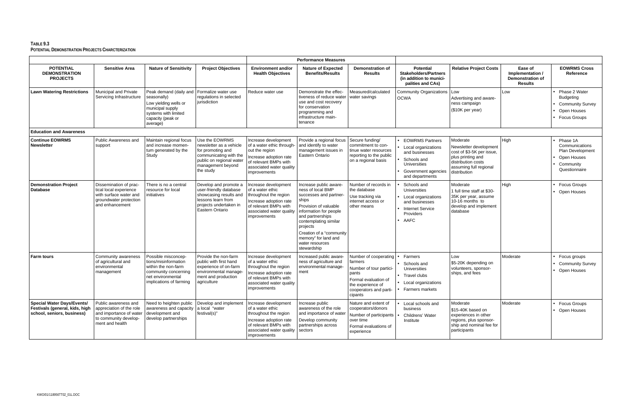|                                                                                                   |                                                                                                                         |                                                                                                                                                                   |                                                                                                                                                        |                                                                                                                                                                    | <b>Performance Measures</b>                                                                                                                                                                                                                                                      |                                                                                                                                                        |                                                                                                                                                 |                                                                                                                                                      |                                                                          |                                                                                                    |
|---------------------------------------------------------------------------------------------------|-------------------------------------------------------------------------------------------------------------------------|-------------------------------------------------------------------------------------------------------------------------------------------------------------------|--------------------------------------------------------------------------------------------------------------------------------------------------------|--------------------------------------------------------------------------------------------------------------------------------------------------------------------|----------------------------------------------------------------------------------------------------------------------------------------------------------------------------------------------------------------------------------------------------------------------------------|--------------------------------------------------------------------------------------------------------------------------------------------------------|-------------------------------------------------------------------------------------------------------------------------------------------------|------------------------------------------------------------------------------------------------------------------------------------------------------|--------------------------------------------------------------------------|----------------------------------------------------------------------------------------------------|
| <b>POTENTIAL</b><br><b>DEMONSTRATION</b><br><b>PROJECTS</b>                                       | <b>Sensitive Area</b>                                                                                                   | <b>Nature of Sensitivity</b>                                                                                                                                      | <b>Project Objectives</b>                                                                                                                              | <b>Environment and/or</b><br><b>Health Objectives</b>                                                                                                              | <b>Nature of Expected</b><br><b>Benefits/Results</b>                                                                                                                                                                                                                             | <b>Demonstration of</b><br><b>Results</b>                                                                                                              | <b>Potential</b><br><b>Stakeholders/Partners</b><br>(in addition to munici-<br>palities and CAs)                                                | <b>Relative Project Costs</b>                                                                                                                        | Ease of<br>Implementation /<br><b>Demonstration of</b><br><b>Results</b> | <b>EOWRMS Cross</b><br>Reference                                                                   |
| <b>Lawn Watering Restrictions</b>                                                                 | Municipal and Private<br>Servicing Infrastructure                                                                       | Peak demand (daily and   Formalize water use<br>seasonally)<br>Low yielding wells or<br>municipal supply<br>systems with limited<br>capacity (peak or<br>average) | regulations in selected<br>iurisdiction                                                                                                                | Reduce water use                                                                                                                                                   | Demonstrate the effec-<br>tiveness of reduce water<br>use and cost recovery<br>for conservation<br>programming and<br>infrastructure main-<br>tenance                                                                                                                            | Measured/calculated<br>water savings                                                                                                                   | Community Organizations   Low<br><b>OCWA</b>                                                                                                    | Advertising and aware-<br>ness campaign<br>(\$10K per year)                                                                                          | Low                                                                      | Phase 2 Water<br><b>Budgeting</b><br><b>Community Survey</b><br>Open Houses<br><b>Focus Groups</b> |
| <b>Education and Awareness</b>                                                                    |                                                                                                                         |                                                                                                                                                                   |                                                                                                                                                        |                                                                                                                                                                    |                                                                                                                                                                                                                                                                                  |                                                                                                                                                        |                                                                                                                                                 |                                                                                                                                                      |                                                                          |                                                                                                    |
| <b>Continue EOWRMS</b><br><b>Newsletter</b>                                                       | Public Awareness and<br>support                                                                                         | Maintain regional focus<br>and increase momen-<br>tum generated by the<br>Study                                                                                   | Use the EOWRMS<br>newsletter as a vehicle<br>for promoting and<br>communicating with the<br>public on regional water<br>management beyond<br>the study | Increase development<br>of a water ethic through-<br>out the region<br>Increase adoption rate<br>of relevant BMPs with<br>associated water quality<br>improvements | Provide a regional focus<br>and identify to water<br>management issues in<br>Eastern Ontario                                                                                                                                                                                     | Secure funding/<br>commitment to con-<br>tinue water resources<br>reporting to the public<br>on a regional basis                                       | <b>EOWRMS Partners</b><br>Local organizations<br>and businesses<br>Schools and<br><b>Universities</b><br>Government agencies<br>and departments | Moderate<br>Newsletter development<br>cost of \$3-5K per issue,<br>plus printing and<br>distribution costs<br>assuming full regional<br>distribution | High                                                                     | Phase 1A<br>Communications<br>Plan Development<br>Open Houses<br>Community<br>Questionnaire        |
| <b>Demonstration Project</b><br><b>Database</b>                                                   | Dissemination of prac-<br>tical local experience<br>with surface water and<br>groundwater protection<br>and enhancement | There is no a central<br>resource for local<br>initiatives                                                                                                        | Develop and promote a<br>user-friendly database<br>showcasing results and<br>lessons learn from<br>projects undertaken in<br>Eastern Ontario           | Increase development<br>of a water ethic<br>throughout the region<br>Increase adoption rate<br>of relevant BMPs with<br>associated water quality<br>improvements   | Increase public aware-<br>ness of local BMP<br>successes and partner-<br>ships<br>Provision of valuable<br>information for people<br>and partnerships<br>contemplating similar<br>projects<br>Creation of a "community<br>memory" for land and<br>water resources<br>stewardship | Number of records in<br>the database<br>Use tracking via<br>internet access or<br>other means                                                          | Schools and<br><b>Universities</b><br>Local organizations<br>and businesses<br><b>Internet Service</b><br>Providers<br>AAFC                     | Moderate<br>1 full time staff at \$30-<br>35K per year, assume<br>10-16 months to<br>develop and implement<br>database                               | High                                                                     | <b>Focus Groups</b><br>Open Houses                                                                 |
| <b>Farm tours</b>                                                                                 | Community awareness<br>of agricultural and<br>environmental<br>management                                               | Possible misconcep-<br>tions/misinformation<br>within the non-farm<br>community concerning<br>net environmental<br>implications of farming                        | Provide the non-farm<br>public with first hand<br>experience of on-farm<br>environmental manage-<br>ment and production<br>agriculture                 | Increase development<br>of a water ethic<br>throughout the region<br>Increase adoption rate<br>of relevant BMPs with<br>associated water quality<br>improvements   | Increased public aware-<br>ness of agriculture and<br>environmental manage-<br>ment                                                                                                                                                                                              | Number of cooperating<br>farmers<br>Number of tour partici-<br>pants<br>Formal evaluation of<br>the experience of<br>cooperators and parti-<br>cipants | Farmers<br>Schools and<br>Universities<br>Travel clubs<br>Local organizations<br>Farmers markets                                                | Low<br>\$5-20K depending on<br>volunteers, sponsor-<br>ships, and fees                                                                               | Moderate                                                                 | Focus groups<br><b>Community Survey</b><br>Open Houses                                             |
| <b>Special Water Days/Events/</b><br>Festivals (general, kids, high<br>school, seniors, business) | Public awareness and<br>appreciation of the role<br>and importance of water<br>to community develop-<br>ment and health | Need to heighten public<br>awareness and capacity<br>development and<br>develop partnerships                                                                      | Develop and implement<br>a local "water<br>festival(s)"                                                                                                | Increase development<br>of a water ethic<br>throughout the region<br>Increase adoption rate<br>of relevant BMPs with<br>associated water quality<br>improvements   | Increase public<br>awareness of the role<br>and importance of water<br>Develop community<br>partnerships across<br>sectors                                                                                                                                                       | Nature and extent of<br>cooperators/donors<br>Number of participants<br>over time<br>Formal evaluations of<br>experience                               | Local schools and<br>business<br>Childrens' Water<br>Institute                                                                                  | Moderate<br>\$15-40K based on<br>experiences in other<br>regions, plus sponsor-<br>ship and nominal fee for<br>participants                          | Moderate                                                                 | Focus Groups<br>Open Houses                                                                        |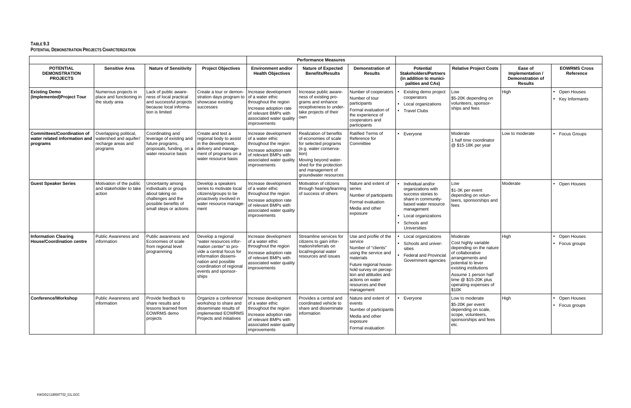|                                                                                |                                                                                   |                                                                                                                                       |                                                                                                                                                                                                                |                                                                                                                                                                  | <b>Performance Measures</b>                                                                                                                                                                                  |                                                                                                                                                                                                                                       |                                                                                                                                                                                  |                                                                                                                                                                                                                                      |                                                                          |                                  |
|--------------------------------------------------------------------------------|-----------------------------------------------------------------------------------|---------------------------------------------------------------------------------------------------------------------------------------|----------------------------------------------------------------------------------------------------------------------------------------------------------------------------------------------------------------|------------------------------------------------------------------------------------------------------------------------------------------------------------------|--------------------------------------------------------------------------------------------------------------------------------------------------------------------------------------------------------------|---------------------------------------------------------------------------------------------------------------------------------------------------------------------------------------------------------------------------------------|----------------------------------------------------------------------------------------------------------------------------------------------------------------------------------|--------------------------------------------------------------------------------------------------------------------------------------------------------------------------------------------------------------------------------------|--------------------------------------------------------------------------|----------------------------------|
| <b>POTENTIAL</b><br><b>DEMONSTRATION</b><br><b>PROJECTS</b>                    | <b>Sensitive Area</b>                                                             | <b>Nature of Sensitivity</b>                                                                                                          | <b>Project Objectives</b>                                                                                                                                                                                      | <b>Environment and/or</b><br><b>Health Objectives</b>                                                                                                            | <b>Nature of Expected</b><br><b>Benefits/Results</b>                                                                                                                                                         | <b>Demonstration of</b><br><b>Results</b>                                                                                                                                                                                             | <b>Potential</b><br><b>Stakeholders/Partners</b><br>(in addition to munici-<br>palities and CAs)                                                                                 | <b>Relative Project Costs</b>                                                                                                                                                                                                        | Ease of<br>Implementation /<br><b>Demonstration of</b><br><b>Results</b> | <b>EOWRMS Cross</b><br>Reference |
| <b>Existing Demo</b><br>(Implemented)Project Tour                              | Numerous projects in<br>place and functioning in<br>the study area                | Lack of public aware-<br>ness of local practical<br>and successful projects<br>because local informa-<br>tion is limited              | Create a tour or demon-<br>stration days program to<br>showcase existing<br>successes                                                                                                                          | Increase development<br>of a water ethic<br>throughout the region<br>Increase adoption rate<br>of relevant BMPs with<br>associated water quality<br>improvements | Increase public aware-<br>ness of existing pro-<br>grams and enhance<br>receptiveness to under-<br>take projects of their<br>own                                                                             | Number of cooperators<br>Number of tour<br>participants<br>Formal evaluation of<br>the experience of<br>cooperators and<br>participants                                                                                               | Existing demo project<br>cooperators<br>• Local organizations<br>Travel Clubs                                                                                                    | Low<br>\$5-20K depending on<br>volunteers, sponsor-<br>ships and fees                                                                                                                                                                | High                                                                     | Open Houses<br>Key Informants    |
| <b>Committees/Coordination of</b><br>water related information and<br>programs | Overlapping political<br>watershed and aquifer/<br>recharge areas and<br>programs | Coordinating and<br>leverage of existing and<br>future programs,<br>proposals, funding, on a<br>water resource basis                  | Create and test a<br>regional body to assist<br>in the development,<br>delivery and manage-<br>ment of programs on a<br>water resource basis                                                                   | Increase development<br>of a water ethic<br>throughout the region<br>Increase adoption rate<br>of relevant BMPs with<br>associated water quality<br>improvements | Realization of benefits<br>of economies of scale<br>for selected programs<br>(e.g. water conserva-<br>tion)<br>Moving beyond water-<br>shed for the protection<br>and management of<br>groundwater resources | Ratified Terms of<br>Reference for<br>Committee                                                                                                                                                                                       | Everyone                                                                                                                                                                         | Moderate<br>1 half time coordinator<br>@ \$15-18K per year                                                                                                                                                                           | Low to moderate                                                          | <b>Focus Groups</b>              |
| <b>Guest Speaker Series</b>                                                    | Motivation of the public<br>and stakeholder to take<br>action                     | Uncertainty among<br>individuals or groups<br>about taking on<br>challenges and the<br>possible benefits of<br>small steps or actions | Develop a speakers<br>series to motivate local<br>citizens/groups to be<br>proactively involved in<br>water resource manage-<br>ment                                                                           | Increase development<br>of a water ethic<br>throughout the region<br>Increase adoption rate<br>of relevant BMPs with<br>associated water quality<br>improvements | Motivation of citizens<br>through hearing/learning<br>of success of others                                                                                                                                   | Nature and extent of<br>series<br>Number of participants<br>Formal evaluation<br>Media and other<br>exposure                                                                                                                          | Individual and/or<br>organizations with<br>success stories to<br>share in community-<br>based water resource<br>management<br>Local organizations<br>Schools and<br>Universities | Low<br>\$1-3K per event<br>depending on volun-<br>teers, sponsorships and<br>fees                                                                                                                                                    | Moderate                                                                 | Open Houses                      |
| <b>Information Clearing</b><br>House/Coordination centre                       | Public Awareness and<br>information                                               | Public awareness and<br>Economies of scale<br>from regional level<br>programming                                                      | Develop a regional<br>"water resources infor-<br>mation center" to pro-<br>vide a central focus for<br>information dissemi-<br>nation and possible<br>coordination of regional<br>events and sponsor-<br>ships | Increase development<br>of a water ethic<br>throughout the region<br>Increase adoption rate<br>of relevant BMPs with<br>associated water quality<br>improvements | Streamline services for<br>citizens to gain infor-<br>mation/referrals on<br>local/regional water<br>resources and issues                                                                                    | Use and profile of the<br>service<br>Number of "clients"<br>using the service and<br>materials<br>Future regional house-<br>hold survey on percep-<br>tion and attitudes and<br>actions on water<br>resources and their<br>management | Local organizations<br>Schools and univer-<br>sities<br><b>Federal and Provincia</b><br>Government agencies                                                                      | Moderate<br>Cost highly variable<br>depending on the nature<br>of collaborative<br>arrangements and<br>potential to lever<br>existing institutions<br>Assume 1 person half<br>time $@$15-20K$ plus<br>operating expenses of<br>\$10K | High                                                                     | Open Houses<br>Focus groups      |
| Conference/Workshop                                                            | Public Awareness and<br>information                                               | Provide feedback to<br>share results and<br>lessons learned from<br>EOWRMS demo<br>projects                                           | Organize a conference/<br>workshop to share and<br>disseminate results of<br>implemented EOWRMS<br>Projects and initiatives                                                                                    | Increase development<br>of a water ethic<br>throughout the region<br>Increase adoption rate<br>of relevant BMPs with<br>associated water quality<br>improvements | Provides a central and<br>coordinated vehicle to<br>share and disseminate<br>information                                                                                                                     | Nature and extent of<br>events<br>Number of participants<br>Media and other<br>exposure<br>Formal evaluation                                                                                                                          | Everyone                                                                                                                                                                         | Low to moderate<br>\$5-20K per event<br>depending on scale,<br>scope, volunteers,<br>sponsorships and fees<br>etc.                                                                                                                   | High                                                                     | Open Houses<br>Focus groups      |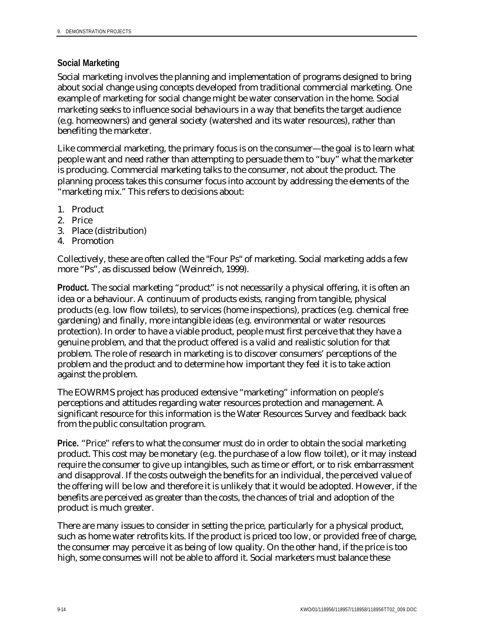#### **Social Marketing**

Social marketing involves the planning and implementation of programs designed to bring about social change using concepts developed from traditional commercial marketing. One example of marketing for social change might be water conservation in the home. Social marketing seeks to influence social behaviours in a way that benefits the target audience (e.g. homeowners) and general society (watershed and its water resources), rather than benefiting the marketer.

Like commercial marketing, the primary focus is on the consumer—the goal is to learn what people want and need rather than attempting to persuade them to "buy" what the marketer is producing. Commercial marketing talks to the consumer, not about the product. The planning process takes this consumer focus into account by addressing the elements of the "marketing mix." This refers to decisions about:

- 1. Product
- 2. Price
- 3. Place (distribution)
- 4. Promotion

Collectively, these are often called the "Four Ps" of marketing. Social marketing adds a few more "Ps", as discussed below (Weinreich, 1999).

**Product.** The social marketing "product" is not necessarily a physical offering, it is often an idea or a behaviour. A continuum of products exists, ranging from tangible, physical products (e.g. low flow toilets), to services (home inspections), practices (e.g. chemical free gardening) and finally, more intangible ideas (e.g. environmental or water resources protection). In order to have a viable product, people must first perceive that they have a genuine problem, and that the product offered is a valid and realistic solution for that problem. The role of research in marketing is to discover consumers' perceptions of the problem and the product and to determine how important they feel it is to take action against the problem.

The EOWRMS project has produced extensive "marketing" information on people's perceptions and attitudes regarding water resources protection and management. A significant resource for this information is the Water Resources Survey and feedback back from the public consultation program.

Price. "Price" refers to what the consumer must do in order to obtain the social marketing product. This cost may be monetary (e.g. the purchase of a low flow toilet), or it may instead require the consumer to give up intangibles, such as time or effort, or to risk embarrassment and disapproval. If the costs outweigh the benefits for an individual, the perceived value of the offering will be low and therefore it is unlikely that it would be adopted. However, if the benefits are perceived as greater than the costs, the chances of trial and adoption of the product is much greater.

There are many issues to consider in setting the price, particularly for a physical product, such as home water retrofits kits. If the product is priced too low, or provided free of charge, the consumer may perceive it as being of low quality. On the other hand, if the price is too high, some consumes will not be able to afford it. Social marketers must balance these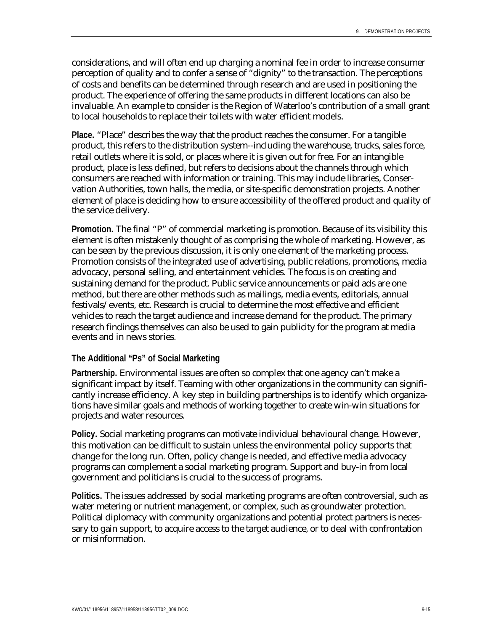considerations, and will often end up charging a nominal fee in order to increase consumer perception of quality and to confer a sense of "dignity" to the transaction. The perceptions of costs and benefits can be determined through research and are used in positioning the product. The experience of offering the same products in different locations can also be invaluable. An example to consider is the Region of Waterloo's contribution of a small grant to local households to replace their toilets with water efficient models.

**Place.** "Place" describes the way that the product reaches the consumer. For a tangible product, this refers to the distribution system--including the warehouse, trucks, sales force, retail outlets where it is sold, or places where it is given out for free. For an intangible product, place is less defined, but refers to decisions about the channels through which consumers are reached with information or training. This may include libraries, Conservation Authorities, town halls, the media, or site-specific demonstration projects. Another element of place is deciding how to ensure accessibility of the offered product and quality of the service delivery.

**Promotion.** The final "P" of commercial marketing is promotion. Because of its visibility this element is often mistakenly thought of as comprising the whole of marketing. However, as can be seen by the previous discussion, it is only one element of the marketing process. Promotion consists of the integrated use of advertising, public relations, promotions, media advocacy, personal selling, and entertainment vehicles. The focus is on creating and sustaining demand for the product. Public service announcements or paid ads are one method, but there are other methods such as mailings, media events, editorials, annual festivals/events, etc. Research is crucial to determine the most effective and efficient vehicles to reach the target audience and increase demand for the product. The primary research findings themselves can also be used to gain publicity for the program at media events and in news stories.

#### **The Additional "Ps" of Social Marketing**

**Partnership.** Environmental issues are often so complex that one agency can't make a significant impact by itself. Teaming with other organizations in the community can significantly increase efficiency. A key step in building partnerships is to identify which organizations have similar goals and methods of working together to create win-win situations for projects and water resources.

**Policy.** Social marketing programs can motivate individual behavioural change. However, this motivation can be difficult to sustain unless the environmental policy supports that change for the long run. Often, policy change is needed, and effective media advocacy programs can complement a social marketing program. Support and buy-in from local government and politicians is crucial to the success of programs.

**Politics.** The issues addressed by social marketing programs are often controversial, such as water metering or nutrient management, or complex, such as groundwater protection. Political diplomacy with community organizations and potential protect partners is necessary to gain support, to acquire access to the target audience, or to deal with confrontation or misinformation.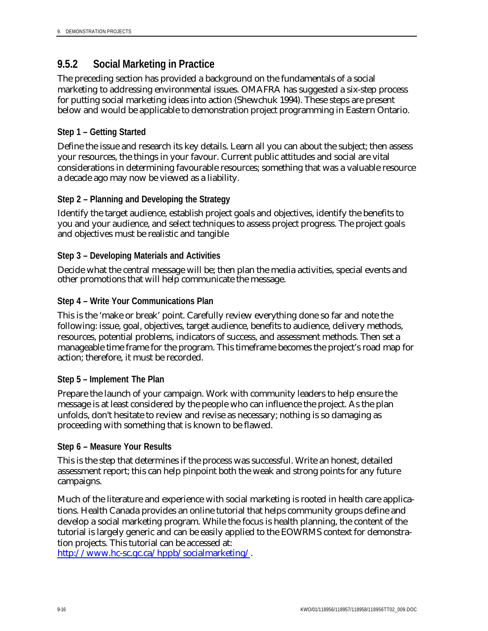### **9.5.2 Social Marketing in Practice**

The preceding section has provided a background on the fundamentals of a social marketing to addressing environmental issues. OMAFRA has suggested a six-step process for putting social marketing ideas into action (Shewchuk 1994). These steps are present below and would be applicable to demonstration project programming in Eastern Ontario.

#### **Step 1 – Getting Started**

Define the issue and research its key details. Learn all you can about the subject; then assess your resources, the things in your favour. Current public attitudes and social are vital considerations in determining favourable resources; something that was a valuable resource a decade ago may now be viewed as a liability.

#### **Step 2 – Planning and Developing the Strategy**

Identify the target audience, establish project goals and objectives, identify the benefits to you and your audience, and select techniques to assess project progress. The project goals and objectives must be realistic and tangible

#### **Step 3 – Developing Materials and Activities**

Decide what the central message will be; then plan the media activities, special events and other promotions that will help communicate the message.

#### **Step 4 – Write Your Communications Plan**

This is the 'make or break' point. Carefully review everything done so far and note the following: issue, goal, objectives, target audience, benefits to audience, delivery methods, resources, potential problems, indicators of success, and assessment methods. Then set a manageable time frame for the program. This timeframe becomes the project's road map for action; therefore, it must be recorded.

#### **Step 5 – Implement The Plan**

Prepare the launch of your campaign. Work with community leaders to help ensure the message is at least considered by the people who can influence the project. As the plan unfolds, don't hesitate to review and revise as necessary; nothing is so damaging as proceeding with something that is known to be flawed.

#### **Step 6 – Measure Your Results**

This is the step that determines if the process was successful. Write an honest, detailed assessment report; this can help pinpoint both the weak and strong points for any future campaigns.

Much of the literature and experience with social marketing is rooted in health care applications. Health Canada provides an online tutorial that helps community groups define and develop a social marketing program. While the focus is health planning, the content of the tutorial is largely generic and can be easily applied to the EOWRMS context for demonstration projects. This tutorial can be accessed at:

http://www.hc-sc.gc.ca/hppb/socialmarketing/.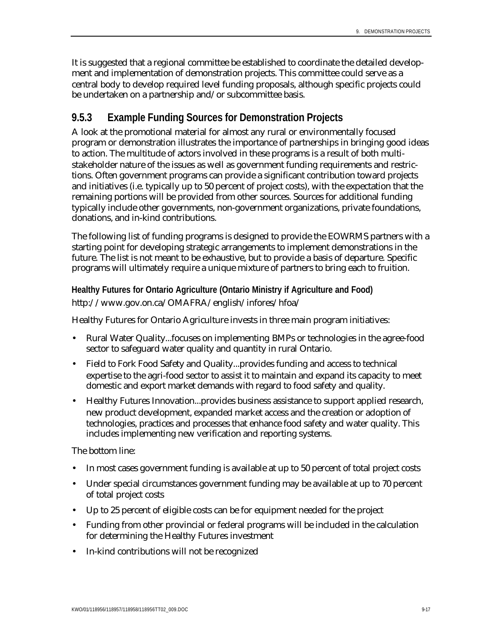It is suggested that a regional committee be established to coordinate the detailed development and implementation of demonstration projects. This committee could serve as a central body to develop required level funding proposals, although specific projects could be undertaken on a partnership and/or subcommittee basis.

### **9.5.3 Example Funding Sources for Demonstration Projects**

A look at the promotional material for almost any rural or environmentally focused program or demonstration illustrates the importance of partnerships in bringing good ideas to action. The multitude of actors involved in these programs is a result of both multistakeholder nature of the issues as well as government funding requirements and restrictions. Often government programs can provide a significant contribution toward projects and initiatives (i.e. typically up to 50 percent of project costs), with the expectation that the remaining portions will be provided from other sources. Sources for additional funding typically include other governments, non-government organizations, private foundations, donations, and in-kind contributions.

The following list of funding programs is designed to provide the EOWRMS partners with a starting point for developing strategic arrangements to implement demonstrations in the future. The list is not meant to be exhaustive, but to provide a basis of departure. Specific programs will ultimately require a unique mixture of partners to bring each to fruition.

#### **Healthy Futures for Ontario Agriculture (Ontario Ministry if Agriculture and Food)** http://www.gov.on.ca/OMAFRA/english/infores/hfoa/

Healthy Futures for Ontario Agriculture invests in three main program initiatives:

- Rural Water Quality...focuses on implementing BMPs or technologies in the agree-food sector to safeguard water quality and quantity in rural Ontario.
- Field to Fork Food Safety and Quality...provides funding and access to technical expertise to the agri-food sector to assist it to maintain and expand its capacity to meet domestic and export market demands with regard to food safety and quality.
- Healthy Futures Innovation...provides business assistance to support applied research, new product development, expanded market access and the creation or adoption of technologies, practices and processes that enhance food safety and water quality. This includes implementing new verification and reporting systems.

The bottom line:

- In most cases government funding is available at up to 50 percent of total project costs
- Under special circumstances government funding may be available at up to 70 percent of total project costs
- Up to 25 percent of eligible costs can be for equipment needed for the project
- Funding from other provincial or federal programs will be included in the calculation for determining the Healthy Futures investment
- In-kind contributions will not be recognized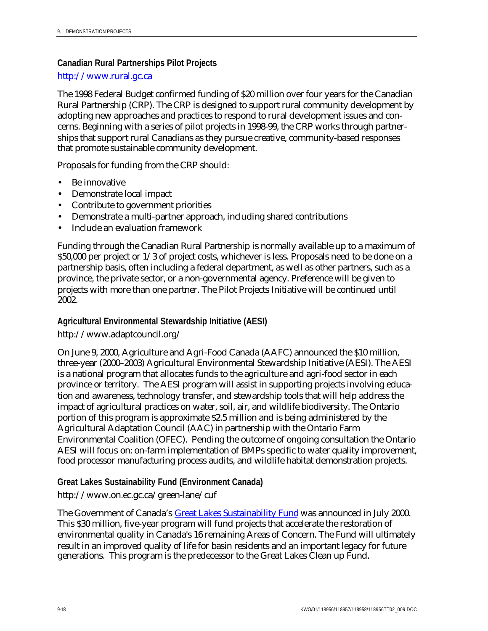#### **Canadian Rural Partnerships Pilot Projects**

#### http://www.rural.gc.ca

The 1998 Federal Budget confirmed funding of \$20 million over four years for the Canadian Rural Partnership (CRP). The CRP is designed to support rural community development by adopting new approaches and practices to respond to rural development issues and concerns. Beginning with a series of pilot projects in 1998-99, the CRP works through partnerships that support rural Canadians as they pursue creative, community-based responses that promote sustainable community development.

Proposals for funding from the CRP should:

- Be innovative
- Demonstrate local impact
- Contribute to government priorities
- Demonstrate a multi-partner approach, including shared contributions
- Include an evaluation framework

Funding through the Canadian Rural Partnership is normally available up to a maximum of \$50,000 per project or 1/3 of project costs, whichever is less. Proposals need to be done on a partnership basis, often including a federal department, as well as other partners, such as a province, the private sector, or a non-governmental agency. Preference will be given to projects with more than one partner. The Pilot Projects Initiative will be continued until 2002.

#### **Agricultural Environmental Stewardship Initiative (AESI)**

#### http://www.adaptcouncil.org/

On June 9, 2000, Agriculture and Agri-Food Canada (AAFC) announced the \$10 million, three-year (2000–2003) Agricultural Environmental Stewardship Initiative (AESI). The AESI is a national program that allocates funds to the agriculture and agri-food sector in each province or territory. The AESI program will assist in supporting projects involving education and awareness, technology transfer, and stewardship tools that will help address the impact of agricultural practices on water, soil, air, and wildlife biodiversity. The Ontario portion of this program is approximate \$2.5 million and is being administered by the Agricultural Adaptation Council (AAC) in partnership with the Ontario Farm Environmental Coalition (OFEC). Pending the outcome of ongoing consultation the Ontario AESI will focus on: on-farm implementation of BMPs specific to water quality improvement, food processor manufacturing process audits, and wildlife habitat demonstration projects.

#### **Great Lakes Sustainability Fund (Environment Canada)**

#### http://www.on.ec.gc.ca/green-lane/cuf

The Government of Canada's Great Lakes Sustainability Fund was announced in July 2000. This \$30 million, five-year program will fund projects that accelerate the restoration of environmental quality in Canada's 16 remaining Areas of Concern. The Fund will ultimately result in an improved quality of life for basin residents and an important legacy for future generations. This program is the predecessor to the Great Lakes Clean up Fund.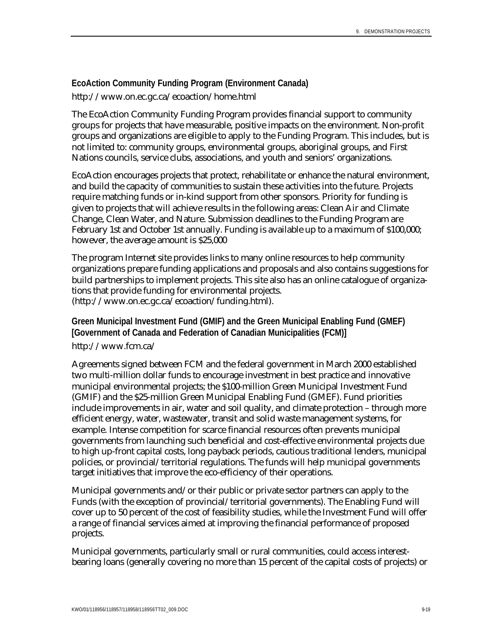#### **EcoAction Community Funding Program (Environment Canada)** http://www.on.ec.gc.ca/ecoaction/home.html

The EcoAction Community Funding Program provides financial support to community groups for projects that have measurable, positive impacts on the environment. Non-profit groups and organizations are eligible to apply to the Funding Program. This includes, but is not limited to: community groups, environmental groups, aboriginal groups, and First Nations councils, service clubs, associations, and youth and seniors' organizations.

EcoAction encourages projects that protect, rehabilitate or enhance the natural environment, and build the capacity of communities to sustain these activities into the future. Projects require matching funds or in-kind support from other sponsors. Priority for funding is given to projects that will achieve results in the following areas: Clean Air and Climate Change, Clean Water, and Nature. Submission deadlines to the Funding Program are February 1st and October 1st annually. Funding is available up to a maximum of \$100,000; however, the average amount is \$25,000

The program Internet site provides links to many online resources to help community organizations prepare funding applications and proposals and also contains suggestions for build partnerships to implement projects. This site also has an online catalogue of organizations that provide funding for environmental projects. (http://www.on.ec.gc.ca/ecoaction/funding.html).

#### **Green Municipal Investment Fund (GMIF) and the Green Municipal Enabling Fund (GMEF) [Government of Canada and Federation of Canadian Municipalities (FCM)]**

#### http://www.fcm.ca/

Agreements signed between FCM and the federal government in March 2000 established two multi-million dollar funds to encourage investment in best practice and innovative municipal environmental projects; the \$100-million Green Municipal Investment Fund (GMIF) and the \$25-million Green Municipal Enabling Fund (GMEF). Fund priorities include improvements in air, water and soil quality, and climate protection – through more efficient energy, water, wastewater, transit and solid waste management systems, for example. Intense competition for scarce financial resources often prevents municipal governments from launching such beneficial and cost-effective environmental projects due to high up-front capital costs, long payback periods, cautious traditional lenders, municipal policies, or provincial/territorial regulations. The funds will help municipal governments target initiatives that improve the eco-efficiency of their operations.

Municipal governments and/or their public or private sector partners can apply to the Funds (with the exception of provincial/territorial governments). The Enabling Fund will cover up to 50 percent of the cost of feasibility studies, while the Investment Fund will offer a range of financial services aimed at improving the financial performance of proposed projects.

Municipal governments, particularly small or rural communities, could access interestbearing loans (generally covering no more than 15 percent of the capital costs of projects) or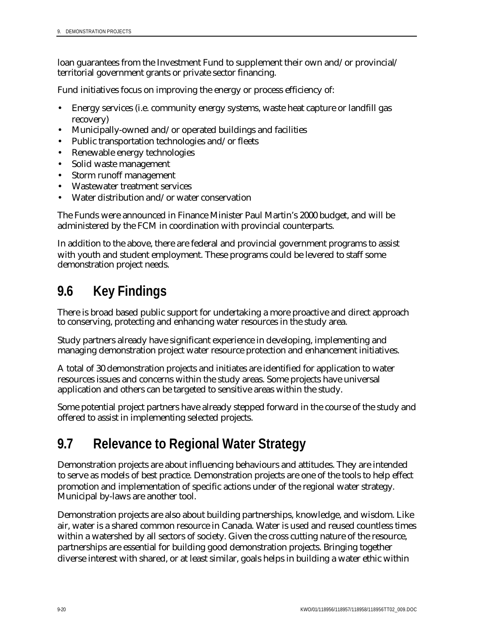loan guarantees from the Investment Fund to supplement their own and/or provincial/ territorial government grants or private sector financing.

Fund initiatives focus on improving the energy or process efficiency of:

- Energy services (i.e. community energy systems, waste heat capture or landfill gas recovery)
- Municipally-owned and/or operated buildings and facilities
- Public transportation technologies and/or fleets
- Renewable energy technologies
- Solid waste management
- Storm runoff management
- Wastewater treatment services
- Water distribution and/or water conservation

The Funds were announced in Finance Minister Paul Martin's 2000 budget, and will be administered by the FCM in coordination with provincial counterparts.

In addition to the above, there are federal and provincial government programs to assist with youth and student employment. These programs could be levered to staff some demonstration project needs.

# **9.6 Key Findings**

There is broad based public support for undertaking a more proactive and direct approach to conserving, protecting and enhancing water resources in the study area.

Study partners already have significant experience in developing, implementing and managing demonstration project water resource protection and enhancement initiatives.

A total of 30 demonstration projects and initiates are identified for application to water resources issues and concerns within the study areas. Some projects have universal application and others can be targeted to sensitive areas within the study.

Some potential project partners have already stepped forward in the course of the study and offered to assist in implementing selected projects.

# **9.7 Relevance to Regional Water Strategy**

Demonstration projects are about influencing behaviours and attitudes. They are intended to serve as models of best practice. Demonstration projects are one of the tools to help effect promotion and implementation of specific actions under of the regional water strategy. Municipal by-laws are another tool.

Demonstration projects are also about building partnerships, knowledge, and wisdom. Like air, water is a shared common resource in Canada. Water is used and reused countless times within a watershed by all sectors of society. Given the cross cutting nature of the resource, partnerships are essential for building good demonstration projects. Bringing together diverse interest with shared, or at least similar, goals helps in building a water ethic within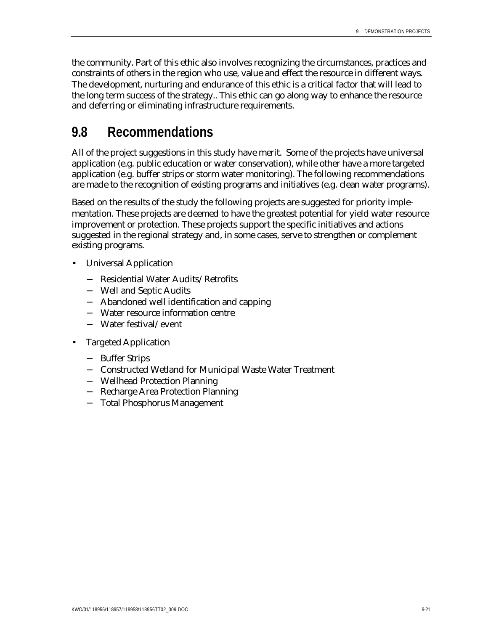the community. Part of this ethic also involves recognizing the circumstances, practices and constraints of others in the region who use, value and effect the resource in different ways. The development, nurturing and endurance of this ethic is a critical factor that will lead to the long term success of the strategy.. This ethic can go along way to enhance the resource and deferring or eliminating infrastructure requirements.

# **9.8 Recommendations**

All of the project suggestions in this study have merit. Some of the projects have universal application (e.g. public education or water conservation), while other have a more targeted application (e.g. buffer strips or storm water monitoring). The following recommendations are made to the recognition of existing programs and initiatives (e.g. clean water programs).

Based on the results of the study the following projects are suggested for priority implementation. These projects are deemed to have the greatest potential for yield water resource improvement or protection. These projects support the specific initiatives and actions suggested in the regional strategy and, in some cases, serve to strengthen or complement existing programs.

- Universal Application
	- − Residential Water Audits/Retrofits
	- − Well and Septic Audits
	- − Abandoned well identification and capping
	- − Water resource information centre
	- − Water festival/event
- Targeted Application
	- − Buffer Strips
	- − Constructed Wetland for Municipal Waste Water Treatment
	- − Wellhead Protection Planning
	- − Recharge Area Protection Planning
	- − Total Phosphorus Management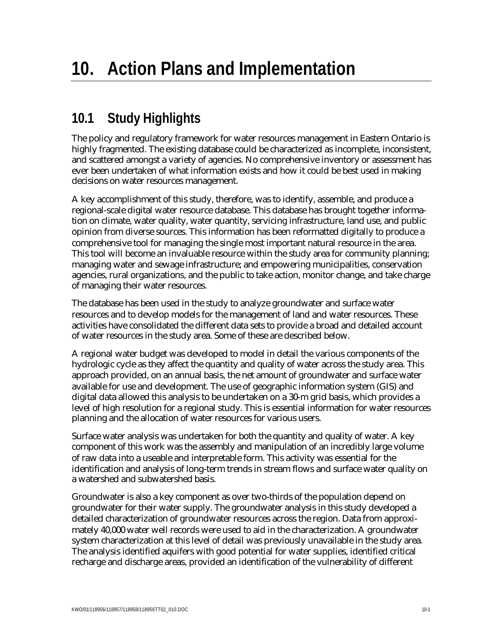# **10.1 Study Highlights**

The policy and regulatory framework for water resources management in Eastern Ontario is highly fragmented. The existing database could be characterized as incomplete, inconsistent, and scattered amongst a variety of agencies. No comprehensive inventory or assessment has ever been undertaken of what information exists and how it could be best used in making decisions on water resources management.

A key accomplishment of this study, therefore, was to identify, assemble, and produce a regional-scale digital water resource database. This database has brought together information on climate, water quality, water quantity, servicing infrastructure, land use, and public opinion from diverse sources. This information has been reformatted digitally to produce a comprehensive tool for managing the single most important natural resource in the area. This tool will become an invaluable resource within the study area for community planning; managing water and sewage infrastructure; and empowering municipalities, conservation agencies, rural organizations, and the public to take action, monitor change, and take charge of managing their water resources.

The database has been used in the study to analyze groundwater and surface water resources and to develop models for the management of land and water resources. These activities have consolidated the different data sets to provide a broad and detailed account of water resources in the study area. Some of these are described below.

A regional water budget was developed to model in detail the various components of the hydrologic cycle as they affect the quantity and quality of water across the study area. This approach provided, on an annual basis, the net amount of groundwater and surface water available for use and development. The use of geographic information system (GIS) and digital data allowed this analysis to be undertaken on a 30-m grid basis, which provides a level of high resolution for a regional study. This is essential information for water resources planning and the allocation of water resources for various users.

Surface water analysis was undertaken for both the quantity and quality of water. A key component of this work was the assembly and manipulation of an incredibly large volume of raw data into a useable and interpretable form. This activity was essential for the identification and analysis of long-term trends in stream flows and surface water quality on a watershed and subwatershed basis.

Groundwater is also a key component as over two-thirds of the population depend on groundwater for their water supply. The groundwater analysis in this study developed a detailed characterization of groundwater resources across the region. Data from approximately 40,000 water well records were used to aid in the characterization. A groundwater system characterization at this level of detail was previously unavailable in the study area. The analysis identified aquifers with good potential for water supplies, identified critical recharge and discharge areas, provided an identification of the vulnerability of different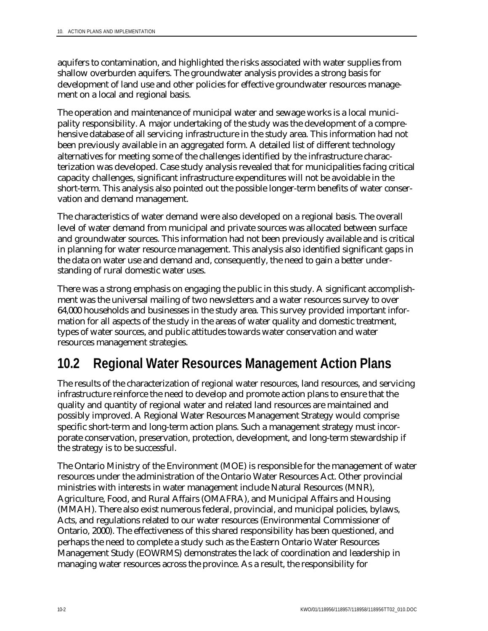aquifers to contamination, and highlighted the risks associated with water supplies from shallow overburden aquifers. The groundwater analysis provides a strong basis for development of land use and other policies for effective groundwater resources management on a local and regional basis.

The operation and maintenance of municipal water and sewage works is a local municipality responsibility. A major undertaking of the study was the development of a comprehensive database of all servicing infrastructure in the study area. This information had not been previously available in an aggregated form. A detailed list of different technology alternatives for meeting some of the challenges identified by the infrastructure characterization was developed. Case study analysis revealed that for municipalities facing critical capacity challenges, significant infrastructure expenditures will not be avoidable in the short-term. This analysis also pointed out the possible longer-term benefits of water conservation and demand management.

The characteristics of water demand were also developed on a regional basis. The overall level of water demand from municipal and private sources was allocated between surface and groundwater sources. This information had not been previously available and is critical in planning for water resource management. This analysis also identified significant gaps in the data on water use and demand and, consequently, the need to gain a better understanding of rural domestic water uses.

There was a strong emphasis on engaging the public in this study. A significant accomplishment was the universal mailing of two newsletters and a water resources survey to over 64,000 households and businesses in the study area. This survey provided important information for all aspects of the study in the areas of water quality and domestic treatment, types of water sources, and public attitudes towards water conservation and water resources management strategies.

## **10.2 Regional Water Resources Management Action Plans**

The results of the characterization of regional water resources, land resources, and servicing infrastructure reinforce the need to develop and promote action plans to ensure that the quality and quantity of regional water and related land resources are maintained and possibly improved. A Regional Water Resources Management Strategy would comprise specific short-term and long-term action plans. Such a management strategy must incorporate conservation, preservation, protection, development, and long-term stewardship if the strategy is to be successful.

The Ontario Ministry of the Environment (MOE) is responsible for the management of water resources under the administration of the Ontario Water Resources Act. Other provincial ministries with interests in water management include Natural Resources (MNR), Agriculture, Food, and Rural Affairs (OMAFRA), and Municipal Affairs and Housing (MMAH). There also exist numerous federal, provincial, and municipal policies, bylaws, Acts, and regulations related to our water resources (Environmental Commissioner of Ontario, 2000). The effectiveness of this shared responsibility has been questioned, and perhaps the need to complete a study such as the Eastern Ontario Water Resources Management Study (EOWRMS) demonstrates the lack of coordination and leadership in managing water resources across the province. As a result, the responsibility for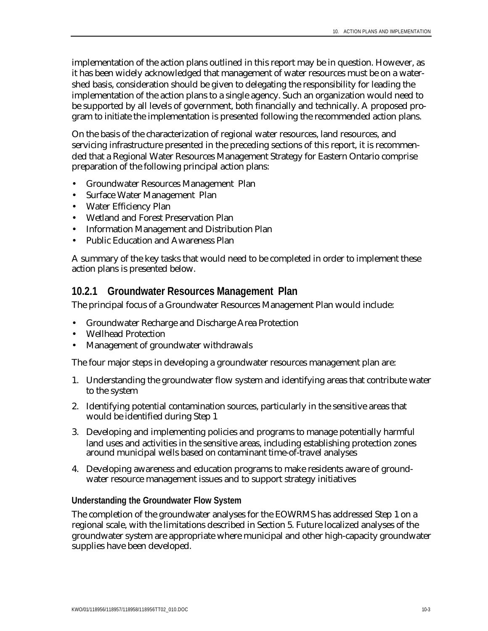implementation of the action plans outlined in this report may be in question. However, as it has been widely acknowledged that management of water resources must be on a watershed basis, consideration should be given to delegating the responsibility for leading the implementation of the action plans to a single agency. Such an organization would need to be supported by all levels of government, both financially and technically. A proposed program to initiate the implementation is presented following the recommended action plans.

On the basis of the characterization of regional water resources, land resources, and servicing infrastructure presented in the preceding sections of this report, it is recommended that a Regional Water Resources Management Strategy for Eastern Ontario comprise preparation of the following principal action plans:

- Groundwater Resources Management Plan
- Surface Water Management Plan
- Water Efficiency Plan
- Wetland and Forest Preservation Plan
- Information Management and Distribution Plan
- Public Education and Awareness Plan

A summary of the key tasks that would need to be completed in order to implement these action plans is presented below.

#### **10.2.1 Groundwater Resources Management Plan**

The principal focus of a Groundwater Resources Management Plan would include:

- Groundwater Recharge and Discharge Area Protection
- Wellhead Protection
- Management of groundwater withdrawals

The four major steps in developing a groundwater resources management plan are:

- 1. Understanding the groundwater flow system and identifying areas that contribute water to the system
- 2. Identifying potential contamination sources, particularly in the sensitive areas that would be identified during Step 1
- 3. Developing and implementing policies and programs to manage potentially harmful land uses and activities in the sensitive areas, including establishing protection zones around municipal wells based on contaminant time-of-travel analyses
- 4. Developing awareness and education programs to make residents aware of groundwater resource management issues and to support strategy initiatives

#### **Understanding the Groundwater Flow System**

The completion of the groundwater analyses for the EOWRMS has addressed Step 1 on a regional scale, with the limitations described in Section 5. Future localized analyses of the groundwater system are appropriate where municipal and other high-capacity groundwater supplies have been developed.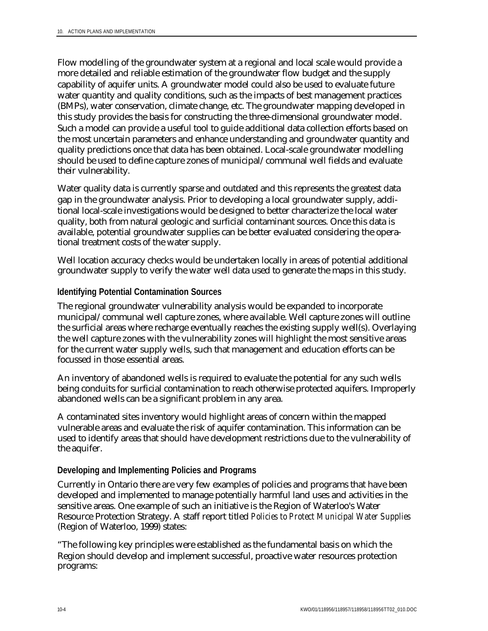Flow modelling of the groundwater system at a regional and local scale would provide a more detailed and reliable estimation of the groundwater flow budget and the supply capability of aquifer units. A groundwater model could also be used to evaluate future water quantity and quality conditions, such as the impacts of best management practices (BMPs), water conservation, climate change, etc. The groundwater mapping developed in this study provides the basis for constructing the three-dimensional groundwater model. Such a model can provide a useful tool to guide additional data collection efforts based on the most uncertain parameters and enhance understanding and groundwater quantity and quality predictions once that data has been obtained. Local-scale groundwater modelling should be used to define capture zones of municipal/communal well fields and evaluate their vulnerability.

Water quality data is currently sparse and outdated and this represents the greatest data gap in the groundwater analysis. Prior to developing a local groundwater supply, additional local-scale investigations would be designed to better characterize the local water quality, both from natural geologic and surficial contaminant sources. Once this data is available, potential groundwater supplies can be better evaluated considering the operational treatment costs of the water supply.

Well location accuracy checks would be undertaken locally in areas of potential additional groundwater supply to verify the water well data used to generate the maps in this study.

#### **Identifying Potential Contamination Sources**

The regional groundwater vulnerability analysis would be expanded to incorporate municipal/communal well capture zones, where available. Well capture zones will outline the surficial areas where recharge eventually reaches the existing supply well(s). Overlaying the well capture zones with the vulnerability zones will highlight the most sensitive areas for the current water supply wells, such that management and education efforts can be focussed in those essential areas.

An inventory of abandoned wells is required to evaluate the potential for any such wells being conduits for surficial contamination to reach otherwise protected aquifers. Improperly abandoned wells can be a significant problem in any area.

A contaminated sites inventory would highlight areas of concern within the mapped vulnerable areas and evaluate the risk of aquifer contamination. This information can be used to identify areas that should have development restrictions due to the vulnerability of the aquifer.

#### **Developing and Implementing Policies and Programs**

Currently in Ontario there are very few examples of policies and programs that have been developed and implemented to manage potentially harmful land uses and activities in the sensitive areas. One example of such an initiative is the Region of Waterloo's Water Resource Protection Strategy. A staff report titled *Policies to Protect Municipal Water Supplies* (Region of Waterloo, 1999) states:

"The following key principles were established as the fundamental basis on which the Region should develop and implement successful, proactive water resources protection programs: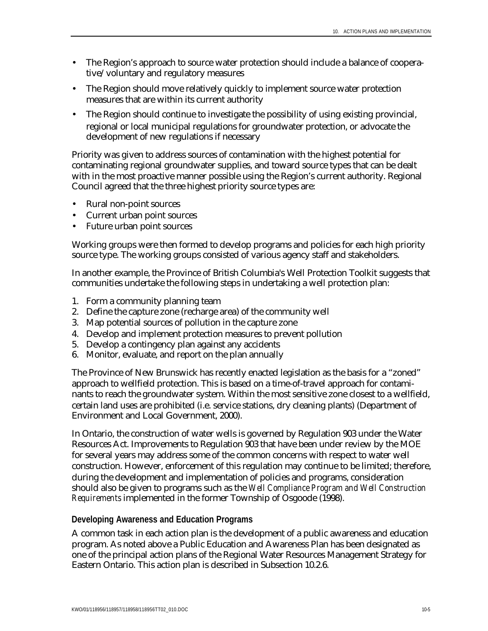- The Region's approach to source water protection should include a balance of cooperative/voluntary and regulatory measures
- The Region should move relatively quickly to implement source water protection measures that are within its current authority
- The Region should continue to investigate the possibility of using existing provincial, regional or local municipal regulations for groundwater protection, or advocate the development of new regulations if necessary

Priority was given to address sources of contamination with the highest potential for contaminating regional groundwater supplies, and toward source types that can be dealt with in the most proactive manner possible using the Region's current authority. Regional Council agreed that the three highest priority source types are:

- Rural non-point sources
- Current urban point sources
- Future urban point sources

Working groups were then formed to develop programs and policies for each high priority source type. The working groups consisted of various agency staff and stakeholders.

In another example, the Province of British Columbia's Well Protection Toolkit suggests that communities undertake the following steps in undertaking a well protection plan:

- 1. Form a community planning team
- 2. Define the capture zone (recharge area) of the community well
- 3. Map potential sources of pollution in the capture zone
- 4. Develop and implement protection measures to prevent pollution
- 5. Develop a contingency plan against any accidents
- 6. Monitor, evaluate, and report on the plan annually

The Province of New Brunswick has recently enacted legislation as the basis for a "zoned" approach to wellfield protection. This is based on a time-of-travel approach for contaminants to reach the groundwater system. Within the most sensitive zone closest to a wellfield, certain land uses are prohibited (i.e. service stations, dry cleaning plants) (Department of Environment and Local Government, 2000).

In Ontario, the construction of water wells is governed by Regulation 903 under the Water Resources Act. Improvements to Regulation 903 that have been under review by the MOE for several years may address some of the common concerns with respect to water well construction. However, enforcement of this regulation may continue to be limited; therefore, during the development and implementation of policies and programs, consideration should also be given to programs such as the *Well Compliance Program and Well Construction Requirements* implemented in the former Township of Osgoode (1998).

#### **Developing Awareness and Education Programs**

A common task in each action plan is the development of a public awareness and education program. As noted above a Public Education and Awareness Plan has been designated as one of the principal action plans of the Regional Water Resources Management Strategy for Eastern Ontario. This action plan is described in Subsection 10.2.6.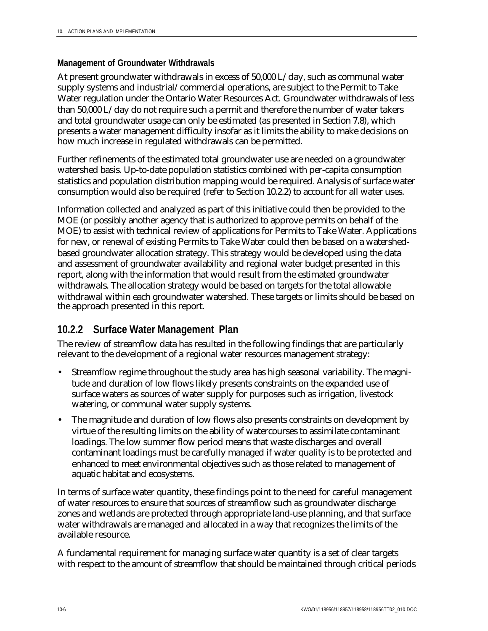#### **Management of Groundwater Withdrawals**

At present groundwater withdrawals in excess of 50,000 L/day, such as communal water supply systems and industrial/commercial operations, are subject to the Permit to Take Water regulation under the Ontario Water Resources Act. Groundwater withdrawals of less than 50,000 L/day do not require such a permit and therefore the number of water takers and total groundwater usage can only be estimated (as presented in Section 7.8), which presents a water management difficulty insofar as it limits the ability to make decisions on how much increase in regulated withdrawals can be permitted.

Further refinements of the estimated total groundwater use are needed on a groundwater watershed basis. Up-to-date population statistics combined with per-capita consumption statistics and population distribution mapping would be required. Analysis of surface water consumption would also be required (refer to Section 10.2.2) to account for all water uses.

Information collected and analyzed as part of this initiative could then be provided to the MOE (or possibly another agency that is authorized to approve permits on behalf of the MOE) to assist with technical review of applications for Permits to Take Water. Applications for new, or renewal of existing Permits to Take Water could then be based on a watershedbased groundwater allocation strategy. This strategy would be developed using the data and assessment of groundwater availability and regional water budget presented in this report, along with the information that would result from the estimated groundwater withdrawals. The allocation strategy would be based on targets for the total allowable withdrawal within each groundwater watershed. These targets or limits should be based on the approach presented in this report.

#### **10.2.2 Surface Water Management Plan**

The review of streamflow data has resulted in the following findings that are particularly relevant to the development of a regional water resources management strategy:

- Streamflow regime throughout the study area has high seasonal variability. The magnitude and duration of low flows likely presents constraints on the expanded use of surface waters as sources of water supply for purposes such as irrigation, livestock watering, or communal water supply systems.
- The magnitude and duration of low flows also presents constraints on development by virtue of the resulting limits on the ability of watercourses to assimilate contaminant loadings. The low summer flow period means that waste discharges and overall contaminant loadings must be carefully managed if water quality is to be protected and enhanced to meet environmental objectives such as those related to management of aquatic habitat and ecosystems.

In terms of surface water quantity, these findings point to the need for careful management of water resources to ensure that sources of streamflow such as groundwater discharge zones and wetlands are protected through appropriate land-use planning, and that surface water withdrawals are managed and allocated in a way that recognizes the limits of the available resource.

A fundamental requirement for managing surface water quantity is a set of clear targets with respect to the amount of streamflow that should be maintained through critical periods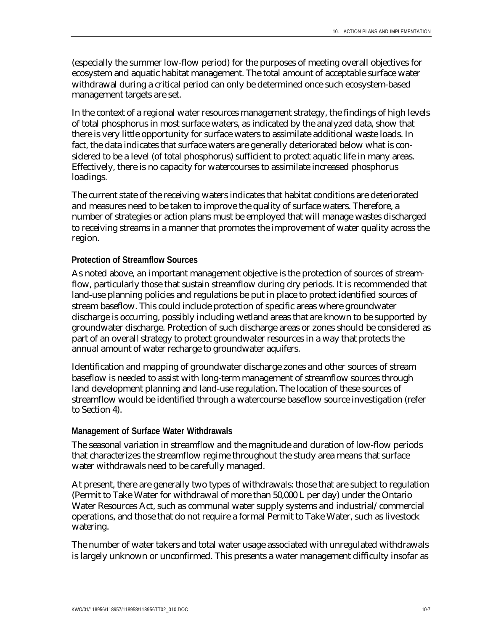(especially the summer low-flow period) for the purposes of meeting overall objectives for ecosystem and aquatic habitat management. The total amount of acceptable surface water withdrawal during a critical period can only be determined once such ecosystem-based management targets are set.

In the context of a regional water resources management strategy, the findings of high levels of total phosphorus in most surface waters, as indicated by the analyzed data, show that there is very little opportunity for surface waters to assimilate additional waste loads. In fact, the data indicates that surface waters are generally deteriorated below what is considered to be a level (of total phosphorus) sufficient to protect aquatic life in many areas. Effectively, there is no capacity for watercourses to assimilate increased phosphorus loadings.

The current state of the receiving waters indicates that habitat conditions are deteriorated and measures need to be taken to improve the quality of surface waters. Therefore, a number of strategies or action plans must be employed that will manage wastes discharged to receiving streams in a manner that promotes the improvement of water quality across the region.

#### **Protection of Streamflow Sources**

As noted above, an important management objective is the protection of sources of streamflow, particularly those that sustain streamflow during dry periods. It is recommended that land-use planning policies and regulations be put in place to protect identified sources of stream baseflow. This could include protection of specific areas where groundwater discharge is occurring, possibly including wetland areas that are known to be supported by groundwater discharge. Protection of such discharge areas or zones should be considered as part of an overall strategy to protect groundwater resources in a way that protects the annual amount of water recharge to groundwater aquifers.

Identification and mapping of groundwater discharge zones and other sources of stream baseflow is needed to assist with long-term management of streamflow sources through land development planning and land-use regulation. The location of these sources of streamflow would be identified through a watercourse baseflow source investigation (refer to Section 4).

#### **Management of Surface Water Withdrawals**

The seasonal variation in streamflow and the magnitude and duration of low-flow periods that characterizes the streamflow regime throughout the study area means that surface water withdrawals need to be carefully managed.

At present, there are generally two types of withdrawals: those that are subject to regulation (Permit to Take Water for withdrawal of more than 50,000 L per day) under the Ontario Water Resources Act, such as communal water supply systems and industrial/commercial operations, and those that do not require a formal Permit to Take Water, such as livestock watering.

The number of water takers and total water usage associated with unregulated withdrawals is largely unknown or unconfirmed. This presents a water management difficulty insofar as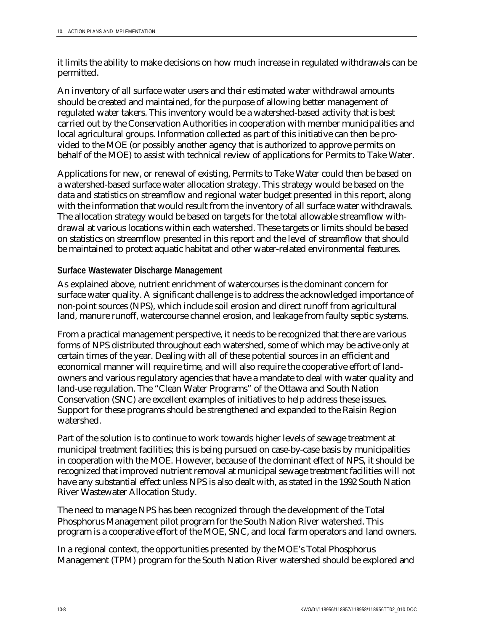it limits the ability to make decisions on how much increase in regulated withdrawals can be permitted.

An inventory of all surface water users and their estimated water withdrawal amounts should be created and maintained, for the purpose of allowing better management of regulated water takers. This inventory would be a watershed-based activity that is best carried out by the Conservation Authorities in cooperation with member municipalities and local agricultural groups. Information collected as part of this initiative can then be provided to the MOE (or possibly another agency that is authorized to approve permits on behalf of the MOE) to assist with technical review of applications for Permits to Take Water.

Applications for new, or renewal of existing, Permits to Take Water could then be based on a watershed-based surface water allocation strategy. This strategy would be based on the data and statistics on streamflow and regional water budget presented in this report, along with the information that would result from the inventory of all surface water withdrawals. The allocation strategy would be based on targets for the total allowable streamflow withdrawal at various locations within each watershed. These targets or limits should be based on statistics on streamflow presented in this report and the level of streamflow that should be maintained to protect aquatic habitat and other water-related environmental features.

#### **Surface Wastewater Discharge Management**

As explained above, nutrient enrichment of watercourses is the dominant concern for surface water quality. A significant challenge is to address the acknowledged importance of non-point sources (NPS), which include soil erosion and direct runoff from agricultural land, manure runoff, watercourse channel erosion, and leakage from faulty septic systems.

From a practical management perspective, it needs to be recognized that there are various forms of NPS distributed throughout each watershed, some of which may be active only at certain times of the year. Dealing with all of these potential sources in an efficient and economical manner will require time, and will also require the cooperative effort of landowners and various regulatory agencies that have a mandate to deal with water quality and land-use regulation. The "Clean Water Programs" of the Ottawa and South Nation Conservation (SNC) are excellent examples of initiatives to help address these issues. Support for these programs should be strengthened and expanded to the Raisin Region watershed.

Part of the solution is to continue to work towards higher levels of sewage treatment at municipal treatment facilities; this is being pursued on case-by-case basis by municipalities in cooperation with the MOE. However, because of the dominant effect of NPS, it should be recognized that improved nutrient removal at municipal sewage treatment facilities will not have any substantial effect unless NPS is also dealt with, as stated in the 1992 South Nation River Wastewater Allocation Study.

The need to manage NPS has been recognized through the development of the Total Phosphorus Management pilot program for the South Nation River watershed. This program is a cooperative effort of the MOE, SNC, and local farm operators and land owners.

In a regional context, the opportunities presented by the MOE's Total Phosphorus Management (TPM) program for the South Nation River watershed should be explored and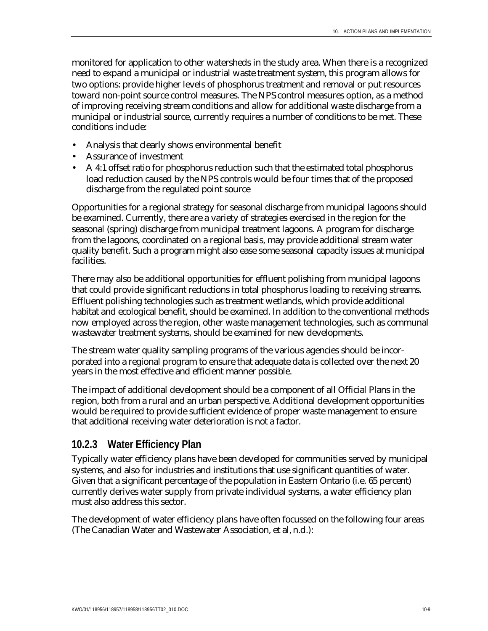monitored for application to other watersheds in the study area. When there is a recognized need to expand a municipal or industrial waste treatment system, this program allows for two options: provide higher levels of phosphorus treatment and removal or put resources toward non-point source control measures. The NPS control measures option, as a method of improving receiving stream conditions and allow for additional waste discharge from a municipal or industrial source, currently requires a number of conditions to be met. These conditions include:

- Analysis that clearly shows environmental benefit
- Assurance of investment
- A 4:1 offset ratio for phosphorus reduction such that the estimated total phosphorus load reduction caused by the NPS controls would be four times that of the proposed discharge from the regulated point source

Opportunities for a regional strategy for seasonal discharge from municipal lagoons should be examined. Currently, there are a variety of strategies exercised in the region for the seasonal (spring) discharge from municipal treatment lagoons. A program for discharge from the lagoons, coordinated on a regional basis, may provide additional stream water quality benefit. Such a program might also ease some seasonal capacity issues at municipal facilities.

There may also be additional opportunities for effluent polishing from municipal lagoons that could provide significant reductions in total phosphorus loading to receiving streams. Effluent polishing technologies such as treatment wetlands, which provide additional habitat and ecological benefit, should be examined. In addition to the conventional methods now employed across the region, other waste management technologies, such as communal wastewater treatment systems, should be examined for new developments.

The stream water quality sampling programs of the various agencies should be incorporated into a regional program to ensure that adequate data is collected over the next 20 years in the most effective and efficient manner possible.

The impact of additional development should be a component of all Official Plans in the region, both from a rural and an urban perspective. Additional development opportunities would be required to provide sufficient evidence of proper waste management to ensure that additional receiving water deterioration is not a factor.

#### **10.2.3 Water Efficiency Plan**

Typically water efficiency plans have been developed for communities served by municipal systems, and also for industries and institutions that use significant quantities of water. Given that a significant percentage of the population in Eastern Ontario (i.e. 65 percent) currently derives water supply from private individual systems, a water efficiency plan must also address this sector.

The development of water efficiency plans have often focussed on the following four areas (The Canadian Water and Wastewater Association, et al, n.d.):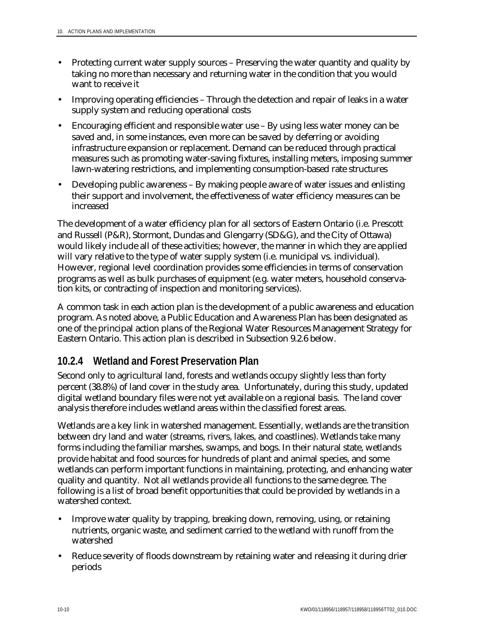- Protecting current water supply sources Preserving the water quantity and quality by taking no more than necessary and returning water in the condition that you would want to receive it
- Improving operating efficiencies Through the detection and repair of leaks in a water supply system and reducing operational costs
- Encouraging efficient and responsible water use By using less water money can be saved and, in some instances, even more can be saved by deferring or avoiding infrastructure expansion or replacement. Demand can be reduced through practical measures such as promoting water-saving fixtures, installing meters, imposing summer lawn-watering restrictions, and implementing consumption-based rate structures
- Developing public awareness By making people aware of water issues and enlisting their support and involvement, the effectiveness of water efficiency measures can be increased

The development of a water efficiency plan for all sectors of Eastern Ontario (i.e. Prescott and Russell (P&R), Stormont, Dundas and Glengarry (SD&G), and the City of Ottawa) would likely include all of these activities; however, the manner in which they are applied will vary relative to the type of water supply system (i.e. municipal vs. individual). However, regional level coordination provides some efficiencies in terms of conservation programs as well as bulk purchases of equipment (e.g. water meters, household conservation kits, or contracting of inspection and monitoring services).

A common task in each action plan is the development of a public awareness and education program. As noted above, a Public Education and Awareness Plan has been designated as one of the principal action plans of the Regional Water Resources Management Strategy for Eastern Ontario. This action plan is described in Subsection 9.2.6 below.

### **10.2.4 Wetland and Forest Preservation Plan**

Second only to agricultural land, forests and wetlands occupy slightly less than forty percent (38.8%) of land cover in the study area. Unfortunately, during this study, updated digital wetland boundary files were not yet available on a regional basis. The land cover analysis therefore includes wetland areas within the classified forest areas.

Wetlands are a key link in watershed management. Essentially, wetlands are the transition between dry land and water (streams, rivers, lakes, and coastlines). Wetlands take many forms including the familiar marshes, swamps, and bogs. In their natural state, wetlands provide habitat and food sources for hundreds of plant and animal species, and some wetlands can perform important functions in maintaining, protecting, and enhancing water quality and quantity. Not all wetlands provide all functions to the same degree. The following is a list of broad benefit opportunities that could be provided by wetlands in a watershed context.

- Improve water quality by trapping, breaking down, removing, using, or retaining nutrients, organic waste, and sediment carried to the wetland with runoff from the watershed
- Reduce severity of floods downstream by retaining water and releasing it during drier periods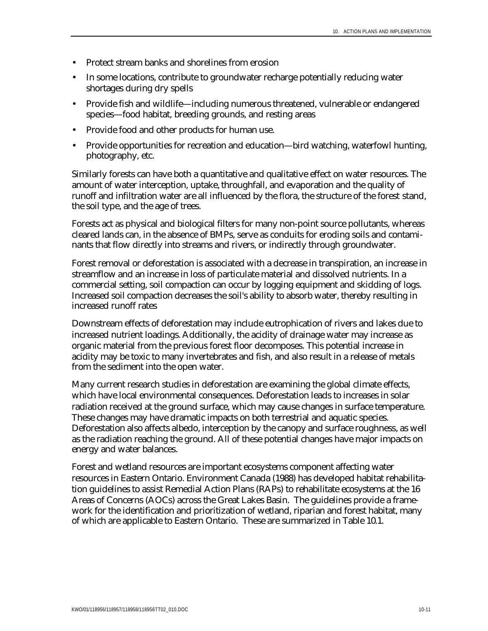- Protect stream banks and shorelines from erosion
- In some locations, contribute to groundwater recharge potentially reducing water shortages during dry spells
- Provide fish and wildlife—including numerous threatened, vulnerable or endangered species—food habitat, breeding grounds, and resting areas
- Provide food and other products for human use.
- Provide opportunities for recreation and education—bird watching, waterfowl hunting, photography, etc.

Similarly forests can have both a quantitative and qualitative effect on water resources. The amount of water interception, uptake, throughfall, and evaporation and the quality of runoff and infiltration water are all influenced by the flora, the structure of the forest stand, the soil type, and the age of trees.

Forests act as physical and biological filters for many non-point source pollutants, whereas cleared lands can, in the absence of BMPs, serve as conduits for eroding soils and contaminants that flow directly into streams and rivers, or indirectly through groundwater.

Forest removal or deforestation is associated with a decrease in transpiration, an increase in streamflow and an increase in loss of particulate material and dissolved nutrients. In a commercial setting, soil compaction can occur by logging equipment and skidding of logs. Increased soil compaction decreases the soil's ability to absorb water, thereby resulting in increased runoff rates

Downstream effects of deforestation may include eutrophication of rivers and lakes due to increased nutrient loadings. Additionally, the acidity of drainage water may increase as organic material from the previous forest floor decomposes. This potential increase in acidity may be toxic to many invertebrates and fish, and also result in a release of metals from the sediment into the open water.

Many current research studies in deforestation are examining the global climate effects, which have local environmental consequences. Deforestation leads to increases in solar radiation received at the ground surface, which may cause changes in surface temperature. These changes may have dramatic impacts on both terrestrial and aquatic species. Deforestation also affects albedo, interception by the canopy and surface roughness, as well as the radiation reaching the ground. All of these potential changes have major impacts on energy and water balances.

Forest and wetland resources are important ecosystems component affecting water resources in Eastern Ontario. Environment Canada (1988) has developed habitat rehabilitation guidelines to assist Remedial Action Plans (RAPs) to rehabilitate ecosystems at the 16 Areas of Concerns (AOCs) across the Great Lakes Basin. The guidelines provide a framework for the identification and prioritization of wetland, riparian and forest habitat, many of which are applicable to Eastern Ontario. These are summarized in Table 10.1.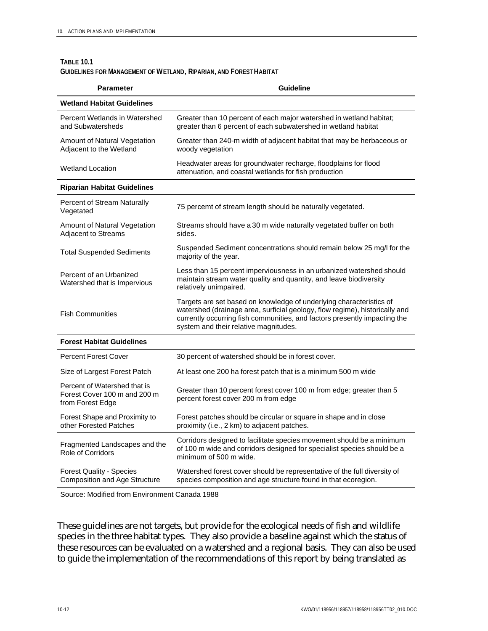#### **TABLE 10.1**

| GUIDELINES FOR MANAGEMENT OF WETLAND, RIPARIAN, AND FOREST HABITAT |  |
|--------------------------------------------------------------------|--|
|--------------------------------------------------------------------|--|

| <b>Parameter</b>                                                                 | <b>Guideline</b>                                                                                                                                                                                                                                                         |
|----------------------------------------------------------------------------------|--------------------------------------------------------------------------------------------------------------------------------------------------------------------------------------------------------------------------------------------------------------------------|
| <b>Wetland Habitat Guidelines</b>                                                |                                                                                                                                                                                                                                                                          |
| Percent Wetlands in Watershed<br>and Subwatersheds                               | Greater than 10 percent of each major watershed in wetland habitat;<br>greater than 6 percent of each subwatershed in wetland habitat                                                                                                                                    |
| Amount of Natural Vegetation<br>Adjacent to the Wetland                          | Greater than 240-m width of adjacent habitat that may be herbaceous or<br>woody vegetation                                                                                                                                                                               |
| <b>Wetland Location</b>                                                          | Headwater areas for groundwater recharge, floodplains for flood<br>attenuation, and coastal wetlands for fish production                                                                                                                                                 |
| <b>Riparian Habitat Guidelines</b>                                               |                                                                                                                                                                                                                                                                          |
| Percent of Stream Naturally<br>Vegetated                                         | 75 percemt of stream length should be naturally vegetated.                                                                                                                                                                                                               |
| Amount of Natural Vegetation<br>Adjacent to Streams                              | Streams should have a 30 m wide naturally vegetated buffer on both<br>sides.                                                                                                                                                                                             |
| <b>Total Suspended Sediments</b>                                                 | Suspended Sediment concentrations should remain below 25 mg/l for the<br>majority of the year.                                                                                                                                                                           |
| Percent of an Urbanized<br>Watershed that is Impervious                          | Less than 15 percent imperviousness in an urbanized watershed should<br>maintain stream water quality and quantity, and leave biodiversity<br>relatively unimpaired.                                                                                                     |
| <b>Fish Communities</b>                                                          | Targets are set based on knowledge of underlying characteristics of<br>watershed (drainage area, surficial geology, flow regime), historically and<br>currently occurring fish communities, and factors presently impacting the<br>system and their relative magnitudes. |
| <b>Forest Habitat Guidelines</b>                                                 |                                                                                                                                                                                                                                                                          |
| <b>Percent Forest Cover</b>                                                      | 30 percent of watershed should be in forest cover.                                                                                                                                                                                                                       |
| Size of Largest Forest Patch                                                     | At least one 200 ha forest patch that is a minimum 500 m wide                                                                                                                                                                                                            |
| Percent of Watershed that is<br>Forest Cover 100 m and 200 m<br>from Forest Edge | Greater than 10 percent forest cover 100 m from edge; greater than 5<br>percent forest cover 200 m from edge                                                                                                                                                             |
| Forest Shape and Proximity to<br>other Forested Patches                          | Forest patches should be circular or square in shape and in close<br>proximity (i.e., 2 km) to adjacent patches.                                                                                                                                                         |
| Fragmented Landscapes and the<br><b>Role of Corridors</b>                        | Corridors designed to facilitate species movement should be a minimum<br>of 100 m wide and corridors designed for specialist species should be a<br>minimum of 500 m wide.                                                                                               |
| <b>Forest Quality - Species</b><br><b>Composition and Age Structure</b>          | Watershed forest cover should be representative of the full diversity of<br>species composition and age structure found in that ecoregion.                                                                                                                               |

Source: Modified from Environment Canada 1988

These guidelines are not targets, but provide for the ecological needs of fish and wildlife species in the three habitat types. They also provide a baseline against which the status of these resources can be evaluated on a watershed and a regional basis. They can also be used to guide the implementation of the recommendations of this report by being translated as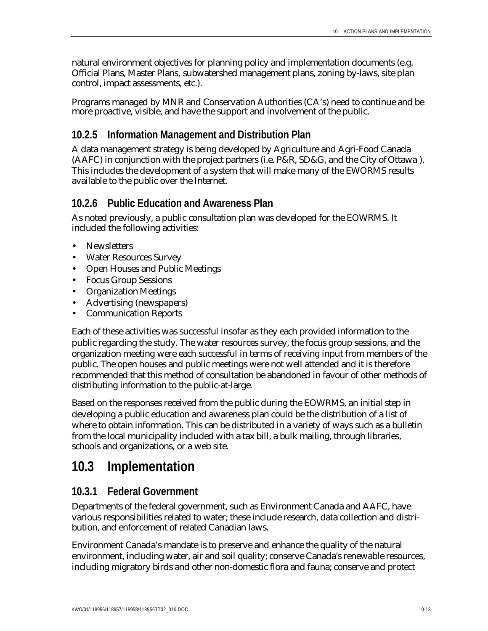natural environment objectives for planning policy and implementation documents (e.g. Official Plans, Master Plans, subwatershed management plans, zoning by-laws, site plan control, impact assessments, etc.).

Programs managed by MNR and Conservation Authorities (CA's) need to continue and be more proactive, visible, and have the support and involvement of the public.

### **10.2.5 Information Management and Distribution Plan**

A data management strategy is being developed by Agriculture and Agri-Food Canada (AAFC) in conjunction with the project partners (i.e. P&R, SD&G, and the City of Ottawa ). This includes the development of a system that will make many of the EWORMS results available to the public over the Internet.

### **10.2.6 Public Education and Awareness Plan**

As noted previously, a public consultation plan was developed for the EOWRMS. It included the following activities:

- Newsletters
- Water Resources Survey
- Open Houses and Public Meetings
- Focus Group Sessions
- Organization Meetings
- Advertising (newspapers)
- Communication Reports

Each of these activities was successful insofar as they each provided information to the public regarding the study. The water resources survey, the focus group sessions, and the organization meeting were each successful in terms of receiving input from members of the public. The open houses and public meetings were not well attended and it is therefore recommended that this method of consultation be abandoned in favour of other methods of distributing information to the public-at-large.

Based on the responses received from the public during the EOWRMS, an initial step in developing a public education and awareness plan could be the distribution of a list of where to obtain information. This can be distributed in a variety of ways such as a bulletin from the local municipality included with a tax bill, a bulk mailing, through libraries, schools and organizations, or a web site.

## **10.3 Implementation**

### **10.3.1 Federal Government**

Departments of the federal government, such as Environment Canada and AAFC, have various responsibilities related to water; these include research, data collection and distribution, and enforcement of related Canadian laws.

Environment Canada's mandate is to preserve and enhance the quality of the natural environment, including water, air and soil quality; conserve Canada's renewable resources, including migratory birds and other non-domestic flora and fauna; conserve and protect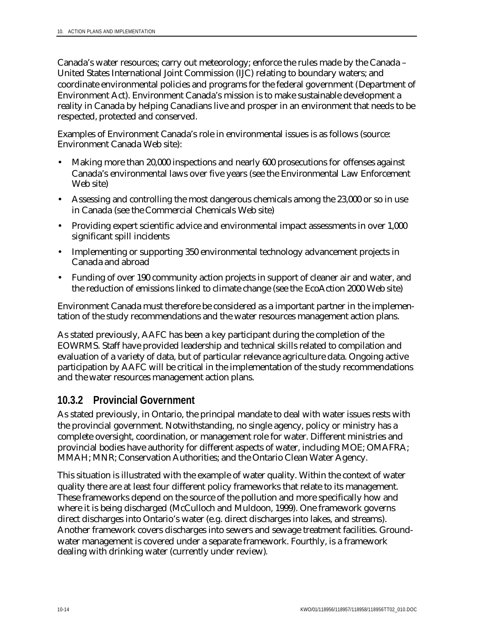Canada's water resources; carry out meteorology; enforce the rules made by the Canada – United States International Joint Commission (IJC) relating to boundary waters; and coordinate environmental policies and programs for the federal government (Department of Environment Act). Environment Canada's mission is to make sustainable development a reality in Canada by helping Canadians live and prosper in an environment that needs to be respected, protected and conserved.

Examples of Environment Canada's role in environmental issues is as follows (source: Environment Canada Web site):

- Making more than 20,000 inspections and nearly 600 prosecutions for offenses against Canada's environmental laws over five years (see the Environmental Law Enforcement Web site)
- Assessing and controlling the most dangerous chemicals among the 23,000 or so in use in Canada (see the Commercial Chemicals Web site)
- Providing expert scientific advice and environmental impact assessments in over 1,000 significant spill incidents
- Implementing or supporting 350 environmental technology advancement projects in Canada and abroad
- Funding of over 190 community action projects in support of cleaner air and water, and the reduction of emissions linked to climate change (see the EcoAction 2000 Web site)

Environment Canada must therefore be considered as a important partner in the implementation of the study recommendations and the water resources management action plans.

As stated previously, AAFC has been a key participant during the completion of the EOWRMS. Staff have provided leadership and technical skills related to compilation and evaluation of a variety of data, but of particular relevance agriculture data. Ongoing active participation by AAFC will be critical in the implementation of the study recommendations and the water resources management action plans.

### **10.3.2 Provincial Government**

As stated previously, in Ontario, the principal mandate to deal with water issues rests with the provincial government. Notwithstanding, no single agency, policy or ministry has a complete oversight, coordination, or management role for water. Different ministries and provincial bodies have authority for different aspects of water, including MOE; OMAFRA; MMAH; MNR; Conservation Authorities; and the Ontario Clean Water Agency.

This situation is illustrated with the example of water quality. Within the context of water quality there are at least four different policy frameworks that relate to its management. These frameworks depend on the source of the pollution and more specifically how and where it is being discharged (McCulloch and Muldoon, 1999). One framework governs direct discharges into Ontario's water (e.g. direct discharges into lakes, and streams). Another framework covers discharges into sewers and sewage treatment facilities. Groundwater management is covered under a separate framework. Fourthly, is a framework dealing with drinking water (currently under review).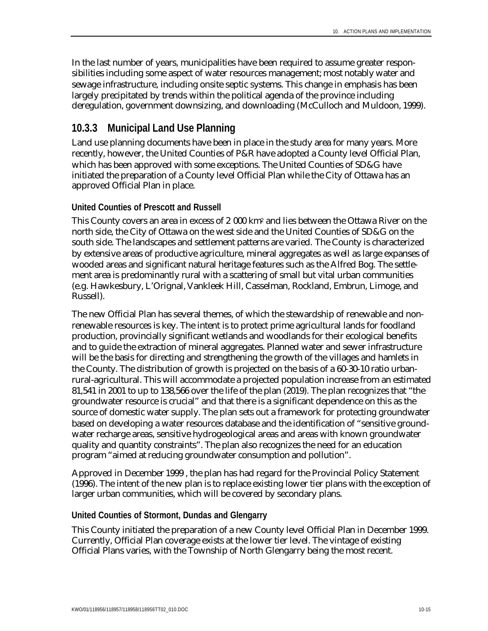In the last number of years, municipalities have been required to assume greater responsibilities including some aspect of water resources management; most notably water and sewage infrastructure, including onsite septic systems. This change in emphasis has been largely precipitated by trends within the political agenda of the province including deregulation, government downsizing, and downloading (McCulloch and Muldoon, 1999).

### **10.3.3 Municipal Land Use Planning**

Land use planning documents have been in place in the study area for many years. More recently, however, the United Counties of P&R have adopted a County level Official Plan, which has been approved with some exceptions. The United Counties of SD&G have initiated the preparation of a County level Official Plan while the City of Ottawa has an approved Official Plan in place.

#### **United Counties of Prescott and Russell**

This County covers an area in excess of 2 000 km2 and lies between the Ottawa River on the north side, the City of Ottawa on the west side and the United Counties of SD&G on the south side. The landscapes and settlement patterns are varied. The County is characterized by extensive areas of productive agriculture, mineral aggregates as well as large expanses of wooded areas and significant natural heritage features such as the Alfred Bog. The settlement area is predominantly rural with a scattering of small but vital urban communities (e.g. Hawkesbury, L'Orignal, Vankleek Hill, Casselman, Rockland, Embrun, Limoge, and Russell).

The new Official Plan has several themes, of which the stewardship of renewable and nonrenewable resources is key. The intent is to protect prime agricultural lands for foodland production, provincially significant wetlands and woodlands for their ecological benefits and to guide the extraction of mineral aggregates. Planned water and sewer infrastructure will be the basis for directing and strengthening the growth of the villages and hamlets in the County. The distribution of growth is projected on the basis of a 60-30-10 ratio urbanrural-agricultural. This will accommodate a projected population increase from an estimated 81,541 in 2001 to up to 138,566 over the life of the plan (2019). The plan recognizes that "the groundwater resource is crucial" and that there is a significant dependence on this as the source of domestic water supply. The plan sets out a framework for protecting groundwater based on developing a water resources database and the identification of "sensitive groundwater recharge areas, sensitive hydrogeological areas and areas with known groundwater quality and quantity constraints". The plan also recognizes the need for an education program "aimed at reducing groundwater consumption and pollution".

Approved in December 1999 , the plan has had regard for the Provincial Policy Statement (1996). The intent of the new plan is to replace existing lower tier plans with the exception of larger urban communities, which will be covered by secondary plans.

#### **United Counties of Stormont, Dundas and Glengarry**

This County initiated the preparation of a new County level Official Plan in December 1999. Currently, Official Plan coverage exists at the lower tier level. The vintage of existing Official Plans varies, with the Township of North Glengarry being the most recent.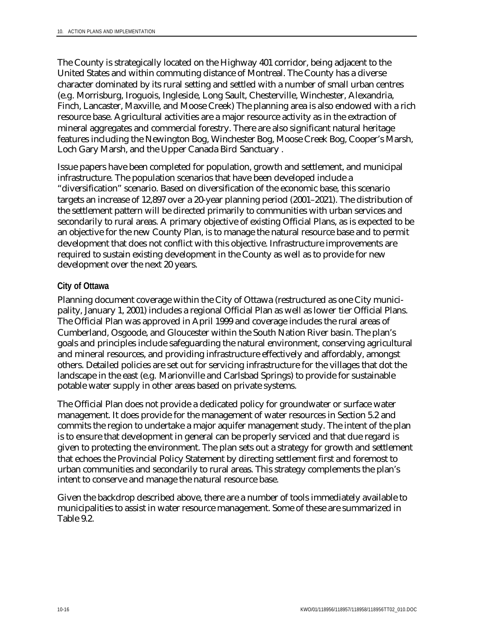The County is strategically located on the Highway 401 corridor, being adjacent to the United States and within commuting distance of Montreal. The County has a diverse character dominated by its rural setting and settled with a number of small urban centres (e.g. Morrisburg, Iroguois, Ingleside, Long Sault, Chesterville, Winchester, Alexandria, Finch, Lancaster, Maxville, and Moose Creek) The planning area is also endowed with a rich resource base. Agricultural activities are a major resource activity as in the extraction of mineral aggregates and commercial forestry. There are also significant natural heritage features including the Newington Bog, Winchester Bog, Moose Creek Bog, Cooper's Marsh, Loch Gary Marsh, and the Upper Canada Bird Sanctuary .

Issue papers have been completed for population, growth and settlement, and municipal infrastructure. The population scenarios that have been developed include a "diversification" scenario. Based on diversification of the economic base, this scenario targets an increase of 12,897 over a 20-year planning period (2001–2021). The distribution of the settlement pattern will be directed primarily to communities with urban services and secondarily to rural areas. A primary objective of existing Official Plans, as is expected to be an objective for the new County Plan, is to manage the natural resource base and to permit development that does not conflict with this objective. Infrastructure improvements are required to sustain existing development in the County as well as to provide for new development over the next 20 years.

#### **City of Ottawa**

Planning document coverage within the City of Ottawa (restructured as one City municipality, January 1, 2001) includes a regional Official Plan as well as lower tier Official Plans. The Official Plan was approved in April 1999 and coverage includes the rural areas of Cumberland, Osgoode, and Gloucester within the South Nation River basin. The plan's goals and principles include safeguarding the natural environment, conserving agricultural and mineral resources, and providing infrastructure effectively and affordably, amongst others. Detailed policies are set out for servicing infrastructure for the villages that dot the landscape in the east (e.g. Marionville and Carlsbad Springs) to provide for sustainable potable water supply in other areas based on private systems.

The Official Plan does not provide a dedicated policy for groundwater or surface water management. It does provide for the management of water resources in Section 5.2 and commits the region to undertake a major aquifer management study. The intent of the plan is to ensure that development in general can be properly serviced and that due regard is given to protecting the environment. The plan sets out a strategy for growth and settlement that echoes the Provincial Policy Statement by directing settlement first and foremost to urban communities and secondarily to rural areas. This strategy complements the plan's intent to conserve and manage the natural resource base.

Given the backdrop described above, there are a number of tools immediately available to municipalities to assist in water resource management. Some of these are summarized in Table 9.2.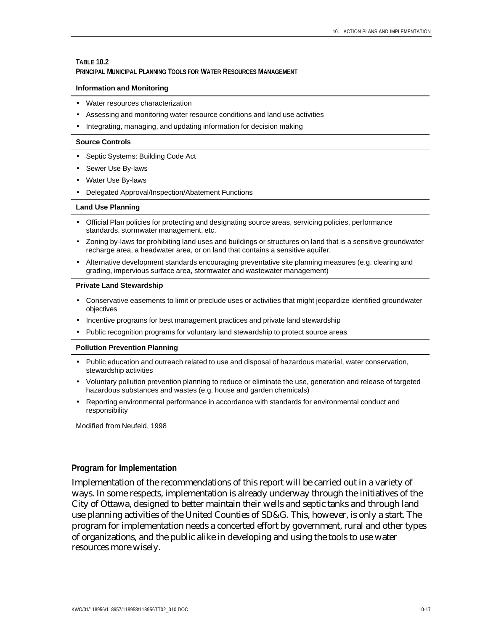#### **TABLE 10.2**

#### **PRINCIPAL MUNICIPAL PLANNING TOOLS FOR WATER RESOURCES MANAGEMENT**

#### **Information and Monitoring**

- Water resources characterization
- Assessing and monitoring water resource conditions and land use activities
- Integrating, managing, and updating information for decision making

#### **Source Controls**

- Septic Systems: Building Code Act
- Sewer Use By-laws
- Water Use By-laws
- Delegated Approval/Inspection/Abatement Functions

#### **Land Use Planning**

- Official Plan policies for protecting and designating source areas, servicing policies, performance standards, stormwater management, etc.
- Zoning by-laws for prohibiting land uses and buildings or structures on land that is a sensitive groundwater recharge area, a headwater area, or on land that contains a sensitive aquifer.
- Alternative development standards encouraging preventative site planning measures (e.g. clearing and grading, impervious surface area, stormwater and wastewater management)

#### **Private Land Stewardship**

- Conservative easements to limit or preclude uses or activities that might jeopardize identified groundwater objectives
- Incentive programs for best management practices and private land stewardship
- Public recognition programs for voluntary land stewardship to protect source areas

#### **Pollution Prevention Planning**

- Public education and outreach related to use and disposal of hazardous material, water conservation, stewardship activities
- Voluntary pollution prevention planning to reduce or eliminate the use, generation and release of targeted hazardous substances and wastes (e.g. house and garden chemicals)
- Reporting environmental performance in accordance with standards for environmental conduct and responsibility

Modified from Neufeld, 1998

#### **Program for Implementation**

Implementation of the recommendations of this report will be carried out in a variety of ways. In some respects, implementation is already underway through the initiatives of the City of Ottawa, designed to better maintain their wells and septic tanks and through land use planning activities of the United Counties of SD&G. This, however, is only a start. The program for implementation needs a concerted effort by government, rural and other types of organizations, and the public alike in developing and using the tools to use water resources more wisely.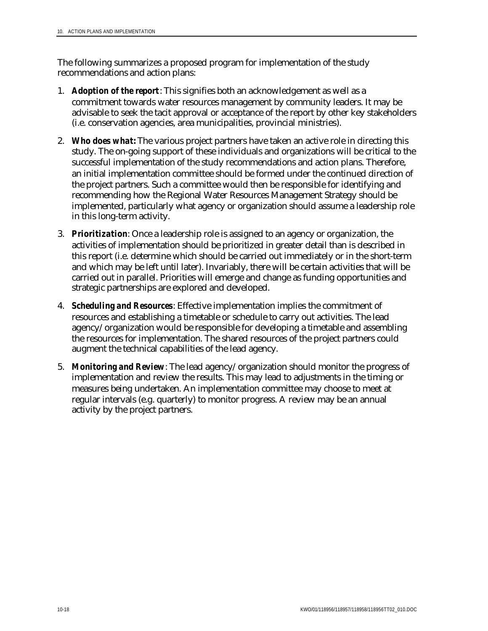The following summarizes a proposed program for implementation of the study recommendations and action plans:

- 1. *Adoption of the report*: This signifies both an acknowledgement as well as a commitment towards water resources management by community leaders. It may be advisable to seek the tacit approval or acceptance of the report by other key stakeholders (i.e. conservation agencies, area municipalities, provincial ministries).
- 2. *Who does what:* The various project partners have taken an active role in directing this study. The on-going support of these individuals and organizations will be critical to the successful implementation of the study recommendations and action plans. Therefore, an initial implementation committee should be formed under the continued direction of the project partners. Such a committee would then be responsible for identifying and recommending how the Regional Water Resources Management Strategy should be implemented, particularly what agency or organization should assume a leadership role in this long-term activity.
- 3. *Prioritization*: Once a leadership role is assigned to an agency or organization, the activities of implementation should be prioritized in greater detail than is described in this report (i.e. determine which should be carried out immediately or in the short-term and which may be left until later). Invariably, there will be certain activities that will be carried out in parallel. Priorities will emerge and change as funding opportunities and strategic partnerships are explored and developed.
- 4. *Scheduling and Resources*: Effective implementation implies the commitment of resources and establishing a timetable or schedule to carry out activities. The lead agency/organization would be responsible for developing a timetable and assembling the resources for implementation. The shared resources of the project partners could augment the technical capabilities of the lead agency.
- 5. *Monitoring and Review*: The lead agency/organization should monitor the progress of implementation and review the results. This may lead to adjustments in the timing or measures being undertaken. An implementation committee may choose to meet at regular intervals (e.g. quarterly) to monitor progress. A review may be an annual activity by the project partners.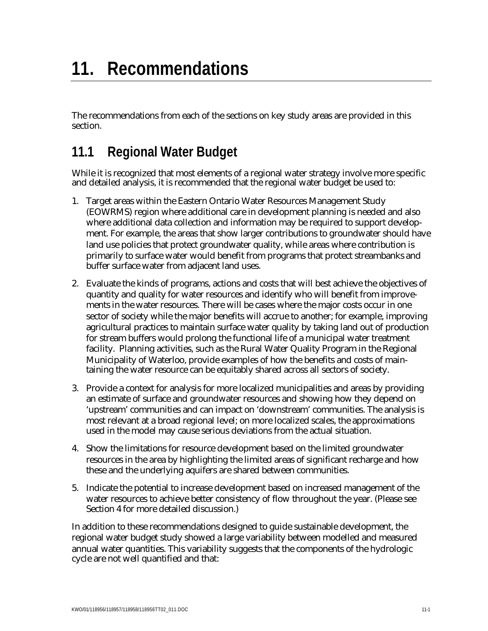# **11. Recommendations**

The recommendations from each of the sections on key study areas are provided in this section.

## **11.1 Regional Water Budget**

While it is recognized that most elements of a regional water strategy involve more specific and detailed analysis, it is recommended that the regional water budget be used to:

- 1. Target areas within the Eastern Ontario Water Resources Management Study (EOWRMS) region where additional care in development planning is needed and also where additional data collection and information may be required to support development. For example, the areas that show larger contributions to groundwater should have land use policies that protect groundwater quality, while areas where contribution is primarily to surface water would benefit from programs that protect streambanks and buffer surface water from adjacent land uses.
- 2. Evaluate the kinds of programs, actions and costs that will best achieve the objectives of quantity and quality for water resources and identify who will benefit from improvements in the water resources. There will be cases where the major costs occur in one sector of society while the major benefits will accrue to another; for example, improving agricultural practices to maintain surface water quality by taking land out of production for stream buffers would prolong the functional life of a municipal water treatment facility. Planning activities, such as the Rural Water Quality Program in the Regional Municipality of Waterloo, provide examples of how the benefits and costs of maintaining the water resource can be equitably shared across all sectors of society.
- 3. Provide a context for analysis for more localized municipalities and areas by providing an estimate of surface and groundwater resources and showing how they depend on 'upstream' communities and can impact on 'downstream' communities. The analysis is most relevant at a broad regional level; on more localized scales, the approximations used in the model may cause serious deviations from the actual situation.
- 4. Show the limitations for resource development based on the limited groundwater resources in the area by highlighting the limited areas of significant recharge and how these and the underlying aquifers are shared between communities.
- 5. Indicate the potential to increase development based on increased management of the water resources to achieve better consistency of flow throughout the year. (Please see Section 4 for more detailed discussion.)

In addition to these recommendations designed to guide sustainable development, the regional water budget study showed a large variability between modelled and measured annual water quantities. This variability suggests that the components of the hydrologic cycle are not well quantified and that: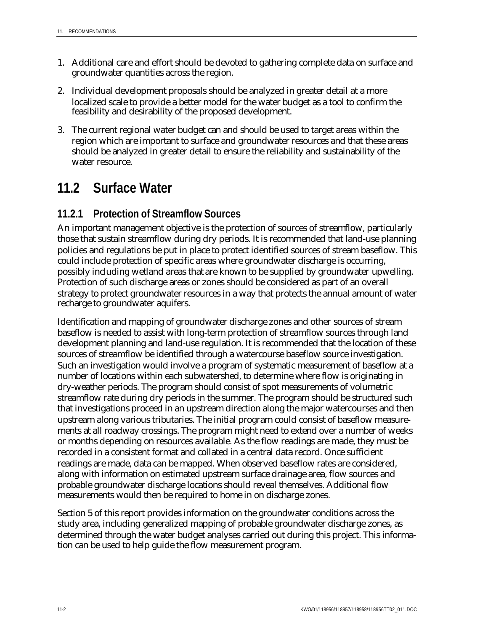- 1. Additional care and effort should be devoted to gathering complete data on surface and groundwater quantities across the region.
- 2. Individual development proposals should be analyzed in greater detail at a more localized scale to provide a better model for the water budget as a tool to confirm the feasibility and desirability of the proposed development.
- 3. The current regional water budget can and should be used to target areas within the region which are important to surface and groundwater resources and that these areas should be analyzed in greater detail to ensure the reliability and sustainability of the water resource.

## **11.2 Surface Water**

### **11.2.1 Protection of Streamflow Sources**

An important management objective is the protection of sources of streamflow, particularly those that sustain streamflow during dry periods. It is recommended that land-use planning policies and regulations be put in place to protect identified sources of stream baseflow. This could include protection of specific areas where groundwater discharge is occurring, possibly including wetland areas that are known to be supplied by groundwater upwelling. Protection of such discharge areas or zones should be considered as part of an overall strategy to protect groundwater resources in a way that protects the annual amount of water recharge to groundwater aquifers.

Identification and mapping of groundwater discharge zones and other sources of stream baseflow is needed to assist with long-term protection of streamflow sources through land development planning and land-use regulation. It is recommended that the location of these sources of streamflow be identified through a watercourse baseflow source investigation. Such an investigation would involve a program of systematic measurement of baseflow at a number of locations within each subwatershed, to determine where flow is originating in dry-weather periods. The program should consist of spot measurements of volumetric streamflow rate during dry periods in the summer. The program should be structured such that investigations proceed in an upstream direction along the major watercourses and then upstream along various tributaries. The initial program could consist of baseflow measurements at all roadway crossings. The program might need to extend over a number of weeks or months depending on resources available. As the flow readings are made, they must be recorded in a consistent format and collated in a central data record. Once sufficient readings are made, data can be mapped. When observed baseflow rates are considered, along with information on estimated upstream surface drainage area, flow sources and probable groundwater discharge locations should reveal themselves. Additional flow measurements would then be required to home in on discharge zones.

Section 5 of this report provides information on the groundwater conditions across the study area, including generalized mapping of probable groundwater discharge zones, as determined through the water budget analyses carried out during this project. This information can be used to help guide the flow measurement program.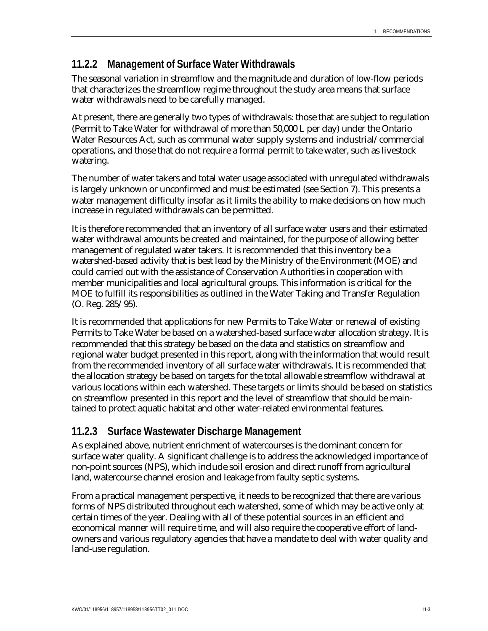#### **11.2.2 Management of Surface Water Withdrawals**

The seasonal variation in streamflow and the magnitude and duration of low-flow periods that characterizes the streamflow regime throughout the study area means that surface water withdrawals need to be carefully managed.

At present, there are generally two types of withdrawals: those that are subject to regulation (Permit to Take Water for withdrawal of more than 50,000 L per day) under the Ontario Water Resources Act, such as communal water supply systems and industrial/commercial operations, and those that do not require a formal permit to take water, such as livestock watering.

The number of water takers and total water usage associated with unregulated withdrawals is largely unknown or unconfirmed and must be estimated (see Section 7). This presents a water management difficulty insofar as it limits the ability to make decisions on how much increase in regulated withdrawals can be permitted.

It is therefore recommended that an inventory of all surface water users and their estimated water withdrawal amounts be created and maintained, for the purpose of allowing better management of regulated water takers. It is recommended that this inventory be a watershed-based activity that is best lead by the Ministry of the Environment (MOE) and could carried out with the assistance of Conservation Authorities in cooperation with member municipalities and local agricultural groups. This information is critical for the MOE to fulfill its responsibilities as outlined in the Water Taking and Transfer Regulation (O. Reg. 285/95).

It is recommended that applications for new Permits to Take Water or renewal of existing Permits to Take Water be based on a watershed-based surface water allocation strategy. It is recommended that this strategy be based on the data and statistics on streamflow and regional water budget presented in this report, along with the information that would result from the recommended inventory of all surface water withdrawals. It is recommended that the allocation strategy be based on targets for the total allowable streamflow withdrawal at various locations within each watershed. These targets or limits should be based on statistics on streamflow presented in this report and the level of streamflow that should be maintained to protect aquatic habitat and other water-related environmental features.

### **11.2.3 Surface Wastewater Discharge Management**

As explained above, nutrient enrichment of watercourses is the dominant concern for surface water quality. A significant challenge is to address the acknowledged importance of non-point sources (NPS), which include soil erosion and direct runoff from agricultural land, watercourse channel erosion and leakage from faulty septic systems.

From a practical management perspective, it needs to be recognized that there are various forms of NPS distributed throughout each watershed, some of which may be active only at certain times of the year. Dealing with all of these potential sources in an efficient and economical manner will require time, and will also require the cooperative effort of landowners and various regulatory agencies that have a mandate to deal with water quality and land-use regulation.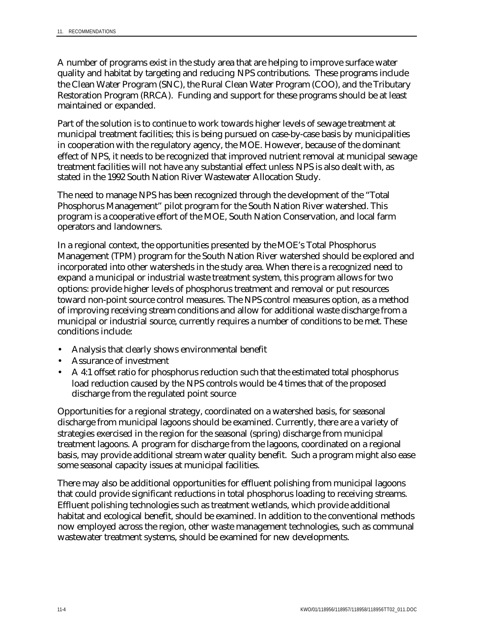A number of programs exist in the study area that are helping to improve surface water quality and habitat by targeting and reducing NPS contributions. These programs include the Clean Water Program (SNC), the Rural Clean Water Program (COO), and the Tributary Restoration Program (RRCA). Funding and support for these programs should be at least maintained or expanded.

Part of the solution is to continue to work towards higher levels of sewage treatment at municipal treatment facilities; this is being pursued on case-by-case basis by municipalities in cooperation with the regulatory agency, the MOE. However, because of the dominant effect of NPS, it needs to be recognized that improved nutrient removal at municipal sewage treatment facilities will not have any substantial effect unless NPS is also dealt with, as stated in the 1992 South Nation River Wastewater Allocation Study.

The need to manage NPS has been recognized through the development of the "Total Phosphorus Management" pilot program for the South Nation River watershed. This program is a cooperative effort of the MOE, South Nation Conservation, and local farm operators and landowners.

In a regional context, the opportunities presented by the MOE's Total Phosphorus Management (TPM) program for the South Nation River watershed should be explored and incorporated into other watersheds in the study area. When there is a recognized need to expand a municipal or industrial waste treatment system, this program allows for two options: provide higher levels of phosphorus treatment and removal or put resources toward non-point source control measures. The NPS control measures option, as a method of improving receiving stream conditions and allow for additional waste discharge from a municipal or industrial source, currently requires a number of conditions to be met. These conditions include:

- Analysis that clearly shows environmental benefit
- Assurance of investment
- A 4:1 offset ratio for phosphorus reduction such that the estimated total phosphorus load reduction caused by the NPS controls would be 4 times that of the proposed discharge from the regulated point source

Opportunities for a regional strategy, coordinated on a watershed basis, for seasonal discharge from municipal lagoons should be examined. Currently, there are a variety of strategies exercised in the region for the seasonal (spring) discharge from municipal treatment lagoons. A program for discharge from the lagoons, coordinated on a regional basis, may provide additional stream water quality benefit. Such a program might also ease some seasonal capacity issues at municipal facilities.

There may also be additional opportunities for effluent polishing from municipal lagoons that could provide significant reductions in total phosphorus loading to receiving streams. Effluent polishing technologies such as treatment wetlands, which provide additional habitat and ecological benefit, should be examined. In addition to the conventional methods now employed across the region, other waste management technologies, such as communal wastewater treatment systems, should be examined for new developments.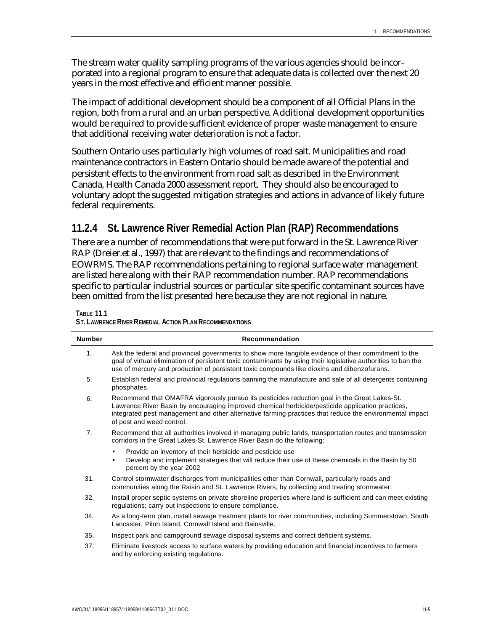The stream water quality sampling programs of the various agencies should be incorporated into a regional program to ensure that adequate data is collected over the next 20 years in the most effective and efficient manner possible.

The impact of additional development should be a component of all Official Plans in the region, both from a rural and an urban perspective. Additional development opportunities would be required to provide sufficient evidence of proper waste management to ensure that additional receiving water deterioration is not a factor.

Southern Ontario uses particularly high volumes of road salt. Municipalities and road maintenance contractors in Eastern Ontario should be made aware of the potential and persistent effects to the environment from road salt as described in the Environment Canada, Health Canada 2000 assessment report. They should also be encouraged to voluntary adopt the suggested mitigation strategies and actions in advance of likely future federal requirements.

### **11.2.4 St. Lawrence River Remedial Action Plan (RAP) Recommendations**

There are a number of recommendations that were put forward in the St. Lawrence River RAP (Dreier.et al., 1997) that are relevant to the findings and recommendations of EOWRMS. The RAP recommendations pertaining to regional surface water management are listed here along with their RAP recommendation number. RAP recommendations specific to particular industrial sources or particular site specific contaminant sources have been omitted from the list presented here because they are not regional in nature.

**TABLE 11.1**

| <b>Number</b>  | <b>Recommendation</b>                                                                                                                                                                                                                                                                                                                    |
|----------------|------------------------------------------------------------------------------------------------------------------------------------------------------------------------------------------------------------------------------------------------------------------------------------------------------------------------------------------|
| 1.             | Ask the federal and provincial governments to show more tangible evidence of their commitment to the<br>goal of virtual elimination of persistent toxic contaminants by using their legislative authorities to ban the<br>use of mercury and production of persistent toxic compounds like dioxins and dibenzofurans.                    |
| 5.             | Establish federal and provincial regulations banning the manufacture and sale of all detergents containing<br>phosphates.                                                                                                                                                                                                                |
| 6.             | Recommend that OMAFRA vigorously pursue its pesticides reduction goal in the Great Lakes-St.<br>Lawrence River Basin by encouraging improved chemical herbicide/pesticide application practices,<br>integrated pest management and other alternative farming practices that reduce the environmental impact<br>of pest and weed control. |
| 7 <sub>1</sub> | Recommend that all authorities involved in managing public lands, transportation routes and transmission<br>corridors in the Great Lakes-St. Lawrence River Basin do the following:                                                                                                                                                      |
|                | Provide an inventory of their herbicide and pesticide use<br>$\bullet$<br>Develop and implement strategies that will reduce their use of these chemicals in the Basin by 50<br>$\bullet$<br>percent by the year 2002                                                                                                                     |
| 31.            | Control stormwater discharges from municipalities other than Cornwall, particularly roads and<br>communities along the Raisin and St. Lawrence Rivers, by collecting and treating stormwater.                                                                                                                                            |
| 32.            | Install proper septic systems on private shoreline properties where land is sufficient and can meet existing<br>regulations; carry out inspections to ensure compliance.                                                                                                                                                                 |
| 34.            | As a long-term plan, install sewage treatment plants for river communities, including Summerstown, South<br>Lancaster, Pilon Island, Cornwall Island and Bainsville.                                                                                                                                                                     |
| 35.            | Inspect park and campground sewage disposal systems and correct deficient systems.                                                                                                                                                                                                                                                       |
| 37.            | Eliminate livestock access to surface waters by providing education and financial incentives to farmers<br>and by enforcing existing regulations.                                                                                                                                                                                        |

**ST. LAWRENCE RIVER REMEDIAL ACTION PLAN RECOMMENDATIONS**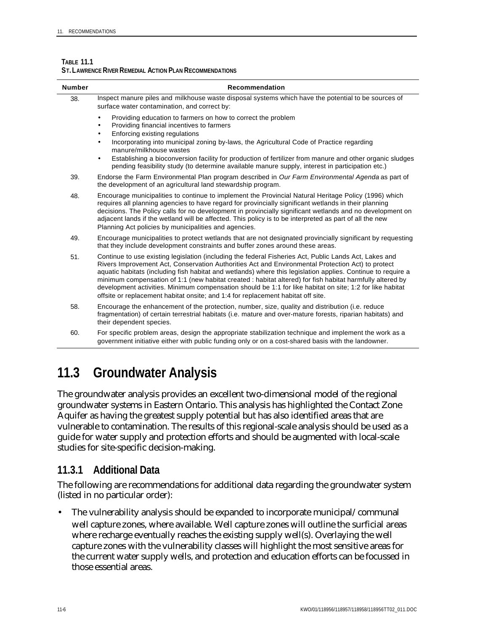| <b>Number</b> | Recommendation                                                                                                                                                                                                                                                                                                                                                                                                                                                                                                                                                                                                                            |
|---------------|-------------------------------------------------------------------------------------------------------------------------------------------------------------------------------------------------------------------------------------------------------------------------------------------------------------------------------------------------------------------------------------------------------------------------------------------------------------------------------------------------------------------------------------------------------------------------------------------------------------------------------------------|
| 38.           | Inspect manure piles and milkhouse waste disposal systems which have the potential to be sources of<br>surface water contamination, and correct by:                                                                                                                                                                                                                                                                                                                                                                                                                                                                                       |
|               | Providing education to farmers on how to correct the problem<br>$\bullet$<br>Providing financial incentives to farmers<br>Enforcing existing regulations<br>٠<br>Incorporating into municipal zoning by-laws, the Agricultural Code of Practice regarding<br>$\bullet$<br>manure/milkhouse wastes<br>Establishing a bioconversion facility for production of fertilizer from manure and other organic sludges<br>$\bullet$<br>pending feasibility study (to determine available manure supply, interest in participation etc.)                                                                                                            |
| 39.           | Endorse the Farm Environmental Plan program described in Our Farm Environmental Agenda as part of<br>the development of an agricultural land stewardship program.                                                                                                                                                                                                                                                                                                                                                                                                                                                                         |
| 48.           | Encourage municipalities to continue to implement the Provincial Natural Heritage Policy (1996) which<br>requires all planning agencies to have regard for provincially significant wetlands in their planning<br>decisions. The Policy calls for no development in provincially significant wetlands and no development on<br>adjacent lands if the wetland will be affected. This policy is to be interpreted as part of all the new<br>Planning Act policies by municipalities and agencies.                                                                                                                                           |
| 49.           | Encourage municipalities to protect wetlands that are not designated provincially significant by requesting<br>that they include development constraints and buffer zones around these areas.                                                                                                                                                                                                                                                                                                                                                                                                                                             |
| 51.           | Continue to use existing legislation (including the federal Fisheries Act, Public Lands Act, Lakes and<br>Rivers Improvement Act, Conservation Authorities Act and Environmental Protection Act) to protect<br>aquatic habitats (including fish habitat and wetlands) where this legislation applies. Continue to require a<br>minimum compensation of 1:1 (new habitat created : habitat altered) for fish habitat harmfully altered by<br>development activities. Minimum compensation should be 1:1 for like habitat on site; 1:2 for like habitat<br>offsite or replacement habitat onsite; and 1:4 for replacement habitat off site. |
| 58.           | Encourage the enhancement of the protection, number, size, quality and distribution (i.e. reduce<br>fragmentation) of certain terrestrial habitats (i.e. mature and over-mature forests, riparian habitats) and<br>their dependent species.                                                                                                                                                                                                                                                                                                                                                                                               |
| 60.           | For specific problem areas, design the appropriate stabilization technique and implement the work as a<br>government initiative either with public funding only or on a cost-shared basis with the landowner.                                                                                                                                                                                                                                                                                                                                                                                                                             |

#### **TABLE 11.1 ST. LAWRENCE RIVER REMEDIAL ACTION PLAN RECOMMENDATIONS**

## **11.3 Groundwater Analysis**

The groundwater analysis provides an excellent two-dimensional model of the regional groundwater systems in Eastern Ontario. This analysis has highlighted the Contact Zone Aquifer as having the greatest supply potential but has also identified areas that are vulnerable to contamination. The results of this regional-scale analysis should be used as a guide for water supply and protection efforts and should be augmented with local-scale studies for site-specific decision-making.

#### **11.3.1 Additional Data**

The following are recommendations for additional data regarding the groundwater system (listed in no particular order):

• The vulnerability analysis should be expanded to incorporate municipal/communal well capture zones, where available. Well capture zones will outline the surficial areas where recharge eventually reaches the existing supply well(s). Overlaying the well capture zones with the vulnerability classes will highlight the most sensitive areas for the current water supply wells, and protection and education efforts can be focussed in those essential areas.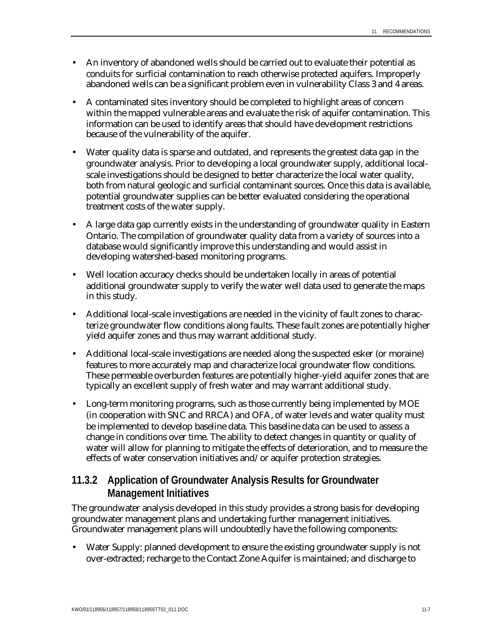- An inventory of abandoned wells should be carried out to evaluate their potential as conduits for surficial contamination to reach otherwise protected aquifers. Improperly abandoned wells can be a significant problem even in vulnerability Class 3 and 4 areas.
- A contaminated sites inventory should be completed to highlight areas of concern within the mapped vulnerable areas and evaluate the risk of aquifer contamination. This information can be used to identify areas that should have development restrictions because of the vulnerability of the aquifer.
- Water quality data is sparse and outdated, and represents the greatest data gap in the groundwater analysis. Prior to developing a local groundwater supply, additional localscale investigations should be designed to better characterize the local water quality, both from natural geologic and surficial contaminant sources. Once this data is available, potential groundwater supplies can be better evaluated considering the operational treatment costs of the water supply.
- A large data gap currently exists in the understanding of groundwater quality in Eastern Ontario. The compilation of groundwater quality data from a variety of sources into a database would significantly improve this understanding and would assist in developing watershed-based monitoring programs.
- Well location accuracy checks should be undertaken locally in areas of potential additional groundwater supply to verify the water well data used to generate the maps in this study.
- Additional local-scale investigations are needed in the vicinity of fault zones to characterize groundwater flow conditions along faults. These fault zones are potentially higher yield aquifer zones and thus may warrant additional study.
- Additional local-scale investigations are needed along the suspected esker (or moraine) features to more accurately map and characterize local groundwater flow conditions. These permeable overburden features are potentially higher-yield aquifer zones that are typically an excellent supply of fresh water and may warrant additional study.
- Long-term monitoring programs, such as those currently being implemented by MOE (in cooperation with SNC and RRCA) and OFA, of water levels and water quality must be implemented to develop baseline data. This baseline data can be used to assess a change in conditions over time. The ability to detect changes in quantity or quality of water will allow for planning to mitigate the effects of deterioration, and to measure the effects of water conservation initiatives and/or aquifer protection strategies.

### **11.3.2 Application of Groundwater Analysis Results for Groundwater Management Initiatives**

The groundwater analysis developed in this study provides a strong basis for developing groundwater management plans and undertaking further management initiatives. Groundwater management plans will undoubtedly have the following components:

• Water Supply: planned development to ensure the existing groundwater supply is not over-extracted; recharge to the Contact Zone Aquifer is maintained; and discharge to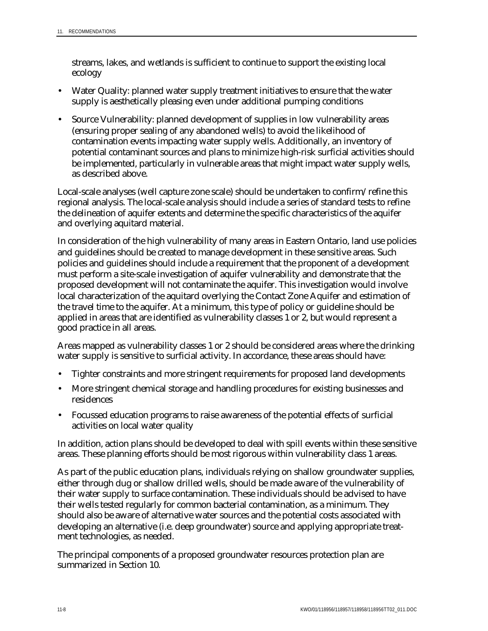streams, lakes, and wetlands is sufficient to continue to support the existing local ecology

- Water Quality: planned water supply treatment initiatives to ensure that the water supply is aesthetically pleasing even under additional pumping conditions
- Source Vulnerability: planned development of supplies in low vulnerability areas (ensuring proper sealing of any abandoned wells) to avoid the likelihood of contamination events impacting water supply wells. Additionally, an inventory of potential contaminant sources and plans to minimize high-risk surficial activities should be implemented, particularly in vulnerable areas that might impact water supply wells, as described above.

Local-scale analyses (well capture zone scale) should be undertaken to confirm/refine this regional analysis. The local-scale analysis should include a series of standard tests to refine the delineation of aquifer extents and determine the specific characteristics of the aquifer and overlying aquitard material.

In consideration of the high vulnerability of many areas in Eastern Ontario, land use policies and guidelines should be created to manage development in these sensitive areas. Such policies and guidelines should include a requirement that the proponent of a development must perform a site-scale investigation of aquifer vulnerability and demonstrate that the proposed development will not contaminate the aquifer. This investigation would involve local characterization of the aquitard overlying the Contact Zone Aquifer and estimation of the travel time to the aquifer. At a minimum, this type of policy or guideline should be applied in areas that are identified as vulnerability classes 1 or 2, but would represent a good practice in all areas.

Areas mapped as vulnerability classes 1 or 2 should be considered areas where the drinking water supply is sensitive to surficial activity. In accordance, these areas should have:

- Tighter constraints and more stringent requirements for proposed land developments
- More stringent chemical storage and handling procedures for existing businesses and residences
- Focussed education programs to raise awareness of the potential effects of surficial activities on local water quality

In addition, action plans should be developed to deal with spill events within these sensitive areas. These planning efforts should be most rigorous within vulnerability class 1 areas.

As part of the public education plans, individuals relying on shallow groundwater supplies, either through dug or shallow drilled wells, should be made aware of the vulnerability of their water supply to surface contamination. These individuals should be advised to have their wells tested regularly for common bacterial contamination, as a minimum. They should also be aware of alternative water sources and the potential costs associated with developing an alternative (i.e. deep groundwater) source and applying appropriate treatment technologies, as needed.

The principal components of a proposed groundwater resources protection plan are summarized in Section 10.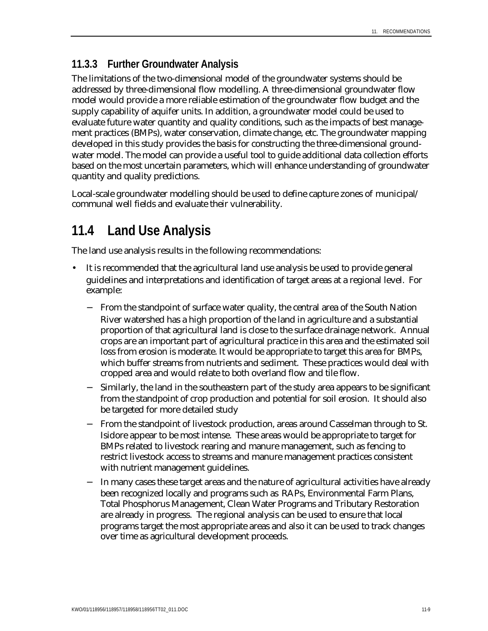### **11.3.3 Further Groundwater Analysis**

The limitations of the two-dimensional model of the groundwater systems should be addressed by three-dimensional flow modelling. A three-dimensional groundwater flow model would provide a more reliable estimation of the groundwater flow budget and the supply capability of aquifer units. In addition, a groundwater model could be used to evaluate future water quantity and quality conditions, such as the impacts of best management practices (BMPs), water conservation, climate change, etc. The groundwater mapping developed in this study provides the basis for constructing the three-dimensional groundwater model. The model can provide a useful tool to guide additional data collection efforts based on the most uncertain parameters, which will enhance understanding of groundwater quantity and quality predictions.

Local-scale groundwater modelling should be used to define capture zones of municipal/ communal well fields and evaluate their vulnerability.

## **11.4 Land Use Analysis**

The land use analysis results in the following recommendations:

- It is recommended that the agricultural land use analysis be used to provide general guidelines and interpretations and identification of target areas at a regional level. For example:
	- − From the standpoint of surface water quality, the central area of the South Nation River watershed has a high proportion of the land in agriculture and a substantial proportion of that agricultural land is close to the surface drainage network. Annual crops are an important part of agricultural practice in this area and the estimated soil loss from erosion is moderate. It would be appropriate to target this area for BMPs, which buffer streams from nutrients and sediment. These practices would deal with cropped area and would relate to both overland flow and tile flow.
	- − Similarly, the land in the southeastern part of the study area appears to be significant from the standpoint of crop production and potential for soil erosion. It should also be targeted for more detailed study
	- − From the standpoint of livestock production, areas around Casselman through to St. Isidore appear to be most intense. These areas would be appropriate to target for BMPs related to livestock rearing and manure management, such as fencing to restrict livestock access to streams and manure management practices consistent with nutrient management guidelines.
	- − In many cases these target areas and the nature of agricultural activities have already been recognized locally and programs such as RAPs, Environmental Farm Plans, Total Phosphorus Management, Clean Water Programs and Tributary Restoration are already in progress. The regional analysis can be used to ensure that local programs target the most appropriate areas and also it can be used to track changes over time as agricultural development proceeds.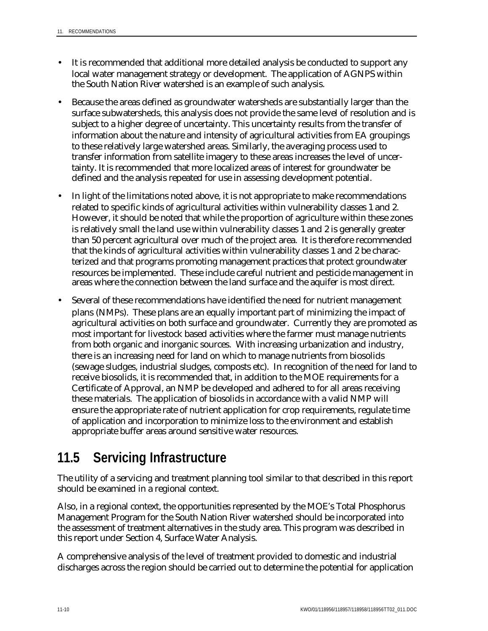- It is recommended that additional more detailed analysis be conducted to support any local water management strategy or development. The application of AGNPS within the South Nation River watershed is an example of such analysis.
- Because the areas defined as groundwater watersheds are substantially larger than the surface subwatersheds, this analysis does not provide the same level of resolution and is subject to a higher degree of uncertainty. This uncertainty results from the transfer of information about the nature and intensity of agricultural activities from EA groupings to these relatively large watershed areas. Similarly, the averaging process used to transfer information from satellite imagery to these areas increases the level of uncertainty. It is recommended that more localized areas of interest for groundwater be defined and the analysis repeated for use in assessing development potential.
- In light of the limitations noted above, it is not appropriate to make recommendations related to specific kinds of agricultural activities within vulnerability classes 1 and 2. However, it should be noted that while the proportion of agriculture within these zones is relatively small the land use within vulnerability classes 1 and 2 is generally greater than 50 percent agricultural over much of the project area. It is therefore recommended that the kinds of agricultural activities within vulnerability classes 1 and 2 be characterized and that programs promoting management practices that protect groundwater resources be implemented. These include careful nutrient and pesticide management in areas where the connection between the land surface and the aquifer is most direct.
- Several of these recommendations have identified the need for nutrient management plans (NMPs). These plans are an equally important part of minimizing the impact of agricultural activities on both surface and groundwater. Currently they are promoted as most important for livestock based activities where the farmer must manage nutrients from both organic and inorganic sources. With increasing urbanization and industry, there is an increasing need for land on which to manage nutrients from biosolids (sewage sludges, industrial sludges, composts etc). In recognition of the need for land to receive biosolids, it is recommended that, in addition to the MOE requirements for a Certificate of Approval, an NMP be developed and adhered to for all areas receiving these materials. The application of biosolids in accordance with a valid NMP will ensure the appropriate rate of nutrient application for crop requirements, regulate time of application and incorporation to minimize loss to the environment and establish appropriate buffer areas around sensitive water resources.

## **11.5 Servicing Infrastructure**

The utility of a servicing and treatment planning tool similar to that described in this report should be examined in a regional context.

Also, in a regional context, the opportunities represented by the MOE's Total Phosphorus Management Program for the South Nation River watershed should be incorporated into the assessment of treatment alternatives in the study area. This program was described in this report under Section 4, Surface Water Analysis.

A comprehensive analysis of the level of treatment provided to domestic and industrial discharges across the region should be carried out to determine the potential for application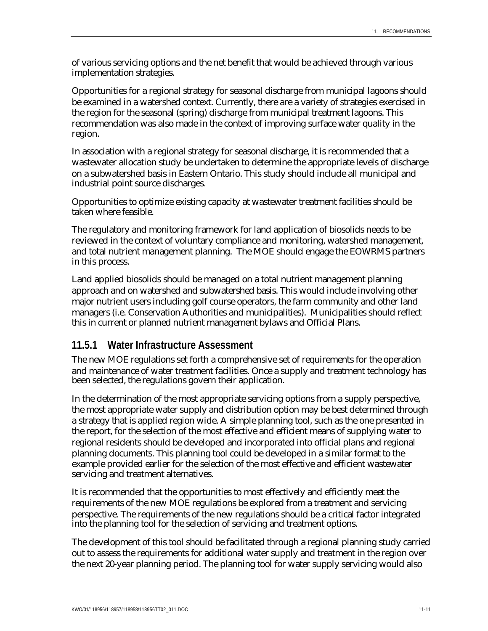of various servicing options and the net benefit that would be achieved through various implementation strategies.

Opportunities for a regional strategy for seasonal discharge from municipal lagoons should be examined in a watershed context. Currently, there are a variety of strategies exercised in the region for the seasonal (spring) discharge from municipal treatment lagoons. This recommendation was also made in the context of improving surface water quality in the region.

In association with a regional strategy for seasonal discharge, it is recommended that a wastewater allocation study be undertaken to determine the appropriate levels of discharge on a subwatershed basis in Eastern Ontario. This study should include all municipal and industrial point source discharges.

Opportunities to optimize existing capacity at wastewater treatment facilities should be taken where feasible.

The regulatory and monitoring framework for land application of biosolids needs to be reviewed in the context of voluntary compliance and monitoring, watershed management, and total nutrient management planning. The MOE should engage the EOWRMS partners in this process.

Land applied biosolids should be managed on a total nutrient management planning approach and on watershed and subwatershed basis. This would include involving other major nutrient users including golf course operators, the farm community and other land managers (i.e. Conservation Authorities and municipalities). Municipalities should reflect this in current or planned nutrient management bylaws and Official Plans.

#### **11.5.1 Water Infrastructure Assessment**

The new MOE regulations set forth a comprehensive set of requirements for the operation and maintenance of water treatment facilities. Once a supply and treatment technology has been selected, the regulations govern their application.

In the determination of the most appropriate servicing options from a supply perspective, the most appropriate water supply and distribution option may be best determined through a strategy that is applied region wide. A simple planning tool, such as the one presented in the report, for the selection of the most effective and efficient means of supplying water to regional residents should be developed and incorporated into official plans and regional planning documents. This planning tool could be developed in a similar format to the example provided earlier for the selection of the most effective and efficient wastewater servicing and treatment alternatives.

It is recommended that the opportunities to most effectively and efficiently meet the requirements of the new MOE regulations be explored from a treatment and servicing perspective. The requirements of the new regulations should be a critical factor integrated into the planning tool for the selection of servicing and treatment options.

The development of this tool should be facilitated through a regional planning study carried out to assess the requirements for additional water supply and treatment in the region over the next 20-year planning period. The planning tool for water supply servicing would also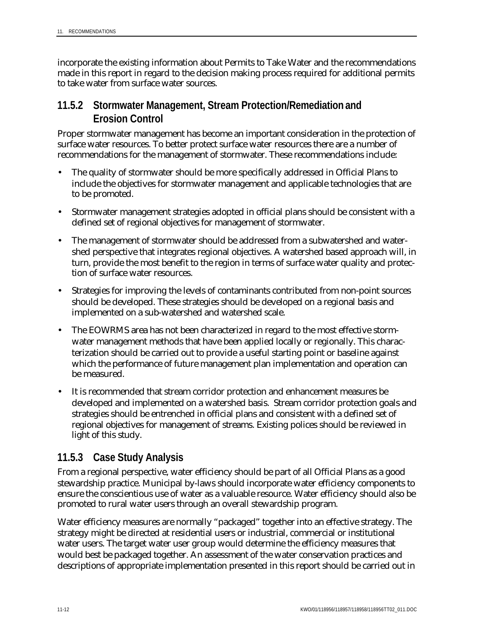incorporate the existing information about Permits to Take Water and the recommendations made in this report in regard to the decision making process required for additional permits to take water from surface water sources.

#### **11.5.2 Stormwater Management, Stream Protection/Remediation and Erosion Control**

Proper stormwater management has become an important consideration in the protection of surface water resources. To better protect surface water resources there are a number of recommendations for the management of stormwater. These recommendations include:

- The quality of stormwater should be more specifically addressed in Official Plans to include the objectives for stormwater management and applicable technologies that are to be promoted.
- Stormwater management strategies adopted in official plans should be consistent with a defined set of regional objectives for management of stormwater.
- The management of stormwater should be addressed from a subwatershed and watershed perspective that integrates regional objectives. A watershed based approach will, in turn, provide the most benefit to the region in terms of surface water quality and protection of surface water resources.
- Strategies for improving the levels of contaminants contributed from non-point sources should be developed. These strategies should be developed on a regional basis and implemented on a sub-watershed and watershed scale.
- The EOWRMS area has not been characterized in regard to the most effective stormwater management methods that have been applied locally or regionally. This characterization should be carried out to provide a useful starting point or baseline against which the performance of future management plan implementation and operation can be measured.
- It is recommended that stream corridor protection and enhancement measures be developed and implemented on a watershed basis. Stream corridor protection goals and strategies should be entrenched in official plans and consistent with a defined set of regional objectives for management of streams. Existing polices should be reviewed in light of this study.

### **11.5.3 Case Study Analysis**

From a regional perspective, water efficiency should be part of all Official Plans as a good stewardship practice. Municipal by-laws should incorporate water efficiency components to ensure the conscientious use of water as a valuable resource. Water efficiency should also be promoted to rural water users through an overall stewardship program.

Water efficiency measures are normally "packaged" together into an effective strategy. The strategy might be directed at residential users or industrial, commercial or institutional water users. The target water user group would determine the efficiency measures that would best be packaged together. An assessment of the water conservation practices and descriptions of appropriate implementation presented in this report should be carried out in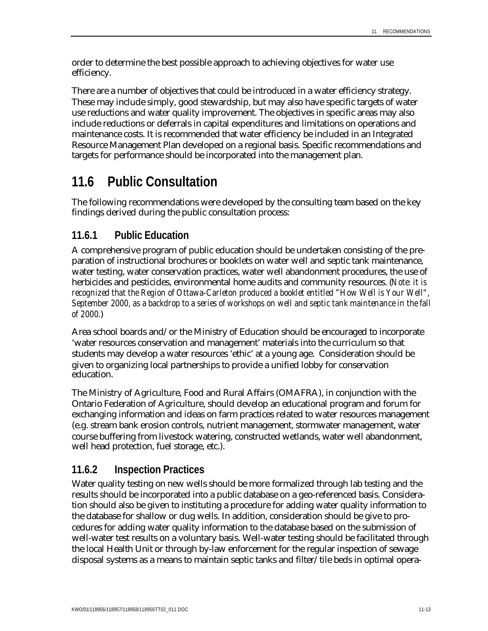order to determine the best possible approach to achieving objectives for water use efficiency.

There are a number of objectives that could be introduced in a water efficiency strategy. These may include simply, good stewardship, but may also have specific targets of water use reductions and water quality improvement. The objectives in specific areas may also include reductions or deferrals in capital expenditures and limitations on operations and maintenance costs. It is recommended that water efficiency be included in an Integrated Resource Management Plan developed on a regional basis. Specific recommendations and targets for performance should be incorporated into the management plan.

## **11.6 Public Consultation**

The following recommendations were developed by the consulting team based on the key findings derived during the public consultation process:

### **11.6.1 Public Education**

A comprehensive program of public education should be undertaken consisting of the preparation of instructional brochures or booklets on water well and septic tank maintenance, water testing, water conservation practices, water well abandonment procedures, the use of herbicides and pesticides, environmental home audits and community resources. (*Note: it is recognized that the Region of Ottawa-Carleton produced a booklet entitled "How Well is Your Well", September 2000, as a backdrop to a series of workshops on well and septic tank maintenance in the fall of 2000*.)

Area school boards and/or the Ministry of Education should be encouraged to incorporate 'water resources conservation and management' materials into the curriculum so that students may develop a water resources 'ethic' at a young age. Consideration should be given to organizing local partnerships to provide a unified lobby for conservation education.

The Ministry of Agriculture, Food and Rural Affairs (OMAFRA), in conjunction with the Ontario Federation of Agriculture, should develop an educational program and forum for exchanging information and ideas on farm practices related to water resources management (e.g. stream bank erosion controls, nutrient management, stormwater management, water course buffering from livestock watering, constructed wetlands, water well abandonment, well head protection, fuel storage, etc.).

### **11.6.2 Inspection Practices**

Water quality testing on new wells should be more formalized through lab testing and the results should be incorporated into a public database on a geo-referenced basis. Consideration should also be given to instituting a procedure for adding water quality information to the database for shallow or dug wells. In addition, consideration should be give to procedures for adding water quality information to the database based on the submission of well-water test results on a voluntary basis. Well-water testing should be facilitated through the local Health Unit or through by-law enforcement for the regular inspection of sewage disposal systems as a means to maintain septic tanks and filter/tile beds in optimal opera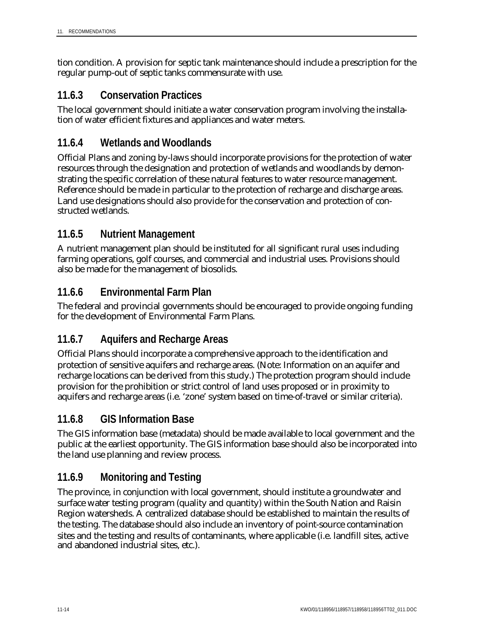tion condition. A provision for septic tank maintenance should include a prescription for the regular pump-out of septic tanks commensurate with use.

### **11.6.3 Conservation Practices**

The local government should initiate a water conservation program involving the installation of water efficient fixtures and appliances and water meters.

### **11.6.4 Wetlands and Woodlands**

Official Plans and zoning by-laws should incorporate provisions for the protection of water resources through the designation and protection of wetlands and woodlands by demonstrating the specific correlation of these natural features to water resource management. Reference should be made in particular to the protection of recharge and discharge areas. Land use designations should also provide for the conservation and protection of constructed wetlands.

### **11.6.5 Nutrient Management**

A nutrient management plan should be instituted for all significant rural uses including farming operations, golf courses, and commercial and industrial uses. Provisions should also be made for the management of biosolids.

### **11.6.6 Environmental Farm Plan**

The federal and provincial governments should be encouraged to provide ongoing funding for the development of Environmental Farm Plans.

### **11.6.7 Aquifers and Recharge Areas**

Official Plans should incorporate a comprehensive approach to the identification and protection of sensitive aquifers and recharge areas. (Note: Information on an aquifer and recharge locations can be derived from this study.) The protection program should include provision for the prohibition or strict control of land uses proposed or in proximity to aquifers and recharge areas (i.e. 'zone' system based on time-of-travel or similar criteria).

#### **11.6.8 GIS Information Base**

The GIS information base (metadata) should be made available to local government and the public at the earliest opportunity. The GIS information base should also be incorporated into the land use planning and review process.

### **11.6.9 Monitoring and Testing**

The province, in conjunction with local government, should institute a groundwater and surface water testing program (quality and quantity) within the South Nation and Raisin Region watersheds. A centralized database should be established to maintain the results of the testing. The database should also include an inventory of point-source contamination sites and the testing and results of contaminants, where applicable (i.e. landfill sites, active and abandoned industrial sites, etc.).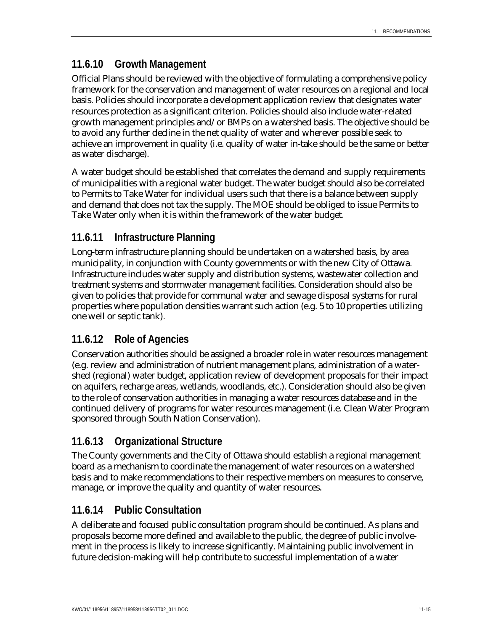### **11.6.10 Growth Management**

Official Plans should be reviewed with the objective of formulating a comprehensive policy framework for the conservation and management of water resources on a regional and local basis. Policies should incorporate a development application review that designates water resources protection as a significant criterion. Policies should also include water-related growth management principles and/or BMPs on a watershed basis. The objective should be to avoid any further decline in the net quality of water and wherever possible seek to achieve an improvement in quality (i.e. quality of water in-take should be the same or better as water discharge).

A water budget should be established that correlates the demand and supply requirements of municipalities with a regional water budget. The water budget should also be correlated to Permits to Take Water for individual users such that there is a balance between supply and demand that does not tax the supply. The MOE should be obliged to issue Permits to Take Water only when it is within the framework of the water budget.

### **11.6.11 Infrastructure Planning**

Long-term infrastructure planning should be undertaken on a watershed basis, by area municipality, in conjunction with County governments or with the new City of Ottawa. Infrastructure includes water supply and distribution systems, wastewater collection and treatment systems and stormwater management facilities. Consideration should also be given to policies that provide for communal water and sewage disposal systems for rural properties where population densities warrant such action (e.g. 5 to 10 properties utilizing one well or septic tank).

#### **11.6.12 Role of Agencies**

Conservation authorities should be assigned a broader role in water resources management (e.g. review and administration of nutrient management plans, administration of a watershed (regional) water budget, application review of development proposals for their impact on aquifers, recharge areas, wetlands, woodlands, etc.). Consideration should also be given to the role of conservation authorities in managing a water resources database and in the continued delivery of programs for water resources management (i.e. Clean Water Program sponsored through South Nation Conservation).

### **11.6.13 Organizational Structure**

The County governments and the City of Ottawa should establish a regional management board as a mechanism to coordinate the management of water resources on a watershed basis and to make recommendations to their respective members on measures to conserve, manage, or improve the quality and quantity of water resources.

#### **11.6.14 Public Consultation**

A deliberate and focused public consultation program should be continued. As plans and proposals become more defined and available to the public, the degree of public involvement in the process is likely to increase significantly. Maintaining public involvement in future decision-making will help contribute to successful implementation of a water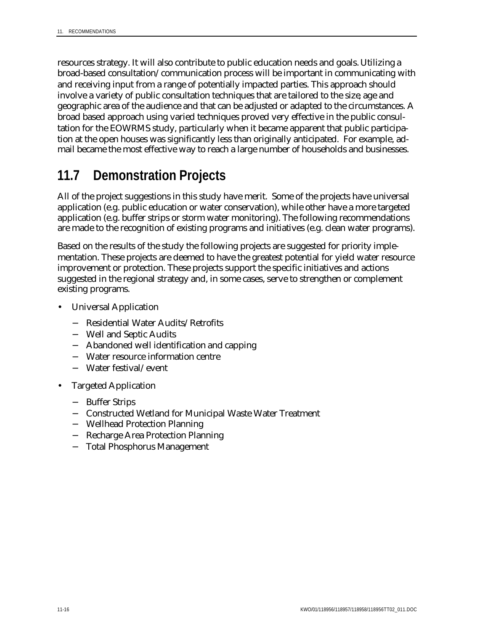resources strategy. It will also contribute to public education needs and goals. Utilizing a broad-based consultation/communication process will be important in communicating with and receiving input from a range of potentially impacted parties. This approach should involve a variety of public consultation techniques that are tailored to the size, age and geographic area of the audience and that can be adjusted or adapted to the circumstances. A broad based approach using varied techniques proved very effective in the public consultation for the EOWRMS study, particularly when it became apparent that public participation at the open houses was significantly less than originally anticipated. For example, admail became the most effective way to reach a large number of households and businesses.

## **11.7 Demonstration Projects**

All of the project suggestions in this study have merit. Some of the projects have universal application (e.g. public education or water conservation), while other have a more targeted application (e.g. buffer strips or storm water monitoring). The following recommendations are made to the recognition of existing programs and initiatives (e.g. clean water programs).

Based on the results of the study the following projects are suggested for priority implementation. These projects are deemed to have the greatest potential for yield water resource improvement or protection. These projects support the specific initiatives and actions suggested in the regional strategy and, in some cases, serve to strengthen or complement existing programs.

- Universal Application
	- − Residential Water Audits/Retrofits
	- − Well and Septic Audits
	- − Abandoned well identification and capping
	- − Water resource information centre
	- − Water festival/event
- Targeted Application
	- − Buffer Strips
	- − Constructed Wetland for Municipal Waste Water Treatment
	- − Wellhead Protection Planning
	- − Recharge Area Protection Planning
	- − Total Phosphorus Management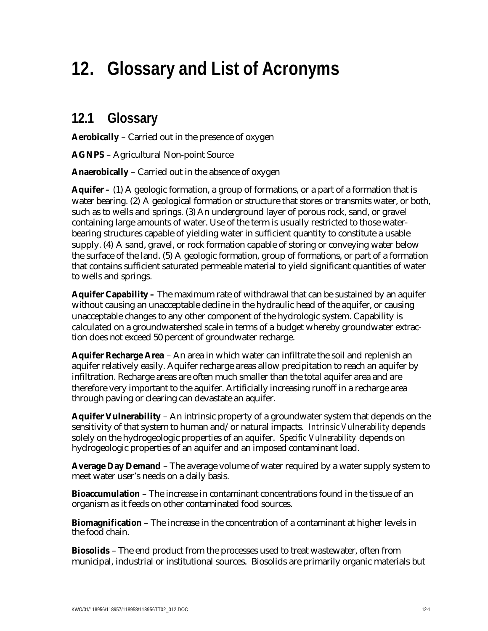# **12. Glossary and List of Acronyms**

## **12.1 Glossary**

**Aerobically** – Carried out in the presence of oxygen

**AGNPS** – Agricultural Non-point Source

**Anaerobically** – Carried out in the absence of oxygen

**Aquifer –** (1) A geologic formation, a group of formations, or a part of a formation that is water bearing. (2) A geological formation or structure that stores or transmits water, or both, such as to wells and springs. (3) An underground layer of porous rock, sand, or gravel containing large amounts of water. Use of the term is usually restricted to those waterbearing structures capable of yielding water in sufficient quantity to constitute a usable supply. (4) A sand, gravel, or rock formation capable of storing or conveying water below the surface of the land. (5) A geologic formation, group of formations, or part of a formation that contains sufficient saturated permeable material to yield significant quantities of water to wells and springs.

**Aquifer Capability –** The maximum rate of withdrawal that can be sustained by an aquifer without causing an unacceptable decline in the hydraulic head of the aquifer, or causing unacceptable changes to any other component of the hydrologic system. Capability is calculated on a groundwatershed scale in terms of a budget whereby groundwater extraction does not exceed 50 percent of groundwater recharge.

**Aquifer Recharge Area** – An area in which water can infiltrate the soil and replenish an aquifer relatively easily. Aquifer recharge areas allow precipitation to reach an aquifer by infiltration. Recharge areas are often much smaller than the total aquifer area and are therefore very important to the aquifer. Artificially increasing runoff in a recharge area through paving or clearing can devastate an aquifer.

**Aquifer Vulnerability** – An intrinsic property of a groundwater system that depends on the sensitivity of that system to human and/or natural impacts. *Intrinsic Vulnerability* depends solely on the hydrogeologic properties of an aquifer. *Specific Vulnerability* depends on hydrogeologic properties of an aquifer and an imposed contaminant load.

**Average Day Demand** – The average volume of water required by a water supply system to meet water user's needs on a daily basis.

**Bioaccumulation** – The increase in contaminant concentrations found in the tissue of an organism as it feeds on other contaminated food sources.

**Biomagnification** – The increase in the concentration of a contaminant at higher levels in the food chain.

**Biosolids** – The end product from the processes used to treat wastewater, often from municipal, industrial or institutional sources. Biosolids are primarily organic materials but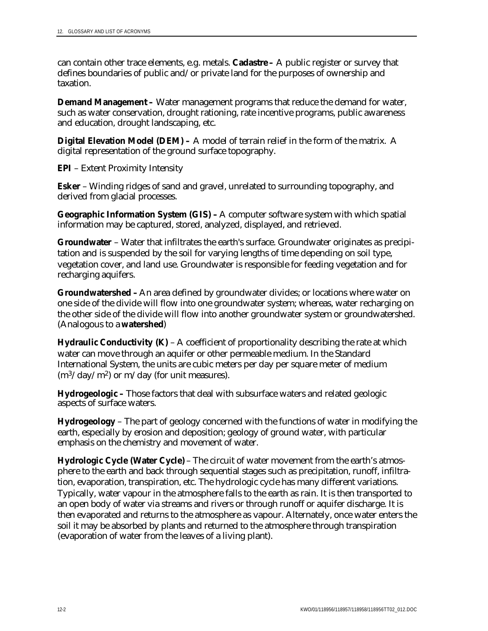can contain other trace elements, e.g. metals. **Cadastre –** A public register or survey that defines boundaries of public and/or private land for the purposes of ownership and taxation.

**Demand Management –** Water management programs that reduce the demand for water, such as water conservation, drought rationing, rate incentive programs, public awareness and education, drought landscaping, etc.

**Digital Elevation Model (DEM) –** A model of terrain relief in the form of the matrix. A digital representation of the ground surface topography.

**EPI** – Extent Proximity Intensity

**Esker** – Winding ridges of sand and gravel, unrelated to surrounding topography, and derived from glacial processes.

**Geographic Information System (GIS) –** A computer software system with which spatial information may be captured, stored, analyzed, displayed, and retrieved.

**Groundwater** – Water that infiltrates the earth's surface. Groundwater originates as precipitation and is suspended by the soil for varying lengths of time depending on soil type, vegetation cover, and land use. Groundwater is responsible for feeding vegetation and for recharging aquifers.

**Groundwatershed –** An area defined by groundwater divides; or locations where water on one side of the divide will flow into one groundwater system; whereas, water recharging on the other side of the divide will flow into another groundwater system or groundwatershed. (Analogous to a **watershed**)

**Hydraulic Conductivity (K)** – A coefficient of proportionality describing the rate at which water can move through an aquifer or other permeable medium. In the Standard International System, the units are cubic meters per day per square meter of medium  $(m^3/day/m^2)$  or m/day (for unit measures).

**Hydrogeologic –** Those factors that deal with subsurface waters and related geologic aspects of surface waters.

**Hydrogeology** – The part of geology concerned with the functions of water in modifying the earth, especially by erosion and deposition; geology of ground water, with particular emphasis on the chemistry and movement of water.

**Hydrologic Cycle (Water Cycle)** – The circuit of water movement from the earth's atmosphere to the earth and back through sequential stages such as precipitation, runoff, infiltration, evaporation, transpiration, etc. The hydrologic cycle has many different variations. Typically, water vapour in the atmosphere falls to the earth as rain. It is then transported to an open body of water via streams and rivers or through runoff or aquifer discharge. It is then evaporated and returns to the atmosphere as vapour. Alternately, once water enters the soil it may be absorbed by plants and returned to the atmosphere through transpiration (evaporation of water from the leaves of a living plant).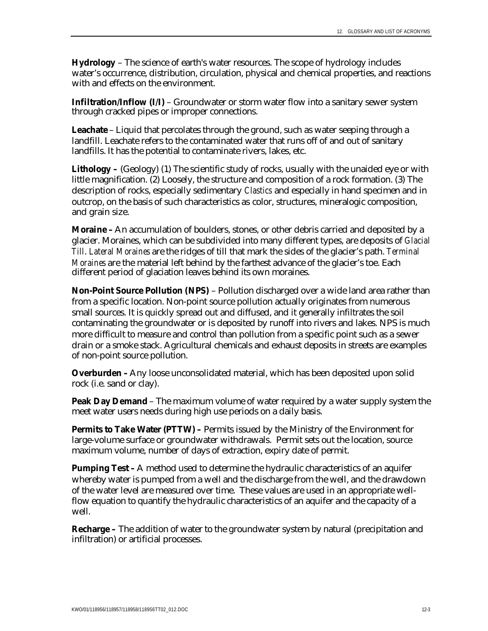**Hydrology** – The science of earth's water resources. The scope of hydrology includes water's occurrence, distribution, circulation, physical and chemical properties, and reactions with and effects on the environment.

**Infiltration/Inflow (I/I)** – Groundwater or storm water flow into a sanitary sewer system through cracked pipes or improper connections.

**Leachate** – Liquid that percolates through the ground, such as water seeping through a landfill. Leachate refers to the contaminated water that runs off of and out of sanitary landfills. It has the potential to contaminate rivers, lakes, etc.

Lithology – (Geology) (1) The scientific study of rocks, usually with the unaided eye or with little magnification. (2) Loosely, the structure and composition of a rock formation. (3) The description of rocks, especially sedimentary *Clastics* and especially in hand specimen and in outcrop, on the basis of such characteristics as color, structures, mineralogic composition, and grain size.

**Moraine –** An accumulation of boulders, stones, or other debris carried and deposited by a glacier. Moraines, which can be subdivided into many different types, are deposits of *Glacial Till*. *Lateral Moraines* are the ridges of till that mark the sides of the glacier's path. *Terminal Moraines* are the material left behind by the farthest advance of the glacier's toe. Each different period of glaciation leaves behind its own moraines.

**Non-Point Source Pollution (NPS)** – Pollution discharged over a wide land area rather than from a specific location. Non-point source pollution actually originates from numerous small sources. It is quickly spread out and diffused, and it generally infiltrates the soil contaminating the groundwater or is deposited by runoff into rivers and lakes. NPS is much more difficult to measure and control than pollution from a specific point such as a sewer drain or a smoke stack. Agricultural chemicals and exhaust deposits in streets are examples of non-point source pollution.

**Overburden** – Any loose unconsolidated material, which has been deposited upon solid rock (i.e. sand or clay).

**Peak Day Demand** – The maximum volume of water required by a water supply system the meet water users needs during high use periods on a daily basis.

**Permits to Take Water (PTTW)** – Permits issued by the Ministry of the Environment for large-volume surface or groundwater withdrawals. Permit sets out the location, source maximum volume, number of days of extraction, expiry date of permit.

**Pumping Test - A** method used to determine the hydraulic characteristics of an aquifer whereby water is pumped from a well and the discharge from the well, and the drawdown of the water level are measured over time. These values are used in an appropriate wellflow equation to quantify the hydraulic characteristics of an aquifer and the capacity of a well.

**Recharge –** The addition of water to the groundwater system by natural (precipitation and infiltration) or artificial processes.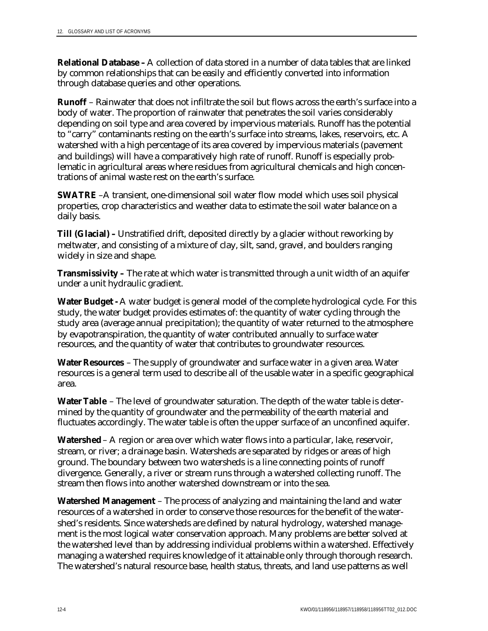**Relational Database –** A collection of data stored in a number of data tables that are linked by common relationships that can be easily and efficiently converted into information through database queries and other operations.

**Runoff** – Rainwater that does not infiltrate the soil but flows across the earth's surface into a body of water. The proportion of rainwater that penetrates the soil varies considerably depending on soil type and area covered by impervious materials. Runoff has the potential to "carry" contaminants resting on the earth's surface into streams, lakes, reservoirs, etc. A watershed with a high percentage of its area covered by impervious materials (pavement and buildings) will have a comparatively high rate of runoff. Runoff is especially problematic in agricultural areas where residues from agricultural chemicals and high concentrations of animal waste rest on the earth's surface.

**SWATRE** –A transient, one-dimensional soil water flow model which uses soil physical properties, crop characteristics and weather data to estimate the soil water balance on a daily basis.

**Till (Glacial) –** Unstratified drift, deposited directly by a glacier without reworking by meltwater, and consisting of a mixture of clay, silt, sand, gravel, and boulders ranging widely in size and shape.

**Transmissivity –** The rate at which water is transmitted through a unit width of an aquifer under a unit hydraulic gradient.

**Water Budget -** A water budget is general model of the complete hydrological cycle. For this study, the water budget provides estimates of: the quantity of water cycling through the study area (average annual precipitation); the quantity of water returned to the atmosphere by evapotranspiration, the quantity of water contributed annually to surface water resources, and the quantity of water that contributes to groundwater resources.

**Water Resources** – The supply of groundwater and surface water in a given area. Water resources is a general term used to describe all of the usable water in a specific geographical area.

**Water Table** – The level of groundwater saturation. The depth of the water table is determined by the quantity of groundwater and the permeability of the earth material and fluctuates accordingly. The water table is often the upper surface of an unconfined aquifer.

**Watershed** – A region or area over which water flows into a particular, lake, reservoir, stream, or river; a drainage basin. Watersheds are separated by ridges or areas of high ground. The boundary between two watersheds is a line connecting points of runoff divergence. Generally, a river or stream runs through a watershed collecting runoff. The stream then flows into another watershed downstream or into the sea.

**Watershed Management** – The process of analyzing and maintaining the land and water resources of a watershed in order to conserve those resources for the benefit of the watershed's residents. Since watersheds are defined by natural hydrology, watershed management is the most logical water conservation approach. Many problems are better solved at the watershed level than by addressing individual problems within a watershed. Effectively managing a watershed requires knowledge of it attainable only through thorough research. The watershed's natural resource base, health status, threats, and land use patterns as well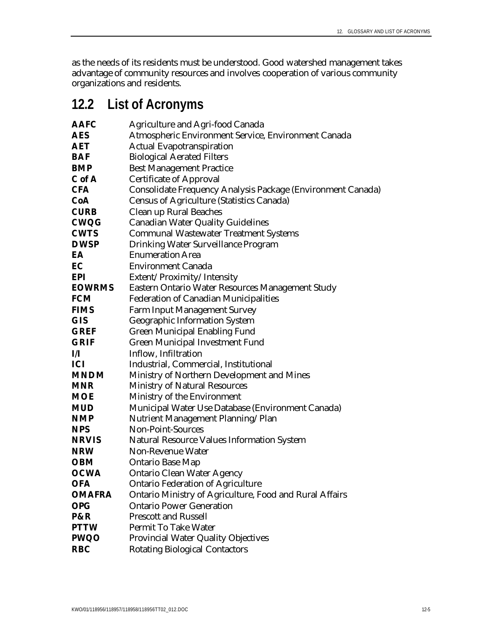as the needs of its residents must be understood. Good watershed management takes advantage of community resources and involves cooperation of various community organizations and residents.

## **12.2 List of Acronyms**

| <b>AAFC</b>   | <b>Agriculture and Agri-food Canada</b>                     |
|---------------|-------------------------------------------------------------|
| <b>AES</b>    | Atmospheric Environment Service, Environment Canada         |
| <b>AET</b>    | <b>Actual Evapotranspiration</b>                            |
| <b>BAF</b>    | <b>Biological Aerated Filters</b>                           |
| <b>BMP</b>    | <b>Best Management Practice</b>                             |
| C of A        | <b>Certificate of Approval</b>                              |
| <b>CFA</b>    | Consolidate Frequency Analysis Package (Environment Canada) |
| CoA           | <b>Census of Agriculture (Statistics Canada)</b>            |
| <b>CURB</b>   | Clean up Rural Beaches                                      |
| <b>CWQG</b>   | <b>Canadian Water Quality Guidelines</b>                    |
| <b>CWTS</b>   | <b>Communal Wastewater Treatment Systems</b>                |
| <b>DWSP</b>   | Drinking Water Surveillance Program                         |
| EA            | <b>Enumeration Area</b>                                     |
| EC            | <b>Environment Canada</b>                                   |
| <b>EPI</b>    | Extent/Proximity/Intensity                                  |
| <b>EOWRMS</b> | Eastern Ontario Water Resources Management Study            |
| <b>FCM</b>    | <b>Federation of Canadian Municipalities</b>                |
| <b>FIMS</b>   | <b>Farm Input Management Survey</b>                         |
| <b>GIS</b>    | <b>Geographic Information System</b>                        |
| <b>GREF</b>   | <b>Green Municipal Enabling Fund</b>                        |
| <b>GRIF</b>   | <b>Green Municipal Investment Fund</b>                      |
| И             | Inflow, Infiltration                                        |
| <b>ICI</b>    | Industrial, Commercial, Institutional                       |
| <b>MNDM</b>   | Ministry of Northern Development and Mines                  |
| <b>MNR</b>    | <b>Ministry of Natural Resources</b>                        |
| <b>MOE</b>    | Ministry of the Environment                                 |
| <b>MUD</b>    | Municipal Water Use Database (Environment Canada)           |
| <b>NMP</b>    | Nutrient Management Planning/Plan                           |
| <b>NPS</b>    | <b>Non-Point-Sources</b>                                    |
| <b>NRVIS</b>  | <b>Natural Resource Values Information System</b>           |
| <b>NRW</b>    | <b>Non-Revenue Water</b>                                    |
| <b>OBM</b>    | <b>Ontario Base Map</b>                                     |
| <b>OCWA</b>   | <b>Ontario Clean Water Agency</b>                           |
| <b>OFA</b>    | <b>Ontario Federation of Agriculture</b>                    |
| <b>OMAFRA</b> | Ontario Ministry of Agriculture, Food and Rural Affairs     |
| <b>OPG</b>    | <b>Ontario Power Generation</b>                             |
| P&R           | <b>Prescott and Russell</b>                                 |
| <b>PTTW</b>   | <b>Permit To Take Water</b>                                 |
| <b>PWQO</b>   | <b>Provincial Water Quality Objectives</b>                  |
| <b>RBC</b>    | <b>Rotating Biological Contactors</b>                       |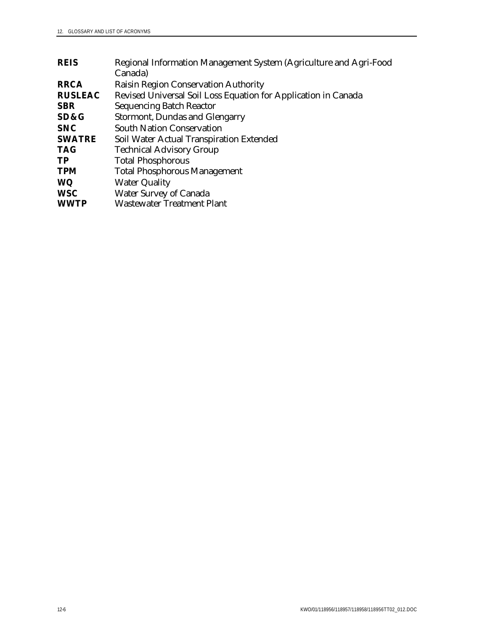| <b>REIS</b>    | Regional Information Management System (Agriculture and Agri-Food |
|----------------|-------------------------------------------------------------------|
|                | Canada)                                                           |
| <b>RRCA</b>    | Raisin Region Conservation Authority                              |
| <b>RUSLEAC</b> | Revised Universal Soil Loss Equation for Application in Canada    |
| <b>SBR</b>     | <b>Sequencing Batch Reactor</b>                                   |
| SD&G           | <b>Stormont, Dundas and Glengarry</b>                             |
| <b>SNC</b>     | <b>South Nation Conservation</b>                                  |
| <b>SWATRE</b>  | Soil Water Actual Transpiration Extended                          |
| <b>TAG</b>     | <b>Technical Advisory Group</b>                                   |
| TP             | <b>Total Phosphorous</b>                                          |
| <b>TPM</b>     | <b>Total Phosphorous Management</b>                               |
| <b>WQ</b>      | <b>Water Quality</b>                                              |
| <b>WSC</b>     | <b>Water Survey of Canada</b>                                     |
| <b>WWTP</b>    | <b>Wastewater Treatment Plant</b>                                 |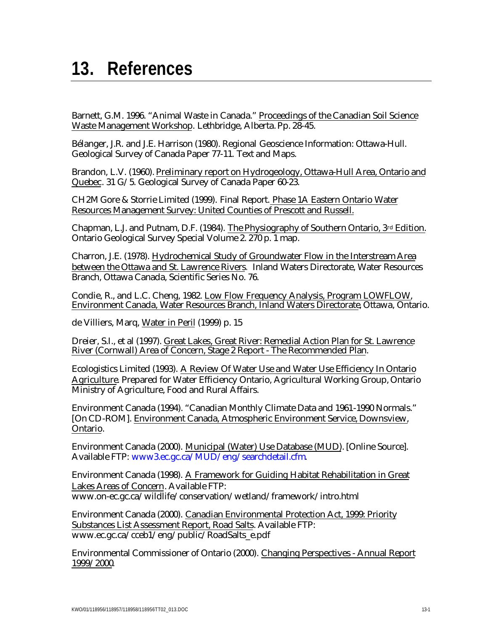## **13. References**

Barnett, G.M. 1996. "Animal Waste in Canada." Proceedings of the Canadian Soil Science Waste Management Workshop. Lethbridge, Alberta. Pp. 28-45.

Bélanger, J.R. and J.E. Harrison (1980). Regional Geoscience Information: Ottawa-Hull. Geological Survey of Canada Paper 77-11. Text and Maps.

Brandon, L.V. (1960). Preliminary report on Hydrogeology, Ottawa-Hull Area, Ontario and Quebec. 31 G/5. Geological Survey of Canada Paper 60-23.

CH2M Gore & Storrie Limited (1999). Final Report. Phase 1A Eastern Ontario Water Resources Management Survey: United Counties of Prescott and Russell.

Chapman, L.J. and Putnam, D.F. (1984). The Physiography of Southern Ontario, 3rd Edition. Ontario Geological Survey Special Volume 2. 270 p. 1 map.

Charron, J.E. (1978). Hydrochemical Study of Groundwater Flow in the Interstream Area between the Ottawa and St. Lawrence Rivers*.* Inland Waters Directorate, Water Resources Branch, Ottawa Canada, Scientific Series No. 76.

Condie, R., and L.C. Cheng, 1982. Low Flow Frequency Analysis, Program LOWFLOW, Environment Canada, Water Resources Branch, Inland Waters Directorate, Ottawa, Ontario.

de Villiers, Marq, Water in Peril (1999) p. 15

Dreier, S.I., et al (1997). Great Lakes, Great River: Remedial Action Plan for St. Lawrence River (Cornwall) Area of Concern, Stage 2 Report - The Recommended Plan.

Ecologistics Limited (1993). A Review Of Water Use and Water Use Efficiency In Ontario Agriculture. Prepared for Water Efficiency Ontario, Agricultural Working Group, Ontario Ministry of Agriculture, Food and Rural Affairs.

Environment Canada (1994). "Canadian Monthly Climate Data and 1961-1990 Normals." [On CD-ROM]. Environment Canada, Atmospheric Environment Service, Downsview, Ontario.

Environment Canada (2000). Municipal (Water) Use Database (MUD). [Online Source]. Available FTP: www3.ec.gc.ca/MUD/eng/searchdetail.cfm.

Environment Canada (1998). A Framework for Guiding Habitat Rehabilitation in Great Lakes Areas of Concern. Available FTP: www.on-ec.gc.ca/wildlife/conservation/wetland/framework/intro.html

Environment Canada (2000). Canadian Environmental Protection Act, 1999: Priority Substances List Assessment Report, Road Salts. Available FTP: www.ec.gc.ca/cceb1/eng/public/RoadSalts\_e.pdf

Environmental Commissioner of Ontario (2000). Changing Perspectives - Annual Report 1999/2000.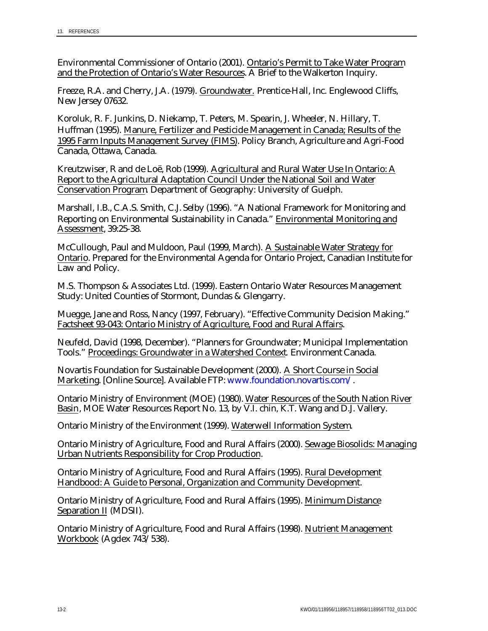Environmental Commissioner of Ontario (2001). Ontario's Permit to Take Water Program and the Protection of Ontario's Water Resources. A Brief to the Walkerton Inquiry.

Freeze, R.A. and Cherry, J.A. (1979). Groundwater. Prentice-Hall, Inc. Englewood Cliffs, New Jersey 07632.

Koroluk, R. F. Junkins, D. Niekamp, T. Peters, M. Spearin, J. Wheeler, N. Hillary, T. Huffman (1995). Manure, Fertilizer and Pesticide Management in Canada; Results of the 1995 Farm Inputs Management Survey (FIMS). Policy Branch, Agriculture and Agri-Food Canada, Ottawa, Canada.

Kreutzwiser, R and de Loë, Rob (1999). Agricultural and Rural Water Use In Ontario: A Report to the Agricultural Adaptation Council Under the National Soil and Water Conservation Program. Department of Geography: University of Guelph.

Marshall, I.B., C.A.S. Smith, C.J. Selby (1996). "A National Framework for Monitoring and Reporting on Environmental Sustainability in Canada." Environmental Monitoring and Assessment, 39:25-38.

McCullough, Paul and Muldoon, Paul (1999, March). A Sustainable Water Strategy for Ontario. Prepared for the Environmental Agenda for Ontario Project, Canadian Institute for Law and Policy.

M.S. Thompson & Associates Ltd. (1999). Eastern Ontario Water Resources Management Study: United Counties of Stormont, Dundas & Glengarry.

Muegge, Jane and Ross, Nancy (1997, February). "Effective Community Decision Making." Factsheet 93-043: Ontario Ministry of Agriculture, Food and Rural Affairs.

Neufeld, David (1998, December). "Planners for Groundwater; Municipal Implementation Tools." Proceedings: Groundwater in a Watershed Context. Environment Canada.

Novartis Foundation for Sustainable Development (2000). A Short Course in Social Marketing. [Online Source]. Available FTP: www.foundation.novartis.com/.

Ontario Ministry of Environment (MOE) (1980). Water Resources of the South Nation River Basin, MOE Water Resources Report No. 13, by V.I. chin, K.T. Wang and D.J. Vallery.

Ontario Ministry of the Environment (1999). Waterwell Information System.

Ontario Ministry of Agriculture, Food and Rural Affairs (2000). Sewage Biosolids: Managing Urban Nutrients Responsibility for Crop Production.

Ontario Ministry of Agriculture, Food and Rural Affairs (1995). Rural Development Handbood: A Guide to Personal, Organization and Community Development.

Ontario Ministry of Agriculture, Food and Rural Affairs (1995). Minimum Distance Separation II (MDSII).

Ontario Ministry of Agriculture, Food and Rural Affairs (1998). Nutrient Management Workbook (Agdex 743/538).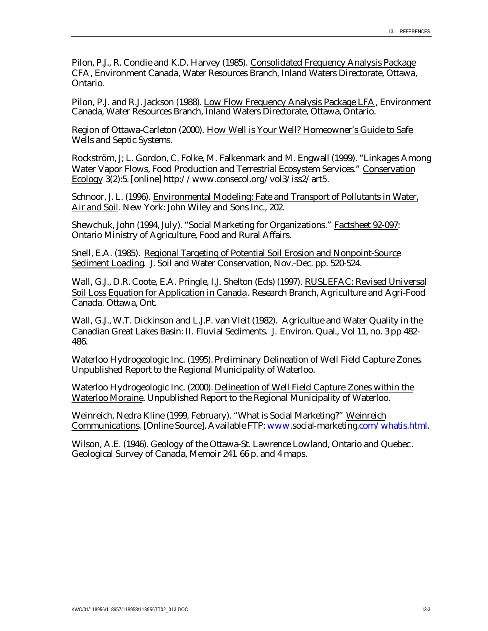Pilon, P.J., R. Condie and K.D. Harvey (1985). Consolidated Frequency Analysis Package CFA, Environment Canada, Water Resources Branch, Inland Waters Directorate, Ottawa, Ontario.

Pilon, P.J. and R.J. Jackson (1988). Low Flow Frequency Analysis Package LFA, Environment Canada, Water Resources Branch, Inland Waters Directorate, Ottawa, Ontario.

Region of Ottawa-Carleton (2000). How Well is Your Well? Homeowner's Guide to Safe Wells and Septic Systems.

Rockström, J; L. Gordon, C. Folke, M. Falkenmark and M. Engwall (1999). "Linkages Among Water Vapor Flows, Food Production and Terrestrial Ecosystem Services." Conservation Ecology 3(2):5. [online] http://www.consecol.org/vol3/iss2/art5.

Schnoor, J. L. (1996). Environmental Modeling: Fate and Transport of Pollutants in Water, Air and Soil. New York: John Wiley and Sons Inc., 202.

Shewchuk, John (1994, July). "Social Marketing for Organizations." Factsheet 92-097: Ontario Ministry of Agriculture, Food and Rural Affairs.

Snell, E.A. (1985). Regional Targeting of Potential Soil Erosion and Nonpoint-Source Sediment Loading. J. Soil and Water Conservation, Nov.-Dec. pp. 520-524.

Wall, G.J., D.R. Coote, E.A. Pringle, I.J. Shelton (Eds) (1997). RUSLEFAC: Revised Universal Soil Loss Equation for Application in Canada. Research Branch, Agriculture and Agri-Food Canada. Ottawa, Ont.

Wall, G.J., W.T. Dickinson and L.J.P. van Vleit (1982). Agricultue and Water Quality in the Canadian Great Lakes Basin: II. Fluvial Sediments. J. Environ. Qual., Vol 11, no. 3 pp 482- 486.

Waterloo Hydrogeologic Inc. (1995). Preliminary Delineation of Well Field Capture Zones. Unpublished Report to the Regional Municipality of Waterloo.

Waterloo Hydrogeologic Inc. (2000). Delineation of Well Field Capture Zones within the Waterloo Moraine. Unpublished Report to the Regional Municipality of Waterloo.

Weinreich, Nedra Kline (1999, February). "What is Social Marketing?" Weinreich Communications. [Online Source]. Available FTP: www.social-marketing.com/whatis.html.

Wilson, A.E. (1946). Geology of the Ottawa-St. Lawrence Lowland, Ontario and Quebec . Geological Survey of Canada, Memoir 241*.* 66 p. and 4 maps.